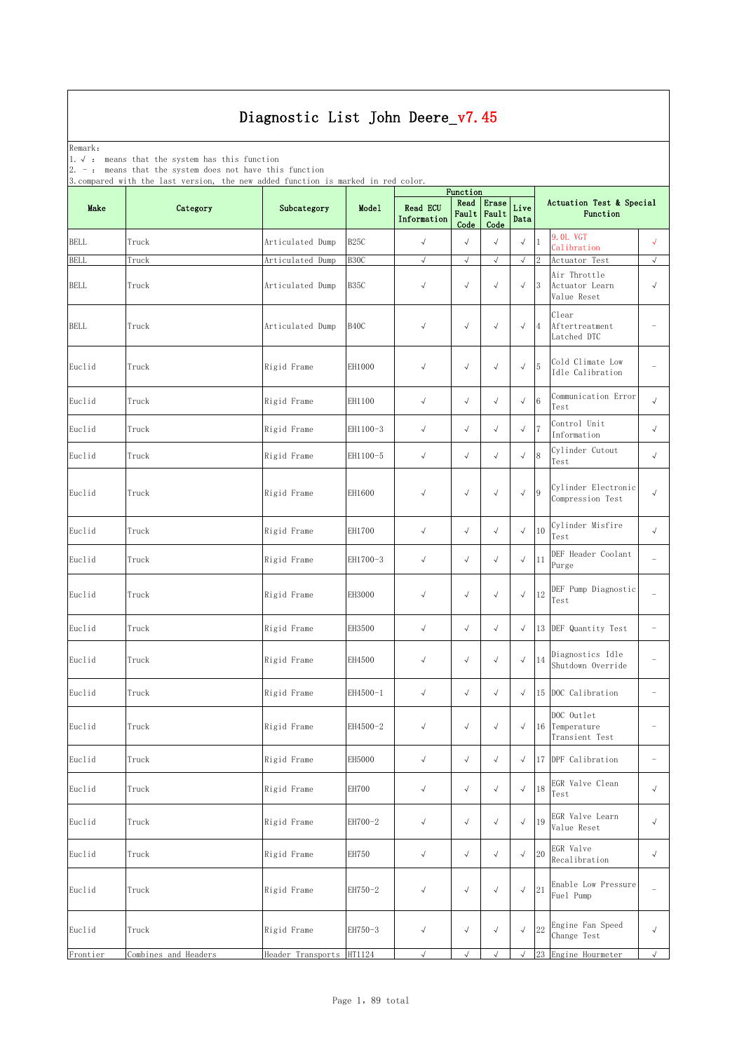Remark: The contract of the contract of  $\mathbb{R}$  and  $\mathbb{R}$  are contract of  $\mathbb{R}$  and  $\mathbb{R}$  are contract of  $\mathbb{R}$  and  $\mathbb{R}$  are contract of  $\mathbb{R}$  and  $\mathbb{R}$  are contract of  $\mathbb{R}$  and  $\mathbb{R}$  are cont

1.√ : means that the system has this function

2. - : means that the system does not have this function

| Make        | b.compared with the fast version, the new added function is marked in red color.<br>Category | Subcategory              | Model        | Read ECU<br>Information | Function<br>Code | Read Erase<br>Fault Fault<br>Code | Live<br>Data |                      | Actuation Test & Special<br>Function           |                                 |
|-------------|----------------------------------------------------------------------------------------------|--------------------------|--------------|-------------------------|------------------|-----------------------------------|--------------|----------------------|------------------------------------------------|---------------------------------|
| BELL        | Truck                                                                                        | Articulated Dump         | B25C         | $\sqrt{ }$              | $\checkmark$     | $\sqrt{ }$                        | $\sqrt{}$    |                      | 9.0L VGT<br>Calibration                        | $\sqrt{ }$                      |
| <b>BELL</b> | Truck                                                                                        | Articulated Dump         | <b>B30C</b>  | $\sqrt{ }$              | $\sqrt{ }$       | $\sqrt{}$                         | $\sqrt{ }$   | $\overline{2}$       | Actuator Test                                  | $\sqrt{ }$                      |
| BELL        | Truck                                                                                        | Articulated Dump         | B35C         | $\sqrt{ }$              | $\sqrt{ }$       | $\sqrt{ }$                        | $\sqrt{ }$   | $\vert$ <sub>3</sub> | Air Throttle<br>Actuator Learn<br>Value Reset  | $\sqrt{ }$                      |
| BELL        | Truck                                                                                        | Articulated Dump         | B40C         | $\sqrt{ }$              | $\sqrt{ }$       | $\sqrt{ }$                        | $\sqrt{ }$   | $\vert 4 \vert$      | Clear<br>Aftertreatment<br>Latched DTC         | $\hspace{0.1mm}-\hspace{0.1mm}$ |
| Euclid      | Truck                                                                                        | Rigid Frame              | EH1000       | $\sqrt{ }$              | $\sqrt{ }$       | $\sqrt{ }$                        | $\sqrt{}$    | $\overline{5}$       | Cold Climate Low<br>Idle Calibration           | $\overline{\phantom{a}}$        |
| Euclid      | Truck                                                                                        | Rigid Frame              | EH1100       | $\checkmark$            | $\sqrt{ }$       | $\sqrt{ }$                        | $\sqrt{ }$   | $6\phantom{.}6$      | Communication Error<br>Test                    | $\sqrt{ }$                      |
| Euclid      | Truck                                                                                        | Rigid Frame              | EH1100-3     | $\sqrt{ }$              | $\sqrt{ }$       | $\sqrt{ }$                        | $\sqrt{ }$   | $\overline{7}$       | Control Unit<br>Information                    | $\sqrt{ }$                      |
| Euclid      | Truck                                                                                        | Rigid Frame              | EH1100-5     | $\sqrt{ }$              | $\sqrt{ }$       | $\sqrt{ }$                        | $\checkmark$ | $\,8\,$              | Cylinder Cutout<br>Test                        | $\sqrt{ }$                      |
| Euclid      | Truck                                                                                        | Rigid Frame              | EH1600       | $\sqrt{ }$              | $\checkmark$     | $\sqrt{ }$                        | $\sqrt{ }$   | 9                    | Cylinder Electronic<br>Compression Test        | $\sqrt{ }$                      |
| Euclid      | Truck                                                                                        | Rigid Frame              | EH1700       | $\sqrt{ }$              | $\sqrt{ }$       | $\checkmark$                      | $\sqrt{}$    | $10\,$               | Cylinder Misfire<br>Test                       | $\sqrt{}$                       |
| Euclid      | Truck                                                                                        | Rigid Frame              | EH1700-3     | $\sqrt{ }$              | $\sqrt{ }$       | $\sqrt{ }$                        | $\sqrt{ }$   | 11                   | DEF Header Coolant<br>Purge                    | $\overline{\phantom{a}}$        |
| Euclid      | Truck                                                                                        | Rigid Frame              | EH3000       | $\sqrt{ }$              | $\sqrt{ }$       | $\sqrt{ }$                        | $\checkmark$ | $12\,$               | DEF Pump Diagnostic<br>Test                    | $\overline{\phantom{a}}$        |
| Euclid      | Truck                                                                                        | Rigid Frame              | EH3500       | $\sqrt{ }$              | $\sqrt{ }$       | $\sqrt{ }$                        | $\sqrt{ }$   |                      | 13 DEF Quantity Test                           | $\overline{\phantom{a}}$        |
| Euclid      | Truck                                                                                        | Rigid Frame              | EH4500       | $\sqrt{ }$              | $\checkmark$     | $\sqrt{ }$                        | $\sqrt{}$    | 14                   | Diagnostics Idle<br>Shutdown Override          | $\overline{\phantom{a}}$        |
| Euclid      | Truck                                                                                        | Rigid Frame              | EH4500-1     | $\sqrt{ }$              | $\sqrt{ }$       | $\sqrt{ }$                        | $\sqrt{ }$   |                      | 15 DOC Calibration                             | $\overline{\phantom{a}}$        |
| Euclid      | Truck                                                                                        | Rigid Frame              | EH4500-2     | $\sqrt{ }$              | $\checkmark$     | $\sqrt{ }$                        | $\sqrt{ }$   |                      | DOC Outlet<br>16 Temperature<br>Transient Test | $\overline{\phantom{a}}$        |
| Euclid      | Truck                                                                                        | Rigid Frame              | EH5000       | $\sqrt{ }$              | $\sqrt{ }$       | $\sqrt{ }$                        | $\sqrt{ }$   |                      | 17 DPF Calibration                             | $\overline{\phantom{a}}$        |
| Euclid      | Truck                                                                                        | Rigid Frame              | <b>EH700</b> | $\sqrt{ }$              | $\sqrt{ }$       | $\sqrt{ }$                        | $\sqrt{ }$   | 18                   | EGR Valve Clean<br>Test                        | $\sqrt{ }$                      |
| Euclid      | Truck                                                                                        | Rigid Frame              | EH700-2      | $\sqrt{ }$              | $\sqrt{ }$       | $\sqrt{ }$                        | $\sqrt{}$    | 19                   | EGR Valve Learn<br>Value Reset                 | $\sqrt{ }$                      |
| Euclid      | Truck                                                                                        | Rigid Frame              | EH750        | $\checkmark$            | $\sqrt{ }$       | $\sqrt{ }$                        | $\sqrt{ }$   | 20                   | EGR Valve<br>Recalibration                     | $\sqrt{ }$                      |
| Euclid      | Truck                                                                                        | Rigid Frame              | EH750-2      | $\sqrt{ }$              | $\sqrt{ }$       | $\sqrt{ }$                        | $\checkmark$ | 21                   | Enable Low Pressure<br>Fuel Pump               | $\overline{\phantom{a}}$        |
| Euclid      | Truck                                                                                        | Rigid Frame              | EH750-3      | $\sqrt{ }$              | $\sqrt{ }$       | $\sqrt{ }$                        | $\checkmark$ | 22                   | Engine Fan Speed<br>Change Test                | $\sqrt{ }$                      |
| Frontier    | Combines and Headers                                                                         | Header Transports HT1124 |              | $\sqrt{ }$              | $\sqrt{ }$       | $\sqrt{ }$                        | $\sqrt{ }$   |                      | 23 Engine Hourmeter                            | $\sqrt{ }$                      |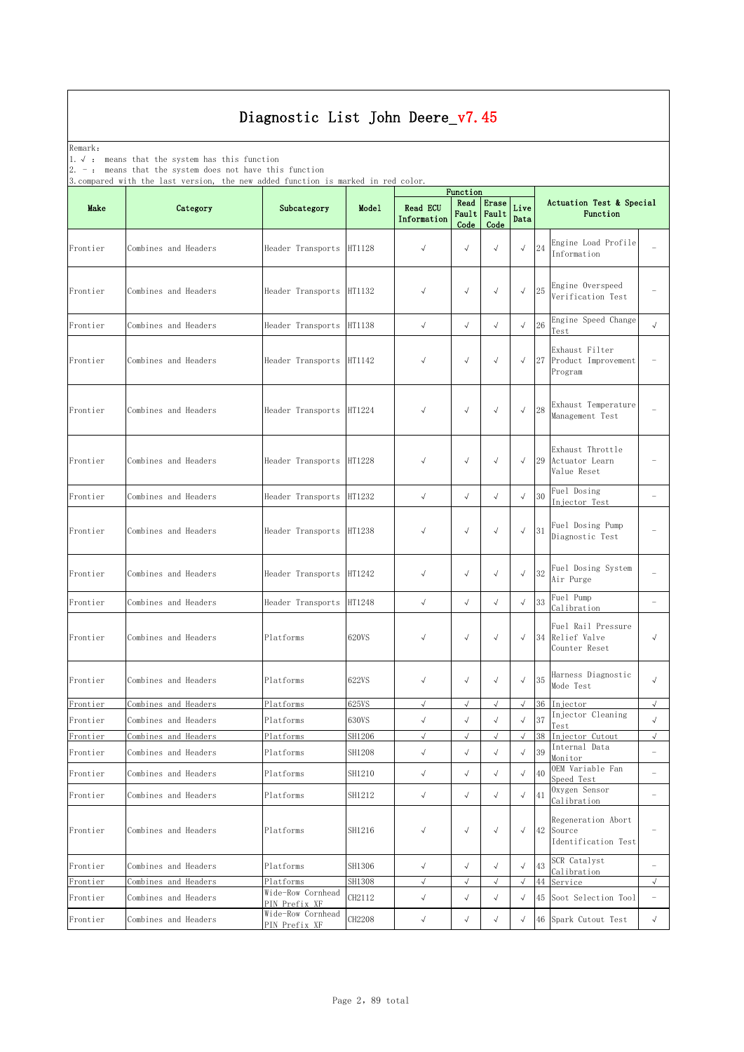Remark: The contract of the contract of  $\mathbb{R}$  and  $\mathbb{R}$  are contract of  $\mathbb{R}$  and  $\mathbb{R}$  are contract of  $\mathbb{R}$  and  $\mathbb{R}$  are contract of  $\mathbb{R}$  and  $\mathbb{R}$  are contract of  $\mathbb{R}$  and  $\mathbb{R}$  are cont

1.√ : means that the system has this function

2. - : means that the system does not have this function

|          | 3. compared with the last version, the new added function is marked in red color. |                                    |        |                         | Function             |                                   |              |        |                                                        |                          |  |
|----------|-----------------------------------------------------------------------------------|------------------------------------|--------|-------------------------|----------------------|-----------------------------------|--------------|--------|--------------------------------------------------------|--------------------------|--|
| Make     | Category                                                                          | Subcategory                        | Model  | Read ECU<br>Information | Code                 | Read Erase<br>Fault Fault<br>Code | Live<br>Data |        | Actuation Test & Special<br>Function                   |                          |  |
| Frontier | Combines and Headers                                                              | Header Transports                  | HT1128 | $\sqrt{ }$              | $\sqrt{ }$           | $\sqrt{ }$                        | $\checkmark$ | 24     | Engine Load Profile<br>Information                     |                          |  |
| Frontier | Combines and Headers                                                              | Header Transports HT1132           |        | $\sqrt{ }$              | $\sqrt{}$            | $\sqrt{ }$                        | $\sqrt{}$    | $25\,$ | Engine Overspeed<br>Verification Test                  |                          |  |
| Frontier | Combines and Headers                                                              | Header Transports HT1138           |        | $\sqrt{}$               | $\sqrt{ }$           | $\sqrt{ }$                        | $\sqrt{ }$   | $26\,$ | Engine Speed Change<br>Test                            | $\sqrt{ }$               |  |
| Frontier | Combines and Headers                                                              | Header Transports                  | HT1142 | $\sqrt{ }$              | $\sqrt{ }$           | $\sqrt{ }$                        | $\sqrt{}$    |        | Exhaust Filter<br>27 Product Improvement<br>Program    |                          |  |
| Frontier | Combines and Headers                                                              | Header Transports HT1224           |        | $\sqrt{ }$              | $\sqrt{ }$           | $\sqrt{ }$                        | $\checkmark$ | $28\,$ | Exhaust Temperature<br>Management Test                 |                          |  |
| Frontier | Combines and Headers                                                              | Header Transports                  | HT1228 | $\sqrt{ }$              | $\sqrt{}$            | $\sqrt{ }$                        | $\sqrt{}$    |        | Exhaust Throttle<br>29 Actuator Learn<br>Value Reset   | $\overline{\phantom{a}}$ |  |
| Frontier | Combines and Headers                                                              | Header Transports                  | HT1232 | $\sqrt{ }$              | $\sqrt{ }$           | $\sqrt{ }$                        | $\checkmark$ | 30     | Fuel Dosing<br>Injector Test                           |                          |  |
| Frontier | Combines and Headers                                                              | Header Transports HT1238           |        | $\sqrt{ }$              | $\sqrt{}$            | $\sqrt{ }$                        | $\sqrt{ }$   | 31     | Fuel Dosing Pump<br>Diagnostic Test                    | $\overline{\phantom{a}}$ |  |
| Frontier | Combines and Headers                                                              | Header Transports                  | HT1242 | $\sqrt{ }$              | $\sqrt{}$            | $\sqrt{ }$                        | $\sqrt{2}$   | 32     | Fuel Dosing System<br>Air Purge                        |                          |  |
| Frontier | Combines and Headers                                                              | Header Transports HT1248           |        | $\sqrt{}$               | $\sqrt{ }$           | $\sqrt{ }$                        | $\sqrt{}$    | 33     | Fuel Pump<br>Calibration                               |                          |  |
| Frontier | Combines and Headers                                                              | Platforms                          | 620VS  | $\sqrt{ }$              | $\sqrt{ }$           | $\sqrt{ }$                        | $\sqrt{}$    | 34     | Fuel Rail Pressure<br>Relief Valve<br>Counter Reset    | $\sqrt{}$                |  |
| Frontier | Combines and Headers                                                              | Platforms                          | 622VS  | $\sqrt{ }$              | $\sqrt{ }$           | $\sqrt{ }$                        | $\checkmark$ | 35     | Harness Diagnostic<br>Mode Test                        | $\sqrt{ }$               |  |
| Frontier | Combines and Headers                                                              | Platforms                          | 625VS  | $\sqrt{ }$              | $\sqrt{ }$           | $\sqrt{ }$                        | $\sqrt{ }$   |        | 36 Injector                                            | $\sqrt{ }$               |  |
| Frontier | Combines and Headers                                                              | Platforms                          | 630VS  | $\sqrt{ }$              | $\sqrt{}$            | $\sqrt{ }$                        | $\sqrt{}$    | 37     | Injector Cleaning<br>Test                              | $\checkmark$             |  |
| Frontier | Combines and Headers                                                              | Platforms                          | SH1206 | $\sqrt{ }$              | $\sqrt{2}$           | $\sqrt{ }$                        | $\sqrt{ }$   |        | 38 Injector Cutout                                     | $\sqrt{ }$               |  |
| Frontier | Combines and Headers                                                              | Platforms                          | SH1208 | $\sqrt{ }$              | $\sqrt{\phantom{a}}$ | $\sqrt{ }$                        | $\sqrt{}$    | 39     | Internal Data<br>Monitor                               | $\overline{\phantom{a}}$ |  |
| Frontier | Combines and Headers                                                              | Platforms                          | SH1210 | $\sqrt{ }$              | $\sqrt{ }$           | $\sqrt{ }$                        | $\sqrt{ }$   | 40     | OEM Variable Fan<br>Speed Test                         |                          |  |
| Frontier | Combines and Headers                                                              | Platforms                          | SH1212 | $\sqrt{}$               | $\sqrt{}$            | $\sqrt{ }$                        | $\sqrt{}$    | 41     | Oxygen Sensor<br>Calibration                           |                          |  |
| Frontier | Combines and Headers                                                              | Platforms                          | SH1216 | $\sqrt{ }$              | $\sqrt{}$            | $\sqrt{ }$                        | $\sqrt{ }$   |        | Regeneration Abort<br>42 Source<br>Identification Test |                          |  |
| Frontier | Combines and Headers                                                              | Platforms                          | SH1306 | $\sqrt{ }$              | $\sqrt{}$            | $\sqrt{ }$                        | $\sqrt{ }$   | 43     | SCR Catalyst<br>Calibration                            |                          |  |
| Frontier | Combines and Headers                                                              | Platforms                          | SH1308 | $\sqrt{ }$              | $\sqrt{ }$           | $\sqrt{ }$                        | $\sqrt{ }$   |        | 44 Service                                             | $\sqrt{ }$               |  |
| Frontier | Combines and Headers                                                              | Wide-Row Cornhead<br>PIN Prefix XF | CH2112 | $\sqrt{}$               | $\sqrt{\phantom{a}}$ | $\sqrt{ }$                        | $\checkmark$ |        | 45 Soot Selection Tool                                 |                          |  |
| Frontier | Combines and Headers                                                              | Wide-Row Cornhead<br>PIN Prefix XF | CH2208 | $\sqrt{}$               | $\sqrt{}$            | $\sqrt{ }$                        | $\sqrt{}$    |        | 46 Spark Cutout Test                                   | $\sqrt{ }$               |  |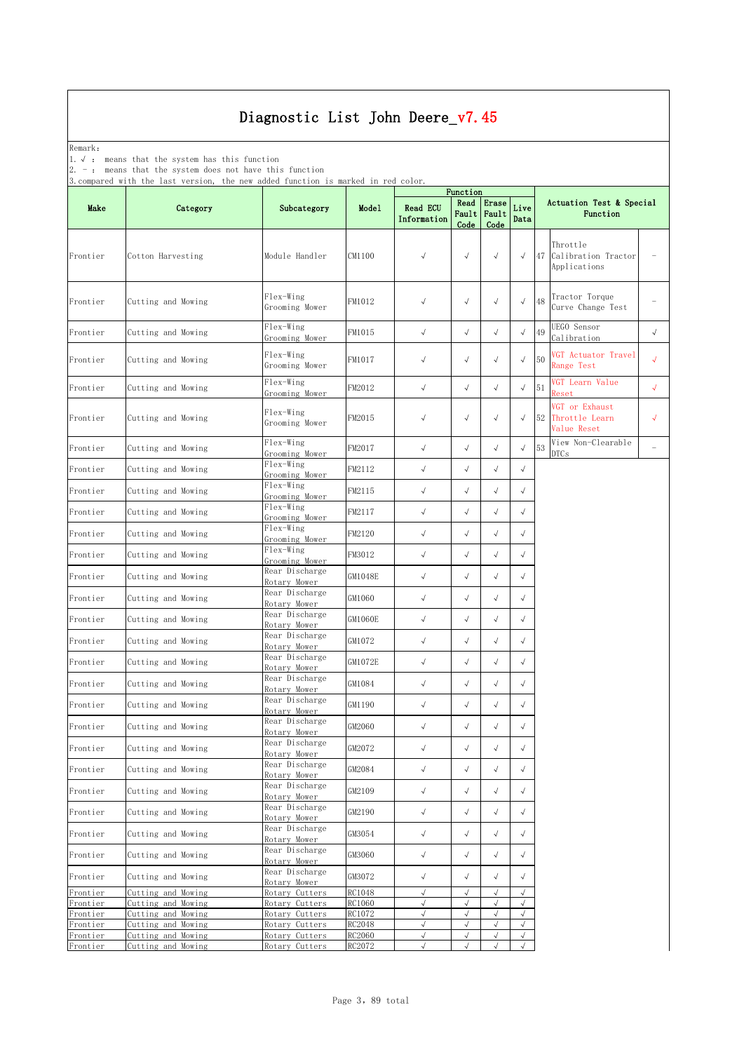Remark: The contract of the contract of  $\mathbb{R}$  and  $\mathbb{R}$  are contract of  $\mathbb{R}$  and  $\mathbb{R}$  are contract of  $\mathbb{R}$  and  $\mathbb{R}$  are contract of  $\mathbb{R}$  and  $\mathbb{R}$  are contract of  $\mathbb{R}$  and  $\mathbb{R}$  are cont

1.√ : means that the system has this function

2. - : means that the system does not have this function

|                      | 3. compared with the last version, the new added function is marked in red color. |                                  |                  |                                | Function                |                              |                         |    |                                                    |                          |
|----------------------|-----------------------------------------------------------------------------------|----------------------------------|------------------|--------------------------------|-------------------------|------------------------------|-------------------------|----|----------------------------------------------------|--------------------------|
| Make                 | Category                                                                          | Subcategory                      | Model            | <b>Read ECU</b><br>Information | Read<br>Code            | Erase<br>Fault Fault<br>Code | Live<br>Data            |    | Actuation Test & Special<br>Function               |                          |
| Frontier             | Cotton Harvesting                                                                 | Module Handler                   | CM1100           | $\sqrt{ }$                     | $\sqrt{2}$              | $\sqrt{ }$                   | $\sqrt{ }$              |    | Throttle<br>47 Calibration Tractor<br>Applications |                          |
| Frontier             | Cutting and Mowing                                                                | Flex-Wing<br>Grooming Mower      | FM1012           | $\sqrt{ }$                     | $\sqrt{}$               | $\sqrt{ }$                   | $\sqrt{2}$              | 48 | Tractor Torque<br>Curve Change Test                | $\overline{\phantom{a}}$ |
| Frontier             | Cutting and Mowing                                                                | Flex-Wing<br>Grooming Mower      | FM1015           | $\sqrt{ }$                     | $\sqrt{}$               | $\sqrt{ }$                   | $\sqrt{}$               | 49 | UEGO Sensor<br>Calibration                         | $\sqrt{}$                |
| Frontier             | Cutting and Mowing                                                                | Flex-Wing<br>Grooming Mower      | FM1017           | $\sqrt{ }$                     | $\sqrt{}$               | $\sqrt{ }$                   | $\sqrt{}$               | 50 | VGT Actuator Travel<br>Range Test                  | $\sqrt{2}$               |
| Frontier             | Cutting and Mowing                                                                | Flex-Wing<br>Grooming Mower      | FM2012           | $\sqrt{ }$                     | $\sqrt{}$               | $\sqrt{ }$                   | $\sqrt{ }$              | 51 | VGT Learn Value<br>Reset                           | $\sqrt{ }$               |
| Frontier             | Cutting and Mowing                                                                | Flex-Wing<br>Grooming Mower      | FM2015           | $\sqrt{ }$                     | $\sqrt{}$               | $\sqrt{ }$                   | $\sqrt{}$               |    | VGT or Exhaust<br>52 Throttle Learn<br>Value Reset | $\sqrt{ }$               |
| Frontier             | Cutting and Mowing                                                                | Flex-Wing<br>Grooming Mower      | FM2017           | $\sqrt{}$                      | $\sqrt{}$               | $\sqrt{ }$                   | $\sqrt{ }$              | 53 | View Non-Clearable<br><b>DTCs</b>                  |                          |
| Frontier             | Cutting and Mowing                                                                | Flex-Wing<br>Grooming Mower      | FM2112           | $\checkmark$                   | $\sqrt{ }$              | $\sqrt{ }$                   | $\sqrt{ }$              |    |                                                    |                          |
| Frontier             | Cutting and Mowing                                                                | Flex-Wing<br>Grooming Mower      | FM2115           | $\sqrt{ }$                     | $\sqrt{\phantom{a}}$    | $\sqrt{ }$                   | $\sqrt{}$               |    |                                                    |                          |
| Frontier             | Cutting and Mowing                                                                | Flex-Wing<br>Grooming Mower      | FM2117           | $\checkmark$                   | $\sqrt{ }$              | $\sqrt{ }$                   | $\sqrt{ }$              |    |                                                    |                          |
| Frontier             | Cutting and Mowing                                                                | Flex-Wing<br>Grooming Mower      | FM2120           | $\sqrt{}$                      | $\sqrt{}$               | $\sqrt{ }$                   | $\sqrt{ }$              |    |                                                    |                          |
| Frontier             | Cutting and Mowing                                                                | Flex-Wing<br>Grooming Mower      | FM3012           | $\sqrt{}$                      | $\sqrt{}$               | $\sqrt{ }$                   | $\sqrt{}$               |    |                                                    |                          |
| Frontier             | Cutting and Mowing                                                                | Rear Discharge<br>Rotary Mower   | GM1048E          | $\sqrt{ }$                     | $\sqrt{}$               | $\sqrt{ }$                   | $\sqrt{ }$              |    |                                                    |                          |
| Frontier             | Cutting and Mowing                                                                | Rear Discharge<br>Rotary Mower   | GM1060           | $\sqrt{}$                      | $\sqrt{}$               | $\sqrt{ }$                   | $\sqrt{}$               |    |                                                    |                          |
| Frontier             | Cutting and Mowing                                                                | Rear Discharge<br>Rotary Mower   | GM1060E          | $\sqrt{}$                      | $\sqrt{}$               | $\sqrt{ }$                   | $\sqrt{2}$              |    |                                                    |                          |
| Frontier             | Cutting and Mowing                                                                | Rear Discharge<br>Rotary Mower   | GM1072           | $\sqrt{}$                      | $\sqrt{ }$              | $\sqrt{ }$                   | $\sqrt{}$               |    |                                                    |                          |
| Frontier             | Cutting and Mowing                                                                | Rear Discharge<br>Rotary Mower   | GM1072E          | $\sqrt{}$                      | $\sqrt{}$               | $\sqrt{ }$                   | $\sqrt{}$               |    |                                                    |                          |
| Frontier             | Cutting and Mowing                                                                | Rear Discharge<br>Rotary Mower   | GM1084           | $\sqrt{}$                      | $\sqrt{}$               | $\sqrt{ }$                   | $\sqrt{}$               |    |                                                    |                          |
| Frontier             | Cutting and Mowing                                                                | Rear Discharge<br>Rotary Mower   | GM1190           | $\sqrt{ }$                     | $\sqrt{}$               | $\sqrt{ }$                   | $\sqrt{ }$              |    |                                                    |                          |
| Frontier             | Cutting and Mowing                                                                | Rear Discharge<br>Rotary Mower   | GM2060           | $\sqrt{}$                      | $\sqrt{}$               | $\sqrt{ }$                   |                         |    |                                                    |                          |
| Frontier             | Cutting and Mowing                                                                | Rear Discharge<br>Rotary Mower   | GM2072           | $\checkmark$                   | $\sqrt{ }$              | $\sqrt{ }$                   | $\sqrt{ }$              |    |                                                    |                          |
| Frontier             | Cutting and Mowing                                                                | Rear Discharge<br>Rotary Mower   | GM2084           | $\sqrt{}$                      | $\sqrt{\phantom{a}}$    | $\sqrt{ }$                   | $\sqrt{2}$              |    |                                                    |                          |
| Frontier             | Cutting and Mowing                                                                | Rear Discharge<br>Rotary Mower   | GM2109           | $\checkmark$                   | $\sqrt{\phantom{a}}$    | $\sqrt{ }$                   | $\sqrt{}$               |    |                                                    |                          |
| Frontier             | Cutting and Mowing                                                                | Rear Discharge<br>Rotary Mower   | GM2190           | $\sqrt{}$                      | $\sqrt{ }$              | $\sqrt{ }$                   | $\checkmark$            |    |                                                    |                          |
| Frontier             | Cutting and Mowing                                                                | Rear Discharge<br>Rotary Mower   | GM3054           | $\checkmark$                   | $\sqrt{}$               | $\sqrt{ }$                   | $\sqrt{}$               |    |                                                    |                          |
| Frontier             | Cutting and Mowing                                                                | Rear Discharge<br>Rotary Mower   | GM3060           | $\sqrt{ }$                     | $\sqrt{ }$              | $\sqrt{ }$                   | $\sqrt{}$               |    |                                                    |                          |
| Frontier             | Cutting and Mowing                                                                | Rear Discharge<br>Rotary Mower   | GM3072           | $\sqrt{ }$                     | $\sqrt{}$               | $\sqrt{ }$                   | $\sqrt{}$               |    |                                                    |                          |
| Frontier             | Cutting and Mowing                                                                | Rotary Cutters                   | RC1048           | $\sqrt{ }$<br>$\sqrt{ }$       | $\sqrt{}$<br>$\sqrt{ }$ | $\sqrt{ }$                   | $\sqrt{ }$<br>$\sqrt{}$ |    |                                                    |                          |
| Frontier<br>Frontier | Cutting and Mowing<br>Cutting and Mowing                                          | Rotary Cutters<br>Rotary Cutters | RC1060<br>RC1072 | $\sqrt{}$                      | $\sqrt{}$               | $\sqrt{ }$                   | $\sqrt{ }$              |    |                                                    |                          |
| Frontier             | Cutting and Mowing                                                                | Rotary Cutters                   | RC2048           | $\sqrt{ }$                     | $\sqrt{ }$              | $\sqrt{ }$                   | $\sqrt{ }$              |    |                                                    |                          |
| Frontier             | Cutting and Mowing                                                                | Rotary Cutters                   | RC2060           | $\sqrt{ }$                     | $\sqrt{2}$              | $\sqrt{ }$                   | $\sqrt{ }$              |    |                                                    |                          |
| Frontier             | Cutting and Mowing                                                                | Rotary Cutters                   | RC2072           | $\sqrt{}$                      | $\sqrt{2}$              | $\sqrt{ }$                   | $\sqrt{2}$              |    |                                                    |                          |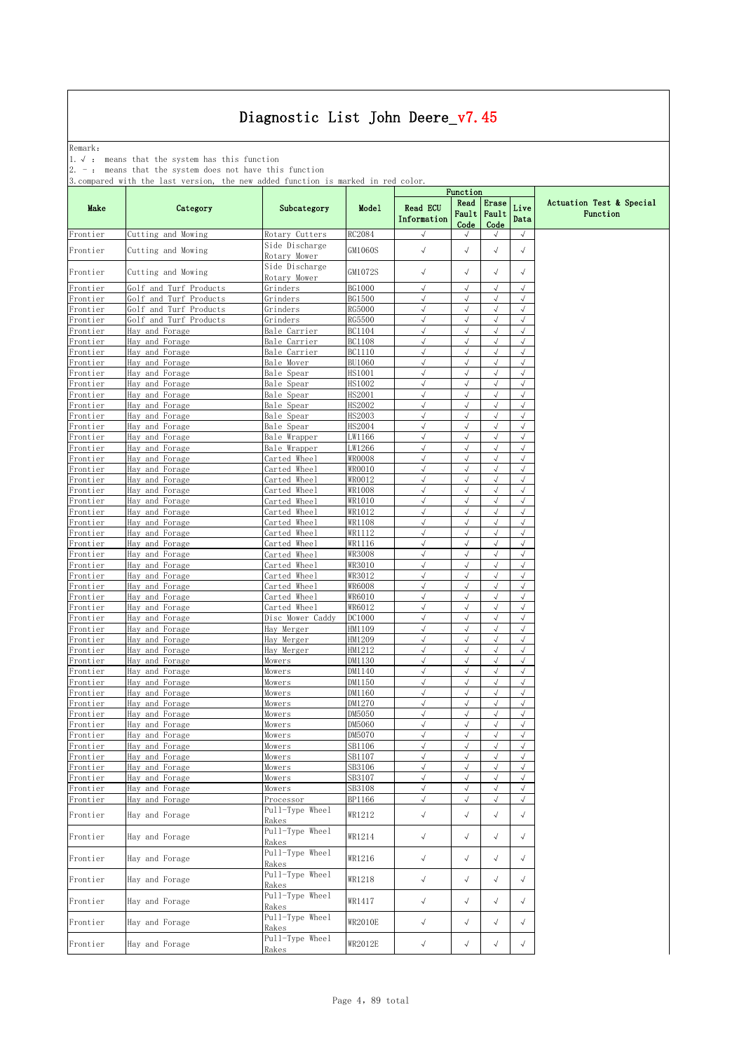Remark: The contract of the contract of  $\mathbb{R}$  and  $\mathbb{R}$  are contract of  $\mathbb{R}$  and  $\mathbb{R}$  are contract of  $\mathbb{R}$  and  $\mathbb{R}$  are contract of  $\mathbb{R}$  and  $\mathbb{R}$  are contract of  $\mathbb{R}$  and  $\mathbb{R}$  are cont

1.√ : means that the system has this function

2. - : means that the system does not have this function

| Read<br>Erase<br>Live<br><b>Read ECU</b><br>Make<br>Subcategory<br>Model<br>Category<br>Fault<br>Fault<br>Function<br>Information<br>Data<br>Code<br>Code<br>RC2084<br>Cutting and Mowing<br>Rotary Cutters<br>$\sqrt{}$<br>$\sqrt{ }$<br>$\sqrt{}$<br>$\sqrt{ }$<br>Side Discharge<br>GM1060S<br>$\sqrt{}$<br>$\sqrt{ }$<br>$\sqrt{ }$<br>Cutting and Mowing<br>$\sqrt{}$<br>Rotary Mower<br>Side Discharge<br>GM1072S<br>$\sqrt{}$<br>√<br>$\sqrt{}$<br>Cutting and Mowing<br>$\sqrt{}$<br>Rotary Mower<br>BG1000<br>$\sqrt{ }$<br>$\sqrt{}$<br>$\sqrt{ }$<br>$\sqrt{}$<br>Golf and Turf Products<br>Grinders<br>BG1500<br>Golf<br>and Turf Products<br>Grinders<br>$\sqrt{ }$<br>$\sqrt{}$<br>$\sqrt{ }$<br>$\sqrt{}$<br>$\sqrt{ }$<br>$\sqrt{}$<br>$\sqrt{}$<br>Golf<br>Turf Products<br>Grinders<br><b>RG5000</b><br>$\sqrt{}$<br>and<br>Turf Products<br>$\sqrt{}$<br>Frontier<br>Golf<br>and<br>Grinders<br>RG5500<br>$\sqrt{}$<br>$\sqrt{}$<br>$\sqrt{}$<br>$\sqrt{ }$<br>Bale Carrier<br>BC1104<br>$\sqrt{ }$<br>$\sqrt{}$<br>$\sqrt{2}$<br>Hay and Forage<br>Frontier<br>Hay and Forage<br>BC1108<br>$\sqrt{}$<br>Frontier<br>Bale Carrier<br>√<br>$\sqrt{}$<br>Hay and Forage<br>$\sqrt{2}$<br>$\sqrt{2}$<br>$\sqrt{ }$<br>$\sqrt{}$<br>Bale Carrier<br>BC1110<br><b>BU1060</b><br>$\sqrt{ }$<br>$\sqrt{}$<br>$\sqrt{ }$<br>$\sqrt{2}$<br>Hay and Forage<br>Bale Mover<br>Hay and Forage<br>Bale Spear<br>HS1001<br>$\sqrt{}$<br>√<br>$\sqrt{}$<br>$\sqrt{}$<br>$\sqrt{ }$<br>$\sqrt{}$<br>$\sqrt{ }$<br>$\sqrt{ }$<br>Hay and Forage<br>Bale Spear<br>HS1002<br>$\sqrt{}$<br>Hay and Forage<br>HS2001<br>$\sqrt{}$<br>$\sqrt{}$<br>$\sqrt{ }$<br>Bale Spear<br>$\sqrt{ }$<br>$\sqrt{ }$<br>Bale Spear<br>HS2002<br>$\sqrt{}$<br>$\sqrt{}$<br>Frontier<br>Hay and Forage<br>$\sqrt{}$<br>Hay and Forage<br>HS2003<br>$\sqrt{ }$<br>$\sqrt{ }$<br>Frontier<br>Bale Spear<br>$\sqrt{}$<br>Hay and Forage<br>HS2004<br>$\sqrt{ }$<br>$\sqrt{}$<br>$\sqrt{ }$<br>$\sqrt{}$<br>Frontier<br>Bale Spear<br>$\sqrt{}$<br>$\sqrt{ }$<br>$\sqrt{}$<br>Hay and Forage<br>Bale Wrapper<br>LW1166<br>$\sqrt{ }$<br>Hay and Forage<br>Bale Wrapper<br>LW1266<br>$\sqrt{}$<br>$\sqrt{}$<br>$\sqrt{ }$<br>$\sqrt{}$<br>$\sqrt{ }$<br>$\sqrt{}$<br>$\sqrt{}$<br>$\sqrt{2}$<br>Hay and Forage<br>Carted Wheel<br>WR0008<br>$\sqrt{ }$<br>Hay and Forage<br>Carted Wheel<br>WR0010<br>$\sqrt{ }$<br>√<br>$\checkmark$<br>$\sqrt{2}$<br>$\sqrt{}$<br>$\sqrt{}$<br>$\sqrt{ }$<br>Hay and Forage<br>Carted Wheel<br>WR0012<br>$\sqrt{ }$<br>$\sqrt{2}$<br>$\sqrt{ }$<br>$\sqrt{}$<br>Frontier<br>Hay and Forage<br>WR1008<br>Carted Wheel<br>$\sqrt{}$<br>Frontier<br>Hay and Forage<br>WR1010<br>$\sqrt{ }$<br>$\sqrt{}$<br>$\sqrt{}$<br>Carted Wheel<br>$\sqrt{ }$<br>$\sqrt{ }$<br>$\sqrt{ }$<br>Hay and Forage<br>Carted Wheel<br>WR1012<br>$\sqrt{}$<br>Frontier<br>Hay and Forage<br>WR1108<br>$\sqrt{ }$<br>Frontier<br>$\sqrt{}$<br>$\sqrt{}$<br>$\sqrt{}$<br>Carted Wheel<br>$\sqrt{}$<br>$\sqrt{ }$<br>Carted Wheel<br>WR1112<br>$\sqrt{}$<br>$\sqrt{}$<br>Hay and Forage<br>Frontier<br>$\sqrt{}$<br>Hay and Forage<br>Carted Wheel<br>WR1116<br>$\sqrt{ }$<br>√<br>Hay and Forage<br>WR3008<br>$\sqrt{ }$<br>$\sqrt{2}$<br>$\sqrt{ }$<br>$\sqrt{}$<br>Carted Wheel<br>Hay and Forage<br>WR3010<br>$\sqrt{}$<br>$\sqrt{}$<br>$\sqrt{ }$<br>$\sqrt{ }$<br>Carted Wheel<br>Hay and Forage<br>WR3012<br>$\sqrt{ }$<br>$\sqrt{}$<br>$\sqrt{}$<br>$\sqrt{}$<br>Carted Wheel<br>Carted Wheel<br>WR6008<br>$\sqrt{}$<br>$\sqrt{}$<br>$\sqrt{ }$<br>$\sqrt{2}$<br>Frontier<br>Hay and Forage<br>$\sqrt{}$<br>WR6010<br>$\sqrt{ }$<br>Frontier<br>Hay and Forage<br>√<br>$\sqrt{}$<br>Carted Wheel<br>$\sqrt{ }$<br>Hay and Forage<br>WR6012<br>$\sqrt{}$<br>$\sqrt{}$<br>$\sqrt{}$<br>Frontier<br>Carted Wheel<br>$\sqrt{}$<br>$\sqrt{ }$<br>$\sqrt{}$<br>Hay and Forage<br>Disc Mower Caddy<br>DC1000<br>$\sqrt{ }$<br>Frontier<br>HM1109<br>$\sqrt{2}$<br>$\sqrt{2}$<br>$\sqrt{ }$<br>$\sqrt{}$<br>Hav and Forage<br>Hay Merger<br>Hay and Forage<br>HM1209<br>$\sqrt{ }$<br>$\sqrt{}$<br>$\sqrt{}$<br>$\sqrt{}$<br>Hay Merger<br>$\sqrt{ }$<br>Hay<br>and Forage<br>Hay Merger<br>HM1212<br>$\sqrt{}$<br>$\sqrt{}$<br>$\sqrt{}$<br>$\sqrt{}$<br>$\sqrt{}$<br>$\sqrt{ }$<br>Hav and Forage<br>Mowers<br>DM1130<br>$\sqrt{ }$<br>Hay and Forage<br>DM1140<br>$\sqrt{}$<br>Frontier<br>Mowers<br>√<br>$\sqrt{ }$<br>$\sqrt{}$<br>$\sqrt{}$<br>$\sqrt{}$<br>Frontier<br>Hay and Forage<br>Mowers<br>DM1150<br>$\sqrt{ }$<br>$\sqrt{}$<br>Frontier<br>Hav and Forage<br>DM1160<br>$\sqrt{}$<br>$\sqrt{ }$<br>Mowers<br>DM1270<br>Hay and Forage<br>$\sqrt{ }$<br>$\sqrt{}$<br>$\sqrt{}$<br>$\sqrt{2}$<br>Mowers<br>$\sqrt{ }$<br>$\sqrt{}$<br>$\sqrt{ }$<br>$\sqrt{ }$<br>Hay and Forage<br>Mowers<br>DM5050<br>$\sqrt{}$<br>$\sqrt{}$<br>$\sqrt{}$<br>Hav<br>and Forage<br>DM5060<br>$\sqrt{}$<br>Mowers<br>$\sqrt{}$<br>$\sqrt{}$<br>$\sqrt{2}$<br>DM5070<br>J<br>Hay and Forage<br>Mowers<br>SB1106<br>Hay and Forage<br>Mowers<br>√<br>√<br>$\sqrt{}$<br>Frontier<br>SB1107<br>$\sqrt{ }$<br>$\sqrt{}$<br>$\sqrt{ }$<br>$\sqrt{2}$<br>Hay and Forage<br>Mowers<br>SB3106<br>$\sqrt{}$<br>$\sqrt{ }$<br>$\sqrt{ }$<br>Frontier<br>Hay and Forage<br>Mowers<br>$\sqrt{}$<br>Frontier<br>Hay and Forage<br>SB3107<br>Mowers<br>$\sqrt{ }$<br>$\sqrt{}$<br>$\sqrt{}$<br>$\sqrt{ }$<br>SB3108<br>$\sqrt{ }$<br>$\sqrt{ }$<br>$\sqrt{}$<br>$\sqrt{ }$<br>Frontier<br>Hay and Forage<br>Mowers<br>$\sqrt{ }$<br>Hay and Forage<br>BP1166<br>$\sqrt{}$<br>Processor<br>$\sqrt{}$<br>$\sqrt{}$<br>Pull-Type Wheel<br>$\sqrt{ }$<br>$\sqrt{ }$<br>$\sqrt{}$<br>$\checkmark$<br>Hay and Forage<br>WR1212<br>Rakes<br>Pull-Type Wheel<br>$\checkmark$<br>$\sqrt{ }$<br>$\sqrt{}$<br>Hay and Forage<br>WR1214<br>$\sqrt{ }$<br>Rakes<br>Pull-Type Wheel<br>WR1216<br>$\checkmark$<br>$\checkmark$<br>Hay and Forage<br>$\sqrt{ }$<br>$\sqrt{ }$<br>Rakes<br>Pull-Type Wheel<br>WR1218<br>$\checkmark$<br>$\checkmark$<br>Hay and Forage<br>$\sqrt{}$<br>$\sqrt{ }$<br>Rakes<br>Pull-Type Wheel<br>WR1417<br>$\checkmark$<br>$\sqrt{ }$<br>$\sqrt{}$<br>$\sqrt{ }$<br>Hay and Forage<br>Rakes<br>Pull-Type Wheel<br>WR2010E<br>$\checkmark$<br>$\sqrt{ }$<br>$\sqrt{}$<br>Hay and Forage<br>$\sqrt{}$<br>Rakes<br>Pull-Type Wheel<br>WR2012E<br>Hay and Forage<br>$\checkmark$<br>$\sqrt{2}$<br>$\sqrt{}$<br>$\sqrt{}$<br>Rakes |          |  |  | Function |  |                          |
|-------------------------------------------------------------------------------------------------------------------------------------------------------------------------------------------------------------------------------------------------------------------------------------------------------------------------------------------------------------------------------------------------------------------------------------------------------------------------------------------------------------------------------------------------------------------------------------------------------------------------------------------------------------------------------------------------------------------------------------------------------------------------------------------------------------------------------------------------------------------------------------------------------------------------------------------------------------------------------------------------------------------------------------------------------------------------------------------------------------------------------------------------------------------------------------------------------------------------------------------------------------------------------------------------------------------------------------------------------------------------------------------------------------------------------------------------------------------------------------------------------------------------------------------------------------------------------------------------------------------------------------------------------------------------------------------------------------------------------------------------------------------------------------------------------------------------------------------------------------------------------------------------------------------------------------------------------------------------------------------------------------------------------------------------------------------------------------------------------------------------------------------------------------------------------------------------------------------------------------------------------------------------------------------------------------------------------------------------------------------------------------------------------------------------------------------------------------------------------------------------------------------------------------------------------------------------------------------------------------------------------------------------------------------------------------------------------------------------------------------------------------------------------------------------------------------------------------------------------------------------------------------------------------------------------------------------------------------------------------------------------------------------------------------------------------------------------------------------------------------------------------------------------------------------------------------------------------------------------------------------------------------------------------------------------------------------------------------------------------------------------------------------------------------------------------------------------------------------------------------------------------------------------------------------------------------------------------------------------------------------------------------------------------------------------------------------------------------------------------------------------------------------------------------------------------------------------------------------------------------------------------------------------------------------------------------------------------------------------------------------------------------------------------------------------------------------------------------------------------------------------------------------------------------------------------------------------------------------------------------------------------------------------------------------------------------------------------------------------------------------------------------------------------------------------------------------------------------------------------------------------------------------------------------------------------------------------------------------------------------------------------------------------------------------------------------------------------------------------------------------------------------------------------------------------------------------------------------------------------------------------------------------------------------------------------------------------------------------------------------------------------------------------------------------------------------------------------------------------------------------------------------------------------------------------------------------------------------------------------------------------------------------------------------------------------------------------------------------------------------------------------------------------------------------------------------------------------------------------------------------------------------------------------------------------------------------------------------------------------------------------------------------------------------------------------------------------------------------------------------------------------------------------------------------------------------------------------------------------------------------------------------------------------------------------------------------------------------------------------------------------------------------------------------------------------------------------------------------------------------------------------------------------------------------------------------------------------------------------------------------------------------------------------------------------------------------------------------------------------------------------------------------------------|----------|--|--|----------|--|--------------------------|
|                                                                                                                                                                                                                                                                                                                                                                                                                                                                                                                                                                                                                                                                                                                                                                                                                                                                                                                                                                                                                                                                                                                                                                                                                                                                                                                                                                                                                                                                                                                                                                                                                                                                                                                                                                                                                                                                                                                                                                                                                                                                                                                                                                                                                                                                                                                                                                                                                                                                                                                                                                                                                                                                                                                                                                                                                                                                                                                                                                                                                                                                                                                                                                                                                                                                                                                                                                                                                                                                                                                                                                                                                                                                                                                                                                                                                                                                                                                                                                                                                                                                                                                                                                                                                                                                                                                                                                                                                                                                                                                                                                                                                                                                                                                                                                                                                                                                                                                                                                                                                                                                                                                                                                                                                                                                                                                                                                                                                                                                                                                                                                                                                                                                                                                                                                                                                                                                                                                                                                                                                                                                                                                                                                                                                                                                                                                                                                                                             |          |  |  |          |  | Actuation Test & Special |
|                                                                                                                                                                                                                                                                                                                                                                                                                                                                                                                                                                                                                                                                                                                                                                                                                                                                                                                                                                                                                                                                                                                                                                                                                                                                                                                                                                                                                                                                                                                                                                                                                                                                                                                                                                                                                                                                                                                                                                                                                                                                                                                                                                                                                                                                                                                                                                                                                                                                                                                                                                                                                                                                                                                                                                                                                                                                                                                                                                                                                                                                                                                                                                                                                                                                                                                                                                                                                                                                                                                                                                                                                                                                                                                                                                                                                                                                                                                                                                                                                                                                                                                                                                                                                                                                                                                                                                                                                                                                                                                                                                                                                                                                                                                                                                                                                                                                                                                                                                                                                                                                                                                                                                                                                                                                                                                                                                                                                                                                                                                                                                                                                                                                                                                                                                                                                                                                                                                                                                                                                                                                                                                                                                                                                                                                                                                                                                                                             | Frontier |  |  |          |  |                          |
|                                                                                                                                                                                                                                                                                                                                                                                                                                                                                                                                                                                                                                                                                                                                                                                                                                                                                                                                                                                                                                                                                                                                                                                                                                                                                                                                                                                                                                                                                                                                                                                                                                                                                                                                                                                                                                                                                                                                                                                                                                                                                                                                                                                                                                                                                                                                                                                                                                                                                                                                                                                                                                                                                                                                                                                                                                                                                                                                                                                                                                                                                                                                                                                                                                                                                                                                                                                                                                                                                                                                                                                                                                                                                                                                                                                                                                                                                                                                                                                                                                                                                                                                                                                                                                                                                                                                                                                                                                                                                                                                                                                                                                                                                                                                                                                                                                                                                                                                                                                                                                                                                                                                                                                                                                                                                                                                                                                                                                                                                                                                                                                                                                                                                                                                                                                                                                                                                                                                                                                                                                                                                                                                                                                                                                                                                                                                                                                                             | Frontier |  |  |          |  |                          |
|                                                                                                                                                                                                                                                                                                                                                                                                                                                                                                                                                                                                                                                                                                                                                                                                                                                                                                                                                                                                                                                                                                                                                                                                                                                                                                                                                                                                                                                                                                                                                                                                                                                                                                                                                                                                                                                                                                                                                                                                                                                                                                                                                                                                                                                                                                                                                                                                                                                                                                                                                                                                                                                                                                                                                                                                                                                                                                                                                                                                                                                                                                                                                                                                                                                                                                                                                                                                                                                                                                                                                                                                                                                                                                                                                                                                                                                                                                                                                                                                                                                                                                                                                                                                                                                                                                                                                                                                                                                                                                                                                                                                                                                                                                                                                                                                                                                                                                                                                                                                                                                                                                                                                                                                                                                                                                                                                                                                                                                                                                                                                                                                                                                                                                                                                                                                                                                                                                                                                                                                                                                                                                                                                                                                                                                                                                                                                                                                             | Frontier |  |  |          |  |                          |
|                                                                                                                                                                                                                                                                                                                                                                                                                                                                                                                                                                                                                                                                                                                                                                                                                                                                                                                                                                                                                                                                                                                                                                                                                                                                                                                                                                                                                                                                                                                                                                                                                                                                                                                                                                                                                                                                                                                                                                                                                                                                                                                                                                                                                                                                                                                                                                                                                                                                                                                                                                                                                                                                                                                                                                                                                                                                                                                                                                                                                                                                                                                                                                                                                                                                                                                                                                                                                                                                                                                                                                                                                                                                                                                                                                                                                                                                                                                                                                                                                                                                                                                                                                                                                                                                                                                                                                                                                                                                                                                                                                                                                                                                                                                                                                                                                                                                                                                                                                                                                                                                                                                                                                                                                                                                                                                                                                                                                                                                                                                                                                                                                                                                                                                                                                                                                                                                                                                                                                                                                                                                                                                                                                                                                                                                                                                                                                                                             | Frontier |  |  |          |  |                          |
|                                                                                                                                                                                                                                                                                                                                                                                                                                                                                                                                                                                                                                                                                                                                                                                                                                                                                                                                                                                                                                                                                                                                                                                                                                                                                                                                                                                                                                                                                                                                                                                                                                                                                                                                                                                                                                                                                                                                                                                                                                                                                                                                                                                                                                                                                                                                                                                                                                                                                                                                                                                                                                                                                                                                                                                                                                                                                                                                                                                                                                                                                                                                                                                                                                                                                                                                                                                                                                                                                                                                                                                                                                                                                                                                                                                                                                                                                                                                                                                                                                                                                                                                                                                                                                                                                                                                                                                                                                                                                                                                                                                                                                                                                                                                                                                                                                                                                                                                                                                                                                                                                                                                                                                                                                                                                                                                                                                                                                                                                                                                                                                                                                                                                                                                                                                                                                                                                                                                                                                                                                                                                                                                                                                                                                                                                                                                                                                                             | Frontier |  |  |          |  |                          |
|                                                                                                                                                                                                                                                                                                                                                                                                                                                                                                                                                                                                                                                                                                                                                                                                                                                                                                                                                                                                                                                                                                                                                                                                                                                                                                                                                                                                                                                                                                                                                                                                                                                                                                                                                                                                                                                                                                                                                                                                                                                                                                                                                                                                                                                                                                                                                                                                                                                                                                                                                                                                                                                                                                                                                                                                                                                                                                                                                                                                                                                                                                                                                                                                                                                                                                                                                                                                                                                                                                                                                                                                                                                                                                                                                                                                                                                                                                                                                                                                                                                                                                                                                                                                                                                                                                                                                                                                                                                                                                                                                                                                                                                                                                                                                                                                                                                                                                                                                                                                                                                                                                                                                                                                                                                                                                                                                                                                                                                                                                                                                                                                                                                                                                                                                                                                                                                                                                                                                                                                                                                                                                                                                                                                                                                                                                                                                                                                             | Frontier |  |  |          |  |                          |
|                                                                                                                                                                                                                                                                                                                                                                                                                                                                                                                                                                                                                                                                                                                                                                                                                                                                                                                                                                                                                                                                                                                                                                                                                                                                                                                                                                                                                                                                                                                                                                                                                                                                                                                                                                                                                                                                                                                                                                                                                                                                                                                                                                                                                                                                                                                                                                                                                                                                                                                                                                                                                                                                                                                                                                                                                                                                                                                                                                                                                                                                                                                                                                                                                                                                                                                                                                                                                                                                                                                                                                                                                                                                                                                                                                                                                                                                                                                                                                                                                                                                                                                                                                                                                                                                                                                                                                                                                                                                                                                                                                                                                                                                                                                                                                                                                                                                                                                                                                                                                                                                                                                                                                                                                                                                                                                                                                                                                                                                                                                                                                                                                                                                                                                                                                                                                                                                                                                                                                                                                                                                                                                                                                                                                                                                                                                                                                                                             |          |  |  |          |  |                          |
|                                                                                                                                                                                                                                                                                                                                                                                                                                                                                                                                                                                                                                                                                                                                                                                                                                                                                                                                                                                                                                                                                                                                                                                                                                                                                                                                                                                                                                                                                                                                                                                                                                                                                                                                                                                                                                                                                                                                                                                                                                                                                                                                                                                                                                                                                                                                                                                                                                                                                                                                                                                                                                                                                                                                                                                                                                                                                                                                                                                                                                                                                                                                                                                                                                                                                                                                                                                                                                                                                                                                                                                                                                                                                                                                                                                                                                                                                                                                                                                                                                                                                                                                                                                                                                                                                                                                                                                                                                                                                                                                                                                                                                                                                                                                                                                                                                                                                                                                                                                                                                                                                                                                                                                                                                                                                                                                                                                                                                                                                                                                                                                                                                                                                                                                                                                                                                                                                                                                                                                                                                                                                                                                                                                                                                                                                                                                                                                                             |          |  |  |          |  |                          |
|                                                                                                                                                                                                                                                                                                                                                                                                                                                                                                                                                                                                                                                                                                                                                                                                                                                                                                                                                                                                                                                                                                                                                                                                                                                                                                                                                                                                                                                                                                                                                                                                                                                                                                                                                                                                                                                                                                                                                                                                                                                                                                                                                                                                                                                                                                                                                                                                                                                                                                                                                                                                                                                                                                                                                                                                                                                                                                                                                                                                                                                                                                                                                                                                                                                                                                                                                                                                                                                                                                                                                                                                                                                                                                                                                                                                                                                                                                                                                                                                                                                                                                                                                                                                                                                                                                                                                                                                                                                                                                                                                                                                                                                                                                                                                                                                                                                                                                                                                                                                                                                                                                                                                                                                                                                                                                                                                                                                                                                                                                                                                                                                                                                                                                                                                                                                                                                                                                                                                                                                                                                                                                                                                                                                                                                                                                                                                                                                             | Frontier |  |  |          |  |                          |
|                                                                                                                                                                                                                                                                                                                                                                                                                                                                                                                                                                                                                                                                                                                                                                                                                                                                                                                                                                                                                                                                                                                                                                                                                                                                                                                                                                                                                                                                                                                                                                                                                                                                                                                                                                                                                                                                                                                                                                                                                                                                                                                                                                                                                                                                                                                                                                                                                                                                                                                                                                                                                                                                                                                                                                                                                                                                                                                                                                                                                                                                                                                                                                                                                                                                                                                                                                                                                                                                                                                                                                                                                                                                                                                                                                                                                                                                                                                                                                                                                                                                                                                                                                                                                                                                                                                                                                                                                                                                                                                                                                                                                                                                                                                                                                                                                                                                                                                                                                                                                                                                                                                                                                                                                                                                                                                                                                                                                                                                                                                                                                                                                                                                                                                                                                                                                                                                                                                                                                                                                                                                                                                                                                                                                                                                                                                                                                                                             | Frontier |  |  |          |  |                          |
|                                                                                                                                                                                                                                                                                                                                                                                                                                                                                                                                                                                                                                                                                                                                                                                                                                                                                                                                                                                                                                                                                                                                                                                                                                                                                                                                                                                                                                                                                                                                                                                                                                                                                                                                                                                                                                                                                                                                                                                                                                                                                                                                                                                                                                                                                                                                                                                                                                                                                                                                                                                                                                                                                                                                                                                                                                                                                                                                                                                                                                                                                                                                                                                                                                                                                                                                                                                                                                                                                                                                                                                                                                                                                                                                                                                                                                                                                                                                                                                                                                                                                                                                                                                                                                                                                                                                                                                                                                                                                                                                                                                                                                                                                                                                                                                                                                                                                                                                                                                                                                                                                                                                                                                                                                                                                                                                                                                                                                                                                                                                                                                                                                                                                                                                                                                                                                                                                                                                                                                                                                                                                                                                                                                                                                                                                                                                                                                                             | Frontier |  |  |          |  |                          |
|                                                                                                                                                                                                                                                                                                                                                                                                                                                                                                                                                                                                                                                                                                                                                                                                                                                                                                                                                                                                                                                                                                                                                                                                                                                                                                                                                                                                                                                                                                                                                                                                                                                                                                                                                                                                                                                                                                                                                                                                                                                                                                                                                                                                                                                                                                                                                                                                                                                                                                                                                                                                                                                                                                                                                                                                                                                                                                                                                                                                                                                                                                                                                                                                                                                                                                                                                                                                                                                                                                                                                                                                                                                                                                                                                                                                                                                                                                                                                                                                                                                                                                                                                                                                                                                                                                                                                                                                                                                                                                                                                                                                                                                                                                                                                                                                                                                                                                                                                                                                                                                                                                                                                                                                                                                                                                                                                                                                                                                                                                                                                                                                                                                                                                                                                                                                                                                                                                                                                                                                                                                                                                                                                                                                                                                                                                                                                                                                             | Frontier |  |  |          |  |                          |
|                                                                                                                                                                                                                                                                                                                                                                                                                                                                                                                                                                                                                                                                                                                                                                                                                                                                                                                                                                                                                                                                                                                                                                                                                                                                                                                                                                                                                                                                                                                                                                                                                                                                                                                                                                                                                                                                                                                                                                                                                                                                                                                                                                                                                                                                                                                                                                                                                                                                                                                                                                                                                                                                                                                                                                                                                                                                                                                                                                                                                                                                                                                                                                                                                                                                                                                                                                                                                                                                                                                                                                                                                                                                                                                                                                                                                                                                                                                                                                                                                                                                                                                                                                                                                                                                                                                                                                                                                                                                                                                                                                                                                                                                                                                                                                                                                                                                                                                                                                                                                                                                                                                                                                                                                                                                                                                                                                                                                                                                                                                                                                                                                                                                                                                                                                                                                                                                                                                                                                                                                                                                                                                                                                                                                                                                                                                                                                                                             | Frontier |  |  |          |  |                          |
|                                                                                                                                                                                                                                                                                                                                                                                                                                                                                                                                                                                                                                                                                                                                                                                                                                                                                                                                                                                                                                                                                                                                                                                                                                                                                                                                                                                                                                                                                                                                                                                                                                                                                                                                                                                                                                                                                                                                                                                                                                                                                                                                                                                                                                                                                                                                                                                                                                                                                                                                                                                                                                                                                                                                                                                                                                                                                                                                                                                                                                                                                                                                                                                                                                                                                                                                                                                                                                                                                                                                                                                                                                                                                                                                                                                                                                                                                                                                                                                                                                                                                                                                                                                                                                                                                                                                                                                                                                                                                                                                                                                                                                                                                                                                                                                                                                                                                                                                                                                                                                                                                                                                                                                                                                                                                                                                                                                                                                                                                                                                                                                                                                                                                                                                                                                                                                                                                                                                                                                                                                                                                                                                                                                                                                                                                                                                                                                                             |          |  |  |          |  |                          |
|                                                                                                                                                                                                                                                                                                                                                                                                                                                                                                                                                                                                                                                                                                                                                                                                                                                                                                                                                                                                                                                                                                                                                                                                                                                                                                                                                                                                                                                                                                                                                                                                                                                                                                                                                                                                                                                                                                                                                                                                                                                                                                                                                                                                                                                                                                                                                                                                                                                                                                                                                                                                                                                                                                                                                                                                                                                                                                                                                                                                                                                                                                                                                                                                                                                                                                                                                                                                                                                                                                                                                                                                                                                                                                                                                                                                                                                                                                                                                                                                                                                                                                                                                                                                                                                                                                                                                                                                                                                                                                                                                                                                                                                                                                                                                                                                                                                                                                                                                                                                                                                                                                                                                                                                                                                                                                                                                                                                                                                                                                                                                                                                                                                                                                                                                                                                                                                                                                                                                                                                                                                                                                                                                                                                                                                                                                                                                                                                             |          |  |  |          |  |                          |
|                                                                                                                                                                                                                                                                                                                                                                                                                                                                                                                                                                                                                                                                                                                                                                                                                                                                                                                                                                                                                                                                                                                                                                                                                                                                                                                                                                                                                                                                                                                                                                                                                                                                                                                                                                                                                                                                                                                                                                                                                                                                                                                                                                                                                                                                                                                                                                                                                                                                                                                                                                                                                                                                                                                                                                                                                                                                                                                                                                                                                                                                                                                                                                                                                                                                                                                                                                                                                                                                                                                                                                                                                                                                                                                                                                                                                                                                                                                                                                                                                                                                                                                                                                                                                                                                                                                                                                                                                                                                                                                                                                                                                                                                                                                                                                                                                                                                                                                                                                                                                                                                                                                                                                                                                                                                                                                                                                                                                                                                                                                                                                                                                                                                                                                                                                                                                                                                                                                                                                                                                                                                                                                                                                                                                                                                                                                                                                                                             | Frontier |  |  |          |  |                          |
|                                                                                                                                                                                                                                                                                                                                                                                                                                                                                                                                                                                                                                                                                                                                                                                                                                                                                                                                                                                                                                                                                                                                                                                                                                                                                                                                                                                                                                                                                                                                                                                                                                                                                                                                                                                                                                                                                                                                                                                                                                                                                                                                                                                                                                                                                                                                                                                                                                                                                                                                                                                                                                                                                                                                                                                                                                                                                                                                                                                                                                                                                                                                                                                                                                                                                                                                                                                                                                                                                                                                                                                                                                                                                                                                                                                                                                                                                                                                                                                                                                                                                                                                                                                                                                                                                                                                                                                                                                                                                                                                                                                                                                                                                                                                                                                                                                                                                                                                                                                                                                                                                                                                                                                                                                                                                                                                                                                                                                                                                                                                                                                                                                                                                                                                                                                                                                                                                                                                                                                                                                                                                                                                                                                                                                                                                                                                                                                                             | Frontier |  |  |          |  |                          |
|                                                                                                                                                                                                                                                                                                                                                                                                                                                                                                                                                                                                                                                                                                                                                                                                                                                                                                                                                                                                                                                                                                                                                                                                                                                                                                                                                                                                                                                                                                                                                                                                                                                                                                                                                                                                                                                                                                                                                                                                                                                                                                                                                                                                                                                                                                                                                                                                                                                                                                                                                                                                                                                                                                                                                                                                                                                                                                                                                                                                                                                                                                                                                                                                                                                                                                                                                                                                                                                                                                                                                                                                                                                                                                                                                                                                                                                                                                                                                                                                                                                                                                                                                                                                                                                                                                                                                                                                                                                                                                                                                                                                                                                                                                                                                                                                                                                                                                                                                                                                                                                                                                                                                                                                                                                                                                                                                                                                                                                                                                                                                                                                                                                                                                                                                                                                                                                                                                                                                                                                                                                                                                                                                                                                                                                                                                                                                                                                             | Frontier |  |  |          |  |                          |
|                                                                                                                                                                                                                                                                                                                                                                                                                                                                                                                                                                                                                                                                                                                                                                                                                                                                                                                                                                                                                                                                                                                                                                                                                                                                                                                                                                                                                                                                                                                                                                                                                                                                                                                                                                                                                                                                                                                                                                                                                                                                                                                                                                                                                                                                                                                                                                                                                                                                                                                                                                                                                                                                                                                                                                                                                                                                                                                                                                                                                                                                                                                                                                                                                                                                                                                                                                                                                                                                                                                                                                                                                                                                                                                                                                                                                                                                                                                                                                                                                                                                                                                                                                                                                                                                                                                                                                                                                                                                                                                                                                                                                                                                                                                                                                                                                                                                                                                                                                                                                                                                                                                                                                                                                                                                                                                                                                                                                                                                                                                                                                                                                                                                                                                                                                                                                                                                                                                                                                                                                                                                                                                                                                                                                                                                                                                                                                                                             | Frontier |  |  |          |  |                          |
|                                                                                                                                                                                                                                                                                                                                                                                                                                                                                                                                                                                                                                                                                                                                                                                                                                                                                                                                                                                                                                                                                                                                                                                                                                                                                                                                                                                                                                                                                                                                                                                                                                                                                                                                                                                                                                                                                                                                                                                                                                                                                                                                                                                                                                                                                                                                                                                                                                                                                                                                                                                                                                                                                                                                                                                                                                                                                                                                                                                                                                                                                                                                                                                                                                                                                                                                                                                                                                                                                                                                                                                                                                                                                                                                                                                                                                                                                                                                                                                                                                                                                                                                                                                                                                                                                                                                                                                                                                                                                                                                                                                                                                                                                                                                                                                                                                                                                                                                                                                                                                                                                                                                                                                                                                                                                                                                                                                                                                                                                                                                                                                                                                                                                                                                                                                                                                                                                                                                                                                                                                                                                                                                                                                                                                                                                                                                                                                                             | Frontier |  |  |          |  |                          |
|                                                                                                                                                                                                                                                                                                                                                                                                                                                                                                                                                                                                                                                                                                                                                                                                                                                                                                                                                                                                                                                                                                                                                                                                                                                                                                                                                                                                                                                                                                                                                                                                                                                                                                                                                                                                                                                                                                                                                                                                                                                                                                                                                                                                                                                                                                                                                                                                                                                                                                                                                                                                                                                                                                                                                                                                                                                                                                                                                                                                                                                                                                                                                                                                                                                                                                                                                                                                                                                                                                                                                                                                                                                                                                                                                                                                                                                                                                                                                                                                                                                                                                                                                                                                                                                                                                                                                                                                                                                                                                                                                                                                                                                                                                                                                                                                                                                                                                                                                                                                                                                                                                                                                                                                                                                                                                                                                                                                                                                                                                                                                                                                                                                                                                                                                                                                                                                                                                                                                                                                                                                                                                                                                                                                                                                                                                                                                                                                             |          |  |  |          |  |                          |
|                                                                                                                                                                                                                                                                                                                                                                                                                                                                                                                                                                                                                                                                                                                                                                                                                                                                                                                                                                                                                                                                                                                                                                                                                                                                                                                                                                                                                                                                                                                                                                                                                                                                                                                                                                                                                                                                                                                                                                                                                                                                                                                                                                                                                                                                                                                                                                                                                                                                                                                                                                                                                                                                                                                                                                                                                                                                                                                                                                                                                                                                                                                                                                                                                                                                                                                                                                                                                                                                                                                                                                                                                                                                                                                                                                                                                                                                                                                                                                                                                                                                                                                                                                                                                                                                                                                                                                                                                                                                                                                                                                                                                                                                                                                                                                                                                                                                                                                                                                                                                                                                                                                                                                                                                                                                                                                                                                                                                                                                                                                                                                                                                                                                                                                                                                                                                                                                                                                                                                                                                                                                                                                                                                                                                                                                                                                                                                                                             |          |  |  |          |  |                          |
|                                                                                                                                                                                                                                                                                                                                                                                                                                                                                                                                                                                                                                                                                                                                                                                                                                                                                                                                                                                                                                                                                                                                                                                                                                                                                                                                                                                                                                                                                                                                                                                                                                                                                                                                                                                                                                                                                                                                                                                                                                                                                                                                                                                                                                                                                                                                                                                                                                                                                                                                                                                                                                                                                                                                                                                                                                                                                                                                                                                                                                                                                                                                                                                                                                                                                                                                                                                                                                                                                                                                                                                                                                                                                                                                                                                                                                                                                                                                                                                                                                                                                                                                                                                                                                                                                                                                                                                                                                                                                                                                                                                                                                                                                                                                                                                                                                                                                                                                                                                                                                                                                                                                                                                                                                                                                                                                                                                                                                                                                                                                                                                                                                                                                                                                                                                                                                                                                                                                                                                                                                                                                                                                                                                                                                                                                                                                                                                                             |          |  |  |          |  |                          |
|                                                                                                                                                                                                                                                                                                                                                                                                                                                                                                                                                                                                                                                                                                                                                                                                                                                                                                                                                                                                                                                                                                                                                                                                                                                                                                                                                                                                                                                                                                                                                                                                                                                                                                                                                                                                                                                                                                                                                                                                                                                                                                                                                                                                                                                                                                                                                                                                                                                                                                                                                                                                                                                                                                                                                                                                                                                                                                                                                                                                                                                                                                                                                                                                                                                                                                                                                                                                                                                                                                                                                                                                                                                                                                                                                                                                                                                                                                                                                                                                                                                                                                                                                                                                                                                                                                                                                                                                                                                                                                                                                                                                                                                                                                                                                                                                                                                                                                                                                                                                                                                                                                                                                                                                                                                                                                                                                                                                                                                                                                                                                                                                                                                                                                                                                                                                                                                                                                                                                                                                                                                                                                                                                                                                                                                                                                                                                                                                             |          |  |  |          |  |                          |
|                                                                                                                                                                                                                                                                                                                                                                                                                                                                                                                                                                                                                                                                                                                                                                                                                                                                                                                                                                                                                                                                                                                                                                                                                                                                                                                                                                                                                                                                                                                                                                                                                                                                                                                                                                                                                                                                                                                                                                                                                                                                                                                                                                                                                                                                                                                                                                                                                                                                                                                                                                                                                                                                                                                                                                                                                                                                                                                                                                                                                                                                                                                                                                                                                                                                                                                                                                                                                                                                                                                                                                                                                                                                                                                                                                                                                                                                                                                                                                                                                                                                                                                                                                                                                                                                                                                                                                                                                                                                                                                                                                                                                                                                                                                                                                                                                                                                                                                                                                                                                                                                                                                                                                                                                                                                                                                                                                                                                                                                                                                                                                                                                                                                                                                                                                                                                                                                                                                                                                                                                                                                                                                                                                                                                                                                                                                                                                                                             | Frontier |  |  |          |  |                          |
|                                                                                                                                                                                                                                                                                                                                                                                                                                                                                                                                                                                                                                                                                                                                                                                                                                                                                                                                                                                                                                                                                                                                                                                                                                                                                                                                                                                                                                                                                                                                                                                                                                                                                                                                                                                                                                                                                                                                                                                                                                                                                                                                                                                                                                                                                                                                                                                                                                                                                                                                                                                                                                                                                                                                                                                                                                                                                                                                                                                                                                                                                                                                                                                                                                                                                                                                                                                                                                                                                                                                                                                                                                                                                                                                                                                                                                                                                                                                                                                                                                                                                                                                                                                                                                                                                                                                                                                                                                                                                                                                                                                                                                                                                                                                                                                                                                                                                                                                                                                                                                                                                                                                                                                                                                                                                                                                                                                                                                                                                                                                                                                                                                                                                                                                                                                                                                                                                                                                                                                                                                                                                                                                                                                                                                                                                                                                                                                                             | Frontier |  |  |          |  |                          |
|                                                                                                                                                                                                                                                                                                                                                                                                                                                                                                                                                                                                                                                                                                                                                                                                                                                                                                                                                                                                                                                                                                                                                                                                                                                                                                                                                                                                                                                                                                                                                                                                                                                                                                                                                                                                                                                                                                                                                                                                                                                                                                                                                                                                                                                                                                                                                                                                                                                                                                                                                                                                                                                                                                                                                                                                                                                                                                                                                                                                                                                                                                                                                                                                                                                                                                                                                                                                                                                                                                                                                                                                                                                                                                                                                                                                                                                                                                                                                                                                                                                                                                                                                                                                                                                                                                                                                                                                                                                                                                                                                                                                                                                                                                                                                                                                                                                                                                                                                                                                                                                                                                                                                                                                                                                                                                                                                                                                                                                                                                                                                                                                                                                                                                                                                                                                                                                                                                                                                                                                                                                                                                                                                                                                                                                                                                                                                                                                             | Frontier |  |  |          |  |                          |
|                                                                                                                                                                                                                                                                                                                                                                                                                                                                                                                                                                                                                                                                                                                                                                                                                                                                                                                                                                                                                                                                                                                                                                                                                                                                                                                                                                                                                                                                                                                                                                                                                                                                                                                                                                                                                                                                                                                                                                                                                                                                                                                                                                                                                                                                                                                                                                                                                                                                                                                                                                                                                                                                                                                                                                                                                                                                                                                                                                                                                                                                                                                                                                                                                                                                                                                                                                                                                                                                                                                                                                                                                                                                                                                                                                                                                                                                                                                                                                                                                                                                                                                                                                                                                                                                                                                                                                                                                                                                                                                                                                                                                                                                                                                                                                                                                                                                                                                                                                                                                                                                                                                                                                                                                                                                                                                                                                                                                                                                                                                                                                                                                                                                                                                                                                                                                                                                                                                                                                                                                                                                                                                                                                                                                                                                                                                                                                                                             | Frontier |  |  |          |  |                          |
|                                                                                                                                                                                                                                                                                                                                                                                                                                                                                                                                                                                                                                                                                                                                                                                                                                                                                                                                                                                                                                                                                                                                                                                                                                                                                                                                                                                                                                                                                                                                                                                                                                                                                                                                                                                                                                                                                                                                                                                                                                                                                                                                                                                                                                                                                                                                                                                                                                                                                                                                                                                                                                                                                                                                                                                                                                                                                                                                                                                                                                                                                                                                                                                                                                                                                                                                                                                                                                                                                                                                                                                                                                                                                                                                                                                                                                                                                                                                                                                                                                                                                                                                                                                                                                                                                                                                                                                                                                                                                                                                                                                                                                                                                                                                                                                                                                                                                                                                                                                                                                                                                                                                                                                                                                                                                                                                                                                                                                                                                                                                                                                                                                                                                                                                                                                                                                                                                                                                                                                                                                                                                                                                                                                                                                                                                                                                                                                                             |          |  |  |          |  |                          |
|                                                                                                                                                                                                                                                                                                                                                                                                                                                                                                                                                                                                                                                                                                                                                                                                                                                                                                                                                                                                                                                                                                                                                                                                                                                                                                                                                                                                                                                                                                                                                                                                                                                                                                                                                                                                                                                                                                                                                                                                                                                                                                                                                                                                                                                                                                                                                                                                                                                                                                                                                                                                                                                                                                                                                                                                                                                                                                                                                                                                                                                                                                                                                                                                                                                                                                                                                                                                                                                                                                                                                                                                                                                                                                                                                                                                                                                                                                                                                                                                                                                                                                                                                                                                                                                                                                                                                                                                                                                                                                                                                                                                                                                                                                                                                                                                                                                                                                                                                                                                                                                                                                                                                                                                                                                                                                                                                                                                                                                                                                                                                                                                                                                                                                                                                                                                                                                                                                                                                                                                                                                                                                                                                                                                                                                                                                                                                                                                             |          |  |  |          |  |                          |
|                                                                                                                                                                                                                                                                                                                                                                                                                                                                                                                                                                                                                                                                                                                                                                                                                                                                                                                                                                                                                                                                                                                                                                                                                                                                                                                                                                                                                                                                                                                                                                                                                                                                                                                                                                                                                                                                                                                                                                                                                                                                                                                                                                                                                                                                                                                                                                                                                                                                                                                                                                                                                                                                                                                                                                                                                                                                                                                                                                                                                                                                                                                                                                                                                                                                                                                                                                                                                                                                                                                                                                                                                                                                                                                                                                                                                                                                                                                                                                                                                                                                                                                                                                                                                                                                                                                                                                                                                                                                                                                                                                                                                                                                                                                                                                                                                                                                                                                                                                                                                                                                                                                                                                                                                                                                                                                                                                                                                                                                                                                                                                                                                                                                                                                                                                                                                                                                                                                                                                                                                                                                                                                                                                                                                                                                                                                                                                                                             |          |  |  |          |  |                          |
|                                                                                                                                                                                                                                                                                                                                                                                                                                                                                                                                                                                                                                                                                                                                                                                                                                                                                                                                                                                                                                                                                                                                                                                                                                                                                                                                                                                                                                                                                                                                                                                                                                                                                                                                                                                                                                                                                                                                                                                                                                                                                                                                                                                                                                                                                                                                                                                                                                                                                                                                                                                                                                                                                                                                                                                                                                                                                                                                                                                                                                                                                                                                                                                                                                                                                                                                                                                                                                                                                                                                                                                                                                                                                                                                                                                                                                                                                                                                                                                                                                                                                                                                                                                                                                                                                                                                                                                                                                                                                                                                                                                                                                                                                                                                                                                                                                                                                                                                                                                                                                                                                                                                                                                                                                                                                                                                                                                                                                                                                                                                                                                                                                                                                                                                                                                                                                                                                                                                                                                                                                                                                                                                                                                                                                                                                                                                                                                                             | Frontier |  |  |          |  |                          |
|                                                                                                                                                                                                                                                                                                                                                                                                                                                                                                                                                                                                                                                                                                                                                                                                                                                                                                                                                                                                                                                                                                                                                                                                                                                                                                                                                                                                                                                                                                                                                                                                                                                                                                                                                                                                                                                                                                                                                                                                                                                                                                                                                                                                                                                                                                                                                                                                                                                                                                                                                                                                                                                                                                                                                                                                                                                                                                                                                                                                                                                                                                                                                                                                                                                                                                                                                                                                                                                                                                                                                                                                                                                                                                                                                                                                                                                                                                                                                                                                                                                                                                                                                                                                                                                                                                                                                                                                                                                                                                                                                                                                                                                                                                                                                                                                                                                                                                                                                                                                                                                                                                                                                                                                                                                                                                                                                                                                                                                                                                                                                                                                                                                                                                                                                                                                                                                                                                                                                                                                                                                                                                                                                                                                                                                                                                                                                                                                             | Frontier |  |  |          |  |                          |
|                                                                                                                                                                                                                                                                                                                                                                                                                                                                                                                                                                                                                                                                                                                                                                                                                                                                                                                                                                                                                                                                                                                                                                                                                                                                                                                                                                                                                                                                                                                                                                                                                                                                                                                                                                                                                                                                                                                                                                                                                                                                                                                                                                                                                                                                                                                                                                                                                                                                                                                                                                                                                                                                                                                                                                                                                                                                                                                                                                                                                                                                                                                                                                                                                                                                                                                                                                                                                                                                                                                                                                                                                                                                                                                                                                                                                                                                                                                                                                                                                                                                                                                                                                                                                                                                                                                                                                                                                                                                                                                                                                                                                                                                                                                                                                                                                                                                                                                                                                                                                                                                                                                                                                                                                                                                                                                                                                                                                                                                                                                                                                                                                                                                                                                                                                                                                                                                                                                                                                                                                                                                                                                                                                                                                                                                                                                                                                                                             | Frontier |  |  |          |  |                          |
|                                                                                                                                                                                                                                                                                                                                                                                                                                                                                                                                                                                                                                                                                                                                                                                                                                                                                                                                                                                                                                                                                                                                                                                                                                                                                                                                                                                                                                                                                                                                                                                                                                                                                                                                                                                                                                                                                                                                                                                                                                                                                                                                                                                                                                                                                                                                                                                                                                                                                                                                                                                                                                                                                                                                                                                                                                                                                                                                                                                                                                                                                                                                                                                                                                                                                                                                                                                                                                                                                                                                                                                                                                                                                                                                                                                                                                                                                                                                                                                                                                                                                                                                                                                                                                                                                                                                                                                                                                                                                                                                                                                                                                                                                                                                                                                                                                                                                                                                                                                                                                                                                                                                                                                                                                                                                                                                                                                                                                                                                                                                                                                                                                                                                                                                                                                                                                                                                                                                                                                                                                                                                                                                                                                                                                                                                                                                                                                                             | Frontier |  |  |          |  |                          |
|                                                                                                                                                                                                                                                                                                                                                                                                                                                                                                                                                                                                                                                                                                                                                                                                                                                                                                                                                                                                                                                                                                                                                                                                                                                                                                                                                                                                                                                                                                                                                                                                                                                                                                                                                                                                                                                                                                                                                                                                                                                                                                                                                                                                                                                                                                                                                                                                                                                                                                                                                                                                                                                                                                                                                                                                                                                                                                                                                                                                                                                                                                                                                                                                                                                                                                                                                                                                                                                                                                                                                                                                                                                                                                                                                                                                                                                                                                                                                                                                                                                                                                                                                                                                                                                                                                                                                                                                                                                                                                                                                                                                                                                                                                                                                                                                                                                                                                                                                                                                                                                                                                                                                                                                                                                                                                                                                                                                                                                                                                                                                                                                                                                                                                                                                                                                                                                                                                                                                                                                                                                                                                                                                                                                                                                                                                                                                                                                             |          |  |  |          |  |                          |
|                                                                                                                                                                                                                                                                                                                                                                                                                                                                                                                                                                                                                                                                                                                                                                                                                                                                                                                                                                                                                                                                                                                                                                                                                                                                                                                                                                                                                                                                                                                                                                                                                                                                                                                                                                                                                                                                                                                                                                                                                                                                                                                                                                                                                                                                                                                                                                                                                                                                                                                                                                                                                                                                                                                                                                                                                                                                                                                                                                                                                                                                                                                                                                                                                                                                                                                                                                                                                                                                                                                                                                                                                                                                                                                                                                                                                                                                                                                                                                                                                                                                                                                                                                                                                                                                                                                                                                                                                                                                                                                                                                                                                                                                                                                                                                                                                                                                                                                                                                                                                                                                                                                                                                                                                                                                                                                                                                                                                                                                                                                                                                                                                                                                                                                                                                                                                                                                                                                                                                                                                                                                                                                                                                                                                                                                                                                                                                                                             |          |  |  |          |  |                          |
|                                                                                                                                                                                                                                                                                                                                                                                                                                                                                                                                                                                                                                                                                                                                                                                                                                                                                                                                                                                                                                                                                                                                                                                                                                                                                                                                                                                                                                                                                                                                                                                                                                                                                                                                                                                                                                                                                                                                                                                                                                                                                                                                                                                                                                                                                                                                                                                                                                                                                                                                                                                                                                                                                                                                                                                                                                                                                                                                                                                                                                                                                                                                                                                                                                                                                                                                                                                                                                                                                                                                                                                                                                                                                                                                                                                                                                                                                                                                                                                                                                                                                                                                                                                                                                                                                                                                                                                                                                                                                                                                                                                                                                                                                                                                                                                                                                                                                                                                                                                                                                                                                                                                                                                                                                                                                                                                                                                                                                                                                                                                                                                                                                                                                                                                                                                                                                                                                                                                                                                                                                                                                                                                                                                                                                                                                                                                                                                                             | Frontier |  |  |          |  |                          |
|                                                                                                                                                                                                                                                                                                                                                                                                                                                                                                                                                                                                                                                                                                                                                                                                                                                                                                                                                                                                                                                                                                                                                                                                                                                                                                                                                                                                                                                                                                                                                                                                                                                                                                                                                                                                                                                                                                                                                                                                                                                                                                                                                                                                                                                                                                                                                                                                                                                                                                                                                                                                                                                                                                                                                                                                                                                                                                                                                                                                                                                                                                                                                                                                                                                                                                                                                                                                                                                                                                                                                                                                                                                                                                                                                                                                                                                                                                                                                                                                                                                                                                                                                                                                                                                                                                                                                                                                                                                                                                                                                                                                                                                                                                                                                                                                                                                                                                                                                                                                                                                                                                                                                                                                                                                                                                                                                                                                                                                                                                                                                                                                                                                                                                                                                                                                                                                                                                                                                                                                                                                                                                                                                                                                                                                                                                                                                                                                             | Frontier |  |  |          |  |                          |
|                                                                                                                                                                                                                                                                                                                                                                                                                                                                                                                                                                                                                                                                                                                                                                                                                                                                                                                                                                                                                                                                                                                                                                                                                                                                                                                                                                                                                                                                                                                                                                                                                                                                                                                                                                                                                                                                                                                                                                                                                                                                                                                                                                                                                                                                                                                                                                                                                                                                                                                                                                                                                                                                                                                                                                                                                                                                                                                                                                                                                                                                                                                                                                                                                                                                                                                                                                                                                                                                                                                                                                                                                                                                                                                                                                                                                                                                                                                                                                                                                                                                                                                                                                                                                                                                                                                                                                                                                                                                                                                                                                                                                                                                                                                                                                                                                                                                                                                                                                                                                                                                                                                                                                                                                                                                                                                                                                                                                                                                                                                                                                                                                                                                                                                                                                                                                                                                                                                                                                                                                                                                                                                                                                                                                                                                                                                                                                                                             | Frontier |  |  |          |  |                          |
|                                                                                                                                                                                                                                                                                                                                                                                                                                                                                                                                                                                                                                                                                                                                                                                                                                                                                                                                                                                                                                                                                                                                                                                                                                                                                                                                                                                                                                                                                                                                                                                                                                                                                                                                                                                                                                                                                                                                                                                                                                                                                                                                                                                                                                                                                                                                                                                                                                                                                                                                                                                                                                                                                                                                                                                                                                                                                                                                                                                                                                                                                                                                                                                                                                                                                                                                                                                                                                                                                                                                                                                                                                                                                                                                                                                                                                                                                                                                                                                                                                                                                                                                                                                                                                                                                                                                                                                                                                                                                                                                                                                                                                                                                                                                                                                                                                                                                                                                                                                                                                                                                                                                                                                                                                                                                                                                                                                                                                                                                                                                                                                                                                                                                                                                                                                                                                                                                                                                                                                                                                                                                                                                                                                                                                                                                                                                                                                                             | Frontier |  |  |          |  |                          |
|                                                                                                                                                                                                                                                                                                                                                                                                                                                                                                                                                                                                                                                                                                                                                                                                                                                                                                                                                                                                                                                                                                                                                                                                                                                                                                                                                                                                                                                                                                                                                                                                                                                                                                                                                                                                                                                                                                                                                                                                                                                                                                                                                                                                                                                                                                                                                                                                                                                                                                                                                                                                                                                                                                                                                                                                                                                                                                                                                                                                                                                                                                                                                                                                                                                                                                                                                                                                                                                                                                                                                                                                                                                                                                                                                                                                                                                                                                                                                                                                                                                                                                                                                                                                                                                                                                                                                                                                                                                                                                                                                                                                                                                                                                                                                                                                                                                                                                                                                                                                                                                                                                                                                                                                                                                                                                                                                                                                                                                                                                                                                                                                                                                                                                                                                                                                                                                                                                                                                                                                                                                                                                                                                                                                                                                                                                                                                                                                             | Frontier |  |  |          |  |                          |
|                                                                                                                                                                                                                                                                                                                                                                                                                                                                                                                                                                                                                                                                                                                                                                                                                                                                                                                                                                                                                                                                                                                                                                                                                                                                                                                                                                                                                                                                                                                                                                                                                                                                                                                                                                                                                                                                                                                                                                                                                                                                                                                                                                                                                                                                                                                                                                                                                                                                                                                                                                                                                                                                                                                                                                                                                                                                                                                                                                                                                                                                                                                                                                                                                                                                                                                                                                                                                                                                                                                                                                                                                                                                                                                                                                                                                                                                                                                                                                                                                                                                                                                                                                                                                                                                                                                                                                                                                                                                                                                                                                                                                                                                                                                                                                                                                                                                                                                                                                                                                                                                                                                                                                                                                                                                                                                                                                                                                                                                                                                                                                                                                                                                                                                                                                                                                                                                                                                                                                                                                                                                                                                                                                                                                                                                                                                                                                                                             |          |  |  |          |  |                          |
|                                                                                                                                                                                                                                                                                                                                                                                                                                                                                                                                                                                                                                                                                                                                                                                                                                                                                                                                                                                                                                                                                                                                                                                                                                                                                                                                                                                                                                                                                                                                                                                                                                                                                                                                                                                                                                                                                                                                                                                                                                                                                                                                                                                                                                                                                                                                                                                                                                                                                                                                                                                                                                                                                                                                                                                                                                                                                                                                                                                                                                                                                                                                                                                                                                                                                                                                                                                                                                                                                                                                                                                                                                                                                                                                                                                                                                                                                                                                                                                                                                                                                                                                                                                                                                                                                                                                                                                                                                                                                                                                                                                                                                                                                                                                                                                                                                                                                                                                                                                                                                                                                                                                                                                                                                                                                                                                                                                                                                                                                                                                                                                                                                                                                                                                                                                                                                                                                                                                                                                                                                                                                                                                                                                                                                                                                                                                                                                                             |          |  |  |          |  |                          |
|                                                                                                                                                                                                                                                                                                                                                                                                                                                                                                                                                                                                                                                                                                                                                                                                                                                                                                                                                                                                                                                                                                                                                                                                                                                                                                                                                                                                                                                                                                                                                                                                                                                                                                                                                                                                                                                                                                                                                                                                                                                                                                                                                                                                                                                                                                                                                                                                                                                                                                                                                                                                                                                                                                                                                                                                                                                                                                                                                                                                                                                                                                                                                                                                                                                                                                                                                                                                                                                                                                                                                                                                                                                                                                                                                                                                                                                                                                                                                                                                                                                                                                                                                                                                                                                                                                                                                                                                                                                                                                                                                                                                                                                                                                                                                                                                                                                                                                                                                                                                                                                                                                                                                                                                                                                                                                                                                                                                                                                                                                                                                                                                                                                                                                                                                                                                                                                                                                                                                                                                                                                                                                                                                                                                                                                                                                                                                                                                             |          |  |  |          |  |                          |
|                                                                                                                                                                                                                                                                                                                                                                                                                                                                                                                                                                                                                                                                                                                                                                                                                                                                                                                                                                                                                                                                                                                                                                                                                                                                                                                                                                                                                                                                                                                                                                                                                                                                                                                                                                                                                                                                                                                                                                                                                                                                                                                                                                                                                                                                                                                                                                                                                                                                                                                                                                                                                                                                                                                                                                                                                                                                                                                                                                                                                                                                                                                                                                                                                                                                                                                                                                                                                                                                                                                                                                                                                                                                                                                                                                                                                                                                                                                                                                                                                                                                                                                                                                                                                                                                                                                                                                                                                                                                                                                                                                                                                                                                                                                                                                                                                                                                                                                                                                                                                                                                                                                                                                                                                                                                                                                                                                                                                                                                                                                                                                                                                                                                                                                                                                                                                                                                                                                                                                                                                                                                                                                                                                                                                                                                                                                                                                                                             | Frontier |  |  |          |  |                          |
|                                                                                                                                                                                                                                                                                                                                                                                                                                                                                                                                                                                                                                                                                                                                                                                                                                                                                                                                                                                                                                                                                                                                                                                                                                                                                                                                                                                                                                                                                                                                                                                                                                                                                                                                                                                                                                                                                                                                                                                                                                                                                                                                                                                                                                                                                                                                                                                                                                                                                                                                                                                                                                                                                                                                                                                                                                                                                                                                                                                                                                                                                                                                                                                                                                                                                                                                                                                                                                                                                                                                                                                                                                                                                                                                                                                                                                                                                                                                                                                                                                                                                                                                                                                                                                                                                                                                                                                                                                                                                                                                                                                                                                                                                                                                                                                                                                                                                                                                                                                                                                                                                                                                                                                                                                                                                                                                                                                                                                                                                                                                                                                                                                                                                                                                                                                                                                                                                                                                                                                                                                                                                                                                                                                                                                                                                                                                                                                                             | Frontier |  |  |          |  |                          |
|                                                                                                                                                                                                                                                                                                                                                                                                                                                                                                                                                                                                                                                                                                                                                                                                                                                                                                                                                                                                                                                                                                                                                                                                                                                                                                                                                                                                                                                                                                                                                                                                                                                                                                                                                                                                                                                                                                                                                                                                                                                                                                                                                                                                                                                                                                                                                                                                                                                                                                                                                                                                                                                                                                                                                                                                                                                                                                                                                                                                                                                                                                                                                                                                                                                                                                                                                                                                                                                                                                                                                                                                                                                                                                                                                                                                                                                                                                                                                                                                                                                                                                                                                                                                                                                                                                                                                                                                                                                                                                                                                                                                                                                                                                                                                                                                                                                                                                                                                                                                                                                                                                                                                                                                                                                                                                                                                                                                                                                                                                                                                                                                                                                                                                                                                                                                                                                                                                                                                                                                                                                                                                                                                                                                                                                                                                                                                                                                             | Frontier |  |  |          |  |                          |
|                                                                                                                                                                                                                                                                                                                                                                                                                                                                                                                                                                                                                                                                                                                                                                                                                                                                                                                                                                                                                                                                                                                                                                                                                                                                                                                                                                                                                                                                                                                                                                                                                                                                                                                                                                                                                                                                                                                                                                                                                                                                                                                                                                                                                                                                                                                                                                                                                                                                                                                                                                                                                                                                                                                                                                                                                                                                                                                                                                                                                                                                                                                                                                                                                                                                                                                                                                                                                                                                                                                                                                                                                                                                                                                                                                                                                                                                                                                                                                                                                                                                                                                                                                                                                                                                                                                                                                                                                                                                                                                                                                                                                                                                                                                                                                                                                                                                                                                                                                                                                                                                                                                                                                                                                                                                                                                                                                                                                                                                                                                                                                                                                                                                                                                                                                                                                                                                                                                                                                                                                                                                                                                                                                                                                                                                                                                                                                                                             | Frontier |  |  |          |  |                          |
|                                                                                                                                                                                                                                                                                                                                                                                                                                                                                                                                                                                                                                                                                                                                                                                                                                                                                                                                                                                                                                                                                                                                                                                                                                                                                                                                                                                                                                                                                                                                                                                                                                                                                                                                                                                                                                                                                                                                                                                                                                                                                                                                                                                                                                                                                                                                                                                                                                                                                                                                                                                                                                                                                                                                                                                                                                                                                                                                                                                                                                                                                                                                                                                                                                                                                                                                                                                                                                                                                                                                                                                                                                                                                                                                                                                                                                                                                                                                                                                                                                                                                                                                                                                                                                                                                                                                                                                                                                                                                                                                                                                                                                                                                                                                                                                                                                                                                                                                                                                                                                                                                                                                                                                                                                                                                                                                                                                                                                                                                                                                                                                                                                                                                                                                                                                                                                                                                                                                                                                                                                                                                                                                                                                                                                                                                                                                                                                                             | Frontier |  |  |          |  |                          |
|                                                                                                                                                                                                                                                                                                                                                                                                                                                                                                                                                                                                                                                                                                                                                                                                                                                                                                                                                                                                                                                                                                                                                                                                                                                                                                                                                                                                                                                                                                                                                                                                                                                                                                                                                                                                                                                                                                                                                                                                                                                                                                                                                                                                                                                                                                                                                                                                                                                                                                                                                                                                                                                                                                                                                                                                                                                                                                                                                                                                                                                                                                                                                                                                                                                                                                                                                                                                                                                                                                                                                                                                                                                                                                                                                                                                                                                                                                                                                                                                                                                                                                                                                                                                                                                                                                                                                                                                                                                                                                                                                                                                                                                                                                                                                                                                                                                                                                                                                                                                                                                                                                                                                                                                                                                                                                                                                                                                                                                                                                                                                                                                                                                                                                                                                                                                                                                                                                                                                                                                                                                                                                                                                                                                                                                                                                                                                                                                             | Frontier |  |  |          |  |                          |
|                                                                                                                                                                                                                                                                                                                                                                                                                                                                                                                                                                                                                                                                                                                                                                                                                                                                                                                                                                                                                                                                                                                                                                                                                                                                                                                                                                                                                                                                                                                                                                                                                                                                                                                                                                                                                                                                                                                                                                                                                                                                                                                                                                                                                                                                                                                                                                                                                                                                                                                                                                                                                                                                                                                                                                                                                                                                                                                                                                                                                                                                                                                                                                                                                                                                                                                                                                                                                                                                                                                                                                                                                                                                                                                                                                                                                                                                                                                                                                                                                                                                                                                                                                                                                                                                                                                                                                                                                                                                                                                                                                                                                                                                                                                                                                                                                                                                                                                                                                                                                                                                                                                                                                                                                                                                                                                                                                                                                                                                                                                                                                                                                                                                                                                                                                                                                                                                                                                                                                                                                                                                                                                                                                                                                                                                                                                                                                                                             | Frontier |  |  |          |  |                          |
|                                                                                                                                                                                                                                                                                                                                                                                                                                                                                                                                                                                                                                                                                                                                                                                                                                                                                                                                                                                                                                                                                                                                                                                                                                                                                                                                                                                                                                                                                                                                                                                                                                                                                                                                                                                                                                                                                                                                                                                                                                                                                                                                                                                                                                                                                                                                                                                                                                                                                                                                                                                                                                                                                                                                                                                                                                                                                                                                                                                                                                                                                                                                                                                                                                                                                                                                                                                                                                                                                                                                                                                                                                                                                                                                                                                                                                                                                                                                                                                                                                                                                                                                                                                                                                                                                                                                                                                                                                                                                                                                                                                                                                                                                                                                                                                                                                                                                                                                                                                                                                                                                                                                                                                                                                                                                                                                                                                                                                                                                                                                                                                                                                                                                                                                                                                                                                                                                                                                                                                                                                                                                                                                                                                                                                                                                                                                                                                                             | Frontier |  |  |          |  |                          |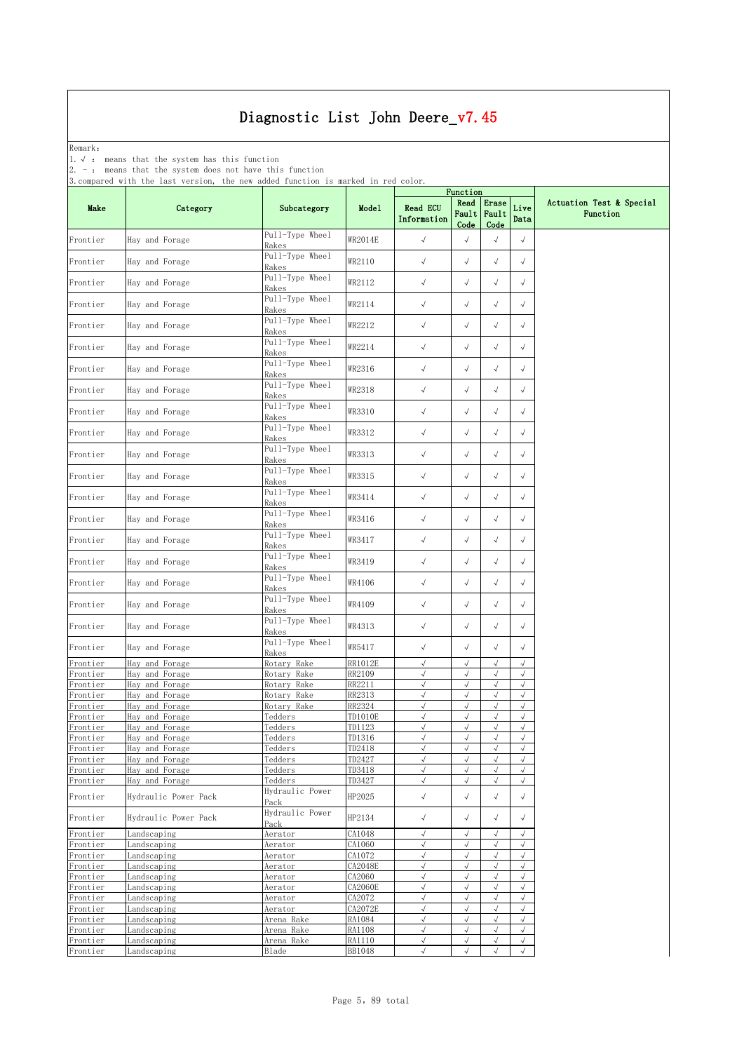Remark: The contract of the contract of  $\mathbb{R}$  and  $\mathbb{R}$  are contract of  $\mathbb{R}$  and  $\mathbb{R}$  are contract of  $\mathbb{R}$  and  $\mathbb{R}$  are contract of  $\mathbb{R}$  and  $\mathbb{R}$  are contract of  $\mathbb{R}$  and  $\mathbb{R}$  are cont

1.√ : means that the system has this function

2. - : means that the system does not have this function

|                      |                                  |                            |                          | Function                       |                          |                              |                         |                                      |
|----------------------|----------------------------------|----------------------------|--------------------------|--------------------------------|--------------------------|------------------------------|-------------------------|--------------------------------------|
| Make                 | Category                         | Subcategory                | Model                    | <b>Read ECU</b><br>Information | Read<br>Code             | Erase<br>Fault Fault<br>Code | Live<br>Data            | Actuation Test & Special<br>Function |
| Frontier             | Hay and Forage                   | Pull-Type Wheel<br>Rakes   | WR2014E                  | $\checkmark$                   | $\sqrt{ }$               | $\sqrt{ }$                   | $\sqrt{}$               |                                      |
| Frontier             | Hay and Forage                   | Pull-Type Wheel<br>Rakes   | WR2110                   | $\sqrt{ }$                     | $\sqrt{ }$               | $\sqrt{ }$                   | $\sqrt{}$               |                                      |
| Frontier             | Hay and Forage                   | Pull-Type Wheel<br>Rakes   | WR2112                   | $\sqrt{ }$                     | $\sqrt{}$                | $\sqrt{ }$                   | $\checkmark$            |                                      |
| Frontier             | Hay and Forage                   | Pull-Type Wheel<br>Rakes   | WR2114                   | $\checkmark$                   | $\sqrt{ }$               | $\sqrt{ }$                   | $\sqrt{}$               |                                      |
| Frontier             | Hay and Forage                   | Pull-Type Wheel<br>Rakes   | WR2212                   | $\checkmark$                   | $\sqrt{ }$               | $\sqrt{ }$                   | $\sqrt{ }$              |                                      |
| Frontier             | Hay and Forage                   | Pull-Type Wheel<br>Rakes   | WR2214                   | $\checkmark$                   | $\sqrt{ }$               | $\sqrt{ }$                   | $\sqrt{}$               |                                      |
| Frontier             | Hay and Forage                   | Pull-Type Wheel<br>Rakes   | WR2316                   | $\checkmark$                   | $\sqrt{ }$               | $\sqrt{}$                    | $\sqrt{}$               |                                      |
| Frontier             | Hay and Forage                   | Pull-Type Wheel<br>Rakes   | WR2318                   | $\checkmark$                   | $\sqrt{ }$               | $\sqrt{ }$                   | $\sqrt{}$               |                                      |
| Frontier             | Hay and Forage                   | Pull-Type Wheel<br>Rakes   | WR3310                   | $\sqrt{ }$                     | $\sqrt{ }$               | $\sqrt{ }$                   | $\sqrt{}$               |                                      |
| Frontier             | Hay and Forage                   | Pull-Type Wheel<br>Rakes   | WR3312                   | $\sqrt{ }$                     | $\sqrt{ }$               | $\sqrt{}$                    | $\sqrt{}$               |                                      |
| Frontier             | Hay and Forage                   | Pull-Type Wheel<br>Rakes   | WR3313                   | $\checkmark$                   | $\sqrt{ }$               | $\sqrt{ }$                   | $\checkmark$            |                                      |
| Frontier             | Hay and Forage                   | Pull-Type Wheel<br>Rakes   | WR3315                   | $\sqrt{ }$                     | $\sqrt{ }$               | $\sqrt{}$                    | $\sqrt{}$               |                                      |
| Frontier             | Hay and Forage                   | Pull-Type Wheel<br>Rakes   | WR3414                   | $\checkmark$                   | $\sqrt{ }$               | $\sqrt{ }$                   | $\sqrt{}$               |                                      |
| Frontier             | Hay and Forage                   | Pull-Type Wheel<br>Rakes   | WR3416                   | $\checkmark$                   | $\sqrt{ }$               | $\sqrt{}$                    | $\sqrt{}$               |                                      |
| Frontier             | Hay and Forage                   | Pull-Type Wheel<br>Rakes   | WR3417                   | $\checkmark$                   | $\sqrt{ }$               | $\sqrt{ }$                   | $\checkmark$            |                                      |
| Frontier             | Hay and Forage                   | Pull-Type Wheel<br>Rakes   | WR3419                   | $\checkmark$                   | $\sqrt{ }$               | $\sqrt{ }$                   | $\sqrt{}$               |                                      |
| Frontier             | Hay and Forage                   | Pull-Type Wheel<br>Rakes   | WR4106                   | $\sqrt{ }$                     | $\sqrt{ }$               | $\sqrt{}$                    | $\sqrt{}$               |                                      |
| Frontier             | Hay and Forage                   | Pull-Type Wheel<br>Rakes   | WR4109                   | $\checkmark$                   | $\sqrt{ }$               | $\sqrt{ }$                   | $\sqrt{}$               |                                      |
| Frontier             | Hay and Forage                   | Pull-Type Wheel<br>Rakes   | WR4313                   | $\sqrt{ }$                     | $\sqrt{ }$               | $\sqrt{}$                    | $\sqrt{}$               |                                      |
| Frontier             | Hay and Forage                   | Pull-Type Wheel<br>Rakes   | WR5417                   | $\sqrt{ }$                     | $\sqrt{}$                | $\sqrt{ }$                   | $\sqrt{}$               |                                      |
| Frontier<br>Frontier | Hay and Forage<br>Hay and Forage | Rotary Rake<br>Rotary Rake | <b>RR1012E</b><br>RR2109 | $\sqrt{ }$<br>$\sqrt{}$        | $\sqrt{ }$<br>$\sqrt{ }$ | $\sqrt{}$<br>$\sqrt{}$       | $\sqrt{}$<br>$\sqrt{}$  |                                      |
| Frontier             | Hay and Forage                   | Rotary Rake                | RR2211                   | $\sqrt{ }$                     | $\sqrt{ }$               | $\sqrt{ }$                   | $\sqrt{ }$              |                                      |
| Frontier             | Hay and Forage                   | Rotary Rake                | RR2313                   | $\sqrt{ }$                     | $\sqrt{}$                | $\sqrt{}$                    | $\sqrt{2}$              |                                      |
| Frontier             | Hay and Forage                   | Rotary Rake                | RR2324                   | $\sqrt{ }$                     | $\sqrt{}$                | $\sqrt{}$                    | $\sqrt{ }$              |                                      |
| Frontier             | Hay and Forage                   | Tedders                    | <b>TD1010E</b>           | $\sqrt{2}$                     | $\sqrt{ }$               | $\sqrt{ }$                   | $\sqrt{ }$              |                                      |
| Frontier<br>Frontier | Hay and Forage<br>Hay and Forage | Tedders<br>Tedders         | TD1123<br>TD1316         | $\sqrt{ }$<br>$\sqrt{}$        | $\sqrt{}$<br>$\sqrt{}$   | $\sqrt{ }$<br>$\sqrt{2}$     | $\sqrt{2}$<br>$\sqrt{}$ |                                      |
| Frontier             | Hay and Forage                   | Tedders                    | TD2418                   | $\sqrt{ }$                     | $\sqrt{ }$               | $\checkmark$                 | $\sqrt{ }$              |                                      |
| Frontier             | Hay and Forage                   | Tedders                    | TD2427                   | $\sqrt{ }$                     | $\sqrt{ }$               | $\sqrt{ }$                   | $\sqrt{}$               |                                      |
| Frontier             | Hay and Forage                   | Tedders                    | TD3418                   | $\sqrt{ }$                     | $\sqrt{2}$               | $\sqrt{2}$                   | $\sqrt{2}$              |                                      |
| Frontier             | Hay and Forage                   | Tedders                    | TD3427                   | $\checkmark$                   | $\sqrt{}$                | $\checkmark$                 | $\sqrt{ }$              |                                      |
| Frontier             | Hydraulic Power Pack             | Hydraulic Power<br>Pack    | HP2025                   | $\checkmark$                   | $\sqrt{ }$               | $\sqrt{2}$                   | $\sqrt{}$               |                                      |
| Frontier             | Hydraulic Power Pack             | Hydraulic Power<br>Pack    | HP2134                   | $\sqrt{ }$                     | $\sqrt{ }$               | $\sqrt{}$                    | $\checkmark$            |                                      |
| Frontier             | Landscaping                      | Aerator                    | CA1048                   | $\sqrt{ }$                     | $\sqrt{}$                | $\sqrt{2}$                   | $\sqrt{}$               |                                      |
| Frontier             | Landscaping                      | Aerator                    | CA1060                   | $\sqrt{ }$                     | $\sqrt{}$                | $\sqrt{}$                    | $\sqrt{ }$              |                                      |
| Frontier             | Landscaping                      | Aerator                    | CA1072                   | $\sqrt{ }$                     | $\sqrt{ }$               | $\sqrt{}$                    | $\sqrt{2}$              |                                      |
| Frontier             | Landscaping                      | Aerator                    | CA2048E                  | $\sqrt{ }$                     | $\sqrt{ }$               | $\sqrt{}$                    | $\sqrt{ }$              |                                      |
| Frontier             | Landscaping                      | Aerator                    | CA2060                   | $\sqrt{ }$                     | $\sqrt{ }$               | $\sqrt{}$                    | $\sqrt{ }$              |                                      |
| Frontier             | Landscaping                      | Aerator                    | CA2060E                  | $\sqrt{ }$                     | $\sqrt{ }$               | $\sqrt{}$                    | $\sqrt{}$               |                                      |
| Frontier             | Landscaping                      | Aerator                    | CA2072                   | $\sqrt{ }$                     | $\sqrt{ }$               | $\sqrt{}$                    | $\sqrt{ }$              |                                      |
| Frontier             | Landscaping                      | Aerator                    | CA2072E                  | $\sqrt{ }$                     | $\sqrt{2}$               | $\sqrt{2}$                   | $\sqrt{ }$              |                                      |
| Frontier             | Landscaping                      | Arena Rake                 | RA1084                   | $\sqrt{ }$                     | $\sqrt{}$                | $\sqrt{}$                    | $\sqrt{}$               |                                      |
| Frontier             | Landscaping                      | Arena Rake                 | RA1108                   | $\sqrt{ }$<br>$\sqrt{ }$       | $\sqrt{ }$<br>$\sqrt{}$  | $\sqrt{}$<br>$\sqrt{}$       | $\sqrt{}$               |                                      |
| Frontier             | Landscaping                      | Arena Rake<br><b>Blade</b> | RA1110                   |                                | $\sqrt{}$                | $\sqrt{}$                    | $\sqrt{}$               |                                      |
| Frontier             | Landscaping                      |                            | BB1048                   | √                              |                          |                              | $\sqrt{2}$              |                                      |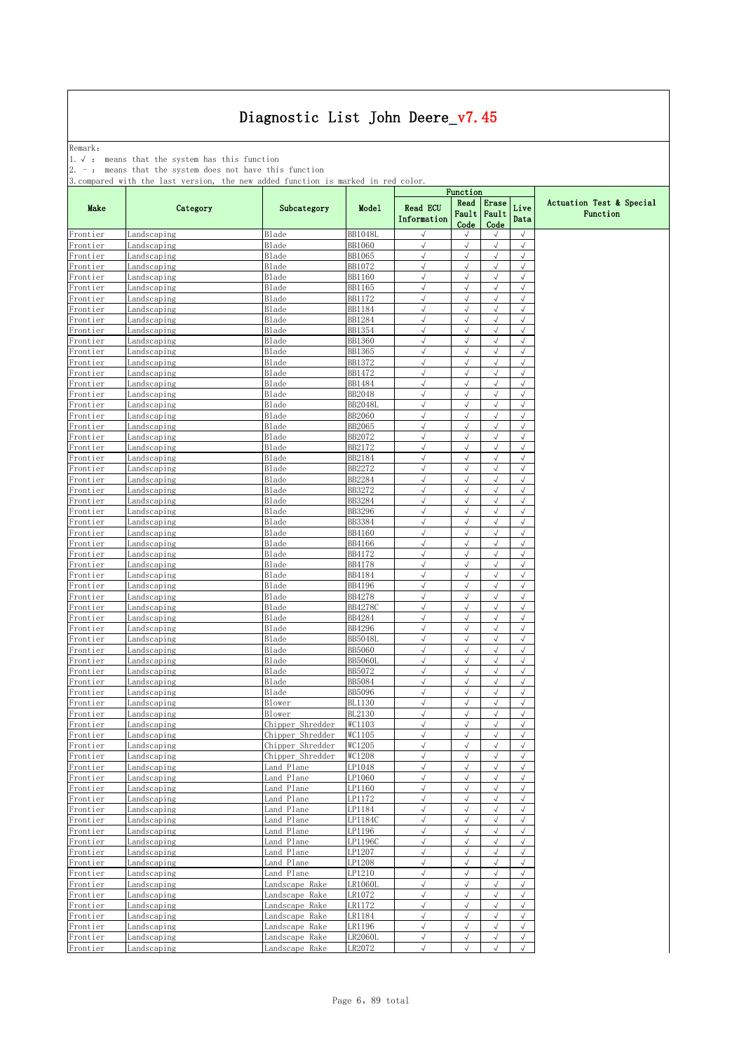Remark: The contract of the contract of  $\mathbb{R}$  and  $\mathbb{R}$  are contract of  $\mathbb{R}$  and  $\mathbb{R}$  are contract of  $\mathbb{R}$  and  $\mathbb{R}$  are contract of  $\mathbb{R}$  and  $\mathbb{R}$  are contract of  $\mathbb{R}$  and  $\mathbb{R}$  are cont

1.√ : means that the system has this function

2. - : means that the system does not have this function

|                      |                            |                                  |                   |                                | Function                 |                          |                            |                                      |
|----------------------|----------------------------|----------------------------------|-------------------|--------------------------------|--------------------------|--------------------------|----------------------------|--------------------------------------|
| Make                 | Category                   | Subcategory                      | Model             | <b>Read ECU</b><br>Information | Read<br>Fault<br>Code    | Erase<br>Fault<br>Code   | Live<br>Data               | Actuation Test & Special<br>Function |
| Frontier             | Landscaping                | <b>Blade</b>                     | <b>BB1048L</b>    | $\sqrt{ }$                     | $\sqrt{ }$               | $\sqrt{ }$               | $\sqrt{}$                  |                                      |
| Frontier             | andscaping                 | Blade                            | BB1060            | $\sqrt{}$<br>$\sqrt{ }$        | $\sqrt{ }$<br>$\sqrt{}$  | $\sqrt{ }$<br>$\sqrt{}$  | $\sqrt{ }$<br>$\sqrt{ }$   |                                      |
| Frontier<br>Frontier | andscaping<br>Landscaping  | Blade<br>Blade                   | BB1065<br>BB1072  | √                              | $\sqrt{}$                | $\sqrt{}$                | $\sqrt{}$                  |                                      |
| Frontier             | Landscaping                | Blade                            | BB1160            | $\sqrt{ }$                     | $\sqrt{ }$               | $\sqrt{ }$               | $\sqrt{}$                  |                                      |
| Frontier             | Landscaping                | Blade                            | BB1165            | $\sqrt{ }$                     | $\sqrt{ }$               | $\sqrt{ }$               | $\sqrt{ }$                 |                                      |
| Frontier             | Landscaping                | Blade                            | BB1172            | $\sqrt{ }$                     | $\sqrt{}$                | $\sqrt{ }$               | $\sqrt{ }$                 |                                      |
| Frontier             | andscaping                 | <b>Blade</b>                     | BB1184            | $\sqrt{}$                      | $\sqrt{ }$               | $\sqrt{ }$               | $\sqrt{ }$                 |                                      |
| Frontier             | andscaping                 | <b>Blade</b>                     | BB1284            | $\sqrt{}$                      | $\sqrt{}$                | $\sqrt{}$                | $\sqrt{}$                  |                                      |
| Frontier             | Landscaping                | Blade                            | BB1354            | J                              | $\sqrt{}$<br>$\sqrt{}$   | $\sqrt{2}$<br>$\sqrt{ }$ | $\sqrt{2}$<br>$\sqrt{ }$   |                                      |
| Frontier<br>Frontier | andscaping<br>Landscaping  | Blade<br>Blade                   | BB1360<br>BB1365  | $\sqrt{ }$<br>$\sqrt{ }$       | $\sqrt{ }$               | $\sqrt{ }$               | $\sqrt{}$                  |                                      |
| Frontier             | Landscaping                | Blade                            | BB1372            | $\sqrt{ }$                     | $\sqrt{ }$               | $\sqrt{ }$               | $\sqrt{}$                  |                                      |
| Frontier             | andscaping                 | Blade                            | BB1472            | $\sqrt{ }$                     | $\sqrt{ }$               | $\sqrt{}$                | $\sqrt{ }$                 |                                      |
| Frontier             | andscaping                 | <b>Blade</b>                     | BB1484            | $\sqrt{ }$                     | $\sqrt{}$                | $\sqrt{}$                | $\sqrt{2}$                 |                                      |
| Frontier             | andscaping                 | Blade                            | BB2048            | $\sqrt{ }$                     | $\sqrt{}$                | $\sqrt{}$                | $\sqrt{ }$                 |                                      |
| Frontier             | andscaping                 | Blade                            | BB2048I           | $\checkmark$                   | $\sqrt{}$                | $\sqrt{ }$               | $\sqrt{}$                  |                                      |
| Frontier             | Landscaping                | Blade                            | BB2060            | $\sqrt{ }$                     | $\sqrt{ }$               | $\sqrt{ }$               | $\sqrt{ }$                 |                                      |
| Frontier<br>Frontier | Landscaping<br>Landscaping | Blade<br>Blade                   | BB2065<br>BB2072  | $\sqrt{ }$<br>$\sqrt{ }$       | $\sqrt{ }$<br>$\sqrt{ }$ | $\sqrt{ }$<br>$\sqrt{ }$ | $\sqrt{ }$<br>$\sqrt{ }$   |                                      |
| Frontier             | andscaping                 | Blade                            | BB2172            | $\sqrt{}$                      | $\checkmark$             | $\sqrt{}$                | $\sqrt{ }$                 |                                      |
| Frontier             | andscaping                 | Blade                            | BB2184            | $\sqrt{ }$                     | $\sqrt{}$                | $\sqrt{ }$               | $\sqrt{}$                  |                                      |
| Frontier             | andscaping                 | Blade                            | BB2272            |                                | √                        |                          | $\sqrt{}$                  |                                      |
| Frontier             | Landscaping                | Blade                            | BB2284            | J                              | $\sqrt{}$                | $\sqrt{ }$               | $\sqrt{}$                  |                                      |
| Frontier             | Landscaping                | Blade                            | BB3272            | $\sqrt{ }$                     | $\sqrt{}$                | $\sqrt{ }$               | $\sqrt{ }$                 |                                      |
| Frontier             | Landscaping                | <b>Blade</b>                     | BB3284            | $\sqrt{ }$                     | $\sqrt{}$                | $\sqrt{}$                | $\sqrt{ }$                 |                                      |
| Frontier             | Landscaping                | <b>Blade</b>                     | BB3296            | $\sqrt{ }$                     | $\sqrt{ }$               | $\sqrt{ }$               | $\sqrt{ }$                 |                                      |
| Frontier<br>Frontier | Landscaping<br>Landscaping | Blade<br>Blade                   | BB3384<br>BB4160  | $\sqrt{}$<br>J                 | $\sqrt{}$<br>$\sqrt{}$   | $\sqrt{ }$<br>$\sqrt{ }$ | $\sqrt{ }$<br>$\sqrt{}$    |                                      |
| Frontier             | andscaping                 | Blade                            | BB4166            | √                              | $\sqrt{ }$               | $\sqrt{ }$               | $\sqrt{ }$                 |                                      |
| Frontier             | Landscaping                | Blade                            | BB4172            | $\sqrt{ }$                     | $\sqrt{}$                | $\sqrt{ }$               | $\sqrt{ }$                 |                                      |
| Frontier             | Landscaping                | Blade                            | BB4178            | $\sqrt{ }$                     | $\sqrt{}$                | $\sqrt{ }$               | $\sqrt{}$                  |                                      |
| Frontier             | andscaping                 | Blade                            | BB4184            | $\sqrt{}$                      | $\sqrt{}$                | $\sqrt{}$                | $\sqrt{}$                  |                                      |
| Frontier             | andscaping                 | Blade                            | BB4196            | $\sqrt{}$                      | $\sqrt{}$                | $\sqrt{2}$               | $\sqrt{ }$                 |                                      |
| Frontier             | andscaping                 | Blade                            | BB4278            | $\sqrt{}$                      | $\sqrt{}$                | $\sqrt{}$                | $\sqrt{ }$                 |                                      |
| Frontier             | andscaping<br>Landscaping  | Blade<br>Blade                   | BB4278C           | $\sqrt{2}$<br>$\sqrt{ }$       | $\sqrt{}$<br>$\sqrt{}$   | $\sqrt{ }$<br>$\sqrt{ }$ | $\sqrt{}$<br>$\sqrt{ }$    |                                      |
| Frontier<br>Frontier | Landscaping                | <b>Blade</b>                     | BB4284<br>BB4296  | $\sqrt{ }$                     | $\sqrt{2}$               | $\sqrt{ }$               | $\sqrt{ }$                 |                                      |
| Frontier             | andscaping                 | <b>Blade</b>                     | <b>BB5048I</b>    | $\sqrt{ }$                     | $\sqrt{}$                | $\sqrt{ }$               | $\sqrt{ }$                 |                                      |
| Frontier             | andscaping                 | Blade                            | BB5060            | $\sqrt{}$                      | $\sqrt{2}$               | $\sqrt{ }$               | $\sqrt{ }$                 |                                      |
| Frontier             | andscaping                 | Blade                            | BB5060L           | $\sqrt{ }$                     | $\sqrt{}$                | $\sqrt{ }$               | $\sqrt{}$                  |                                      |
| Frontier             | andscaping                 | Blade                            | BB5072            | √                              | $\sqrt{}$                | $\sqrt{}$                | $\sqrt{ }$                 |                                      |
| Frontier             | Landscaping                | Blade                            | BB5084            | $\sqrt{ }$                     | $\sqrt{2}$               | $\sqrt{ }$               | $\sqrt{}$                  |                                      |
| Frontier             | Landscaping                | Blade                            | BB5096            | $\sqrt{ }$                     | $\sqrt{}$                | $\sqrt{ }$               | $\sqrt{}$                  |                                      |
| Frontier<br>Frontier | Landscaping<br>andscaping  | Blower<br>Blower                 | BL1130<br>BL2130  | $\sqrt{ }$<br>$\sqrt{ }$       | $\sqrt{}$<br>$\sqrt{ }$  | $\sqrt{}$<br>$\sqrt{ }$  | $\sqrt{ }$<br>$\sqrt{}$    |                                      |
| Frontier             | andscaping                 | Chipper Shredder                 | WC1103            | √                              | $\sqrt{}$                | $\sqrt{}$                | $\sqrt{ }$                 |                                      |
| Frontier             | Landscaping                | Chipper Shredder                 | WC1105            |                                | $\sqrt{2}$               | $\sqrt{2}$               | $\sqrt{}$                  |                                      |
| Frontier             | Landscaping                | Chipper Shredder                 | WC1205            |                                | √                        |                          | √                          |                                      |
| Frontier             | Landscaping                | Chipper Shredder                 | WC1208            | $\sqrt{ }$                     | $\sqrt{\phantom{a}}$     | $\sqrt{ }$               | $\sqrt{}$                  |                                      |
| Frontier             | Landscaping                | Land Plane                       | LP1048            | $\sqrt{ }$                     | $\sqrt{ }$               | $\sqrt{ }$               | $\sqrt{}$                  |                                      |
| Frontier             | Landscaping                | Land Plane                       | LP1060            | √                              | $\sqrt{ }$               | $\sqrt{ }$               | $\sqrt{ }$                 |                                      |
| Frontier<br>Frontier | andscaping<br>Landscaping  | Land Plane<br>Land Plane         | LP1160<br>LP1172  | $\sqrt{ }$<br>√                | $\sqrt{}$<br>$\sqrt{}$   | $\sqrt{ }$<br>$\sqrt{ }$ | $\checkmark$<br>$\sqrt{2}$ |                                      |
| Frontier             | andscaping                 | Land Plane                       | LP1184            | $\sqrt{ }$                     | $\sqrt{}$                | $\sqrt{ }$               | $\sqrt{}$                  |                                      |
| Frontier             | Landscaping                | Land Plane                       | LP1184C           | $\sqrt{ }$                     | $\sqrt{}$                | $\sqrt{ }$               | $\checkmark$               |                                      |
| Frontier             | Landscaping                | Land Plane                       | LP1196            | $\sqrt{ }$                     | $\sqrt{}$                | $\sqrt{ }$               | $\sqrt{ }$                 |                                      |
| Frontier             | Landscaping                | Land Plane                       | LP1196C           | $\sqrt{ }$                     | $\sqrt{}$                | $\sqrt{}$                | $\sqrt{ }$                 |                                      |
| Frontier             | Landscaping                | Land Plane                       | LP1207            | $\sqrt{ }$                     | $\sqrt{}$                | $\sqrt{}$                | $\sqrt{ }$                 |                                      |
| Frontier             | andscaping                 | Land Plane                       | LP1208            | $\checkmark$                   | $\sqrt{2}$               | $\sqrt{2}$               | $\sqrt{ }$                 |                                      |
| Frontier             | andscaping                 | Land Plane                       | LP1210            | $\checkmark$                   |                          | $\sqrt{2}$               | $\sqrt{ }$                 |                                      |
| Frontier<br>Frontier | Landscaping<br>Landscaping | Landscape Rake<br>Landscape Rake | LR1060L<br>LR1072 | $\sqrt{ }$<br>$\sqrt{ }$       | $\sqrt{}$<br>$\sqrt{ }$  | $\sqrt{ }$<br>$\sqrt{ }$ | $\sqrt{ }$<br>$\sqrt{}$    |                                      |
| Frontier             | andscaping                 | Landscape Rake                   | LR1172            | $\sqrt{ }$                     | $\sqrt{}$                | $\sqrt{ }$               | $\sqrt{}$                  |                                      |
| Frontier             | andscaping                 | Landscape Rake                   | LR1184            | $\sqrt{ }$                     | $\sqrt{}$                | $\sqrt{ }$               | $\checkmark$               |                                      |
| Frontier             | andscaping                 | Landscape Rake                   | LR1196            | √                              | $\sqrt{}$                | $\sqrt{}$                | $\sqrt{ }$                 |                                      |
| Frontier             | Landscaping                | Landscape Rake                   | LR2060L           | $\sqrt{2}$                     | $\sqrt{}$                | $\checkmark$             | $\sqrt{}$                  |                                      |
| Frontier             | Landscaping                | Landscape Rake                   | LR2072            | $\sqrt{ }$                     | $\sqrt{}$                | $\sqrt{ }$               | $\sqrt{ }$                 |                                      |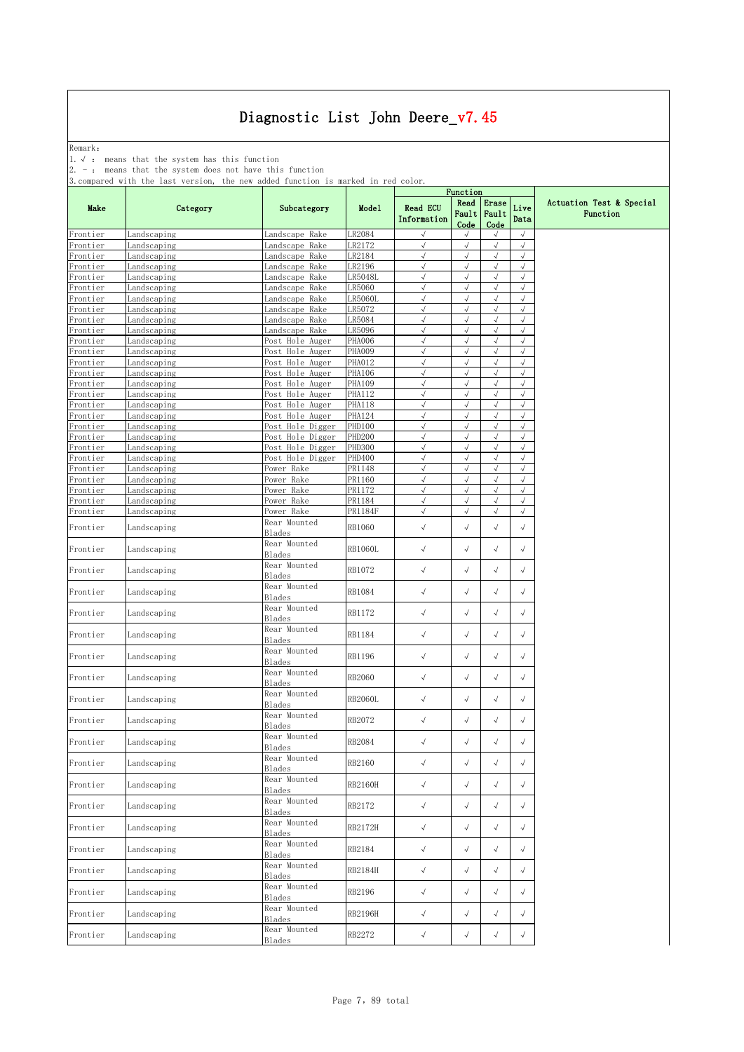Remark: The contract of the contract of  $\mathbb{R}$  and  $\mathbb{R}$  are contract of  $\mathbb{R}$  and  $\mathbb{R}$  are contract of  $\mathbb{R}$  and  $\mathbb{R}$  are contract of  $\mathbb{R}$  and  $\mathbb{R}$  are contract of  $\mathbb{R}$  and  $\mathbb{R}$  are cont

1.√ : means that the system has this function

2. - : means that the system does not have this function

|                      |                            |                                       |                  | Function                       |                         |                              |                         |                                      |
|----------------------|----------------------------|---------------------------------------|------------------|--------------------------------|-------------------------|------------------------------|-------------------------|--------------------------------------|
| Make                 | Category                   | Subcategory                           | Model            | <b>Read ECU</b><br>Information | Read<br>Code            | Erase<br>Fault Fault<br>Code | Live<br>Data            | Actuation Test & Special<br>Function |
| Frontier             | Landscaping                | Landscape Rake                        | LR2084           | $\sqrt{ }$                     | $\sqrt{}$               | $\sqrt{ }$                   | $\sqrt{ }$              |                                      |
| Frontier             | Landscaping                | Rake<br>Landscape                     | LR2172           | $\sqrt{ }$                     | $\sqrt{}$               | $\sqrt{ }$                   | $\sqrt{}$               |                                      |
| Frontier<br>Frontier | Landscaping<br>Landscaping | Landscape<br>Rake<br>Landscape Rake   | LR2184<br>LR2196 | $\sqrt{ }$<br>√                | $\sqrt{}$<br>$\sqrt{ }$ | $\sqrt{}$<br>$\sqrt{ }$      | $\sqrt{}$<br>$\sqrt{}$  |                                      |
| Frontier             | Landscaping                | Landscape Rake                        | LR5048L          | $\sqrt{ }$                     | $\sqrt{}$               | $\sqrt{ }$                   | $\sqrt{ }$              |                                      |
| Frontier             | Landscaping                | Landscape Rake                        | LR5060           | $\sqrt{ }$                     | $\sqrt{}$               | $\sqrt{ }$                   | $\sqrt{}$               |                                      |
| Frontier             | Landscaping                | Landscape<br>Rake                     | LR5060L          | $\sqrt{ }$                     | $\sqrt{}$               | $\sqrt{ }$                   | $\sqrt{2}$              |                                      |
| Frontier             | Landscaping                | Landscape Rake                        | LR5072           | $\sqrt{ }$                     | $\sqrt{ }$              | $\sqrt{}$                    | $\sqrt{2}$              |                                      |
| Frontier             | Landscaping                | Landscape<br>Rake                     | LR5084           | $\sqrt{ }$                     | $\sqrt{2}$              | $\sqrt{}$                    | $\sqrt{}$               |                                      |
| Frontier             | Landscaping                | Landscape Rake                        | LR5096           | $\sqrt{ }$                     | $\sqrt{}$               | $\sqrt{}$                    | $\sqrt{2}$              |                                      |
| Frontier             | Landscaping                | Post Hole Auger                       | PHA006           | $\sqrt{ }$                     | $\sqrt{ }$              | $\sqrt{}$                    | $\sqrt{2}$              |                                      |
| Frontier<br>Frontier | Landscaping<br>Landscaping | Post Hole Auger                       | PHA009<br>PHA012 | $\sqrt{ }$<br>$\sqrt{ }$       | $\sqrt{}$<br>$\sqrt{2}$ | $\sqrt{}$<br>$\sqrt{ }$      | $\sqrt{2}$<br>$\sqrt{}$ |                                      |
| Frontier             | Landscaping                | Post Hole Auger<br>Hole Auger<br>Post | PHA106           | $\sqrt{}$                      | $\sqrt{ }$              | $\sqrt{ }$                   | $\sqrt{ }$              |                                      |
| Frontier             | Landscaping                | Post Hole Auger                       | PHA109           | $\sqrt{ }$                     | $\sqrt{}$               | $\sqrt{}$                    | $\sqrt{}$               |                                      |
| Frontier             | Landscaping                | Post Hole Auger                       | PHA112           | $\sqrt{ }$                     | √                       | $\sqrt{}$                    | $\sqrt{ }$              |                                      |
| Frontier             | Landscaping                | Post Hole Auger                       | PHA118           | $\sqrt{ }$                     | $\sqrt{}$               | $\sqrt{}$                    | $\sqrt{2}$              |                                      |
| Frontier             | Landscaping                | Post Hole Auger                       | PHA124           | $\sqrt{ }$                     | $\sqrt{2}$              | $\sqrt{ }$                   | $\sqrt{2}$              |                                      |
| Frontier             | Landscaping                | Post Hole Digger                      | PHD100           | $\sqrt{ }$                     | $\sqrt{}$               | $\checkmark$                 | $\sqrt{ }$              |                                      |
| Frontier             | Landscaping                | Post Hole Digger                      | PHD200           | $\sqrt{ }$                     | $\sqrt{}$               | $\checkmark$                 | $\sqrt{}$               |                                      |
| Frontier             | Landscaping                | Post Hole Digger                      | PHD300           | $\sqrt{ }$                     | √                       | $\sqrt{ }$                   | $\sqrt{2}$              |                                      |
| Frontier             | Landscaping                | Post Hole Digger                      | PHD400           | $\sqrt{ }$<br>$\sqrt{ }$       | $\sqrt{}$<br>$\sqrt{ }$ | $\sqrt{}$<br>$\sqrt{ }$      | $\sqrt{}$<br>$\sqrt{}$  |                                      |
| Frontier<br>Frontier | Landscaping<br>Landscaping | Power Rake<br>Power Rake              | PR1148<br>PR1160 | $\sqrt{ }$                     | $\sqrt{2}$              | $\sqrt{2}$                   | $\sqrt{2}$              |                                      |
| Frontier             | Landscaping                | Power Rake                            | PR1172           | $\sqrt{ }$                     | $\sqrt{2}$              | $\sqrt{ }$                   | $\sqrt{ }$              |                                      |
| Frontier             | Landscaping                | Power Rake                            | PR1184           | $\sqrt{ }$                     | $\sqrt{}$               | $\sqrt{}$                    | $\sqrt{}$               |                                      |
| Frontier             | Landscaping                | Power Rake                            | PR1184F          | $\sqrt{ }$                     | $\sqrt{ }$              | $\sqrt{}$                    | $\sqrt{}$               |                                      |
| Frontier             | Landscaping                | Rear Mounted<br>Blades                | RB1060           | $\sqrt{ }$                     | $\sqrt{\phantom{a}}$    | $\sqrt{ }$                   | $\sqrt{}$               |                                      |
| Frontier             | Landscaping                | Rear Mounted<br>Blades                | RB1060L          | $\sqrt{ }$                     | $\sqrt{}$               | $\checkmark$                 | $\sqrt{ }$              |                                      |
| Frontier             | Landscaping                | Rear Mounted<br>Blades                | RB1072           | $\sqrt{ }$                     | $\sqrt{}$               | $\sqrt{}$                    | $\sqrt{ }$              |                                      |
| Frontier             | Landscaping                | Rear Mounted<br>Blades                | RB1084           | $\checkmark$                   | $\checkmark$            | $\sqrt{}$                    | $\sqrt{}$               |                                      |
| Frontier             | Landscaping                | Rear Mounted<br>Blades                | RB1172           | $\sqrt{ }$                     | $\sqrt{}$               | $\sqrt{}$                    | $\sqrt{}$               |                                      |
| Frontier             | Landscaping                | Rear Mounted                          | RB1184           | $\sqrt{ }$                     | $\sqrt{}$               | $\sqrt{ }$                   | $\sqrt{ }$              |                                      |
| Frontier             | Landscaping                | Blades<br>Rear Mounted                | RB1196           | $\sqrt{}$                      | $\sqrt{ }$              | $\sqrt{}$                    | $\sqrt{ }$              |                                      |
| Frontier             | Landscaping                | Blades<br>Rear Mounted                | <b>RB2060</b>    | $\sqrt{ }$                     | $\sqrt{}$               | $\sqrt{ }$                   | $\sqrt{}$               |                                      |
|                      |                            | <b>Blades</b><br>Rear Mounted         |                  |                                |                         |                              |                         |                                      |
| Frontier             | Landscaping                | Blades                                | RB2060L          | $\sqrt{ }$                     | $\sqrt{ }$              | $\checkmark$                 | $\sqrt{}$               |                                      |
| Frontier             | Landscaping                | Rear Mounted<br>Blades                | RB2072           | $\sqrt{ }$                     | $\sqrt{}$               | $\sqrt{}$                    | $\sqrt{}$               |                                      |
| Frontier             | $\label{Landscaping}$      | Rear Mounted<br>Blades                | RB2084           | $\sqrt{ }$                     | $\sqrt{ }$              | $\checkmark$                 | $\sqrt{}$               |                                      |
| Frontier             | Landscaping                | Rear Mounted<br>Blades                | RB2160           | $\sqrt{ }$                     | $\sqrt{ }$              | $\sqrt{ }$                   | $\sqrt{ }$              |                                      |
| Frontier             | Landscaping                | Rear Mounted<br>Blades                | RB2160H          | $\sqrt{\phantom{a}}$           | $\sqrt{}$               | $\sqrt{ }$                   | $\sqrt{}$               |                                      |
| Frontier             | Landscaping                | Rear Mounted<br>Blades                | RB2172           | $\sqrt{\phantom{a}}$           | $\sqrt{ }$              | $\checkmark$                 | $\sqrt{ }$              |                                      |
| Frontier             | Landscaping                | Rear Mounted<br>Blades                | RB2172H          | $\sqrt{ }$                     | $\sqrt{ }$              | $\sqrt{ }$                   | $\sqrt{}$               |                                      |
| Frontier             | Landscaping                | Rear Mounted<br>Blades                | RB2184           | $\sqrt{\phantom{a}}$           | $\sqrt{ }$              | $\checkmark$                 | $\sqrt{}$               |                                      |
| Frontier             | Landscaping                | Rear Mounted<br>Blades                | RB2184H          | $\checkmark$                   | $\sqrt{}$               | $\sqrt{}$                    | $\sqrt{}$               |                                      |
| Frontier             | Landscaping                | Rear Mounted<br>Blades                | RB2196           | $\sqrt{\phantom{a}}$           | $\sqrt{}$               | $\checkmark$                 | $\sqrt{}$               |                                      |
| Frontier             | Landscaping                | Rear Mounted<br>Blades                | RB2196H          | $\sqrt{ }$                     | $\sqrt{}$               | $\sqrt{ }$                   | $\sqrt{ }$              |                                      |
| Frontier             | Landscaping                | Rear Mounted<br>Blades                | RB2272           | $\checkmark$                   | $\sqrt{ }$              | $\sqrt{ }$                   | $\sqrt{}$               |                                      |
|                      |                            |                                       |                  |                                |                         |                              |                         |                                      |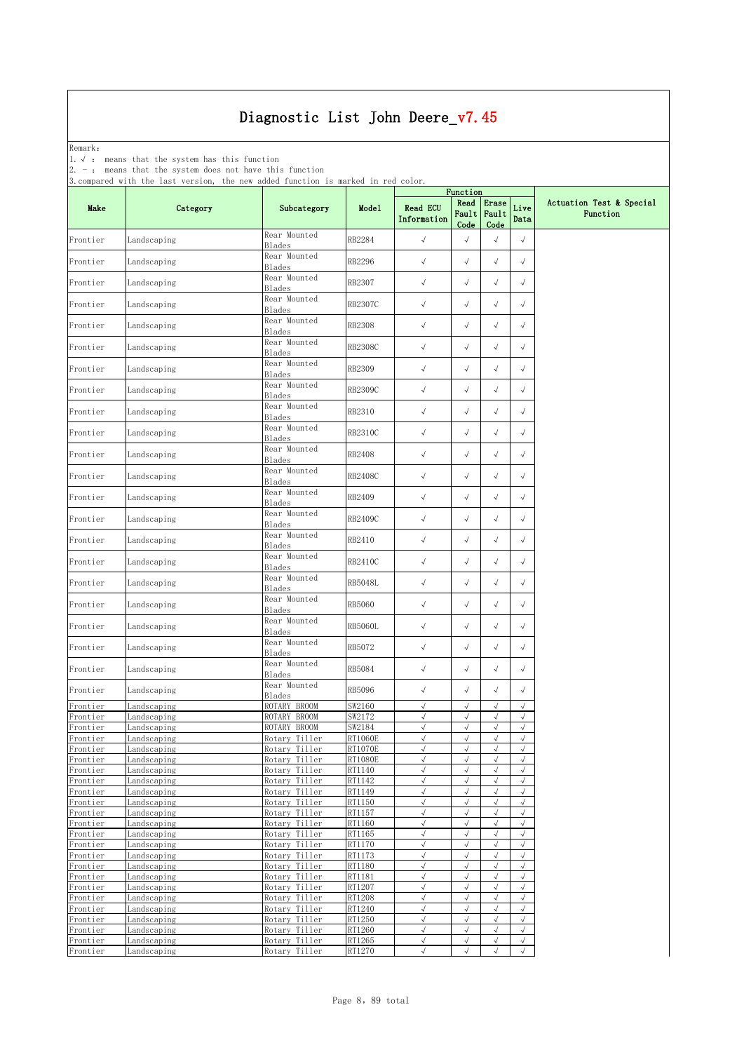Remark: The contract of the contract of  $\mathbb{R}$  and  $\mathbb{R}$  are contract of  $\mathbb{R}$  and  $\mathbb{R}$  are contract of  $\mathbb{R}$  and  $\mathbb{R}$  are contract of  $\mathbb{R}$  and  $\mathbb{R}$  are contract of  $\mathbb{R}$  and  $\mathbb{R}$  are cont

1.√ : means that the system has this function

2. - : means that the system does not have this function

|                      | o, compared write the rast version, the new added runction is marked in red coror. |                                |                  | Function                       |                         |                          |                          |                                      |
|----------------------|------------------------------------------------------------------------------------|--------------------------------|------------------|--------------------------------|-------------------------|--------------------------|--------------------------|--------------------------------------|
| Make                 | Category                                                                           | Subcategory                    | Model            | <b>Read ECU</b><br>Information | Fault Fault<br>Code     | Read Erase<br>Code       | Live<br>Data             | Actuation Test & Special<br>Function |
| Frontier             | Landscaping                                                                        | Rear Mounted<br>Blades         | RB2284           | $\sqrt{ }$                     | $\sqrt{ }$              | $\sqrt{ }$               | $\sqrt{}$                |                                      |
| Frontier             | Landscaping                                                                        | Rear Mounted<br>Blades         | RB2296           | $\sqrt{ }$                     | $\sqrt{ }$              | $\sqrt{}$                | $\sqrt{}$                |                                      |
| Frontier             | Landscaping                                                                        | Rear Mounted<br>Blades         | RB2307           | $\sqrt{ }$                     | $\sqrt{ }$              | $\sqrt{}$                | $\sqrt{}$                |                                      |
| Frontier             | Landscaping                                                                        | Rear Mounted                   | RB2307C          | $\sqrt{ }$                     | $\sqrt{}$               | $\sqrt{}$                | $\sqrt{ }$               |                                      |
| Frontier             | Landscaping                                                                        | Blades<br>Rear Mounted         | RB2308           | $\sqrt{ }$                     | $\sqrt{ }$              | $\sqrt{ }$               | $\sqrt{ }$               |                                      |
| Frontier             | Landscaping                                                                        | Blades<br>Rear Mounted         | <b>RB2308C</b>   | $\checkmark$                   | $\sqrt{}$               | $\sqrt{ }$               | $\sqrt{ }$               |                                      |
| Frontier             | Landscaping                                                                        | Blades<br>Rear Mounted         | RB2309           | $\sqrt{ }$                     | $\sqrt{}$               | $\sqrt{ }$               | $\sqrt{}$                |                                      |
|                      |                                                                                    | Blades<br>Rear Mounted         |                  |                                |                         |                          |                          |                                      |
| Frontier             | Landscaping                                                                        | Blades<br>Rear Mounted         | <b>RB2309C</b>   | $\checkmark$                   | $\sqrt{}$               | $\sqrt{ }$               | $\sqrt{}$                |                                      |
| Frontier             | Landscaping                                                                        | Blades<br>Rear Mounted         | RB2310           | $\sqrt{ }$                     | $\sqrt{ }$              | $\sqrt{}$                | $\sqrt{}$                |                                      |
| Frontier             | Landscaping                                                                        | Blades                         | <b>RB2310C</b>   | $\sqrt{ }$                     | $\sqrt{ }$              | $\sqrt{ }$               | $\sqrt{ }$               |                                      |
| Frontier             | Landscaping                                                                        | Rear Mounted<br>Blades         | RB2408           | $\sqrt{ }$                     | $\sqrt{2}$              | $\sqrt{}$                | $\sqrt{ }$               |                                      |
| Frontier             | Landscaping                                                                        | Rear Mounted<br>Blades         | RB2408C          | $\sqrt{ }$                     | $\sqrt{ }$              | $\sqrt{}$                | $\sqrt{}$                |                                      |
| Frontier             | Landscaping                                                                        | Rear Mounted<br>Blades         | RB2409           | $\checkmark$                   | $\sqrt{}$               | $\sqrt{ }$               | $\sqrt{}$                |                                      |
| Frontier             | Landscaping                                                                        | Rear Mounted<br>Blades         | RB2409C          | $\sqrt{ }$                     | $\sqrt{ }$              | $\sqrt{ }$               | $\sqrt{}$                |                                      |
| Frontier             | Landscaping                                                                        | Rear Mounted<br>Blades         | RB2410           | $\sqrt{ }$                     | $\sqrt{}$               | $\sqrt{ }$               | $\sqrt{}$                |                                      |
| Frontier             | Landscaping                                                                        | Rear Mounted                   | RB2410C          | $\sqrt{ }$                     | $\sqrt{ }$              | $\sqrt{ }$               | $\sqrt{}$                |                                      |
| Frontier             | Landscaping                                                                        | Blades<br>Rear Mounted         | RB5048L          | $\sqrt{ }$                     | $\sqrt{}$               | $\sqrt{ }$               | $\sqrt{}$                |                                      |
| Frontier             | Landscaping                                                                        | Blades<br>Rear Mounted         | <b>RB5060</b>    | $\sqrt{ }$                     | $\sqrt{ }$              | $\sqrt{}$                | $\sqrt{}$                |                                      |
|                      | Landscaping                                                                        | Blades<br>Rear Mounted         | <b>RB5060L</b>   | $\sqrt{ }$                     | $\sqrt{}$               | $\sqrt{ }$               | $\sqrt{}$                |                                      |
| Frontier             |                                                                                    | Blades<br>Rear Mounted         |                  |                                |                         |                          |                          |                                      |
| Frontier             | Landscaping                                                                        | Blades<br>Rear Mounted         | RB5072           | $\sqrt{ }$                     | $\sqrt{}$               | $\sqrt{}$                | $\sqrt{}$                |                                      |
| Frontier             | Landscaping                                                                        | Blades<br>Rear Mounted         | RB5084           | $\sqrt{ }$                     | $\sqrt{ }$              | $\sqrt{ }$               | $\sqrt{}$                |                                      |
| Frontier             | Landscaping                                                                        | Blades                         | <b>RB5096</b>    | $\sqrt{ }$                     | $\sqrt{ }$              | $\sqrt{}$                | $\sqrt{ }$               |                                      |
| Frontier<br>Frontier | Landscaping<br>Landscaping                                                         | ROTARY BROOM<br>ROTARY BROOM   | SW2160<br>SW2172 | $\sqrt{ }$<br>$\sqrt{ }$       | $\sqrt{}$<br>$\sqrt{}$  | $\sqrt{ }$<br>$\sqrt{ }$ | $\sqrt{ }$<br>$\sqrt{ }$ |                                      |
| Frontier             | Landscaping                                                                        | ROTARY BROOM                   | SW2184           | $\sqrt{}$                      | $\sqrt{2}$              | $\sqrt{}$                | $\sqrt{2}$               |                                      |
| Frontier             | Landscaping                                                                        | Rotary Tiller                  | <b>RT1060E</b>   | $\sqrt{ }$                     | $\sqrt{ }$              | $\sqrt{ }$               | $\sqrt{ }$               |                                      |
| Frontier             | Landscaping                                                                        | Rotary Tiller                  | <b>RT1070E</b>   | $\sqrt{ }$                     | $\sqrt{ }$              | √                        | $\sqrt{ }$               |                                      |
| Frontier             | Landscaping                                                                        | Rotary Tiller                  | <b>RT1080E</b>   | $\sqrt{ }$                     | $\sqrt{ }$              | $\sqrt{}$                | $\sqrt{ }$               |                                      |
| Frontier             | Landscaping                                                                        | Rotary Tiller                  | RT1140           | $\sqrt{ }$                     | $\sqrt{}$               | $\checkmark$             | $\sqrt{2}$               |                                      |
| Frontier<br>Frontier | Landscaping<br>andscaping                                                          | Rotary Tiller<br>Rotary Tiller | RT1142<br>RT1149 | $\sqrt{ }$<br>$\sqrt{}$        | $\sqrt{ }$<br>$\sqrt{}$ | $\sqrt{}$<br>$\sqrt{ }$  | $\sqrt{2}$<br>$\sqrt{ }$ |                                      |
| Frontier             | Landscaping                                                                        | Rotary Tiller                  | RT1150           | $\sqrt{}$                      | $\sqrt{2}$              | $\sqrt{}$                | $\sqrt{2}$               |                                      |
| Frontier             | Landscaping                                                                        | Rotary Tiller                  | RT1157           | $\sqrt{ }$                     | $\sqrt{}$               | $\sqrt{ }$               | $\sqrt{ }$               |                                      |
| Frontier             | Landscaping                                                                        | Rotary Tiller                  | RT1160           | $\sqrt{ }$                     | $\sqrt{}$               | $\checkmark$             | $\sqrt{ }$               |                                      |
| Frontier             | Landscaping                                                                        | Rotary Tiller                  | RT1165           | $\sqrt{ }$                     | $\sqrt{}$               | $\sqrt{}$                | $\sqrt{2}$               |                                      |
| Frontier             | Landscaping                                                                        | Rotary Tiller                  | RT1170           | $\sqrt{ }$                     | $\sqrt{ }$              | $\sqrt{ }$               | $\sqrt{2}$               |                                      |
| Frontier             | Landscaping                                                                        | Rotary Tiller                  | RT1173           | $\sqrt{ }$                     | $\sqrt{}$               | $\sqrt{ }$               | $\sqrt{2}$               |                                      |
| Frontier             | Landscaping                                                                        | Rotary Tiller                  | RT1180           | $\sqrt{}$                      | $\sqrt{}$               | $\sqrt{}$                | $\sqrt{}$                |                                      |
| Frontier             | Landscaping                                                                        | Rotary Tiller                  | RT1181           | $\checkmark$                   | $\sqrt{ }$              | $\sqrt{}$                | $\sqrt{2}$               |                                      |
| Frontier             | Landscaping                                                                        | Rotary Tiller                  | RT1207           | $\sqrt{}$                      | $\sqrt{}$               | $\sqrt{}$                | $\sqrt{2}$               |                                      |
| Frontier             | Landscaping                                                                        | Rotary Tiller                  | RT1208           | $\sqrt{ }$<br>$\sqrt{2}$       | $\sqrt{}$<br>$\sqrt{ }$ | $\sqrt{}$<br>$\sqrt{ }$  | $\sqrt{2}$               |                                      |
| Frontier<br>Frontier | andscaping<br>Landscaping                                                          | Rotary Tiller<br>Rotary Tiller | RT1240<br>RT1250 | $\sqrt{ }$                     | √                       | $\sqrt{ }$               | $\sqrt{}$<br>$\sqrt{}$   |                                      |
| Frontier             | Landscaping                                                                        | Rotary Tiller                  | RT1260           | $\sqrt{ }$                     | $\sqrt{}$               | $\sqrt{}$                | $\sqrt{2}$               |                                      |
| Frontier             | Landscaping                                                                        | Rotary Tiller                  | RT1265           | $\sqrt{}$                      | $\sqrt{}$               | $\sqrt{ }$               | $\sqrt{ }$               |                                      |
| Frontier             | Landscaping                                                                        | Rotary Tiller                  | RT1270           | $\sqrt{ }$                     | $\sqrt{}$               | $\sqrt{ }$               | $\sqrt{ }$               |                                      |
|                      |                                                                                    |                                |                  |                                |                         |                          |                          |                                      |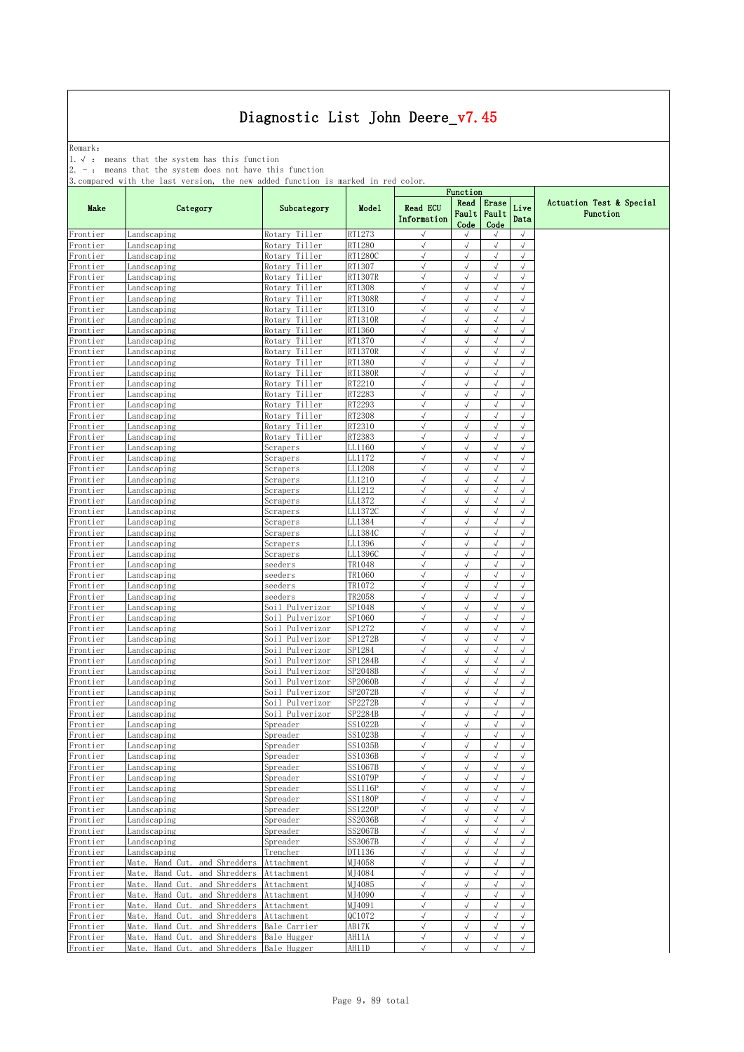Remark: The contract of the contract of  $\mathbb{R}$  and  $\mathbb{R}$  are contract of  $\mathbb{R}$  and  $\mathbb{R}$  are contract of  $\mathbb{R}$  and  $\mathbb{R}$  are contract of  $\mathbb{R}$  and  $\mathbb{R}$  are contract of  $\mathbb{R}$  and  $\mathbb{R}$  are cont

1.√ : means that the system has this function

2. - : means that the system does not have this function

|                      |                                                                   |                                    |                    |                                | Function                  |                           |                          |                                      |
|----------------------|-------------------------------------------------------------------|------------------------------------|--------------------|--------------------------------|---------------------------|---------------------------|--------------------------|--------------------------------------|
| Make                 | Category                                                          | Subcategory                        | Model              | <b>Read ECU</b><br>Information | Read<br>Fault<br>Code     | Erase<br>Fault<br>Code    | Live<br>Data             | Actuation Test & Special<br>Function |
| Frontier             | Landscaping                                                       | Rotary Tiller                      | RT1273             | $\sqrt{}$                      | $\sqrt{}$                 | $\sqrt{}$                 | $\sqrt{ }$               |                                      |
| Frontier             | Landscaping                                                       | Rotary Tiller                      | RT1280             | $\sqrt{ }$                     | $\sqrt{ }$                | $\sqrt{}$                 | $\sqrt{ }$               |                                      |
| Frontier<br>Frontier | andscaping<br>andscaping                                          | Rotary Tiller<br>Rotary Tiller     | RT1280C<br>RT1307  | $\sqrt{}$<br>√                 | $\sqrt{}$<br>$\checkmark$ | $\sqrt{ }$<br>$\sqrt{ }$  | $\sqrt{}$<br>$\sqrt{ }$  |                                      |
| Frontier             | andscaping                                                        | Rotary Tiller                      | RT1307R            | $\checkmark$                   | $\sqrt{}$                 | $\sqrt{}$                 | $\sqrt{}$                |                                      |
| Frontier             | andscaping                                                        | Rotary Tiller                      | RT1308             | $\sqrt{ }$                     | $\sqrt{2}$                | $\sqrt{ }$                | $\sqrt{ }$               |                                      |
| Frontier             | Landscaping                                                       | Rotary Tiller                      | RT1308R            | $\sqrt{ }$                     | $\sqrt{}$                 | $\sqrt{ }$                | $\sqrt{ }$               |                                      |
| Frontier             | Landscaping                                                       | Rotary Tiller                      | RT1310             | $\sqrt{ }$                     | $\sqrt{2}$                | $\sqrt{ }$                | $\sqrt{ }$               |                                      |
| Frontier             | Landscaping                                                       | Rotary Tiller                      | RT1310R            | $\sqrt{}$                      | $\sqrt{}$                 | $\sqrt{}$                 | $\sqrt{ }$               |                                      |
| Frontier             | andscaping                                                        | Rotary Tiller                      | RT1360             | $\sqrt{ }$                     | $\sqrt{ }$                | $\sqrt{}$                 | $\sqrt{}$                |                                      |
| Frontier             | Landscaping                                                       | Rotary Tiller                      | RT1370             | √<br>$\sqrt{ }$                | $\sqrt{}$                 | $\sqrt{ }$                | $\sqrt{}$                |                                      |
| Frontier<br>Frontier | andscaping<br>Landscaping                                         | Rotary Tiller<br>Rotary Tiller     | RT1370R<br>RT1380  | $\sqrt{ }$                     | $\sqrt{}$                 | $\sqrt{ }$                | $\sqrt{}$<br>$\sqrt{ }$  |                                      |
| Frontier             | andscaping                                                        | Rotary Tiller                      | RT1380R            | $\sqrt{ }$                     | $\sqrt{ }$                | $\sqrt{ }$                | $\sqrt{}$                |                                      |
| Frontier             | andscaping                                                        | Rotary Tiller                      | RT2210             | $\sqrt{}$                      | $\sqrt{ }$                | $\sqrt{ }$                | $\sqrt{ }$               |                                      |
| Frontier             | andscaping                                                        | Rotary Tiller                      | RT2283             | $\sqrt{ }$                     | $\sqrt{ }$                | $\sqrt{}$                 | $\sqrt{}$                |                                      |
| Frontier             | Landscaping                                                       | Rotary Tiller                      | RT2293             | $\checkmark$                   | $\sqrt{}$                 | $\sqrt{}$                 | $\sqrt{ }$               |                                      |
| Frontier             | andscaping                                                        | Rotary Tiller                      | RT2308             | √                              | $\sqrt{}$                 | $\sqrt{}$                 | $\sqrt{ }$               |                                      |
| Frontier             | Landscaping                                                       | Rotary Tiller                      | RT2310             | $\sqrt{ }$                     | $\sqrt{}$                 | $\sqrt{ }$                | $\sqrt{ }$               |                                      |
| Frontier<br>Frontier | Landscaping<br>andscaping                                         | Rotary Tiller                      | RT2383<br>LL1160   | $\sqrt{ }$<br>$\sqrt{ }$       | $\sqrt{2}$<br>$\sqrt{2}$  | $\sqrt{ }$<br>$\sqrt{}$   | $\sqrt{ }$<br>$\sqrt{ }$ |                                      |
| Frontier             | andscaping                                                        | Scrapers<br>Scrapers               | LL1172             | $\sqrt{ }$                     | $\sqrt{}$                 | $\sqrt{}$                 | $\sqrt{2}$               |                                      |
| Frontier             | andscaping                                                        | Scrapers                           | L1208              | √                              | $\sqrt{}$                 | $\sqrt{}$                 | $\sqrt{ }$               |                                      |
| Frontier             | andscaping                                                        | Scrapers                           | LL1210             | $\checkmark$                   | $\sqrt{}$                 | $\sqrt{}$                 | $\sqrt{}$                |                                      |
| Frontier             | Landscaping                                                       | Scrapers                           | LL1212             | $\sqrt{ }$                     | $\sqrt{ }$                | $\sqrt{ }$                | $\sqrt{ }$               |                                      |
| Frontier             | Landscaping                                                       | Scrapers                           | LL1372             | $\sqrt{ }$                     | $\sqrt{ }$                | $\sqrt{}$                 | $\sqrt{}$                |                                      |
| Frontier             | Landscaping                                                       | Scrapers                           | LL1372C            | $\sqrt{ }$                     | $\sqrt{}$                 | $\sqrt{}$                 | $\sqrt{}$                |                                      |
| Frontier             | andscaping                                                        | Scrapers                           | LL1384             | $\sqrt{}$<br>$\sqrt{ }$        | $\checkmark$<br>$\sqrt{}$ | $\sqrt{}$<br>$\sqrt{ }$   | $\sqrt{}$<br>$\sqrt{}$   |                                      |
| Frontier<br>Frontier | andscaping<br>Landscaping                                         | Scrapers<br>Scrapers               | LL1384C<br>LL1396  | √                              | √                         | $\sqrt{}$                 | $\sqrt{ }$               |                                      |
| Frontier             | Landscaping                                                       | Scrapers                           | LL1396C            | $\sqrt{ }$                     | $\sqrt{}$                 | $\sqrt{ }$                | $\sqrt{}$                |                                      |
| Frontier             | Landscaping                                                       | seeders                            | TR1048             | $\sqrt{ }$                     | $\sqrt{}$                 | $\sqrt{ }$                | $\sqrt{ }$               |                                      |
| Frontier             | Landscaping                                                       | seeders                            | TR1060             | $\sqrt{ }$                     | $\sqrt{2}$                | $\sqrt{}$                 | $\sqrt{ }$               |                                      |
| Frontier             | andscaping                                                        | seeders                            | TR1072             | $\sqrt{ }$                     | $\sqrt{ }$                | $\sqrt{ }$                | $\sqrt{ }$               |                                      |
| Frontier             | andscaping                                                        | seeders                            | TR2058             | $\sqrt{}$                      | $\checkmark$              | $\sqrt{}$                 | $\sqrt{ }$               |                                      |
| Frontier<br>Frontier | andscaping<br>andscaping                                          | Soil Pulverizor<br>Soil Pulverizor | SP1048<br>SP1060   | J<br>$\sqrt{ }$                | $\sqrt{}$<br>$\sqrt{2}$   | $\sqrt{ }$<br>$\sqrt{ }$  | $\sqrt{2}$<br>$\sqrt{}$  |                                      |
| Frontier             | Landscaping                                                       | Soil Pulverizor                    | SP1272             | $\sqrt{ }$                     | $\sqrt{}$                 | $\sqrt{ }$                | $\sqrt{ }$               |                                      |
| Frontier             | andscaping                                                        | Soil<br>Pulverizor                 | SP1272B            | $\sqrt{ }$                     | $\sqrt{}$                 | $\sqrt{ }$                | $\sqrt{}$                |                                      |
| Frontier             | Landscaping                                                       | Soil<br>Pulverizor                 | SP1284             | $\sqrt{}$                      | $\sqrt{}$                 | $\sqrt{}$                 | $\sqrt{}$                |                                      |
| Frontier             | andscaping                                                        | Soil<br>Pulverizor                 | SP1284B            | $\sqrt{ }$                     | $\sqrt{ }$                | $\sqrt{}$                 | $\sqrt{2}$               |                                      |
| Frontier             | andscaping                                                        | Pulverizor<br>Soil                 | SP2048B            | √                              | $\checkmark$              | $\checkmark$              | $\sqrt{2}$               |                                      |
| Frontier             | andscaping                                                        | Soil Pulverizor                    | SP2060B            | $\checkmark$                   | $\sqrt{}$                 | $\sqrt{}$                 | $\sqrt{2}$               |                                      |
| Frontier             | Landscaping                                                       | Soil Pulverizor<br>Soil            | SP2072B            | $\sqrt{ }$                     | $\sqrt{2}$<br>$\sqrt{2}$  | $\sqrt{ }$<br>$\sqrt{}$   | $\sqrt{ }$<br>$\sqrt{ }$ |                                      |
| Frontier<br>Frontier | Landscaping<br>Landscaping                                        | Pulverizor<br>Soil<br>Pulverizor   | SP2272B<br>SP2284B | $\sqrt{ }$<br>$\sqrt{ }$       | $\sqrt{2}$                | $\sqrt{}$                 | $\sqrt{}$                |                                      |
| Frontier             | andscaping                                                        | Spreader                           | SS1022B            | √                              | $\sqrt{2}$                | $\sqrt{}$                 | $\sqrt{ }$               |                                      |
| Frontier             | andscaping                                                        | Spreader                           | SS1023B            | J                              | $\sqrt{}$                 | $\sqrt{2}$                | $\sqrt{}$                |                                      |
| rrontier             | Landscaping                                                       | Spreader                           | SS1035B            | √                              | √                         |                           | √                        |                                      |
| Frontier             | Landscaping                                                       | Spreader                           | SS1036B            | $\sqrt{ }$                     | $\sqrt{ }$                | $\sqrt{ }$                | $\checkmark$             |                                      |
| Frontier             | Landscaping                                                       | Spreader                           | SS1067B            | $\sqrt{ }$                     | $\sqrt{2}$                | $\sqrt{ }$                | $\sqrt{ }$               |                                      |
| Frontier<br>Frontier | Landscaping<br>Landscaping                                        | Spreader<br>Spreader               | SS1079P<br>SS1116P | $\sqrt{ }$<br>$\sqrt{}$        | $\sqrt{ }$<br>$\sqrt{}$   | $\sqrt{}$<br>$\sqrt{ }$   | $\sqrt{}$<br>$\sqrt{ }$  |                                      |
| Frontier             | andscaping                                                        | Spreader                           | SS1180P            | $\checkmark$                   | $\sqrt{}$                 | $\sqrt{}$                 | $\sqrt{ }$               |                                      |
| Frontier             | Landscaping                                                       | Spreader                           | SS1220P            | $\checkmark$                   | $\sqrt{}$                 | $\sqrt{}$                 | $\sqrt{2}$               |                                      |
| Frontier             | Landscaping                                                       | Spreader                           | SS2036B            | $\sqrt{ }$                     | $\sqrt{ }$                | $\sqrt{}$                 | $\sqrt{ }$               |                                      |
| Frontier             | Landscaping                                                       | Spreader                           | SS2067B            | $\sqrt{ }$                     | $\sqrt{}$                 | $\sqrt{ }$                | $\sqrt{}$                |                                      |
| Frontier             | Landscaping                                                       | Spreader                           | SS3067B            | $\sqrt{ }$                     | $\sqrt{ }$                | $\sqrt{ }$                | $\sqrt{ }$               |                                      |
| Frontier             | Landscaping                                                       | Trencher                           | DT1136             | √                              | $\sqrt{}$                 | $\sqrt{ }$                | $\sqrt{ }$               |                                      |
| Frontier             | Mate. Hand Cut. and Shredders                                     | Attachment                         | MJ4058             | $\sqrt{ }$                     | $\sqrt{}$                 | $\sqrt{2}$                | $\sqrt{ }$               |                                      |
| Frontier<br>Frontier | and Shredders<br>Mate. Hand Cut.                                  | Attachment                         | MJ4084             | √<br>$\sqrt{ }$                | $\sqrt{}$<br>$\sqrt{}$    | $\sqrt{}$<br>$\checkmark$ | $\sqrt{}$<br>$\sqrt{2}$  |                                      |
| Frontier             | Mate. Hand Cut.<br>and Shredders<br>Mate. Hand Cut. and Shredders | Attachment<br>Attachment           | MJ4085<br>MJ4090   | $\sqrt{ }$                     | $\sqrt{ }$                | $\sqrt{ }$                | $\sqrt{}$                |                                      |
| Frontier             | Mate. Hand Cut.<br>and Shredders                                  | Attachment                         | MJ4091             | $\sqrt{ }$                     | $\sqrt{ }$                | $\sqrt{}$                 | $\sqrt{}$                |                                      |
| Frontier             | Mate. Hand Cut. and Shredders                                     | Attachment                         | QC1072             | $\sqrt{}$                      | $\sqrt{}$                 | $\sqrt{ }$                | $\sqrt{ }$               |                                      |
| Frontier             | Hand Cut.<br>and Shredders<br>Mate.                               | Bale Carrier                       | AB17K              | $\sqrt{ }$                     | $\sqrt{}$                 | $\sqrt{}$                 | $\sqrt{ }$               |                                      |
| Frontier             | Mate. Hand Cut. and Shredders                                     | Bale Hugger                        | AH11A              | $\sqrt{ }$                     | $\sqrt{2}$                | $\sqrt{2}$                | $\sqrt{ }$               |                                      |
| Frontier             | Mate. Hand Cut. and Shredders                                     | Bale Hugger                        | AH11D              |                                |                           |                           | $\sqrt{ }$               |                                      |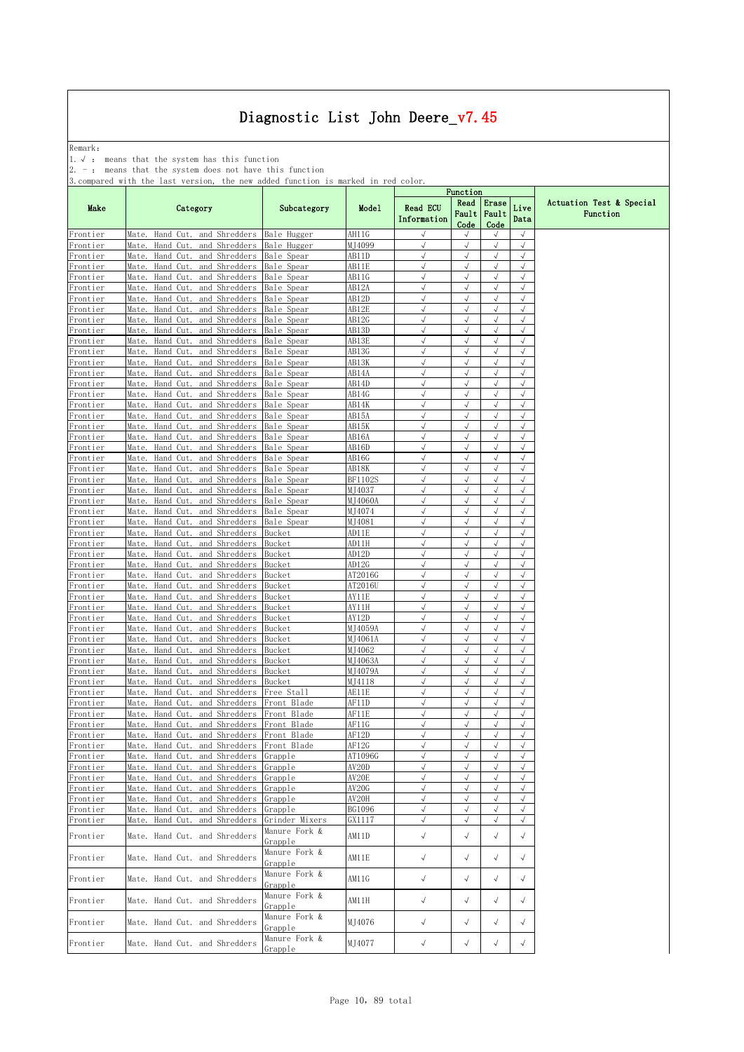Remark: The contract of the contract of  $\mathbb{R}$  and  $\mathbb{R}$  are contract of  $\mathbb{R}$  and  $\mathbb{R}$  are contract of  $\mathbb{R}$  and  $\mathbb{R}$  are contract of  $\mathbb{R}$  and  $\mathbb{R}$  are contract of  $\mathbb{R}$  and  $\mathbb{R}$  are cont

1.√ : means that the system has this function

2. - : means that the system does not have this function

|                      |                                                                                  |                            |                    |                                | Function                |                          |                          |                                      |
|----------------------|----------------------------------------------------------------------------------|----------------------------|--------------------|--------------------------------|-------------------------|--------------------------|--------------------------|--------------------------------------|
| Make                 | Category                                                                         | Subcategory                | Model              | <b>Read ECU</b><br>Information | Read<br>Fault<br>Code   | Erase<br>Fault<br>Code   | Live<br>Data             | Actuation Test & Special<br>Function |
| Frontier             | Cut. and Shredders<br>Mate.<br>Hand                                              | Bale Hugger                | AH11G              | $\sqrt{}$                      | $\sqrt{ }$              | $\sqrt{ }$               | $\sqrt{ }$               |                                      |
| Frontier             | and Shredders<br>Mate.<br>Hand<br>Cut.                                           | Bale Hugger                | MJ4099             | √                              |                         | $\sqrt{}$                | $\sqrt{}$                |                                      |
| Frontier             | Mate.<br>Hand Cut.<br>and Shredders<br>Mate.<br>and Shredders<br>Hand Cut.       | Bale Spear                 | AB11D<br>AB11E     | $\sqrt{2}$<br>$\sqrt{}$        | $\sqrt{}$<br>$\sqrt{}$  | $\sqrt{ }$<br>$\sqrt{ }$ | $\sqrt{}$<br>$\sqrt{}$   |                                      |
| Frontier<br>Frontier | Mate.<br>Hand<br>and Shredders<br>Cut.                                           | Bale Spear<br>Bale Spear   | AB11G              | $\sqrt{ }$                     | $\sqrt{}$               | $\sqrt{}$                | $\sqrt{}$                |                                      |
| Frontier             | Hand<br>and Shredders<br>Mate.<br>Cut.                                           | Bale Spear                 | AB12A              | $\sqrt{ }$                     | $\sqrt{}$               | $\sqrt{}$                | $\sqrt{2}$               |                                      |
| Frontier             | and Shredders<br>Hand<br>Cut.<br>Mate.                                           | Bale Spear                 | AB12D              | J                              | √                       | $\sqrt{ }$               | $\sqrt{2}$               |                                      |
| Frontier             | Hand<br>and Shredders<br>Mate.<br>Cut.                                           | Bale Spear                 | AB12E              | $\sqrt{2}$                     | $\sqrt{}$               | $\sqrt{}$                | $\sqrt{}$                |                                      |
| Frontier             | Hand Cut.<br>and Shredders<br>Mate.                                              | Bale Spear                 | AB12G              | $\sqrt{}$                      | $\sqrt{2}$              | $\sqrt{ }$               | $\sqrt{}$                |                                      |
| Frontier             | Hand Cut.<br>and Shredders<br>Mate.                                              | Bale Spear                 | AB13D              | $\sqrt{2}$                     | $\sqrt{}$               | $\sqrt{ }$               | $\sqrt{2}$               |                                      |
| Frontier             | and Shredders<br>Mate.<br>Hand Cut.                                              | Bale Spear                 | AB13E              | $\sqrt{2}$                     | $\sqrt{}$               | $\sqrt{ }$               | $\sqrt{2}$               |                                      |
| Frontier<br>Frontier | and Shredders<br>Mate.<br>Hand<br>Cut.<br>Hand<br>and Shredders<br>Mate.<br>Cut. | Bale Spear<br>Bale Spear   | AB13G<br>AB13K     | $\sqrt{}$<br>$\sqrt{ }$        | $\sqrt{}$<br>$\sqrt{}$  | $\sqrt{}$<br>$\sqrt{}$   | $\sqrt{}$<br>$\sqrt{2}$  |                                      |
| Frontier             | and Shredders<br>Mate.<br>Hand<br>Cut.                                           | Bale Spear                 | AB14A              | √                              | √                       | $\sqrt{ }$               | $\sqrt{2}$               |                                      |
| Frontier             | Mate.<br>Hand Cut.<br>and Shredders                                              | Bale Spear                 | AB14D              | $\sqrt{2}$                     | $\sqrt{}$               | $\sqrt{}$                | $\sqrt{ }$               |                                      |
| Frontier             | Mate.<br>Hand Cut.<br>and Shredders                                              | Bale Spear                 | AB14G              | $\sqrt{ }$                     | $\sqrt{}$               | $\sqrt{ }$               | $\sqrt{2}$               |                                      |
| Frontier             | and Shredders<br>Mate.<br>Hand<br>Cut.                                           | Bale Spear                 | AB14K              | $\sqrt{ }$                     | $\sqrt{}$               | $\sqrt{}$                | $\sqrt{2}$               |                                      |
| Frontier             | Mate.<br>and Shredders<br>Hand Cut.                                              | Bale Spear                 | AB15A              | $\sqrt{ }$                     | $\sqrt{}$               | $\sqrt{}$                | $\sqrt{ }$               |                                      |
| Frontier             | Hand<br>Cut.<br>and Shredders<br>Mate.                                           | Bale Spear                 | AB15K              | $\sqrt{}$                      | $\sqrt{}$               | $\sqrt{}$                | $\sqrt{}$                |                                      |
| Frontier             | Mate.<br>Hand<br>Cut.<br>and Shredders                                           | Bale Spear                 | AB16A              | $\sqrt{}$                      | $\sqrt{}$               | $\sqrt{}$<br>$\sqrt{ }$  | $\sqrt{ }$<br>$\sqrt{}$  |                                      |
| Frontier<br>Frontier | and Shredders<br>Mate.<br>Hand<br>Cut.<br>Mate.<br>Hand Cut.<br>and Shredders    | Bale Spear<br>Bale Spear   | AB16D<br>AB16G     | √<br>$\sqrt{ }$                | $\sqrt{}$               | $\sqrt{ }$               | $\sqrt{2}$               |                                      |
| Frontier             | Mate.<br>Hand Cut.<br>and Shredders                                              | Bale Spear                 | AB18K              | $\sqrt{ }$                     | $\sqrt{ }$              | $\sqrt{ }$               | $\sqrt{}$                |                                      |
| Frontier             | Mate.<br>Hand<br>Cut.<br>and Shredders                                           | Bale Spear                 | BF1102S            | $\sqrt{ }$                     | $\sqrt{}$               | $\sqrt{}$                | $\sqrt{}$                |                                      |
| Frontier             | and Shredders<br>Mate.<br>Hand<br>Cut.                                           | Bale Spear                 | MJ4037             | $\sqrt{ }$                     | $\sqrt{}$               | $\sqrt{ }$               | $\sqrt{2}$               |                                      |
| Frontier             | Cut.<br>and Shredders<br>Mate.<br>Hand                                           | Bale Spear                 | MJ4060A            | √                              | $\checkmark$            | $\sqrt{ }$               | $\sqrt{}$                |                                      |
| Frontier             | Mate.<br>Hand<br>and Shredders<br>Cut.                                           | Bale Spear                 | MJ4074             | $\sqrt{2}$                     |                         | $\sqrt{ }$               | $\sqrt{}$                |                                      |
| Frontier             | Mate.<br>Hand Cut.<br>and Shredders                                              | Bale Spear                 | MJ4081             | $\sqrt{2}$                     | $\sqrt{2}$              | $\sqrt{ }$               | $\sqrt{}$                |                                      |
| Frontier             | Mate.<br>Hand Cut.<br>and Shredders<br>Mate.<br>Hand<br>and Shredders<br>Cut.    | Bucket<br>Bucket           | AD11E<br>AD11H     | $\sqrt{2}$<br>$\sqrt{ }$       | $\sqrt{}$<br>$\sqrt{}$  | $\sqrt{ }$<br>$\sqrt{}$  | $\sqrt{2}$<br>$\sqrt{}$  |                                      |
| Frontier<br>Frontier | Hand<br>and Shredders<br>Mate.<br>Cut.                                           | Bucket                     | AD12D              | $\sqrt{}$                      | $\sqrt{}$               | $\sqrt{}$                | $\sqrt{}$                |                                      |
| Frontier             | and Shredders<br>Mate.<br>Hand<br>Cut.                                           | Bucket                     | AD12G              | $\sqrt{}$                      | $\sqrt{}$               | $\sqrt{}$                | $\sqrt{ }$               |                                      |
| Frontier             | and Shredders<br>Mate.<br>Hand<br>Cut.                                           | Bucket                     | AT2016G            | √                              |                         | $\sqrt{}$                | $\sqrt{}$                |                                      |
| Frontier             | Mate.<br>Hand Cut.<br>and Shredders                                              | Bucket                     | AT2016U            | $\sqrt{}$                      | $\sqrt{}$               | $\sqrt{}$                | $\sqrt{}$                |                                      |
| Frontier             | Mate.<br>Hand Cut.<br>and Shredders                                              | Bucket                     | AY11E              | $\sqrt{ }$                     | $\sqrt{}$               | $\sqrt{ }$               | $\sqrt{2}$               |                                      |
| Frontier             | and Shredders<br>Mate.<br>Hand<br>Cut.                                           | Bucket                     | AY11H              | $\sqrt{ }$                     | $\sqrt{}$               | $\sqrt{ }$               | $\sqrt{2}$               |                                      |
| Frontier             | Hand Cut.<br>and Shredders<br>Mate.                                              | Bucket                     | AY12D              | $\sqrt{}$                      | $\sqrt{}$               | $\sqrt{}$                | $\sqrt{2}$<br>$\sqrt{ }$ |                                      |
| Frontier<br>Frontier | and Shredders<br>Hand<br>Cut.<br>Mate.<br>Mate.<br>Hand<br>Cut.<br>and Shredders | Bucket<br>Bucket           | MJ4059A<br>MJ4061A | $\sqrt{}$<br>$\sqrt{}$         | $\sqrt{}$<br>$\sqrt{}$  | $\sqrt{}$<br>$\sqrt{ }$  | $\sqrt{ }$               |                                      |
| Frontier             | Hand Cut.<br>and Shredders<br>Mate.                                              | Bucket                     | MJ4062             | $\sqrt{}$                      | $\sqrt{ }$              | $\sqrt{ }$               | $\sqrt{}$                |                                      |
| Frontier             | Mate.<br>Hand Cut.<br>and Shredders                                              | Bucket                     | MJ4063A            | $\sqrt{ }$                     | $\sqrt{}$               | $\sqrt{ }$               | $\sqrt{}$                |                                      |
| Frontier             | Mate.<br>Hand<br>Cut.<br>and Shredders                                           | Bucket                     | MJ4079A            | $\sqrt{ }$                     | $\sqrt{}$               | $\sqrt{ }$               | $\sqrt{2}$               |                                      |
| Frontier             | Mate.<br>Hand<br>Cut.<br>and Shredders                                           | Bucket                     | MJ4118             | √                              | $\sqrt{}$               | $\sqrt{}$                | $\sqrt{}$                |                                      |
| Frontier             | Hand<br>Cut.<br>and Shredders<br>Mate.                                           | Free Stall                 | AE11E              | $\sqrt{}$                      | $\sqrt{}$               | $\sqrt{}$                | $\sqrt{2}$               |                                      |
| Frontier             | Hand<br>Cut.<br>and Shredders<br>Mate.                                           | Front Blade                | AF11D              | √                              | $\sqrt{}$               | $\sqrt{ }$               | $\sqrt{}$                |                                      |
| Frontier<br>Frontier | Mate.<br>Hand Cut.<br>and Shredders<br>Mate.<br>Hand Cut.<br>and Shredders       | Front Blade<br>Front Blade | AF11E<br>AF11G     | $\sqrt{2}$<br>$\sqrt{}$        | $\sqrt{2}$              | $\sqrt{ }$<br>$\sqrt{ }$ | $\sqrt{2}$<br>$\sqrt{2}$ |                                      |
| Frontier             | Hand Cut. and Shredders<br>Mate.                                                 | Front Blade                | AF12D              | $\sqrt{ }$                     | $\sqrt{}$               | $\sqrt{ }$               | $\sqrt{}$                |                                      |
| Frontier             | Mate. Hand Cut. and Shredders                                                    | Front Blade                | AF12G              |                                |                         | $\cdot$                  |                          |                                      |
| Frontier             | Hand Cut. and Shredders<br>Mate.                                                 | Grapple                    | AT1096G            | $\sqrt{ }$                     | $\sqrt{}$               | $\sqrt{}$                | $\sqrt{ }$               |                                      |
| Frontier             | and Shredders<br>Cut.<br>Mate.<br>Hand                                           | Grapple                    | AV20D              | $\sqrt{ }$                     | $\sqrt{}$               | $\sqrt{}$                | $\sqrt{}$                |                                      |
| Frontier             | and Shredders<br>Mate.<br>Hand<br>Cut.                                           | Grapple                    | AV20E              | √                              |                         | $\sqrt{}$                | $\sqrt{}$                |                                      |
| Frontier             | Hand Cut.<br>and Shredders<br>Mate.                                              | Grapple                    | AV20G              | $\sqrt{ }$                     |                         | $\sqrt{ }$               | $\sqrt{2}$               |                                      |
| Frontier             | Mate. Hand Cut.<br>and Shredders                                                 | Grapple                    | AV20H              | $\sqrt{ }$                     | $\sqrt{2}$              | $\sqrt{ }$<br>$\sqrt{ }$ | $\sqrt{}$<br>$\sqrt{}$   |                                      |
| Frontier             | and Shredders<br>Mate. Hand Cut.<br>Mate. Hand Cut. and Shredders                | Grapple<br>Grinder Mixers  | BG1096<br>GX1117   | $\sqrt{}$<br>$\sqrt{ }$        | $\sqrt{}$<br>$\sqrt{ }$ | $\sqrt{}$                | $\sqrt{ }$               |                                      |
| Frontier             |                                                                                  | Manure Fork &              |                    |                                |                         |                          |                          |                                      |
| Frontier             | Mate. Hand Cut. and Shredders                                                    | Grapple<br>Manure Fork &   | AM11D              | $\sqrt{ }$                     | $\sqrt{ }$              | $\sqrt{ }$               | $\sqrt{ }$               |                                      |
| Frontier             | Mate. Hand Cut. and Shredders                                                    | Grapple                    | AM11E              | $\checkmark$                   | $\sqrt{ }$              | $\sqrt{}$                | $\sqrt{ }$               |                                      |
| Frontier             | Mate. Hand Cut. and Shredders                                                    | Manure Fork &<br>Grapple   | AM11G              | $\sqrt{ }$                     | $\sqrt{ }$              | $\sqrt{}$                | $\sqrt{}$                |                                      |
| Frontier             | Mate. Hand Cut. and Shredders                                                    | Manure Fork &<br>Grapple   | AM11H              | $\checkmark$                   | $\sqrt{ }$              | $\sqrt{}$                | $\sqrt{}$                |                                      |
| Frontier             | Mate. Hand Cut. and Shredders                                                    | Manure Fork &<br>Grapple   | MJ4076             | $\sqrt{ }$                     | $\sqrt{}$               | $\sqrt{}$                | $\sqrt{}$                |                                      |
| Frontier             | Mate. Hand Cut. and Shredders                                                    | Manure Fork &<br>Grapple   | MJ4077             | $\sqrt{ }$                     | $\sqrt{ }$              | $\sqrt{}$                | $\sqrt{}$                |                                      |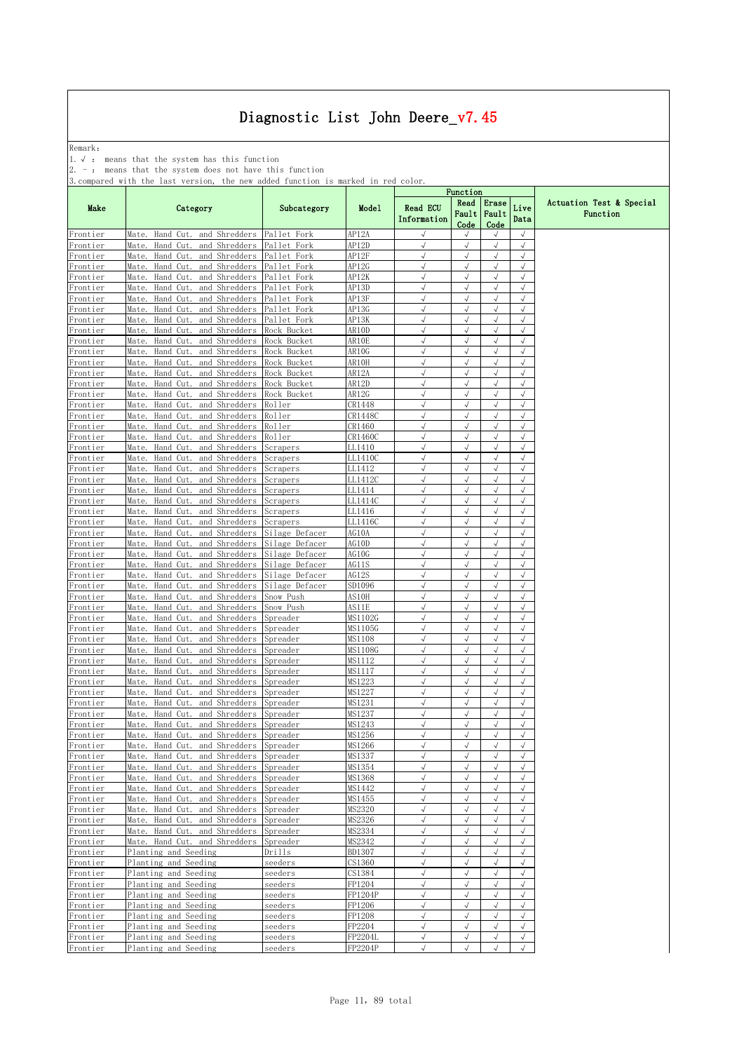Remark: The contract of the contract of  $\mathbb{R}$  and  $\mathbb{R}$  are contract of  $\mathbb{R}$  and  $\mathbb{R}$  are contract of  $\mathbb{R}$  and  $\mathbb{R}$  are contract of  $\mathbb{R}$  and  $\mathbb{R}$  are contract of  $\mathbb{R}$  and  $\mathbb{R}$  are cont

1.√ : means that the system has this function

2. - : means that the system does not have this function

| .                    |                                                                                  |                                  |                   |                          | Function                |                         |                          |                                      |
|----------------------|----------------------------------------------------------------------------------|----------------------------------|-------------------|--------------------------|-------------------------|-------------------------|--------------------------|--------------------------------------|
| Make                 | Category                                                                         | Subcategory                      | Model             | Read ECU<br>Information  | Read<br>Fault<br>Code   | Erase<br>Fault<br>Code  | Live<br>Data             | Actuation Test & Special<br>Function |
| Frontier             | and Shredders<br>Mate.<br>Hand<br>Cut.                                           | Pallet Fork                      | AP12A             | $\sqrt{}$                | $\sqrt{}$               | $\sqrt{}$               | $\sqrt{ }$               |                                      |
| Frontier             | Mate.<br>Hand<br>and Shredders<br>Cut.                                           | Pallet Fork                      | AP12D             | $\sqrt{ }$               | $\sqrt{}$               | $\sqrt{}$               | $\sqrt{2}$               |                                      |
| Frontier<br>Frontier | and Shredders<br>Mate.<br>Hand<br>Cut.<br>and Shredders<br>Mate.<br>Hand<br>Cut. | Pallet Fork<br>Pallet Fork       | AP12F<br>AP12G    | $\sqrt{}$<br>√           | $\sqrt{}$<br>J          | $\sqrt{ }$<br>$\sqrt{}$ | $\sqrt{2}$<br>$\sqrt{}$  |                                      |
| Frontier             | Mate.<br>Hand<br>and Shredders<br>Cut.                                           | Pallet Fork                      | AP12K             | $\sqrt{2}$               | $\sqrt{}$               | $\sqrt{ }$              | $\sqrt{}$                |                                      |
| Frontier             | Hand<br>Cut.<br>and Shredders<br>Mate.                                           | Pallet Fork                      | AP13D             | $\sqrt{2}$               | $\sqrt{2}$              | $\sqrt{ }$              | $\sqrt{}$                |                                      |
| Frontier             | Mate.<br>Hand Cut.<br>and Shredders                                              | Pallet Fork                      | AP13F             | $\sqrt{2}$               | $\sqrt{}$               | $\sqrt{ }$              | $\sqrt{}$                |                                      |
| Frontier             | Mate.<br>Hand<br>and Shredders<br>Cut.                                           | Pallet Fork                      | AP13G             | $\sqrt{}$                | $\sqrt{}$               | $\sqrt{}$               | $\sqrt{}$                |                                      |
| Frontier             | and Shredders<br>Mate.<br>Hand<br>Cut.                                           | Pallet Fork                      | AP13K             | $\sqrt{}$                | $\sqrt{}$               | $\sqrt{}$               | $\sqrt{}$                |                                      |
| Frontier             | Hand<br>and Shredders<br>Mate.<br>Cut.                                           | Rock Bucket                      | AR10D             | $\sqrt{2}$               | $\sqrt{}$               | $\sqrt{}$               | $\sqrt{}$                |                                      |
| Frontier             | Hand<br>Cut.<br>and Shredders<br>Mate.                                           | Rock Bucket                      | AR10E             | √                        |                         |                         | $\sqrt{}$                |                                      |
| Frontier<br>Frontier | Mate.<br>Hand Cut.<br>and Shredders<br>Mate.<br>Hand Cut.<br>and Shredders       | Rock Bucket<br>Rock Bucket       | AR10G<br>AR10H    | $\sqrt{2}$<br>$\sqrt{ }$ | $\sqrt{}$<br>$\sqrt{}$  | $\sqrt{}$<br>$\sqrt{ }$ | $\sqrt{}$<br>$\sqrt{2}$  |                                      |
| Frontier             | Mate.<br>Hand<br>and Shredders<br>Cut.                                           | Rock Bucket                      | AR12A             | $\sqrt{ }$               | $\sqrt{}$               | $\sqrt{}$               | $\sqrt{}$                |                                      |
| Frontier             | and Shredders<br>Mate.<br>Hand Cut.                                              | Rock Bucket                      | AR12D             | $\sqrt{}$                | $\sqrt{}$               | $\sqrt{ }$              | $\sqrt{2}$               |                                      |
| Frontier             | Hand<br>Cut.<br>and Shredders<br>Mate.                                           | Rock Bucket                      | AR12G             | $\sqrt{}$                | $\sqrt{}$               | $\sqrt{}$               | $\sqrt{}$                |                                      |
| Frontier             | Hand<br>Cut.<br>and Shredders<br>Mate.                                           | Roller                           | CR1448            | $\sqrt{}$                | $\sqrt{}$               | $\sqrt{}$               | $\sqrt{2}$               |                                      |
| Frontier             | Mate.<br>Hand Cut.<br>and Shredders                                              | Roller                           | CR1448C           | √                        | J                       | $\sqrt{ }$              | $\sqrt{2}$               |                                      |
| Frontier             | Mate.<br>Hand Cut.<br>and Shredders                                              | Roller                           | CR1460            | $\sqrt{2}$               | $\sqrt{}$               | $\sqrt{ }$              | $\sqrt{2}$               |                                      |
| Frontier             | Mate.<br>Hand Cut.<br>and Shredders                                              | Roller                           | CR1460C           | $\sqrt{ }$               | $\sqrt{ }$              | $\sqrt{ }$              | $\sqrt{}$                |                                      |
| Frontier             | Mate.<br>Hand<br>Cut.<br>and Shredders                                           | Scrapers                         | LL1410            | $\sqrt{ }$<br>$\sqrt{}$  | $\sqrt{}$<br>$\sqrt{}$  | $\sqrt{ }$<br>$\sqrt{}$ | $\sqrt{2}$<br>$\sqrt{ }$ |                                      |
| Frontier<br>Frontier | and Shredders<br>Mate.<br>Hand<br>Cut.<br>Hand<br>Cut.<br>and Shredders<br>Mate. | Scrapers<br>Scrapers             | LL1410C<br>LL1412 | √                        | $\sqrt{}$               | $\sqrt{ }$              | $\sqrt{}$                |                                      |
| Frontier             | Mate.<br>Hand<br>Cut.<br>and Shredders                                           | Scrapers                         | LL1412C           | $\sqrt{}$                |                         | $\sqrt{}$               | $\sqrt{ }$               |                                      |
| Frontier             | Mate.<br>Hand Cut.<br>and Shredders                                              | Scrapers                         | LL1414            | $\sqrt{ }$               | $\sqrt{}$               | $\sqrt{ }$              | $\sqrt{2}$               |                                      |
| Frontier             | Hand Cut.<br>and Shredders<br>Mate.                                              | Scrapers                         | LL1414C           | $\sqrt{ }$               | $\sqrt{}$               | $\sqrt{}$               | $\sqrt{}$                |                                      |
| Frontier             | Mate.<br>Hand<br>and Shredders<br>Cut.                                           | Scrapers                         | LL1416            | $\sqrt{ }$               | $\sqrt{}$               | $\sqrt{ }$              | $\sqrt{}$                |                                      |
| Frontier             | Hand<br>Cut.<br>and Shredders<br>Mate.                                           | Scrapers                         | LL1416C           | $\sqrt{}$                | $\sqrt{ }$              | $\sqrt{}$               | $\sqrt{}$                |                                      |
| Frontier             | Mate.<br>Hand<br>and Shredders<br>Cut.                                           | Silage Defacer                   | AG10A             | $\sqrt{2}$               | $\sqrt{}$               | $\sqrt{ }$              | $\sqrt{2}$               |                                      |
| Frontier             | Mate.<br>Hand<br>Cut.<br>and Shredders                                           | Silage Defacer                   | AG10D             | √                        |                         | $\sqrt{}$               | $\sqrt{}$                |                                      |
| Frontier<br>Frontier | Mate.<br>Hand Cut.<br>and Shredders<br>Mate.<br>Hand Cut.<br>and Shredders       | Silage Defacer<br>Silage Defacer | AG10G<br>AG11S    | $\sqrt{ }$<br>$\sqrt{2}$ | $\sqrt{ }$<br>$\sqrt{}$ | $\sqrt{}$<br>$\sqrt{ }$ | $\sqrt{}$<br>$\sqrt{2}$  |                                      |
| Frontier             | Mate.<br>Hand<br>and Shredders<br>Cut.                                           | Silage Defacer                   | AG12S             | $\sqrt{ }$               | $\sqrt{}$               | $\sqrt{}$               | $\sqrt{}$                |                                      |
| Frontier             | and Shredders<br>Mate.<br>Hand<br>Cut.                                           | Silage Defacer                   | SD1096            | $\sqrt{ }$               | $\sqrt{}$               | $\sqrt{ }$              | $\sqrt{2}$               |                                      |
| Frontier             | and Shredders<br>Hand<br>Cut.<br>Mate.                                           | Snow Push                        | AS10H             | $\checkmark$             | $\checkmark$            | $\sqrt{ }$              | $\sqrt{}$                |                                      |
| Frontier             | Mate.<br>Hand<br>and Shredders<br>Cut.                                           | Snow Push                        | AS11E             | J                        | $\sqrt{}$               | $\sqrt{2}$              | $\sqrt{}$                |                                      |
| Frontier             | Hand Cut.<br>and Shredders<br>Mate.                                              | Spreader                         | MS1102G           | $\sqrt{ }$               | $\sqrt{2}$              | $\sqrt{ }$              | $\sqrt{}$                |                                      |
| Frontier             | Mate.<br>Hand Cut.<br>and Shredders                                              | Spreader                         | MS1105G           | $\sqrt{ }$               | $\sqrt{}$               | $\sqrt{ }$              | $\sqrt{2}$               |                                      |
| Frontier             | Mate.<br>Hand<br>Cut.<br>and Shredders                                           | Spreader                         | MS1108            | $\sqrt{ }$               | $\sqrt{}$               | $\sqrt{ }$              | $\sqrt{2}$               |                                      |
| Frontier             | and Shredders<br>Mate.<br>Hand<br>Cut.<br>Hand<br>and Shredders<br>Mate.         | Spreader<br>Spreader             | MS1108G<br>MS1112 | $\sqrt{}$<br>$\sqrt{ }$  | $\sqrt{}$<br>$\sqrt{}$  | $\sqrt{}$<br>$\sqrt{}$  | $\sqrt{}$<br>$\sqrt{ }$  |                                      |
| Frontier<br>Frontier | Cut.<br>Hand<br>Cut.<br>and Shredders<br>Mate.                                   | Spreader                         | MS1117            | √                        | √                       | $\sqrt{ }$              | $\sqrt{2}$               |                                      |
| Frontier             | Mate.<br>Hand Cut.<br>and Shredders                                              | Spreader                         | MS1223            | $\sqrt{ }$               | $\sqrt{}$               | $\sqrt{ }$              | $\sqrt{}$                |                                      |
| Frontier             | Mate.<br>Hand Cut.<br>and Shredders                                              | Spreader                         | MS1227            | $\sqrt{ }$               | $\sqrt{}$               | $\sqrt{ }$              | $\sqrt{ }$               |                                      |
| Frontier             | Mate.<br>Hand Cut.<br>and Shredders                                              | Spreader                         | MS1231            | $\sqrt{ }$               | $\sqrt{}$               | $\sqrt{ }$              | $\sqrt{}$                |                                      |
| Frontier             | Mate.<br>Hand<br>and Shredders<br>Cut.                                           | Spreader                         | MS1237            | $\sqrt{}$                | $\sqrt{}$               | $\sqrt{}$               | $\sqrt{}$                |                                      |
| Frontier             | and Shredders<br>Hand<br>Cut.<br>Mate.                                           | Spreader                         | MS1243            | $\sqrt{}$                | $\sqrt{}$               | $\sqrt{}$               | $\sqrt{}$                |                                      |
| Frontier             | Hand Cut. and Shredders<br>Mate.                                                 | Spreader                         | MS1256            | $\sqrt{}$                | $\sqrt{2}$              | $\sqrt{2}$              | $\sqrt{ }$               |                                      |
| rrontier<br>Frontier | Mate. Hand Cut. and Shredders  Spreader<br>Mate. Hand Cut. and Shredders         | Spreader                         | MS1266<br>MS1337  | √<br>$\sqrt{ }$          | $\sqrt{}$               | $\sqrt{ }$              | √<br>$\sqrt{ }$          |                                      |
| Frontier             | Mate. Hand Cut. and Shredders                                                    | Spreader                         | MS1354            | $\sqrt{}$                | $\sqrt{}$               | $\sqrt{ }$              | $\sqrt{}$                |                                      |
| Frontier             | Mate. Hand Cut. and Shredders                                                    | Spreader                         | MS1368            | $\sqrt{}$                | $\sqrt{}$               | $\sqrt{}$               | $\sqrt{ }$               |                                      |
| Frontier             | Mate. Hand Cut. and Shredders                                                    | Spreader                         | MS1442            | $\sqrt{}$                | $\sqrt{}$               | $\sqrt{}$               | $\sqrt{2}$               |                                      |
| Frontier             | Mate. Hand Cut. and Shredders                                                    | Spreader                         | MS1455            | √                        | √                       | $\sqrt{}$               | $\sqrt{ }$               |                                      |
| Frontier             | Mate. Hand Cut. and Shredders                                                    | Spreader                         | MS2320            | $\sqrt{}$                |                         | $\sqrt{}$               | $\sqrt{2}$               |                                      |
| Frontier             | Mate. Hand Cut. and Shredders                                                    | Spreader                         | MS2326            | $\sqrt{ }$               | $\sqrt{}$               | $\sqrt{ }$              | $\sqrt{2}$               |                                      |
| Frontier             | Mate. Hand Cut. and Shredders                                                    | Spreader                         | MS2334            | $\sqrt{ }$<br>$\sqrt{ }$ | $\sqrt{}$<br>$\sqrt{}$  | $\sqrt{}$<br>$\sqrt{ }$ | $\sqrt{ }$<br>$\sqrt{ }$ |                                      |
| Frontier<br>Frontier | Mate. Hand Cut. and Shredders<br>Planting and Seeding                            | Spreader<br>Drills               | MS2342<br>BD1307  | $\sqrt{}$                | $\sqrt{}$               | $\sqrt{}$               | $\sqrt{}$                |                                      |
| Frontier             | Planting and Seeding                                                             | seeders                          | CS1360            | $\sqrt{ }$               | $\sqrt{2}$              | $\sqrt{}$               | $\sqrt{2}$               |                                      |
| Frontier             | Planting and Seeding                                                             | seeders                          | CS1384            | √                        |                         | $\sqrt{}$               | $\sqrt{ }$               |                                      |
| Frontier             | Planting and Seeding                                                             | seeders                          | FP1204            | $\sqrt{ }$               | $\sqrt{}$               | $\sqrt{}$               | $\sqrt{2}$               |                                      |
| Frontier             | Planting and Seeding                                                             | seeders                          | FP1204P           | $\sqrt{ }$               | $\sqrt{}$               | $\sqrt{ }$              | $\sqrt{}$                |                                      |
| Frontier             | Planting and Seeding                                                             | seeders                          | FP1206            | $\sqrt{ }$               | $\sqrt{}$               | $\sqrt{}$               | $\sqrt{ }$               |                                      |
| Frontier             | Planting and Seeding                                                             | seeders                          | FP1208            | $\sqrt{ }$               | $\sqrt{}$               | $\sqrt{}$               | $\sqrt{2}$               |                                      |
| Frontier             | Planting and Seeding                                                             | seeders                          | FP2204            | $\sqrt{ }$               | $\sqrt{}$               | $\sqrt{}$               | $\sqrt{2}$               |                                      |
| Frontier             | Planting and Seeding                                                             | seeders                          | FP2204L           | $\sqrt{2}$               | $\sqrt{2}$              | $\sqrt{2}$              | $\sqrt{ }$               |                                      |
| Frontier             | Planting and Seeding                                                             | seeders                          | FP2204P           | $\sqrt{}$                |                         |                         | $\sqrt{2}$               |                                      |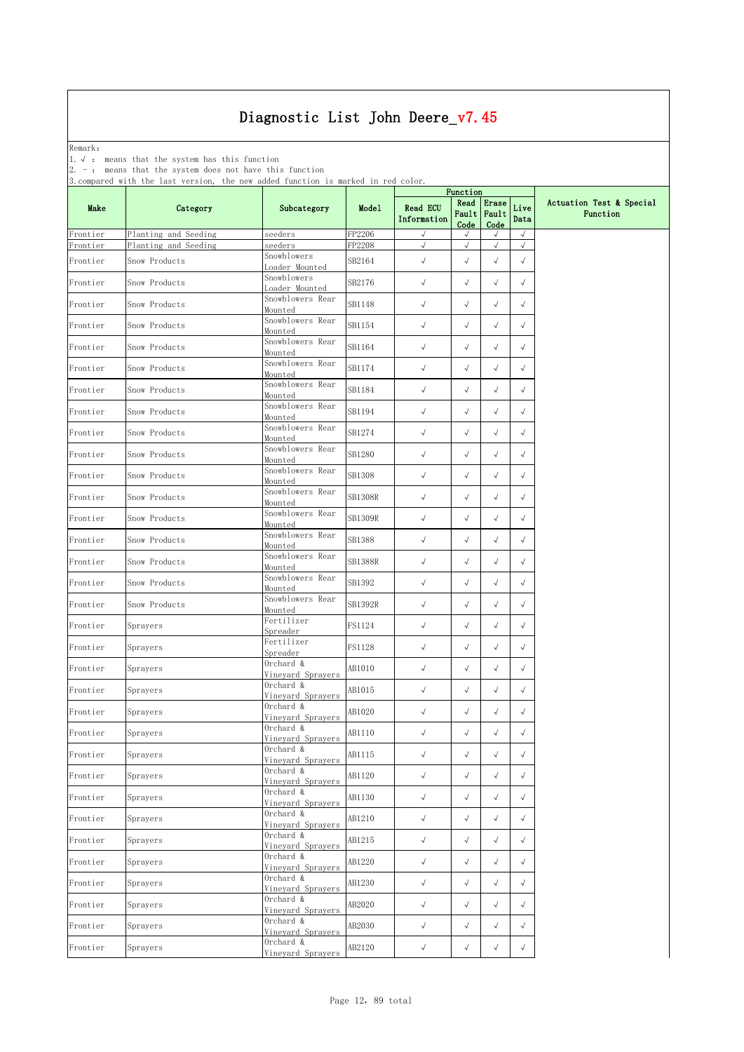Remark: The contract of the contract of  $\mathbb{R}$  and  $\mathbb{R}$  are contract of  $\mathbb{R}$  and  $\mathbb{R}$  are contract of  $\mathbb{R}$  and  $\mathbb{R}$  are contract of  $\mathbb{R}$  and  $\mathbb{R}$  are contract of  $\mathbb{R}$  and  $\mathbb{R}$  are cont

1.√ : means that the system has this function

2. - : means that the system does not have this function

| ompazo,  |                      |                                |                |                                | Function              |                        |              |                                      |
|----------|----------------------|--------------------------------|----------------|--------------------------------|-----------------------|------------------------|--------------|--------------------------------------|
| Make     | Category             | Subcategory                    | Model          | <b>Read ECU</b><br>Information | Read<br>Fault<br>Code | Erase<br>Fault<br>Code | Live<br>Data | Actuation Test & Special<br>Function |
| Frontier | Planting and Seeding | seeders                        | FP2206         | $\sqrt{}$                      | $\sqrt{ }$            | $\sqrt{ }$             | $\sqrt{ }$   |                                      |
| Frontier | Planting and Seeding | seeders<br>Snowblowers         | FP2208         | $\sqrt{ }$                     | $\sqrt{}$             | $\sqrt{}$              | $\sqrt{ }$   |                                      |
| Frontier | Snow Products        | Loader Mounted                 | SB2164         | $\sqrt{}$                      | $\sqrt{ }$            | $\sqrt{}$              | $\sqrt{ }$   |                                      |
| Frontier | Snow Products        | Snowblowers<br>Loader Mounted  | SB2176         | $\checkmark$                   | $\sqrt{}$             | $\sqrt{}$              | $\sqrt{}$    |                                      |
| Frontier | Snow Products        | Snowblowers Rear<br>Mounted    | SB1148         | $\sqrt{ }$                     | $\sqrt{ }$            | $\sqrt{}$              | $\sqrt{ }$   |                                      |
| Frontier | Snow Products        | Snowblowers Rear<br>Mounted    | SB1154         | $\checkmark$                   | $\sqrt{}$             | $\sqrt{ }$             | $\sqrt{}$    |                                      |
| Frontier | Snow Products        | Snowblowers Rear<br>Mounted    | SB1164         | $\checkmark$                   | $\sqrt{}$             | $\sqrt{ }$             | $\sqrt{ }$   |                                      |
| Frontier | Snow Products        | Snowblowers Rear<br>Mounted    | SB1174         | $\checkmark$                   | $\sqrt{ }$            | $\sqrt{ }$             | $\sqrt{}$    |                                      |
| Frontier | Snow Products        | Snowblowers Rear<br>Mounted    | SB1184         | $\sqrt{}$                      | $\sqrt{}$             | $\sqrt{}$              | $\sqrt{}$    |                                      |
| Frontier | Snow Products        | Snowblowers Rear<br>Mounted    | SB1194         | $\sqrt{ }$                     | $\sqrt{ }$            | $\sqrt{ }$             | $\sqrt{ }$   |                                      |
| Frontier | Snow Products        | Snowblowers Rear<br>Mounted    | SB1274         | $\checkmark$                   | $\sqrt{}$             | $\sqrt{}$              | $\sqrt{}$    |                                      |
| Frontier | Snow Products        | Snowblowers Rear<br>Mounted    | SB1280         | $\sqrt{ }$                     | $\sqrt{ }$            | $\sqrt{}$              | $\sqrt{ }$   |                                      |
| Frontier | Snow Products        | Snowblowers Rear<br>Mounted    | SB1308         | $\checkmark$                   | $\sqrt{}$             | $\sqrt{ }$             | $\sqrt{}$    |                                      |
| Frontier | Snow Products        | Snowblowers Rear<br>Mounted    | <b>SB1308R</b> | $\checkmark$                   | $\sqrt{ }$            | $\sqrt{ }$             | $\sqrt{ }$   |                                      |
| Frontier | Snow Products        | Snowblowers Rear<br>Mounted    | SB1309R        | $\checkmark$                   | $\sqrt{ }$            | $\sqrt{}$              | $\sqrt{}$    |                                      |
| Frontier | Snow Products        | Snowblowers Rear<br>Mounted    | SB1388         | $\checkmark$                   | $\sqrt{}$             | $\sqrt{}$              | $\sqrt{}$    |                                      |
| Frontier | Snow Products        | Snowblowers Rear<br>Mounted    | SB1388R        | $\sqrt{ }$                     | $\sqrt{ }$            | $\sqrt{ }$             | $\sqrt{ }$   |                                      |
| Frontier | Snow Products        | Snowblowers Rear<br>Mounted    | SB1392         | $\sqrt{}$                      | $\sqrt{}$             | $\sqrt{}$              | $\sqrt{ }$   |                                      |
| Frontier | Snow Products        | Snowblowers Rear<br>Mounted    | SB1392R        | $\sqrt{ }$                     | $\sqrt{ }$            | $\sqrt{}$              | $\sqrt{ }$   |                                      |
| Frontier | Sprayers             | Fertilizer<br>Spreader         | FS1124         | $\checkmark$                   | $\sqrt{}$             | $\sqrt{ }$             | $\sqrt{}$    |                                      |
| Frontier | Sprayers             | Fertilizer<br>Spreader         | <b>FS1128</b>  | $\checkmark$                   | $\sqrt{ }$            | $\sqrt{ }$             | $\sqrt{ }$   |                                      |
| Frontier | Sprayers             | Orchard &<br>Vineyard Sprayers | AB1010         | $\checkmark$                   | $\sqrt{}$             | $\sqrt{ }$             | $\sqrt{}$    |                                      |
| Frontier | Sprayers             | Orchard &<br>Vineyard Sprayers | AB1015         | $\checkmark$                   | $\sqrt{}$             | $\sqrt{}$              | $\sqrt{}$    |                                      |
| Frontier | Sprayers             | Orchard &<br>Vineyard Sprayers | AB1020         | $\sqrt{ }$                     | $\sqrt{ }$            | $\sqrt{ }$             | $\sqrt{}$    |                                      |
| Frontier | Sprayers             | Orchard &<br>Vineyard Sprayers | AB1110         | $\sqrt{ }$                     | $\sqrt{ }$            | $\sqrt{}$              | $\sqrt{ }$   |                                      |
| Frontier | Sprayers             | Orchard &<br>Vineyard Sprayers | AB1115         | $\sqrt{ }$                     | $\sqrt{ }$            | $\sqrt{}$              | $\sqrt{ }$   |                                      |
| Frontier | Sprayers             | Orchard &<br>Vinevard Spravers | AB1120         | $\sqrt{}$                      | $\sqrt{}$             | $\sqrt{}$              | $\sqrt{}$    |                                      |
| Frontier | Sprayers             | Orchard &<br>Vineyard Sprayers | AB1130         | $\sqrt{}$                      | $\sqrt{}$             | $\sqrt{ }$             | $\sqrt{ }$   |                                      |
| Frontier | Sprayers             | Orchard &<br>Vineyard Sprayers | AB1210         | $\sqrt{ }$                     | $\sqrt{ }$            | $\sqrt{ }$             | $\sqrt{}$    |                                      |
| Frontier | Sprayers             | Orchard &<br>Vineyard Sprayers | AB1215         | $\sqrt{}$                      | $\sqrt{ }$            | $\sqrt{}$              | $\sqrt{ }$   |                                      |
| Frontier | Sprayers             | Orchard &<br>Vineyard Sprayers | AB1220         | $\sqrt{ }$                     | $\sqrt{}$             | $\sqrt{ }$             | $\sqrt{ }$   |                                      |
| Frontier | Sprayers             | Orchard &<br>Vineyard Sprayers | AB1230         | $\sqrt{ }$                     | $\sqrt{}$             | $\sqrt{}$              | $\sqrt{}$    |                                      |
| Frontier | Sprayers             | Orchard &<br>Vineyard Sprayers | AB2020         | $\sqrt{ }$                     | $\sqrt{ }$            | $\sqrt{}$              | $\sqrt{}$    |                                      |
| Frontier | Sprayers             | Orchard &<br>Vineyard Sprayers | AB2030         | $\sqrt{ }$                     | $\sqrt{}$             | $\sqrt{}$              | $\sqrt{}$    |                                      |
| Frontier | Sprayers             | Orchard &<br>Vineyard Sprayers | AB2120         | $\sqrt{}$                      | $\checkmark$          | $\sqrt{ }$             | $\sqrt{}$    |                                      |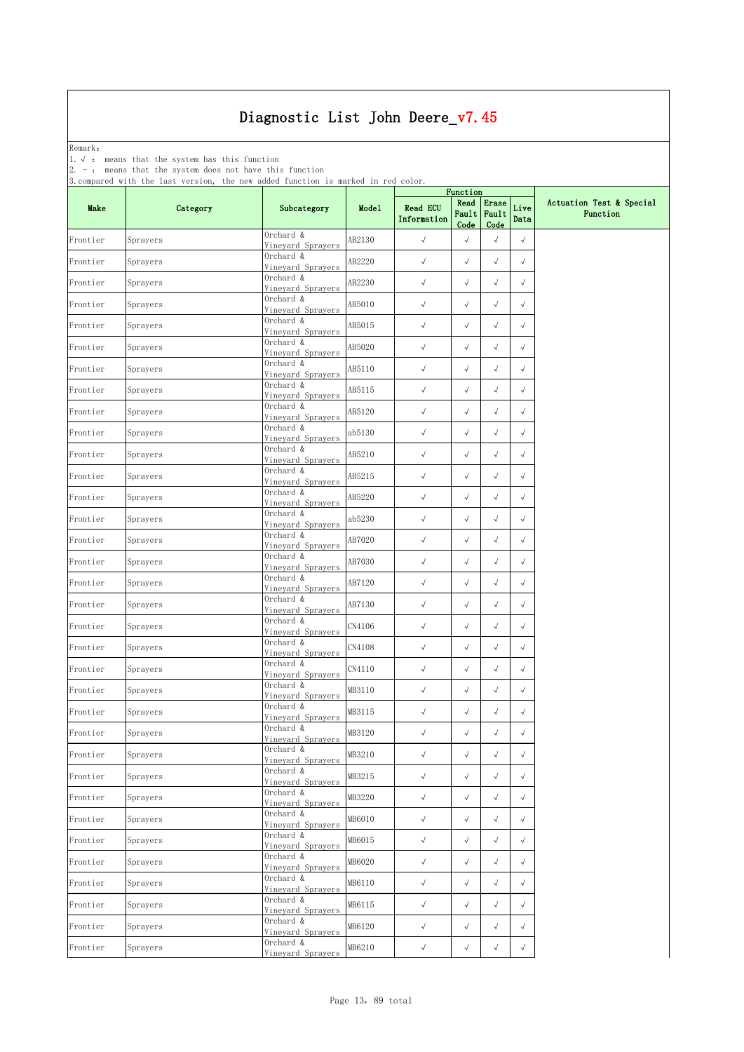Remark: The contract of the contract of  $\mathbb{R}$  and  $\mathbb{R}$  are contract of  $\mathbb{R}$  and  $\mathbb{R}$  are contract of  $\mathbb{R}$  and  $\mathbb{R}$  are contract of  $\mathbb{R}$  and  $\mathbb{R}$  are contract of  $\mathbb{R}$  and  $\mathbb{R}$  are cont

1.√ : means that the system has this function

2. - : means that the system does not have this function

| , , <u>, ,</u> , , , , , |          |                                       |        |                                | Function              |                        |              |                                      |
|--------------------------|----------|---------------------------------------|--------|--------------------------------|-----------------------|------------------------|--------------|--------------------------------------|
| Make                     | Category | Subcategory                           | Model  | <b>Read ECU</b><br>Information | Read<br>Fault<br>Code | Erase<br>Fault<br>Code | Live<br>Data | Actuation Test & Special<br>Function |
| Frontier                 | Sprayers | Orchard &<br>Vineyard Sprayers        | AB2130 | $\sqrt{}$                      | $\sqrt{ }$            | $\sqrt{}$              | $\sqrt{}$    |                                      |
| Frontier                 | Sprayers | Orchard &<br>Vineyard Sprayers        | AB2220 | $\sqrt{ }$                     | $\sqrt{ }$            | $\sqrt{}$              | $\sqrt{}$    |                                      |
| Frontier                 | Sprayers | Orchard &<br>Vineyard Sprayers        | AB2230 | $\sqrt{}$                      | $\sqrt{ }$            | $\sqrt{}$              | $\sqrt{}$    |                                      |
| Frontier                 | Sprayers | Orchard &<br>Vineyard Sprayers        | AB5010 | $\sqrt{ }$                     | $\sqrt{ }$            | $\sqrt{}$              | $\sqrt{}$    |                                      |
| Frontier                 | Sprayers | Orchard &<br>Vineyard Sprayers        | AB5015 | $\sqrt{}$                      | $\sqrt{}$             | $\sqrt{}$              | $\sqrt{}$    |                                      |
| Frontier                 | Sprayers | Orchard &<br>Vineyard Sprayers        | AB5020 | $\checkmark$                   | $\sqrt{ }$            | $\sqrt{}$              | $\sqrt{}$    |                                      |
| Frontier                 | Sprayers | Orchard &<br>Vineyard Sprayers        | AB5110 | $\sqrt{ }$                     | $\sqrt{}$             | $\checkmark$           | $\sqrt{}$    |                                      |
| Frontier                 | Sprayers | Orchard &<br>Vineyard Sprayers        | AB5115 | $\checkmark$                   | $\sqrt{}$             | $\sqrt{ }$             | $\sqrt{}$    |                                      |
| Frontier                 | Sprayers | Orchard &<br>Vineyard Sprayers        | AB5120 | $\sqrt{ }$                     | $\sqrt{ }$            | $\sqrt{}$              | $\sqrt{}$    |                                      |
| Frontier                 | Sprayers | Orchard &<br>Vineyard Sprayers        | ab5130 | $\sqrt{}$                      | $\sqrt{ }$            | $\sqrt{}$              | $\sqrt{}$    |                                      |
| Frontier                 | Sprayers | Orchard &<br>Vineyard Sprayers        | AB5210 | $\checkmark$                   | $\sqrt{ }$            | $\sqrt{}$              | $\sqrt{}$    |                                      |
| Frontier                 | Sprayers | Orchard &<br>Vineyard Sprayers        | AB5215 | $\sqrt{}$                      | $\sqrt{}$             | $\sqrt{}$              | $\sqrt{}$    |                                      |
| Frontier                 | Sprayers | Orchard $\&$<br>Vineyard Sprayers     | AB5220 | $\sqrt{ }$                     | $\sqrt{}$             | $\sqrt{}$              | $\sqrt{}$    |                                      |
| Frontier                 | Sprayers | Orchard &<br>Vineyard Sprayers        | ab5230 | $\sqrt{}$                      | $\sqrt{ }$            | $\sqrt{}$              | $\sqrt{}$    |                                      |
| Frontier                 | Sprayers | Orchard &<br>Vineyard Sprayers        | AB7020 | $\checkmark$                   | $\sqrt{ }$            | $\sqrt{ }$             | $\sqrt{}$    |                                      |
| Frontier                 | Sprayers | Orchard &<br>Vineyard Sprayers        | AB7030 | $\checkmark$                   | $\sqrt{ }$            | $\sqrt{}$              | $\sqrt{}$    |                                      |
| Frontier                 | Sprayers | Orchard &<br>Vineyard Sprayers        | AB7120 | $\sqrt{}$                      | $\sqrt{ }$            | $\sqrt{}$              | $\sqrt{}$    |                                      |
| Frontier                 | Sprayers | Orchard &<br>Vineyard Sprayers        | AB7130 | $\sqrt{}$                      | $\sqrt{ }$            | $\sqrt{}$              | $\sqrt{}$    |                                      |
| Frontier                 | Sprayers | Orchard &<br>Vineyard Sprayers        | CN4106 | $\sqrt{}$                      | $\sqrt{ }$            | $\sqrt{}$              | $\sqrt{}$    |                                      |
| Frontier                 | Sprayers | Orchard &<br>Vineyard Sprayers        | CN4108 | $\sqrt{}$                      | $\sqrt{ }$            | $\sqrt{}$              | $\sqrt{}$    |                                      |
| Frontier                 | Sprayers | Orchard &<br>Vineyard Sprayers        | CN4110 | $\checkmark$                   | $\sqrt{}$             | $\sqrt{}$              | $\sqrt{}$    |                                      |
| Frontier                 | Sprayers | Orchard &<br>Vineyard Sprayers        | MB3110 | $\checkmark$                   | $\sqrt{ }$            | $\sqrt{ }$             | $\sqrt{}$    |                                      |
| Frontier                 | Sprayers | Orchard &<br>Vineyard Sprayers        | MB3115 | $\checkmark$                   | $\sqrt{ }$            | $\sqrt{}$              | $\sqrt{}$    |                                      |
| Frontier                 | Sprayers | Orchard &<br><u>Vineyard Sprayers</u> | MB3120 | $\sqrt{ }$                     | $\sqrt{ }$            | $\sqrt{}$              | $\sqrt{}$    |                                      |
| Frontier                 | Sprayers | Orchard &<br>Vineyard Sprayers        | MB3210 | $\sqrt{ }$                     | $\sqrt{ }$            | $\sqrt{ }$             | $\sqrt{}$    |                                      |
| Frontier                 | Sprayers | Orchard &<br>Vineyard Sprayers        | MB3215 | $\sqrt{}$                      | $\sqrt{}$             | $\checkmark$           | $\sqrt{}$    |                                      |
| Frontier                 | Sprayers | Orchard &<br>Vineyard Sprayers        | MB3220 | $\checkmark$                   | $\sqrt{}$             | $\sqrt{ }$             | $\sqrt{}$    |                                      |
| Frontier                 | Sprayers | Orchard &<br>Vineyard Sprayers        | MB6010 | $\sqrt{}$                      | $\sqrt{ }$            | $\sqrt{}$              | $\sqrt{}$    |                                      |
| Frontier                 | Sprayers | Orchard &<br>Vineyard Sprayers        | MB6015 | $\sqrt{}$                      | $\sqrt{ }$            | $\sqrt{ }$             | $\sqrt{2}$   |                                      |
| Frontier                 | Sprayers | Orchard &<br>Vineyard Sprayers        | MB6020 | $\checkmark$                   | $\sqrt{}$             | $\sqrt{}$              | $\sqrt{2}$   |                                      |
| Frontier                 | Sprayers | Orchard &<br>Vineyard Sprayers        | MB6110 | $\checkmark$                   | $\sqrt{ }$            | $\sqrt{}$              | $\sqrt{}$    |                                      |
| Frontier                 | Sprayers | Orchard &<br>Vineyard Sprayers        | MB6115 | $\sqrt{}$                      | $\sqrt{}$             | $\sqrt{ }$             | $\sqrt{2}$   |                                      |
| Frontier                 | Sprayers | Orchard &<br>Vineyard Sprayers        | MB6120 | $\sqrt{}$                      | $\sqrt{}$             | $\checkmark$           | $\sqrt{}$    |                                      |
| Frontier                 | Sprayers | Orchard &<br>Vineyard Sprayers        | MB6210 | $\checkmark$                   | $\sqrt{}$             | $\sqrt{}$              | $\sqrt{}$    |                                      |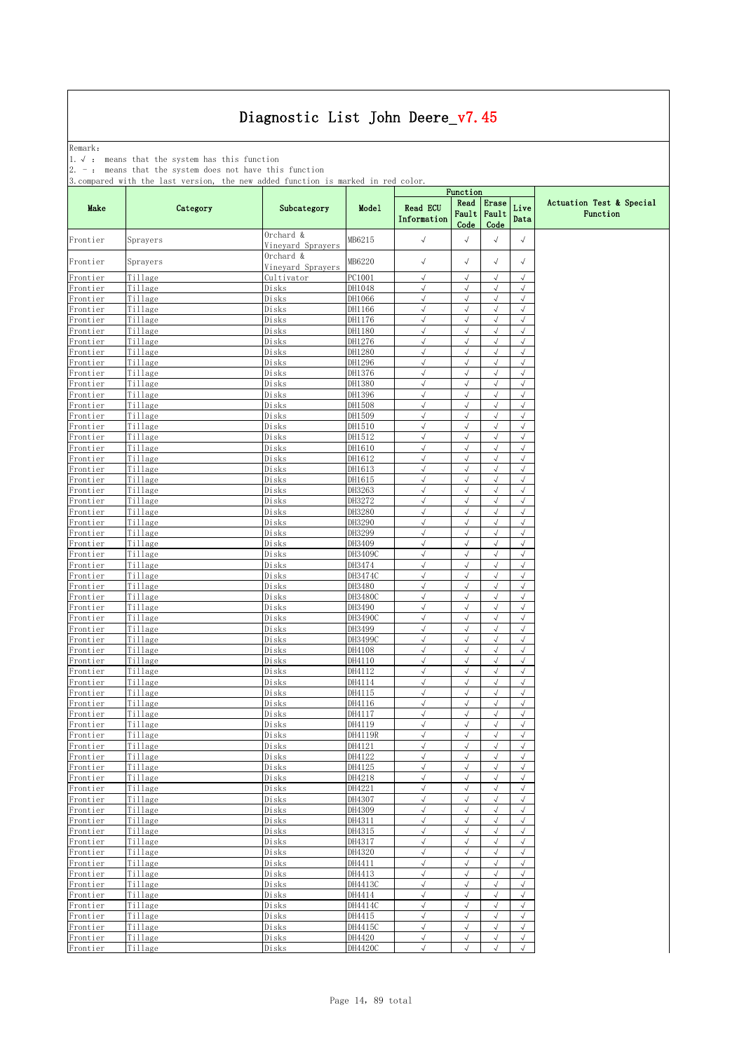Remark: The contract of the contract of  $\mathbb{R}$  and  $\mathbb{R}$  are contract of  $\mathbb{R}$  and  $\mathbb{R}$  are contract of  $\mathbb{R}$  and  $\mathbb{R}$  are contract of  $\mathbb{R}$  and  $\mathbb{R}$  are contract of  $\mathbb{R}$  and  $\mathbb{R}$  are cont

1.√ : means that the system has this function

2. - : means that the system does not have this function

|                      | o. compared wrth the fast version, the new added function is marked in rea coron.<br>Category | Subcategory                    |                   | Function                       |                        |                          |                          |                                      |
|----------------------|-----------------------------------------------------------------------------------------------|--------------------------------|-------------------|--------------------------------|------------------------|--------------------------|--------------------------|--------------------------------------|
| Make                 |                                                                                               |                                | Model             | <b>Read ECU</b><br>Information | Read<br>Fault<br>Code  | Erase<br>Fault<br>Code   | Live<br>Data             | Actuation Test & Special<br>Function |
| Frontier             | Sprayers                                                                                      | Orchard &<br>Vineyard Sprayers | MB6215            | $\sqrt{}$                      | $\sqrt{ }$             | $\sqrt{}$                | $\sqrt{}$                |                                      |
| Frontier             | Sprayers                                                                                      | Orchard &<br>Vineyard Sprayers | MB6220            | $\sqrt{ }$                     | $\sqrt{}$              | $\sqrt{}$                | $\sqrt{ }$               |                                      |
| Frontier             | Tillage                                                                                       | Cultivator                     | PC1001            | $\sqrt{ }$                     | $\sqrt{}$              | $\sqrt{ }$               | $\sqrt{ }$               |                                      |
| Frontier             | Tillage                                                                                       | Disks                          | DH1048            | $\sqrt{}$                      | $\sqrt{}$              | $\sqrt{}$                | $\sqrt{}$                |                                      |
| Frontier             | Tillage                                                                                       | Disks                          | DH1066            | $\sqrt{}$                      | $\sqrt{ }$             | $\sqrt{ }$               | $\sqrt{2}$               |                                      |
| Frontier             | Tillage                                                                                       | Disks                          | DH1166            | $\sqrt{ }$                     | $\sqrt{ }$             | $\sqrt{ }$               | $\sqrt{}$                |                                      |
| Frontier             | Tillage                                                                                       | Disks                          | DH1176            | $\sqrt{ }$                     | $\sqrt{}$              | $\sqrt{}$                | $\sqrt{}$                |                                      |
| Frontier             | Tillage                                                                                       | Disks                          | DH1180            | $\sqrt{ }$                     | $\sqrt{}$              | $\sqrt{ }$               | $\sqrt{}$                |                                      |
| Frontier             | Tillage                                                                                       | Disks                          | DH1276            | $\sqrt{ }$                     | $\sqrt{}$              | $\sqrt{ }$               | $\sqrt{}$                |                                      |
| Frontier             | Tillage                                                                                       | Disks                          | DH1280            | $\sqrt{ }$                     | $\sqrt{}$              | $\sqrt{}$                | $\sqrt{ }$               |                                      |
| Frontier             | Tillage                                                                                       | Disks                          | DH1296            | $\sqrt{}$                      | J                      | $\sqrt{}$                | $\sqrt{2}$               |                                      |
| Frontier             | Tillage                                                                                       | Disks                          | DH1376            | $\sqrt{ }$                     | $\sqrt{}$              | $\sqrt{ }$               | $\sqrt{ }$               |                                      |
| Frontier             | Tillage                                                                                       | Disks<br>Disks                 | DH1380<br>DH1396  | $\sqrt{ }$<br>$\sqrt{ }$       | $\sqrt{}$<br>$\sqrt{}$ | $\sqrt{ }$<br>$\sqrt{ }$ | $\sqrt{}$<br>$\sqrt{ }$  |                                      |
| Frontier<br>Frontier | Tillage<br>Tillage                                                                            | Disks                          | DH1508            | $\sqrt{ }$                     | $\sqrt{}$              | $\sqrt{ }$               | $\sqrt{ }$               |                                      |
| Frontier             | Tillage                                                                                       | Disks                          | DH1509            | $\sqrt{ }$                     | $\sqrt{}$              | $\sqrt{ }$               | $\sqrt{}$                |                                      |
| Frontier             | Tillage                                                                                       | Disks                          | DH1510            | $\sqrt{ }$                     | $\sqrt{}$              | $\sqrt{}$                | $\sqrt{ }$               |                                      |
| Frontier             | Tillage                                                                                       | Disks                          | DH1512            | $\sqrt{ }$                     | $\sqrt{ }$             | $\sqrt{2}$               | $\sqrt{2}$               |                                      |
| Frontier             | Tillage                                                                                       | Disks                          | DH1610            | $\sqrt{ }$                     | $\sqrt{}$              | $\sqrt{ }$               | $\sqrt{2}$               |                                      |
| Frontier             | Tillage                                                                                       | Disks                          | DH1612            | $\sqrt{}$                      | $\sqrt{ }$             | $\sqrt{ }$               | $\sqrt{ }$               |                                      |
| Frontier             | Tillage                                                                                       | Disks                          | DH1613            | $\sqrt{}$                      | $\sqrt{}$              | $\sqrt{ }$               | $\sqrt{}$                |                                      |
| Frontier             | Tillage                                                                                       | Disks                          | DH1615            | $\sqrt{ }$                     | $\sqrt{2}$             | $\sqrt{}$                | $\sqrt{ }$               |                                      |
| Frontier             | Tillage                                                                                       | Disks                          | DH3263            | $\sqrt{ }$                     | $\sqrt{ }$             | $\sqrt{}$                | $\sqrt{}$                |                                      |
| Frontier             | Tillage                                                                                       | Disks                          | DH3272            | $\sqrt{ }$                     | $\sqrt{2}$             | $\sqrt{2}$               | $\sqrt{2}$               |                                      |
| Frontier             | Tillage                                                                                       | Disks                          | DH3280            | $\sqrt{ }$                     | $\sqrt{2}$             | $\sqrt{2}$               | $\sqrt{2}$               |                                      |
| Frontier             | Tillage                                                                                       | Disks                          | DH3290            | $\sqrt{ }$                     | $\sqrt{}$              | $\sqrt{ }$               | $\sqrt{}$                |                                      |
| Frontier             | Tillage                                                                                       | Disks                          | DH3299            | $\sqrt{ }$                     | $\sqrt{}$              | $\sqrt{ }$               | $\sqrt{}$                |                                      |
| Frontier             | Tillage                                                                                       | Disks                          | DH3409            | $\sqrt{ }$                     | $\sqrt{}$              | $\sqrt{}$                | $\sqrt{2}$               |                                      |
| Frontier             | Tillage                                                                                       | Disks                          | DH3409C           | $\sqrt{ }$                     | $\sqrt{}$              | $\sqrt{}$                | $\sqrt{ }$               |                                      |
| Frontier             | Tillage                                                                                       | Disks                          | DH3474            | $\sqrt{ }$                     | $\sqrt{ }$             | $\sqrt{ }$               | $\sqrt{ }$               |                                      |
| Frontier             | Tillage                                                                                       | Disks                          | DH3474C           | $\sqrt{ }$                     | $\sqrt{}$              | $\sqrt{}$                | $\sqrt{ }$               |                                      |
| Frontier             | Tillage                                                                                       | Disks                          | DH3480            | $\sqrt{ }$                     | $\sqrt{}$              | $\sqrt{ }$               | $\sqrt{}$                |                                      |
| Frontier             | Tillage                                                                                       | Disks                          | DH3480C           | $\sqrt{ }$                     | $\sqrt{}$              | $\sqrt{ }$               | $\sqrt{}$                |                                      |
| Frontier             | Tillage                                                                                       | Disks                          | DH3490            | $\sqrt{ }$                     | $\sqrt{}$              | $\sqrt{ }$<br>$\sqrt{}$  | $\sqrt{}$<br>$\sqrt{}$   |                                      |
| Frontier             | Tillage                                                                                       | Disks<br>Disks                 | DH3490C<br>DH3499 | $\sqrt{ }$<br>$\sqrt{ }$       | $\sqrt{}$<br>$\sqrt{}$ | $\sqrt{}$                | $\sqrt{ }$               |                                      |
| Frontier<br>Frontier | Tillage<br>Tillage                                                                            | Disks                          | DH3499C           | $\sqrt{ }$                     | $\sqrt{ }$             | $\sqrt{ }$               | $\sqrt{}$                |                                      |
| Frontier             | Tillage                                                                                       | Disks                          | DH4108            | $\sqrt{ }$                     | $\sqrt{}$              | $\sqrt{2}$               | $\sqrt{2}$               |                                      |
| Frontier             | Tillage                                                                                       | Disks                          | DH4110            | $\sqrt{ }$                     | $\sqrt{}$              | $\sqrt{ }$               | $\sqrt{2}$               |                                      |
| Frontier             | Tillage                                                                                       | Disks                          | DH4112            | $\sqrt{}$                      | $\sqrt{}$              | $\sqrt{ }$               | $\sqrt{ }$               |                                      |
| Frontier             | Tillage                                                                                       | Disks                          | DH4114            | $\sqrt{ }$                     | $\sqrt{}$              | $\sqrt{}$                | $\sqrt{2}$               |                                      |
| Frontier             | Tillage                                                                                       | Disks                          | DH4115            | $\sqrt{ }$                     | $\sqrt{}$              | $\sqrt{}$                | $\sqrt{}$                |                                      |
| Frontier             | Tillage                                                                                       | Disks                          | DH4116            | $\sqrt{ }$                     | $\sqrt{}$              | $\sqrt{}$                | $\sqrt{2}$               |                                      |
| Frontier             | Tillage                                                                                       | Disks                          | DH4117            | $\sqrt{ }$                     | $\sqrt{2}$             | $\sqrt{ }$               | $\sqrt{ }$               |                                      |
| Frontier             | Tillage                                                                                       | Disks                          | DH4119            | $\sqrt{ }$                     | $\sqrt{}$              | $\sqrt{}$                | $\sqrt{}$                |                                      |
| Frontier             | Tillage                                                                                       | Disks                          | DH4119R           | $\sqrt{ }$                     | $\sqrt{}$              | $\sqrt{2}$               | $\sqrt{2}$               |                                      |
| Frontier             | Tillage                                                                                       | Disks                          | DH4121            | $\sqrt{ }$                     | $\sqrt{}$              | $\sqrt{ }$               | $\sqrt{ }$               |                                      |
| Frontier             | Tillage                                                                                       | Disks                          | DH4122            | $\sqrt{ }$                     | $\sqrt{2}$             | $\sqrt{ }$               | $\sqrt{}$                |                                      |
| Frontier             | Tillage                                                                                       | Disks                          | DH4125            | $\sqrt{ }$                     | $\sqrt{ }$             | $\sqrt{}$                | $\sqrt{}$                |                                      |
| Frontier             | Tillage                                                                                       | Disks                          | DH4218            | $\sqrt{ }$<br>$\sqrt{ }$       | $\sqrt{}$<br>$\sqrt{}$ | $\sqrt{ }$<br>$\sqrt{ }$ | $\sqrt{2}$<br>$\sqrt{}$  |                                      |
| Frontier             | Tillage                                                                                       | Disks                          | DH4221            | $\sqrt{ }$                     | $\sqrt{}$              | $\sqrt{ }$               | $\sqrt{}$                |                                      |
| Frontier             | Tillage                                                                                       | Disks                          | DH4307            | $\sqrt{ }$                     | $\sqrt{}$              | $\sqrt{}$                | $\sqrt{2}$               |                                      |
| Frontier<br>Frontier | Tillage<br>Tillage                                                                            | Disks<br>Disks                 | DH4309<br>DH4311  | $\sqrt{ }$                     | $\sqrt{}$              | $\sqrt{}$                | $\sqrt{}$                |                                      |
| Frontier             | Tillage                                                                                       | Disks                          | DH4315            | $\sqrt{ }$                     | $\sqrt{}$              | $\sqrt{}$                | $\sqrt{2}$               |                                      |
| Frontier             | Tillage                                                                                       | Disks                          | DH4317            | $\sqrt{ }$                     | $\sqrt{ }$             | $\sqrt{ }$               | $\sqrt{}$                |                                      |
| Frontier             | Tillage                                                                                       | Disks                          | DH4320            | $\sqrt{ }$                     | $\sqrt{}$              | $\sqrt{ }$               | $\sqrt{ }$               |                                      |
| Frontier             | Tillage                                                                                       | Disks                          | DH4411            | $\sqrt{ }$                     | $\sqrt{}$              | $\sqrt{ }$               | $\sqrt{ }$               |                                      |
| Frontier             | Tillage                                                                                       | Disks                          | DH4413            | $\sqrt{ }$                     | $\sqrt{}$              | $\sqrt{}$                | $\sqrt{}$                |                                      |
| Frontier             | Tillage                                                                                       | Disks                          | DH4413C           | $\sqrt{ }$                     | $\sqrt{}$              | $\sqrt{}$                | $\sqrt{ }$               |                                      |
| Frontier             | Tillage                                                                                       | Disks                          | DH4414            | $\sqrt{ }$                     | $\sqrt{2}$             | $\sqrt{}$                | $\sqrt{2}$               |                                      |
| Frontier             | Tillage                                                                                       | Disks                          | DH4414C           | $\sqrt{ }$                     | $\sqrt{ }$             | $\sqrt{ }$               | $\sqrt{2}$               |                                      |
| Frontier             | Tillage                                                                                       | Disks                          | DH4415            | $\sqrt{ }$                     | $\sqrt{ }$             | $\sqrt{ }$               | $\sqrt{}$                |                                      |
| Frontier             | Tillage                                                                                       | Disks                          | DH4415C           | $\sqrt{ }$                     | $\sqrt{}$              | $\sqrt{ }$               | $\sqrt{ }$               |                                      |
| Frontier             |                                                                                               |                                |                   |                                |                        |                          |                          |                                      |
| Frontier             | Tillage<br>Tillage                                                                            | Disks<br>Disks                 | DH4420<br>DH4420C | $\sqrt{}$<br>$\sqrt{ }$        | $\sqrt{}$<br>$\sqrt{}$ | $\sqrt{}$<br>$\sqrt{}$   | $\sqrt{2}$<br>$\sqrt{2}$ |                                      |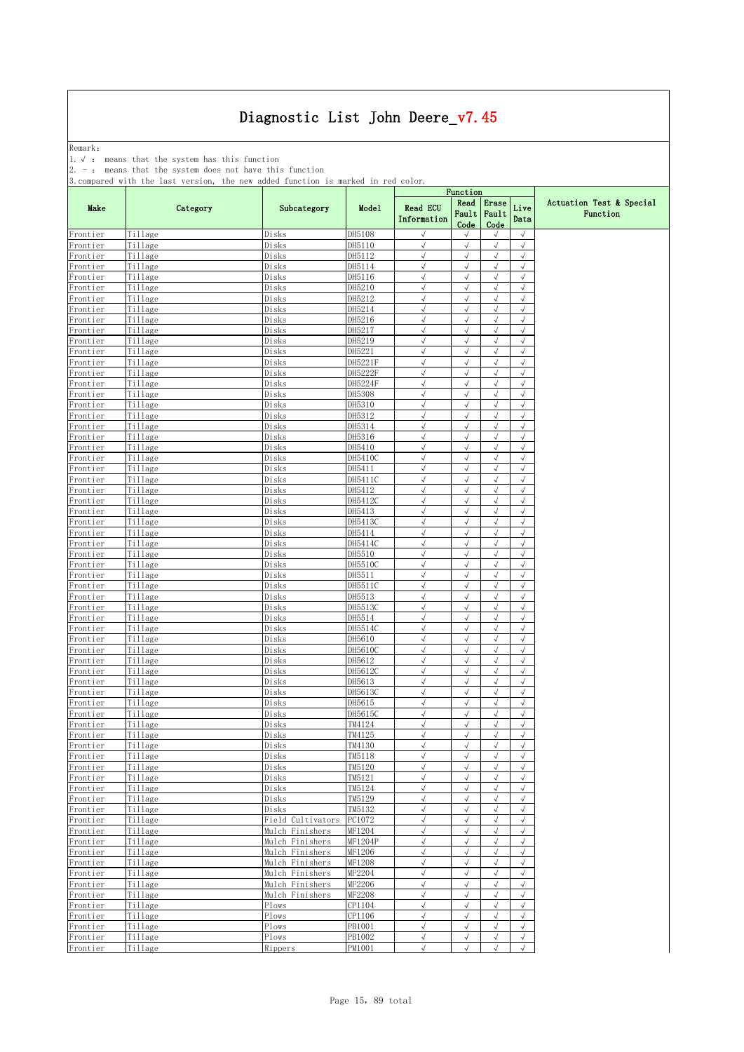Remark: The contract of the contract of  $\mathbb{R}$  and  $\mathbb{R}$  are contract of  $\mathbb{R}$  and  $\mathbb{R}$  are contract of  $\mathbb{R}$  and  $\mathbb{R}$  are contract of  $\mathbb{R}$  and  $\mathbb{R}$  are contract of  $\mathbb{R}$  and  $\mathbb{R}$  are cont

1.√ : means that the system has this function

2. - : means that the system does not have this function

|                      |                    |                          |                   |                                | Function                |                          |                          |                                      |
|----------------------|--------------------|--------------------------|-------------------|--------------------------------|-------------------------|--------------------------|--------------------------|--------------------------------------|
| Make                 | Category           | Subcategory              | Model             | <b>Read ECU</b><br>Information | Read<br>Fault<br>Code   | Erase<br>Fault<br>Code   | Live<br>Data             | Actuation Test & Special<br>Function |
| Frontier             | Tillage            | Disks                    | DH5108            | $\sqrt{ }$                     | $\sqrt{ }$              | $\sqrt{ }$               | $\sqrt{ }$               |                                      |
| Frontier<br>Frontier | Tillage<br>Tillage | Disks<br>Disks           | DH5110<br>DH5112  | $\sqrt{ }$<br>$\sqrt{ }$       | $\sqrt{}$<br>$\sqrt{}$  | $\sqrt{ }$<br>$\sqrt{}$  | $\sqrt{ }$<br>$\sqrt{ }$ |                                      |
| Frontier             | Tillage            | Disks                    | DH5114            | √                              |                         | $\sqrt{ }$               | $\sqrt{}$                |                                      |
| Frontier             | Tillage            | Disks                    | DH5116            | $\sqrt{ }$                     | $\sqrt{}$               | $\sqrt{ }$               | $\sqrt{ }$               |                                      |
| Frontier             | Tillage            | Disks                    | DH5210            | $\sqrt{ }$                     | $\sqrt{}$               | $\sqrt{ }$               | $\sqrt{2}$               |                                      |
| Frontier             | Tillage            | Disks                    | DH5212            | $\sqrt{2}$                     | $\sqrt{}$               | $\sqrt{ }$               | $\sqrt{ }$               |                                      |
| Frontier             | Tillage            | Disks                    | DH5214            | $\sqrt{}$                      | $\sqrt{}$               | $\sqrt{ }$               | $\sqrt{ }$               |                                      |
| Frontier             | Tillage            | Disks                    | DH5216            | $\sqrt{}$                      | $\sqrt{}$               | $\sqrt{}$                | $\sqrt{ }$               |                                      |
| Frontier             | Tillage            | Disks                    | DH5217            | $\sqrt{ }$<br>$\sqrt{}$        | $\sqrt{}$               | $\sqrt{ }$<br>$\sqrt{ }$ | $\sqrt{2}$<br>$\sqrt{2}$ |                                      |
| Frontier<br>Frontier | Tillage<br>Tillage | Disks<br>Disks           | DH5219<br>DH5221  | $\sqrt{2}$                     | $\sqrt{}$               | $\sqrt{}$                | $\sqrt{ }$               |                                      |
| Frontier             | Tillage            | Disks                    | DH5221F           | $\sqrt{ }$                     | $\sqrt{}$               | $\sqrt{}$                | $\sqrt{ }$               |                                      |
| Frontier             | Tillage            | Disks                    | DH5222F           | $\sqrt{}$                      | $\sqrt{}$               | $\sqrt{}$                | $\sqrt{ }$               |                                      |
| Frontier             | Tillage            | Disks                    | DH5224F           | $\sqrt{ }$                     | $\sqrt{ }$              | $\sqrt{}$                | $\sqrt{2}$               |                                      |
| Frontier             | Tillage            | Disks                    | DH5308            | $\sqrt{}$                      | $\sqrt{}$               | $\sqrt{ }$               | $\sqrt{ }$               |                                      |
| Frontier             | Tillage            | Disks                    | DH5310            | $\sqrt{}$                      | $\sqrt{}$               | $\sqrt{}$                | $\sqrt{ }$               |                                      |
| Frontier             | Tillage            | Disks                    | DH5312            | $\sqrt{ }$                     | $\sqrt{2}$              | $\sqrt{ }$               | $\sqrt{ }$               |                                      |
| Frontier             | Tillage<br>Tillage | Disks                    | DH5314<br>DH5316  | $\sqrt{ }$<br>$\sqrt{ }$       | $\sqrt{}$<br>$\sqrt{}$  | $\sqrt{ }$<br>$\sqrt{ }$ | $\sqrt{ }$<br>$\sqrt{ }$ |                                      |
| Frontier<br>Frontier | Tillage            | Disks<br>Disks           | DH5410            | $\sqrt{}$                      | $\sqrt{}$               | $\sqrt{}$                | $\sqrt{}$                |                                      |
| Frontier             | Tillage            | Disks                    | DH5410C           | $\sqrt{ }$                     | $\sqrt{}$               | $\sqrt{}$                | $\sqrt{ }$               |                                      |
| Frontier             | Tillage            | Disks                    | DH5411            | √                              |                         | $\sqrt{ }$               | $\sqrt{}$                |                                      |
| Frontier             | Tillage            | Disks                    | DH5411C           | $\sqrt{ }$                     | $\sqrt{}$               | $\sqrt{ }$               | $\sqrt{}$                |                                      |
| Frontier             | Tillage            | Disks                    | DH5412            | $\sqrt{ }$                     | $\sqrt{2}$              | $\sqrt{ }$               | $\sqrt{}$                |                                      |
| Frontier             | Tillage            | Disks                    | DH5412C           | $\sqrt{}$                      | $\sqrt{}$               | $\sqrt{}$                | $\sqrt{}$                |                                      |
| Frontier             | Tillage            | Disks                    | DH5413            | $\sqrt{ }$                     | $\sqrt{}$               | $\sqrt{ }$               | $\sqrt{}$                |                                      |
| Frontier<br>Frontier | Tillage<br>Tillage | Disks<br>Disks           | DH5413C<br>DH5414 | $\sqrt{}$<br>$\sqrt{}$         | $\sqrt{}$<br>$\sqrt{}$  | $\sqrt{ }$<br>$\sqrt{2}$ | $\sqrt{ }$<br>$\sqrt{ }$ |                                      |
| Frontier             | Tillage            | Disks                    | DH5414C           | $\sqrt{}$                      | $\sqrt{ }$              | $\sqrt{ }$               | $\sqrt{}$                |                                      |
| Frontier             | Tillage            | Disks                    | DH5510            | $\sqrt{ }$                     | $\sqrt{}$               | $\sqrt{ }$               | $\sqrt{ }$               |                                      |
| Frontier             | Tillage            | Disks                    | DH5510C           | $\sqrt{ }$                     | $\sqrt{}$               | $\sqrt{ }$               | $\sqrt{ }$               |                                      |
| Frontier             | Tillage            | Disks                    | DH5511            | $\sqrt{}$                      | $\sqrt{}$               | $\sqrt{ }$               | $\sqrt{ }$               |                                      |
| Frontier             | Tillage            | Disks                    | DH5511C           | $\sqrt{}$                      | $\sqrt{ }$              | $\sqrt{}$                | $\sqrt{2}$               |                                      |
| Frontier             | Tillage            | Disks                    | DH5513            | √                              | $\sqrt{}$               | $\sqrt{}$                | $\sqrt{2}$               |                                      |
| Frontier<br>Frontier | Tillage<br>Tillage | Disks<br>Disks           | DH5513C<br>DH5514 | $\sqrt{2}$<br>$\sqrt{ }$       | $\sqrt{2}$<br>$\sqrt{}$ | $\sqrt{ }$<br>$\sqrt{ }$ | $\sqrt{2}$<br>$\sqrt{ }$ |                                      |
| Frontier             | Tillage            | Disks                    | DH5514C           | $\sqrt{ }$                     | $\sqrt{}$               | $\sqrt{}$                | $\sqrt{ }$               |                                      |
| Frontier             | Tillage            | Disks                    | DH5610            | $\sqrt{ }$                     | $\sqrt{}$               | $\sqrt{ }$               | $\sqrt{ }$               |                                      |
| Frontier             | Tillage            | Disks                    | DH5610C           | $\sqrt{}$                      | $\sqrt{}$               | $\sqrt{}$                | $\sqrt{ }$               |                                      |
| Frontier             | Tillage            | Disks                    | DH5612            | $\sqrt{ }$                     | $\sqrt{}$               | $\sqrt{}$                | $\sqrt{ }$               |                                      |
| Frontier             | Tillage            | Disks                    | DH5612C           | $\sqrt{}$                      |                         | $\sqrt{ }$               | $\sqrt{ }$               |                                      |
| Frontier             | Tillage            | Disks                    | DH5613            | $\sqrt{ }$                     | $\sqrt{2}$              | $\sqrt{ }$               | $\sqrt{2}$               |                                      |
| Frontier             | Tillage            | Disks                    | DH5613C           | $\sqrt{ }$                     | $\sqrt{}$               | $\sqrt{}$                | $\sqrt{ }$               |                                      |
| Frontier<br>Frontier | Tillage<br>Tillage | Disks<br>Disks           | DH5615<br>DH5615C | $\sqrt{ }$<br>$\sqrt{}$        | √<br>$\sqrt{}$          | $\sqrt{}$<br>$\sqrt{ }$  | $\sqrt{}$<br>$\sqrt{2}$  |                                      |
| Frontier             | Tillage            | Disks                    | TM4124            | √                              | $\sqrt{}$               | $\sqrt{ }$               | $\sqrt{}$                |                                      |
| Frontier             | Tillage            | Disks                    | TM4125            | $\sqrt{2}$                     |                         | $\sqrt{2}$               | $\checkmark$             |                                      |
| Frontier             | Tillage            | Disks                    | TM4130            | √                              | √                       | √                        | $\sqrt{ }$               |                                      |
| Frontier             | Tillage            | Disks                    | TM5118            | $\sqrt{ }$                     | $\sqrt{}$               | $\sqrt{ }$               | $\sqrt{ }$               |                                      |
| Frontier             | Tillage            | Disks                    | TM5120            | $\sqrt{}$                      | $\sqrt{ }$              | $\sqrt{ }$               | $\sqrt{ }$               |                                      |
| Frontier             | Tillage            | Disks                    | TM5121            | $\sqrt{ }$                     | $\sqrt{}$               | $\sqrt{ }$               | $\sqrt{ }$               |                                      |
| Frontier             | Tillage            | Disks                    | TM5124            | $\sqrt{ }$                     | $\sqrt{2}$<br>$\sqrt{}$ | $\sqrt{ }$<br>$\sqrt{ }$ | $\sqrt{ }$<br>$\sqrt{2}$ |                                      |
| Frontier<br>Frontier | Tillage<br>Tillage | Disks<br>Disks           | TM5129<br>TM5132  | √<br>$\sqrt{ }$                | $\sqrt{2}$              | $\sqrt{ }$               | $\sqrt{ }$               |                                      |
| Frontier             | Tillage            | Field Cultivators        | PC1072            | $\sqrt{ }$                     | $\sqrt{}$               | $\sqrt{ }$               | $\sqrt{}$                |                                      |
| Frontier             | Tillage            | Mulch Finishers          | MF1204            | $\sqrt{ }$                     | $\sqrt{}$               | $\sqrt{ }$               | $\sqrt{ }$               |                                      |
| Frontier             | Tillage            | Mulch Finishers          | MF1204P           | $\sqrt{ }$                     | $\sqrt{ }$              | $\sqrt{ }$               | $\sqrt{ }$               |                                      |
| Frontier             | Tillage            | Mulch Finishers          | MF1206            | $\sqrt{ }$                     | $\sqrt{2}$              | $\sqrt{ }$               | $\sqrt{ }$               |                                      |
| Frontier             | Tillage            | Mulch Finishers          | MF1208            | $\sqrt{2}$                     | $\sqrt{2}$              | $\sqrt{}$                | $\sqrt{2}$               |                                      |
| Frontier             | Tillage            | Mulch Finishers          | MF2204            | $\sqrt{ }$                     | $\checkmark$            | $\sqrt{}$                | $\sqrt{ }$               |                                      |
| Frontier             | Tillage            | Mulch Finishers          | MF2206            | $\sqrt{ }$                     | $\sqrt{}$               | $\sqrt{ }$               | $\sqrt{ }$               |                                      |
| Frontier             | Tillage<br>Tillage | Mulch Finishers<br>Plows | MF2208<br>CP1104  | $\sqrt{ }$<br>$\sqrt{}$        | $\sqrt{}$<br>$\sqrt{}$  | $\sqrt{ }$<br>$\sqrt{ }$ | $\sqrt{ }$<br>$\sqrt{ }$ |                                      |
| Frontier<br>Frontier | Tillage            | Plows                    | CP1106            | $\checkmark$                   | $\sqrt{}$               | $\sqrt{}$                | $\sqrt{ }$               |                                      |
| Frontier             | Tillage            | Plows                    | PB1001            | $\sqrt{}$                      | $\sqrt{}$               | $\sqrt{}$                | $\sqrt{ }$               |                                      |
| Frontier             | Tillage            | Plows                    | PB1002            | $\sqrt{ }$                     | $\sqrt{2}$              | $\sqrt{ }$               | $\sqrt{ }$               |                                      |
| Frontier             | Tillage            | Rippers                  | PM1001            | $\sqrt{ }$                     | $\sqrt{}$               | $\sqrt{ }$               | $\sqrt{ }$               |                                      |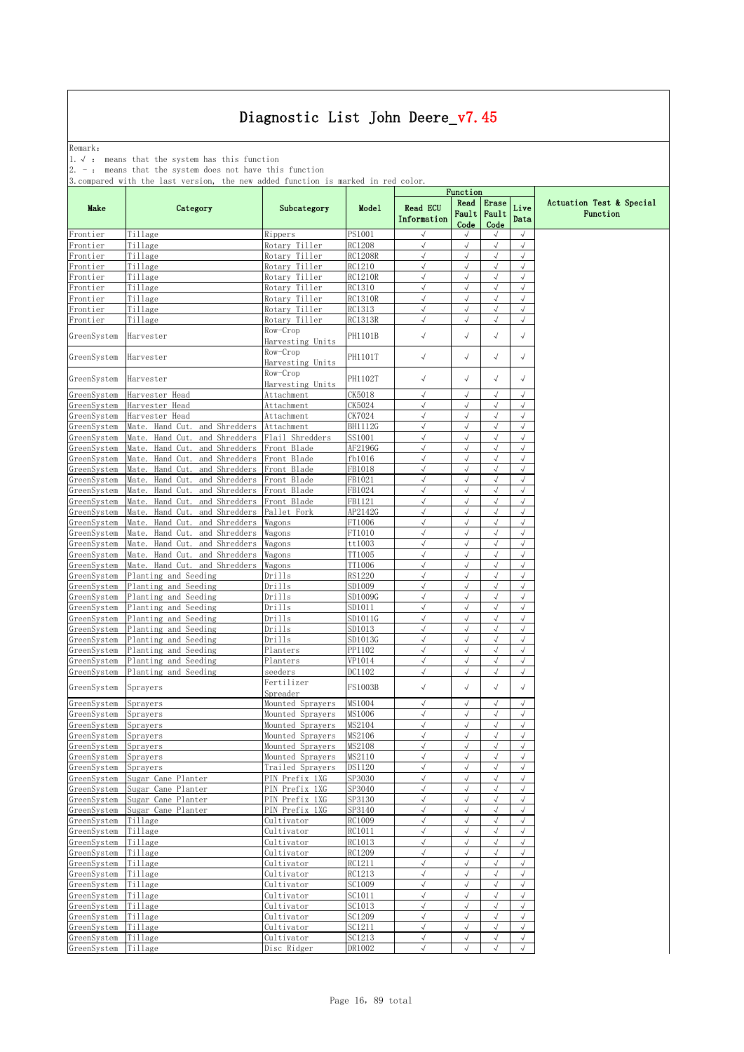Remark: The contract of the contract of  $\mathbb{R}$  and  $\mathbb{R}$  are contract of  $\mathbb{R}$  and  $\mathbb{R}$  are contract of  $\mathbb{R}$  and  $\mathbb{R}$  are contract of  $\mathbb{R}$  and  $\mathbb{R}$  are contract of  $\mathbb{R}$  and  $\mathbb{R}$  are cont

1.√ : means that the system has this function

2. - : means that the system does not have this function

|                            |                                                               |                                |                          |                                | Function                 |                          |                         |                                      |
|----------------------------|---------------------------------------------------------------|--------------------------------|--------------------------|--------------------------------|--------------------------|--------------------------|-------------------------|--------------------------------------|
| Make                       | Category                                                      | Subcategory                    | Model                    | <b>Read ECU</b><br>Information | Read<br>Fault<br>Code    | Erase<br>Fault<br>Code   | Live<br>Data            | Actuation Test & Special<br>Function |
| Frontier                   | Tillage                                                       | Rippers                        | PS1001                   | $\sqrt{ }$                     | $\sqrt{ }$               | $\sqrt{ }$               | $\sqrt{ }$              |                                      |
| Frontier                   | Tillage                                                       | Rotary Tiller                  | <b>RC1208</b>            | $\sqrt{ }$                     | $\sqrt{}$                | $\sqrt{}$                | $\sqrt{ }$              |                                      |
| Frontier                   | Tillage                                                       | Rotary Tiller                  | <b>RC1208R</b>           | $\sqrt{}$                      | $\sqrt{2}$               | $\sqrt{ }$               | $\sqrt{2}$              |                                      |
| Frontier                   | Tillage<br>Tillage                                            | Rotary Tiller<br>Rotary Tiller | RC1210                   | $\sqrt{}$<br>$\sqrt{ }$        | $\sqrt{2}$<br>$\sqrt{}$  | $\sqrt{ }$<br>$\sqrt{ }$ | $\sqrt{}$<br>$\sqrt{ }$ |                                      |
| Frontier<br>Frontier       | Tillage                                                       | Rotary Tiller                  | <b>RC1210R</b><br>RC1310 | $\sqrt{2}$                     | $\sqrt{}$                | $\sqrt{ }$               | $\sqrt{2}$              |                                      |
| Frontier                   | Tillage                                                       | Rotary Tiller                  | <b>RC1310R</b>           | $\sqrt{}$                      | $\sqrt{}$                | $\sqrt{ }$               | $\sqrt{2}$              |                                      |
| Frontier                   | Tillage                                                       | Rotary Tiller                  | RC1313                   | $\sqrt{}$                      | $\sqrt{2}$               | $\sqrt{}$                | $\sqrt{2}$              |                                      |
| Frontier                   | Tillage                                                       | Rotary Tiller                  | RC1313R                  | √                              | $\sqrt{}$                | $\sqrt{}$                | $\sqrt{}$               |                                      |
| GreenSystem                | Harvester                                                     | Row-Crop<br>Harvesting Units   | PH1101B                  | $\sqrt{ }$                     | $\sqrt{ }$               | $\sqrt{ }$               | $\sqrt{ }$              |                                      |
| GreenSystem                | Harvester                                                     | Row-Crop<br>Harvesting Units   | PH1101T                  | $\sqrt{}$                      | $\sqrt{}$                | $\sqrt{}$                | $\sqrt{}$               |                                      |
| GreenSystem                | Harvester                                                     | Row-Crop<br>Harvesting Units   | PH1102T                  | $\sqrt{ }$                     | $\sqrt{}$                | $\sqrt{ }$               | $\sqrt{}$               |                                      |
| GreenSystem                | Harvester Head                                                | Attachment                     | CK5018                   | $\sqrt{}$                      | $\sqrt{}$                | $\sqrt{ }$               | $\sqrt{}$               |                                      |
| GreenSystem                | Harvester Head                                                | Attachment                     | CK5024                   | $\sqrt{2}$                     | $\sqrt{}$                | $\sqrt{ }$               | $\sqrt{}$               |                                      |
| GreenSystem                | Harvester Head                                                | Attachment                     | CK7024                   | $\sqrt{ }$                     | $\sqrt{2}$               | $\sqrt{ }$               | $\sqrt{}$               |                                      |
| GreenSystem                | Hand Cut.<br>Mate.<br>and Shredders                           | Attachment                     | BH1112G                  | $\sqrt{ }$                     | $\sqrt{}$                | $\sqrt{ }$               | $\sqrt{}$               |                                      |
| GreenSystem                | and Shredders<br>Mate.<br>Hand Cut.                           | Flail<br>Shredders             | SS1001                   | $\sqrt{2}$                     | $\sqrt{}$                | $\sqrt{ }$               | $\sqrt{}$               |                                      |
| GreenSystem                | and Shredders<br>Mate.<br>Hand<br>Cut.                        | Blade<br>Front                 | AF2196G                  | $\sqrt{}$                      | $\sqrt{}$                | $\sqrt{}$                | $\sqrt{}$               |                                      |
| GreenSystem                | Mate.<br>Hand<br>Cut.<br>and Shredders                        | Front Blade                    | fb1016                   | $\sqrt{2}$                     | $\sqrt{}$                | $\sqrt{}$                | $\sqrt{ }$              |                                      |
| GreenSystem                | and Shredders<br>Mate.<br>Hand<br>Cut.                        | Front Blade                    | FB1018                   | J                              |                          |                          | $\sqrt{2}$              |                                      |
| GreenSystem                | Hand Cut.<br>and Shredders<br>Mate.<br>and Shredders<br>Mate. | Front Blade<br>Front Blade     | FB1021<br>FB1024         | $\sqrt{2}$<br>$\sqrt{ }$       | $\sqrt{2}$<br>$\sqrt{2}$ | $\sqrt{ }$<br>$\sqrt{ }$ | $\sqrt{}$<br>$\sqrt{2}$ |                                      |
| GreenSystem<br>GreenSystem | Hand Cut.<br>and Shredders<br>Mate.<br>Hand<br>Cut.           | Front Blade                    | FB1121                   | $\sqrt{ }$                     | $\sqrt{}$                | $\sqrt{}$                | $\sqrt{}$               |                                      |
| GreenSystem                | and Shredders<br>Mate.<br>Hand<br>Cut.                        | Pallet Fork                    | AP2142G                  | $\sqrt{ }$                     | $\sqrt{}$                | $\sqrt{ }$               | $\sqrt{ }$              |                                      |
| GreenSystem                | and Shredders<br>Mate.<br>Hand<br>Cut.                        | Wagons                         | FT1006                   | $\sqrt{ }$                     | $\sqrt{}$                | $\sqrt{ }$               | $\sqrt{2}$              |                                      |
| GreenSystem                | Mate.<br>Hand<br>Cut.<br>and Shredders                        | Wagons                         | FT1010                   | $\sqrt{2}$                     | $\sqrt{}$                | $\sqrt{ }$               | $\sqrt{}$               |                                      |
| GreenSystem                | Hand Cut.<br>and Shredders<br>Mate.                           | Wagons                         | tt1003                   | $\sqrt{}$                      | $\sqrt{2}$               | $\sqrt{ }$               | $\sqrt{}$               |                                      |
| GreenSystem                | Hand Cut. and Shredders<br>Mate.                              | Wagons                         | TT1005                   | $\sqrt{2}$                     | $\sqrt{}$                | $\sqrt{ }$               | $\sqrt{2}$              |                                      |
| GreenSystem                | Hand Cut. and Shredders<br>Mate.                              | Wagons                         | TT1006                   | $\sqrt{ }$                     | $\sqrt{}$                | $\sqrt{ }$               | $\sqrt{}$               |                                      |
| GreenSystem                | Planting and Seeding                                          | Drills                         | RS1220                   | $\sqrt{}$                      | $\sqrt{}$                | $\sqrt{}$                | $\sqrt{2}$              |                                      |
| GreenSystem                | Planting and Seeding                                          | Drills                         | SD1009                   | $\sqrt{}$                      | $\sqrt{2}$               | $\sqrt{}$                | $\sqrt{2}$              |                                      |
| GreenSystem                | Planting and Seeding                                          | Drills                         | SD1009G                  | $\sqrt{}$                      | $\sqrt{}$                | $\sqrt{ }$               | $\sqrt{2}$              |                                      |
| GreenSystem                | Planting and Seeding                                          | Drills                         | SD1011                   | $\sqrt{2}$                     | $\sqrt{2}$               | $\sqrt{ }$               | $\sqrt{2}$              |                                      |
| GreenSystem                | Planting and Seeding                                          | Drills                         | SD1011G                  | $\sqrt{ }$                     | $\sqrt{}$                | $\sqrt{ }$               | $\sqrt{}$               |                                      |
| GreenSystem                | Planting and Seeding                                          | Drills<br>Drills               | SD1013                   | $\sqrt{ }$<br>$\sqrt{ }$       | $\sqrt{}$<br>$\sqrt{}$   | $\sqrt{}$<br>$\sqrt{ }$  | $\sqrt{}$               |                                      |
| GreenSystem<br>GreenSystem | Planting and Seeding<br>Planting and Seeding                  | Planters                       | SD1013G<br>PP1102        | $\sqrt{}$                      | $\sqrt{}$                | $\sqrt{}$                | $\sqrt{}$<br>$\sqrt{}$  |                                      |
| GreenSystem                | Planting and Seeding                                          | Planters                       | VP1014                   | $\sqrt{ }$                     | $\sqrt{}$                | $\sqrt{}$                | $\sqrt{ }$              |                                      |
| GreenSystem                | Planting and Seeding                                          | seeders                        | DC1102                   | √                              |                          | $\sqrt{}$                | $\sqrt{}$               |                                      |
| GreenSystem                | Sprayers                                                      | Fertilizer<br>Spreader         | FS1003B                  | $\sqrt{ }$                     | $\sqrt{ }$               | $\sqrt{ }$               | $\sqrt{}$               |                                      |
| GreenSystem                | Sprayers                                                      | Mounted Sprayers               | MS1004                   | $\sqrt{}$                      | $\sqrt{}$                | $\sqrt{}$                | $\sqrt{ }$              |                                      |
| GreenSystem                | Sprayers                                                      | Mounted Sprayers               | MS1006                   | $\sqrt{ }$                     | $\sqrt{}$                | $\sqrt{ }$               | $\sqrt{ }$              |                                      |
| GreenSystem                | Spravers                                                      | Mounted Spravers               | MS2104                   | $\checkmark$                   | $\sqrt{}$                | $\sqrt{ }$               | $\sqrt{ }$              |                                      |
| GreenSystem                | Sprayers                                                      | Mounted Sprayers               | MS2106                   | J                              |                          | $\sqrt{2}$               | $\sqrt{}$               |                                      |
| GreenSystem Sprayers       |                                                               | Mounted Sprayers               | MS2108                   | √                              | √                        | √                        | $\sqrt{ }$              |                                      |
| GreenSystem                | Sprayers                                                      | Mounted Sprayers               | MS2110                   | $\sqrt{ }$                     | $\sqrt{}$                | $\sqrt{ }$               | $\sqrt{ }$              |                                      |
| GreenSystem                | Sprayers                                                      | Trailed Spravers               | DS1120                   | $\sqrt{}$                      | $\sqrt{ }$               | $\sqrt{ }$               | $\sqrt{ }$              |                                      |
| GreenSystem                | Sugar Cane Planter                                            | PIN Prefix 1XG                 | SP3030                   | $\sqrt{ }$                     | $\sqrt{}$                | $\sqrt{ }$               | $\sqrt{ }$              |                                      |
| GreenSystem                | Sugar Cane Planter                                            | PIN Prefix 1XG                 | SP3040                   | $\sqrt{ }$                     | $\sqrt{}$                | $\sqrt{ }$               | $\sqrt{ }$              |                                      |
| GreenSystem                | Sugar Cane Planter                                            | PIN Prefix 1XG                 | SP3130                   | $\sqrt{}$                      | $\sqrt{2}$               | $\sqrt{ }$               | $\sqrt{ }$              |                                      |
| GreenSystem<br>GreenSystem | Sugar Cane Planter<br>Tillage                                 | PIN Prefix 1XG<br>Cultivator   | SP3140<br>RC1009         | $\sqrt{ }$<br>$\sqrt{ }$       | $\sqrt{2}$<br>$\sqrt{}$  | $\sqrt{ }$<br>$\sqrt{ }$ | $\sqrt{ }$<br>$\sqrt{}$ |                                      |
| GreenSystem                | Tillage                                                       | Cultivator                     | RC1011                   | $\sqrt{ }$                     | $\sqrt{}$                | $\sqrt{ }$               | $\sqrt{ }$              |                                      |
| GreenSystem                | Tillage                                                       | Cultivator                     | RC1013                   | $\sqrt{ }$                     | $\sqrt{}$                | $\sqrt{ }$               | $\sqrt{ }$              |                                      |
| GreenSystem                | Tillage                                                       | Cultivator                     | RC1209                   | $\sqrt{ }$                     | $\sqrt{}$                | $\sqrt{}$                | $\sqrt{ }$              |                                      |
| GreenSystem                | Tillage                                                       | Cultivator                     | RC1211                   | $\sqrt{ }$                     | $\sqrt{}$                | $\sqrt{}$                | $\sqrt{ }$              |                                      |
| GreenSystem                | Tillage                                                       | Cultivator                     | RC1213                   | $\sqrt{ }$                     |                          | $\sqrt{}$                | $\sqrt{2}$              |                                      |
| GreenSystem                | Tillage                                                       | Cultivator                     | SC1009                   | $\sqrt{ }$                     | $\sqrt{}$                | $\sqrt{}$                | $\sqrt{2}$              |                                      |
| GreenSystem                | Tillage                                                       | Cultivator                     | SC1011                   | $\sqrt{ }$                     | $\sqrt{}$                | $\sqrt{ }$               | $\sqrt{ }$              |                                      |
| GreenSystem                | Tillage                                                       | Cultivator                     | SC1013                   | $\sqrt{ }$                     | $\sqrt{}$                | $\sqrt{ }$               | $\sqrt{ }$              |                                      |
| GreenSystem                | Tillage                                                       | Cultivator                     | SC1209                   | $\sqrt{ }$                     | $\sqrt{ }$               | $\sqrt{ }$               | $\sqrt{2}$              |                                      |
| GreenSystem                | Tillage                                                       | Cultivator                     | SC1211                   | $\sqrt{}$                      | $\sqrt{}$                | $\sqrt{}$                | $\sqrt{ }$              |                                      |
| GreenSystem                | Tillage                                                       | Cultivator                     | SC1213                   | $\sqrt{ }$                     | $\sqrt{}$                | $\sqrt{2}$               | $\sqrt{ }$              |                                      |
| GreenSystem                | Tillage                                                       | Disc Ridger                    | DR1002                   | $\sqrt{}$                      |                          |                          | $\sqrt{}$               |                                      |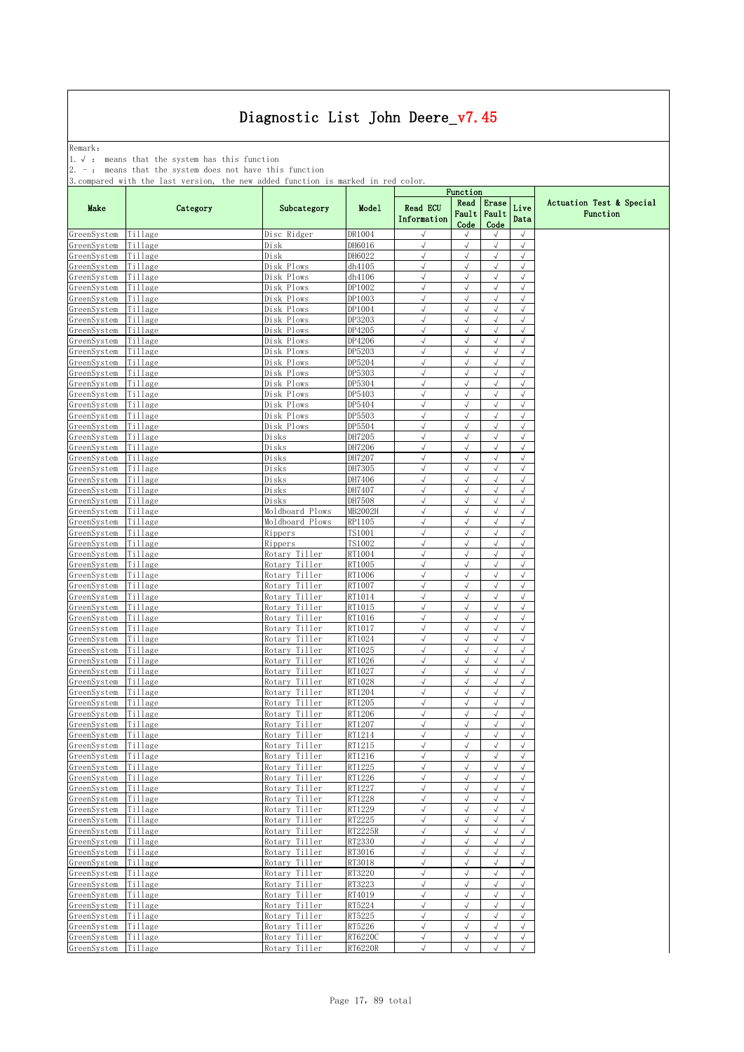Remark: The contract of the contract of  $\mathbb{R}$  and  $\mathbb{R}$  are contract of  $\mathbb{R}$  and  $\mathbb{R}$  are contract of  $\mathbb{R}$  and  $\mathbb{R}$  are contract of  $\mathbb{R}$  and  $\mathbb{R}$  are contract of  $\mathbb{R}$  and  $\mathbb{R}$  are cont

1.√ : means that the system has this function

2. - : means that the system does not have this function

|                            |                    |                                |                   |                            | Function                |                          |                          |                                      |
|----------------------------|--------------------|--------------------------------|-------------------|----------------------------|-------------------------|--------------------------|--------------------------|--------------------------------------|
| Make                       | Category           | Subcategory                    | Model             | Read ECU<br>Information    | Read<br>Fault<br>Code   | Erase<br>Fault<br>Code   | Live<br>Data             | Actuation Test & Special<br>Function |
| GreenSystem                | Tillage            | Disc Ridger                    | DR1004            | $\checkmark$               | $\sqrt{}$               | $\sqrt{ }$               | $\sqrt{}$                |                                      |
| GreenSystem                | Tillage            | Disk                           | DH6016            | $\sqrt{ }$                 | $\sqrt{}$               | $\sqrt{ }$               | $\sqrt{}$                |                                      |
| GreenSystem                | Tillage            | Disk                           | DH6022            | $\sqrt{2}$                 | $\sqrt{}$               | $\sqrt{ }$               | $\sqrt{2}$               |                                      |
| GreenSystem                | Tillage            | Disk Plows                     | dh4105            | $\sqrt{ }$                 | $\sqrt{}$               | $\sqrt{ }$               | $\sqrt{ }$               |                                      |
| GreenSystem<br>GreenSystem | Tillage<br>Tillage | Disk Plows<br>Disk Plows       | dh4106<br>DP1002  | $\sqrt{}$<br>$\sqrt{2}$    | $\sqrt{}$<br>$\sqrt{}$  | $\sqrt{}$<br>$\sqrt{}$   | $\sqrt{ }$<br>$\sqrt{ }$ |                                      |
| GreenSystem                | Tillage            | Disk Plows                     | DP1003            | √                          | √                       | $\sqrt{ }$               | $\sqrt{ }$               |                                      |
| GreenSystem                | Tillage            | Disk Plows                     | DP1004            | $\sqrt{ }$                 | $\sqrt{}$               | $\sqrt{ }$               | $\sqrt{ }$               |                                      |
| GreenSystem                | Tillage            | Disk Plows                     | DP3203            | $\sqrt{ }$                 | $\sqrt{}$               | $\sqrt{ }$               | $\sqrt{ }$               |                                      |
| GreenSystem                | Tillage            | Disk Plows                     | DP4205            | $\sqrt{ }$                 | $\sqrt{}$               | $\sqrt{ }$               | $\sqrt{ }$               |                                      |
| GreenSystem                | Tillage            | Disk Plows                     | DP4206            | $\sqrt{}$                  | $\sqrt{}$               | $\sqrt{ }$               | $\sqrt{ }$               |                                      |
| GreenSystem                | Tillage            | Disk Plows                     | DP5203            | $\sqrt{}$                  | $\sqrt{}$               | $\sqrt{}$                | $\sqrt{ }$               |                                      |
| GreenSystem                | Tillage            | Disk Plows                     | DP5204            | $\sqrt{ }$                 | $\sqrt{}$               | $\sqrt{}$                | $\sqrt{2}$               |                                      |
| GreenSystem                | Tillage            | Disk Plows                     | DP5303            | $\sqrt{}$                  |                         | $\sqrt{ }$               | $\sqrt{ }$               |                                      |
| GreenSystem<br>GreenSystem | Tillage<br>Tillage | Disk Plows<br>Disk Plows       | DP5304<br>DP5403  | $\sqrt{2}$<br>$\sqrt{2}$   | $\sqrt{}$<br>$\sqrt{}$  | $\sqrt{}$<br>$\sqrt{}$   | $\sqrt{ }$<br>$\sqrt{ }$ |                                      |
| GreenSystem                | Tillage            | Disk Plows                     | DP5404            | $\sqrt{ }$                 | $\sqrt{}$               | $\sqrt{}$                | $\sqrt{ }$               |                                      |
| GreenSystem                | Tillage            | Disk Plows                     | DP5503            | $\sqrt{ }$                 | $\sqrt{}$               | $\sqrt{ }$               | $\sqrt{2}$               |                                      |
| GreenSystem                | Tillage            | Disk Plows                     | DP5504            | √                          | $\sqrt{}$               | $\sqrt{ }$               | $\sqrt{ }$               |                                      |
| GreenSystem                | Tillage            | Disks                          | DH7205            | $\sqrt{2}$                 | $\sqrt{}$               | $\sqrt{}$                | $\sqrt{2}$               |                                      |
| GreenSystem                | Tillage            | Disks                          | DH7206            | $\sqrt{2}$                 | J                       | $\sqrt{ }$               | $\sqrt{}$                |                                      |
| GreenSystem                | Tillage            | Disks                          | DH7207            | $\sqrt{ }$                 | $\sqrt{}$               | $\sqrt{}$                | $\sqrt{ }$               |                                      |
| GreenSystem                | Tillage            | Disks                          | DH7305            | $\sqrt{ }$                 | $\sqrt{}$               | $\sqrt{ }$               | $\sqrt{ }$               |                                      |
| GreenSystem                | Tillage            | Disks                          | DH7406            | $\sqrt{}$                  | $\sqrt{}$               | $\sqrt{}$                | $\sqrt{2}$               |                                      |
| GreenSystem                | Tillage            | Disks                          | DH7407            | $\sqrt{2}$<br>√            | $\sqrt{}$               | $\sqrt{ }$<br>$\sqrt{ }$ | $\sqrt{ }$<br>$\sqrt{}$  |                                      |
| GreenSystem<br>GreenSystem | Tillage<br>Tillage | Disks<br>Moldboard Plows       | DH7508<br>MB2002H | $\sqrt{ }$                 | $\sqrt{}$               | $\sqrt{ }$               | $\sqrt{ }$               |                                      |
| GreenSystem                | Tillage            | Moldboard Plows                | RP1105            | $\sqrt{ }$                 | $\sqrt{}$               | $\sqrt{ }$               | $\sqrt{2}$               |                                      |
| GreenSystem                | Tillage            | Rippers                        | <b>TS1001</b>     | $\sqrt{ }$                 | $\sqrt{}$               | $\sqrt{ }$               | $\sqrt{2}$               |                                      |
| GreenSystem                | Tillage            | Rippers                        | TS1002            | $\sqrt{ }$                 | $\sqrt{}$               | $\sqrt{ }$               | $\sqrt{ }$               |                                      |
| GreenSystem                | Tillage            | Rotary Tiller                  | RT1004            | $\sqrt{}$                  | $\sqrt{}$               | $\sqrt{}$                | $\sqrt{ }$               |                                      |
| GreenSystem                | Tillage            | Rotary Tiller                  | RT1005            | J                          | $\sqrt{}$               | $\sqrt{ }$               | $\sqrt{2}$               |                                      |
| GreenSystem                | Tillage            | Rotary Tiller                  | RT1006            | $\sqrt{}$                  | $\sqrt{ }$              | $\sqrt{ }$               | $\sqrt{ }$               |                                      |
| GreenSystem                | Tillage            | Rotary Tiller                  | RT1007            | $\sqrt{2}$                 | $\sqrt{}$               | $\sqrt{}$                | $\sqrt{ }$               |                                      |
| GreenSystem                | Tillage            | Rotary Tiller                  | RT1014            | $\sqrt{2}$                 | $\sqrt{}$               | $\sqrt{ }$               | $\sqrt{ }$<br>$\sqrt{ }$ |                                      |
| GreenSystem<br>GreenSystem | Tillage<br>Tillage | Rotary Tiller<br>Rotary Tiller | RT1015<br>RT1016  | $\sqrt{ }$<br>$\sqrt{ }$   | $\sqrt{}$<br>$\sqrt{ }$ | $\sqrt{}$<br>$\sqrt{}$   | $\sqrt{2}$               |                                      |
| GreenSystem                | Tillage            | Rotary Tiller                  | RT1017            | √                          | $\sqrt{}$               | $\sqrt{ }$               | $\sqrt{ }$               |                                      |
| GreenSystem                | Tillage            | Rotary Tiller                  | RT1024            | $\sqrt{2}$                 | $\sqrt{2}$              | $\sqrt{ }$               | $\sqrt{2}$               |                                      |
| GreenSystem                | Tillage            | Rotary Tiller                  | RT1025            | $\sqrt{ }$                 | $\sqrt{ }$              | $\sqrt{ }$               | $\sqrt{ }$               |                                      |
| GreenSystem                | Tillage            | Rotary Tiller                  | RT1026            | $\sqrt{ }$                 | $\sqrt{}$               | $\sqrt{}$                | $\sqrt{ }$               |                                      |
| GreenSvstem                | Tillage            | Rotary Tiller                  | RT1027            | $\sqrt{2}$                 | $\sqrt{}$               | $\sqrt{ }$               | $\sqrt{ }$               |                                      |
| GreenSvstem                | Tillage            | Rotary Tiller                  | RT1028            | $\sqrt{}$                  | $\sqrt{}$               | $\sqrt{}$                | $\sqrt{ }$               |                                      |
| GreenSystem                | Tillage            | Rotary Tiller                  | RT1204            | $\sqrt{ }$                 | $\sqrt{}$               | $\sqrt{}$                | $\sqrt{ }$               |                                      |
| GreenSystem                | Tillage            | Rotary Tiller<br>Rotary Tiller | RT1205<br>RT1206  | J<br>$\sqrt{2}$            | $\sqrt{2}$              | $\sqrt{ }$<br>$\sqrt{}$  | $\sqrt{ }$<br>$\sqrt{}$  |                                      |
| GreenSystem<br>GreenSystem | Tillage<br>Tillage | Rotary Tiller                  | RT1207            | $\sqrt{ }$                 | $\sqrt{}$               | $\sqrt{}$                | $\sqrt{2}$               |                                      |
| GreenSystem                | Tillage            | Rotary Tiller                  | RT1214            | $\sqrt{ }$                 | $\sqrt{}$               | $\sqrt{}$                | $\sqrt{}$                |                                      |
| GreenSystem Tillage        |                    | Rotary Tiller                  | RT1215            |                            | $\sqrt{ }$              | $\sqrt{2}$               |                          |                                      |
| GreenSystem                | Tillage            | Rotary Tiller                  | RT1216            | $\sqrt{2}$                 | $\sqrt{}$               | $\sqrt{ }$               | $\sqrt{2}$               |                                      |
| GreenSystem                | Tillage            | Rotary Tiller                  | RT1225            | $\sqrt{2}$                 | $\sqrt{}$               | $\sqrt{}$                | $\sqrt{2}$               |                                      |
| GreenSystem                | Tillage            | Rotary Tiller                  | RT1226            | $\sqrt{ }$                 | $\sqrt{ }$              | $\sqrt{ }$               | $\sqrt{}$                |                                      |
| GreenSystem                | Tillage            | Rotary Tiller                  | RT1227            | $\sqrt{ }$                 | $\sqrt{}$               | $\sqrt{}$                | $\sqrt{ }$               |                                      |
| GreenSystem                | Tillage            | Rotary Tiller                  | RT1228            | $\sqrt{ }$                 | $\sqrt{ }$              | $\sqrt{ }$               | $\sqrt{ }$               |                                      |
| GreenSystem                | Tillage            | Rotary Tiller                  | RT1229            | $\sqrt{ }$<br>$\checkmark$ | √<br>$\sqrt{2}$         | $\sqrt{ }$<br>$\sqrt{ }$ | $\sqrt{ }$<br>$\sqrt{ }$ |                                      |
| GreenSystem<br>GreenSystem | Tillage<br>Tillage | Rotary Tiller<br>Rotary Tiller | RT2225<br>RT2225R | $\sqrt{ }$                 | $\sqrt{}$               | $\sqrt{}$                | $\sqrt{ }$               |                                      |
| GreenSystem                | Tillage            | Rotary Tiller                  | RT2330            | $\sqrt{ }$                 | $\sqrt{ }$              | $\sqrt{ }$               | $\sqrt{2}$               |                                      |
| GreenSystem                | Tillage            | Rotary Tiller                  | RT3016            | $\sqrt{ }$                 | $\sqrt{}$               | $\sqrt{ }$               | $\sqrt{ }$               |                                      |
| GreenSystem                | Tillage            | Rotary Tiller                  | RT3018            | $\sqrt{2}$                 | $\sqrt{}$               | $\sqrt{}$                | $\sqrt{ }$               |                                      |
| GreenSystem                | Tillage            | Rotary Tiller                  | RT3220            | $\sqrt{ }$                 | $\sqrt{}$               | $\sqrt{ }$               | $\sqrt{ }$               |                                      |
| GreenSystem                | Tillage            | Rotary Tiller                  | RT3223            | $\sqrt{ }$                 | √                       | $\sqrt{}$                | $\sqrt{2}$               |                                      |
| GreenSystem                | Tillage            | Rotary Tiller                  | RT4019            | $\sqrt{2}$                 | $\sqrt{}$               | $\sqrt{}$                | $\sqrt{ }$               |                                      |
| GreenSystem                | Tillage            | Rotary Tiller                  | RT5224            | $\sqrt{2}$                 |                         | $\sqrt{}$                | $\sqrt{2}$               |                                      |
| GreenSystem                | Tillage            | Rotary Tiller                  | RT5225            | $\sqrt{ }$<br>$\sqrt{ }$   | $\sqrt{}$<br>$\sqrt{}$  | $\sqrt{}$<br>$\sqrt{ }$  | $\sqrt{}$<br>$\sqrt{ }$  |                                      |
| GreenSystem<br>GreenSystem | Tillage<br>Tillage | Rotary Tiller<br>Rotary Tiller | RT5226<br>RT6220C | $\sqrt{ }$                 | √                       | $\sqrt{}$                | $\sqrt{ }$               |                                      |
| GreenSystem                | Tillage            | Rotary Tiller                  | <b>RT6220R</b>    | $\sqrt{2}$                 | $\sqrt{ }$              | $\sqrt{}$                | $\sqrt{2}$               |                                      |
|                            |                    |                                |                   |                            |                         |                          |                          |                                      |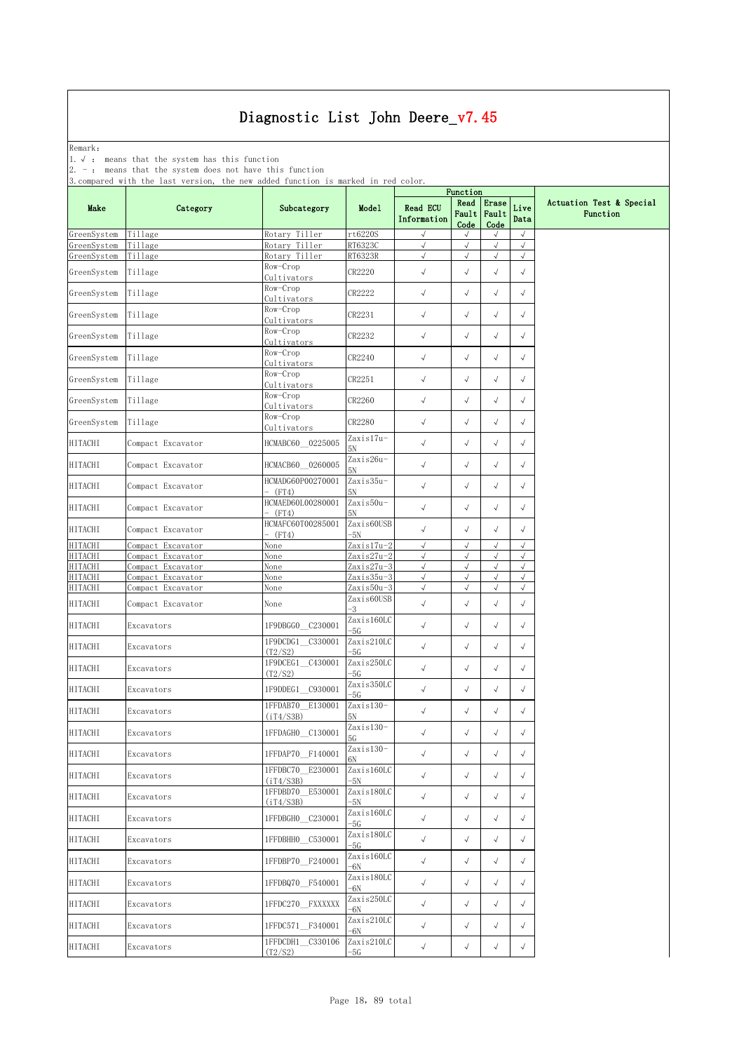Remark: The contract of the contract of  $\mathbb{R}$  and  $\mathbb{R}$  are contract of  $\mathbb{R}$  and  $\mathbb{R}$  are contract of  $\mathbb{R}$  and  $\mathbb{R}$  are contract of  $\mathbb{R}$  and  $\mathbb{R}$  are contract of  $\mathbb{R}$  and  $\mathbb{R}$  are cont

1.√ : means that the system has this function

2. - : means that the system does not have this function

|                |                   |                               |                     |                                | Function              |                        |              |                                      |
|----------------|-------------------|-------------------------------|---------------------|--------------------------------|-----------------------|------------------------|--------------|--------------------------------------|
| Make           | Category          | Subcategory                   | Model               | <b>Read ECU</b><br>Information | Read<br>Fault<br>Code | Erase<br>Fault<br>Code | Live<br>Data | Actuation Test & Special<br>Function |
| GreenSystem    | Tillage           | Rotary Tiller                 | rt6220S             | $\sqrt{}$                      | $\sqrt{ }$            | $\sqrt{ }$             | $\sqrt{ }$   |                                      |
| GreenSystem    | Tillage           | Rotary Tiller                 | RT6323C             | $\sqrt{ }$                     | $\sqrt{2}$            | $\sqrt{}$              | $\sqrt{ }$   |                                      |
| GreenSystem    | Tillage           | Rotary Tiller<br>Row-Crop     | RT6323R             | $\sqrt{ }$                     | $\sqrt{ }$            | $\sqrt{2}$             | $\sqrt{ }$   |                                      |
| GreenSystem    | Tillage           | Cultivators                   | CR2220              | $\checkmark$                   | $\sqrt{}$             | $\sqrt{ }$             | $\sqrt{}$    |                                      |
| GreenSystem    | Tillage           | Row-Crop<br>Cultivators       | CR2222              | $\checkmark$                   | $\sqrt{ }$            | $\sqrt{ }$             | $\sqrt{}$    |                                      |
| GreenSystem    | Tillage           | Row-Crop<br>Cultivators       | CR2231              | $\checkmark$                   | $\sqrt{}$             | $\sqrt{ }$             | $\sqrt{}$    |                                      |
| GreenSystem    | Tillage           | Row-Crop<br>Cultivators       | CR2232              | $\checkmark$                   | $\sqrt{ }$            | $\sqrt{}$              | $\sqrt{ }$   |                                      |
| GreenSystem    | Tillage           | Row-Crop<br>Cultivators       | CR2240              | $\checkmark$                   | $\sqrt{}$             | $\sqrt{}$              | $\sqrt{}$    |                                      |
| GreenSystem    | Tillage           | Row-Crop<br>Cultivators       | CR2251              | $\sqrt{ }$                     | $\sqrt{ }$            | $\sqrt{}$              | $\sqrt{ }$   |                                      |
| GreenSystem    | Tillage           | Row-Crop<br>Cultivators       | CR2260              | $\checkmark$                   | $\sqrt{}$             | $\sqrt{ }$             | $\sqrt{}$    |                                      |
| GreenSystem    | Tillage           | Row-Crop<br>Cultivators       | CR2280              | $\checkmark$                   | $\sqrt{}$             | $\sqrt{ }$             | $\sqrt{ }$   |                                      |
| <b>HITACHI</b> | Compact Excavator | HCMABC60 0225005              | Zaxis17u-<br>5N     | $\checkmark$                   | $\sqrt{}$             | $\sqrt{ }$             | $\sqrt{}$    |                                      |
| <b>HITACHI</b> | Compact Excavator | HCMACB60 0260005              | Zaxis26u-<br>5N     | $\checkmark$                   | $\sqrt{}$             | $\sqrt{ }$             | $\sqrt{}$    |                                      |
| <b>HITACHI</b> | Compact Excavator | HCMADG60P00270001<br>(FT4)    | Zaxis35u-<br>5Ν     | $\sqrt{ }$                     | $\sqrt{}$             | $\sqrt{}$              | $\sqrt{}$    |                                      |
| <b>HITACHI</b> | Compact Excavator | HCMAED60L00280001<br>(FT4)    | Zaxis50u-<br>5Ν     | $\sqrt{ }$                     | $\sqrt{}$             | $\sqrt{}$              | $\sqrt{}$    |                                      |
| <b>HITACHI</b> | Compact Excavator | HCMAFC60T00285001             | Zaxis60USB<br>$-5N$ | $\sqrt{ }$                     | $\sqrt{ }$            | $\sqrt{}$              | $\sqrt{}$    |                                      |
| <b>HITACHI</b> | Compact Excavator | (FT4)<br>None                 | Zaxis17u-2          | $\sqrt{ }$                     | $\sqrt{ }$            | $\sqrt{}$              | $\sqrt{ }$   |                                      |
| <b>HITACHI</b> | Compact Excavator | None                          | Zaxis27u-2          | $\sqrt{ }$                     | $\sqrt{ }$            | $\sqrt{ }$             | $\sqrt{ }$   |                                      |
| HITACHI        | Compact Excavator | None                          | Zaxis27u-3          | $\sqrt{ }$                     | $\sqrt{ }$            | $\sqrt{}$              | $\sqrt{ }$   |                                      |
| HITACHI        | Compact Excavator | None                          | Zaxis35u-3          | $\sqrt{ }$                     | $\sqrt{2}$            | $\sqrt{}$              | $\sqrt{2}$   |                                      |
| HITACHI        | Compact Excavator | None                          | Zaxis50u-3          | $\sqrt{}$                      | $\sqrt{ }$            | $\sqrt{ }$             | $\sqrt{}$    |                                      |
| <b>HITACHI</b> | Compact Excavator | None                          | Zaxis60USB<br>-3    | $\sqrt{ }$                     | $\sqrt{ }$            | $\sqrt{ }$             | $\sqrt{ }$   |                                      |
| <b>HITACHI</b> | Excavators        | 1F9DBGG0 C230001              | Zaxis160LC<br>-5G   | $\sqrt{}$                      | $\sqrt{ }$            | $\sqrt{ }$             | $\sqrt{}$    |                                      |
| <b>HITACHI</b> | Excavators        | 1F9DCDG1 C330001<br>(T2/S2)   | Zaxis210LC<br>-5G   | $\sqrt{ }$                     | $\sqrt{\phantom{a}}$  | $\sqrt{ }$             | $\sqrt{}$    |                                      |
| <b>HITACHI</b> | Excavators        | 1F9DCEG1 C430001<br>(T2/S2)   | Zaxis250LC<br>-5G   | $\checkmark$                   | $\sqrt{ }$            | $\sqrt{ }$             | $\sqrt{}$    |                                      |
| <b>HITACHI</b> | Excavators        | 1F9DDEG1 C930001              | Zaxis35OLC<br>$-5G$ | $\checkmark$                   | $\sqrt{}$             | $\sqrt{}$              | $\sqrt{}$    |                                      |
| <b>HITACHI</b> | Excavators        | 1FFDAB70 E130001<br>(iT4/S3B) | Zaxis130-<br>5Ν     | $\sqrt{ }$                     | $\sqrt{}$             | $\sqrt{ }$             | $\sqrt{ }$   |                                      |
| <b>HITACHI</b> | Excavators        | 1FFDAGHO C130001              | Zaxis130-<br>5G     | $\sqrt{ }$                     | $\sqrt{}$             | $\sqrt{2}$             | $\sqrt{}$    |                                      |
| HITACHI        | Excavators        | 1FFDAP70 F140001              | Zaxis130-<br>6N     | $\sqrt{}$                      | $\sqrt{}$             | $\sqrt{}$              | $\sqrt{ }$   |                                      |
| <b>HITACHI</b> | Excavators        | 1FFDBC70 E230001<br>(iT4/S3B) | Zaxis160LC<br>-5N   | $\sqrt{ }$                     | $\sqrt{}$             | $\sqrt{ }$             | $\sqrt{}$    |                                      |
| <b>HITACHI</b> | Excavators        | 1FFDBD70 E530001<br>(iT4/S3B) | Zaxis180LC<br>-5N   | $\checkmark$                   | $\sqrt{}$             | $\sqrt{}$              | $\sqrt{}$    |                                      |
| <b>HITACHI</b> | Excavators        | 1FFDBGH0 C230001              | Zaxis16OLC<br>$-5G$ | $\sqrt{ }$                     | $\sqrt{ }$            | $\sqrt{ }$             | $\sqrt{}$    |                                      |
| <b>HITACHI</b> | Excavators        | 1FFDBHH0 C530001              | Zaxis180LC<br>-5G   | $\checkmark$                   | $\sqrt{}$             | $\sqrt{}$              | $\sqrt{}$    |                                      |
| HITACHI        | Excavators        | 1FFDBP70 F240001              | Zaxis16OLC<br>-6N   | $\sqrt{ }$                     | $\sqrt{ }$            | $\sqrt{ }$             | $\sqrt{ }$   |                                      |
| <b>HITACHI</b> | Excavators        | 1FFDBQ70 F540001              | Zaxis18OLC<br>-6N   | $\sqrt{ }$                     | $\sqrt{}$             | $\sqrt{}$              | $\sqrt{}$    |                                      |
| <b>HITACHI</b> | Excavators        | 1FFDC270 FXXXXXX              | Zaxis250LC<br>-6N   | $\sqrt{ }$                     | $\sqrt{}$             | $\sqrt{}$              | $\sqrt{ }$   |                                      |
| <b>HITACHI</b> | Excavators        | 1FFDC571 F340001              | Zaxis21OLC<br>-6N   | $\checkmark$                   | $\sqrt{}$             | $\sqrt{ }$             | $\sqrt{}$    |                                      |
| HITACHI        | Excavators        | 1FFDCDH1 C330106<br>(T2/S2)   | Zaxis210LC<br>-5G   | √                              | $\sqrt{}$             | $\sqrt{}$              | $\sqrt{}$    |                                      |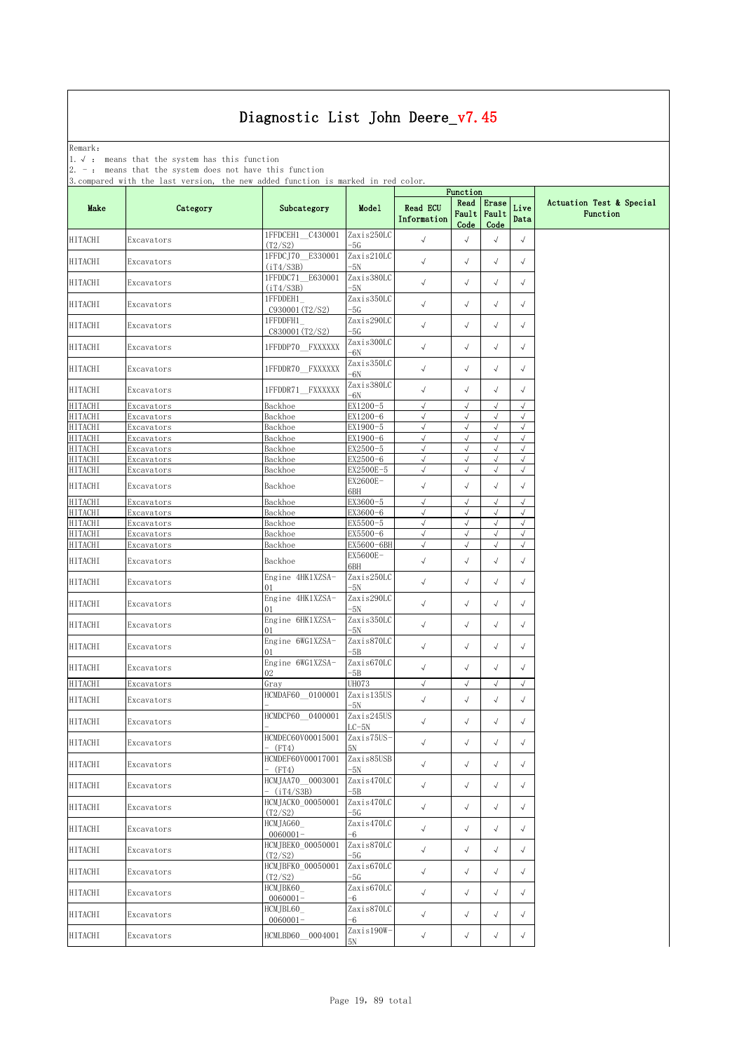Remark: The contract of the contract of  $\mathbb{R}$  and  $\mathbb{R}$  are contract of  $\mathbb{R}$  and  $\mathbb{R}$  are contract of  $\mathbb{R}$  and  $\mathbb{R}$  are contract of  $\mathbb{R}$  and  $\mathbb{R}$  are contract of  $\mathbb{R}$  and  $\mathbb{R}$  are cont

1.√ : means that the system has this function

2. - : means that the system does not have this function

| $\sim$ $\sim$ $\sim$ $\sim$ $\sim$ |                          |                                     |                       |                                | Function                 |                         |                         |                                      |
|------------------------------------|--------------------------|-------------------------------------|-----------------------|--------------------------------|--------------------------|-------------------------|-------------------------|--------------------------------------|
| Make                               | Category                 | Subcategory                         | Model                 | <b>Read ECU</b><br>Information | Read<br>Fault<br>Code    | Erase<br>Fault<br>Code  | Live<br>Data            | Actuation Test & Special<br>Function |
| <b>HITACHI</b>                     | Excavators               | 1FFDCEH1 C430001<br>(T2/S2)         | Zaxis250LC<br>-5G     | $\checkmark$                   | $\sqrt{ }$               | $\sqrt{}$               | $\sqrt{}$               |                                      |
| <b>HITACHI</b>                     | Excavators               | 1FFDCJ70 E330001<br>(iT4/S3B)       | Zaxis210LC<br>-5N     | $\checkmark$                   | $\sqrt{ }$               | $\sqrt{ }$              | $\sqrt{}$               |                                      |
| <b>HITACHI</b>                     | Excavators               | 1FFDDC71 E630001<br>(iT4/S3B)       | Zaxis380LC<br>-5N     | $\sqrt{ }$                     | $\sqrt{}$                | $\sqrt{}$               | $\sqrt{ }$              |                                      |
| <b>HITACHI</b>                     | Excavators               | 1FFDDEH1                            | Zaxis350LC<br>-5G     | $\sqrt{}$                      | $\sqrt{ }$               | $\sqrt{}$               | $\sqrt{}$               |                                      |
| HITACHI                            | Excavators               | C930001 (T2/S2)<br>1FFDDFH1         | Zaxis290LC            | $\checkmark$                   | $\sqrt{ }$               | $\sqrt{ }$              | $\sqrt{}$               |                                      |
| <b>HITACHI</b>                     | Excavators               | C830001 (T2/S2)<br>1FFDDP70 FXXXXXX | -5G<br>Zaxis300LC     | $\sqrt{ }$                     | $\sqrt{ }$               | $\sqrt{ }$              | $\sqrt{}$               |                                      |
|                                    |                          |                                     | -6N<br>Zaxis35OLC     | $\sqrt{ }$                     | $\sqrt{ }$               | $\sqrt{}$               | $\sqrt{}$               |                                      |
| <b>HITACHI</b>                     | Excavators               | 1FFDDR70 FXXXXXX                    | -6N<br>Zaxis380LC     |                                |                          |                         |                         |                                      |
| <b>HITACHI</b><br><b>HITACHI</b>   | Excavators<br>Excavators | 1FFDDR71 FXXXXXX<br>Backhoe         | -6N<br>EX1200-5       | $\checkmark$<br>$\sqrt{ }$     | $\sqrt{ }$<br>$\sqrt{ }$ | $\sqrt{}$<br>$\sqrt{ }$ | $\sqrt{}$<br>$\sqrt{}$  |                                      |
| <b>HITACHI</b>                     | Excavators               | Backhoe                             | EX1200-6              | $\sqrt{ }$                     | $\sqrt{ }$               | $\sqrt{2}$              | $\sqrt{}$               |                                      |
| <b>HITACHI</b>                     | Excavators               | Backhoe                             | EX1900-5              | $\sqrt{ }$                     | $\sqrt{}$                | $\sqrt{2}$              | $\sqrt{ }$              |                                      |
| <b>HITACHI</b>                     | Excavators               | Backhoe                             | EX1900-6              | $\sqrt{ }$                     | $\checkmark$             | $\sqrt{}$               | $\sqrt{}$               |                                      |
| <b>HITACHI</b>                     | Excavators               | Backhoe                             | EX2500-5              | $\sqrt{ }$                     | $\sqrt{ }$               | $\sqrt{ }$              | $\sqrt{}$               |                                      |
|                                    |                          |                                     |                       |                                |                          |                         |                         |                                      |
| <b>HITACHI</b>                     | Excavators               | Backhoe                             | EX2500-6              | $\sqrt{ }$                     | $\sqrt{2}$               | $\sqrt{}$               | $\sqrt{ }$              |                                      |
| <b>HITACHI</b><br><b>HITACHI</b>   | Excavators<br>Excavators | Backhoe<br>Backhoe                  | EX2500E-5<br>EX2600E- | $\sqrt{ }$<br>$\sqrt{ }$       | $\sqrt{ }$<br>$\sqrt{ }$ | $\sqrt{}$<br>$\sqrt{}$  | $\sqrt{ }$<br>$\sqrt{}$ |                                      |
| <b>HITACHI</b>                     | Excavators               | Backhoe                             | 6BH<br>EX3600-5       | $\sqrt{ }$                     | $\sqrt{}$                | $\sqrt{}$               | $\sqrt{}$               |                                      |
| <b>HITACHI</b>                     | Excavators               | Backhoe                             | EX3600-6              | $\sqrt{ }$                     | $\sqrt{}$                | $\sqrt{ }$              | $\sqrt{ }$              |                                      |
| <b>HITACHI</b>                     | Excavators               | Backhoe                             | EX5500-5              | $\sqrt{ }$                     | $\sqrt{}$                | $\sqrt{ }$              | $\sqrt{}$               |                                      |
| <b>HITACHI</b>                     | Excavators               | Backhoe                             | EX5500-6              | $\sqrt{ }$                     | $\sqrt{ }$               | $\sqrt{}$               | $\sqrt{}$               |                                      |
| <b>HITACHI</b>                     | Excavators               | Backhoe                             | EX5600-6BH            | $\sqrt{ }$                     | $\sqrt{ }$               | $\sqrt{}$               | $\sqrt{ }$              |                                      |
| <b>HITACHI</b>                     | Excavators               | Backhoe                             | EX5600E-<br>6BH       | $\sqrt{ }$                     | $\sqrt{ }$               | $\sqrt{}$               | $\sqrt{}$               |                                      |
| <b>HITACHI</b>                     | Excavators               | Engine 4HK1XZSA-<br>01              | Zaxis250LC<br>-5N     | $\sqrt{ }$                     | $\sqrt{ }$               | $\sqrt{}$               | $\sqrt{}$               |                                      |
| <b>HITACHI</b>                     | Excavators               | Engine 4HK1XZSA-<br>01              | Zaxis290LC<br>-5N     | $\sqrt{ }$                     | $\sqrt{}$                | $\sqrt{ }$              | $\sqrt{ }$              |                                      |
| HITACHI                            | Excavators               | Engine 6HK1XZSA-<br>01              | Zaxis350LC<br>-5N     | $\checkmark$                   | $\sqrt{ }$               | $\sqrt{ }$              | $\sqrt{}$               |                                      |
| <b>HITACHI</b>                     | Excavators               | Engine 6WG1XZSA-<br>01              | Zaxis870LC<br>-5B     | $\sqrt{ }$                     | $\sqrt{ }$               | $\sqrt{}$               | $\sqrt{}$               |                                      |
| <b>HITACHI</b>                     | Excavators               | Engine 6WG1XZSA-<br>02              | Zaxis670LC<br>-5B     | $\sqrt{ }$                     | $\sqrt{ }$               | $\sqrt{}$               | $\sqrt{}$               |                                      |
| <b>HITACHI</b>                     | Excavators               | Gray                                | <b>JH073</b>          | $\checkmark$                   | $\sqrt{}$                | $\sqrt{ }$              | $\sqrt{}$               |                                      |
|                                    |                          | HCMDAF60 0100001                    | Zaxis135US            |                                |                          |                         |                         |                                      |
| <b>HITACHI</b>                     | Excavators               |                                     | -5N                   | $\checkmark$                   | $\sqrt{ }$               | $\sqrt{ }$              | $\sqrt{}$               |                                      |
| <b>HITACHI</b>                     | Excavators               | HCMDCP60 0400001                    | Zaxis245US<br>LC-5N   | $\sqrt{}$                      | $\sqrt{ }$               | $\sqrt{2}$              | $\sqrt{ }$              |                                      |
| <b>HITACHI</b>                     | Excavators               | HCMDEC60V00015001<br>- (FT4)        | Zaxis75US-<br>5N      | $\sqrt{ }$                     | $\sqrt{ }$               | $\sqrt{2}$              |                         |                                      |
| <b>HITACHI</b>                     | Excavators               | HCMDEF60V00017001<br>- (FT4)        | Zaxis85USB<br>-5N     | $\sqrt{ }$                     | $\sqrt{ }$               | $\checkmark$            | $\sqrt{}$               |                                      |
| <b>HITACHI</b>                     | Excavators               | HCMJAA70 0003001<br>- (iT4/S3B)     | Zaxis470LC<br>-5B     | $\checkmark$                   | $\sqrt{ }$               | $\sqrt{2}$              | $\sqrt{}$               |                                      |
| <b>HITACHI</b>                     | Excavators               | HCMJACK0 00050001<br>(T2/S2)        | Zaxis470LC<br>$-5G$   | $\sqrt{ }$                     | $\sqrt{ }$               | $\sqrt{ }$              | $\sqrt{}$               |                                      |
| <b>HITACHI</b>                     | Excavators               | HCMJAG60<br>$0060001 -$             | Zaxis470LC<br>-6      | $\checkmark$                   | $\sqrt{}$                | $\sqrt{ }$              | $\checkmark$            |                                      |
| <b>HITACHI</b>                     | Excavators               | HCMJBEK0 00050001<br>(T2/S2)        | Zaxis870LC<br>-5G     | $\checkmark$                   | $\sqrt{ }$               | $\sqrt{ }$              | $\sqrt{}$               |                                      |
| <b>HITACHI</b>                     | Excavators               | HCMJBFK0 00050001<br>(T2/S2)        | Zaxis670LC<br>-5G     | $\sqrt{ }$                     | $\sqrt{ }$               | $\sqrt{ }$              | $\sqrt{}$               |                                      |
| <b>HITACHI</b>                     | Excavators               | HCMJBK60<br>$0060001 -$             | Zaxis670LC<br>-6      | $\checkmark$                   | $\sqrt{ }$               | $\sqrt{ }$              | $\sqrt{}$               |                                      |
| <b>HITACHI</b>                     | Excavators               | HCMJBL60<br>$0060001 -$             | Zaxis870LC<br>-6      | $\sqrt{ }$                     | $\sqrt{}$                | $\sqrt{ }$              | $\checkmark$            |                                      |
| <b>HITACHI</b>                     | Excavators               | HCMLBD60 0004001                    | Zaxi s190W<br>5N      | $\checkmark$                   | $\sqrt{}$                | $\sqrt{}$               | $\checkmark$            |                                      |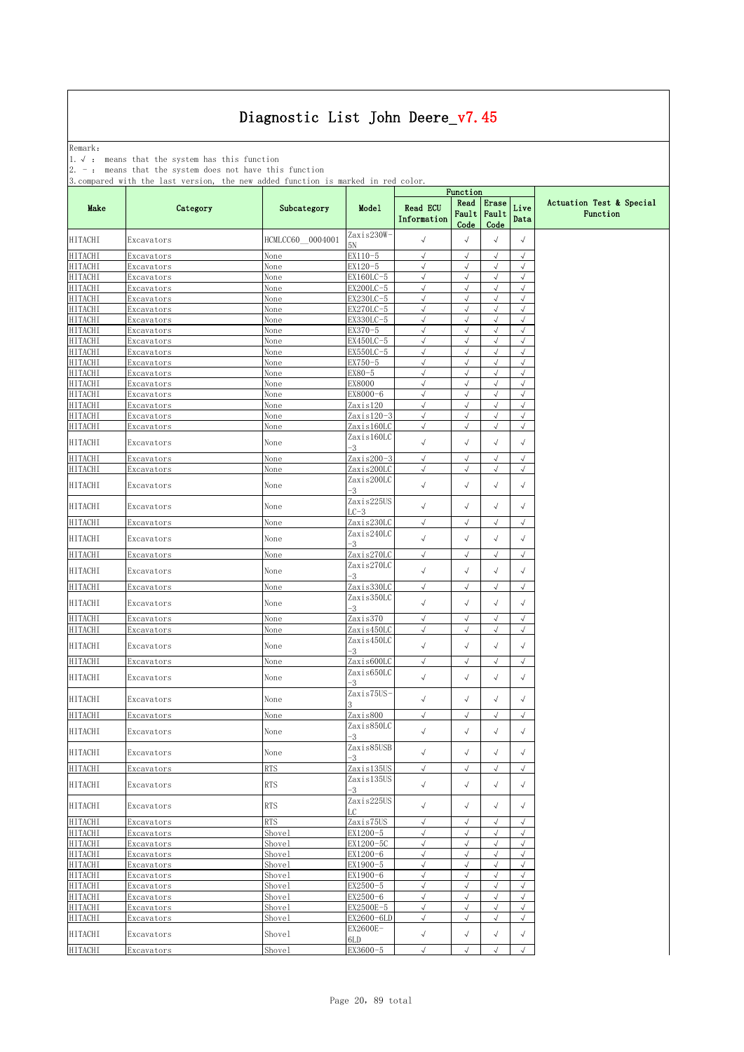Remark: The contract of the contract of  $\mathbb{R}$  and  $\mathbb{R}$  are contract of  $\mathbb{R}$  and  $\mathbb{R}$  are contract of  $\mathbb{R}$  and  $\mathbb{R}$  are contract of  $\mathbb{R}$  and  $\mathbb{R}$  are contract of  $\mathbb{R}$  and  $\mathbb{R}$  are cont

1.√ : means that the system has this function

2. - : means that the system does not have this function

| .                         |                          |                  |                      |                                | Function               |                        |                          | Actuation Test & Special<br>Function |
|---------------------------|--------------------------|------------------|----------------------|--------------------------------|------------------------|------------------------|--------------------------|--------------------------------------|
| Make                      | Category                 | Subcategory      | Model                | <b>Read ECU</b><br>Information | Read<br>Fault<br>Code  | Erase<br>Fault<br>Code | Live<br>Data             |                                      |
| <b>HITACHI</b>            | Excavators               | HCMLCC60 0004001 | Zaxis230W-<br>5N     | $\sqrt{ }$                     | $\sqrt{}$              | $\sqrt{}$              | $\sqrt{}$                |                                      |
| <b>HITACHI</b>            | Excavators               | None             | EX110-5              | $\sqrt{ }$                     | $\sqrt{ }$             | $\sqrt{ }$             | $\sqrt{ }$               |                                      |
| <b>HITACHI</b>            | Excavators               | None             | EX120-5              | $\sqrt{}$                      | $\sqrt{}$              | $\sqrt{ }$             | $\sqrt{}$                |                                      |
| <b>HITACHI</b>            | Excavators               | None             | EX160LC-5            | $\sqrt{}$                      | $\sqrt{}$              |                        | $\sqrt{}$                |                                      |
| HITACHI                   | Excavators               | None             | EX200LC-5            | $\sqrt{}$                      | $\sqrt{ }$             | $\sqrt{ }$             | $\sqrt{ }$               |                                      |
| <b>HITACHI</b>            | Excavators               | None             | EX230LC-5            | $\sqrt{ }$                     | $\sqrt{}$              | $\sqrt{ }$             | $\sqrt{ }$               |                                      |
| HITACHI                   | Excavators               | None             | EX270LC-5            | $\sqrt{ }$                     | $\sqrt{}$              | $\sqrt{ }$             | $\sqrt{ }$               |                                      |
| HITACHI                   | Excavators               | None             | EX330LC-5            | $\sqrt{ }$<br>$\sqrt{ }$       | $\sqrt{}$<br>$\sqrt{}$ | $\sqrt{}$<br>$\sqrt{}$ | $\sqrt{ }$<br>$\sqrt{ }$ |                                      |
| <b>HITACHI</b><br>HITACHI | Excavators<br>Excavators | None<br>None     | EX370-5<br>EX450LC-5 | √                              | $\checkmark$           | $\sqrt{}$              | $\sqrt{ }$               |                                      |
| HITACHI                   | Excavators               | None             | EX550LC-5            | $\sqrt{ }$                     | $\sqrt{}$              | $\sqrt{}$              | $\sqrt{ }$               |                                      |
| <b>HITACHI</b>            | Excavators               | None             | EX750-5              | $\sqrt{}$                      | $\sqrt{ }$             | $\sqrt{ }$             | $\sqrt{ }$               |                                      |
| <b>HITACHI</b>            | Excavators               | None             | EX80-5               | $\sqrt{}$                      | $\sqrt{}$              | $\sqrt{ }$             | $\sqrt{ }$               |                                      |
| <b>HITACHI</b>            | Excavators               | None             | EX8000               | $\sqrt{}$                      | $\sqrt{}$              | $\sqrt{ }$             | $\sqrt{ }$               |                                      |
| HITACHI                   | Excavators               | None             | EX8000-6             | $\sqrt{}$                      | $\sqrt{}$              | $\sqrt{ }$             | $\sqrt{ }$               |                                      |
| HITACHI                   | Excavators               | None             | Zaxis120             | $\sqrt{}$                      | $\sqrt{}$              | $\sqrt{}$              | $\sqrt{ }$               |                                      |
| HITACHI                   | Excavators               | None             | Zaxis120-3           | √                              | J                      | $\sqrt{ }$             | $\sqrt{ }$               |                                      |
| <b>HITACHI</b>            | Excavators               | None             | Zaxis160LC           | $\sqrt{ }$                     | $\sqrt{}$              | $\sqrt{}$              | $\sqrt{ }$               |                                      |
| <b>HITACHI</b>            | Excavators               | None             | Zaxis160LC<br>-3     | $\sqrt{}$                      | $\sqrt{}$              | $\sqrt{}$              | $\sqrt{}$                |                                      |
| <b>HITACHI</b>            | Excavators               | None             | Zaxis200-3           | $\sqrt{ }$                     | $\sqrt{ }$             | $\sqrt{ }$             | $\sqrt{ }$               |                                      |
| <b>HITACHI</b>            | Excavators               | None             | Zaxis200LC           | $\sqrt{ }$                     | $\sqrt{}$              | $\sqrt{}$              | $\sqrt{ }$               |                                      |
| <b>HITACHI</b>            | Excavators               | None             | Zaxis200LC<br>-3     | $\sqrt{}$                      | $\sqrt{}$              | $\sqrt{}$              | $\sqrt{}$                |                                      |
| <b>HITACHI</b>            | Excavators               | None             | Zaxis225US<br>$LC-3$ | $\sqrt{}$                      | $\sqrt{}$              | $\sqrt{}$              | $\sqrt{ }$               |                                      |
| <b>HITACHI</b>            | Excavators               | None             | Zaxis230LC           | $\sqrt{ }$                     | $\sqrt{}$              | $\sqrt{}$              | $\sqrt{}$                |                                      |
|                           |                          |                  | Zaxis240LC           |                                |                        |                        |                          |                                      |
| HITACHI                   | Excavators               | None             | -3                   | $\sqrt{ }$                     | $\sqrt{}$              | $\sqrt{}$              | $\sqrt{ }$               |                                      |
| <b>HITACHI</b>            | Excavators               | None             | Zaxis270LC           | $\sqrt{}$                      | $\sqrt{}$              | $\sqrt{}$              | $\sqrt{}$                |                                      |
|                           |                          |                  | Zaxis270LC           |                                |                        |                        |                          |                                      |
| <b>HITACHI</b>            | Excavators               | None             | -3                   | $\sqrt{ }$                     | $\sqrt{}$              | $\sqrt{ }$             | $\sqrt{ }$               |                                      |
| <b>HITACHI</b>            | Excavators               | None             | Zaxis330LC           | $\sqrt{ }$                     | $\sqrt{}$              | $\sqrt{ }$             | $\sqrt{ }$               |                                      |
| <b>HITACHI</b>            | Excavators               | None             | Zaxis35OLC           | $\sqrt{ }$                     | $\sqrt{ }$             | $\sqrt{ }$             | $\sqrt{ }$               |                                      |
|                           |                          |                  | -3                   |                                |                        |                        |                          |                                      |
| <b>HITACHI</b>            | Excavators               | None             | Zaxis370             | $\sqrt{}$                      | √                      | $\sqrt{}$              | $\sqrt{}$                |                                      |
| HITACHI                   | Excavators               | None             | Zaxis45OLC           | $\sqrt{ }$                     | √                      | $\sqrt{ }$             | $\checkmark$             |                                      |
| <b>HITACHI</b>            | Excavators               | None             | Zaxis450LC<br>-3     | $\sqrt{ }$                     | $\sqrt{}$              | $\sqrt{}$              | $\sqrt{ }$               |                                      |
| <b>HITACHI</b>            | Excavators               | None             | Zaxis600LC           | $\sqrt{ }$                     | $\sqrt{}$              | $\sqrt{ }$             | $\sqrt{ }$               |                                      |
|                           |                          |                  | Zaxis650LC           |                                |                        |                        |                          |                                      |
| <b>HITACHI</b>            | Excavators               | None             | -3                   | $\sqrt{ }$                     | √                      | $\sqrt{ }$             | $\sqrt{ }$               |                                      |
| <b>HITACHI</b>            | Excavators               | None             | Zaxis75US-           | $\sqrt{ }$                     | √                      | $\sqrt{ }$             | $\sqrt{}$                |                                      |
|                           |                          |                  |                      |                                |                        |                        |                          |                                      |
| HITACHI                   | Excavators               | None             | Zaxis800             | $\sqrt{ }$                     | $\sqrt{ }$             | $\sqrt{ }$             | $\sqrt{}$                |                                      |
| <b>HITACHI</b>            | Excavators               | None             | Zaxis850LC<br>-3     | $\sqrt{2}$                     | $\sqrt{}$              | $\sqrt{}$              | $\sqrt{}$                |                                      |
| <b>HITACHI</b>            | Excavators               | None             | Zaxis85USB<br>-3     | $\checkmark$                   | $\sqrt{ }$             | $\sqrt{ }$             | $\sqrt{}$                |                                      |
| <b>HITACHI</b>            | Excavators               | <b>RTS</b>       | Zaxis135US           | $\sqrt{ }$                     | $\sqrt{}$              | $\sqrt{ }$             | $\sqrt{}$                |                                      |
| <b>HITACHI</b>            | Excavators               | <b>RTS</b>       | Zaxis135US<br>-3     | $\sqrt{ }$                     | $\sqrt{ }$             | $\sqrt{ }$             | $\sqrt{ }$               |                                      |
| <b>HITACHI</b>            | Excavators               | <b>RTS</b>       | Zaxis225US<br>LC     | $\sqrt{ }$                     | $\sqrt{ }$             | $\sqrt{}$              | $\sqrt{ }$               |                                      |
| <b>HITACHI</b>            | Excavators               | <b>RTS</b>       | Zaxis75US            | $\sqrt{ }$                     | $\sqrt{}$              | $\sqrt{}$              | $\sqrt{ }$               |                                      |
| <b>HITACHI</b>            | Excavators               | Shovel           | EX1200-5             | $\checkmark$                   | $\sqrt{2}$             | $\sqrt{}$              | $\sqrt{ }$               |                                      |
| <b>HITACHI</b>            | Excavators               | Shovel           | EX1200-5C            | $\sqrt{}$                      | $\sqrt{}$              | $\sqrt{}$              | $\sqrt{ }$               |                                      |
| <b>HITACHI</b>            | Excavators               | Shovel           | EX1200-6             | $\sqrt{2}$                     | $\sqrt{}$              | $\sqrt{}$              | $\sqrt{ }$               |                                      |
| <b>HITACHI</b>            | Excavators               | Shovel           | EX1900-5             | $\sqrt{ }$                     | $\sqrt{}$              | $\sqrt{ }$             | $\sqrt{ }$               |                                      |
| <b>HITACHI</b>            | Excavators               | Shovel           | EX1900-6             | $\sqrt{ }$                     | $\sqrt{}$              | $\sqrt{ }$             | $\sqrt{ }$               |                                      |
| <b>HITACHI</b>            | Excavators               | Shovel           | EX2500-5             | $\sqrt{ }$                     | $\sqrt{}$              | $\sqrt{ }$             | $\sqrt{ }$               |                                      |
| <b>HITACHI</b>            | Excavators               | Shovel           | EX2500-6             | $\sqrt{ }$                     | $\sqrt{}$              | $\sqrt{ }$             | $\sqrt{}$                |                                      |
| <b>HITACHI</b>            | Excavators               | Shovel           | EX2500E-5            | $\sqrt{ }$                     | $\sqrt{}$              | $\sqrt{}$              | $\sqrt{ }$               |                                      |
| <b>HITACHI</b>            | Excavators               | Shovel           | EX2600-6LD           | $\sqrt{ }$                     | √                      | $\sqrt{ }$             | $\sqrt{}$                |                                      |
| <b>HITACHI</b>            | Excavators               | Shovel           | EX2600E-<br>6LD      | $\sqrt{ }$                     | $\sqrt{ }$             | $\sqrt{ }$             | $\sqrt{ }$               |                                      |
| <b>HITACHI</b>            | Excavators               | Shovel           | EX3600-5             | $\sqrt{ }$                     | $\sqrt{ }$             | $\sqrt{}$              | $\sqrt{ }$               |                                      |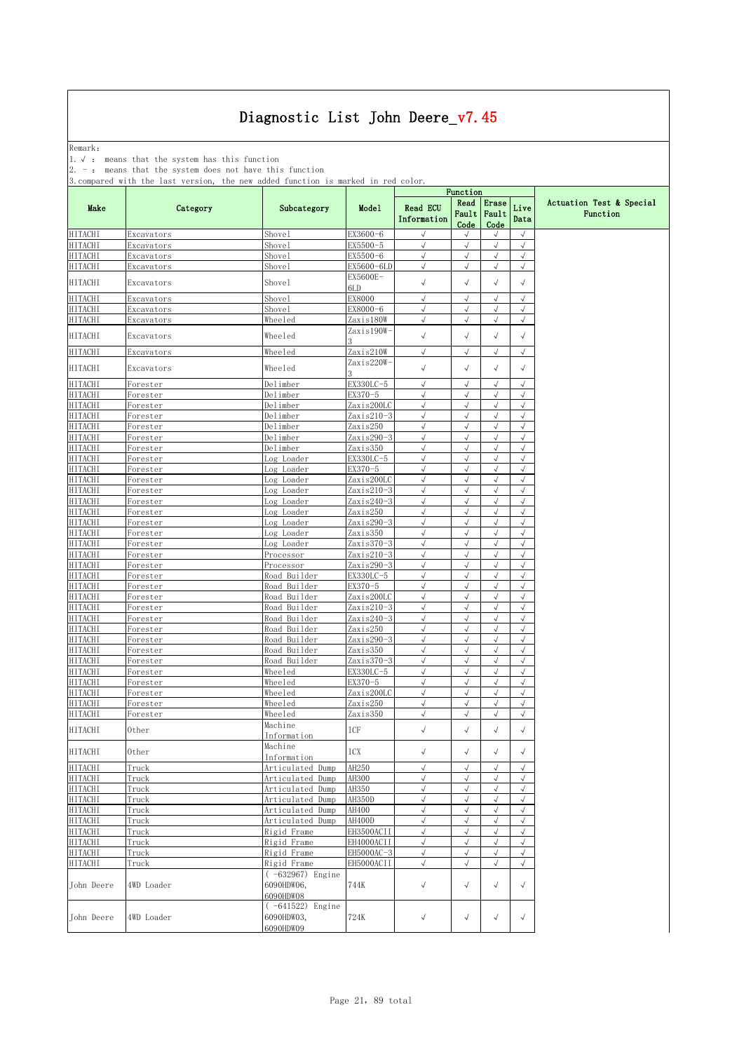Remark: The contract of the contract of  $\mathbb{R}$  and  $\mathbb{R}$  are contract of  $\mathbb{R}$  and  $\mathbb{R}$  are contract of  $\mathbb{R}$  and  $\mathbb{R}$  are contract of  $\mathbb{R}$  and  $\mathbb{R}$  are contract of  $\mathbb{R}$  and  $\mathbb{R}$  are cont

1.√ : means that the system has this function

2. - : means that the system does not have this function

|                                  |                      |                                  |                       |                                | Function                      |                          |                          |                                      |
|----------------------------------|----------------------|----------------------------------|-----------------------|--------------------------------|-------------------------------|--------------------------|--------------------------|--------------------------------------|
| Make                             | Category             | Subcategory                      | Model                 | <b>Read ECU</b><br>Information | Read<br>Fault   Fault<br>Code | <b>Erase</b><br>Code     | Live<br>Data             | Actuation Test & Special<br>Function |
| <b>HITACHI</b>                   | Excavators           | Shovel                           | EX3600-6              | $\sqrt{ }$                     | $\sqrt{ }$                    | $\sqrt{ }$               | $\sqrt{}$                |                                      |
| <b>HITACHI</b>                   | Excavators           | Shovel                           | EX5500-5              | $\sqrt{ }$                     | $\sqrt{}$                     | $\sqrt{ }$               | $\sqrt{ }$               |                                      |
| <b>HITACHI</b>                   | Excavators           | Shovel                           | EX5500-6              | $\sqrt{}$                      | $\sqrt{}$                     | $\sqrt{}$                | $\sqrt{ }$               |                                      |
| <b>HITACHI</b>                   | Excavators           | Shovel                           | EX5600-6LD            | $\sqrt{}$                      | J                             | $\sqrt{ }$               | $\sqrt{}$                |                                      |
| <b>HITACHI</b>                   | Excavators           | Shovel                           | EX5600E-<br>6LD       | $\sqrt{ }$                     | $\sqrt{}$                     | $\sqrt{}$                | $\sqrt{ }$               |                                      |
| <b>HITACHI</b>                   | Excavators           | Shovel                           | EX8000                | $\sqrt{ }$                     | $\sqrt{}$                     | $\sqrt{ }$               | $\sqrt{2}$               |                                      |
| <b>HITACHI</b>                   | Excavators           | Shovel                           | EX8000-6              | $\sqrt{ }$                     | $\sqrt{}$                     | $\sqrt{ }$               | $\sqrt{ }$               |                                      |
| <b>HITACHI</b>                   | Excavators           | Wheeled                          | Zaxis180W             | $\sqrt{}$                      | √                             | $\sqrt{ }$               | $\sqrt{ }$               |                                      |
| <b>HITACHI</b>                   | Excavators           | Wheeled                          | Zaxis190W             | $\sqrt{ }$                     | $\sqrt{}$                     | $\sqrt{}$                | $\sqrt{ }$               |                                      |
| <b>HITACHI</b>                   | Excavators           | Wheeled                          | Zaxis210W             | $\sqrt{ }$                     | $\sqrt{2}$                    | $\sqrt{2}$               | $\sqrt{2}$               |                                      |
| <b>HITACHI</b>                   | Excavators           | Wheeled                          | Zaxis220W             | $\sqrt{ }$                     | $\sqrt{}$                     | $\sqrt{}$                | $\sqrt{}$                |                                      |
| <b>HITACHI</b>                   | Forester             | Delimber                         | EX330LC-5             | $\sqrt{ }$                     | $\sqrt{}$                     | $\sqrt{ }$               | $\sqrt{ }$               |                                      |
| <b>HITACHI</b>                   | Forester             | Delimber                         | EX370-5               | $\sqrt{}$                      | √                             | $\sqrt{ }$               | $\sqrt{ }$               |                                      |
| <b>HITACHI</b>                   | Forester             | Delimber                         | Zaxis200LC            | $\sqrt{ }$                     | $\sqrt{ }$                    | $\sqrt{}$                | $\sqrt{ }$               |                                      |
| <b>HITACHI</b>                   | Forester             | Delimber                         | Zaxis210-3            | $\sqrt{ }$                     | $\sqrt{}$                     | $\sqrt{ }$               | $\sqrt{2}$               |                                      |
| <b>HITACHI</b>                   | Forester             | Delimber                         | Zaxis250              | $\sqrt{}$                      | $\sqrt{}$                     | $\sqrt{ }$               | $\sqrt{}$                |                                      |
| <b>HITACHI</b>                   | Forester             | Delimber                         | Zaxis290-3            | $\sqrt{ }$                     | $\sqrt{}$                     | $\sqrt{ }$               | $\sqrt{}$                |                                      |
| <b>HITACHI</b>                   | Forester             | Delimber                         | Zaxis350              | $\sqrt{ }$                     | $\sqrt{}$                     | $\sqrt{}$                | $\sqrt{}$                |                                      |
| <b>HITACHI</b>                   | Forester             | Log Loader                       | EX330LC-5             | $\sqrt{ }$                     | $\sqrt{}$                     | $\sqrt{}$                | $\sqrt{}$                |                                      |
| <b>HITACHI</b>                   | Forester             | Log Loader                       | EX370-5               | $\sqrt{}$                      | J                             | $\sqrt{ }$               | $\sqrt{}$                |                                      |
| <b>HITACHI</b>                   | Forester             | Log Loader                       | Zaxis200LO            | $\sqrt{ }$                     | $\sqrt{2}$                    | $\sqrt{2}$               | $\sqrt{}$                |                                      |
| <b>HITACHI</b>                   | Forester             | Log Loader                       | $Zaxis210-3$          | $\sqrt{ }$                     | $\sqrt{2}$                    | $\sqrt{ }$               | $\sqrt{2}$               |                                      |
| <b>HITACHI</b>                   | Forester             | Log Loader                       | Zaxis240-3            | $\sqrt{ }$                     | $\sqrt{}$                     | $\sqrt{ }$               | $\sqrt{}$                |                                      |
| <b>HITACHI</b>                   | Forester             | Log Loader                       | Zaxis250              | $\sqrt{ }$                     | $\sqrt{}$                     | $\sqrt{ }$               | $\sqrt{}$                |                                      |
| <b>HITACHI</b>                   | Forester             | Log Loader                       | Zaxis290-3            | $\sqrt{ }$                     | $\sqrt{}$                     | $\sqrt{}$                | $\sqrt{}$                |                                      |
| <b>HITACHI</b>                   | Forester             | Log Loader                       | Zaxis350              | $\sqrt{ }$                     | $\sqrt{ }$                    | $\sqrt{ }$               | $\sqrt{2}$               |                                      |
| <b>HITACHI</b>                   | Forester             | Log Loader                       | Zaxis370-3            | $\sqrt{ }$                     | $\sqrt{2}$                    | $\sqrt{2}$               | $\sqrt{}$                |                                      |
| <b>HITACHI</b>                   | Forester             | Processor                        | $Zaxis210-3$          | $\sqrt{ }$                     | $\sqrt{2}$                    | $\sqrt{ }$               | $\sqrt{ }$               |                                      |
| <b>HITACHI</b>                   | Forester             | Processor                        | Zaxis290-3            | $\sqrt{ }$                     | $\sqrt{}$                     | $\sqrt{ }$               | $\sqrt{2}$               |                                      |
| <b>HITACHI</b>                   | Forester             | Road Builder                     | EX330LC-5             | $\sqrt{ }$<br>$\sqrt{ }$       | $\sqrt{}$<br>$\sqrt{}$        | $\sqrt{ }$<br>$\sqrt{ }$ | $\sqrt{ }$<br>$\sqrt{ }$ |                                      |
| <b>HITACHI</b><br><b>HITACHI</b> | Forester<br>Forester | Road Builder<br>Road Builder     | EX370-5<br>Zaxis200LC | $\sqrt{}$                      | $\sqrt{ }$                    | $\sqrt{}$                | $\sqrt{2}$               |                                      |
| <b>HITACHI</b>                   | Forester             | Road Builder                     | Zaxis210-3            | $\sqrt{ }$                     | $\sqrt{}$                     | $\sqrt{2}$               | $\sqrt{2}$               |                                      |
| <b>HITACHI</b>                   | Forester             | Road Builder                     | Zaxis240-3            | $\sqrt{ }$                     | $\sqrt{}$                     | $\sqrt{ }$               | $\sqrt{ }$               |                                      |
| <b>HITACHI</b>                   | Forester             | Road Builder                     | Zaxis250              | $\sqrt{}$                      | $\sqrt{}$                     | $\sqrt{ }$               | $\sqrt{}$                |                                      |
| <b>HITACHI</b>                   | Forester             | Road Builder                     | Zaxis290-3            | $\sqrt{ }$                     | $\sqrt{ }$                    | $\sqrt{ }$               | $\sqrt{ }$               |                                      |
| <b>HITACHI</b>                   | Forester             | Road Builder                     | Zaxis350              | $\sqrt{ }$                     | $\sqrt{}$                     | $\sqrt{}$                | $\sqrt{ }$               |                                      |
| <b>HITACHI</b>                   | Forester             | Road Builder                     | Zaxis370-3            | $\sqrt{ }$                     | $\sqrt{ }$                    | $\sqrt{}$                | $\sqrt{}$                |                                      |
| <b>HITACHI</b>                   | Forester             | Wheeled                          | EX330LC-5             | $\sqrt{ }$                     |                               |                          | $\sqrt{ }$               |                                      |
| <b>HITACHI</b>                   | Forester             | Wheeled                          | EX370-5               | $\sqrt{ }$                     | $\sqrt{}$                     | $\sqrt{2}$               | $\sqrt{2}$               |                                      |
| <b>HITACHI</b>                   | Forester             | Wheeled                          | Zaxis200LC            | $\sqrt{ }$                     | $\sqrt{}$                     | $\sqrt{ }$               | $\sqrt{}$                |                                      |
| <b>HITACHI</b>                   | Forester             | Wheeled                          | Zaxis250              | $\sqrt{ }$                     | $\sqrt{}$                     | $\sqrt{ }$               | $\sqrt{2}$               |                                      |
| <b>HITACHI</b>                   | Forester             | Wheeled                          | Zaxis350              | $\sqrt{ }$                     | $\sqrt{2}$                    | $\sqrt{ }$               | $\sqrt{ }$               |                                      |
| <b>HITACHI</b>                   | Other                | Machine<br>Information           | ICF                   | $\sqrt{ }$                     | $\sqrt{}$                     | $\sqrt{2}$               | $\sqrt{ }$               |                                      |
| <b>HITACHI</b>                   | Other                | Machine                          | ICX                   | $\sqrt{ }$                     | $\sqrt{}$                     | $\sqrt{ }$               | $\sqrt{}$                |                                      |
| <b>HITACHI</b>                   | Truck                | Information<br>Articulated Dump  | AH250                 | $\sqrt{ }$                     | $\sqrt{ }$                    | $\sqrt{ }$               | $\sqrt{ }$               |                                      |
| <b>HITACHI</b>                   | Truck                | Articulated Dump                 | AH300                 | $\sqrt{}$                      | $\sqrt{}$                     | $\sqrt{ }$               | $\sqrt{}$                |                                      |
| <b>HITACHI</b>                   | Truck                | Articulated Dump                 | AH350                 | $\sqrt{ }$                     | $\sqrt{ }$                    | $\sqrt{ }$               | $\sqrt{}$                |                                      |
| <b>HITACHI</b>                   | Truck                | Articulated Dump                 | AH350D                | $\sqrt{ }$                     | $\sqrt{}$                     | $\sqrt{}$                | $\sqrt{}$                |                                      |
| <b>HITACHI</b>                   | Truck                | Articulated Dump                 | AH400                 | $\sqrt{}$                      | $\sqrt{}$                     | $\sqrt{}$                | $\sqrt{ }$               |                                      |
| <b>HITACHI</b>                   | Truck                | Articulated Dump                 | AH400D                | $\sqrt{ }$                     | $\sqrt{ }$                    | $\sqrt{ }$               | $\sqrt{}$                |                                      |
| <b>HITACHI</b>                   | Truck                | Rigid Frame                      | EH3500ACII            | $\sqrt{ }$                     | $\sqrt{}$                     | $\sqrt{ }$               | $\sqrt{ }$               |                                      |
| <b>HITACHI</b>                   | Truck                | Rigid Frame                      | EH4000ACII            | $\sqrt{ }$                     | $\sqrt{ }$                    | $\sqrt{ }$               | $\sqrt{}$                |                                      |
| <b>HITACHI</b>                   | Truck                | Rigid Frame                      | EH5000AC-3            | $\sqrt{ }$                     | $\sqrt{}$                     | $\sqrt{ }$               | $\sqrt{ }$               |                                      |
| <b>HITACHI</b>                   | Truck                | Rigid Frame                      | EH5000ACII            | $\sqrt{ }$                     | $\sqrt{}$                     | $\sqrt{ }$               | $\sqrt{ }$               |                                      |
| John Deere                       | 4WD Loader           | $(-632967)$ Engine<br>6090HDW06, | 744K                  | $\sqrt{ }$                     | $\sqrt{ }$                    | $\checkmark$             | $\sqrt{ }$               |                                      |
|                                  |                      | 6090HDW08                        |                       |                                |                               |                          |                          |                                      |
| John Deere                       | 4WD Loader           | $(-641522)$ Engine<br>6090HDW03, | 724K                  | $\sqrt{ }$                     | $\sqrt{}$                     | $\sqrt{ }$               | $\sqrt{ }$               |                                      |
|                                  |                      | 6090HDW09                        |                       |                                |                               |                          |                          |                                      |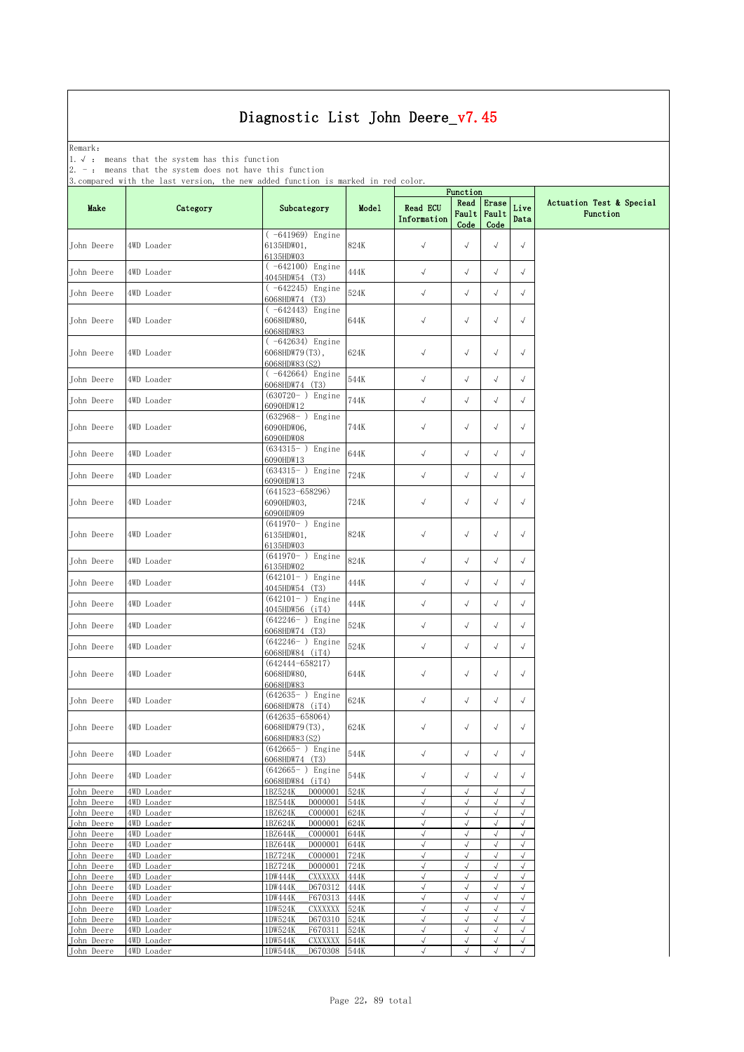Remark: The contract of the contract of  $\mathbb{R}$  and  $\mathbb{R}$  are contract of  $\mathbb{R}$  and  $\mathbb{R}$  are contract of  $\mathbb{R}$  and  $\mathbb{R}$  are contract of  $\mathbb{R}$  and  $\mathbb{R}$  are contract of  $\mathbb{R}$  and  $\mathbb{R}$  are cont

1.√ : means that the system has this function

2. - : means that the system does not have this function

| , compared "ru           | ,                        |                                                        | To married in rea | Function                       |                                   |                            |                          |                                      |
|--------------------------|--------------------------|--------------------------------------------------------|-------------------|--------------------------------|-----------------------------------|----------------------------|--------------------------|--------------------------------------|
| Make                     | Category                 | Subcategory                                            | Model             | <b>Read ECU</b><br>Information | Read<br>Fault<br>Code             | Erase<br>Fault<br>Code     | Live<br>Data             | Actuation Test & Special<br>Function |
| John Deere               | 4WD Loader               | $(-641969)$ Engine<br>6135HDW01,<br>6135HDW03          | 824K              | $\sqrt{ }$                     | $\sqrt{}$                         | $\sqrt{ }$                 | $\sqrt{ }$               |                                      |
| John Deere               | 4WD Loader               | ( -642100) Engine<br>4045HDW54 (T3)                    | 444K              | $\sqrt{ }$                     | $\sqrt{}$                         | $\sqrt{ }$                 | $\sqrt{}$                |                                      |
| John Deere               | 4WD Loader               | ( -642245) Engine<br>6068HDW74 (T3)                    | 524K              | $\sqrt{ }$                     | $\sqrt{\phantom{a}}$              | $\checkmark$               | $\sqrt{}$                |                                      |
| John Deere               | 4WD Loader               | ( -642443) Engine<br>6068HDW80,<br>6068HDW83           | 644K              | $\checkmark$                   | $\sqrt{}$                         | $\sqrt{}$                  | $\sqrt{ }$               |                                      |
| John Deere               | 4WD Loader               | ( -642634) Engine<br>6068HDW79(T3),<br>6068HDW83(S2)   | 624K              | $\sqrt{ }$                     | $\sqrt{}$                         | $\sqrt{ }$                 | $\sqrt{}$                |                                      |
| John Deere               | 4WD Loader               | $(-642664)$ Engine<br>6068HDW74 (T3)                   | 544K              | $\sqrt{ }$                     | $\sqrt{}$                         | $\sqrt{}$                  | $\sqrt{ }$               |                                      |
| John Deere               | 4WD Loader               | $(630720 - )$ Engine<br>6090HDW12                      | 744K              | $\sqrt{ }$                     | $\sqrt{ }$                        | $\sqrt{}$                  | $\sqrt{}$                |                                      |
| John Deere               | 4WD Loader               | $(632968 - )$ Engine<br>6090HDW06,<br>6090HDW08        | 744K              | $\sqrt{ }$                     | $\sqrt{}$                         | $\sqrt{ }$                 | $\sqrt{ }$               |                                      |
| John Deere               | 4WD Loader               | $(634315 - )$ Engine<br>6090HDW13                      | 644K              | $\sqrt{ }$                     | $\sqrt{}$                         | $\sqrt{}$                  | $\sqrt{ }$               |                                      |
| John Deere               | 4WD Loader               | $(634315 - )$ Engine<br>6090HDW13                      | 724K              | $\sqrt{ }$                     | $\sqrt{}$                         | $\sqrt{}$                  | $\sqrt{ }$               |                                      |
| John Deere               | 4WD Loader               | $(641523 - 658296)$<br>6090HDW03,<br>6090HDW09         | 724K              | $\sqrt{ }$                     | $\sqrt{}$                         | $\sqrt{ }$                 | $\sqrt{ }$               |                                      |
| John Deere               | 4WD Loader               | $(641970 - )$ Engine<br>6135HDW01,<br>6135HDW03        | 824K              | $\sqrt{ }$                     | $\sqrt{}$                         | $\sqrt{ }$                 | $\sqrt{ }$               |                                      |
| John Deere               | 4WD Loader               | $(641970 - )$ Engine<br>6135HDW02                      | 824K              | $\checkmark$                   | $\sqrt{}$                         | $\sqrt{}$                  | $\sqrt{}$                |                                      |
| John Deere               | 4WD Loader               | $(642101 - )$ Engine<br>4045HDW54 (T3)                 | 444K              | $\sqrt{ }$                     | $\sqrt{}$                         | $\sqrt{}$                  | $\sqrt{ }$               |                                      |
| John Deere               | 4WD Loader               | $(642101 - )$ Engine<br>4045HDW56 (iT4)                | 444K              | $\sqrt{ }$                     | $\sqrt{}$                         | $\sqrt{}$                  | $\sqrt{ }$               |                                      |
| John Deere               | 4WD Loader               | $(642246 - )$ Engine<br>6068HDW74 (T3)                 | 524K              | $\sqrt{ }$                     | $\sqrt{}$                         | $\sqrt{}$                  | $\sqrt{ }$               |                                      |
| John Deere               | 4WD Loader               | $(642246 - )$ Engine<br>6068HDW84 (iT4)                | 524K              | $\sqrt{ }$                     | $\sqrt{}$                         | $\sqrt{ }$                 | $\sqrt{}$                |                                      |
| John Deere               | 4WD Loader               | $(642444 - 658217)$<br>6068HDW80,<br>6068HDW83         | 644K              | $\sqrt{ }$                     | $\sqrt{}$                         | $\sqrt{ }$                 | $\sqrt{ }$               |                                      |
| John Deere               | 4WD Loader               | $(642635 - )$ Engine<br>6068HDW78 (iT4)                | 624K              | $\sqrt{ }$                     | $\sqrt{}$                         | $\sqrt{ }$                 | $\sqrt{ }$               |                                      |
| John Deere               | 4WD Loader               | $(642635 - 658064)$<br>6068HDW79(T3),<br>6068HDW83(S2) | 624K              | $\sqrt{ }$                     | $\sqrt{}$                         | $\sqrt{ }$                 | $\sqrt{}$                |                                      |
| John Deere               | 4WD Loader               | $(642665 - )$ Engine<br>6068HDW74 (T3)                 | 544K              | $\sqrt{ }$                     | $\sqrt{}$                         | $\sqrt{ }$                 | $\sqrt{}$                |                                      |
| John Deere               | 4WD Loader               | $(642665 - )$ Engine<br>6068HDW84 (iT4)                | 544K              | $\sqrt{ }$                     | $\sqrt{}$                         | $\sqrt{}$                  | $\sqrt{ }$               |                                      |
| John Deere<br>John Deere | 4WD Loader<br>4WD Loader | 1BZ524K<br>D000001<br>1BZ544K<br>D000001               | 524K<br>544K      | $\sqrt{ }$<br>$\sqrt{ }$       | $\sqrt{}$<br>$\sqrt{}$            | $\sqrt{ }$<br>$\sqrt{}$    | $\sqrt{}$<br>$\sqrt{ }$  |                                      |
| John Deere               | 4WD Loader               | 1BZ624K<br>C000001                                     | 624K              | $\sqrt{}$                      | √                                 | $\sqrt{}$                  | $\sqrt{}$                |                                      |
| John Deere               | 4WD Loader               | 1BZ624K<br>D000001                                     | 624K              | $\sqrt{ }$                     | $\sqrt{}$                         | $\checkmark$               | $\sqrt{ }$               |                                      |
| John Deere               | 4WD Loader               | 1BZ644K<br>C000001                                     | 644K              | $\sqrt{ }$                     | $\sqrt{ }$                        | $\sqrt{ }$                 | $\sqrt{}$                |                                      |
| John Deere               | 4WD Loader               | 1BZ644K<br>D000001                                     | 644K              | $\sqrt{ }$                     | √                                 | $\sqrt{}$                  | $\sqrt{}$                |                                      |
| John Deere               | 4WD Loader               | 1BZ724K<br>C000001                                     | 724K              | $\sqrt{ }$                     | $\sqrt{ }$                        | $\sqrt{ }$                 | $\sqrt{ }$               |                                      |
| John Deere               | 4WD Loader               | 1BZ724K<br>D000001                                     | 724K              | $\sqrt{}$                      | $\sqrt{}$                         | $\sqrt{ }$                 | $\sqrt{}$                |                                      |
| John Deere               | 4WD Loader               | 1DW444K<br>CXXXXXX                                     | 444K              | $\sqrt{ }$                     | $\sqrt{}$                         | $\sqrt{}$                  | $\sqrt{2}$               |                                      |
| John Deere               | 4WD Loader               | 1DW444K<br>D670312                                     | 444K              | $\sqrt{ }$                     | $\sqrt{2}$                        | $\sqrt{ }$                 | $\sqrt{}$                |                                      |
| John Deere<br>John Deere | 4WD Loader<br>4WD Loader | 1DW444K<br>F670313<br>1DW524K<br>CXXXXXX               | 444K<br>524K      | $\sqrt{ }$<br>$\sqrt{ }$       | $\sqrt{\phantom{a}}$<br>$\sqrt{}$ | $\checkmark$<br>$\sqrt{ }$ | $\sqrt{ }$<br>$\sqrt{ }$ |                                      |
| John Deere               | 4WD Loader               | 1DW524K<br>D670310                                     | 524K              | $\sqrt{ }$                     | $\sqrt{}$                         | $\sqrt{ }$                 | $\sqrt{ }$               |                                      |
| John Deere               | 4WD Loader               | 1DW524K<br>F670311                                     | 524K              | $\sqrt{ }$                     | $\sqrt{}$                         | $\sqrt{}$                  | $\sqrt{ }$               |                                      |
| John Deere               | 4WD Loader               | CXXXXXX<br>1DW544K                                     | 544K              | $\sqrt{ }$                     | $\sqrt{}$                         | $\sqrt{}$                  | $\sqrt{ }$               |                                      |
| John Deere               | 4WD Loader               | D670308<br>1DW544K                                     | 544K              | $\sqrt{ }$                     | $\sqrt{}$                         | $\sqrt{}$                  | $\sqrt{ }$               |                                      |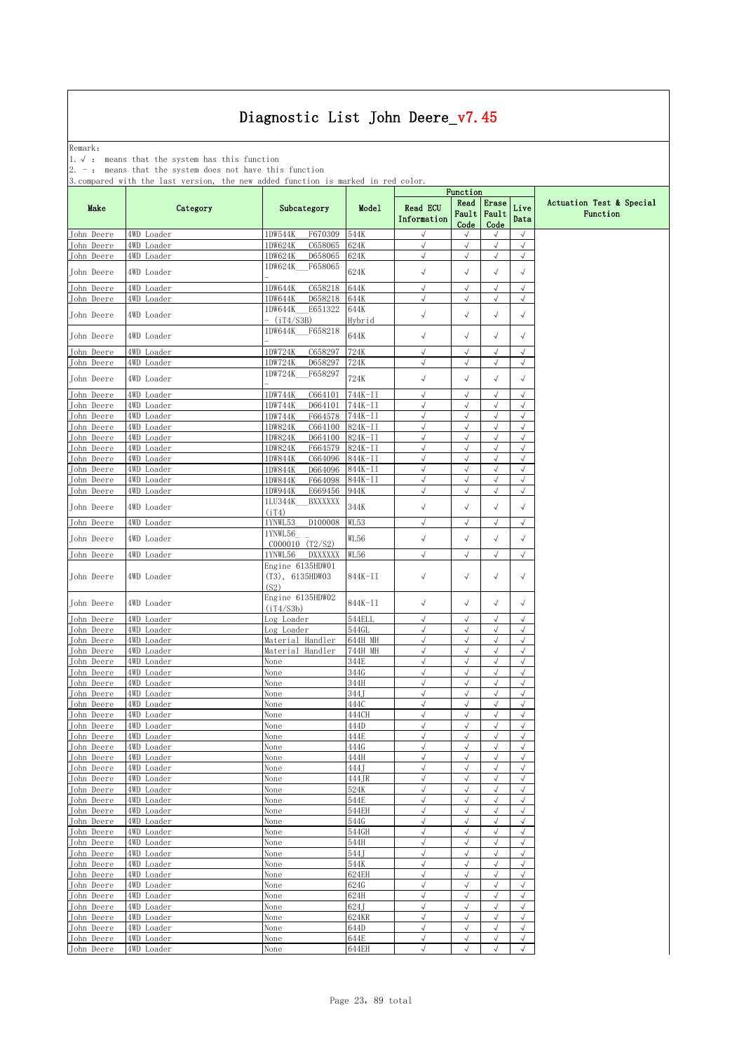Remark: The contract of the contract of  $\mathbb{R}$  and  $\mathbb{R}$  are contract of  $\mathbb{R}$  and  $\mathbb{R}$  are contract of  $\mathbb{R}$  and  $\mathbb{R}$  are contract of  $\mathbb{R}$  and  $\mathbb{R}$  are contract of  $\mathbb{R}$  and  $\mathbb{R}$  are cont

1.√ : means that the system has this function

2. - : means that the system does not have this function

| .                        |                          |                                                |                    |                                | Function                |                          |                          |                                      |
|--------------------------|--------------------------|------------------------------------------------|--------------------|--------------------------------|-------------------------|--------------------------|--------------------------|--------------------------------------|
| Make                     | Category                 | Subcategory                                    | Model              | <b>Read ECU</b><br>Information | Read<br>Fault<br>Code   | Erase<br>Fault<br>Code   | Live<br>Data             | Actuation Test & Special<br>Function |
| John Deere               | 4WD Loader               | 1DW544K<br>F670309                             | 544K               | $\sqrt{ }$                     | $\sqrt{ }$              | $\sqrt{ }$               | $\sqrt{ }$               |                                      |
| John Deere               | 4WD Loader               | 1DW624K<br>C658065                             | 624K               | $\sqrt{}$                      | $\sqrt{}$               | $\sqrt{ }$               | $\sqrt{ }$               |                                      |
| <b>John Deere</b>        | 4WD Loader               | 1DW624K<br>D658065<br>F658065<br>1DW624K       | 624K               | $\sqrt{ }$                     | $\sqrt{ }$              | $\sqrt{ }$               | $\sqrt{ }$               |                                      |
| John Deere               | 4WD Loader               |                                                | 624K               | $\sqrt{ }$                     | $\sqrt{ }$              | $\sqrt{}$                | $\sqrt{ }$               |                                      |
| John Deere               | 4WD Loader               | C658218<br>1DW644K                             | 644K               | $\sqrt{ }$                     | $\sqrt{}$               | $\sqrt{ }$               | $\sqrt{ }$               |                                      |
| John Deere               | 4WD Loader               | 1DW644K<br>D658218                             | 644K               | $\sqrt{ }$                     | $\sqrt{ }$              | $\sqrt{}$                | $\sqrt{ }$               |                                      |
| John Deere               | 4WD Loader               | E651322<br>1DW644K                             | 644K               | $\sqrt{ }$                     | $\sqrt{ }$              | $\sqrt{}$                | $\sqrt{ }$               |                                      |
|                          |                          | - (iT4/S3B)                                    | Hybrid             |                                |                         |                          |                          |                                      |
| <b>Tohn Deere</b>        | 4WD Loader               | F658218<br>1DW644K                             | 644K               | $\sqrt{ }$                     | $\sqrt{ }$              | $\sqrt{}$                | $\sqrt{ }$               |                                      |
| John Deere               | 4WD Loader               | 1DW724K<br>C658297                             | 724K               | $\sqrt{}$                      | $\sqrt{}$               | $\sqrt{}$                | $\sqrt{ }$               |                                      |
| John Deere               | 4WD Loader               | D658297<br>1DW724K                             | 724K               | $\sqrt{}$                      | $\sqrt{ }$              | $\sqrt{ }$               | $\sqrt{ }$               |                                      |
| John Deere               | 4WD Loader               | 1DW724K<br>F658297                             | 724K               | $\sqrt{ }$                     | $\sqrt{}$               | $\sqrt{}$                | $\sqrt{ }$               |                                      |
| John Deere               | 4WD Loader               | 1DW744K<br>C664101                             | 744K-II            | $\sqrt{ }$                     | $\sqrt{}$               | $\sqrt{ }$               | $\sqrt{ }$               |                                      |
| John Deere               | 4WD Loader               | 1DW744K<br>D664101                             | 744K-II            | $\sqrt{ }$                     | $\sqrt{ }$              | $\sqrt{ }$               | $\sqrt{ }$               |                                      |
| John Deere               | 4WD Loader               | F664578<br>1DW744K                             | 744K-II            | √                              | $\sqrt{}$               | $\sqrt{}$<br>$\sqrt{ }$  | $\sqrt{ }$               |                                      |
| John Deere<br>John Deere | 4WD Loader<br>4WD Loader | 1DW824K<br>C664100<br>D664100<br>1DW824K       | 824K-II<br>824K-II | $\sqrt{2}$<br>$\sqrt{ }$       | $\sqrt{}$<br>$\sqrt{}$  | $\sqrt{ }$               | $\sqrt{2}$<br>$\sqrt{ }$ |                                      |
| John Deere               | 4WD Loader               | 1DW824K<br>F664579                             | 824K-II            | $\sqrt{ }$                     | $\sqrt{}$               | $\sqrt{}$                | $\sqrt{ }$               |                                      |
| John Deere               | 4WD Loader               | C664096<br>1DW844K                             | 844K-II            | $\sqrt{ }$                     | $\sqrt{2}$              | $\sqrt{ }$               | $\sqrt{ }$               |                                      |
| John Deere               | 4WD Loader               | D664096<br>1DW844K                             | 844K-II            | $\sqrt{ }$                     | $\sqrt{}$               | $\sqrt{ }$               | $\sqrt{ }$               |                                      |
| John Deere               | 4WD Loader               | F664098<br>1DW844K                             | 844K-II            | $\sqrt{}$                      | $\sqrt{}$               | $\sqrt{}$                | $\sqrt{ }$               |                                      |
| John Deere               | 4WD Loader               | E669456<br>1DW944K                             | 944K               | √                              | √                       | $\sqrt{}$                | $\sqrt{ }$               |                                      |
| John Deere               | 4WD Loader               | <b>BXXXXXX</b><br>1LU344K<br>(iT4)             | 344K               | $\sqrt{}$                      | $\sqrt{}$               | $\sqrt{}$                | $\sqrt{ }$               |                                      |
| John Deere               | 4WD Loader               | 1YNWL53<br>D100008                             | WL53               | $\sqrt{}$                      | $\sqrt{}$               | $\sqrt{}$                | $\sqrt{ }$               |                                      |
| John Deere               | 4WD Loader               | 1YNWL56<br>C000010 (T2/S2)                     | WL56               | $\checkmark$                   | $\sqrt{ }$              | $\sqrt{}$                | $\sqrt{ }$               |                                      |
| John Deere               | 4WD Loader               | 1YNWL56<br>DXXXXXX                             | WL56               | $\sqrt{ }$                     | $\sqrt{2}$              | $\sqrt{}$                | $\sqrt{ }$               |                                      |
| John Deere               | 4WD Loader               | Engine 6135HDW01<br>$(T3)$ , 6135HDW03<br>(S2) | 844K-II            | $\sqrt{ }$                     | $\sqrt{}$               | $\sqrt{}$                | $\sqrt{ }$               |                                      |
| John Deere               | 4WD Loader               | Engine 6135HDW02<br>(iT4/S3b)                  | 844K-II            | $\sqrt{ }$                     | √                       | $\sqrt{}$                | $\sqrt{ }$               |                                      |
| John Deere               | 4WD Loader               | Log Loader                                     | 544ELL             | $\sqrt{}$                      | $\sqrt{ }$              | $\sqrt{}$                | $\sqrt{}$                |                                      |
| John Deere               | 4WD Loader               | Log Loader                                     | 544GL              | $\sqrt{}$                      | $\sqrt{}$               | $\sqrt{2}$               | $\sqrt{2}$               |                                      |
| John Deere               | 4WD Loader               | Material Handler                               | 644H MH            | $\sqrt{}$                      | $\sqrt{ }$              | $\sqrt{ }$               | $\sqrt{ }$               |                                      |
| John Deere               | 4WD Loader               | Material Handler                               | 744H MH            | $\sqrt{ }$                     | $\sqrt{}$               | $\sqrt{}$                | $\sqrt{ }$               |                                      |
| John Deere               | 4WD Loader               | None                                           | 344E               | $\sqrt{}$                      | $\sqrt{ }$              | $\sqrt{ }$               | $\sqrt{ }$               |                                      |
| John Deere<br>John Deere | 4WD Loader<br>4WD Loader | None<br>None                                   | 344G<br>344H       | $\sqrt{ }$<br>$\sqrt{}$        | $\sqrt{}$<br>$\sqrt{ }$ | $\sqrt{ }$<br>$\sqrt{ }$ | $\sqrt{ }$<br>$\sqrt{2}$ |                                      |
| John Deere               | 4WD Loader               | None                                           | 344.J              | $\sqrt{ }$                     | $\sqrt{}$               | $\sqrt{}$                | $\sqrt{2}$               |                                      |
| John Deere               | 4WD Loader               | None                                           | 444C               | $\sqrt{2}$                     | $\sqrt{}$               | $\sqrt{}$                | $\sqrt{2}$               |                                      |
| John Deere               | 4WD Loader               | None                                           | 444CH              | $\sqrt{ }$                     | $\sqrt{}$               | $\sqrt{ }$               | $\sqrt{}$                |                                      |
| John Deere               | 4WD Loader               | None                                           | 444D               | $\sqrt{}$                      | $\sqrt{}$               | $\sqrt{ }$               | $\sqrt{}$                |                                      |
| John Deere               | 4WD Loader               | None                                           | 444E               | $\sqrt{2}$                     | $\sqrt{2}$              | $\sqrt{ }$               | $\sqrt{}$                |                                      |
| John Deere               | 4WD Loader               | None                                           | 444G               | $\sqrt{ }$<br>$\sqrt{ }$       | √<br>$\sqrt{}$          | $\sqrt{}$                | $\sqrt{ }$               |                                      |
| John Deere<br>John Deere | 4WD Loader<br>4WD Loader | None<br>None                                   | 444H<br>444J       | $\sqrt{ }$                     | $\sqrt{}$               | $\sqrt{ }$<br>$\sqrt{ }$ | $\sqrt{ }$<br>$\sqrt{ }$ |                                      |
| John Deere               | 4WD Loader               | None                                           | 444JR              | $\sqrt{ }$                     | $\sqrt{ }$              | $\sqrt{ }$               | $\sqrt{2}$               |                                      |
| John Deere               | 4WD Loader               | None                                           | 524K               | $\sqrt{ }$                     | $\sqrt{}$               | $\sqrt{ }$               | $\sqrt{ }$               |                                      |
| John Deere               | 4WD Loader               | None                                           | 544E               | $\sqrt{ }$                     | √                       | $\sqrt{ }$               | $\sqrt{}$                |                                      |
| John Deere               | 4WD Loader               | None                                           | 544EH              | $\sqrt{ }$                     | $\sqrt{}$               | $\sqrt{ }$               | $\sqrt{ }$               |                                      |
| John Deere               | 4WD Loader               | None                                           | 544G               | $\sqrt{}$                      | $\sqrt{}$               | $\sqrt{ }$               | $\sqrt{2}$               |                                      |
| John Deere               | 4WD Loader               | None                                           | 544GH              | $\sqrt{2}$                     | $\sqrt{}$               | $\sqrt{}$                | $\sqrt{2}$               |                                      |
| John Deere<br>John Deere | 4WD Loader<br>4WD Loader | None<br>None                                   | 544H<br>544J       | $\sqrt{ }$<br>$\sqrt{ }$       | $\sqrt{ }$<br>$\sqrt{}$ | $\sqrt{ }$<br>$\sqrt{}$  | $\sqrt{}$<br>$\sqrt{}$   |                                      |
| John Deere               | 4WD Loader               | None                                           | 544K               | $\sqrt{ }$                     | $\sqrt{}$               | $\sqrt{ }$               | $\sqrt{}$                |                                      |
| John Deere               | 4WD Loader               | None                                           | 624EH              | $\sqrt{ }$                     | $\sqrt{}$               | $\sqrt{ }$               | $\sqrt{}$                |                                      |
| John Deere               | 4WD Loader               | None                                           | 624G               | $\sqrt{ }$                     | $\sqrt{2}$              | $\sqrt{ }$               | $\sqrt{ }$               |                                      |
| John Deere               | 4WD Loader               | None                                           | 624H               | $\sqrt{}$                      | $\sqrt{}$               | $\sqrt{ }$               | $\sqrt{ }$               |                                      |
| John Deere               | 4WD Loader               | None                                           | 624J               | $\sqrt{ }$                     | $\sqrt{2}$              | $\sqrt{ }$               | $\sqrt{2}$               |                                      |
| John Deere               | 4WD Loader               | None                                           | 624KR              | $\sqrt{ }$                     | $\sqrt{}$               | $\sqrt{ }$               | $\sqrt{}$                |                                      |
| John Deere               | 4WD Loader               | None                                           | 644D               | $\sqrt{ }$                     | $\sqrt{}$               | $\sqrt{}$                | $\sqrt{2}$               |                                      |
| John Deere               | 4WD Loader               | None                                           | 644E               | $\sqrt{ }$                     | $\sqrt{ }$              | $\sqrt{ }$               | $\sqrt{ }$               |                                      |
| John Deere               | 4WD Loader               | None                                           | 644EH              | $\sqrt{}$                      | $\sqrt{}$               | $\sqrt{}$                | $\sqrt{2}$               |                                      |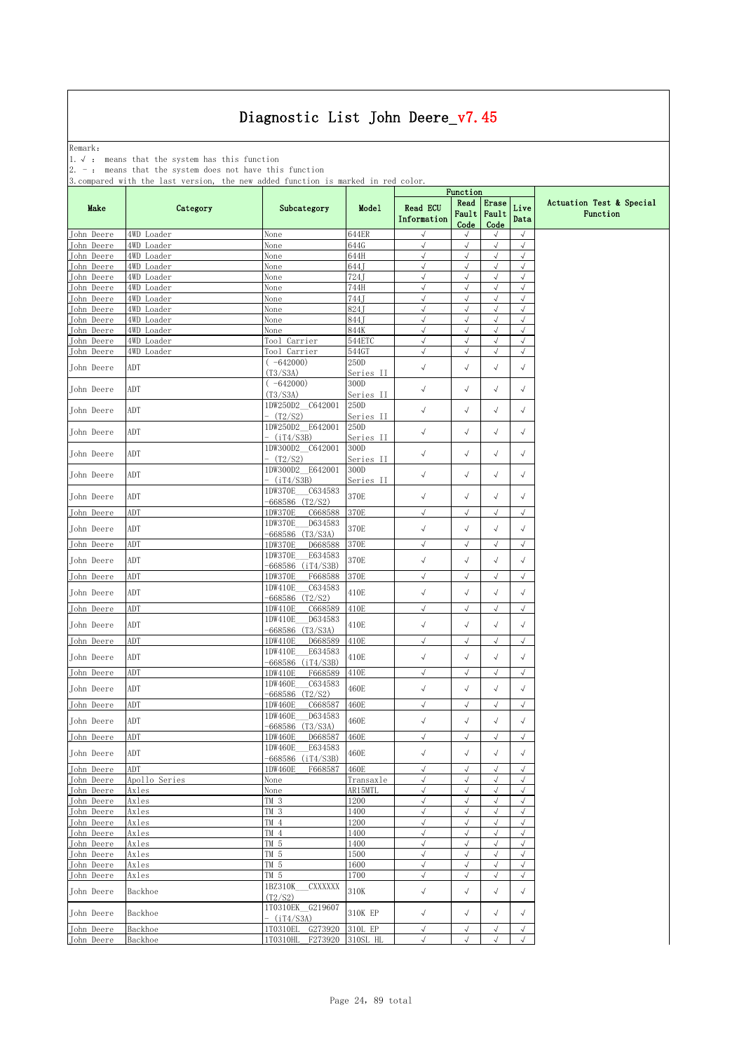Remark: The contract of the contract of  $\mathbb{R}$  and  $\mathbb{R}$  are contract of  $\mathbb{R}$  and  $\mathbb{R}$  are contract of  $\mathbb{R}$  and  $\mathbb{R}$  are contract of  $\mathbb{R}$  and  $\mathbb{R}$  are contract of  $\mathbb{R}$  and  $\mathbb{R}$  are cont

1.√ : means that the system has this function

2. - : means that the system does not have this function

| Actuation Test & Special<br>Read<br>Erase<br>Live<br>Make<br>Model<br><b>Read ECU</b><br>Category<br>Subcategory<br>Fault<br>Fault<br>Function<br>Information<br>Data<br>Code<br>Code<br>644ER<br>4WD Loader<br>None<br>$\sqrt{ }$<br>$\sqrt{ }$<br>$\sqrt{}$<br>$\sqrt{ }$<br>644G<br>4WD Loader<br>None<br>$\sqrt{ }$<br>$\sqrt{2}$<br>$\sqrt{ }$<br>$\sqrt{ }$<br>Deere<br>4WD Loader<br>644H<br>$\sqrt{ }$<br>$\sqrt{ }$<br>$\sqrt{}$<br>$\sqrt{2}$<br>None<br>John Deere<br>4WD Loader<br>644 J<br>$\sqrt{ }$<br>$\sqrt{ }$<br>$\sqrt{ }$<br>None<br>√<br>$\sqrt{2}$<br>John Deere<br>4WD<br>Loader<br>724J<br>$\sqrt{}$<br>$\sqrt{ }$<br>$\sqrt{}$<br>None<br>$\checkmark$<br>$\sqrt{2}$<br>$\sqrt{ }$<br>$\sqrt{2}$<br>John Deere<br>4WD Loader<br>744H<br>None<br>4WD Loader<br>744.J<br>$\sqrt{ }$<br>$\sqrt{2}$<br>$\sqrt{ }$<br>$\sqrt{2}$<br>John Deere<br>None<br>$\sqrt{}$<br>$\sqrt{ }$<br>Deere<br>4WD<br>Loader<br>None<br>824J<br>$\sqrt{ }$<br>$\sqrt{ }$<br>4WD Loader<br>844J<br>$\sqrt{ }$<br>John Deere<br>None<br>$\sqrt{ }$<br>$\sqrt{}$<br>$\sqrt{ }$<br>$\sqrt{}$<br>$\sqrt{ }$<br>$\sqrt{2}$<br>4WD.<br>Loader<br>844K<br>$\sqrt{ }$<br>None<br>4WD<br>Loader<br>Tool Carrier<br>544ETC<br>$\sqrt{}$<br>√<br>$\checkmark$<br>J<br>$\sqrt{ }$<br>$\sqrt{ }$<br>$\sqrt{ }$<br>$\sqrt{\phantom{a}}$<br>4WD Loader<br>Tool Carrier<br>544GT<br>$(-642000)$<br>250D<br>ADT<br>$\sqrt{\phantom{a}}$<br>$\sqrt{}$<br>$\sqrt{}$<br>$\sqrt{ }$<br>(T3/S3A)<br>Series II<br>$(-642000)$<br>300D<br>ADT<br>$\checkmark$<br>$\sqrt{ }$<br>$\sqrt{}$<br>$\sqrt{ }$<br>(T3/S3A)<br>Series II<br>1DW250D2 C642001<br>250D<br>ADT<br>$\sqrt{ }$<br>$\sqrt{}$<br>$\sqrt{}$<br>$\sqrt{}$<br>(T2/S2)<br>Series II<br>250D<br>1DW250D2 E642001<br>ADT<br>$\sqrt{ }$<br>$\sqrt{}$<br>$\sqrt{}$<br>$\sqrt{}$<br>(iT4/S3B)<br>Series II<br>300D<br>1DW300D2 C642001<br>ADT<br>$\sqrt{ }$<br>$\sqrt{}$<br>$\sqrt{}$<br>$\sqrt{}$<br>(T2/S2)<br>Series II<br>1DW300D2<br>E642001<br>300D<br>ADT<br>$\sqrt{ }$<br>$\sqrt{ }$<br>$\sqrt{}$<br>$\sqrt{}$<br>(iT4/S3B)<br>Series II<br>C634583<br>1DW370E<br>ADT<br>370E<br>$\sqrt{\phantom{a}}$<br>$\checkmark$<br>John Deere<br>$\sqrt{ }$<br>$\sqrt{ }$<br>-668586 (T2/S2)<br>ADT<br>370E<br>$\sqrt{ }$<br>$\sqrt{ }$<br>$\sqrt{ }$<br>$\sqrt{ }$<br>John Deere<br>1DW370E<br>C668588<br>1DW370E<br>D634583<br>370E<br>$\sqrt{ }$<br>$\sqrt{ }$<br>$\sqrt{}$<br>$\sqrt{}$<br>ADT<br>(T3/S3A)<br>-668586<br>John Deere<br>1DW370E<br>D668588<br>370E<br>ADT<br>$\sqrt{ }$<br>$\sqrt{}$<br>$\checkmark$<br>$\sqrt{}$<br>1DW370E<br>E634583<br>$\sqrt{ }$<br>ADT<br>370E<br>$\sqrt{ }$<br>√<br>$\sqrt{ }$<br>(iT4/S3B)<br>-668586<br>ADT<br>370E<br>$\sqrt{ }$<br>$\sqrt{}$<br>$\sqrt{ }$<br>$\sqrt{2}$<br>1DW370E<br>F668588<br>C634583<br>1DW410E<br>ADT<br>$\sqrt{ }$<br>$\sqrt{ }$<br>$\sqrt{ }$<br>John Deere<br>410E<br>$\sqrt{ }$<br>(T2/S2)<br>-668586<br>ADT<br>410E<br>$\sqrt{ }$<br>$\sqrt{ }$<br>1DW410E<br>C668589<br>$\sqrt{}$<br>$\sqrt{}$<br>1DW410E<br>D634583<br>410E<br>ADT<br>$\sqrt{ }$<br>$\sqrt{ }$<br>$\sqrt{ }$<br>$\sqrt{}$<br>John Deere<br>(T3/S3A)<br>-668586<br>John Deere<br>ADT<br>410E<br>$\sqrt{ }$<br>$\sqrt{ }$<br>$\sqrt{}$<br>1DW410E<br>D668589<br>√<br>1DW410E<br>E634583<br>$\sqrt{ }$<br>$\sqrt{ }$<br>$\sqrt{ }$<br>$\sqrt{}$<br>ADT<br>410E<br>-668586<br>(iT4/S3B)<br>John Deere<br>1DW410E<br>F668589<br>ADT<br>410E<br>$\sqrt{ }$<br>$\sqrt{ }$<br>$\sqrt{ }$<br>$\sqrt{2}$<br>1DW460E<br>C634583<br>460E<br>$\checkmark$<br>ADT<br>$\sqrt{ }$<br>$\sqrt{}$<br>$\sqrt{ }$<br>(T2/S2)<br>-668586<br>ADT<br>1DW460E<br>C668587<br>460E<br>$\sqrt{ }$<br>$\sqrt{}$<br>$\sqrt{}$<br>$\sqrt{}$<br>1DW460E<br>D634583<br>460E<br>$\sqrt{ }$<br>$\sqrt{ }$<br>$\checkmark$<br>$\sqrt{}$<br>John Deere<br>ADT<br>-668586<br>(T3/S3A)<br>ADT<br>460E<br>$\sqrt{ }$<br>$\sqrt{}$<br>$\sqrt{2}$<br>$\sqrt{2}$<br>1DW460E<br>D668587<br>1DW460E<br>E634583<br>John Deere<br>ADT<br>$\sqrt{ }$<br>460E<br>$\sqrt{ }$<br>$\sqrt{ }$<br>$\sqrt{ }$<br>-668586 (iT4/S3B)<br>John Deere<br>ADT<br>1DW460E<br>F668587<br>460E<br>$\sqrt{ }$<br>$\sqrt{ }$<br>$\sqrt{}$<br>$\sqrt{ }$<br>John Deere<br>Apollo Series<br>$\sqrt{2}$<br>$\sqrt{}$<br>$\sqrt{}$<br>$\sqrt{ }$<br>None<br>Transaxle<br>AR15MTL<br>$\sqrt{}$<br>John Deere<br>Axles<br>None<br>$\sqrt{ }$<br>$\sqrt{ }$<br>$\sqrt{ }$<br>John Deere<br>Axles<br>TM 3<br>1200<br>$\sqrt{ }$<br>$\sqrt{}$<br>$\checkmark$<br>$\sqrt{ }$<br>Axles<br>TM 3<br>1400<br>$\sqrt{ }$<br>$\sqrt{ }$<br>$\sqrt{ }$<br>$\sqrt{ }$<br>John Deere<br>John Deere<br>TM 4<br>1200<br>$\checkmark$<br>$\sqrt{}$<br>Axles<br>$\sqrt{ }$<br>√<br>John Deere<br>TM 4<br>1400<br>$\sqrt{ }$<br>$\sqrt{}$<br>$\checkmark$<br>$\sqrt{}$<br>Axles<br>TM 5<br>$\sqrt{}$<br>Axles<br>1400<br>$\sqrt{ }$<br>$\sqrt{ }$<br>$\sqrt{ }$<br>TM 5<br>$\sqrt{ }$<br>$\sqrt{ }$<br>1500<br>$\sqrt{ }$<br>$\sqrt{}$<br>Axles<br>TM 5<br>$\sqrt{ }$<br>1600<br>$\sqrt{ }$<br>$\sqrt{ }$<br>$\checkmark$<br>Axles<br>TM 5<br>1700<br>$\sqrt{ }$<br>$\checkmark$<br>$\sqrt{}$<br>Axles<br>√<br>1BZ310K<br>CXXXXXX<br>310K<br>$\sqrt{}$<br>$\sqrt{}$<br>$\sqrt{}$<br>John Deere<br>Backhoe<br>$\sqrt{ }$<br>(T2/S2)<br>1T0310EK G219607<br>John Deere<br>310K EP<br>$\checkmark$<br>Backhoe<br>$\sqrt{ }$<br>$\sqrt{}$<br>$\sqrt{ }$<br>$-$ (iT4/S3A)<br>Backhoe<br>1T0310EL<br>G273920<br>$\sqrt{2}$<br>310L EP<br>$\sqrt{ }$<br>√<br>$\sqrt{ }$<br>Backhoe<br>1T0310HL<br>F273920<br>310SL HL<br>$\sqrt{ }$<br>$\sqrt{2}$<br>$\sqrt{ }$<br>$\checkmark$ | ompare o   |  |  | Function |  |  |
|-----------------------------------------------------------------------------------------------------------------------------------------------------------------------------------------------------------------------------------------------------------------------------------------------------------------------------------------------------------------------------------------------------------------------------------------------------------------------------------------------------------------------------------------------------------------------------------------------------------------------------------------------------------------------------------------------------------------------------------------------------------------------------------------------------------------------------------------------------------------------------------------------------------------------------------------------------------------------------------------------------------------------------------------------------------------------------------------------------------------------------------------------------------------------------------------------------------------------------------------------------------------------------------------------------------------------------------------------------------------------------------------------------------------------------------------------------------------------------------------------------------------------------------------------------------------------------------------------------------------------------------------------------------------------------------------------------------------------------------------------------------------------------------------------------------------------------------------------------------------------------------------------------------------------------------------------------------------------------------------------------------------------------------------------------------------------------------------------------------------------------------------------------------------------------------------------------------------------------------------------------------------------------------------------------------------------------------------------------------------------------------------------------------------------------------------------------------------------------------------------------------------------------------------------------------------------------------------------------------------------------------------------------------------------------------------------------------------------------------------------------------------------------------------------------------------------------------------------------------------------------------------------------------------------------------------------------------------------------------------------------------------------------------------------------------------------------------------------------------------------------------------------------------------------------------------------------------------------------------------------------------------------------------------------------------------------------------------------------------------------------------------------------------------------------------------------------------------------------------------------------------------------------------------------------------------------------------------------------------------------------------------------------------------------------------------------------------------------------------------------------------------------------------------------------------------------------------------------------------------------------------------------------------------------------------------------------------------------------------------------------------------------------------------------------------------------------------------------------------------------------------------------------------------------------------------------------------------------------------------------------------------------------------------------------------------------------------------------------------------------------------------------------------------------------------------------------------------------------------------------------------------------------------------------------------------------------------------------------------------------------------------------------------------------------------------------------------------------------------------------------------------------------------------------------------------------------------------------------------------------------------------------------------------------------------------------------------------------------------------------------------------------------------------------------------------------------------------------------------------------------------------------------------------------------------------------------------------------------------------------------------------------------------------------------------------------------------------------------------------------------------------------------------------------------------------------------------------------------------------------------------------------------------------------------------|------------|--|--|----------|--|--|
|                                                                                                                                                                                                                                                                                                                                                                                                                                                                                                                                                                                                                                                                                                                                                                                                                                                                                                                                                                                                                                                                                                                                                                                                                                                                                                                                                                                                                                                                                                                                                                                                                                                                                                                                                                                                                                                                                                                                                                                                                                                                                                                                                                                                                                                                                                                                                                                                                                                                                                                                                                                                                                                                                                                                                                                                                                                                                                                                                                                                                                                                                                                                                                                                                                                                                                                                                                                                                                                                                                                                                                                                                                                                                                                                                                                                                                                                                                                                                                                                                                                                                                                                                                                                                                                                                                                                                                                                                                                                                                                                                                                                                                                                                                                                                                                                                                                                                                                                                                                                                                                                                                                                                                                                                                                                                                                                                                                                                                                                                                                                                           |            |  |  |          |  |  |
|                                                                                                                                                                                                                                                                                                                                                                                                                                                                                                                                                                                                                                                                                                                                                                                                                                                                                                                                                                                                                                                                                                                                                                                                                                                                                                                                                                                                                                                                                                                                                                                                                                                                                                                                                                                                                                                                                                                                                                                                                                                                                                                                                                                                                                                                                                                                                                                                                                                                                                                                                                                                                                                                                                                                                                                                                                                                                                                                                                                                                                                                                                                                                                                                                                                                                                                                                                                                                                                                                                                                                                                                                                                                                                                                                                                                                                                                                                                                                                                                                                                                                                                                                                                                                                                                                                                                                                                                                                                                                                                                                                                                                                                                                                                                                                                                                                                                                                                                                                                                                                                                                                                                                                                                                                                                                                                                                                                                                                                                                                                                                           | John Deere |  |  |          |  |  |
|                                                                                                                                                                                                                                                                                                                                                                                                                                                                                                                                                                                                                                                                                                                                                                                                                                                                                                                                                                                                                                                                                                                                                                                                                                                                                                                                                                                                                                                                                                                                                                                                                                                                                                                                                                                                                                                                                                                                                                                                                                                                                                                                                                                                                                                                                                                                                                                                                                                                                                                                                                                                                                                                                                                                                                                                                                                                                                                                                                                                                                                                                                                                                                                                                                                                                                                                                                                                                                                                                                                                                                                                                                                                                                                                                                                                                                                                                                                                                                                                                                                                                                                                                                                                                                                                                                                                                                                                                                                                                                                                                                                                                                                                                                                                                                                                                                                                                                                                                                                                                                                                                                                                                                                                                                                                                                                                                                                                                                                                                                                                                           | John Deere |  |  |          |  |  |
|                                                                                                                                                                                                                                                                                                                                                                                                                                                                                                                                                                                                                                                                                                                                                                                                                                                                                                                                                                                                                                                                                                                                                                                                                                                                                                                                                                                                                                                                                                                                                                                                                                                                                                                                                                                                                                                                                                                                                                                                                                                                                                                                                                                                                                                                                                                                                                                                                                                                                                                                                                                                                                                                                                                                                                                                                                                                                                                                                                                                                                                                                                                                                                                                                                                                                                                                                                                                                                                                                                                                                                                                                                                                                                                                                                                                                                                                                                                                                                                                                                                                                                                                                                                                                                                                                                                                                                                                                                                                                                                                                                                                                                                                                                                                                                                                                                                                                                                                                                                                                                                                                                                                                                                                                                                                                                                                                                                                                                                                                                                                                           | John       |  |  |          |  |  |
|                                                                                                                                                                                                                                                                                                                                                                                                                                                                                                                                                                                                                                                                                                                                                                                                                                                                                                                                                                                                                                                                                                                                                                                                                                                                                                                                                                                                                                                                                                                                                                                                                                                                                                                                                                                                                                                                                                                                                                                                                                                                                                                                                                                                                                                                                                                                                                                                                                                                                                                                                                                                                                                                                                                                                                                                                                                                                                                                                                                                                                                                                                                                                                                                                                                                                                                                                                                                                                                                                                                                                                                                                                                                                                                                                                                                                                                                                                                                                                                                                                                                                                                                                                                                                                                                                                                                                                                                                                                                                                                                                                                                                                                                                                                                                                                                                                                                                                                                                                                                                                                                                                                                                                                                                                                                                                                                                                                                                                                                                                                                                           |            |  |  |          |  |  |
|                                                                                                                                                                                                                                                                                                                                                                                                                                                                                                                                                                                                                                                                                                                                                                                                                                                                                                                                                                                                                                                                                                                                                                                                                                                                                                                                                                                                                                                                                                                                                                                                                                                                                                                                                                                                                                                                                                                                                                                                                                                                                                                                                                                                                                                                                                                                                                                                                                                                                                                                                                                                                                                                                                                                                                                                                                                                                                                                                                                                                                                                                                                                                                                                                                                                                                                                                                                                                                                                                                                                                                                                                                                                                                                                                                                                                                                                                                                                                                                                                                                                                                                                                                                                                                                                                                                                                                                                                                                                                                                                                                                                                                                                                                                                                                                                                                                                                                                                                                                                                                                                                                                                                                                                                                                                                                                                                                                                                                                                                                                                                           |            |  |  |          |  |  |
|                                                                                                                                                                                                                                                                                                                                                                                                                                                                                                                                                                                                                                                                                                                                                                                                                                                                                                                                                                                                                                                                                                                                                                                                                                                                                                                                                                                                                                                                                                                                                                                                                                                                                                                                                                                                                                                                                                                                                                                                                                                                                                                                                                                                                                                                                                                                                                                                                                                                                                                                                                                                                                                                                                                                                                                                                                                                                                                                                                                                                                                                                                                                                                                                                                                                                                                                                                                                                                                                                                                                                                                                                                                                                                                                                                                                                                                                                                                                                                                                                                                                                                                                                                                                                                                                                                                                                                                                                                                                                                                                                                                                                                                                                                                                                                                                                                                                                                                                                                                                                                                                                                                                                                                                                                                                                                                                                                                                                                                                                                                                                           |            |  |  |          |  |  |
|                                                                                                                                                                                                                                                                                                                                                                                                                                                                                                                                                                                                                                                                                                                                                                                                                                                                                                                                                                                                                                                                                                                                                                                                                                                                                                                                                                                                                                                                                                                                                                                                                                                                                                                                                                                                                                                                                                                                                                                                                                                                                                                                                                                                                                                                                                                                                                                                                                                                                                                                                                                                                                                                                                                                                                                                                                                                                                                                                                                                                                                                                                                                                                                                                                                                                                                                                                                                                                                                                                                                                                                                                                                                                                                                                                                                                                                                                                                                                                                                                                                                                                                                                                                                                                                                                                                                                                                                                                                                                                                                                                                                                                                                                                                                                                                                                                                                                                                                                                                                                                                                                                                                                                                                                                                                                                                                                                                                                                                                                                                                                           | John       |  |  |          |  |  |
|                                                                                                                                                                                                                                                                                                                                                                                                                                                                                                                                                                                                                                                                                                                                                                                                                                                                                                                                                                                                                                                                                                                                                                                                                                                                                                                                                                                                                                                                                                                                                                                                                                                                                                                                                                                                                                                                                                                                                                                                                                                                                                                                                                                                                                                                                                                                                                                                                                                                                                                                                                                                                                                                                                                                                                                                                                                                                                                                                                                                                                                                                                                                                                                                                                                                                                                                                                                                                                                                                                                                                                                                                                                                                                                                                                                                                                                                                                                                                                                                                                                                                                                                                                                                                                                                                                                                                                                                                                                                                                                                                                                                                                                                                                                                                                                                                                                                                                                                                                                                                                                                                                                                                                                                                                                                                                                                                                                                                                                                                                                                                           |            |  |  |          |  |  |
|                                                                                                                                                                                                                                                                                                                                                                                                                                                                                                                                                                                                                                                                                                                                                                                                                                                                                                                                                                                                                                                                                                                                                                                                                                                                                                                                                                                                                                                                                                                                                                                                                                                                                                                                                                                                                                                                                                                                                                                                                                                                                                                                                                                                                                                                                                                                                                                                                                                                                                                                                                                                                                                                                                                                                                                                                                                                                                                                                                                                                                                                                                                                                                                                                                                                                                                                                                                                                                                                                                                                                                                                                                                                                                                                                                                                                                                                                                                                                                                                                                                                                                                                                                                                                                                                                                                                                                                                                                                                                                                                                                                                                                                                                                                                                                                                                                                                                                                                                                                                                                                                                                                                                                                                                                                                                                                                                                                                                                                                                                                                                           | John Deere |  |  |          |  |  |
|                                                                                                                                                                                                                                                                                                                                                                                                                                                                                                                                                                                                                                                                                                                                                                                                                                                                                                                                                                                                                                                                                                                                                                                                                                                                                                                                                                                                                                                                                                                                                                                                                                                                                                                                                                                                                                                                                                                                                                                                                                                                                                                                                                                                                                                                                                                                                                                                                                                                                                                                                                                                                                                                                                                                                                                                                                                                                                                                                                                                                                                                                                                                                                                                                                                                                                                                                                                                                                                                                                                                                                                                                                                                                                                                                                                                                                                                                                                                                                                                                                                                                                                                                                                                                                                                                                                                                                                                                                                                                                                                                                                                                                                                                                                                                                                                                                                                                                                                                                                                                                                                                                                                                                                                                                                                                                                                                                                                                                                                                                                                                           | John Deere |  |  |          |  |  |
|                                                                                                                                                                                                                                                                                                                                                                                                                                                                                                                                                                                                                                                                                                                                                                                                                                                                                                                                                                                                                                                                                                                                                                                                                                                                                                                                                                                                                                                                                                                                                                                                                                                                                                                                                                                                                                                                                                                                                                                                                                                                                                                                                                                                                                                                                                                                                                                                                                                                                                                                                                                                                                                                                                                                                                                                                                                                                                                                                                                                                                                                                                                                                                                                                                                                                                                                                                                                                                                                                                                                                                                                                                                                                                                                                                                                                                                                                                                                                                                                                                                                                                                                                                                                                                                                                                                                                                                                                                                                                                                                                                                                                                                                                                                                                                                                                                                                                                                                                                                                                                                                                                                                                                                                                                                                                                                                                                                                                                                                                                                                                           | John Deere |  |  |          |  |  |
|                                                                                                                                                                                                                                                                                                                                                                                                                                                                                                                                                                                                                                                                                                                                                                                                                                                                                                                                                                                                                                                                                                                                                                                                                                                                                                                                                                                                                                                                                                                                                                                                                                                                                                                                                                                                                                                                                                                                                                                                                                                                                                                                                                                                                                                                                                                                                                                                                                                                                                                                                                                                                                                                                                                                                                                                                                                                                                                                                                                                                                                                                                                                                                                                                                                                                                                                                                                                                                                                                                                                                                                                                                                                                                                                                                                                                                                                                                                                                                                                                                                                                                                                                                                                                                                                                                                                                                                                                                                                                                                                                                                                                                                                                                                                                                                                                                                                                                                                                                                                                                                                                                                                                                                                                                                                                                                                                                                                                                                                                                                                                           | John Deere |  |  |          |  |  |
|                                                                                                                                                                                                                                                                                                                                                                                                                                                                                                                                                                                                                                                                                                                                                                                                                                                                                                                                                                                                                                                                                                                                                                                                                                                                                                                                                                                                                                                                                                                                                                                                                                                                                                                                                                                                                                                                                                                                                                                                                                                                                                                                                                                                                                                                                                                                                                                                                                                                                                                                                                                                                                                                                                                                                                                                                                                                                                                                                                                                                                                                                                                                                                                                                                                                                                                                                                                                                                                                                                                                                                                                                                                                                                                                                                                                                                                                                                                                                                                                                                                                                                                                                                                                                                                                                                                                                                                                                                                                                                                                                                                                                                                                                                                                                                                                                                                                                                                                                                                                                                                                                                                                                                                                                                                                                                                                                                                                                                                                                                                                                           | John Deere |  |  |          |  |  |
|                                                                                                                                                                                                                                                                                                                                                                                                                                                                                                                                                                                                                                                                                                                                                                                                                                                                                                                                                                                                                                                                                                                                                                                                                                                                                                                                                                                                                                                                                                                                                                                                                                                                                                                                                                                                                                                                                                                                                                                                                                                                                                                                                                                                                                                                                                                                                                                                                                                                                                                                                                                                                                                                                                                                                                                                                                                                                                                                                                                                                                                                                                                                                                                                                                                                                                                                                                                                                                                                                                                                                                                                                                                                                                                                                                                                                                                                                                                                                                                                                                                                                                                                                                                                                                                                                                                                                                                                                                                                                                                                                                                                                                                                                                                                                                                                                                                                                                                                                                                                                                                                                                                                                                                                                                                                                                                                                                                                                                                                                                                                                           | John Deere |  |  |          |  |  |
|                                                                                                                                                                                                                                                                                                                                                                                                                                                                                                                                                                                                                                                                                                                                                                                                                                                                                                                                                                                                                                                                                                                                                                                                                                                                                                                                                                                                                                                                                                                                                                                                                                                                                                                                                                                                                                                                                                                                                                                                                                                                                                                                                                                                                                                                                                                                                                                                                                                                                                                                                                                                                                                                                                                                                                                                                                                                                                                                                                                                                                                                                                                                                                                                                                                                                                                                                                                                                                                                                                                                                                                                                                                                                                                                                                                                                                                                                                                                                                                                                                                                                                                                                                                                                                                                                                                                                                                                                                                                                                                                                                                                                                                                                                                                                                                                                                                                                                                                                                                                                                                                                                                                                                                                                                                                                                                                                                                                                                                                                                                                                           | John Deere |  |  |          |  |  |
|                                                                                                                                                                                                                                                                                                                                                                                                                                                                                                                                                                                                                                                                                                                                                                                                                                                                                                                                                                                                                                                                                                                                                                                                                                                                                                                                                                                                                                                                                                                                                                                                                                                                                                                                                                                                                                                                                                                                                                                                                                                                                                                                                                                                                                                                                                                                                                                                                                                                                                                                                                                                                                                                                                                                                                                                                                                                                                                                                                                                                                                                                                                                                                                                                                                                                                                                                                                                                                                                                                                                                                                                                                                                                                                                                                                                                                                                                                                                                                                                                                                                                                                                                                                                                                                                                                                                                                                                                                                                                                                                                                                                                                                                                                                                                                                                                                                                                                                                                                                                                                                                                                                                                                                                                                                                                                                                                                                                                                                                                                                                                           | John Deere |  |  |          |  |  |
|                                                                                                                                                                                                                                                                                                                                                                                                                                                                                                                                                                                                                                                                                                                                                                                                                                                                                                                                                                                                                                                                                                                                                                                                                                                                                                                                                                                                                                                                                                                                                                                                                                                                                                                                                                                                                                                                                                                                                                                                                                                                                                                                                                                                                                                                                                                                                                                                                                                                                                                                                                                                                                                                                                                                                                                                                                                                                                                                                                                                                                                                                                                                                                                                                                                                                                                                                                                                                                                                                                                                                                                                                                                                                                                                                                                                                                                                                                                                                                                                                                                                                                                                                                                                                                                                                                                                                                                                                                                                                                                                                                                                                                                                                                                                                                                                                                                                                                                                                                                                                                                                                                                                                                                                                                                                                                                                                                                                                                                                                                                                                           | John Deere |  |  |          |  |  |
|                                                                                                                                                                                                                                                                                                                                                                                                                                                                                                                                                                                                                                                                                                                                                                                                                                                                                                                                                                                                                                                                                                                                                                                                                                                                                                                                                                                                                                                                                                                                                                                                                                                                                                                                                                                                                                                                                                                                                                                                                                                                                                                                                                                                                                                                                                                                                                                                                                                                                                                                                                                                                                                                                                                                                                                                                                                                                                                                                                                                                                                                                                                                                                                                                                                                                                                                                                                                                                                                                                                                                                                                                                                                                                                                                                                                                                                                                                                                                                                                                                                                                                                                                                                                                                                                                                                                                                                                                                                                                                                                                                                                                                                                                                                                                                                                                                                                                                                                                                                                                                                                                                                                                                                                                                                                                                                                                                                                                                                                                                                                                           |            |  |  |          |  |  |
|                                                                                                                                                                                                                                                                                                                                                                                                                                                                                                                                                                                                                                                                                                                                                                                                                                                                                                                                                                                                                                                                                                                                                                                                                                                                                                                                                                                                                                                                                                                                                                                                                                                                                                                                                                                                                                                                                                                                                                                                                                                                                                                                                                                                                                                                                                                                                                                                                                                                                                                                                                                                                                                                                                                                                                                                                                                                                                                                                                                                                                                                                                                                                                                                                                                                                                                                                                                                                                                                                                                                                                                                                                                                                                                                                                                                                                                                                                                                                                                                                                                                                                                                                                                                                                                                                                                                                                                                                                                                                                                                                                                                                                                                                                                                                                                                                                                                                                                                                                                                                                                                                                                                                                                                                                                                                                                                                                                                                                                                                                                                                           |            |  |  |          |  |  |
|                                                                                                                                                                                                                                                                                                                                                                                                                                                                                                                                                                                                                                                                                                                                                                                                                                                                                                                                                                                                                                                                                                                                                                                                                                                                                                                                                                                                                                                                                                                                                                                                                                                                                                                                                                                                                                                                                                                                                                                                                                                                                                                                                                                                                                                                                                                                                                                                                                                                                                                                                                                                                                                                                                                                                                                                                                                                                                                                                                                                                                                                                                                                                                                                                                                                                                                                                                                                                                                                                                                                                                                                                                                                                                                                                                                                                                                                                                                                                                                                                                                                                                                                                                                                                                                                                                                                                                                                                                                                                                                                                                                                                                                                                                                                                                                                                                                                                                                                                                                                                                                                                                                                                                                                                                                                                                                                                                                                                                                                                                                                                           |            |  |  |          |  |  |
|                                                                                                                                                                                                                                                                                                                                                                                                                                                                                                                                                                                                                                                                                                                                                                                                                                                                                                                                                                                                                                                                                                                                                                                                                                                                                                                                                                                                                                                                                                                                                                                                                                                                                                                                                                                                                                                                                                                                                                                                                                                                                                                                                                                                                                                                                                                                                                                                                                                                                                                                                                                                                                                                                                                                                                                                                                                                                                                                                                                                                                                                                                                                                                                                                                                                                                                                                                                                                                                                                                                                                                                                                                                                                                                                                                                                                                                                                                                                                                                                                                                                                                                                                                                                                                                                                                                                                                                                                                                                                                                                                                                                                                                                                                                                                                                                                                                                                                                                                                                                                                                                                                                                                                                                                                                                                                                                                                                                                                                                                                                                                           | John Deere |  |  |          |  |  |
|                                                                                                                                                                                                                                                                                                                                                                                                                                                                                                                                                                                                                                                                                                                                                                                                                                                                                                                                                                                                                                                                                                                                                                                                                                                                                                                                                                                                                                                                                                                                                                                                                                                                                                                                                                                                                                                                                                                                                                                                                                                                                                                                                                                                                                                                                                                                                                                                                                                                                                                                                                                                                                                                                                                                                                                                                                                                                                                                                                                                                                                                                                                                                                                                                                                                                                                                                                                                                                                                                                                                                                                                                                                                                                                                                                                                                                                                                                                                                                                                                                                                                                                                                                                                                                                                                                                                                                                                                                                                                                                                                                                                                                                                                                                                                                                                                                                                                                                                                                                                                                                                                                                                                                                                                                                                                                                                                                                                                                                                                                                                                           |            |  |  |          |  |  |
|                                                                                                                                                                                                                                                                                                                                                                                                                                                                                                                                                                                                                                                                                                                                                                                                                                                                                                                                                                                                                                                                                                                                                                                                                                                                                                                                                                                                                                                                                                                                                                                                                                                                                                                                                                                                                                                                                                                                                                                                                                                                                                                                                                                                                                                                                                                                                                                                                                                                                                                                                                                                                                                                                                                                                                                                                                                                                                                                                                                                                                                                                                                                                                                                                                                                                                                                                                                                                                                                                                                                                                                                                                                                                                                                                                                                                                                                                                                                                                                                                                                                                                                                                                                                                                                                                                                                                                                                                                                                                                                                                                                                                                                                                                                                                                                                                                                                                                                                                                                                                                                                                                                                                                                                                                                                                                                                                                                                                                                                                                                                                           |            |  |  |          |  |  |
|                                                                                                                                                                                                                                                                                                                                                                                                                                                                                                                                                                                                                                                                                                                                                                                                                                                                                                                                                                                                                                                                                                                                                                                                                                                                                                                                                                                                                                                                                                                                                                                                                                                                                                                                                                                                                                                                                                                                                                                                                                                                                                                                                                                                                                                                                                                                                                                                                                                                                                                                                                                                                                                                                                                                                                                                                                                                                                                                                                                                                                                                                                                                                                                                                                                                                                                                                                                                                                                                                                                                                                                                                                                                                                                                                                                                                                                                                                                                                                                                                                                                                                                                                                                                                                                                                                                                                                                                                                                                                                                                                                                                                                                                                                                                                                                                                                                                                                                                                                                                                                                                                                                                                                                                                                                                                                                                                                                                                                                                                                                                                           | John Deere |  |  |          |  |  |
|                                                                                                                                                                                                                                                                                                                                                                                                                                                                                                                                                                                                                                                                                                                                                                                                                                                                                                                                                                                                                                                                                                                                                                                                                                                                                                                                                                                                                                                                                                                                                                                                                                                                                                                                                                                                                                                                                                                                                                                                                                                                                                                                                                                                                                                                                                                                                                                                                                                                                                                                                                                                                                                                                                                                                                                                                                                                                                                                                                                                                                                                                                                                                                                                                                                                                                                                                                                                                                                                                                                                                                                                                                                                                                                                                                                                                                                                                                                                                                                                                                                                                                                                                                                                                                                                                                                                                                                                                                                                                                                                                                                                                                                                                                                                                                                                                                                                                                                                                                                                                                                                                                                                                                                                                                                                                                                                                                                                                                                                                                                                                           | John Deere |  |  |          |  |  |
|                                                                                                                                                                                                                                                                                                                                                                                                                                                                                                                                                                                                                                                                                                                                                                                                                                                                                                                                                                                                                                                                                                                                                                                                                                                                                                                                                                                                                                                                                                                                                                                                                                                                                                                                                                                                                                                                                                                                                                                                                                                                                                                                                                                                                                                                                                                                                                                                                                                                                                                                                                                                                                                                                                                                                                                                                                                                                                                                                                                                                                                                                                                                                                                                                                                                                                                                                                                                                                                                                                                                                                                                                                                                                                                                                                                                                                                                                                                                                                                                                                                                                                                                                                                                                                                                                                                                                                                                                                                                                                                                                                                                                                                                                                                                                                                                                                                                                                                                                                                                                                                                                                                                                                                                                                                                                                                                                                                                                                                                                                                                                           |            |  |  |          |  |  |
|                                                                                                                                                                                                                                                                                                                                                                                                                                                                                                                                                                                                                                                                                                                                                                                                                                                                                                                                                                                                                                                                                                                                                                                                                                                                                                                                                                                                                                                                                                                                                                                                                                                                                                                                                                                                                                                                                                                                                                                                                                                                                                                                                                                                                                                                                                                                                                                                                                                                                                                                                                                                                                                                                                                                                                                                                                                                                                                                                                                                                                                                                                                                                                                                                                                                                                                                                                                                                                                                                                                                                                                                                                                                                                                                                                                                                                                                                                                                                                                                                                                                                                                                                                                                                                                                                                                                                                                                                                                                                                                                                                                                                                                                                                                                                                                                                                                                                                                                                                                                                                                                                                                                                                                                                                                                                                                                                                                                                                                                                                                                                           |            |  |  |          |  |  |
|                                                                                                                                                                                                                                                                                                                                                                                                                                                                                                                                                                                                                                                                                                                                                                                                                                                                                                                                                                                                                                                                                                                                                                                                                                                                                                                                                                                                                                                                                                                                                                                                                                                                                                                                                                                                                                                                                                                                                                                                                                                                                                                                                                                                                                                                                                                                                                                                                                                                                                                                                                                                                                                                                                                                                                                                                                                                                                                                                                                                                                                                                                                                                                                                                                                                                                                                                                                                                                                                                                                                                                                                                                                                                                                                                                                                                                                                                                                                                                                                                                                                                                                                                                                                                                                                                                                                                                                                                                                                                                                                                                                                                                                                                                                                                                                                                                                                                                                                                                                                                                                                                                                                                                                                                                                                                                                                                                                                                                                                                                                                                           | John Deere |  |  |          |  |  |
|                                                                                                                                                                                                                                                                                                                                                                                                                                                                                                                                                                                                                                                                                                                                                                                                                                                                                                                                                                                                                                                                                                                                                                                                                                                                                                                                                                                                                                                                                                                                                                                                                                                                                                                                                                                                                                                                                                                                                                                                                                                                                                                                                                                                                                                                                                                                                                                                                                                                                                                                                                                                                                                                                                                                                                                                                                                                                                                                                                                                                                                                                                                                                                                                                                                                                                                                                                                                                                                                                                                                                                                                                                                                                                                                                                                                                                                                                                                                                                                                                                                                                                                                                                                                                                                                                                                                                                                                                                                                                                                                                                                                                                                                                                                                                                                                                                                                                                                                                                                                                                                                                                                                                                                                                                                                                                                                                                                                                                                                                                                                                           |            |  |  |          |  |  |
|                                                                                                                                                                                                                                                                                                                                                                                                                                                                                                                                                                                                                                                                                                                                                                                                                                                                                                                                                                                                                                                                                                                                                                                                                                                                                                                                                                                                                                                                                                                                                                                                                                                                                                                                                                                                                                                                                                                                                                                                                                                                                                                                                                                                                                                                                                                                                                                                                                                                                                                                                                                                                                                                                                                                                                                                                                                                                                                                                                                                                                                                                                                                                                                                                                                                                                                                                                                                                                                                                                                                                                                                                                                                                                                                                                                                                                                                                                                                                                                                                                                                                                                                                                                                                                                                                                                                                                                                                                                                                                                                                                                                                                                                                                                                                                                                                                                                                                                                                                                                                                                                                                                                                                                                                                                                                                                                                                                                                                                                                                                                                           |            |  |  |          |  |  |
|                                                                                                                                                                                                                                                                                                                                                                                                                                                                                                                                                                                                                                                                                                                                                                                                                                                                                                                                                                                                                                                                                                                                                                                                                                                                                                                                                                                                                                                                                                                                                                                                                                                                                                                                                                                                                                                                                                                                                                                                                                                                                                                                                                                                                                                                                                                                                                                                                                                                                                                                                                                                                                                                                                                                                                                                                                                                                                                                                                                                                                                                                                                                                                                                                                                                                                                                                                                                                                                                                                                                                                                                                                                                                                                                                                                                                                                                                                                                                                                                                                                                                                                                                                                                                                                                                                                                                                                                                                                                                                                                                                                                                                                                                                                                                                                                                                                                                                                                                                                                                                                                                                                                                                                                                                                                                                                                                                                                                                                                                                                                                           |            |  |  |          |  |  |
|                                                                                                                                                                                                                                                                                                                                                                                                                                                                                                                                                                                                                                                                                                                                                                                                                                                                                                                                                                                                                                                                                                                                                                                                                                                                                                                                                                                                                                                                                                                                                                                                                                                                                                                                                                                                                                                                                                                                                                                                                                                                                                                                                                                                                                                                                                                                                                                                                                                                                                                                                                                                                                                                                                                                                                                                                                                                                                                                                                                                                                                                                                                                                                                                                                                                                                                                                                                                                                                                                                                                                                                                                                                                                                                                                                                                                                                                                                                                                                                                                                                                                                                                                                                                                                                                                                                                                                                                                                                                                                                                                                                                                                                                                                                                                                                                                                                                                                                                                                                                                                                                                                                                                                                                                                                                                                                                                                                                                                                                                                                                                           | John Deere |  |  |          |  |  |
|                                                                                                                                                                                                                                                                                                                                                                                                                                                                                                                                                                                                                                                                                                                                                                                                                                                                                                                                                                                                                                                                                                                                                                                                                                                                                                                                                                                                                                                                                                                                                                                                                                                                                                                                                                                                                                                                                                                                                                                                                                                                                                                                                                                                                                                                                                                                                                                                                                                                                                                                                                                                                                                                                                                                                                                                                                                                                                                                                                                                                                                                                                                                                                                                                                                                                                                                                                                                                                                                                                                                                                                                                                                                                                                                                                                                                                                                                                                                                                                                                                                                                                                                                                                                                                                                                                                                                                                                                                                                                                                                                                                                                                                                                                                                                                                                                                                                                                                                                                                                                                                                                                                                                                                                                                                                                                                                                                                                                                                                                                                                                           |            |  |  |          |  |  |
|                                                                                                                                                                                                                                                                                                                                                                                                                                                                                                                                                                                                                                                                                                                                                                                                                                                                                                                                                                                                                                                                                                                                                                                                                                                                                                                                                                                                                                                                                                                                                                                                                                                                                                                                                                                                                                                                                                                                                                                                                                                                                                                                                                                                                                                                                                                                                                                                                                                                                                                                                                                                                                                                                                                                                                                                                                                                                                                                                                                                                                                                                                                                                                                                                                                                                                                                                                                                                                                                                                                                                                                                                                                                                                                                                                                                                                                                                                                                                                                                                                                                                                                                                                                                                                                                                                                                                                                                                                                                                                                                                                                                                                                                                                                                                                                                                                                                                                                                                                                                                                                                                                                                                                                                                                                                                                                                                                                                                                                                                                                                                           |            |  |  |          |  |  |
|                                                                                                                                                                                                                                                                                                                                                                                                                                                                                                                                                                                                                                                                                                                                                                                                                                                                                                                                                                                                                                                                                                                                                                                                                                                                                                                                                                                                                                                                                                                                                                                                                                                                                                                                                                                                                                                                                                                                                                                                                                                                                                                                                                                                                                                                                                                                                                                                                                                                                                                                                                                                                                                                                                                                                                                                                                                                                                                                                                                                                                                                                                                                                                                                                                                                                                                                                                                                                                                                                                                                                                                                                                                                                                                                                                                                                                                                                                                                                                                                                                                                                                                                                                                                                                                                                                                                                                                                                                                                                                                                                                                                                                                                                                                                                                                                                                                                                                                                                                                                                                                                                                                                                                                                                                                                                                                                                                                                                                                                                                                                                           | John Deere |  |  |          |  |  |
|                                                                                                                                                                                                                                                                                                                                                                                                                                                                                                                                                                                                                                                                                                                                                                                                                                                                                                                                                                                                                                                                                                                                                                                                                                                                                                                                                                                                                                                                                                                                                                                                                                                                                                                                                                                                                                                                                                                                                                                                                                                                                                                                                                                                                                                                                                                                                                                                                                                                                                                                                                                                                                                                                                                                                                                                                                                                                                                                                                                                                                                                                                                                                                                                                                                                                                                                                                                                                                                                                                                                                                                                                                                                                                                                                                                                                                                                                                                                                                                                                                                                                                                                                                                                                                                                                                                                                                                                                                                                                                                                                                                                                                                                                                                                                                                                                                                                                                                                                                                                                                                                                                                                                                                                                                                                                                                                                                                                                                                                                                                                                           | John Deere |  |  |          |  |  |
|                                                                                                                                                                                                                                                                                                                                                                                                                                                                                                                                                                                                                                                                                                                                                                                                                                                                                                                                                                                                                                                                                                                                                                                                                                                                                                                                                                                                                                                                                                                                                                                                                                                                                                                                                                                                                                                                                                                                                                                                                                                                                                                                                                                                                                                                                                                                                                                                                                                                                                                                                                                                                                                                                                                                                                                                                                                                                                                                                                                                                                                                                                                                                                                                                                                                                                                                                                                                                                                                                                                                                                                                                                                                                                                                                                                                                                                                                                                                                                                                                                                                                                                                                                                                                                                                                                                                                                                                                                                                                                                                                                                                                                                                                                                                                                                                                                                                                                                                                                                                                                                                                                                                                                                                                                                                                                                                                                                                                                                                                                                                                           |            |  |  |          |  |  |
|                                                                                                                                                                                                                                                                                                                                                                                                                                                                                                                                                                                                                                                                                                                                                                                                                                                                                                                                                                                                                                                                                                                                                                                                                                                                                                                                                                                                                                                                                                                                                                                                                                                                                                                                                                                                                                                                                                                                                                                                                                                                                                                                                                                                                                                                                                                                                                                                                                                                                                                                                                                                                                                                                                                                                                                                                                                                                                                                                                                                                                                                                                                                                                                                                                                                                                                                                                                                                                                                                                                                                                                                                                                                                                                                                                                                                                                                                                                                                                                                                                                                                                                                                                                                                                                                                                                                                                                                                                                                                                                                                                                                                                                                                                                                                                                                                                                                                                                                                                                                                                                                                                                                                                                                                                                                                                                                                                                                                                                                                                                                                           |            |  |  |          |  |  |
|                                                                                                                                                                                                                                                                                                                                                                                                                                                                                                                                                                                                                                                                                                                                                                                                                                                                                                                                                                                                                                                                                                                                                                                                                                                                                                                                                                                                                                                                                                                                                                                                                                                                                                                                                                                                                                                                                                                                                                                                                                                                                                                                                                                                                                                                                                                                                                                                                                                                                                                                                                                                                                                                                                                                                                                                                                                                                                                                                                                                                                                                                                                                                                                                                                                                                                                                                                                                                                                                                                                                                                                                                                                                                                                                                                                                                                                                                                                                                                                                                                                                                                                                                                                                                                                                                                                                                                                                                                                                                                                                                                                                                                                                                                                                                                                                                                                                                                                                                                                                                                                                                                                                                                                                                                                                                                                                                                                                                                                                                                                                                           | John Deere |  |  |          |  |  |
|                                                                                                                                                                                                                                                                                                                                                                                                                                                                                                                                                                                                                                                                                                                                                                                                                                                                                                                                                                                                                                                                                                                                                                                                                                                                                                                                                                                                                                                                                                                                                                                                                                                                                                                                                                                                                                                                                                                                                                                                                                                                                                                                                                                                                                                                                                                                                                                                                                                                                                                                                                                                                                                                                                                                                                                                                                                                                                                                                                                                                                                                                                                                                                                                                                                                                                                                                                                                                                                                                                                                                                                                                                                                                                                                                                                                                                                                                                                                                                                                                                                                                                                                                                                                                                                                                                                                                                                                                                                                                                                                                                                                                                                                                                                                                                                                                                                                                                                                                                                                                                                                                                                                                                                                                                                                                                                                                                                                                                                                                                                                                           |            |  |  |          |  |  |
|                                                                                                                                                                                                                                                                                                                                                                                                                                                                                                                                                                                                                                                                                                                                                                                                                                                                                                                                                                                                                                                                                                                                                                                                                                                                                                                                                                                                                                                                                                                                                                                                                                                                                                                                                                                                                                                                                                                                                                                                                                                                                                                                                                                                                                                                                                                                                                                                                                                                                                                                                                                                                                                                                                                                                                                                                                                                                                                                                                                                                                                                                                                                                                                                                                                                                                                                                                                                                                                                                                                                                                                                                                                                                                                                                                                                                                                                                                                                                                                                                                                                                                                                                                                                                                                                                                                                                                                                                                                                                                                                                                                                                                                                                                                                                                                                                                                                                                                                                                                                                                                                                                                                                                                                                                                                                                                                                                                                                                                                                                                                                           |            |  |  |          |  |  |
|                                                                                                                                                                                                                                                                                                                                                                                                                                                                                                                                                                                                                                                                                                                                                                                                                                                                                                                                                                                                                                                                                                                                                                                                                                                                                                                                                                                                                                                                                                                                                                                                                                                                                                                                                                                                                                                                                                                                                                                                                                                                                                                                                                                                                                                                                                                                                                                                                                                                                                                                                                                                                                                                                                                                                                                                                                                                                                                                                                                                                                                                                                                                                                                                                                                                                                                                                                                                                                                                                                                                                                                                                                                                                                                                                                                                                                                                                                                                                                                                                                                                                                                                                                                                                                                                                                                                                                                                                                                                                                                                                                                                                                                                                                                                                                                                                                                                                                                                                                                                                                                                                                                                                                                                                                                                                                                                                                                                                                                                                                                                                           |            |  |  |          |  |  |
|                                                                                                                                                                                                                                                                                                                                                                                                                                                                                                                                                                                                                                                                                                                                                                                                                                                                                                                                                                                                                                                                                                                                                                                                                                                                                                                                                                                                                                                                                                                                                                                                                                                                                                                                                                                                                                                                                                                                                                                                                                                                                                                                                                                                                                                                                                                                                                                                                                                                                                                                                                                                                                                                                                                                                                                                                                                                                                                                                                                                                                                                                                                                                                                                                                                                                                                                                                                                                                                                                                                                                                                                                                                                                                                                                                                                                                                                                                                                                                                                                                                                                                                                                                                                                                                                                                                                                                                                                                                                                                                                                                                                                                                                                                                                                                                                                                                                                                                                                                                                                                                                                                                                                                                                                                                                                                                                                                                                                                                                                                                                                           |            |  |  |          |  |  |
|                                                                                                                                                                                                                                                                                                                                                                                                                                                                                                                                                                                                                                                                                                                                                                                                                                                                                                                                                                                                                                                                                                                                                                                                                                                                                                                                                                                                                                                                                                                                                                                                                                                                                                                                                                                                                                                                                                                                                                                                                                                                                                                                                                                                                                                                                                                                                                                                                                                                                                                                                                                                                                                                                                                                                                                                                                                                                                                                                                                                                                                                                                                                                                                                                                                                                                                                                                                                                                                                                                                                                                                                                                                                                                                                                                                                                                                                                                                                                                                                                                                                                                                                                                                                                                                                                                                                                                                                                                                                                                                                                                                                                                                                                                                                                                                                                                                                                                                                                                                                                                                                                                                                                                                                                                                                                                                                                                                                                                                                                                                                                           |            |  |  |          |  |  |
|                                                                                                                                                                                                                                                                                                                                                                                                                                                                                                                                                                                                                                                                                                                                                                                                                                                                                                                                                                                                                                                                                                                                                                                                                                                                                                                                                                                                                                                                                                                                                                                                                                                                                                                                                                                                                                                                                                                                                                                                                                                                                                                                                                                                                                                                                                                                                                                                                                                                                                                                                                                                                                                                                                                                                                                                                                                                                                                                                                                                                                                                                                                                                                                                                                                                                                                                                                                                                                                                                                                                                                                                                                                                                                                                                                                                                                                                                                                                                                                                                                                                                                                                                                                                                                                                                                                                                                                                                                                                                                                                                                                                                                                                                                                                                                                                                                                                                                                                                                                                                                                                                                                                                                                                                                                                                                                                                                                                                                                                                                                                                           |            |  |  |          |  |  |
|                                                                                                                                                                                                                                                                                                                                                                                                                                                                                                                                                                                                                                                                                                                                                                                                                                                                                                                                                                                                                                                                                                                                                                                                                                                                                                                                                                                                                                                                                                                                                                                                                                                                                                                                                                                                                                                                                                                                                                                                                                                                                                                                                                                                                                                                                                                                                                                                                                                                                                                                                                                                                                                                                                                                                                                                                                                                                                                                                                                                                                                                                                                                                                                                                                                                                                                                                                                                                                                                                                                                                                                                                                                                                                                                                                                                                                                                                                                                                                                                                                                                                                                                                                                                                                                                                                                                                                                                                                                                                                                                                                                                                                                                                                                                                                                                                                                                                                                                                                                                                                                                                                                                                                                                                                                                                                                                                                                                                                                                                                                                                           |            |  |  |          |  |  |
|                                                                                                                                                                                                                                                                                                                                                                                                                                                                                                                                                                                                                                                                                                                                                                                                                                                                                                                                                                                                                                                                                                                                                                                                                                                                                                                                                                                                                                                                                                                                                                                                                                                                                                                                                                                                                                                                                                                                                                                                                                                                                                                                                                                                                                                                                                                                                                                                                                                                                                                                                                                                                                                                                                                                                                                                                                                                                                                                                                                                                                                                                                                                                                                                                                                                                                                                                                                                                                                                                                                                                                                                                                                                                                                                                                                                                                                                                                                                                                                                                                                                                                                                                                                                                                                                                                                                                                                                                                                                                                                                                                                                                                                                                                                                                                                                                                                                                                                                                                                                                                                                                                                                                                                                                                                                                                                                                                                                                                                                                                                                                           |            |  |  |          |  |  |
|                                                                                                                                                                                                                                                                                                                                                                                                                                                                                                                                                                                                                                                                                                                                                                                                                                                                                                                                                                                                                                                                                                                                                                                                                                                                                                                                                                                                                                                                                                                                                                                                                                                                                                                                                                                                                                                                                                                                                                                                                                                                                                                                                                                                                                                                                                                                                                                                                                                                                                                                                                                                                                                                                                                                                                                                                                                                                                                                                                                                                                                                                                                                                                                                                                                                                                                                                                                                                                                                                                                                                                                                                                                                                                                                                                                                                                                                                                                                                                                                                                                                                                                                                                                                                                                                                                                                                                                                                                                                                                                                                                                                                                                                                                                                                                                                                                                                                                                                                                                                                                                                                                                                                                                                                                                                                                                                                                                                                                                                                                                                                           | John Deere |  |  |          |  |  |
|                                                                                                                                                                                                                                                                                                                                                                                                                                                                                                                                                                                                                                                                                                                                                                                                                                                                                                                                                                                                                                                                                                                                                                                                                                                                                                                                                                                                                                                                                                                                                                                                                                                                                                                                                                                                                                                                                                                                                                                                                                                                                                                                                                                                                                                                                                                                                                                                                                                                                                                                                                                                                                                                                                                                                                                                                                                                                                                                                                                                                                                                                                                                                                                                                                                                                                                                                                                                                                                                                                                                                                                                                                                                                                                                                                                                                                                                                                                                                                                                                                                                                                                                                                                                                                                                                                                                                                                                                                                                                                                                                                                                                                                                                                                                                                                                                                                                                                                                                                                                                                                                                                                                                                                                                                                                                                                                                                                                                                                                                                                                                           | John Deere |  |  |          |  |  |
|                                                                                                                                                                                                                                                                                                                                                                                                                                                                                                                                                                                                                                                                                                                                                                                                                                                                                                                                                                                                                                                                                                                                                                                                                                                                                                                                                                                                                                                                                                                                                                                                                                                                                                                                                                                                                                                                                                                                                                                                                                                                                                                                                                                                                                                                                                                                                                                                                                                                                                                                                                                                                                                                                                                                                                                                                                                                                                                                                                                                                                                                                                                                                                                                                                                                                                                                                                                                                                                                                                                                                                                                                                                                                                                                                                                                                                                                                                                                                                                                                                                                                                                                                                                                                                                                                                                                                                                                                                                                                                                                                                                                                                                                                                                                                                                                                                                                                                                                                                                                                                                                                                                                                                                                                                                                                                                                                                                                                                                                                                                                                           | John Deere |  |  |          |  |  |
|                                                                                                                                                                                                                                                                                                                                                                                                                                                                                                                                                                                                                                                                                                                                                                                                                                                                                                                                                                                                                                                                                                                                                                                                                                                                                                                                                                                                                                                                                                                                                                                                                                                                                                                                                                                                                                                                                                                                                                                                                                                                                                                                                                                                                                                                                                                                                                                                                                                                                                                                                                                                                                                                                                                                                                                                                                                                                                                                                                                                                                                                                                                                                                                                                                                                                                                                                                                                                                                                                                                                                                                                                                                                                                                                                                                                                                                                                                                                                                                                                                                                                                                                                                                                                                                                                                                                                                                                                                                                                                                                                                                                                                                                                                                                                                                                                                                                                                                                                                                                                                                                                                                                                                                                                                                                                                                                                                                                                                                                                                                                                           | John Deere |  |  |          |  |  |
|                                                                                                                                                                                                                                                                                                                                                                                                                                                                                                                                                                                                                                                                                                                                                                                                                                                                                                                                                                                                                                                                                                                                                                                                                                                                                                                                                                                                                                                                                                                                                                                                                                                                                                                                                                                                                                                                                                                                                                                                                                                                                                                                                                                                                                                                                                                                                                                                                                                                                                                                                                                                                                                                                                                                                                                                                                                                                                                                                                                                                                                                                                                                                                                                                                                                                                                                                                                                                                                                                                                                                                                                                                                                                                                                                                                                                                                                                                                                                                                                                                                                                                                                                                                                                                                                                                                                                                                                                                                                                                                                                                                                                                                                                                                                                                                                                                                                                                                                                                                                                                                                                                                                                                                                                                                                                                                                                                                                                                                                                                                                                           |            |  |  |          |  |  |
|                                                                                                                                                                                                                                                                                                                                                                                                                                                                                                                                                                                                                                                                                                                                                                                                                                                                                                                                                                                                                                                                                                                                                                                                                                                                                                                                                                                                                                                                                                                                                                                                                                                                                                                                                                                                                                                                                                                                                                                                                                                                                                                                                                                                                                                                                                                                                                                                                                                                                                                                                                                                                                                                                                                                                                                                                                                                                                                                                                                                                                                                                                                                                                                                                                                                                                                                                                                                                                                                                                                                                                                                                                                                                                                                                                                                                                                                                                                                                                                                                                                                                                                                                                                                                                                                                                                                                                                                                                                                                                                                                                                                                                                                                                                                                                                                                                                                                                                                                                                                                                                                                                                                                                                                                                                                                                                                                                                                                                                                                                                                                           |            |  |  |          |  |  |
|                                                                                                                                                                                                                                                                                                                                                                                                                                                                                                                                                                                                                                                                                                                                                                                                                                                                                                                                                                                                                                                                                                                                                                                                                                                                                                                                                                                                                                                                                                                                                                                                                                                                                                                                                                                                                                                                                                                                                                                                                                                                                                                                                                                                                                                                                                                                                                                                                                                                                                                                                                                                                                                                                                                                                                                                                                                                                                                                                                                                                                                                                                                                                                                                                                                                                                                                                                                                                                                                                                                                                                                                                                                                                                                                                                                                                                                                                                                                                                                                                                                                                                                                                                                                                                                                                                                                                                                                                                                                                                                                                                                                                                                                                                                                                                                                                                                                                                                                                                                                                                                                                                                                                                                                                                                                                                                                                                                                                                                                                                                                                           | John Deere |  |  |          |  |  |
|                                                                                                                                                                                                                                                                                                                                                                                                                                                                                                                                                                                                                                                                                                                                                                                                                                                                                                                                                                                                                                                                                                                                                                                                                                                                                                                                                                                                                                                                                                                                                                                                                                                                                                                                                                                                                                                                                                                                                                                                                                                                                                                                                                                                                                                                                                                                                                                                                                                                                                                                                                                                                                                                                                                                                                                                                                                                                                                                                                                                                                                                                                                                                                                                                                                                                                                                                                                                                                                                                                                                                                                                                                                                                                                                                                                                                                                                                                                                                                                                                                                                                                                                                                                                                                                                                                                                                                                                                                                                                                                                                                                                                                                                                                                                                                                                                                                                                                                                                                                                                                                                                                                                                                                                                                                                                                                                                                                                                                                                                                                                                           | John Deere |  |  |          |  |  |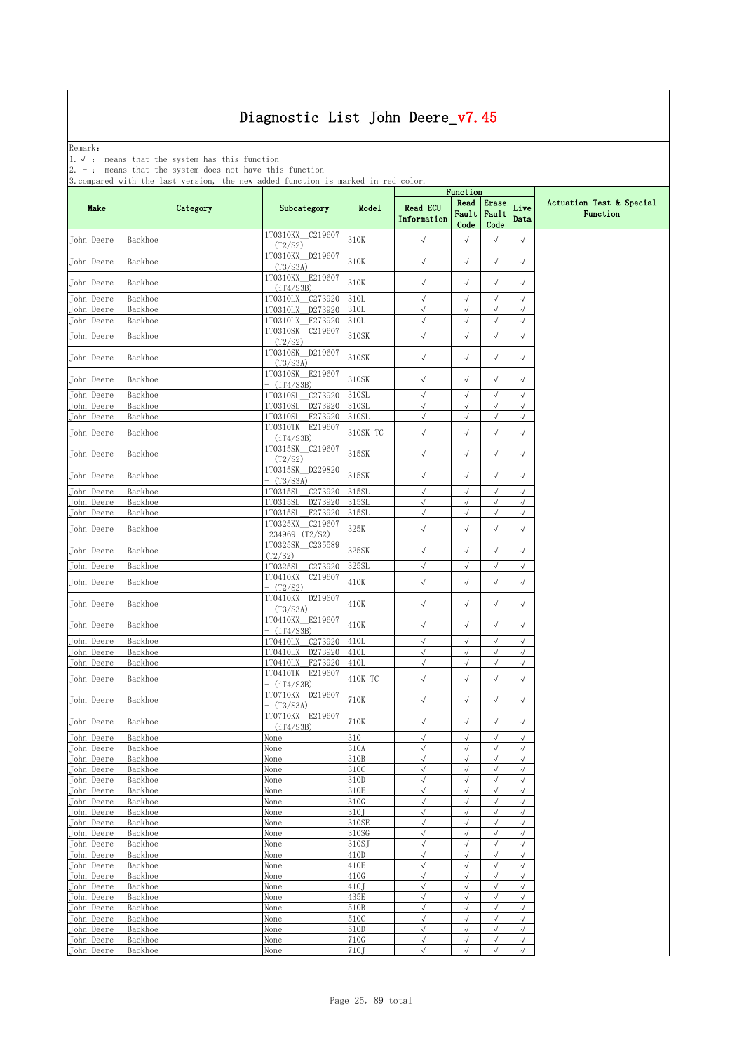Remark: The contract of the contract of  $\mathbb{R}$  and  $\mathbb{R}$  are contract of  $\mathbb{R}$  and  $\mathbb{R}$  are contract of  $\mathbb{R}$  and  $\mathbb{R}$  are contract of  $\mathbb{R}$  and  $\mathbb{R}$  are contract of  $\mathbb{R}$  and  $\mathbb{R}$  are cont

1.√ : means that the system has this function

2. - : means that the system does not have this function

|                          |                    |                                             |                | Function                       |                          |                              |                         |                                      |
|--------------------------|--------------------|---------------------------------------------|----------------|--------------------------------|--------------------------|------------------------------|-------------------------|--------------------------------------|
| Make                     | Category           | Subcategory                                 | Model          | <b>Read ECU</b><br>Information | Read<br>Code             | Erase<br>Fault Fault<br>Code | Live<br>Data            | Actuation Test & Special<br>Function |
| John Deere               | Backhoe            | 1T0310KX C219607<br>(T2/S2)                 | 310K           | $\sqrt{ }$                     | $\sqrt{}$                | $\sqrt{ }$                   | $\sqrt{ }$              |                                      |
| John Deere               | Backhoe            | 1T0310KX D219607<br>(T3/S3A)                | 310K           | $\sqrt{ }$                     | $\sqrt{}$                | $\sqrt{ }$                   | $\sqrt{ }$              |                                      |
| John Deere               | Backhoe            | 1T0310KX E219607<br>(iT4/S3B)               | 310K           | $\sqrt{ }$                     | $\sqrt{}$                | $\sqrt{}$                    | $\sqrt{}$               |                                      |
| John Deere               | Backhoe            | 1T0310LX C273920                            | 310L           | $\sqrt{ }$                     | $\sqrt{}$                | $\sqrt{}$                    | $\sqrt{}$               |                                      |
| John Deere               | Backhoe            | 1T0310LX<br>D273920                         | 310L           | $\sqrt{ }$                     | $\sqrt{}$                | $\sqrt{ }$                   | $\sqrt{}$               |                                      |
| John Deere               | Backhoe            | F273920<br>1T0310LX                         | 310L           | $\sqrt{ }$                     | $\sqrt{ }$               | $\sqrt{}$                    | $\sqrt{}$               |                                      |
| John Deere               | Backhoe            | 1T0310SK C219607<br>(T2/S2)                 | 310SK          | $\sqrt{ }$                     | $\sqrt{\phantom{a}}$     | $\sqrt{}$                    | $\sqrt{}$               |                                      |
| John Deere               | Backhoe            | 1T0310SK D219607<br>(T3/S3A)                | 310SK          | $\sqrt{ }$                     | $\sqrt{}$                | $\sqrt{}$                    | $\sqrt{ }$              |                                      |
| John Deere               | Backhoe            | 1T0310SK E219607<br>- (iT4/S3B)             | 310SK          | $\sqrt{ }$                     | $\sqrt{ }$               | $\sqrt{ }$                   | $\checkmark$            |                                      |
| John Deere               | Backhoe            | C273920<br>1T0310SL                         | 310SL          | $\sqrt{ }$                     | √                        | $\sqrt{ }$                   | $\sqrt{ }$              |                                      |
| John Deere               | Backhoe            | D273920<br>1T0310SL                         | 310SI          | $\sqrt{ }$                     | $\sqrt{}$                | $\sqrt{}$                    | $\sqrt{ }$              |                                      |
| John Deere               | Backhoe            | 1T0310SL<br>F273920                         | 310SL          | $\sqrt{ }$                     | $\sqrt{ }$               | $\sqrt{ }$                   | $\sqrt{ }$              |                                      |
| John Deere               | Backhoe            | 1T0310TK E219607<br>(iT4/S3B)               | 310SK TC       | $\sqrt{ }$                     | $\sqrt{\phantom{a}}$     | $\sqrt{ }$                   | $\sqrt{}$               |                                      |
| John Deere               | Backhoe            | 1T0315SK C219607<br>(T2/S2)                 | 315SK          | $\sqrt{ }$                     | $\sqrt{ }$               | $\sqrt{ }$                   | $\sqrt{}$               |                                      |
| John Deere               | Backhoe            | 1T0315SK D229820<br>(T3/S3A)                | 315SK          | $\sqrt{ }$                     | $\sqrt{}$                | $\sqrt{}$                    | $\sqrt{ }$              |                                      |
| John Deere               | Backhoe            | C273920<br>1T0315SL                         | 315SL          | $\sqrt{ }$                     | $\sqrt{ }$               | $\sqrt{ }$                   | $\sqrt{ }$              |                                      |
| John Deere               | Backhoe            | 1T0315SL<br>D273920                         | 315SL          | $\sqrt{ }$                     | $\sqrt{ }$               | $\sqrt{ }$                   | $\sqrt{ }$              |                                      |
| John Deere               | Backhoe            | 1T0315SL<br>F273920                         | 315SL          | $\sqrt{}$                      | $\sqrt{\phantom{a}}$     | $\sqrt{ }$                   | $\sqrt{}$               |                                      |
| John Deere               | Backhoe            | 1T0325KX<br>C219607<br>$-234969$<br>(T2/S2) | 325K           | $\sqrt{ }$                     | $\sqrt{\phantom{a}}$     | $\sqrt{ }$                   | $\sqrt{}$               |                                      |
| John Deere               | Backhoe            | 1T0325SK C235589<br>(T2/S2)                 | 325SK          | $\sqrt{ }$                     | $\sqrt{}$                | $\checkmark$                 | $\sqrt{ }$              |                                      |
| John Deere               | Backhoe            | C273920<br>1T0325SL                         | 325SL          | $\sqrt{ }$                     | $\sqrt{ }$               | $\sqrt{ }$                   | $\sqrt{ }$              |                                      |
| John Deere               | Backhoe            | 1T0410KX C219607<br>(T2/S2)                 | 410K           | $\sqrt{ }$                     | $\sqrt{ }$               | $\sqrt{}$                    | $\sqrt{}$               |                                      |
| John Deere               | Backhoe            | 1T0410KX D219607<br>(T3/S3A)                | 410K           | $\sqrt{ }$                     | $\sqrt{ }$               | $\sqrt{ }$                   | $\sqrt{ }$              |                                      |
| John Deere               | Backhoe            | 1T0410KX E219607<br>(iT4/S3B)               | 410K           | $\sqrt{ }$                     | $\sqrt{ }$               | $\checkmark$                 | $\sqrt{}$               |                                      |
| John Deere               | Backhoe            | C273920<br>1T0410LX                         | 410L           | $\sqrt{ }$                     | $\sqrt{ }$               | $\sqrt{ }$                   | $\sqrt{ }$              |                                      |
| John Deere               | Backhoe            | D273920<br>1T0410LX                         | 410L           | $\sqrt{ }$                     | $\sqrt{}$                | $\sqrt{ }$                   | $\sqrt{2}$              |                                      |
| John Deere               | Backhoe            | 1T0410LX F273920                            | 410L           | $\sqrt{ }$                     | $\sqrt{}$                | $\sqrt{}$                    | $\sqrt{ }$              |                                      |
| John Deere               | Backhoe            | 1T0410TK E219607<br>- (iT4/S3B)             | 410K TC        | $\sqrt{ }$                     | $\sqrt{ }$               | $\sqrt{}$                    | $\sqrt{}$               |                                      |
| John Deere               | Backhoe            | 1T0710KX D219607<br>(T3/S3A)                | 710K           | $\sqrt{ }$                     | $\sqrt{}$                | $\checkmark$                 | $\sqrt{ }$              |                                      |
| John Deere               | Backhoe            | 1T0710KX E219607<br>(iT4/S3B)               | 710K           | $\sqrt{ }$                     | $\sqrt{}$                | $\sqrt{}$                    | $\sqrt{}$               |                                      |
| John Deere               | Backhoe            | None                                        | 310            | $\sqrt{ }$                     | $\sqrt{}$                | $\sqrt{}$                    | $\sqrt{}$               |                                      |
| John Deere<br>John Deere | Backhoe<br>Backhoe | None<br>None                                | 310A<br>310B   | $\sqrt{ }$<br>$\sqrt{ }$       | $\sqrt{ }$<br>$\sqrt{2}$ | $\sqrt{ }$<br>$\sqrt{2}$     | $\sqrt{ }$<br>$\sqrt{}$ |                                      |
| John Deere               | Backhoe            | None                                        | 310C           | $\sqrt{ }$                     | $\sqrt{2}$               | $\sqrt{ }$                   | $\sqrt{}$               |                                      |
| John Deere               | Backhoe            | None                                        | 310D           | $\sqrt{ }$                     | $\sqrt{}$                | $\sqrt{ }$                   | $\sqrt{}$               |                                      |
| John Deere               | Backhoe            | None                                        | 310E           | $\sqrt{ }$                     | $\sqrt{ }$               | $\sqrt{ }$                   | $\sqrt{ }$              |                                      |
| John Deere               | Backhoe            | None                                        | 310G           | $\sqrt{ }$                     | $\sqrt{}$                | $\checkmark$                 | $\sqrt{}$               |                                      |
| John Deere               | Backhoe            | None                                        | 310J           | $\sqrt{ }$                     | $\sqrt{ }$               | $\sqrt{}$                    | $\sqrt{2}$              |                                      |
| John Deere               | Backhoe            | None                                        | 310SE          | $\sqrt{ }$                     | $\sqrt{ }$               | $\sqrt{}$                    | $\sqrt{}$               |                                      |
| John Deere<br>John Deere | Backhoe<br>Backhoe | None                                        | 310SG<br>310SJ | $\sqrt{ }$<br>$\sqrt{ }$       | $\sqrt{2}$<br>$\sqrt{2}$ | $\sqrt{}$<br>$\sqrt{ }$      | $\sqrt{2}$<br>$\sqrt{}$ |                                      |
| John Deere               | Backhoe            | None<br>None                                | 410D           | $\sqrt{ }$                     | $\sqrt{}$                | $\sqrt{ }$                   | $\sqrt{ }$              |                                      |
| John Deere               | Backhoe            | None                                        | 410E           | $\sqrt{ }$                     | $\sqrt{}$                | $\sqrt{ }$                   | $\sqrt{}$               |                                      |
| John Deere               | Backhoe            | None                                        | 410G           | $\sqrt{ }$                     | $\sqrt{}$                | $\checkmark$                 | $\sqrt{}$               |                                      |
| John Deere               | Backhoe            | None                                        | 410J           | $\sqrt{ }$                     | $\sqrt{}$                | $\sqrt{}$                    | $\sqrt{ }$              |                                      |
| John Deere               | Backhoe            | None                                        | 435E           | $\sqrt{ }$                     | $\sqrt{ }$               | $\sqrt{}$                    | $\sqrt{}$               |                                      |
| John Deere               | Backhoe            | None                                        | 510B           | $\sqrt{ }$                     | $\sqrt{\phantom{a}}$     | $\sqrt{ }$                   | $\sqrt{2}$              |                                      |
| John Deere               | Backhoe            | None                                        | 510C           | $\sqrt{ }$                     | $\sqrt{}$                | $\sqrt{ }$                   | $\sqrt{}$               |                                      |
| John Deere               | Backhoe            | None                                        | 510D           | $\sqrt{ }$                     | $\sqrt{}$                | $\sqrt{ }$                   | $\sqrt{2}$              |                                      |
| John Deere               | Backhoe            | None                                        | 710G           | $\sqrt{ }$                     | $\sqrt{}$                | $\sqrt{}$                    | $\sqrt{ }$              |                                      |
| John Deere               | Backhoe            | None                                        | 710J           | $\sqrt{ }$                     | $\sqrt{}$                | $\sqrt{}$                    | $\sqrt{ }$              |                                      |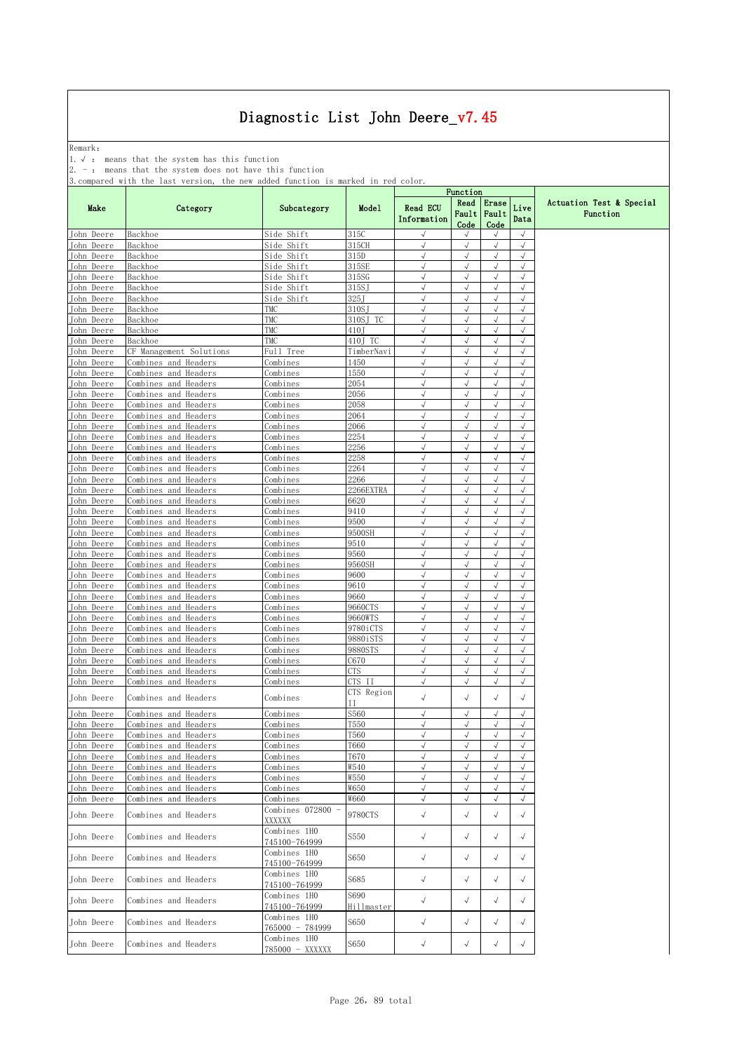Remark: The contract of the contract of  $\mathbb{R}$  and  $\mathbb{R}$  are contract of  $\mathbb{R}$  and  $\mathbb{R}$  are contract of  $\mathbb{R}$  and  $\mathbb{R}$  are contract of  $\mathbb{R}$  and  $\mathbb{R}$  are contract of  $\mathbb{R}$  and  $\mathbb{R}$  are cont

1.√ : means that the system has this function

2. - : means that the system does not have this function

|                          |                                              |                                 |                    |                                | Function                   |                          |                          |                                      |
|--------------------------|----------------------------------------------|---------------------------------|--------------------|--------------------------------|----------------------------|--------------------------|--------------------------|--------------------------------------|
| Make                     | Category                                     | Subcategory                     | Model              | <b>Read ECU</b><br>Information | Read<br>Fault<br>Code      | Erase<br>Fault<br>Code   | Live<br>Data             | Actuation Test & Special<br>Function |
| John Deere               | Backhoe                                      | Side Shift                      | 315C               | $\sqrt{}$                      | $\sqrt{}$                  | $\sqrt{}$                | $\sqrt{ }$               |                                      |
| John Deere               | Backhoe                                      | Side Shift                      | 315CH              | $\checkmark$                   | $\sqrt{ }$                 | $\sqrt{}$                | $\sqrt{ }$               |                                      |
| John Deere<br>John Deere | Backhoe<br>Backhoe                           | Side Shift<br>Side Shift        | 315D<br>315SE      | $\sqrt{ }$<br>√                | $\sqrt{ }$<br>$\checkmark$ | $\sqrt{ }$<br>$\sqrt{ }$ | $\sqrt{}$<br>$\sqrt{ }$  |                                      |
| John Deere               | Backhoe                                      | Side Shift                      | 315SG              | J                              | $\sqrt{}$                  | $\sqrt{ }$               | $\sqrt{}$                |                                      |
| John Deere               | Backhoe                                      | Side Shift                      | 315SJ              | J                              | $\sqrt{2}$                 | $\sqrt{ }$               | $\sqrt{}$                |                                      |
| Tohn Deere               | Backhoe                                      | Side Shift                      | $325$ J            | $\sqrt{ }$                     | $\sqrt{}$                  | $\sqrt{ }$               | $\sqrt{ }$               |                                      |
| John Deere               | Backhoe                                      | TMC                             | 310SJ              | $\sqrt{ }$                     | $\sqrt{}$                  | $\sqrt{ }$               | $\sqrt{ }$               |                                      |
| John Deere               | Backhoe                                      | TMC                             | 310SJ TC           | $\sqrt{}$                      | $\sqrt{}$                  | $\sqrt{}$                | $\sqrt{ }$               |                                      |
| John Deere               | Backhoe                                      | TMC                             | 410.T              | $\sqrt{ }$                     | $\sqrt{ }$                 | $\sqrt{ }$               | $\sqrt{}$                |                                      |
| John Deere               | Backhoe                                      | TMC                             | 410T TC            | J                              |                            |                          | $\sqrt{}$                |                                      |
| John Deere               | CF Management Solutions                      | Full Tree                       | TimberNavi         | $\sqrt{ }$                     | $\sqrt{}$                  | $\sqrt{ }$               | $\sqrt{ }$               |                                      |
| John Deere               | Combines and Headers                         | Combines                        | 1450               | $\sqrt{ }$                     | $\sqrt{}$                  | $\sqrt{ }$               | $\sqrt{ }$               |                                      |
| John Deere               | Combines and Headers                         | Combines                        | 1550               | $\sqrt{ }$                     | $\sqrt{ }$                 | $\sqrt{ }$               | $\sqrt{2}$               |                                      |
| John Deere               | Combines and Headers                         | Combines                        | 2054               | $\sqrt{ }$                     | $\sqrt{ }$                 | $\sqrt{ }$               | $\sqrt{2}$<br>$\sqrt{}$  |                                      |
| John Deere<br>John Deere | Combines and Headers<br>Combines and Headers | Combines<br>Combines            | 2056<br>2058       | $\sqrt{ }$<br>J                | $\sqrt{ }$<br>$\sqrt{}$    | $\sqrt{}$<br>$\sqrt{}$   | $\sqrt{2}$               |                                      |
| John Deere               | Combines and Headers                         | Combines                        | 2064               | √                              | $\sqrt{}$                  | $\sqrt{ }$               | $\sqrt{ }$               |                                      |
| John Deere               | Combines and Headers                         | Combines                        | 2066               | $\sqrt{2}$                     | $\sqrt{}$                  | $\sqrt{ }$               | $\sqrt{}$                |                                      |
| John Deere               | Combines and Headers                         | Combines                        | 2254               | $\sqrt{ }$                     | $\sqrt{ }$                 | $\sqrt{ }$               | $\sqrt{ }$               |                                      |
| John Deere               | Combines and Headers                         | Combines                        | 2256               | $\sqrt{ }$                     | $\sqrt{ }$                 | $\sqrt{ }$               | $\sqrt{ }$               |                                      |
| John Deere               | Combines and Headers                         | Combines                        | 2258               | $\sqrt{ }$                     | $\sqrt{ }$                 | $\sqrt{ }$               | $\sqrt{ }$               |                                      |
| John Deere               | Combines and Headers                         | Combines                        | 2264               | $\sqrt{ }$                     | $\sqrt{}$                  | $\sqrt{}$                | $\sqrt{ }$               |                                      |
| John Deere               | Combines and Headers                         | Combines                        | 2266               | J                              | $\sqrt{}$                  | $\sqrt{ }$               | $\sqrt{2}$               |                                      |
| John Deere               | Combines and Headers                         | Combines                        | 2266EXTRA          | $\sqrt{ }$                     | $\sqrt{ }$                 | $\sqrt{ }$               | $\sqrt{ }$               |                                      |
| John Deere               | Combines and Headers                         | Combines                        | 6620               | $\sqrt{ }$                     | $\sqrt{ }$                 | $\sqrt{ }$               | $\sqrt{ }$               |                                      |
| <b>Tohn Deere</b>        | Combines and Headers                         | Combines                        | 9410               | $\sqrt{ }$                     | $\sqrt{}$                  | $\sqrt{ }$               | $\sqrt{}$                |                                      |
| John Deere               | Combines and Headers                         | Combines                        | 9500               | $\sqrt{}$                      | √                          | $\sqrt{}$                | $\sqrt{ }$               |                                      |
| John Deere               | Combines and Headers                         | Combines                        | 9500SH             | J                              | $\sqrt{}$                  | $\sqrt{ }$               | $\sqrt{}$                |                                      |
| John Deere               | Combines and Headers                         | Combines                        | 9510               | √<br>$\sqrt{ }$                | √                          | $\sqrt{}$                | $\sqrt{ }$               |                                      |
| John Deere<br>John Deere | Combines and Headers<br>Combines and Headers | Combines<br>Combines            | 9560<br>9560SH     | $\sqrt{ }$                     | $\sqrt{}$<br>$\sqrt{ }$    | $\sqrt{ }$<br>$\sqrt{ }$ | $\sqrt{ }$<br>$\sqrt{2}$ |                                      |
| John Deere               | Combines and Headers                         | Combines                        | 9600               | $\sqrt{ }$                     | $\sqrt{ }$                 | $\sqrt{ }$               | $\sqrt{ }$               |                                      |
| John Deere               | Combines and Headers                         | Combines                        | 9610               | $\sqrt{ }$                     | $\sqrt{ }$                 | $\sqrt{ }$               | $\sqrt{}$                |                                      |
| John Deere               | Combines and Headers                         | Combines                        | 9660               | $\sqrt{}$                      | $\sqrt{}$                  | $\sqrt{}$                | $\sqrt{}$                |                                      |
| John Deere               | Combines and Headers                         | Combines                        | 9660CTS            |                                | $\sqrt{2}$                 | $\sqrt{2}$               | $\sqrt{}$                |                                      |
| John Deere               | Combines and Headers                         | Combines                        | 9660WTS            | $\sqrt{ }$                     | $\sqrt{ }$                 | $\sqrt{ }$               | $\sqrt{ }$               |                                      |
| John Deere               | Combines and Headers                         | Combines                        | 9780iCTS           | $\sqrt{ }$                     | $\sqrt{ }$                 | $\sqrt{ }$               | $\sqrt{2}$               |                                      |
| John Deere               | Combines and Headers                         | Combines                        | 9880iSTS           | $\sqrt{ }$                     | $\sqrt{ }$                 | $\sqrt{ }$               | $\sqrt{ }$               |                                      |
| John Deere               | Combines and Headers                         | Combines                        | 9880STS            | $\sqrt{}$                      | $\sqrt{}$                  | $\sqrt{}$                | $\sqrt{ }$               |                                      |
| John Deere               | Combines and Headers                         | Combines                        | C670               | $\sqrt{}$                      | $\sqrt{ }$                 | $\sqrt{}$                | $\sqrt{ }$               |                                      |
| John Deere               | Combines and Headers                         | Combines                        | CTS.               | √                              | $\sqrt{}$                  | $\sqrt{}$                | $\sqrt{2}$               |                                      |
| John Deere               | Combines and Headers                         | Combines                        | CTS II             | $\sqrt{ }$                     | $\sqrt{ }$                 | $\sqrt{}$                | $\sqrt{}$                |                                      |
| John Deere               | Combines and Headers                         | Combines                        | CTS Region<br>П    | $\sqrt{ }$                     | $\sqrt{}$                  | $\sqrt{2}$               | $\sqrt{ }$               |                                      |
| John Deere               | Combines and Headers                         | Combines                        | S560               | $\sqrt{ }$                     | $\sqrt{ }$                 | $\sqrt{ }$               | $\sqrt{ }$               |                                      |
| John Deere               | Combines and Headers                         | Combines                        | T550               | $\sqrt{}$                      | $\sqrt{}$                  | $\sqrt{}$                | $\sqrt{}$                |                                      |
| John Deere               | Combines and Headers                         | Combines                        | T560               | J                              | $\sqrt{2}$                 | $\sqrt{2}$               | $\sqrt{ }$               |                                      |
| John Deere               | Combines and Headers                         | Combines                        | T660               | √                              | √                          |                          | √                        |                                      |
| John Deere               | Combines and Headers                         | Combines                        | T670               | $\sqrt{ }$                     | $\sqrt{ }$                 | $\sqrt{ }$               | $\sqrt{}$                |                                      |
| John Deere               | Combines and Headers                         | Combines                        | W540               | $\sqrt{ }$                     | $\sqrt{ }$                 | $\sqrt{ }$               | $\sqrt{ }$               |                                      |
| John Deere               | Combines and Headers                         | Combines                        | W550               | $\checkmark$                   | $\sqrt{}$                  | $\sqrt{}$                | $\sqrt{ }$               |                                      |
| John Deere               | Combines and Headers                         | Combines                        | W650               | $\sqrt{ }$                     | $\sqrt{ }$                 | $\sqrt{ }$               | $\sqrt{ }$               |                                      |
| John Deere               | Combines and Headers                         | Combines<br>Combines 072800     | W660               | $\checkmark$                   | $\sqrt{ }$                 | $\sqrt{}$                | $\sqrt{ }$               |                                      |
| John Deere               | Combines and Headers                         | XXXXXX                          | 9780CTS            | $\sqrt{ }$                     | $\sqrt{}$                  | $\sqrt{}$                | $\sqrt{ }$               |                                      |
| John Deere               | Combines and Headers                         | Combines 1HO<br>745100-764999   | S550               | $\checkmark$                   | $\sqrt{}$                  | $\sqrt{}$                | $\sqrt{}$                |                                      |
| John Deere               | Combines and Headers                         | Combines 1HO<br>745100-764999   | S650               | $\sqrt{ }$                     | $\sqrt{}$                  | $\sqrt{}$                | $\sqrt{}$                |                                      |
| John Deere               | Combines and Headers                         | Combines 1HO<br>745100-764999   | S685               | $\checkmark$                   | $\sqrt{}$                  | $\sqrt{}$                | $\sqrt{}$                |                                      |
| John Deere               | Combines and Headers                         | Combines 1HO<br>745100-764999   | S690<br>Hillmaster | $\sqrt{ }$                     | $\sqrt{}$                  | $\sqrt{ }$               | $\sqrt{}$                |                                      |
| John Deere               | Combines and Headers                         | Combines 1HO<br>765000 - 784999 | S650               | $\sqrt{}$                      | $\sqrt{}$                  | $\sqrt{2}$               | $\sqrt{}$                |                                      |
| John Deere               | Combines and Headers                         | Combines 1HO<br>785000 - XXXXXX | S650               | $\sqrt{ }$                     | $\sqrt{}$                  | $\sqrt{}$                | $\sqrt{}$                |                                      |
|                          |                                              |                                 |                    |                                |                            |                          |                          |                                      |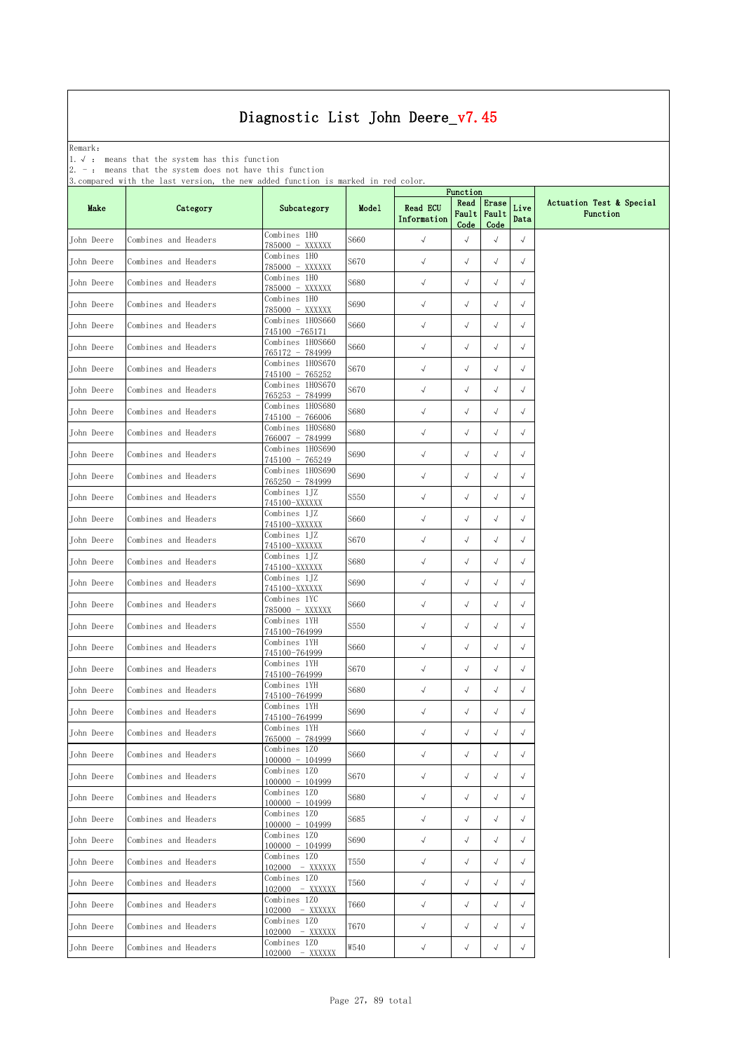Remark: The contract of the contract of  $\mathbb{R}$  and  $\mathbb{R}$  are contract of  $\mathbb{R}$  and  $\mathbb{R}$  are contract of  $\mathbb{R}$  and  $\mathbb{R}$  are contract of  $\mathbb{R}$  and  $\mathbb{R}$  are contract of  $\mathbb{R}$  and  $\mathbb{R}$  are cont

1.√ : means that the system has this function

2. - : means that the system does not have this function

|            | o, compared wrth the fast version, the new added runction is marked in rea coror. |                                     |             | Function                       |                       |                        |              |                                      |
|------------|-----------------------------------------------------------------------------------|-------------------------------------|-------------|--------------------------------|-----------------------|------------------------|--------------|--------------------------------------|
| Make       | Category                                                                          | Subcategory                         | Model       | <b>Read ECU</b><br>Information | Read<br>Fault<br>Code | Erase<br>Fault<br>Code | Live<br>Data | Actuation Test & Special<br>Function |
| John Deere | Combines and Headers                                                              | Combines 1HO<br>785000 - XXXXXX     | S660        | $\checkmark$                   | $\sqrt{ }$            | $\sqrt{ }$             | $\sqrt{}$    |                                      |
| John Deere | Combines and Headers                                                              | Combines 1HO<br>785000 - XXXXXX     | S670        | $\checkmark$                   | $\sqrt{ }$            | $\sqrt{}$              | $\sqrt{ }$   |                                      |
| John Deere | Combines and Headers                                                              | Combines 1HO<br>785000 - XXXXXX     | S680        | $\sqrt{ }$                     | $\sqrt{ }$            | $\sqrt{}$              | $\sqrt{ }$   |                                      |
| John Deere | Combines and Headers                                                              | Combines 1HO<br>785000 - XXXXXX     | S690        | $\sqrt{ }$                     | $\sqrt{ }$            | $\sqrt{}$              | $\sqrt{}$    |                                      |
| John Deere | Combines and Headers                                                              | Combines 1H0S660<br>745100 -765171  | S660        | $\checkmark$                   | $\sqrt{}$             | $\sqrt{}$              | $\sqrt{}$    |                                      |
| John Deere | Combines and Headers                                                              | Combines 1H0S660<br>765172 - 784999 | S660        | $\sqrt{ }$                     | $\sqrt{ }$            | $\sqrt{ }$             | $\sqrt{ }$   |                                      |
| John Deere | Combines and Headers                                                              | Combines 1H0S670<br>745100 - 765252 | S670        | $\checkmark$                   | $\sqrt{ }$            | $\sqrt{}$              | $\sqrt{}$    |                                      |
| John Deere | Combines and Headers                                                              | Combines 1H0S670<br>765253 - 784999 | S670        | $\sqrt{ }$                     | $\sqrt{ }$            | $\sqrt{}$              | $\sqrt{ }$   |                                      |
| John Deere | Combines and Headers                                                              | Combines 1H0S680<br>745100 - 766006 | S680        | $\checkmark$                   | $\sqrt{ }$            | $\sqrt{}$              | $\sqrt{}$    |                                      |
| John Deere | Combines and Headers                                                              | Combines 1H0S680<br>766007 - 784999 | S680        | $\checkmark$                   | $\sqrt{ }$            | $\sqrt{}$              | $\sqrt{ }$   |                                      |
| John Deere | Combines and Headers                                                              | Combines 1H0S690<br>745100 - 765249 | S690        | $\sqrt{ }$                     | $\sqrt{ }$            | $\sqrt{}$              | $\sqrt{}$    |                                      |
| John Deere | Combines and Headers                                                              | Combines 1H0S690<br>765250 - 784999 | S690        | $\checkmark$                   | $\sqrt{ }$            | $\sqrt{}$              | $\sqrt{ }$   |                                      |
| John Deere | Combines and Headers                                                              | Combines 1JZ<br>745100-XXXXXX       | S550        | $\sqrt{ }$                     | $\sqrt{ }$            | $\sqrt{ }$             | $\sqrt{ }$   |                                      |
| John Deere | Combines and Headers                                                              | Combines 1JZ<br>745100-XXXXXX       | S660        | $\checkmark$                   | $\sqrt{ }$            | $\sqrt{}$              | $\sqrt{ }$   |                                      |
| John Deere | Combines and Headers                                                              | Combines 1JZ<br>745100-XXXXXX       | S670        | $\sqrt{ }$                     | $\sqrt{ }$            | $\checkmark$           | $\sqrt{ }$   |                                      |
| John Deere | Combines and Headers                                                              | Combines 1JZ<br>745100-XXXXXX       | S680        | $\checkmark$                   | $\sqrt{}$             | $\sqrt{}$              | $\sqrt{}$    |                                      |
| John Deere | Combines and Headers                                                              | Combines 1JZ<br>745100-XXXXXX       | S690        | $\checkmark$                   | $\sqrt{ }$            | $\sqrt{}$              | $\sqrt{ }$   |                                      |
| John Deere | Combines and Headers                                                              | Combines 1YC<br>785000 - XXXXXX     | S660        | $\checkmark$                   | $\sqrt{ }$            | $\sqrt{}$              | $\sqrt{}$    |                                      |
| John Deere | Combines and Headers                                                              | Combines 1YH<br>745100-764999       | S550        | $\checkmark$                   | $\sqrt{ }$            | $\sqrt{}$              | $\sqrt{}$    |                                      |
| John Deere | Combines and Headers                                                              | Combines 1YH<br>745100-764999       | S660        | $\sqrt{ }$                     | $\sqrt{ }$            | $\sqrt{ }$             | $\sqrt{ }$   |                                      |
| John Deere | Combines and Headers                                                              | Combines 1YH<br>745100-764999       | S670        | $\checkmark$                   | $\sqrt{ }$            | $\sqrt{}$              | $\sqrt{ }$   |                                      |
| John Deere | Combines and Headers                                                              | Combines 1YH<br>745100-764999       | S680        | $\sqrt{ }$                     | $\sqrt{ }$            | $\sqrt{ }$             | $\sqrt{ }$   |                                      |
| John Deere | Combines and Headers                                                              | Combines 1YH<br>745100-764999       | S690        | $\checkmark$                   | $\sqrt{}$             | $\sqrt{}$              | $\sqrt{ }$   |                                      |
| John Deere | Combines and Headers                                                              | Combines 1YH<br>765000 - 784999     | S660        | $\sqrt{ }$                     | $\sqrt{ }$            | $\sqrt{}$              | $\sqrt{}$    |                                      |
| John Deere | Combines and Headers                                                              | Combines 1ZO<br>$100000 - 104999$   | S660        | $\sqrt{ }$                     | $\sqrt{ }$            | $\sqrt{ }$             | $\sqrt{ }$   |                                      |
| John Deere | Combines and Headers                                                              | Combines 1Z0<br>100000 - 104999     | S670        | $\checkmark$                   | $\sqrt{ }$            | $\sqrt{ }$             | $\sqrt{}$    |                                      |
| John Deere | Combines and Headers                                                              | Combines 1Z0<br>100000 - 104999     | S680        | $\sqrt{ }$                     | $\sqrt{ }$            | $\sqrt{}$              | $\sqrt{}$    |                                      |
| John Deere | Combines and Headers                                                              | Combines 1Z0<br>100000 - 104999     | S685        | $\checkmark$                   | $\sqrt{ }$            | $\sqrt{}$              | $\sqrt{ }$   |                                      |
| John Deere | Combines and Headers                                                              | Combines 1Z0<br>$100000 - 104999$   | S690        | $\checkmark$                   | $\sqrt{ }$            | $\sqrt{ }$             | $\sqrt{ }$   |                                      |
| John Deere | Combines and Headers                                                              | Combines 1Z0<br>102000 - XXXXXX     | <b>T550</b> | $\checkmark$                   | $\sqrt{}$             | $\sqrt{}$              | $\sqrt{ }$   |                                      |
| John Deere | Combines and Headers                                                              | Combines 1Z0<br>102000 - XXXXXX     | <b>T560</b> | $\checkmark$                   | $\sqrt{ }$            | $\sqrt{}$              | $\sqrt{}$    |                                      |
| John Deere | Combines and Headers                                                              | Combines 1ZO<br>102000 - XXXXXX     | <b>T660</b> | $\checkmark$                   | $\sqrt{}$             | $\sqrt{ }$             | $\sqrt{}$    |                                      |
| John Deere | Combines and Headers                                                              | Combines 1ZO<br>102000 - XXXXXX     | T670        | $\checkmark$                   | $\sqrt{ }$            | $\sqrt{ }$             | $\sqrt{ }$   |                                      |
| John Deere | Combines and Headers                                                              | Combines 1Z0<br>102000 - XXXXXX     | W540        | $\checkmark$                   | $\sqrt{ }$            | $\sqrt{}$              | $\sqrt{ }$   |                                      |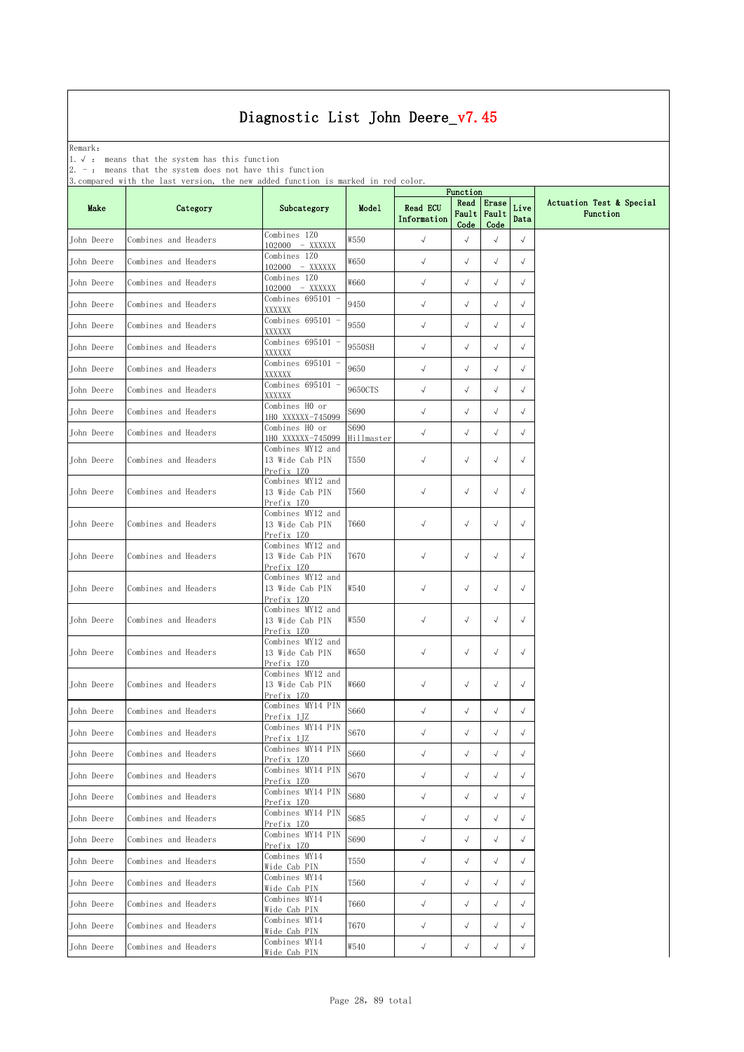Remark: The contract of the contract of  $\mathbb{R}$  and  $\mathbb{R}$  are contract of  $\mathbb{R}$  and  $\mathbb{R}$  are contract of  $\mathbb{R}$  and  $\mathbb{R}$  are contract of  $\mathbb{R}$  and  $\mathbb{R}$  are contract of  $\mathbb{R}$  and  $\mathbb{R}$  are cont

1.√ : means that the system has this function

2. - : means that the system does not have this function

|            |                      |                                                    |                    |                                | Function                    |               |              |                                      |  |
|------------|----------------------|----------------------------------------------------|--------------------|--------------------------------|-----------------------------|---------------|--------------|--------------------------------------|--|
| Make       | Category             | Subcategory                                        | Model              | <b>Read ECU</b><br>Information | Read<br>Fault Fault<br>Code | Erase<br>Code | Live<br>Data | Actuation Test & Special<br>Function |  |
| John Deere | Combines and Headers | Combines 1Z0<br>102000 - XXXXXX                    | W550               | $\sqrt{ }$                     | $\sqrt{ }$                  | $\sqrt{2}$    | $\sqrt{}$    |                                      |  |
| John Deere | Combines and Headers | Combines 1ZO<br>102000 - XXXXXX                    | W650               | $\sqrt{\phantom{a}}$           | $\sqrt{ }$                  | $\checkmark$  | $\sqrt{ }$   |                                      |  |
| John Deere | Combines and Headers | Combines 1ZO<br>102000 - XXXXXX                    | W660               | $\sqrt{ }$                     | $\sqrt{}$                   | $\checkmark$  | $\sqrt{}$    |                                      |  |
| John Deere | Combines and Headers | Combines 695101 -<br>XXXXXX                        | 9450               | $\sqrt{ }$                     | $\sqrt{ }$                  | $\sqrt{ }$    | $\sqrt{ }$   |                                      |  |
| John Deere | Combines and Headers | Combines 695101<br>XXXXXX                          | 9550               | $\sqrt{ }$                     | $\sqrt{}$                   | $\sqrt{ }$    | $\sqrt{}$    |                                      |  |
| John Deere | Combines and Headers | Combines 695101 -<br>XXXXXX                        | 9550SH             | $\sqrt{ }$                     | $\sqrt{}$                   | $\sqrt{}$     | $\sqrt{ }$   |                                      |  |
| John Deere | Combines and Headers | Combines 695101<br>XXXXXX                          | 9650               | $\checkmark$                   | $\sqrt{ }$                  | $\checkmark$  | $\sqrt{}$    |                                      |  |
| John Deere | Combines and Headers | Combines 695101 -<br>XXXXXX                        | 9650CTS            | $\sqrt{ }$                     | $\sqrt{}$                   | $\sqrt{}$     | $\sqrt{}$    |                                      |  |
| John Deere | Combines and Headers | Combines HO or<br>1HO XXXXXX-745099                | S690               | $\checkmark$                   | $\sqrt{}$                   | $\sqrt{ }$    | $\sqrt{ }$   |                                      |  |
| John Deere | Combines and Headers | Combines HO or<br>1HO XXXXXX-745099                | S690<br>Hillmaster | $\sqrt{ }$                     | $\sqrt{}$                   | $\sqrt{ }$    | $\sqrt{ }$   |                                      |  |
| John Deere | Combines and Headers | Combines MY12 and<br>13 Wide Cab PIN<br>Prefix 1Z0 | <b>T550</b>        | $\sqrt{ }$                     | $\sqrt{}$                   | $\sqrt{ }$    | $\sqrt{ }$   |                                      |  |
| John Deere | Combines and Headers | Combines MY12 and<br>13 Wide Cab PIN<br>Prefix 1ZO | T <sub>560</sub>   | $\sqrt{ }$                     | $\sqrt{}$                   | $\sqrt{ }$    | $\sqrt{ }$   |                                      |  |
| John Deere | Combines and Headers | Combines MY12 and<br>13 Wide Cab PIN<br>Prefix 1Z0 | T660               | $\sqrt{ }$                     | $\sqrt{ }$                  | $\sqrt{ }$    | $\sqrt{ }$   |                                      |  |
| John Deere | Combines and Headers | Combines MY12 and<br>13 Wide Cab PIN<br>Prefix 1ZO | <b>T670</b>        | $\sqrt{ }$                     | $\sqrt{}$                   | $\checkmark$  | $\sqrt{ }$   |                                      |  |
| John Deere | Combines and Headers | Combines MY12 and<br>13 Wide Cab PIN<br>Prefix 1ZO | W540               | $\sqrt{ }$                     | $\sqrt{}$                   | $\checkmark$  | $\sqrt{}$    |                                      |  |
| John Deere | Combines and Headers | Combines MY12 and<br>13 Wide Cab PIN<br>Prefix 1ZO | W550               | $\sqrt{ }$                     | $\sqrt{}$                   | $\sqrt{ }$    | $\sqrt{ }$   |                                      |  |
| John Deere | Combines and Headers | Combines MY12 and<br>13 Wide Cab PIN<br>Prefix 1ZO | W650               | $\sqrt{ }$                     | $\sqrt{ }$                  | $\sqrt{ }$    | $\sqrt{ }$   |                                      |  |
| John Deere | Combines and Headers | Combines MY12 and<br>13 Wide Cab PIN<br>Prefix 1ZO | W660               | $\sqrt{ }$                     | $\sqrt{}$                   | $\sqrt{ }$    | $\sqrt{ }$   |                                      |  |
| John Deere | Combines and Headers | Combines MY14 PIN<br>Prefix 1.TZ                   | S660               | $\checkmark$                   | $\sqrt{}$                   | $\sqrt{ }$    | $\sqrt{ }$   |                                      |  |
| John Deere | Combines and Headers | Combines MY14 PIN<br>Prefix 1JZ                    | S670               | $\sqrt{ }$                     | $\sqrt{}$                   | $\sqrt{2}$    | $\sqrt{}$    |                                      |  |
| John Deere | Combines and Headers | Combines MY14 PIN<br>Prefix 1ZO                    | S660               | $\sqrt{ }$                     | $\sqrt{ }$                  | $\sqrt{ }$    | $\sqrt{ }$   |                                      |  |
| John Deere | Combines and Headers | Combines MY14 PIN<br>Prefix 1ZO                    | S670               | $\sqrt{}$                      | $\sqrt{ }$                  | $\sqrt{}$     | $\sqrt{ }$   |                                      |  |
| John Deere | Combines and Headers | Combines MY14 PIN<br>Prefix 1ZO                    | S680               | $\sqrt{\phantom{a}}$           | $\sqrt{ }$                  | $\sqrt{ }$    | $\sqrt{ }$   |                                      |  |
| John Deere | Combines and Headers | Combines MY14 PIN<br>Prefix 1ZO                    | S685               | $\sqrt{\phantom{a}}$           | $\sqrt{}$                   | $\checkmark$  | $\sqrt{ }$   |                                      |  |
| John Deere | Combines and Headers | Combines MY14 PIN<br>Prefix 1Z0                    | S690               | $\sqrt{ }$                     | $\sqrt{}$                   | $\sqrt{ }$    | $\sqrt{ }$   |                                      |  |
| John Deere | Combines and Headers | Combines MY14<br>Wide Cab PIN                      | <b>T550</b>        | $\checkmark$                   | $\sqrt{ }$                  | $\checkmark$  | $\sqrt{ }$   |                                      |  |
| John Deere | Combines and Headers | Combines MY14<br>Wide Cab PIN                      | <b>T560</b>        | $\sqrt{ }$                     | $\sqrt{}$                   | $\sqrt{}$     | $\sqrt{ }$   |                                      |  |
| John Deere | Combines and Headers | Combines MY14<br>Wide Cab PIN                      | <b>T660</b>        | $\sqrt{ }$                     | $\sqrt{ }$                  | $\sqrt{ }$    | $\sqrt{ }$   |                                      |  |
| John Deere | Combines and Headers | Combines MY14<br>Wide Cab PIN                      | T670               | $\sqrt{ }$                     | $\sqrt{ }$                  | $\checkmark$  | $\sqrt{ }$   |                                      |  |
| John Deere | Combines and Headers | Combines MY14<br>Wide Cab PIN                      | W540               | $\sqrt{\phantom{a}}$           | $\sqrt{}$                   | $\sqrt{ }$    | $\sqrt{}$    |                                      |  |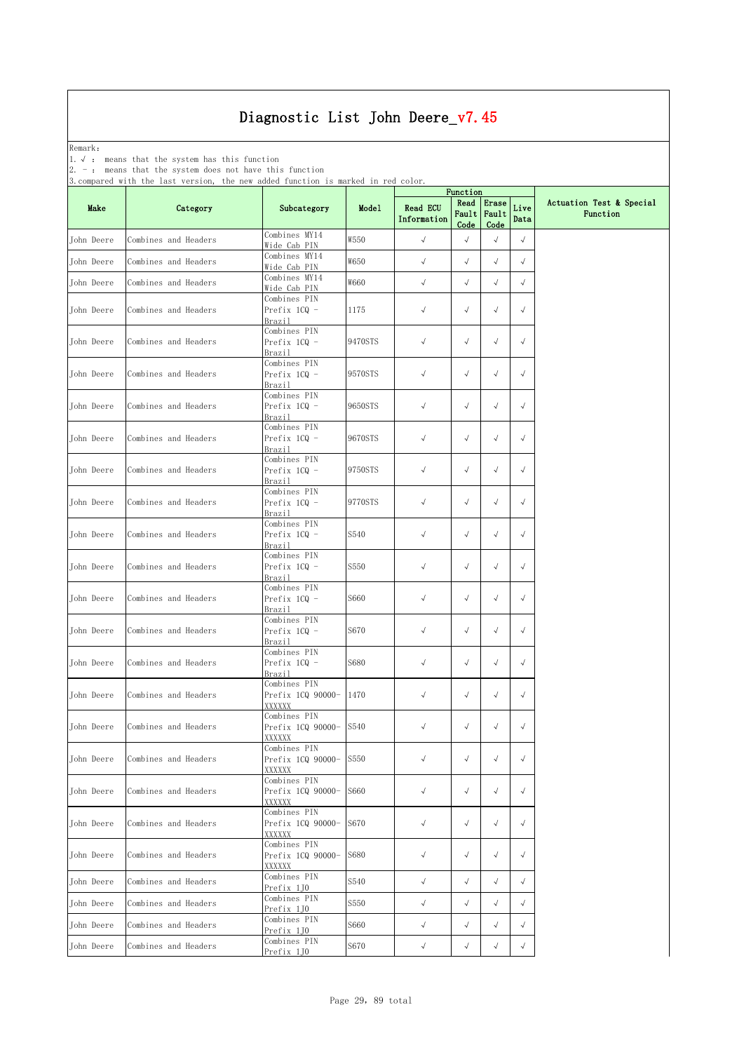Remark: The contract of the contract of  $\mathbb{R}$  and  $\mathbb{R}$  are contract of  $\mathbb{R}$  and  $\mathbb{R}$  are contract of  $\mathbb{R}$  and  $\mathbb{R}$  are contract of  $\mathbb{R}$  and  $\mathbb{R}$  are contract of  $\mathbb{R}$  and  $\mathbb{R}$  are cont

1.√ : means that the system has this function

2. - : means that the system does not have this function

| . comparea |                      |                                               |         |                                | Function              |                        |              |                                      |
|------------|----------------------|-----------------------------------------------|---------|--------------------------------|-----------------------|------------------------|--------------|--------------------------------------|
| Make       | Category             | Subcategory                                   | Model   | <b>Read ECU</b><br>Information | Read<br>Fault<br>Code | Erase<br>Fault<br>Code | Live<br>Data | Actuation Test & Special<br>Function |
| John Deere | Combines and Headers | Combines MY14<br>Wide Cab PIN                 | W550    | $\sqrt{ }$                     | $\sqrt{ }$            | $\sqrt{ }$             | $\sqrt{}$    |                                      |
| John Deere | Combines and Headers | Combines MY14<br>Wide Cab PIN                 | W650    | $\sqrt{ }$                     | $\sqrt{}$             | $\checkmark$           | $\sqrt{}$    |                                      |
| John Deere | Combines and Headers | Combines MY14<br>Wide Cab PIN                 | W660    | $\sqrt{ }$                     | $\sqrt{}$             | $\sqrt{}$              | $\sqrt{}$    |                                      |
| John Deere | Combines and Headers | Combines PIN<br>Prefix 1CQ -<br>Brazil        | 1175    | $\checkmark$                   | $\sqrt{ }$            | $\sqrt{ }$             | $\sqrt{ }$   |                                      |
| John Deere | Combines and Headers | Combines PIN<br>Prefix 1CQ -<br>Brazil        | 9470STS | $\checkmark$                   | $\sqrt{ }$            | $\checkmark$           | $\sqrt{ }$   |                                      |
| John Deere | Combines and Headers | Combines PIN<br>Prefix 1CQ -<br>Brazil        | 9570STS | $\sqrt{ }$                     | $\sqrt{}$             | $\sqrt{ }$             | $\sqrt{ }$   |                                      |
| John Deere | Combines and Headers | Combines PIN<br>Prefix 1CQ -<br>Brazil        | 9650STS | $\sqrt{ }$                     | $\sqrt{}$             | $\sqrt{}$              | $\sqrt{ }$   |                                      |
| John Deere | Combines and Headers | Combines PIN<br>Prefix 1CQ -<br><b>Brazil</b> | 9670STS | $\sqrt{ }$                     | $\sqrt{}$             | $\checkmark$           | $\sqrt{}$    |                                      |
| John Deere | Combines and Headers | Combines PIN<br>Prefix 1CQ -<br>Brazil        | 9750STS | $\checkmark$                   | $\sqrt{}$             | $\sqrt{}$              | $\sqrt{ }$   |                                      |
| John Deere | Combines and Headers | Combines PIN<br>Prefix 1CQ -<br>Brazil        | 9770STS | $\sqrt{ }$                     | $\sqrt{ }$            | $\sqrt{ }$             | $\sqrt{ }$   |                                      |
| John Deere | Combines and Headers | Combines PIN<br>Prefix 1CQ -<br>Brazil        | S540    | $\sqrt{ }$                     | $\sqrt{ }$            | $\sqrt{ }$             | $\sqrt{ }$   |                                      |
| John Deere | Combines and Headers | Combines PIN<br>Prefix 1CQ -<br>Brazil        | S550    | $\sqrt{\phantom{a}}$           | $\sqrt{}$             | $\checkmark$           | $\sqrt{ }$   |                                      |
| John Deere | Combines and Headers | Combines PIN<br>Prefix 1CQ -<br>Brazil        | S660    | $\checkmark$                   | $\sqrt{}$             | $\sqrt{ }$             | $\sqrt{ }$   |                                      |
| John Deere | Combines and Headers | Combines PIN<br>Prefix 1CQ -<br>Brazil        | S670    | $\sqrt{ }$                     | $\sqrt{}$             | $\checkmark$           | $\sqrt{ }$   |                                      |
| John Deere | Combines and Headers | Combines PIN<br>Prefix 1CQ -<br>Brazil        | S680    | $\sqrt{ }$                     | $\sqrt{}$             | $\checkmark$           | $\sqrt{ }$   |                                      |
| John Deere | Combines and Headers | Combines PIN<br>Prefix 1CQ 90000-<br>XXXXXX   | 1470    | $\checkmark$                   | $\sqrt{}$             | $\sqrt{}$              | $\sqrt{ }$   |                                      |
| John Deere | Combines and Headers | Combines PIN<br>Prefix 1CQ 90000-<br>XXXXXX   | S540    | $\sqrt{ }$                     | $\sqrt{}$             | $\sqrt{ }$             | $\sqrt{ }$   |                                      |
| John Deere | Combines and Headers | Combines PIN<br>Prefix 1CQ 90000-<br>XXXXXX   | S550    | $\sqrt{ }$                     | $\sqrt{ }$            | $\sqrt{ }$             | $\sqrt{}$    |                                      |
| John Deere | Combines and Headers | Combines PIN<br>Prefix 1CQ 90000-<br>XXXXXX   | S660    | $\sqrt{ }$                     | $\sqrt{ }$            | $\sqrt{ }$             | $\sqrt{ }$   |                                      |
| John Deere | Combines and Headers | Combines PIN<br>Prefix 1CQ 90000-<br>XXXXXX   | S670    | $\sqrt{\phantom{a}}$           | $\sqrt{}$             | $\sqrt{ }$             | $\sqrt{}$    |                                      |
| John Deere | Combines and Headers | Combines PIN<br>Prefix 1CQ 90000-<br>XXXXXX   | S680    | $\sqrt{ }$                     | $\sqrt{}$             | $\sqrt{ }$             | $\sqrt{}$    |                                      |
| John Deere | Combines and Headers | Combines PIN<br>Prefix 1J0                    | S540    | $\sqrt{ }$                     | $\sqrt{}$             | $\sqrt{}$              | $\sqrt{ }$   |                                      |
| John Deere | Combines and Headers | Combines PIN<br>Prefix 1J0                    | S550    | $\sqrt{ }$                     | $\sqrt{ }$            | $\sqrt{ }$             | $\sqrt{ }$   |                                      |
| John Deere | Combines and Headers | Combines PIN<br>Prefix 1J0                    | S660    | $\sqrt{ }$                     | $\sqrt{ }$            | $\checkmark$           | $\sqrt{}$    |                                      |
| John Deere | Combines and Headers | Combines PIN<br>Prefix 1J0                    | S670    | $\sqrt{ }$                     | √                     | $\sqrt{ }$             | $\sqrt{ }$   |                                      |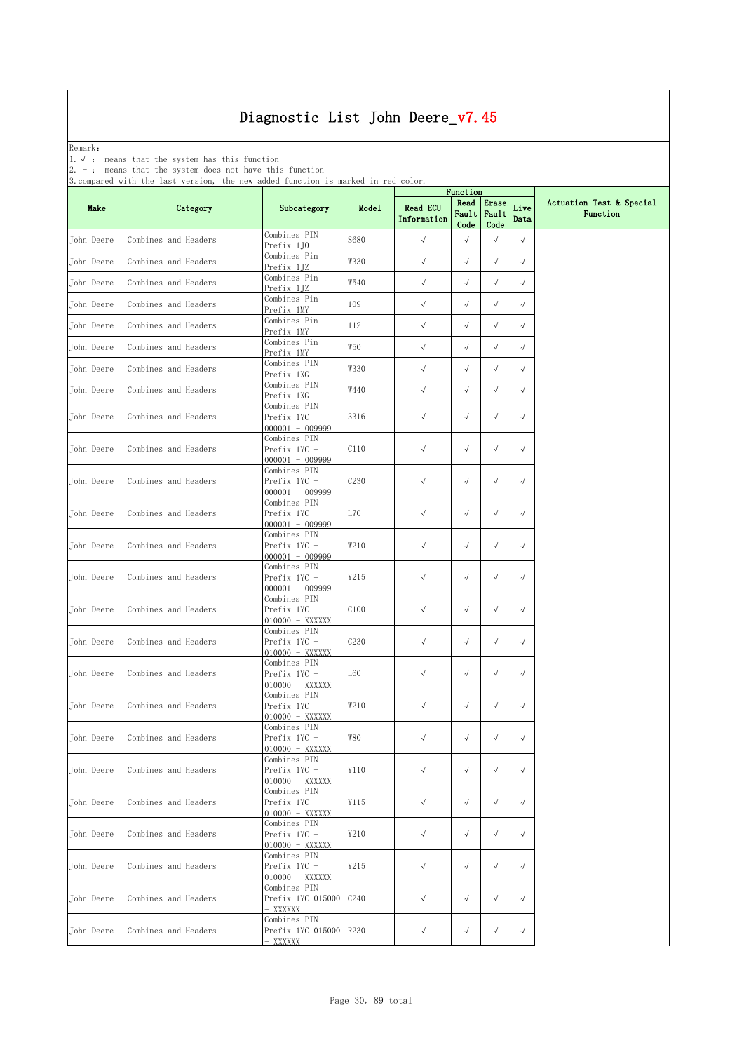Remark: The contract of the contract of  $\mathbb{R}$  and  $\mathbb{R}$  are contract of  $\mathbb{R}$  and  $\mathbb{R}$  are contract of  $\mathbb{R}$  and  $\mathbb{R}$  are contract of  $\mathbb{R}$  and  $\mathbb{R}$  are contract of  $\mathbb{R}$  and  $\mathbb{R}$  are cont

1.√ : means that the system has this function

2. - : means that the system does not have this function

| compared aren | 10101011             | now done ranceron                   | $10$ mulnow $11$ $10$ | Function                       |                       |                        |              |                                      |
|---------------|----------------------|-------------------------------------|-----------------------|--------------------------------|-----------------------|------------------------|--------------|--------------------------------------|
| Make          | Category             | Subcategory                         | Model                 | <b>Read ECU</b><br>Information | Read<br>Fault<br>Code | Erase<br>Fault<br>Code | Live<br>Data | Actuation Test & Special<br>Function |
| John Deere    | Combines and Headers | Combines PIN<br>Prefix 1J0          | S680                  | $\checkmark$                   | $\sqrt{ }$            | $\sqrt{ }$             | $\sqrt{ }$   |                                      |
| John Deere    | Combines and Headers | Combines Pin<br>Prefix 1JZ          | W330                  | $\checkmark$                   | $\sqrt{}$             | $\sqrt{}$              | $\sqrt{ }$   |                                      |
| John Deere    | Combines and Headers | Combines Pin<br>Prefix 1JZ          | W540                  | $\checkmark$                   | $\sqrt{}$             | $\sqrt{ }$             | $\sqrt{ }$   |                                      |
| John Deere    | Combines and Headers | Combines Pin                        | 109                   | $\checkmark$                   | $\sqrt{ }$            | $\sqrt{}$              | $\sqrt{ }$   |                                      |
| John Deere    | Combines and Headers | Prefix 1MY<br>Combines Pin          | 112                   | $\sqrt{ }$                     | $\sqrt{}$             | $\sqrt{}$              | $\sqrt{}$    |                                      |
| John Deere    | Combines and Headers | Prefix 1MY<br>Combines Pin          | W5O                   | $\checkmark$                   | $\sqrt{ }$            | $\sqrt{ }$             | $\sqrt{ }$   |                                      |
|               |                      | Prefix 1MY<br>Combines PIN          |                       |                                |                       |                        |              |                                      |
| John Deere    | Combines and Headers | Prefix 1XG<br>Combines PIN          | W330                  | $\checkmark$                   | $\sqrt{ }$            | $\sqrt{}$              | $\sqrt{ }$   |                                      |
| John Deere    | Combines and Headers | Prefix 1XG<br>Combines PIN          | W440                  | $\checkmark$                   | $\sqrt{ }$            | $\sqrt{ }$             | $\sqrt{ }$   |                                      |
| John Deere    | Combines and Headers | Prefix 1YC -                        | 3316                  | $\sqrt{ }$                     | $\sqrt{ }$            | $\sqrt{ }$             | $\sqrt{ }$   |                                      |
|               |                      | $000001 - 009999$<br>Combines PIN   |                       |                                |                       |                        |              |                                      |
| John Deere    | Combines and Headers | Prefix $1yc -$<br>$000001 - 009999$ | C110                  | $\sqrt{ }$                     | $\sqrt{ }$            | $\sqrt{ }$             | $\sqrt{}$    |                                      |
| John Deere    | Combines and Headers | Combines PIN<br>Prefix 1YC -        | C <sub>230</sub>      | $\sqrt{}$                      | $\sqrt{ }$            | $\sqrt{}$              | $\sqrt{ }$   |                                      |
|               |                      | $000001 - 009999$<br>Combines PIN   |                       |                                |                       |                        |              |                                      |
| John Deere    | Combines and Headers | Prefix 1YC -<br>$000001 - 009999$   | L70                   | $\sqrt{ }$                     | $\sqrt{ }$            | $\sqrt{}$              | $\sqrt{ }$   |                                      |
| John Deere    | Combines and Headers | Combines PIN<br>Prefix 1YC -        | W210                  | $\sqrt{ }$                     | $\sqrt{ }$            | $\sqrt{}$              | $\sqrt{ }$   |                                      |
|               |                      | $000001 - 009999$                   |                       |                                |                       |                        |              |                                      |
| John Deere    | Combines and Headers | Combines PIN<br>Prefix 1YC -        | Y215                  | $\checkmark$                   | $\sqrt{ }$            | $\sqrt{ }$             | $\sqrt{ }$   |                                      |
|               |                      | $000001 - 009999$<br>Combines PIN   |                       |                                |                       |                        |              |                                      |
| John Deere    | Combines and Headers | Prefix 1YC -<br>010000 - XXXXXX     | C100                  | $\checkmark$                   | $\sqrt{ }$            | $\sqrt{ }$             | $\sqrt{ }$   |                                      |
| John Deere    | Combines and Headers | Combines PIN<br>Prefix 1YC -        | C <sub>230</sub>      | $\sqrt{ }$                     | $\sqrt{ }$            | $\sqrt{}$              | $\sqrt{ }$   |                                      |
|               |                      | $010000 - XXXXXX$<br>Combines PIN   |                       |                                |                       |                        |              |                                      |
| John Deere    | Combines and Headers | Prefix 1YC -<br>$010000 - XXXXXX$   | L60                   | $\sqrt{ }$                     | $\sqrt{ }$            | $\sqrt{}$              | $\sqrt{ }$   |                                      |
| John Deere    | Combines and Headers | Combines PIN<br>Prefix 1YC -        | W210                  | $\sqrt{ }$                     | $\sqrt{ }$            | $\sqrt{}$              | $\sqrt{ }$   |                                      |
|               |                      | $010000 - XXXXXX$                   |                       |                                |                       |                        |              |                                      |
| John Deere    | Combines and Headers | Combines PIN<br>Prefix 1YC -        | W80                   | $\sqrt{ }$                     | $\sqrt{}$             | $\sqrt{ }$             | √            |                                      |
|               |                      | $010000 - XXXXXX$<br>Combines PIN   |                       |                                |                       |                        |              |                                      |
| John Deere    | Combines and Headers | Prefix 1YC -<br>$010000 - XXXXXX$   | Y110                  | $\sqrt{ }$                     | $\sqrt{ }$            | $\sqrt{}$              | $\sqrt{ }$   |                                      |
| John Deere    | Combines and Headers | Combines PIN<br>Prefix 1YC -        | Y115                  | $\sqrt{ }$                     | $\sqrt{ }$            | $\sqrt{ }$             | $\sqrt{ }$   |                                      |
|               |                      | $010000 - XXXXXX$<br>Combines PIN   |                       |                                |                       |                        |              |                                      |
| John Deere    | Combines and Headers | Prefix 1YC -<br>$010000 - XXXXXX$   | Y210                  | $\checkmark$                   | $\sqrt{ }$            | $\sqrt{}$              | $\sqrt{ }$   |                                      |
| John Deere    | Combines and Headers | Combines PIN<br>Prefix 1YC -        | Y215                  | $\sqrt{ }$                     | $\sqrt{ }$            | $\sqrt{}$              | $\sqrt{ }$   |                                      |
|               |                      | $010000 - XXXXXX$<br>Combines PIN   |                       |                                |                       |                        |              |                                      |
| John Deere    | Combines and Headers | Prefix 1YC 015000                   | C240                  | $\sqrt{ }$                     | $\checkmark$          | $\sqrt{}$              | $\sqrt{ }$   |                                      |
|               |                      | - XXXXXX<br>Combines PIN            |                       |                                |                       |                        |              |                                      |
| John Deere    | Combines and Headers | Prefix 1YC 015000<br>- XXXXXX       | R230                  | $\sqrt{ }$                     | $\sqrt{ }$            | $\sqrt{ }$             | $\sqrt{ }$   |                                      |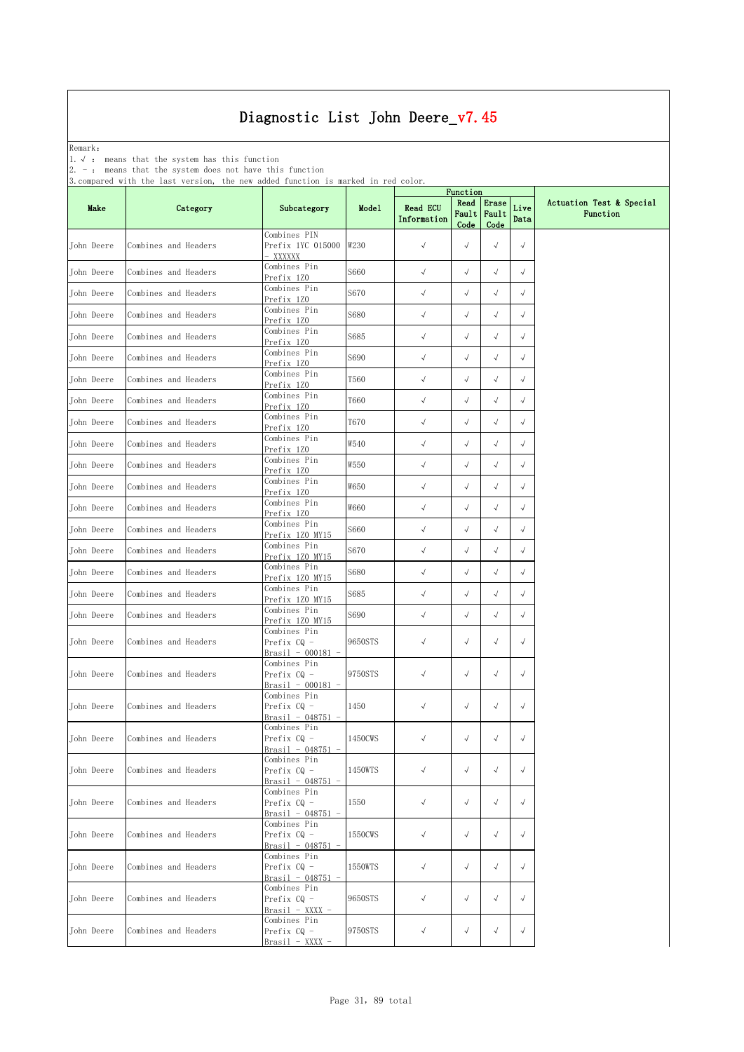Remark: The contract of the contract of  $\mathbb{R}$  and  $\mathbb{R}$  are contract of  $\mathbb{R}$  and  $\mathbb{R}$  are contract of  $\mathbb{R}$  and  $\mathbb{R}$  are contract of  $\mathbb{R}$  and  $\mathbb{R}$  are contract of  $\mathbb{R}$  and  $\mathbb{R}$  are cont

1.√ : means that the system has this function

2. - : means that the system does not have this function

|                   |                                              |                                                                          |                  | Function                       |                       |                        |              |                                      |  |
|-------------------|----------------------------------------------|--------------------------------------------------------------------------|------------------|--------------------------------|-----------------------|------------------------|--------------|--------------------------------------|--|
| Make              | Category                                     | Subcategory                                                              | Model            | <b>Read ECU</b><br>Information | Read<br>Fault<br>Code | Erase<br>Fault<br>Code | Live<br>Data | Actuation Test & Special<br>Function |  |
| John Deere        | Combines and Headers                         | Combines PIN<br>Prefix 1YC 015000<br>- XXXXXX                            | W230             | $\sqrt{ }$                     | $\sqrt{ }$            | $\sqrt{}$              | $\sqrt{}$    |                                      |  |
| John Deere        | Combines and Headers                         | Combines Pin<br>Prefix 1ZO                                               | S660             | $\checkmark$                   | $\sqrt{ }$            | $\sqrt{ }$             | $\sqrt{ }$   |                                      |  |
| John Deere        | Combines and Headers                         | Combines Pin<br>Prefix 1Z0                                               | S670             | $\checkmark$                   | $\sqrt{ }$            | $\sqrt{}$              | $\sqrt{ }$   |                                      |  |
| John Deere        | Combines and Headers                         | Combines Pin<br>Prefix 1Z0                                               | S680             | $\sqrt{ }$                     | $\sqrt{ }$            | $\sqrt{}$              | $\sqrt{}$    |                                      |  |
| John Deere        | Combines and Headers                         | Combines Pin<br>Prefix 1Z0                                               | S685             | $\checkmark$                   | $\sqrt{ }$            | $\sqrt{}$              | $\sqrt{ }$   |                                      |  |
| John Deere        | Combines and Headers                         | Combines Pin                                                             | S690             | $\checkmark$                   | $\sqrt{ }$            | $\sqrt{ }$             | $\sqrt{}$    |                                      |  |
| John Deere        | Combines and Headers                         | Prefix 1Z0<br>Combines Pin                                               | T <sub>560</sub> | $\sqrt{ }$                     | $\sqrt{}$             | $\sqrt{}$              | $\sqrt{ }$   |                                      |  |
| John Deere        | Combines and Headers                         | Prefix 1Z0<br>Combines Pin                                               | T660             | $\checkmark$                   | $\checkmark$          | $\sqrt{}$              | $\sqrt{ }$   |                                      |  |
| John Deere        | Combines and Headers                         | Prefix 1Z0<br>Combines Pin                                               | <b>T670</b>      | $\checkmark$                   | $\sqrt{ }$            | $\sqrt{ }$             | $\sqrt{ }$   |                                      |  |
| John Deere        | Combines and Headers                         | Prefix 1Z0<br>Combines Pin                                               | W540             | $\checkmark$                   | $\sqrt{}$             | $\sqrt{ }$             | $\sqrt{ }$   |                                      |  |
| John Deere        | Combines and Headers                         | Prefix 1Z0<br>Combines Pin                                               | W550             | $\checkmark$                   | $\sqrt{}$             | $\sqrt{}$              | $\sqrt{ }$   |                                      |  |
| John Deere        |                                              | Prefix 1Z0<br>Combines Pin                                               | W650             | $\checkmark$                   | $\sqrt{ }$            | $\sqrt{}$              | $\sqrt{ }$   |                                      |  |
|                   | Combines and Headers<br>Combines and Headers | Prefix 1Z0<br>Combines Pin                                               |                  |                                |                       |                        |              |                                      |  |
| John Deere        |                                              | Prefix 1Z0<br>Combines Pin                                               | W660             | $\sqrt{ }$                     | $\sqrt{ }$            | $\sqrt{}$              | $\sqrt{ }$   |                                      |  |
| <b>Tohn Deere</b> | Combines and Headers                         | Prefix 1ZO MY15<br>Combines Pin                                          | S660             | $\sqrt{ }$                     | $\sqrt{ }$            | $\sqrt{ }$             | $\sqrt{ }$   |                                      |  |
| John Deere        | Combines and Headers                         | Prefix 1ZO MY15<br>Combines Pin                                          | S670             | $\checkmark$                   | $\checkmark$          | $\checkmark$           | $\sqrt{ }$   |                                      |  |
| John Deere        | Combines and Headers                         | Prefix 1ZO MY15                                                          | S680             | $\checkmark$                   | $\sqrt{ }$            | $\sqrt{}$              | $\sqrt{ }$   |                                      |  |
| John Deere        | Combines and Headers                         | Combines Pin<br>Prefix 1ZO MY15                                          | S685             | $\sqrt{ }$                     | $\sqrt{ }$            | $\sqrt{}$              | $\sqrt{ }$   |                                      |  |
| John Deere        | Combines and Headers                         | Combines Pin<br>Prefix 1ZO MY15                                          | S690             | $\checkmark$                   | $\sqrt{ }$            | $\sqrt{}$              | $\sqrt{ }$   |                                      |  |
| John Deere        | Combines and Headers                         | Combines Pin<br>Prefix CQ -<br>Brasil - 000181 -                         | 9650STS          | $\sqrt{ }$                     | $\sqrt{ }$            | $\sqrt{}$              | $\sqrt{ }$   |                                      |  |
| John Deere        | Combines and Headers                         | Combines Pin<br>Prefix CQ -                                              | 9750STS          | $\checkmark$                   | $\sqrt{ }$            | $\sqrt{}$              | $\sqrt{ }$   |                                      |  |
|                   |                                              | <u> Brasil - 000181 -</u><br>Combines Pin                                |                  |                                |                       |                        |              |                                      |  |
| John Deere        | Combines and Headers                         | Prefix CQ -<br>Brasil - 048751 -                                         | 1450             | $\sqrt{ }$                     | $\sqrt{ }$            | $\sqrt{}$              | $\sqrt{ }$   |                                      |  |
| John Deere        | Combines and Headers                         | Combines Pin<br>Prefix CQ -<br>Brasil - 048751 -                         | 1450CWS          | $\sqrt{ }$                     | √                     | $\sqrt{ }$             | √            |                                      |  |
| John Deere        | Combines and Headers                         | Combines Pin<br>Prefix $CQ -$<br>Brasil - 048751 -                       | 1450WTS          | $\sqrt{ }$                     | $\sqrt{ }$            | $\sqrt{}$              | $\sqrt{ }$   |                                      |  |
| John Deere        | Combines and Headers                         | Combines Pin<br>Prefix $CO -$<br>Brasil - 048751 -                       | 1550             | $\sqrt{ }$                     | $\sqrt{ }$            | $\sqrt{ }$             | $\sqrt{ }$   |                                      |  |
| John Deere        | Combines and Headers                         | Combines Pin<br>Prefix CQ -<br>Brasil - 048751 -                         | 1550CWS          | $\checkmark$                   | $\sqrt{ }$            | $\sqrt{}$              | $\sqrt{ }$   |                                      |  |
| John Deere        | Combines and Headers                         | Combines Pin<br>Prefix CQ -<br>Brasil - 048751 -                         | 1550WTS          | $\sqrt{ }$                     | $\sqrt{ }$            | $\sqrt{}$              | $\sqrt{ }$   |                                      |  |
| John Deere        | Combines and Headers                         | Combines Pin<br>Prefix CQ -<br>Brasil - XXXX<br>$\overline{\phantom{a}}$ | 9650STS          | $\sqrt{ }$                     | $\checkmark$          | $\sqrt{}$              | $\sqrt{ }$   |                                      |  |
| John Deere        | Combines and Headers                         | Combines Pin<br>$Prefix CQ -$<br>Brasil - XXXX -                         | 9750STS          | $\sqrt{ }$                     | $\sqrt{ }$            | $\sqrt{}$              | $\sqrt{ }$   |                                      |  |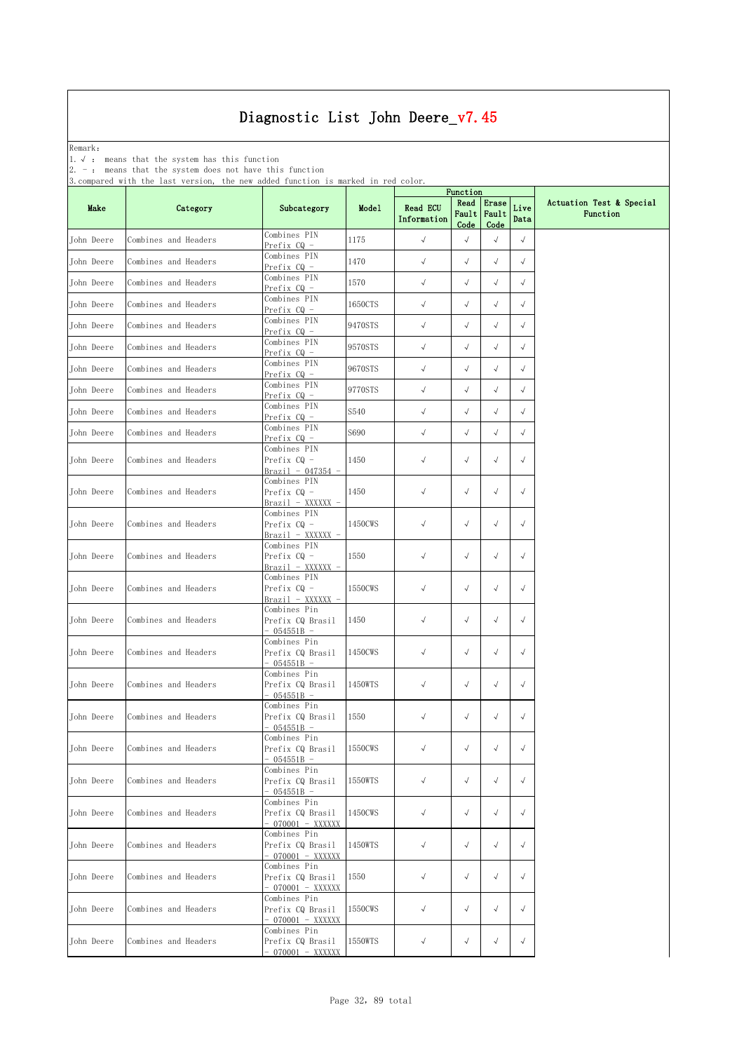Remark: The contract of the contract of  $\mathbb{R}$  and  $\mathbb{R}$  are contract of  $\mathbb{R}$  and  $\mathbb{R}$  are contract of  $\mathbb{R}$  and  $\mathbb{R}$  are contract of  $\mathbb{R}$  and  $\mathbb{R}$  are contract of  $\mathbb{R}$  and  $\mathbb{R}$  are cont

1.√ : means that the system has this function

2. - : means that the system does not have this function

| compared aren | 10111                | agger ranceron                                             |         |                                | Function              |                        |              |                                      |  |
|---------------|----------------------|------------------------------------------------------------|---------|--------------------------------|-----------------------|------------------------|--------------|--------------------------------------|--|
| Make          | Category             | Subcategory                                                | Model   | <b>Read ECU</b><br>Information | Read<br>Fault<br>Code | Erase<br>Fault<br>Code | Live<br>Data | Actuation Test & Special<br>Function |  |
| John Deere    | Combines and Headers | Combines PIN<br>Prefix CQ -                                | 1175    | $\checkmark$                   | $\sqrt{ }$            | $\sqrt{}$              | $\sqrt{ }$   |                                      |  |
| John Deere    | Combines and Headers | Combines PIN<br>Prefix CQ -                                | 1470    | $\checkmark$                   | $\sqrt{ }$            | $\sqrt{}$              | $\sqrt{ }$   |                                      |  |
| John Deere    | Combines and Headers | Combines PIN<br>Prefix CQ -                                | 1570    | $\checkmark$                   | $\sqrt{ }$            | $\sqrt{ }$             | $\sqrt{}$    |                                      |  |
| John Deere    | Combines and Headers | Combines PIN<br>Prefix CQ -                                | 1650CTS | $\checkmark$                   | $\sqrt{ }$            | $\sqrt{ }$             | $\sqrt{ }$   |                                      |  |
| John Deere    | Combines and Headers | Combines PIN<br>Prefix CQ -                                | 9470STS | $\checkmark$                   | $\sqrt{ }$            | $\sqrt{}$              | $\sqrt{}$    |                                      |  |
| John Deere    | Combines and Headers | Combines PIN<br>Prefix $CQ -$                              | 9570STS | $\checkmark$                   | $\sqrt{ }$            | $\sqrt{ }$             | $\sqrt{ }$   |                                      |  |
| John Deere    | Combines and Headers | Combines PIN<br>Prefix CQ -                                | 9670STS | $\checkmark$                   | $\sqrt{ }$            | $\sqrt{}$              | $\sqrt{ }$   |                                      |  |
| John Deere    | Combines and Headers | Combines PIN<br>Prefix CQ -                                | 9770STS | $\checkmark$                   | $\sqrt{ }$            | $\sqrt{}$              | $\sqrt{ }$   |                                      |  |
| John Deere    | Combines and Headers | Combines PIN<br>Prefix CQ -                                | S540    | $\checkmark$                   | $\sqrt{ }$            | $\sqrt{}$              | $\sqrt{ }$   |                                      |  |
| John Deere    | Combines and Headers | Combines PIN<br>Prefix CQ -                                | S690    | $\checkmark$                   | $\sqrt{ }$            | $\sqrt{}$              | $\sqrt{ }$   |                                      |  |
| John Deere    | Combines and Headers | Combines PIN<br>Prefix CQ -<br>Brazil - 047354 -           | 1450    | $\checkmark$                   | $\sqrt{ }$            | $\checkmark$           | $\sqrt{ }$   |                                      |  |
| John Deere    | Combines and Headers | Combines PIN<br>Prefix CQ -<br>Brazil - XXXXXX -           | 1450    | $\checkmark$                   | $\sqrt{ }$            | $\sqrt{ }$             | $\sqrt{ }$   |                                      |  |
| John Deere    | Combines and Headers | Combines PIN<br>Prefix $CQ -$<br><u> Brazil - XXXXXX -</u> | 1450CWS | $\sqrt{ }$                     | $\sqrt{ }$            | $\sqrt{ }$             | $\sqrt{}$    |                                      |  |
| John Deere    | Combines and Headers | Combines PIN<br>Prefix CQ -<br>Brazil - XXXXXX -           | 1550    | $\sqrt{ }$                     | $\sqrt{ }$            | $\sqrt{ }$             | $\sqrt{ }$   |                                      |  |
| John Deere    | Combines and Headers | Combines PIN<br>Prefix CQ -<br>Brazil - XXXXXX -           | 1550CWS | $\checkmark$                   | $\sqrt{ }$            | $\sqrt{}$              | $\sqrt{ }$   |                                      |  |
| John Deere    | Combines and Headers | Combines Pin<br>Prefix CQ Brasil<br>$-054551B -$           | 1450    | $\sqrt{ }$                     | $\sqrt{ }$            | $\sqrt{}$              | $\sqrt{ }$   |                                      |  |
| John Deere    | Combines and Headers | Combines Pin<br>Prefix CQ Brasil<br>$-054551B -$           | 1450CWS | $\checkmark$                   | $\sqrt{ }$            | $\sqrt{ }$             | $\sqrt{ }$   |                                      |  |
| John Deere    | Combines and Headers | Combines Pin<br>Prefix CQ Brasil<br>$-054551B -$           | 1450WTS | $\checkmark$                   | $\sqrt{ }$            | $\sqrt{}$              | $\sqrt{ }$   |                                      |  |
| John Deere    | Combines and Headers | Combines Pin<br>Prefix CQ Brasil<br>$-054551B -$           | 1550    | $\sqrt{ }$                     | $\sqrt{ }$            | $\sqrt{ }$             | $\sqrt{ }$   |                                      |  |
| John Deere    | Combines and Headers | Combines Pin<br>Prefix CQ Brasil<br>$054551B -$            | 1550CWS | $\sqrt{}$                      | $\sqrt{}$             | $\sqrt{ }$             | $\sqrt{ }$   |                                      |  |
| John Deere    | Combines and Headers | Combines Pin<br>Prefix CQ Brasil<br>$-054551B -$           | 1550WTS | $\checkmark$                   | $\sqrt{ }$            | $\sqrt{}$              | $\sqrt{ }$   |                                      |  |
| John Deere    | Combines and Headers | Combines Pin<br>Prefix CQ Brasil<br>- 070001 - XXXXXX      | 1450CWS | $\sqrt{ }$                     | $\sqrt{ }$            | $\sqrt{}$              | $\sqrt{ }$   |                                      |  |
| John Deere    | Combines and Headers | Combines Pin<br>Prefix CQ Brasil<br>$-070001 - XXXXXX$     | 1450WTS | $\sqrt{ }$                     | $\sqrt{ }$            | $\sqrt{ }$             | $\sqrt{ }$   |                                      |  |
| John Deere    | Combines and Headers | Combines Pin<br>Prefix CQ Brasil<br>- 070001 - XXXXXX      | 1550    | $\sqrt{ }$                     | $\sqrt{ }$            | $\sqrt{ }$             | $\sqrt{ }$   |                                      |  |
| John Deere    | Combines and Headers | Combines Pin<br>Prefix CQ Brasil<br>- 070001 - XXXXXX      | 1550CWS | $\sqrt{ }$                     | $\sqrt{ }$            | $\sqrt{ }$             | $\sqrt{ }$   |                                      |  |
| John Deere    | Combines and Headers | Combines Pin<br>Prefix CQ Brasil<br>- 070001 - XXXXXX      | 1550WTS | $\sqrt{ }$                     | $\sqrt{ }$            | $\sqrt{ }$             | $\sqrt{ }$   |                                      |  |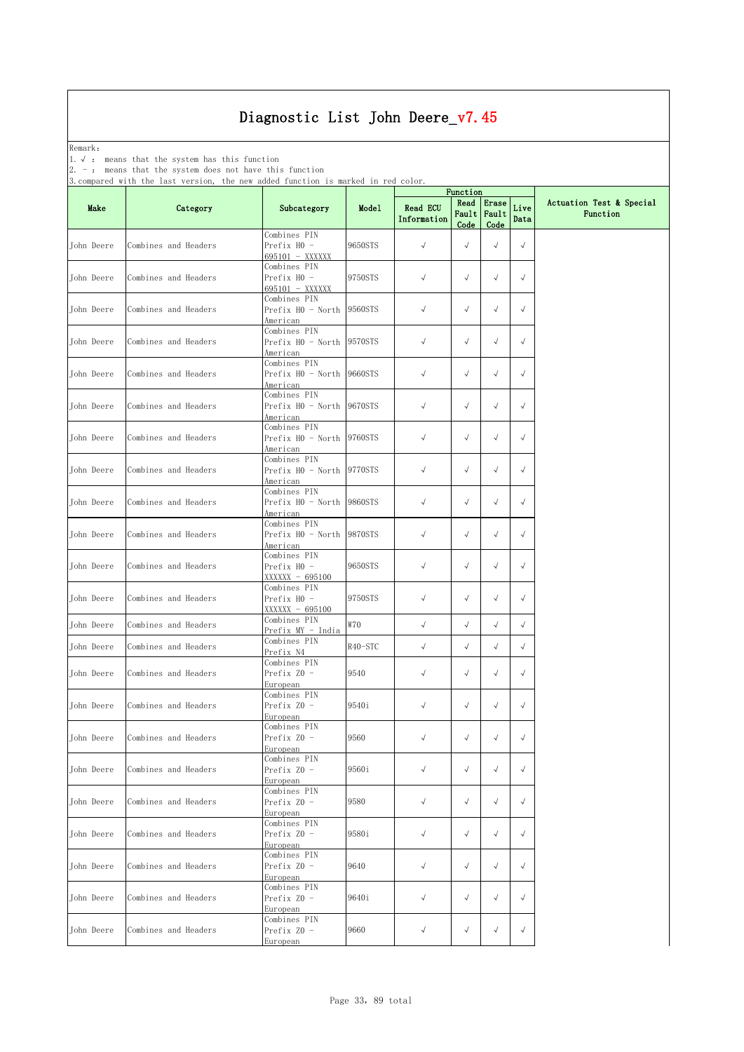Remark: The contract of the contract of  $\mathbb{R}$  and  $\mathbb{R}$  are contract of  $\mathbb{R}$  and  $\mathbb{R}$  are contract of  $\mathbb{R}$  and  $\mathbb{R}$  are contract of  $\mathbb{R}$  and  $\mathbb{R}$  are contract of  $\mathbb{R}$  and  $\mathbb{R}$  are cont

1.√ : means that the system has this function

2. - : means that the system does not have this function

| . comparea |                      | agaza ranceron                                 | maxmax  | Function                       |                       |                        |              |                                      |
|------------|----------------------|------------------------------------------------|---------|--------------------------------|-----------------------|------------------------|--------------|--------------------------------------|
| Make       | Category             | Subcategory                                    | Model   | <b>Read ECU</b><br>Information | Read<br>Fault<br>Code | Erase<br>Fault<br>Code | Live<br>Data | Actuation Test & Special<br>Function |
| John Deere | Combines and Headers | Combines PIN<br>Prefix HO -<br>695101 - XXXXXX | 9650STS | $\sqrt{}$                      | $\sqrt{}$             | $\sqrt{}$              | $\sqrt{}$    |                                      |
| John Deere | Combines and Headers | Combines PIN<br>Prefix HO -<br>695101 - XXXXXX | 9750STS | $\sqrt{}$                      | $\sqrt{ }$            | $\sqrt{}$              | $\sqrt{}$    |                                      |
| John Deere | Combines and Headers | Combines PIN<br>Prefix HO - North<br>American  | 9560STS | $\checkmark$                   | $\sqrt{ }$            | $\sqrt{}$              | $\sqrt{}$    |                                      |
| John Deere | Combines and Headers | Combines PIN<br>Prefix HO - North<br>American  | 9570STS | $\sqrt{ }$                     | $\sqrt{ }$            | $\sqrt{ }$             | $\sqrt{}$    |                                      |
| John Deere | Combines and Headers | Combines PIN<br>Prefix HO - North<br>American  | 9660STS | $\checkmark$                   | $\sqrt{ }$            | $\sqrt{ }$             | $\sqrt{}$    |                                      |
| John Deere | Combines and Headers | Combines PIN<br>Prefix HO - North<br>American  | 9670STS | $\sqrt{}$                      | $\sqrt{}$             | $\sqrt{ }$             | $\sqrt{}$    |                                      |
| John Deere | Combines and Headers | Combines PIN<br>Prefix HO - North<br>American  | 9760STS | $\sqrt{}$                      | $\sqrt{ }$            | $\sqrt{ }$             | $\sqrt{}$    |                                      |
| John Deere | Combines and Headers | Combines PIN<br>Prefix HO - North<br>American  | 9770STS | $\sqrt{}$                      | $\sqrt{ }$            | $\sqrt{}$              | $\sqrt{}$    |                                      |
| John Deere | Combines and Headers | Combines PIN<br>Prefix HO - North<br>American  | 9860STS | $\sqrt{}$                      | $\sqrt{}$             | $\sqrt{}$              | $\sqrt{}$    |                                      |
| John Deere | Combines and Headers | Combines PIN<br>Prefix HO - North<br>American  | 9870STS | $\checkmark$                   | $\sqrt{ }$            | $\sqrt{}$              | $\sqrt{}$    |                                      |
| John Deere | Combines and Headers | Combines PIN<br>Prefix HO -<br>XXXXXX - 695100 | 9650STS | $\sqrt{}$                      | $\sqrt{ }$            | $\sqrt{}$              | $\sqrt{ }$   |                                      |
| John Deere | Combines and Headers | Combines PIN<br>Prefix HO -<br>XXXXXX - 695100 | 9750STS | $\sqrt{ }$                     | $\sqrt{ }$            | $\sqrt{ }$             | $\sqrt{ }$   |                                      |
| John Deere | Combines and Headers | Combines PIN<br>Prefix MY - India              | W70     | $\sqrt{ }$                     | $\sqrt{ }$            | $\sqrt{ }$             | $\sqrt{}$    |                                      |
| John Deere | Combines and Headers | Combines PIN<br>Prefix N4                      | R40-STC | $\checkmark$                   | $\sqrt{}$             | $\sqrt{ }$             | $\sqrt{}$    |                                      |
| John Deere | Combines and Headers | Combines PIN<br>Prefix ZO -<br>European        | 9540    | $\sqrt{}$                      | $\sqrt{ }$            | $\sqrt{ }$             | $\sqrt{}$    |                                      |
| John Deere | Combines and Headers | Combines PIN<br>Prefix ZO -<br>European        | 9540i   | $\sqrt{}$                      | $\sqrt{ }$            | $\sqrt{ }$             | $\sqrt{ }$   |                                      |
| John Deere | Combines and Headers | Combines PIN<br>Prefix ZO -<br>European        | 9560    | $\sqrt{}$                      | $\sqrt{}$             | $\sqrt{ }$             | $\sqrt{ }$   |                                      |
| John Deere | Combines and Headers | Combines PIN<br>Prefix $Z0 -$<br>European      | 9560i   | $\sqrt{ }$                     | $\sqrt{ }$            | $\sqrt{ }$             | $\sqrt{ }$   |                                      |
| John Deere | Combines and Headers | Combines PIN<br>Prefix ZO -<br>European        | 9580    | $\sqrt{}$                      | $\sqrt{ }$            | $\sqrt{}$              | $\sqrt{ }$   |                                      |
| John Deere | Combines and Headers | Combines PIN<br>Prefix ZO -<br>European        | 9580i   | $\sqrt{}$                      | $\sqrt{ }$            | $\sqrt{}$              | $\sqrt{ }$   |                                      |
| John Deere | Combines and Headers | Combines PIN<br>Prefix ZO -<br>European        | 9640    | $\sqrt{ }$                     | $\sqrt{ }$            | $\sqrt{ }$             | $\sqrt{ }$   |                                      |
| John Deere | Combines and Headers | Combines PIN<br>Prefix ZO -<br>European        | 9640i   | $\sqrt{ }$                     | $\sqrt{ }$            | $\sqrt{}$              | $\sqrt{ }$   |                                      |
| John Deere | Combines and Headers | Combines PIN<br>Prefix Z0 -<br>European        | 9660    | $\checkmark$                   | $\sqrt{ }$            | $\checkmark$           | $\sqrt{ }$   |                                      |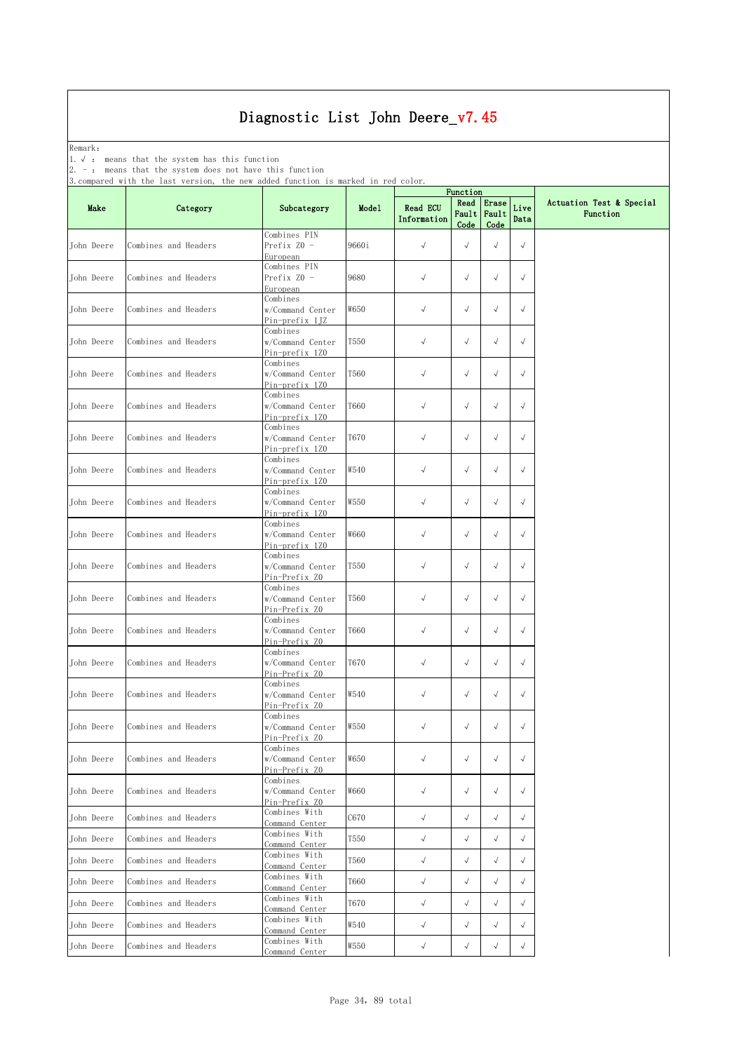Remark: The contract of the contract of  $\mathbb{R}$  and  $\mathbb{R}$  are contract of  $\mathbb{R}$  and  $\mathbb{R}$  are contract of  $\mathbb{R}$  and  $\mathbb{R}$  are contract of  $\mathbb{R}$  and  $\mathbb{R}$  are contract of  $\mathbb{R}$  and  $\mathbb{R}$  are cont

1.√ : means that the system has this function

2. - : means that the system does not have this function

|            | ), compared wrth the rast version, | the new added function is marked in fea color.        |             | Function                       |                       |                        |              |                                      |
|------------|------------------------------------|-------------------------------------------------------|-------------|--------------------------------|-----------------------|------------------------|--------------|--------------------------------------|
| Make       | Category                           | Subcategory                                           | Model       | <b>Read ECU</b><br>Information | Read<br>Fault<br>Code | Erase<br>Fault<br>Code | Live<br>Data | Actuation Test & Special<br>Function |
| John Deere | Combines and Headers               | Combines PIN<br>Prefix ZO -<br>European               | 9660i       | $\sqrt{ }$                     | $\sqrt{ }$            | $\sqrt{}$              | $\sqrt{ }$   |                                      |
| John Deere | Combines and Headers               | Combines PIN<br>Prefix ZO -<br><u>European</u>        | 9680        | $\sqrt{ }$                     | $\sqrt{ }$            | $\sqrt{ }$             | $\sqrt{}$    |                                      |
| John Deere | Combines and Headers               | Combines<br>w/Command Center<br>Pin-prefix 1JZ        | W650        | $\sqrt{ }$                     | $\sqrt{ }$            | $\sqrt{ }$             | $\sqrt{}$    |                                      |
| John Deere | Combines and Headers               | Combines<br>w/Command Center<br>Pin-prefix 1Z0        | <b>T550</b> | $\sqrt{}$                      | $\sqrt{}$             | $\sqrt{ }$             | $\sqrt{}$    |                                      |
| John Deere | Combines and Headers               | Combines<br>w/Command Center<br>Pin-prefix 1Z0        | T560        | $\sqrt{ }$                     | $\sqrt{}$             | $\sqrt{ }$             | $\sqrt{}$    |                                      |
| John Deere | Combines and Headers               | Combines<br>w/Command Center<br>Pin-prefix 1Z0        | T660        | $\sqrt{}$                      | $\sqrt{}$             | $\sqrt{ }$             | $\sqrt{}$    |                                      |
| John Deere | Combines and Headers               | Combines<br>w/Command Center<br>Pin-prefix 1Z0        | <b>T670</b> | $\sqrt{}$                      | $\sqrt{ }$            | $\sqrt{ }$             | $\sqrt{}$    |                                      |
| John Deere | Combines and Headers               | Combines<br>w/Command Center<br>Pin-prefix 1Z0        | W540        | $\sqrt{ }$                     | $\sqrt{ }$            | $\sqrt{}$              | $\sqrt{ }$   |                                      |
| John Deere | Combines and Headers               | Combines<br>w/Command Center<br><u>Pin-prefix 1Z0</u> | W550        | $\sqrt{ }$                     | $\sqrt{ }$            | $\sqrt{}$              | $\sqrt{}$    |                                      |
| John Deere | Combines and Headers               | Combines<br>w/Command Center<br>Pin-prefix 1Z0        | W660        | $\checkmark$                   | $\checkmark$          | $\sqrt{ }$             | $\sqrt{}$    |                                      |
| John Deere | Combines and Headers               | Combines<br>w/Command Center<br>Pin-Prefix ZO         | T550        | $\sqrt{}$                      | $\sqrt{ }$            | $\sqrt{ }$             | $\sqrt{}$    |                                      |
| John Deere | Combines and Headers               | Combines<br>w/Command Center<br>Pin-Prefix ZO         | T560        | $\sqrt{ }$                     | $\sqrt{}$             | $\sqrt{ }$             | $\sqrt{}$    |                                      |
| John Deere | Combines and Headers               | Combines<br>w/Command Center<br>Pin-Prefix ZO         | T660        | $\sqrt{}$                      | $\sqrt{}$             | $\sqrt{ }$             | $\sqrt{}$    |                                      |
| John Deere | Combines and Headers               | Combines<br>w/Command Center<br>Pin-Prefix ZO         | <b>T670</b> | $\sqrt{ }$                     | $\sqrt{ }$            | $\sqrt{ }$             | $\sqrt{}$    |                                      |
| John Deere | Combines and Headers               | Combines<br>w/Command Center<br>Pin-Prefix ZO         | W540        | $\sqrt{ }$                     | $\sqrt{ }$            | $\sqrt{}$              | $\sqrt{}$    |                                      |
| John Deere | Combines and Headers               | Combines<br>w/Command Center<br>Pin-Prefix ZO         | W550        | $\sqrt{ }$                     | $\sqrt{ }$            | $\sqrt{}$              | $\sqrt{ }$   |                                      |
| John Deere | Combines and Headers               | Combines<br>w/Command Center<br>Pin-Prefix ZO         | W650        | $\sqrt{ }$                     | $\checkmark$          | $\sqrt{ }$             | $\sqrt{ }$   |                                      |
| John Deere | Combines and Headers               | Combines<br>w/Command Center<br>Pin-Prefix ZO         | W660        | $\sqrt{ }$                     | $\sqrt{ }$            | $\sqrt{}$              | $\sqrt{ }$   |                                      |
| John Deere | Combines and Headers               | Combines With<br>Command Center                       | C670        | $\sqrt{}$                      | $\sqrt{ }$            | $\sqrt{}$              | $\sqrt{}$    |                                      |
| John Deere | Combines and Headers               | Combines With<br>Command Center<br>Combines With      | <b>T550</b> | $\checkmark$                   | $\sqrt{ }$            | $\sqrt{}$              | $\sqrt{}$    |                                      |
| John Deere | Combines and Headers               | Command Center                                        | T560        | $\sqrt{ }$                     | $\sqrt{ }$            | $\sqrt{ }$             | $\sqrt{}$    |                                      |
| John Deere | Combines and Headers               | Combines With<br>Command Center                       | <b>T660</b> | $\sqrt{}$                      | $\sqrt{}$             | $\sqrt{}$              | $\sqrt{ }$   |                                      |
| John Deere | Combines and Headers               | Combines With<br>Command Center                       | <b>T670</b> | $\sqrt{ }$                     | $\sqrt{ }$            | $\sqrt{}$              | $\sqrt{}$    |                                      |
| John Deere | Combines and Headers               | Combines With<br>Command Center                       | W540        | $\checkmark$                   | $\sqrt{}$             | $\sqrt{ }$             | $\sqrt{}$    |                                      |
| John Deere | Combines and Headers               | Combines With<br>Command Center                       | W550        | $\sqrt{ }$                     | $\sqrt{}$             | $\sqrt{}$              | $\sqrt{}$    |                                      |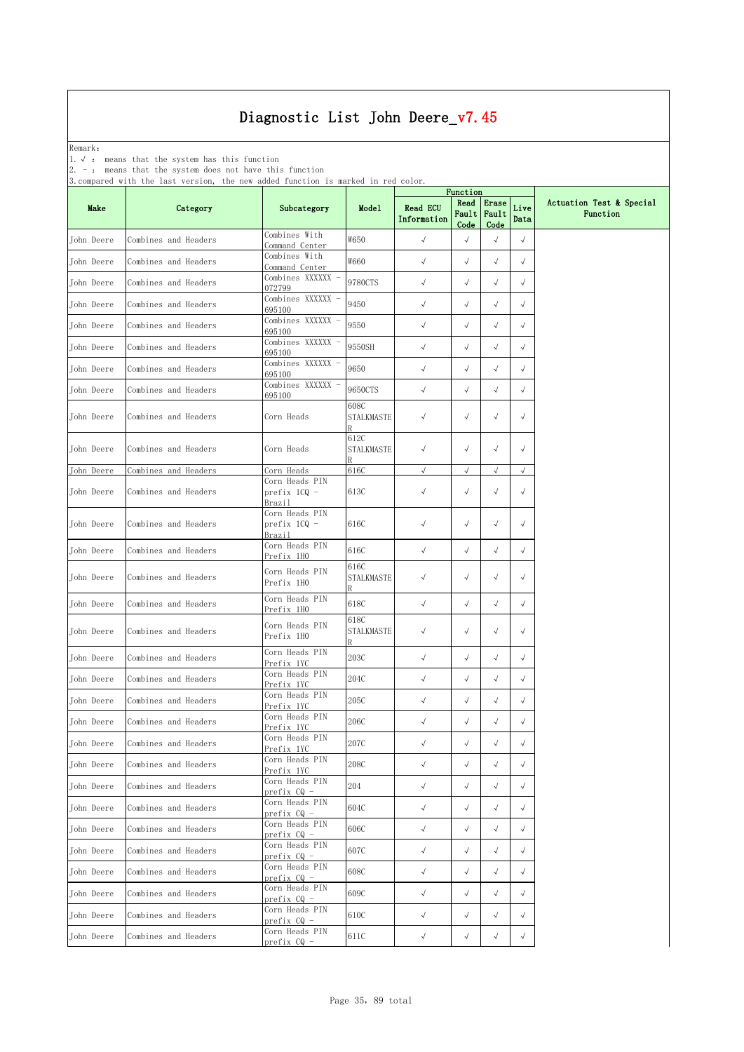Remark: The contract of the contract of  $\mathbb{R}$  and  $\mathbb{R}$  are contract of  $\mathbb{R}$  and  $\mathbb{R}$  are contract of  $\mathbb{R}$  and  $\mathbb{R}$  are contract of  $\mathbb{R}$  and  $\mathbb{R}$  are contract of  $\mathbb{R}$  and  $\mathbb{R}$  are cont

1.√ : means that the system has this function

2. - : means that the system does not have this function

| . compared sru | 100 U<br>10101011    | the new duded runceron to                | $maxmax$ $11$             |                                | Function              |                        |              |                                      |
|----------------|----------------------|------------------------------------------|---------------------------|--------------------------------|-----------------------|------------------------|--------------|--------------------------------------|
| Make           | Category             | Subcategory                              | Model                     | <b>Read ECU</b><br>Information | Read<br>Fault<br>Code | Erase<br>Fault<br>Code | Live<br>Data | Actuation Test & Special<br>Function |
| John Deere     | Combines and Headers | Combines With<br>Command Center          | W650                      | $\checkmark$                   | $\sqrt{ }$            | $\sqrt{ }$             | $\sqrt{}$    |                                      |
| John Deere     | Combines and Headers | Combines With<br>Command Center          | W660                      | $\checkmark$                   | $\sqrt{}$             | $\sqrt{ }$             | $\sqrt{}$    |                                      |
| John Deere     | Combines and Headers | Combines XXXXXX<br>072799                | 9780CTS                   | $\checkmark$                   | $\sqrt{}$             | $\sqrt{}$              | $\sqrt{}$    |                                      |
| John Deere     | Combines and Headers | Combines XXXXXX<br>695100                | 9450                      | $\checkmark$                   | $\sqrt{ }$            | $\sqrt{ }$             | $\sqrt{ }$   |                                      |
| John Deere     | Combines and Headers | Combines XXXXXX<br>695100                | 9550                      | $\sqrt{}$                      | $\sqrt{ }$            | $\sqrt{}$              | $\sqrt{ }$   |                                      |
| John Deere     | Combines and Headers | Combines XXXXXX<br>695100                | 9550SH                    | $\checkmark$                   | $\checkmark$          | $\sqrt{ }$             | $\sqrt{}$    |                                      |
| John Deere     | Combines and Headers | Combines XXXXXX<br>695100                | 9650                      | $\checkmark$                   | $\sqrt{ }$            | $\sqrt{ }$             | $\sqrt{}$    |                                      |
| John Deere     | Combines and Headers | Combines XXXXXX<br>695100                | 9650CTS                   | $\checkmark$                   | $\sqrt{ }$            | $\sqrt{}$              | $\sqrt{}$    |                                      |
| John Deere     | Combines and Headers | Corn Heads                               | 608C<br><b>STALKMASTE</b> | $\sqrt{ }$                     | $\sqrt{ }$            | $\sqrt{ }$             | $\sqrt{}$    |                                      |
| John Deere     | Combines and Headers | Corn Heads                               | 612C<br><b>STALKMASTE</b> | $\sqrt{ }$                     | $\sqrt{ }$            | $\sqrt{ }$             | $\sqrt{}$    |                                      |
| John Deere     | Combines and Headers | Corn Heads                               | 616C                      | $\sqrt{}$                      | $\sqrt{ }$            | $\sqrt{ }$             | $\sqrt{}$    |                                      |
| John Deere     | Combines and Headers | Corn Heads PIN<br>prefix 1CQ -<br>Brazil | 613C                      | $\sqrt{ }$                     | $\sqrt{ }$            | $\sqrt{}$              | $\sqrt{}$    |                                      |
| John Deere     | Combines and Headers | Corn Heads PIN<br>prefix 1CQ -<br>Brazil | 616C                      | $\sqrt{ }$                     | $\sqrt{ }$            | $\sqrt{ }$             | $\sqrt{}$    |                                      |
| John Deere     | Combines and Headers | Corn Heads PIN<br>Prefix 1H0             | 616C                      | $\checkmark$                   | $\sqrt{ }$            | $\sqrt{}$              | $\sqrt{ }$   |                                      |
| John Deere     | Combines and Headers | Corn Heads PIN<br>Prefix 1HO             | 616C<br>STALKMASTE        | $\sqrt{ }$                     | $\sqrt{ }$            | $\sqrt{}$              | $\sqrt{}$    |                                      |
| John Deere     | Combines and Headers | Corn Heads PIN<br>Prefix 1HO             | 618C                      | $\checkmark$                   | $\sqrt{ }$            | $\sqrt{}$              | $\sqrt{ }$   |                                      |
| John Deere     | Combines and Headers | Corn Heads PIN<br>Prefix 1HO             | 618C<br><b>STALKMASTE</b> | $\sqrt{ }$                     | $\sqrt{ }$            | $\sqrt{ }$             | $\sqrt{ }$   |                                      |
| John Deere     | Combines and Headers | Corn Heads PIN<br>Prefix 1YC             | 203C                      | $\sqrt{ }$                     | $\sqrt{ }$            | $\sqrt{}$              | $\sqrt{}$    |                                      |
| John Deere     | Combines and Headers | Corn Heads PIN<br>Prefix 1YC             | 204C                      | $\checkmark$                   | $\sqrt{ }$            | $\sqrt{ }$             | $\sqrt{ }$   |                                      |
| John Deere     | Combines and Headers | Corn Heads PIN<br>Prefix 1YC             | 205C                      | $\sqrt{}$                      | $\sqrt{ }$            | $\sqrt{ }$             | $\sqrt{ }$   |                                      |
| John Deere     | Combines and Headers | Corn Heads PIN<br>Prefix 1YC             | 206C                      | $\checkmark$                   | $\sqrt{ }$            | $\sqrt{ }$             | $\sqrt{ }$   |                                      |
| John Deere     | Combines and Headers | Corn Heads PIN<br>Prefix 1YC             | $207\mathrm{C}$           | $\sqrt{2}$                     | $\sqrt{2}$            |                        |              |                                      |
| John Deere     | Combines and Headers | Corn Heads PIN<br>Prefix 1YC             | 208C                      | $\sqrt{ }$                     | $\sqrt{ }$            | $\sqrt{ }$             | $\sqrt{}$    |                                      |
| John Deere     | Combines and Headers | Corn Heads PIN<br>prefix CQ -            | 204                       | $\checkmark$                   | $\sqrt{ }$            | $\checkmark$           | $\checkmark$ |                                      |
| John Deere     | Combines and Headers | Corn Heads PIN<br>prefix CQ -            | 604C                      | $\checkmark$                   | $\sqrt{}$             | $\sqrt{}$              | $\sqrt{}$    |                                      |
| John Deere     | Combines and Headers | Corn Heads PIN<br>prefix CQ -            | 606C                      | $\checkmark$                   | $\sqrt{ }$            | $\sqrt{ }$             | $\sqrt{ }$   |                                      |
| John Deere     | Combines and Headers | Corn Heads PIN<br>prefix CQ -            | 607C                      | $\sqrt{ }$                     | $\sqrt{ }$            | $\checkmark$           | $\sqrt{}$    |                                      |
| John Deere     | Combines and Headers | Corn Heads PIN<br>prefix CQ -            | 608C                      | $\checkmark$                   | $\sqrt{}$             | $\sqrt{ }$             | $\checkmark$ |                                      |
| John Deere     | Combines and Headers | Corn Heads PIN<br>$prefix CO -$          | 609C                      | $\checkmark$                   | $\sqrt{ }$            | $\sqrt{ }$             | $\sqrt{}$    |                                      |
| John Deere     | Combines and Headers | Corn Heads PIN<br>prefix CQ -            | 610C                      | $\checkmark$                   | $\sqrt{ }$            | $\sqrt{}$              | $\checkmark$ |                                      |
| John Deere     | Combines and Headers | Corn Heads PIN<br>prefix CQ -            | 611C                      | $\sqrt{ }$                     | $\sqrt{ }$            | $\sqrt{}$              | $\checkmark$ |                                      |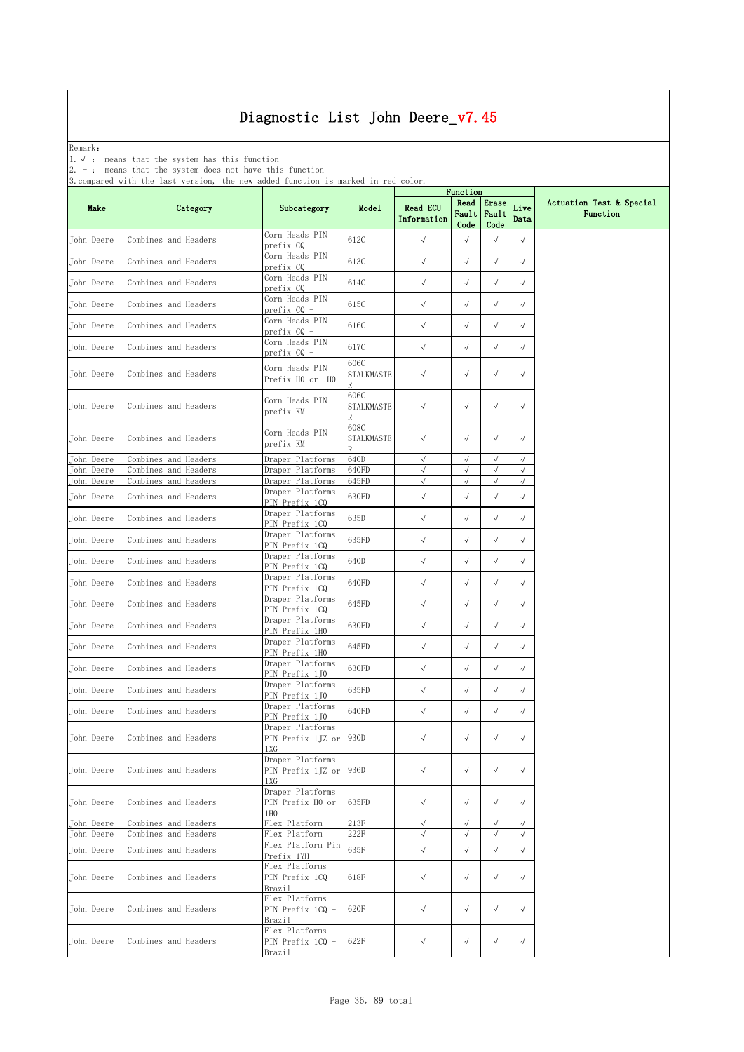Remark: The contract of the contract of  $\mathbb{R}$  and  $\mathbb{R}$  are contract of  $\mathbb{R}$  and  $\mathbb{R}$  are contract of  $\mathbb{R}$  and  $\mathbb{R}$  are contract of  $\mathbb{R}$  and  $\mathbb{R}$  are contract of  $\mathbb{R}$  and  $\mathbb{R}$  are cont

1.√ : means that the system has this function

2. - : means that the system does not have this function

| $\sim$ mpuz $\sim$ |                      |                                                |                    |                                | Function              |                        |              |                                      |
|--------------------|----------------------|------------------------------------------------|--------------------|--------------------------------|-----------------------|------------------------|--------------|--------------------------------------|
| Make               | Category             | Subcategory                                    | Model              | <b>Read ECU</b><br>Information | Read<br>Fault<br>Code | Erase<br>Fault<br>Code | Live<br>Data | Actuation Test & Special<br>Function |
| John Deere         | Combines and Headers | Corn Heads PIN<br>prefix CQ -                  | 612C               | $\checkmark$                   | $\sqrt{ }$            | $\sqrt{}$              | $\sqrt{ }$   |                                      |
| John Deere         | Combines and Headers | Corn Heads PIN<br>prefix CQ -                  | 613C               | $\checkmark$                   | $\sqrt{ }$            | $\sqrt{}$              | $\sqrt{ }$   |                                      |
| John Deere         | Combines and Headers | Corn Heads PIN<br>prefix CQ -                  | 614C               | $\sqrt{ }$                     | $\sqrt{ }$            | $\sqrt{ }$             | $\sqrt{}$    |                                      |
| John Deere         | Combines and Headers | Corn Heads PIN<br>prefix CQ -                  | 615C               | $\sqrt{ }$                     | $\sqrt{ }$            | $\sqrt{}$              | $\sqrt{ }$   |                                      |
| John Deere         | Combines and Headers | Corn Heads PIN<br>prefix CQ -                  | 616C               | $\sqrt{ }$                     | $\sqrt{}$             | $\sqrt{}$              | $\sqrt{}$    |                                      |
| <b>Tohn Deere</b>  | Combines and Headers | Corn Heads PIN<br>prefix CQ -                  | 617C               | $\sqrt{ }$                     | $\sqrt{ }$            | $\sqrt{}$              | $\sqrt{ }$   |                                      |
| John Deere         | Combines and Headers | Corn Heads PIN<br>Prefix HO or 1HO             | 606C<br>STALKMASTE | $\checkmark$                   | $\sqrt{ }$            | $\sqrt{ }$             | $\sqrt{ }$   |                                      |
| John Deere         | Combines and Headers | Corn Heads PIN<br>prefix KM                    | 606C<br>STALKMASTE | $\sqrt{ }$                     | $\sqrt{ }$            | $\sqrt{ }$             | $\sqrt{ }$   |                                      |
| John Deere         | Combines and Headers | Corn Heads PIN<br>prefix KM                    | 608C<br>STALKMASTE | $\sqrt{ }$                     | $\sqrt{}$             | $\sqrt{}$              | $\sqrt{ }$   |                                      |
| John Deere         | Combines and Headers | Draper Platforms                               | 640D               | $\sqrt{ }$                     | $\sqrt{ }$            | $\sqrt{}$              | $\sqrt{ }$   |                                      |
| John Deere         | Combines and Headers | Draper Platforms                               | 640FD              | $\sqrt{ }$                     | $\sqrt{}$             | $\sqrt{}$              | $\sqrt{ }$   |                                      |
| John Deere         | Combines and Headers | Draper Platforms                               | 645FD              | $\sqrt{ }$                     | $\sqrt{ }$            | $\sqrt{ }$             | $\sqrt{ }$   |                                      |
| John Deere         | Combines and Headers | Draper Platforms<br>PIN Prefix 1CQ             | 630FD              | $\checkmark$                   | $\sqrt{ }$            | $\sqrt{ }$             | $\sqrt{ }$   |                                      |
| John Deere         | Combines and Headers | Draper Platforms<br>PIN Prefix 1CQ             | 635D               | $\checkmark$                   | $\sqrt{ }$            | $\sqrt{ }$             | $\sqrt{ }$   |                                      |
| John Deere         | Combines and Headers | Draper Platforms<br>PIN Prefix 1CQ             | 635FD              | $\checkmark$                   | $\sqrt{ }$            | $\sqrt{}$              | $\sqrt{}$    |                                      |
| John Deere         | Combines and Headers | Draper Platforms<br>PIN Prefix 1CQ             | 640D               | $\checkmark$                   | $\sqrt{ }$            | $\sqrt{}$              | $\sqrt{ }$   |                                      |
| John Deere         | Combines and Headers | Draper Platforms<br>PIN Prefix 1CQ             | 640FD              | $\sqrt{ }$                     | $\sqrt{ }$            | $\sqrt{}$              | $\sqrt{}$    |                                      |
| John Deere         | Combines and Headers | Draper Platforms<br>PIN Prefix 1CQ             | 645FD              | $\sqrt{ }$                     | $\sqrt{ }$            | $\sqrt{}$              | $\sqrt{ }$   |                                      |
| John Deere         | Combines and Headers | Draper Platforms<br>PIN Prefix 1HO             | 630FD              | $\sqrt{ }$                     | $\sqrt{}$             | $\sqrt{}$              | $\sqrt{}$    |                                      |
| John Deere         | Combines and Headers | Draper Platforms<br>PIN Prefix 1HO             | 645FD              | $\checkmark$                   | $\sqrt{ }$            | $\sqrt{}$              | $\sqrt{ }$   |                                      |
| John Deere         | Combines and Headers | Draper Platforms<br>PIN Prefix 1JO             | 630FD              | $\checkmark$                   | $\sqrt{ }$            | $\sqrt{}$              | $\sqrt{ }$   |                                      |
| John Deere         | Combines and Headers | Draper Platforms<br>PIN Prefix 1J0             | 635FD              | $\checkmark$                   | $\sqrt{ }$            | $\sqrt{}$              | $\sqrt{}$    |                                      |
| John Deere         | Combines and Headers | Draper Platforms<br>PIN Prefix 1JO             | 640FD              | $\checkmark$                   | $\sqrt{ }$            | $\sqrt{}$              | $\sqrt{ }$   |                                      |
| John Deere         | Combines and Headers | Draper Platforms<br>PIN Prefix 1JZ or<br>1 X G | 930 <sub>D</sub>   | $\sqrt{ }$                     | $\sqrt{}$             | $\sqrt{ }$             | $\sqrt{}$    |                                      |
| John Deere         | Combines and Headers | Draper Platforms<br>PIN Prefix 1JZ or<br>1 X G | 936D               | $\sqrt{ }$                     | $\sqrt{ }$            | $\sqrt{}$              | $\sqrt{ }$   |                                      |
| John Deere         | Combines and Headers | Draper Platforms<br>PIN Prefix HO or<br>1H0    | 635FD              | $\sqrt{ }$                     | $\sqrt{ }$            | $\sqrt{ }$             | $\sqrt{ }$   |                                      |
| John Deere         | Combines and Headers | Flex Platform                                  | 213F               | $\sqrt{}$                      | √                     | $\sqrt{}$              | $\sqrt{ }$   |                                      |
| John Deere         | Combines and Headers | Flex Platform                                  | 222F               | $\sqrt{ }$                     | $\sqrt{ }$            | $\sqrt{ }$             | $\sqrt{ }$   |                                      |
| John Deere         | Combines and Headers | Flex Platform Pin<br>Prefix 1YH                | 635F               | $\sqrt{ }$                     | $\sqrt{ }$            | $\sqrt{}$              | $\sqrt{ }$   |                                      |
| John Deere         | Combines and Headers | Flex Platforms<br>PIN Prefix 1CQ -<br>Brazil   | 618F               | $\sqrt{ }$                     | $\sqrt{ }$            | $\sqrt{}$              | $\sqrt{ }$   |                                      |
| John Deere         | Combines and Headers | Flex Platforms<br>PIN Prefix 1CQ -<br>Brazil   | 620F               | $\sqrt{}$                      | $\sqrt{ }$            | $\sqrt{}$              | $\sqrt{ }$   |                                      |
| John Deere         | Combines and Headers | Flex Platforms<br>PIN Prefix 1CQ -<br>Brazil   | 622F               | $\sqrt{ }$                     | $\sqrt{ }$            | $\sqrt{ }$             | $\sqrt{ }$   |                                      |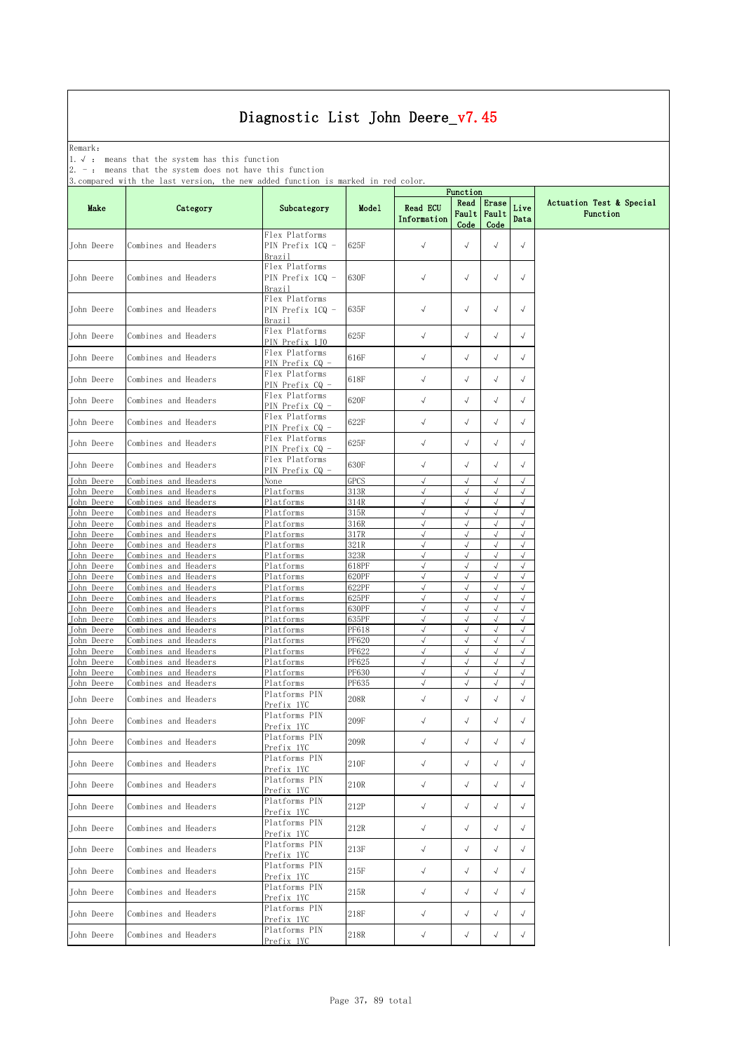Remark: The contract of the contract of  $\mathbb{R}$  and  $\mathbb{R}$  are contract of  $\mathbb{R}$  and  $\mathbb{R}$  are contract of  $\mathbb{R}$  and  $\mathbb{R}$  are contract of  $\mathbb{R}$  and  $\mathbb{R}$  are contract of  $\mathbb{R}$  and  $\mathbb{R}$  are cont

1.√ : means that the system has this function

2. - : means that the system does not have this function

| Actuation Test & Special<br>Read<br>Erase<br>Live<br><b>Read ECU</b><br>Make<br>Model<br>Category<br>Subcategory<br>Fault<br>Fault<br>Function<br>Information<br>Data<br>Code<br>Code<br>Flex Platforms<br>Combines and Headers<br>625F<br>$\sqrt{ }$<br>$\sqrt{}$<br>$\sqrt{ }$<br>PIN Prefix 1CQ -<br>$\sqrt{}$<br>Brazil<br>Flex Platforms<br>630F<br>$\sqrt{ }$<br>$\sqrt{}$<br>$\sqrt{ }$<br>$\sqrt{ }$<br>Combines and Headers<br>PIN Prefix 1CQ -<br>Brazil<br>Flex Platforms<br>$\sqrt{ }$<br>$\sqrt{ }$<br>Combines and Headers<br>635F<br>$\sqrt{}$<br>$\sqrt{ }$<br>PIN Prefix 1CQ -<br><b>Brazil</b><br>Flex Platforms<br>Combines and Headers<br>625F<br>$\sqrt{ }$<br>$\sqrt{}$<br>$\sqrt{}$<br>$\sqrt{ }$<br>PIN Prefix 1J0<br>Flex Platforms<br>$\sqrt{ }$<br>$\sqrt{}$<br>Combines and Headers<br>616F<br>$\sqrt{ }$<br>$\sqrt{ }$<br>PIN Prefix CQ -<br>Flex Platforms<br>$\sqrt{ }$<br>$\sqrt{ }$<br>Combines and Headers<br>618F<br>$\sqrt{}$<br>$\sqrt{}$<br>PIN Prefix CQ -<br>Flex Platforms<br>$\sqrt{ }$<br>$\sqrt{}$<br>$\sqrt{ }$<br>John Deere<br>Combines and Headers<br>620F<br>$\sqrt{ }$<br>PIN Prefix CQ -<br>Flex Platforms<br>$\sqrt{ }$<br>622F<br>$\sqrt{ }$<br>$\sqrt{}$<br>John Deere<br>Combines and Headers<br>$\sqrt{}$<br>PIN Prefix CQ -<br>Flex Platforms<br>625F<br>$\sqrt{ }$<br>John Deere<br>Combines and Headers<br>$\sqrt{}$<br>$\sqrt{}$<br>$\sqrt{}$<br>PIN Prefix CQ -<br>Flex Platforms<br>$\sqrt{ }$<br>John Deere<br>Combines and Headers<br>630F<br>$\sqrt{ }$<br>$\sqrt{}$<br>$\sqrt{ }$<br>PIN Prefix CQ -<br>$\sqrt{ }$<br>John Deere<br>Combines and Headers<br>GPCS<br>$\sqrt{ }$<br>$\sqrt{ }$<br>$\sqrt{ }$<br>None<br><b>John Deere</b><br>Combines and Headers<br>Platforms<br>313R<br>$\sqrt{ }$<br>$\sqrt{2}$<br>$\sqrt{}$<br>$\sqrt{2}$<br>$\sqrt{ }$<br>$\sqrt{}$<br>$\sqrt{ }$<br>$\sqrt{ }$<br>John Deere<br>Combines and Headers<br>314R<br>Platforms<br>John Deere<br>Combines and Headers<br>315R<br>$\sqrt{ }$<br>$\sqrt{}$<br>Platforms<br>$\sqrt{}$<br>√<br>John Deere<br>Combines and Headers<br>316R<br>$\sqrt{2}$<br>$\sqrt{}$<br>$\sqrt{2}$<br>Platforms<br>$\sqrt{2}$<br>$\sqrt{ }$<br>John Deere<br>Combines and Headers<br>Platforms<br>317R<br>$\sqrt{ }$<br>John Deere<br>Combines and Headers<br>Platforms<br>321R<br>$\sqrt{}$<br>$\sqrt{ }$<br>$\sqrt{}$<br>$\sqrt{2}$<br>$\sqrt{ }$<br>$\sqrt{ }$<br>$\sqrt{2}$<br>John Deere<br>Combines and Headers<br>Platforms<br>323R<br>$\sqrt{ }$<br>John Deere<br>Combines and Headers<br>618PF<br>$\sqrt{ }$<br>$\sqrt{2}$<br>Platforms<br>$\sqrt{ }$<br>$\sqrt{}$<br>$\sqrt{ }$<br>$\sqrt{ }$<br>$\sqrt{}$<br>$\sqrt{2}$<br>Combines and Headers<br>620PF<br>John Deere<br>Platforms<br>$\sqrt{ }$<br>Combines and Headers<br>622PF<br>$\sqrt{ }$<br>John Deere<br>Platforms<br>$\sqrt{}$<br>625PF<br>$\sqrt{ }$<br>$\sqrt{}$<br>$\sqrt{ }$<br>John Deere<br>Combines and Headers<br>Platforms<br>$\sqrt{2}$<br>Platforms<br>630PF<br>$\sqrt{ }$<br>$\sqrt{}$<br>$\sqrt{ }$<br>$\sqrt{2}$<br>John Deere<br>Combines and Headers<br>John Deere<br>Combines and Headers<br>635PF<br>$\sqrt{ }$<br>$\sqrt{}$<br>$\sqrt{ }$<br>$\sqrt{2}$<br>Platforms<br>John Deere<br>Combines and Headers<br>$\sqrt{ }$<br>$\sqrt{}$<br>$\sqrt{}$<br>$\sqrt{2}$<br>Platforms<br>PF618<br>John Deere<br>Combines and Headers<br>$\sqrt{ }$<br>$\sqrt{}$<br>$\sqrt{}$<br>Platforms<br>PF620<br>$\sqrt{ }$<br>$\sqrt{2}$<br>$\sqrt{2}$<br>$\sqrt{2}$<br>John Deere<br>Combines and Headers<br>Platforms<br>PF622<br>$\sqrt{}$<br>$\sqrt{ }$<br>$\sqrt{}$<br>Combines and Headers<br>$\sqrt{ }$<br>$\sqrt{}$<br>John Deere<br>Platforms<br>PF625<br>$\sqrt{ }$<br>$\sqrt{2}$<br>$\sqrt{2}$<br>John Deere<br>Platforms<br>PF630<br>$\sqrt{}$<br>Combines and Headers<br>$\sqrt{ }$<br>$\sqrt{}$<br>$\sqrt{2}$<br>John Deere<br>Combines and Headers<br>Platforms<br>PF635<br>$\sqrt{}$<br>Platforms PIN<br>$\sqrt{ }$<br>$\sqrt{ }$<br>$\sqrt{}$<br>208R<br>$\sqrt{ }$<br>John Deere<br>Combines and Headers<br>Prefix 1YC<br>Platforms PIN<br>$\sqrt{ }$<br>$\sqrt{2}$<br>John Deere<br>Combines and Headers<br>209F<br>$\sqrt{}$<br>$\sqrt{ }$<br>Prefix 1YC<br>Platforms PIN<br>$209{\rm R}$<br>John Deere<br>Combines and Headers<br>Prefix 1YC<br>Platforms PIN<br>210F<br>$\sqrt{}$<br>$\sqrt{}$<br>$\sqrt{}$<br>John Deere<br>Combines and Headers<br>$\sqrt{ }$<br>Prefix 1YC<br>Platforms PIN<br>John Deere<br>210R<br>$\sqrt{\phantom{a}}$<br>$\sqrt{ }$<br>Combines and Headers<br>$\sqrt{ }$<br>$\sqrt{ }$<br>Prefix 1YC<br>Platforms PIN<br>212P<br>$\sqrt{}$<br>$\sqrt{}$<br>John Deere<br>Combines and Headers<br>$\sqrt{ }$<br>$\sqrt{ }$<br>Prefix 1YC<br>Platforms PIN<br>John Deere<br>212R<br>$\sqrt{ }$<br>$\sqrt{ }$<br>Combines and Headers<br>$\sqrt{ }$<br>$\sqrt{ }$<br>Prefix 1YC<br>Platforms PIN<br>$\sqrt{ }$<br>213F<br>$\checkmark$<br>$\sqrt{}$<br>John Deere<br>Combines and Headers<br>$\sqrt{}$<br>Prefix 1YC<br>Platforms PIN<br>215F<br>$\checkmark$<br>$\sqrt{}$<br>$\checkmark$<br>John Deere<br>Combines and Headers<br>$\sqrt{ }$<br>Prefix 1YC<br>Platforms PIN<br>$\sqrt{\phantom{a}}$<br>$\sqrt{ }$<br>$\checkmark$<br>John Deere<br>Combines and Headers<br>215R<br>$\sqrt{ }$<br>Prefix 1YC<br>Platforms PIN<br>John Deere<br>Combines and Headers<br>218F<br>$\sqrt{ }$<br>$\sqrt{ }$<br>$\sqrt{}$<br>$\sqrt{ }$<br>Prefix 1YC<br>Platforms PIN<br>John Deere<br>Combines and Headers<br>218R<br>$\sqrt{\phantom{a}}$<br>$\sqrt{}$<br>$\sqrt{}$<br>$\sqrt{ }$<br>Prefix 1YC |            | o, compared write the fast version, the new added function is marked in rea coror. |  | Function |  |  |  |
|---------------------------------------------------------------------------------------------------------------------------------------------------------------------------------------------------------------------------------------------------------------------------------------------------------------------------------------------------------------------------------------------------------------------------------------------------------------------------------------------------------------------------------------------------------------------------------------------------------------------------------------------------------------------------------------------------------------------------------------------------------------------------------------------------------------------------------------------------------------------------------------------------------------------------------------------------------------------------------------------------------------------------------------------------------------------------------------------------------------------------------------------------------------------------------------------------------------------------------------------------------------------------------------------------------------------------------------------------------------------------------------------------------------------------------------------------------------------------------------------------------------------------------------------------------------------------------------------------------------------------------------------------------------------------------------------------------------------------------------------------------------------------------------------------------------------------------------------------------------------------------------------------------------------------------------------------------------------------------------------------------------------------------------------------------------------------------------------------------------------------------------------------------------------------------------------------------------------------------------------------------------------------------------------------------------------------------------------------------------------------------------------------------------------------------------------------------------------------------------------------------------------------------------------------------------------------------------------------------------------------------------------------------------------------------------------------------------------------------------------------------------------------------------------------------------------------------------------------------------------------------------------------------------------------------------------------------------------------------------------------------------------------------------------------------------------------------------------------------------------------------------------------------------------------------------------------------------------------------------------------------------------------------------------------------------------------------------------------------------------------------------------------------------------------------------------------------------------------------------------------------------------------------------------------------------------------------------------------------------------------------------------------------------------------------------------------------------------------------------------------------------------------------------------------------------------------------------------------------------------------------------------------------------------------------------------------------------------------------------------------------------------------------------------------------------------------------------------------------------------------------------------------------------------------------------------------------------------------------------------------------------------------------------------------------------------------------------------------------------------------------------------------------------------------------------------------------------------------------------------------------------------------------------------------------------------------------------------------------------------------------------------------------------------------------------------------------------------------------------------------------------------------------------------------------------------------------------------------------------------------------------------------------------------------------------------------------------------------------------------------------------------------------------------------------------------------------------------------------------------------------------------------------------------------------------------------------------------------------------------------------------------------------------------------------------------------------------------------------------------------------------------------------------------------------------------------------------------------------------------------------------------------------------------|------------|------------------------------------------------------------------------------------|--|----------|--|--|--|
|                                                                                                                                                                                                                                                                                                                                                                                                                                                                                                                                                                                                                                                                                                                                                                                                                                                                                                                                                                                                                                                                                                                                                                                                                                                                                                                                                                                                                                                                                                                                                                                                                                                                                                                                                                                                                                                                                                                                                                                                                                                                                                                                                                                                                                                                                                                                                                                                                                                                                                                                                                                                                                                                                                                                                                                                                                                                                                                                                                                                                                                                                                                                                                                                                                                                                                                                                                                                                                                                                                                                                                                                                                                                                                                                                                                                                                                                                                                                                                                                                                                                                                                                                                                                                                                                                                                                                                                                                                                                                                                                                                                                                                                                                                                                                                                                                                                                                                                                                                                                                                                                                                                                                                                                                                                                                                                                                                                                                                                                                                                                             |            |                                                                                    |  |          |  |  |  |
|                                                                                                                                                                                                                                                                                                                                                                                                                                                                                                                                                                                                                                                                                                                                                                                                                                                                                                                                                                                                                                                                                                                                                                                                                                                                                                                                                                                                                                                                                                                                                                                                                                                                                                                                                                                                                                                                                                                                                                                                                                                                                                                                                                                                                                                                                                                                                                                                                                                                                                                                                                                                                                                                                                                                                                                                                                                                                                                                                                                                                                                                                                                                                                                                                                                                                                                                                                                                                                                                                                                                                                                                                                                                                                                                                                                                                                                                                                                                                                                                                                                                                                                                                                                                                                                                                                                                                                                                                                                                                                                                                                                                                                                                                                                                                                                                                                                                                                                                                                                                                                                                                                                                                                                                                                                                                                                                                                                                                                                                                                                                             | John Deere |                                                                                    |  |          |  |  |  |
|                                                                                                                                                                                                                                                                                                                                                                                                                                                                                                                                                                                                                                                                                                                                                                                                                                                                                                                                                                                                                                                                                                                                                                                                                                                                                                                                                                                                                                                                                                                                                                                                                                                                                                                                                                                                                                                                                                                                                                                                                                                                                                                                                                                                                                                                                                                                                                                                                                                                                                                                                                                                                                                                                                                                                                                                                                                                                                                                                                                                                                                                                                                                                                                                                                                                                                                                                                                                                                                                                                                                                                                                                                                                                                                                                                                                                                                                                                                                                                                                                                                                                                                                                                                                                                                                                                                                                                                                                                                                                                                                                                                                                                                                                                                                                                                                                                                                                                                                                                                                                                                                                                                                                                                                                                                                                                                                                                                                                                                                                                                                             | John Deere |                                                                                    |  |          |  |  |  |
|                                                                                                                                                                                                                                                                                                                                                                                                                                                                                                                                                                                                                                                                                                                                                                                                                                                                                                                                                                                                                                                                                                                                                                                                                                                                                                                                                                                                                                                                                                                                                                                                                                                                                                                                                                                                                                                                                                                                                                                                                                                                                                                                                                                                                                                                                                                                                                                                                                                                                                                                                                                                                                                                                                                                                                                                                                                                                                                                                                                                                                                                                                                                                                                                                                                                                                                                                                                                                                                                                                                                                                                                                                                                                                                                                                                                                                                                                                                                                                                                                                                                                                                                                                                                                                                                                                                                                                                                                                                                                                                                                                                                                                                                                                                                                                                                                                                                                                                                                                                                                                                                                                                                                                                                                                                                                                                                                                                                                                                                                                                                             | John Deere |                                                                                    |  |          |  |  |  |
|                                                                                                                                                                                                                                                                                                                                                                                                                                                                                                                                                                                                                                                                                                                                                                                                                                                                                                                                                                                                                                                                                                                                                                                                                                                                                                                                                                                                                                                                                                                                                                                                                                                                                                                                                                                                                                                                                                                                                                                                                                                                                                                                                                                                                                                                                                                                                                                                                                                                                                                                                                                                                                                                                                                                                                                                                                                                                                                                                                                                                                                                                                                                                                                                                                                                                                                                                                                                                                                                                                                                                                                                                                                                                                                                                                                                                                                                                                                                                                                                                                                                                                                                                                                                                                                                                                                                                                                                                                                                                                                                                                                                                                                                                                                                                                                                                                                                                                                                                                                                                                                                                                                                                                                                                                                                                                                                                                                                                                                                                                                                             | John Deere |                                                                                    |  |          |  |  |  |
|                                                                                                                                                                                                                                                                                                                                                                                                                                                                                                                                                                                                                                                                                                                                                                                                                                                                                                                                                                                                                                                                                                                                                                                                                                                                                                                                                                                                                                                                                                                                                                                                                                                                                                                                                                                                                                                                                                                                                                                                                                                                                                                                                                                                                                                                                                                                                                                                                                                                                                                                                                                                                                                                                                                                                                                                                                                                                                                                                                                                                                                                                                                                                                                                                                                                                                                                                                                                                                                                                                                                                                                                                                                                                                                                                                                                                                                                                                                                                                                                                                                                                                                                                                                                                                                                                                                                                                                                                                                                                                                                                                                                                                                                                                                                                                                                                                                                                                                                                                                                                                                                                                                                                                                                                                                                                                                                                                                                                                                                                                                                             | John Deere |                                                                                    |  |          |  |  |  |
|                                                                                                                                                                                                                                                                                                                                                                                                                                                                                                                                                                                                                                                                                                                                                                                                                                                                                                                                                                                                                                                                                                                                                                                                                                                                                                                                                                                                                                                                                                                                                                                                                                                                                                                                                                                                                                                                                                                                                                                                                                                                                                                                                                                                                                                                                                                                                                                                                                                                                                                                                                                                                                                                                                                                                                                                                                                                                                                                                                                                                                                                                                                                                                                                                                                                                                                                                                                                                                                                                                                                                                                                                                                                                                                                                                                                                                                                                                                                                                                                                                                                                                                                                                                                                                                                                                                                                                                                                                                                                                                                                                                                                                                                                                                                                                                                                                                                                                                                                                                                                                                                                                                                                                                                                                                                                                                                                                                                                                                                                                                                             | John Deere |                                                                                    |  |          |  |  |  |
|                                                                                                                                                                                                                                                                                                                                                                                                                                                                                                                                                                                                                                                                                                                                                                                                                                                                                                                                                                                                                                                                                                                                                                                                                                                                                                                                                                                                                                                                                                                                                                                                                                                                                                                                                                                                                                                                                                                                                                                                                                                                                                                                                                                                                                                                                                                                                                                                                                                                                                                                                                                                                                                                                                                                                                                                                                                                                                                                                                                                                                                                                                                                                                                                                                                                                                                                                                                                                                                                                                                                                                                                                                                                                                                                                                                                                                                                                                                                                                                                                                                                                                                                                                                                                                                                                                                                                                                                                                                                                                                                                                                                                                                                                                                                                                                                                                                                                                                                                                                                                                                                                                                                                                                                                                                                                                                                                                                                                                                                                                                                             |            |                                                                                    |  |          |  |  |  |
|                                                                                                                                                                                                                                                                                                                                                                                                                                                                                                                                                                                                                                                                                                                                                                                                                                                                                                                                                                                                                                                                                                                                                                                                                                                                                                                                                                                                                                                                                                                                                                                                                                                                                                                                                                                                                                                                                                                                                                                                                                                                                                                                                                                                                                                                                                                                                                                                                                                                                                                                                                                                                                                                                                                                                                                                                                                                                                                                                                                                                                                                                                                                                                                                                                                                                                                                                                                                                                                                                                                                                                                                                                                                                                                                                                                                                                                                                                                                                                                                                                                                                                                                                                                                                                                                                                                                                                                                                                                                                                                                                                                                                                                                                                                                                                                                                                                                                                                                                                                                                                                                                                                                                                                                                                                                                                                                                                                                                                                                                                                                             |            |                                                                                    |  |          |  |  |  |
|                                                                                                                                                                                                                                                                                                                                                                                                                                                                                                                                                                                                                                                                                                                                                                                                                                                                                                                                                                                                                                                                                                                                                                                                                                                                                                                                                                                                                                                                                                                                                                                                                                                                                                                                                                                                                                                                                                                                                                                                                                                                                                                                                                                                                                                                                                                                                                                                                                                                                                                                                                                                                                                                                                                                                                                                                                                                                                                                                                                                                                                                                                                                                                                                                                                                                                                                                                                                                                                                                                                                                                                                                                                                                                                                                                                                                                                                                                                                                                                                                                                                                                                                                                                                                                                                                                                                                                                                                                                                                                                                                                                                                                                                                                                                                                                                                                                                                                                                                                                                                                                                                                                                                                                                                                                                                                                                                                                                                                                                                                                                             |            |                                                                                    |  |          |  |  |  |
|                                                                                                                                                                                                                                                                                                                                                                                                                                                                                                                                                                                                                                                                                                                                                                                                                                                                                                                                                                                                                                                                                                                                                                                                                                                                                                                                                                                                                                                                                                                                                                                                                                                                                                                                                                                                                                                                                                                                                                                                                                                                                                                                                                                                                                                                                                                                                                                                                                                                                                                                                                                                                                                                                                                                                                                                                                                                                                                                                                                                                                                                                                                                                                                                                                                                                                                                                                                                                                                                                                                                                                                                                                                                                                                                                                                                                                                                                                                                                                                                                                                                                                                                                                                                                                                                                                                                                                                                                                                                                                                                                                                                                                                                                                                                                                                                                                                                                                                                                                                                                                                                                                                                                                                                                                                                                                                                                                                                                                                                                                                                             |            |                                                                                    |  |          |  |  |  |
|                                                                                                                                                                                                                                                                                                                                                                                                                                                                                                                                                                                                                                                                                                                                                                                                                                                                                                                                                                                                                                                                                                                                                                                                                                                                                                                                                                                                                                                                                                                                                                                                                                                                                                                                                                                                                                                                                                                                                                                                                                                                                                                                                                                                                                                                                                                                                                                                                                                                                                                                                                                                                                                                                                                                                                                                                                                                                                                                                                                                                                                                                                                                                                                                                                                                                                                                                                                                                                                                                                                                                                                                                                                                                                                                                                                                                                                                                                                                                                                                                                                                                                                                                                                                                                                                                                                                                                                                                                                                                                                                                                                                                                                                                                                                                                                                                                                                                                                                                                                                                                                                                                                                                                                                                                                                                                                                                                                                                                                                                                                                             |            |                                                                                    |  |          |  |  |  |
|                                                                                                                                                                                                                                                                                                                                                                                                                                                                                                                                                                                                                                                                                                                                                                                                                                                                                                                                                                                                                                                                                                                                                                                                                                                                                                                                                                                                                                                                                                                                                                                                                                                                                                                                                                                                                                                                                                                                                                                                                                                                                                                                                                                                                                                                                                                                                                                                                                                                                                                                                                                                                                                                                                                                                                                                                                                                                                                                                                                                                                                                                                                                                                                                                                                                                                                                                                                                                                                                                                                                                                                                                                                                                                                                                                                                                                                                                                                                                                                                                                                                                                                                                                                                                                                                                                                                                                                                                                                                                                                                                                                                                                                                                                                                                                                                                                                                                                                                                                                                                                                                                                                                                                                                                                                                                                                                                                                                                                                                                                                                             |            |                                                                                    |  |          |  |  |  |
|                                                                                                                                                                                                                                                                                                                                                                                                                                                                                                                                                                                                                                                                                                                                                                                                                                                                                                                                                                                                                                                                                                                                                                                                                                                                                                                                                                                                                                                                                                                                                                                                                                                                                                                                                                                                                                                                                                                                                                                                                                                                                                                                                                                                                                                                                                                                                                                                                                                                                                                                                                                                                                                                                                                                                                                                                                                                                                                                                                                                                                                                                                                                                                                                                                                                                                                                                                                                                                                                                                                                                                                                                                                                                                                                                                                                                                                                                                                                                                                                                                                                                                                                                                                                                                                                                                                                                                                                                                                                                                                                                                                                                                                                                                                                                                                                                                                                                                                                                                                                                                                                                                                                                                                                                                                                                                                                                                                                                                                                                                                                             |            |                                                                                    |  |          |  |  |  |
|                                                                                                                                                                                                                                                                                                                                                                                                                                                                                                                                                                                                                                                                                                                                                                                                                                                                                                                                                                                                                                                                                                                                                                                                                                                                                                                                                                                                                                                                                                                                                                                                                                                                                                                                                                                                                                                                                                                                                                                                                                                                                                                                                                                                                                                                                                                                                                                                                                                                                                                                                                                                                                                                                                                                                                                                                                                                                                                                                                                                                                                                                                                                                                                                                                                                                                                                                                                                                                                                                                                                                                                                                                                                                                                                                                                                                                                                                                                                                                                                                                                                                                                                                                                                                                                                                                                                                                                                                                                                                                                                                                                                                                                                                                                                                                                                                                                                                                                                                                                                                                                                                                                                                                                                                                                                                                                                                                                                                                                                                                                                             |            |                                                                                    |  |          |  |  |  |
|                                                                                                                                                                                                                                                                                                                                                                                                                                                                                                                                                                                                                                                                                                                                                                                                                                                                                                                                                                                                                                                                                                                                                                                                                                                                                                                                                                                                                                                                                                                                                                                                                                                                                                                                                                                                                                                                                                                                                                                                                                                                                                                                                                                                                                                                                                                                                                                                                                                                                                                                                                                                                                                                                                                                                                                                                                                                                                                                                                                                                                                                                                                                                                                                                                                                                                                                                                                                                                                                                                                                                                                                                                                                                                                                                                                                                                                                                                                                                                                                                                                                                                                                                                                                                                                                                                                                                                                                                                                                                                                                                                                                                                                                                                                                                                                                                                                                                                                                                                                                                                                                                                                                                                                                                                                                                                                                                                                                                                                                                                                                             |            |                                                                                    |  |          |  |  |  |
|                                                                                                                                                                                                                                                                                                                                                                                                                                                                                                                                                                                                                                                                                                                                                                                                                                                                                                                                                                                                                                                                                                                                                                                                                                                                                                                                                                                                                                                                                                                                                                                                                                                                                                                                                                                                                                                                                                                                                                                                                                                                                                                                                                                                                                                                                                                                                                                                                                                                                                                                                                                                                                                                                                                                                                                                                                                                                                                                                                                                                                                                                                                                                                                                                                                                                                                                                                                                                                                                                                                                                                                                                                                                                                                                                                                                                                                                                                                                                                                                                                                                                                                                                                                                                                                                                                                                                                                                                                                                                                                                                                                                                                                                                                                                                                                                                                                                                                                                                                                                                                                                                                                                                                                                                                                                                                                                                                                                                                                                                                                                             |            |                                                                                    |  |          |  |  |  |
|                                                                                                                                                                                                                                                                                                                                                                                                                                                                                                                                                                                                                                                                                                                                                                                                                                                                                                                                                                                                                                                                                                                                                                                                                                                                                                                                                                                                                                                                                                                                                                                                                                                                                                                                                                                                                                                                                                                                                                                                                                                                                                                                                                                                                                                                                                                                                                                                                                                                                                                                                                                                                                                                                                                                                                                                                                                                                                                                                                                                                                                                                                                                                                                                                                                                                                                                                                                                                                                                                                                                                                                                                                                                                                                                                                                                                                                                                                                                                                                                                                                                                                                                                                                                                                                                                                                                                                                                                                                                                                                                                                                                                                                                                                                                                                                                                                                                                                                                                                                                                                                                                                                                                                                                                                                                                                                                                                                                                                                                                                                                             |            |                                                                                    |  |          |  |  |  |
|                                                                                                                                                                                                                                                                                                                                                                                                                                                                                                                                                                                                                                                                                                                                                                                                                                                                                                                                                                                                                                                                                                                                                                                                                                                                                                                                                                                                                                                                                                                                                                                                                                                                                                                                                                                                                                                                                                                                                                                                                                                                                                                                                                                                                                                                                                                                                                                                                                                                                                                                                                                                                                                                                                                                                                                                                                                                                                                                                                                                                                                                                                                                                                                                                                                                                                                                                                                                                                                                                                                                                                                                                                                                                                                                                                                                                                                                                                                                                                                                                                                                                                                                                                                                                                                                                                                                                                                                                                                                                                                                                                                                                                                                                                                                                                                                                                                                                                                                                                                                                                                                                                                                                                                                                                                                                                                                                                                                                                                                                                                                             |            |                                                                                    |  |          |  |  |  |
|                                                                                                                                                                                                                                                                                                                                                                                                                                                                                                                                                                                                                                                                                                                                                                                                                                                                                                                                                                                                                                                                                                                                                                                                                                                                                                                                                                                                                                                                                                                                                                                                                                                                                                                                                                                                                                                                                                                                                                                                                                                                                                                                                                                                                                                                                                                                                                                                                                                                                                                                                                                                                                                                                                                                                                                                                                                                                                                                                                                                                                                                                                                                                                                                                                                                                                                                                                                                                                                                                                                                                                                                                                                                                                                                                                                                                                                                                                                                                                                                                                                                                                                                                                                                                                                                                                                                                                                                                                                                                                                                                                                                                                                                                                                                                                                                                                                                                                                                                                                                                                                                                                                                                                                                                                                                                                                                                                                                                                                                                                                                             |            |                                                                                    |  |          |  |  |  |
|                                                                                                                                                                                                                                                                                                                                                                                                                                                                                                                                                                                                                                                                                                                                                                                                                                                                                                                                                                                                                                                                                                                                                                                                                                                                                                                                                                                                                                                                                                                                                                                                                                                                                                                                                                                                                                                                                                                                                                                                                                                                                                                                                                                                                                                                                                                                                                                                                                                                                                                                                                                                                                                                                                                                                                                                                                                                                                                                                                                                                                                                                                                                                                                                                                                                                                                                                                                                                                                                                                                                                                                                                                                                                                                                                                                                                                                                                                                                                                                                                                                                                                                                                                                                                                                                                                                                                                                                                                                                                                                                                                                                                                                                                                                                                                                                                                                                                                                                                                                                                                                                                                                                                                                                                                                                                                                                                                                                                                                                                                                                             |            |                                                                                    |  |          |  |  |  |
|                                                                                                                                                                                                                                                                                                                                                                                                                                                                                                                                                                                                                                                                                                                                                                                                                                                                                                                                                                                                                                                                                                                                                                                                                                                                                                                                                                                                                                                                                                                                                                                                                                                                                                                                                                                                                                                                                                                                                                                                                                                                                                                                                                                                                                                                                                                                                                                                                                                                                                                                                                                                                                                                                                                                                                                                                                                                                                                                                                                                                                                                                                                                                                                                                                                                                                                                                                                                                                                                                                                                                                                                                                                                                                                                                                                                                                                                                                                                                                                                                                                                                                                                                                                                                                                                                                                                                                                                                                                                                                                                                                                                                                                                                                                                                                                                                                                                                                                                                                                                                                                                                                                                                                                                                                                                                                                                                                                                                                                                                                                                             |            |                                                                                    |  |          |  |  |  |
|                                                                                                                                                                                                                                                                                                                                                                                                                                                                                                                                                                                                                                                                                                                                                                                                                                                                                                                                                                                                                                                                                                                                                                                                                                                                                                                                                                                                                                                                                                                                                                                                                                                                                                                                                                                                                                                                                                                                                                                                                                                                                                                                                                                                                                                                                                                                                                                                                                                                                                                                                                                                                                                                                                                                                                                                                                                                                                                                                                                                                                                                                                                                                                                                                                                                                                                                                                                                                                                                                                                                                                                                                                                                                                                                                                                                                                                                                                                                                                                                                                                                                                                                                                                                                                                                                                                                                                                                                                                                                                                                                                                                                                                                                                                                                                                                                                                                                                                                                                                                                                                                                                                                                                                                                                                                                                                                                                                                                                                                                                                                             |            |                                                                                    |  |          |  |  |  |
|                                                                                                                                                                                                                                                                                                                                                                                                                                                                                                                                                                                                                                                                                                                                                                                                                                                                                                                                                                                                                                                                                                                                                                                                                                                                                                                                                                                                                                                                                                                                                                                                                                                                                                                                                                                                                                                                                                                                                                                                                                                                                                                                                                                                                                                                                                                                                                                                                                                                                                                                                                                                                                                                                                                                                                                                                                                                                                                                                                                                                                                                                                                                                                                                                                                                                                                                                                                                                                                                                                                                                                                                                                                                                                                                                                                                                                                                                                                                                                                                                                                                                                                                                                                                                                                                                                                                                                                                                                                                                                                                                                                                                                                                                                                                                                                                                                                                                                                                                                                                                                                                                                                                                                                                                                                                                                                                                                                                                                                                                                                                             |            |                                                                                    |  |          |  |  |  |
|                                                                                                                                                                                                                                                                                                                                                                                                                                                                                                                                                                                                                                                                                                                                                                                                                                                                                                                                                                                                                                                                                                                                                                                                                                                                                                                                                                                                                                                                                                                                                                                                                                                                                                                                                                                                                                                                                                                                                                                                                                                                                                                                                                                                                                                                                                                                                                                                                                                                                                                                                                                                                                                                                                                                                                                                                                                                                                                                                                                                                                                                                                                                                                                                                                                                                                                                                                                                                                                                                                                                                                                                                                                                                                                                                                                                                                                                                                                                                                                                                                                                                                                                                                                                                                                                                                                                                                                                                                                                                                                                                                                                                                                                                                                                                                                                                                                                                                                                                                                                                                                                                                                                                                                                                                                                                                                                                                                                                                                                                                                                             |            |                                                                                    |  |          |  |  |  |
|                                                                                                                                                                                                                                                                                                                                                                                                                                                                                                                                                                                                                                                                                                                                                                                                                                                                                                                                                                                                                                                                                                                                                                                                                                                                                                                                                                                                                                                                                                                                                                                                                                                                                                                                                                                                                                                                                                                                                                                                                                                                                                                                                                                                                                                                                                                                                                                                                                                                                                                                                                                                                                                                                                                                                                                                                                                                                                                                                                                                                                                                                                                                                                                                                                                                                                                                                                                                                                                                                                                                                                                                                                                                                                                                                                                                                                                                                                                                                                                                                                                                                                                                                                                                                                                                                                                                                                                                                                                                                                                                                                                                                                                                                                                                                                                                                                                                                                                                                                                                                                                                                                                                                                                                                                                                                                                                                                                                                                                                                                                                             |            |                                                                                    |  |          |  |  |  |
|                                                                                                                                                                                                                                                                                                                                                                                                                                                                                                                                                                                                                                                                                                                                                                                                                                                                                                                                                                                                                                                                                                                                                                                                                                                                                                                                                                                                                                                                                                                                                                                                                                                                                                                                                                                                                                                                                                                                                                                                                                                                                                                                                                                                                                                                                                                                                                                                                                                                                                                                                                                                                                                                                                                                                                                                                                                                                                                                                                                                                                                                                                                                                                                                                                                                                                                                                                                                                                                                                                                                                                                                                                                                                                                                                                                                                                                                                                                                                                                                                                                                                                                                                                                                                                                                                                                                                                                                                                                                                                                                                                                                                                                                                                                                                                                                                                                                                                                                                                                                                                                                                                                                                                                                                                                                                                                                                                                                                                                                                                                                             |            |                                                                                    |  |          |  |  |  |
|                                                                                                                                                                                                                                                                                                                                                                                                                                                                                                                                                                                                                                                                                                                                                                                                                                                                                                                                                                                                                                                                                                                                                                                                                                                                                                                                                                                                                                                                                                                                                                                                                                                                                                                                                                                                                                                                                                                                                                                                                                                                                                                                                                                                                                                                                                                                                                                                                                                                                                                                                                                                                                                                                                                                                                                                                                                                                                                                                                                                                                                                                                                                                                                                                                                                                                                                                                                                                                                                                                                                                                                                                                                                                                                                                                                                                                                                                                                                                                                                                                                                                                                                                                                                                                                                                                                                                                                                                                                                                                                                                                                                                                                                                                                                                                                                                                                                                                                                                                                                                                                                                                                                                                                                                                                                                                                                                                                                                                                                                                                                             |            |                                                                                    |  |          |  |  |  |
|                                                                                                                                                                                                                                                                                                                                                                                                                                                                                                                                                                                                                                                                                                                                                                                                                                                                                                                                                                                                                                                                                                                                                                                                                                                                                                                                                                                                                                                                                                                                                                                                                                                                                                                                                                                                                                                                                                                                                                                                                                                                                                                                                                                                                                                                                                                                                                                                                                                                                                                                                                                                                                                                                                                                                                                                                                                                                                                                                                                                                                                                                                                                                                                                                                                                                                                                                                                                                                                                                                                                                                                                                                                                                                                                                                                                                                                                                                                                                                                                                                                                                                                                                                                                                                                                                                                                                                                                                                                                                                                                                                                                                                                                                                                                                                                                                                                                                                                                                                                                                                                                                                                                                                                                                                                                                                                                                                                                                                                                                                                                             |            |                                                                                    |  |          |  |  |  |
|                                                                                                                                                                                                                                                                                                                                                                                                                                                                                                                                                                                                                                                                                                                                                                                                                                                                                                                                                                                                                                                                                                                                                                                                                                                                                                                                                                                                                                                                                                                                                                                                                                                                                                                                                                                                                                                                                                                                                                                                                                                                                                                                                                                                                                                                                                                                                                                                                                                                                                                                                                                                                                                                                                                                                                                                                                                                                                                                                                                                                                                                                                                                                                                                                                                                                                                                                                                                                                                                                                                                                                                                                                                                                                                                                                                                                                                                                                                                                                                                                                                                                                                                                                                                                                                                                                                                                                                                                                                                                                                                                                                                                                                                                                                                                                                                                                                                                                                                                                                                                                                                                                                                                                                                                                                                                                                                                                                                                                                                                                                                             |            |                                                                                    |  |          |  |  |  |
|                                                                                                                                                                                                                                                                                                                                                                                                                                                                                                                                                                                                                                                                                                                                                                                                                                                                                                                                                                                                                                                                                                                                                                                                                                                                                                                                                                                                                                                                                                                                                                                                                                                                                                                                                                                                                                                                                                                                                                                                                                                                                                                                                                                                                                                                                                                                                                                                                                                                                                                                                                                                                                                                                                                                                                                                                                                                                                                                                                                                                                                                                                                                                                                                                                                                                                                                                                                                                                                                                                                                                                                                                                                                                                                                                                                                                                                                                                                                                                                                                                                                                                                                                                                                                                                                                                                                                                                                                                                                                                                                                                                                                                                                                                                                                                                                                                                                                                                                                                                                                                                                                                                                                                                                                                                                                                                                                                                                                                                                                                                                             |            |                                                                                    |  |          |  |  |  |
|                                                                                                                                                                                                                                                                                                                                                                                                                                                                                                                                                                                                                                                                                                                                                                                                                                                                                                                                                                                                                                                                                                                                                                                                                                                                                                                                                                                                                                                                                                                                                                                                                                                                                                                                                                                                                                                                                                                                                                                                                                                                                                                                                                                                                                                                                                                                                                                                                                                                                                                                                                                                                                                                                                                                                                                                                                                                                                                                                                                                                                                                                                                                                                                                                                                                                                                                                                                                                                                                                                                                                                                                                                                                                                                                                                                                                                                                                                                                                                                                                                                                                                                                                                                                                                                                                                                                                                                                                                                                                                                                                                                                                                                                                                                                                                                                                                                                                                                                                                                                                                                                                                                                                                                                                                                                                                                                                                                                                                                                                                                                             |            |                                                                                    |  |          |  |  |  |
|                                                                                                                                                                                                                                                                                                                                                                                                                                                                                                                                                                                                                                                                                                                                                                                                                                                                                                                                                                                                                                                                                                                                                                                                                                                                                                                                                                                                                                                                                                                                                                                                                                                                                                                                                                                                                                                                                                                                                                                                                                                                                                                                                                                                                                                                                                                                                                                                                                                                                                                                                                                                                                                                                                                                                                                                                                                                                                                                                                                                                                                                                                                                                                                                                                                                                                                                                                                                                                                                                                                                                                                                                                                                                                                                                                                                                                                                                                                                                                                                                                                                                                                                                                                                                                                                                                                                                                                                                                                                                                                                                                                                                                                                                                                                                                                                                                                                                                                                                                                                                                                                                                                                                                                                                                                                                                                                                                                                                                                                                                                                             |            |                                                                                    |  |          |  |  |  |
|                                                                                                                                                                                                                                                                                                                                                                                                                                                                                                                                                                                                                                                                                                                                                                                                                                                                                                                                                                                                                                                                                                                                                                                                                                                                                                                                                                                                                                                                                                                                                                                                                                                                                                                                                                                                                                                                                                                                                                                                                                                                                                                                                                                                                                                                                                                                                                                                                                                                                                                                                                                                                                                                                                                                                                                                                                                                                                                                                                                                                                                                                                                                                                                                                                                                                                                                                                                                                                                                                                                                                                                                                                                                                                                                                                                                                                                                                                                                                                                                                                                                                                                                                                                                                                                                                                                                                                                                                                                                                                                                                                                                                                                                                                                                                                                                                                                                                                                                                                                                                                                                                                                                                                                                                                                                                                                                                                                                                                                                                                                                             |            |                                                                                    |  |          |  |  |  |
|                                                                                                                                                                                                                                                                                                                                                                                                                                                                                                                                                                                                                                                                                                                                                                                                                                                                                                                                                                                                                                                                                                                                                                                                                                                                                                                                                                                                                                                                                                                                                                                                                                                                                                                                                                                                                                                                                                                                                                                                                                                                                                                                                                                                                                                                                                                                                                                                                                                                                                                                                                                                                                                                                                                                                                                                                                                                                                                                                                                                                                                                                                                                                                                                                                                                                                                                                                                                                                                                                                                                                                                                                                                                                                                                                                                                                                                                                                                                                                                                                                                                                                                                                                                                                                                                                                                                                                                                                                                                                                                                                                                                                                                                                                                                                                                                                                                                                                                                                                                                                                                                                                                                                                                                                                                                                                                                                                                                                                                                                                                                             |            |                                                                                    |  |          |  |  |  |
|                                                                                                                                                                                                                                                                                                                                                                                                                                                                                                                                                                                                                                                                                                                                                                                                                                                                                                                                                                                                                                                                                                                                                                                                                                                                                                                                                                                                                                                                                                                                                                                                                                                                                                                                                                                                                                                                                                                                                                                                                                                                                                                                                                                                                                                                                                                                                                                                                                                                                                                                                                                                                                                                                                                                                                                                                                                                                                                                                                                                                                                                                                                                                                                                                                                                                                                                                                                                                                                                                                                                                                                                                                                                                                                                                                                                                                                                                                                                                                                                                                                                                                                                                                                                                                                                                                                                                                                                                                                                                                                                                                                                                                                                                                                                                                                                                                                                                                                                                                                                                                                                                                                                                                                                                                                                                                                                                                                                                                                                                                                                             |            |                                                                                    |  |          |  |  |  |
|                                                                                                                                                                                                                                                                                                                                                                                                                                                                                                                                                                                                                                                                                                                                                                                                                                                                                                                                                                                                                                                                                                                                                                                                                                                                                                                                                                                                                                                                                                                                                                                                                                                                                                                                                                                                                                                                                                                                                                                                                                                                                                                                                                                                                                                                                                                                                                                                                                                                                                                                                                                                                                                                                                                                                                                                                                                                                                                                                                                                                                                                                                                                                                                                                                                                                                                                                                                                                                                                                                                                                                                                                                                                                                                                                                                                                                                                                                                                                                                                                                                                                                                                                                                                                                                                                                                                                                                                                                                                                                                                                                                                                                                                                                                                                                                                                                                                                                                                                                                                                                                                                                                                                                                                                                                                                                                                                                                                                                                                                                                                             |            |                                                                                    |  |          |  |  |  |
|                                                                                                                                                                                                                                                                                                                                                                                                                                                                                                                                                                                                                                                                                                                                                                                                                                                                                                                                                                                                                                                                                                                                                                                                                                                                                                                                                                                                                                                                                                                                                                                                                                                                                                                                                                                                                                                                                                                                                                                                                                                                                                                                                                                                                                                                                                                                                                                                                                                                                                                                                                                                                                                                                                                                                                                                                                                                                                                                                                                                                                                                                                                                                                                                                                                                                                                                                                                                                                                                                                                                                                                                                                                                                                                                                                                                                                                                                                                                                                                                                                                                                                                                                                                                                                                                                                                                                                                                                                                                                                                                                                                                                                                                                                                                                                                                                                                                                                                                                                                                                                                                                                                                                                                                                                                                                                                                                                                                                                                                                                                                             |            |                                                                                    |  |          |  |  |  |
|                                                                                                                                                                                                                                                                                                                                                                                                                                                                                                                                                                                                                                                                                                                                                                                                                                                                                                                                                                                                                                                                                                                                                                                                                                                                                                                                                                                                                                                                                                                                                                                                                                                                                                                                                                                                                                                                                                                                                                                                                                                                                                                                                                                                                                                                                                                                                                                                                                                                                                                                                                                                                                                                                                                                                                                                                                                                                                                                                                                                                                                                                                                                                                                                                                                                                                                                                                                                                                                                                                                                                                                                                                                                                                                                                                                                                                                                                                                                                                                                                                                                                                                                                                                                                                                                                                                                                                                                                                                                                                                                                                                                                                                                                                                                                                                                                                                                                                                                                                                                                                                                                                                                                                                                                                                                                                                                                                                                                                                                                                                                             |            |                                                                                    |  |          |  |  |  |
|                                                                                                                                                                                                                                                                                                                                                                                                                                                                                                                                                                                                                                                                                                                                                                                                                                                                                                                                                                                                                                                                                                                                                                                                                                                                                                                                                                                                                                                                                                                                                                                                                                                                                                                                                                                                                                                                                                                                                                                                                                                                                                                                                                                                                                                                                                                                                                                                                                                                                                                                                                                                                                                                                                                                                                                                                                                                                                                                                                                                                                                                                                                                                                                                                                                                                                                                                                                                                                                                                                                                                                                                                                                                                                                                                                                                                                                                                                                                                                                                                                                                                                                                                                                                                                                                                                                                                                                                                                                                                                                                                                                                                                                                                                                                                                                                                                                                                                                                                                                                                                                                                                                                                                                                                                                                                                                                                                                                                                                                                                                                             |            |                                                                                    |  |          |  |  |  |
|                                                                                                                                                                                                                                                                                                                                                                                                                                                                                                                                                                                                                                                                                                                                                                                                                                                                                                                                                                                                                                                                                                                                                                                                                                                                                                                                                                                                                                                                                                                                                                                                                                                                                                                                                                                                                                                                                                                                                                                                                                                                                                                                                                                                                                                                                                                                                                                                                                                                                                                                                                                                                                                                                                                                                                                                                                                                                                                                                                                                                                                                                                                                                                                                                                                                                                                                                                                                                                                                                                                                                                                                                                                                                                                                                                                                                                                                                                                                                                                                                                                                                                                                                                                                                                                                                                                                                                                                                                                                                                                                                                                                                                                                                                                                                                                                                                                                                                                                                                                                                                                                                                                                                                                                                                                                                                                                                                                                                                                                                                                                             |            |                                                                                    |  |          |  |  |  |
|                                                                                                                                                                                                                                                                                                                                                                                                                                                                                                                                                                                                                                                                                                                                                                                                                                                                                                                                                                                                                                                                                                                                                                                                                                                                                                                                                                                                                                                                                                                                                                                                                                                                                                                                                                                                                                                                                                                                                                                                                                                                                                                                                                                                                                                                                                                                                                                                                                                                                                                                                                                                                                                                                                                                                                                                                                                                                                                                                                                                                                                                                                                                                                                                                                                                                                                                                                                                                                                                                                                                                                                                                                                                                                                                                                                                                                                                                                                                                                                                                                                                                                                                                                                                                                                                                                                                                                                                                                                                                                                                                                                                                                                                                                                                                                                                                                                                                                                                                                                                                                                                                                                                                                                                                                                                                                                                                                                                                                                                                                                                             |            |                                                                                    |  |          |  |  |  |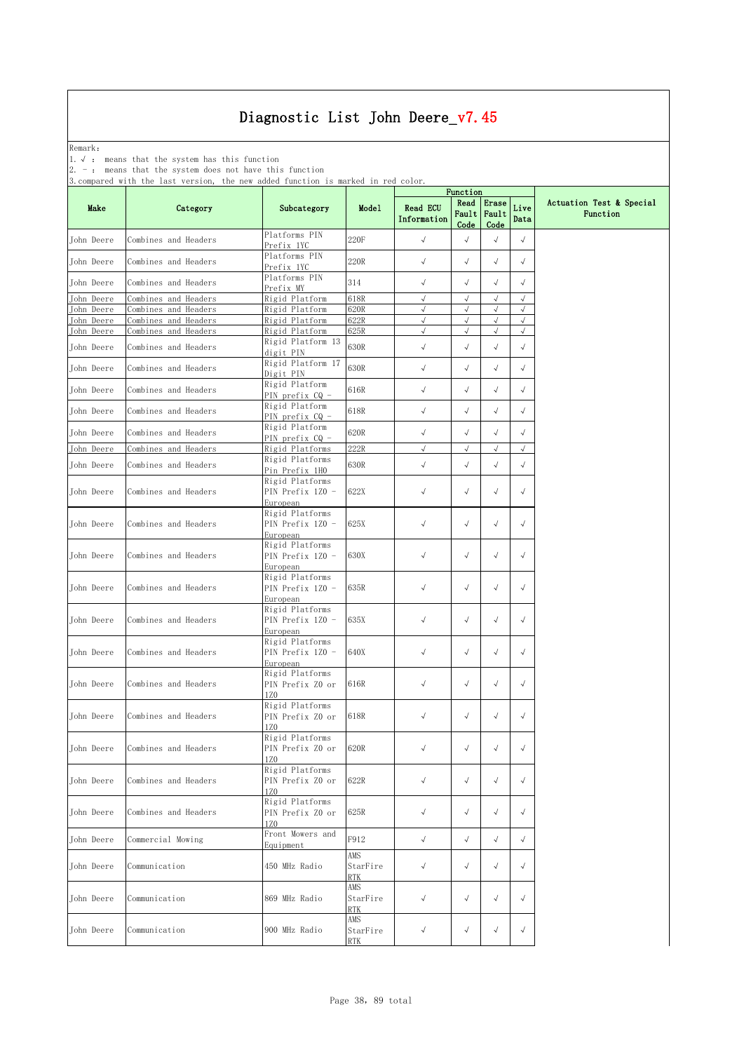Remark: The contract of the contract of  $\mathbb{R}$  and  $\mathbb{R}$  are contract of  $\mathbb{R}$  and  $\mathbb{R}$  are contract of  $\mathbb{R}$  and  $\mathbb{R}$  are contract of  $\mathbb{R}$  and  $\mathbb{R}$  are contract of  $\mathbb{R}$  and  $\mathbb{R}$  are cont

1.√ : means that the system has this function

2. - : means that the system does not have this function

| $\sim$ mpaa $\sim$ |                      |                                                                   |                               | Function                       |                       |                        |              |                                      |
|--------------------|----------------------|-------------------------------------------------------------------|-------------------------------|--------------------------------|-----------------------|------------------------|--------------|--------------------------------------|
| Make               | Category             | Subcategory                                                       | Model                         | <b>Read ECU</b><br>Information | Read<br>Fault<br>Code | Erase<br>Fault<br>Code | Live<br>Data | Actuation Test & Special<br>Function |
| John Deere         | Combines and Headers | Platforms PIN<br>Prefix 1YC                                       | 220F                          | $\checkmark$                   | $\sqrt{ }$            | $\sqrt{}$              | $\sqrt{ }$   |                                      |
| John Deere         | Combines and Headers | Platforms PIN<br>Prefix 1YC                                       | 220R                          | $\checkmark$                   | $\sqrt{ }$            | $\sqrt{}$              | $\sqrt{ }$   |                                      |
| John Deere         | Combines and Headers | Platforms PIN<br>Prefix MY                                        | 314                           | $\sqrt{ }$                     | $\sqrt{}$             | $\sqrt{ }$             | $\sqrt{}$    |                                      |
| John Deere         | Combines and Headers | Rigid Platform                                                    | 618R                          | $\sqrt{ }$                     | $\sqrt{}$             | $\sqrt{ }$             | $\sqrt{2}$   |                                      |
| John Deere         | Combines and Headers | Rigid Platform                                                    | 620R                          | $\sqrt{ }$                     | $\sqrt{ }$            | $\sqrt{ }$             | $\sqrt{ }$   |                                      |
| John Deere         | Combines and Headers | Rigid Platform                                                    | 622R                          | $\sqrt{}$                      | $\sqrt{}$             | $\sqrt{}$              | $\sqrt{2}$   |                                      |
| John Deere         | Combines and Headers | Rigid Platform                                                    | 625R                          | $\sqrt{ }$                     | $\sqrt{ }$            | $\sqrt{ }$             | $\sqrt{ }$   |                                      |
| John Deere         | Combines and Headers | Rigid Platform 13<br>digit PIN                                    | 630R                          | $\checkmark$                   | $\sqrt{ }$            | $\sqrt{}$              | $\sqrt{ }$   |                                      |
| John Deere         | Combines and Headers | Rigid Platform 17<br>Digit PIN                                    | 630R                          | $\sqrt{ }$                     | $\sqrt{ }$            | $\sqrt{}$              | $\sqrt{ }$   |                                      |
| John Deere         | Combines and Headers | Rigid Platform<br>PIN prefix CQ -                                 | 616R                          | $\sqrt{ }$                     | $\sqrt{ }$            | $\sqrt{}$              | $\sqrt{ }$   |                                      |
| John Deere         | Combines and Headers | Rigid Platform<br>PIN prefix CQ -                                 | 618R                          | $\checkmark$                   | $\sqrt{ }$            | $\sqrt{}$              | $\sqrt{ }$   |                                      |
| John Deere         | Combines and Headers | Rigid Platform<br>PIN prefix CQ -                                 | 620R                          | $\sqrt{ }$                     | $\sqrt{}$             | $\sqrt{}$              | $\sqrt{}$    |                                      |
| John Deere         | Combines and Headers | Rigid Platforms                                                   | 222R                          | $\sqrt{ }$                     | $\sqrt{}$             | $\sqrt{ }$             | $\sqrt{2}$   |                                      |
| John Deere         | Combines and Headers | Rigid Platforms                                                   | 630R                          | $\sqrt{ }$                     | $\sqrt{2}$            | $\sqrt{}$              | $\sqrt{}$    |                                      |
| John Deere         | Combines and Headers | Pin Prefix 1HO<br>Rigid Platforms<br>PIN Prefix 1Z0 -<br>European | 622X                          | $\checkmark$                   | $\sqrt{ }$            | $\sqrt{ }$             | $\sqrt{ }$   |                                      |
| John Deere         | Combines and Headers | Rigid Platforms<br>PIN Prefix 1Z0 -<br>European                   | 625X                          | $\checkmark$                   | $\sqrt{ }$            | $\sqrt{ }$             | $\sqrt{ }$   |                                      |
| John Deere         | Combines and Headers | Rigid Platforms<br>PIN Prefix 1Z0 -<br>European                   | 630X                          | $\checkmark$                   | $\sqrt{ }$            | $\sqrt{}$              | $\sqrt{ }$   |                                      |
| John Deere         | Combines and Headers | Rigid Platforms<br>PIN Prefix 1ZO -<br>European                   | 635R                          | $\checkmark$                   | $\sqrt{ }$            | $\checkmark$           | $\sqrt{ }$   |                                      |
| John Deere         | Combines and Headers | Rigid Platforms<br>PIN Prefix 1Z0 -<br>European                   | 635X                          | $\checkmark$                   | $\sqrt{ }$            | $\sqrt{}$              | $\sqrt{ }$   |                                      |
| John Deere         | Combines and Headers | Rigid Platforms<br>PIN Prefix 1Z0 -<br>European                   | 640X                          | $\sqrt{ }$                     | $\sqrt{}$             | $\sqrt{ }$             | $\sqrt{}$    |                                      |
| John Deere         | Combines and Headers | Rigid Platforms<br>PIN Prefix ZO or<br>17.0                       | 616R                          | $\sqrt{ }$                     | $\sqrt{ }$            | $\sqrt{ }$             | $\sqrt{ }$   |                                      |
| John Deere         | Combines and Headers | Rigid Platforms<br>PIN Prefix ZO or<br>1Z0                        | 618R                          | $\sqrt{ }$                     | $\sqrt{ }$            | $\sqrt{ }$             | $\sqrt{ }$   |                                      |
| John Deere         | Combines and Headers | Rigid Platforms<br>PIN Prefix Z0 or<br>1Z0                        | 620R                          |                                | $\sqrt{ }$            | $\sqrt{ }$             | $\sqrt{ }$   |                                      |
| John Deere         | Combines and Headers | Rigid Platforms<br>PIN Prefix ZO or<br>17.0                       | 622R                          | $\checkmark$                   | $\sqrt{ }$            | $\sqrt{ }$             | $\sqrt{ }$   |                                      |
| John Deere         | Combines and Headers | Rigid Platforms<br>PIN Prefix ZO or<br>1Z0                        | 625R                          | $\checkmark$                   | $\checkmark$          | $\sqrt{ }$             | $\sqrt{ }$   |                                      |
| John Deere         | Commercial Mowing    | Front Mowers and<br>Equipment                                     | F912                          | $\checkmark$                   | $\sqrt{ }$            | $\sqrt{}$              | $\sqrt{ }$   |                                      |
| John Deere         | Communication        | 450 MHz Radio                                                     | AMS<br>StarFire<br><b>RTK</b> | $\sqrt{ }$                     | $\sqrt{ }$            | $\sqrt{ }$             | $\sqrt{ }$   |                                      |
| John Deere         | Communication        | 869 MHz Radio                                                     | AMS<br>StarFire<br>RTK        | $\checkmark$                   | $\sqrt{ }$            | $\sqrt{ }$             | $\sqrt{ }$   |                                      |
| John Deere         | Communication        | 900 MHz Radio                                                     | AMS<br>StarFire<br><b>RTK</b> | $\sqrt{ }$                     | $\sqrt{ }$            | $\sqrt{}$              | $\sqrt{}$    |                                      |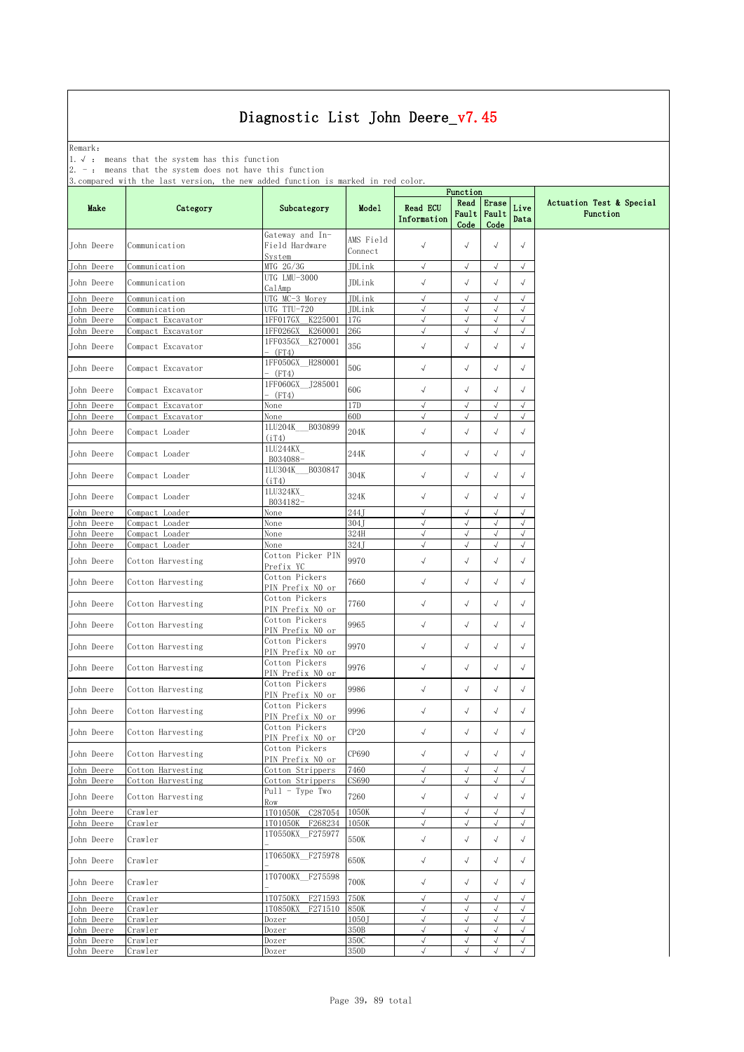Remark: The contract of the contract of  $\mathbb{R}$  and  $\mathbb{R}$  are contract of  $\mathbb{R}$  and  $\mathbb{R}$  are contract of  $\mathbb{R}$  and  $\mathbb{R}$  are contract of  $\mathbb{R}$  and  $\mathbb{R}$  are contract of  $\mathbb{R}$  and  $\mathbb{R}$  are cont

1.√ : means that the system has this function

2. - : means that the system does not have this function

|                          |                                        |                                                 |                      |                                | Function                 |                              |                           |                                      |
|--------------------------|----------------------------------------|-------------------------------------------------|----------------------|--------------------------------|--------------------------|------------------------------|---------------------------|--------------------------------------|
| Make                     | Category                               | Subcategory                                     | Model                | <b>Read ECU</b><br>Information | Read<br>Code             | Erase<br>Fault Fault<br>Code | Live<br>Data              | Actuation Test & Special<br>Function |
| John Deere               | Communication                          | Gateway and In-<br>Field Hardware<br>System     | AMS Field<br>Connect | $\checkmark$                   | $\sqrt{ }$               | $\sqrt{ }$                   | $\sqrt{}$                 |                                      |
| John Deere               | Communication                          | MTG 2G/3G                                       | JDLink               | $\sqrt{ }$                     | $\sqrt{}$                | $\sqrt{}$                    | $\sqrt{}$                 |                                      |
| John Deere               | Communication                          | UTG LMU-3000                                    | JDLink               | $\checkmark$                   | $\sqrt{ }$               | $\sqrt{}$                    | $\sqrt{}$                 |                                      |
|                          |                                        | CalAmp                                          |                      |                                |                          |                              |                           |                                      |
| John Deere               | Communication                          | UTG MC-3 Morey                                  | JDLink               | $\sqrt{ }$                     | $\checkmark$             | $\sqrt{ }$                   | $\sqrt{}$                 |                                      |
| John Deere               | Communication                          | UTG TTU-720                                     | JDLink               | $\sqrt{ }$                     | $\sqrt{ }$               | $\sqrt{ }$                   | $\sqrt{ }$                |                                      |
| John Deere<br>John Deere | Compact Excavator<br>Compact Excavator | 1FF017GX<br>K225001<br>1FF026GX<br>K260001      | 17G<br>26G           | $\sqrt{ }$<br>$\sqrt{ }$       | $\sqrt{2}$<br>$\sqrt{}$  | $\sqrt{}$<br>$\sqrt{}$       | $\sqrt{}$<br>$\sqrt{}$    |                                      |
| John Deere               | Compact Excavator                      | 1FF035GX K270001<br>- (FT4)                     | 35G                  | $\sqrt{ }$                     | $\sqrt{ }$               | $\sqrt{ }$                   | $\sqrt{}$                 |                                      |
| John Deere               | Compact Excavator                      | 1FF050GX H280001<br>- (FT4)                     | 50G                  | $\checkmark$                   | $\sqrt{ }$               | $\sqrt{ }$                   | $\sqrt{}$                 |                                      |
| John Deere               | Compact Excavator                      | 1FF060GX J285001<br>- (FT4)                     | 60G                  | $\sqrt{ }$                     | $\sqrt{ }$               | $\sqrt{ }$                   | $\sqrt{}$                 |                                      |
| John Deere               | Compact Excavator                      | None                                            | 17D                  | $\sqrt{ }$                     | $\sqrt{ }$               | $\sqrt{}$                    | $\sqrt{ }$                |                                      |
| John Deere               | Compact Excavator                      | None                                            | 60D                  | $\sqrt{ }$                     | √                        | √                            | $\sqrt{}$                 |                                      |
| John Deere               | Compact Loader                         | 1LU204K<br>B030899<br>(iT4)                     | 204K                 | $\checkmark$                   | $\sqrt{ }$               | $\sqrt{}$                    | $\sqrt{}$                 |                                      |
| John Deere               | Compact Loader                         | 1LU244KX<br>B034088-                            | 244K                 | $\checkmark$                   | $\sqrt{ }$               | $\sqrt{ }$                   | $\sqrt{}$                 |                                      |
| John Deere               | Compact Loader                         | 1LU304K<br>B030847<br>(iT4)                     | 304K                 | $\checkmark$                   | $\sqrt{ }$               | $\sqrt{ }$                   | $\sqrt{ }$                |                                      |
| John Deere               | Compact Loader                         | 1LU324KX<br>B034182-                            | 324K                 | $\sqrt{ }$                     | $\sqrt{ }$               | $\sqrt{ }$                   | $\sqrt{}$                 |                                      |
| John Deere               | Compact Loader                         | None                                            | 244J                 | $\sqrt{ }$                     | $\sqrt{ }$               | $\sqrt{ }$                   | $\sqrt{ }$                |                                      |
| John Deere               | Compact Loader                         | None                                            | 304J                 | $\sqrt{}$                      | $\sqrt{ }$               | $\sqrt{ }$                   | $\sqrt{2}$                |                                      |
| John Deere               | Compact Loader                         | None                                            | 324H                 | $\sqrt{ }$                     | $\sqrt{ }$               | $\sqrt{ }$                   | $\sqrt{ }$                |                                      |
| John Deere<br>John Deere | Compact Loader<br>Cotton Harvesting    | None<br>Cotton Picker PIN                       | 324J<br>9970         | $\sqrt{ }$<br>$\checkmark$     | $\sqrt{ }$<br>$\sqrt{ }$ | $\sqrt{}$<br>$\sqrt{ }$      | $\sqrt{}$<br>$\sqrt{}$    |                                      |
| John Deere               | Cotton Harvesting                      | Prefix YC<br>Cotton Pickers<br>PIN Prefix NO or | 7660                 | $\sqrt{ }$                     | $\sqrt{ }$               | $\sqrt{}$                    | $\sqrt{}$                 |                                      |
| John Deere               | Cotton Harvesting                      | Cotton Pickers<br>PIN Prefix NO or              | 7760                 | $\checkmark$                   | $\sqrt{ }$               | $\sqrt{ }$                   | $\sqrt{}$                 |                                      |
| John Deere               | Cotton Harvesting                      | Cotton Pickers<br>PIN Prefix NO or              | 9965                 | $\checkmark$                   | $\sqrt{ }$               | $\sqrt{ }$                   | $\sqrt{}$                 |                                      |
| John Deere               | Cotton Harvesting                      | Cotton Pickers<br>PIN Prefix NO or              | 9970                 | $\checkmark$                   | $\sqrt{ }$               | $\sqrt{ }$                   | $\sqrt{}$                 |                                      |
| John Deere               | Cotton Harvesting                      | Cotton Pickers<br>PIN Prefix NO or              | 9976                 | $\checkmark$                   | $\sqrt{ }$               | $\sqrt{}$                    | $\sqrt{ }$                |                                      |
| John Deere               | Cotton Harvesting                      | Cotton Pickers<br>PIN Prefix NO or              | 9986                 | $\sqrt{ }$                     | $\sqrt{ }$               | $\sqrt{}$                    | $\sqrt{}$                 |                                      |
| John Deere               | Cotton Harvesting                      | Cotton Pickers<br>PIN Prefix NO or              | 9996                 | $\sqrt{}$                      | $\sqrt{}$                | $\sqrt{}$                    | $\sqrt{}$                 |                                      |
| John Deere               | Cotton Harvesting                      | Cotton Pickers<br>PIN Prefix NO or              | CP20                 | $\sqrt{ }$                     | $\sqrt{ }$               | $\sqrt{ }$                   | $\sqrt{ }$                |                                      |
| John Deere               | Cotton Harvesting                      | Cotton Pickers<br>PIN Prefix NO or              | CP690                | $\sqrt{ }$                     | $\sqrt{ }$               | $\sqrt{ }$                   | $\sqrt{ }$                |                                      |
| John Deere               | Cotton Harvesting                      | Cotton Strippers                                | 7460                 | $\sqrt{ }$                     | $\sqrt{ }$               | $\sqrt{2}$                   | $\sqrt{ }$                |                                      |
| John Deere<br>John Deere | Cotton Harvesting<br>Cotton Harvesting | Cotton Strippers<br>$Pull - Type Two$           | CS690<br>7260        | $\sqrt{ }$<br>$\checkmark$     | $\sqrt{ }$<br>$\sqrt{}$  | $\sqrt{2}$<br>$\sqrt{}$      | $\sqrt{}$<br>$\checkmark$ |                                      |
|                          |                                        | Row                                             |                      |                                |                          |                              |                           |                                      |
| John Deere<br>John Deere | Crawler<br>Crawler                     | 1T01050K C287054<br>1T01050K F268234            | 1050K<br>1050K       | $\sqrt{ }$<br>$\sqrt{}$        | $\sqrt{ }$<br>$\sqrt{ }$ | $\sqrt{ }$<br>$\sqrt{}$      | $\sqrt{ }$<br>$\sqrt{}$   |                                      |
|                          |                                        | 1T0550KX F275977                                |                      |                                |                          |                              |                           |                                      |
| John Deere               | Crawler                                | 1T0650KX F275978                                | 550K                 | $\sqrt{ }$                     | $\sqrt{ }$               | $\sqrt{ }$                   | $\checkmark$              |                                      |
| John Deere               | Crawler                                | 1T0700KX F275598                                | 650K                 | $\checkmark$                   | $\sqrt{ }$               | $\sqrt{ }$                   | $\sqrt{}$                 |                                      |
| John Deere<br>John Deere | Crawler<br>Crawler                     | 1T0750KX F271593                                | 700K<br>750K         | $\sqrt{ }$<br>$\sqrt{}$        | $\sqrt{ }$<br>$\sqrt{ }$ | $\sqrt{}$<br>$\sqrt{}$       | $\sqrt{}$<br>$\sqrt{ }$   |                                      |
| John Deere               | Crawler                                | F271510<br>1T0850KX                             | 850K                 | $\sqrt{ }$                     | $\sqrt{ }$               | $\sqrt{ }$                   | $\sqrt{}$                 |                                      |
| John Deere               | Crawler                                | Dozer                                           | 1050]                | $\sqrt{ }$                     | $\sqrt{2}$               | $\sqrt{ }$                   | $\sqrt{}$                 |                                      |
| John Deere               | Crawler                                | Dozer                                           | 350B                 | $\sqrt{ }$                     | $\sqrt{}$                | $\sqrt{}$                    | $\sqrt{ }$                |                                      |
| John Deere               | Crawler                                | Dozer                                           | 350C                 | $\sqrt{ }$                     | $\sqrt{ }$               | $\sqrt{ }$                   | $\sqrt{ }$                |                                      |
| John Deere               | Crawler                                | Dozer                                           | 350D                 | $\sqrt{ }$                     | $\sqrt{ }$               | $\sqrt{ }$                   | $\sqrt{ }$                |                                      |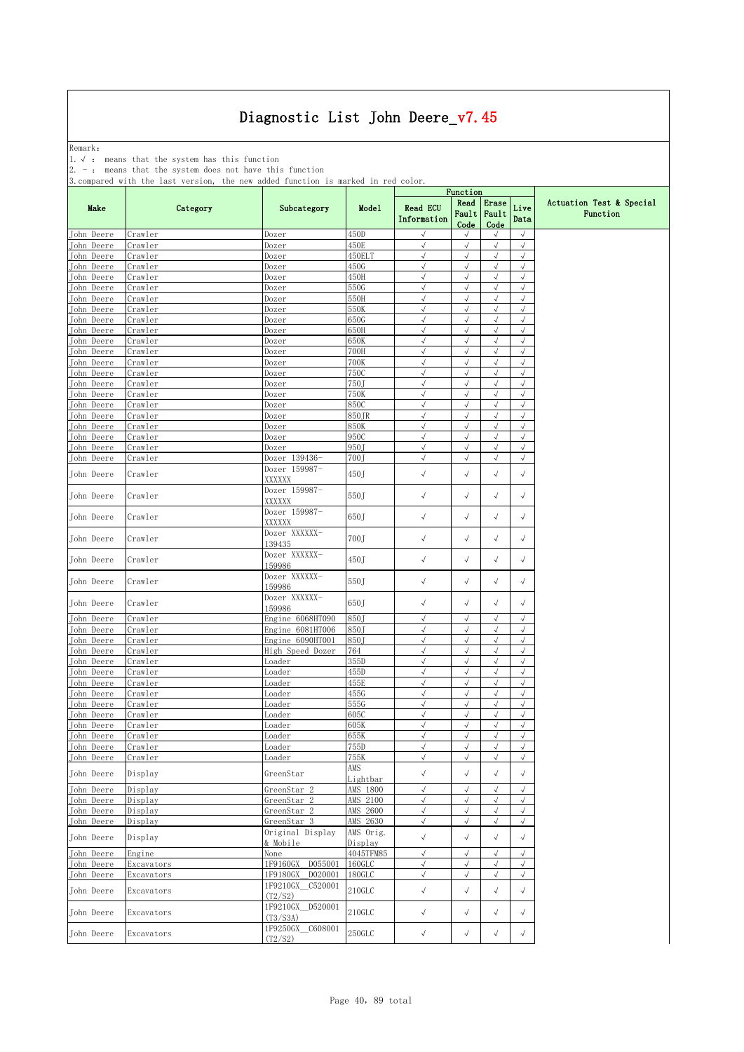Remark: The contract of the contract of  $\mathbb{R}$  and  $\mathbb{R}$  are contract of  $\mathbb{R}$  and  $\mathbb{R}$  are contract of  $\mathbb{R}$  and  $\mathbb{R}$  are contract of  $\mathbb{R}$  and  $\mathbb{R}$  are contract of  $\mathbb{R}$  and  $\mathbb{R}$  are cont

1.√ : means that the system has this function

2. - : means that the system does not have this function

|                          |                    |                              |                      |                                | Function               |                         |                         |                                      |
|--------------------------|--------------------|------------------------------|----------------------|--------------------------------|------------------------|-------------------------|-------------------------|--------------------------------------|
| Make                     | Category           | Subcategory                  | Model                | <b>Read ECU</b><br>Information | Read<br>Fault<br>Code  | Erase<br>Fault<br>Code  | Live<br>Data            | Actuation Test & Special<br>Function |
| John Deere               | Crawler            | Dozer                        | 450D                 | $\sqrt{ }$                     | $\sqrt{ }$             | $\sqrt{}$               | $\sqrt{ }$              |                                      |
| John Deere               | Crawler            | Dozer                        | 450E                 | $\sqrt{ }$                     | $\sqrt{2}$             | $\sqrt{ }$              | $\sqrt{ }$              |                                      |
| John Deere               | Crawler            | Dozer                        | 450EL1               | $\sqrt{2}$                     | $\sqrt{2}$             | $\sqrt{}$               | $\sqrt{2}$              |                                      |
| John Deere               | Crawler            | Dozer                        | 450G                 | $\sqrt{}$                      | $\sqrt{ }$             | $\sqrt{ }$              | $\sqrt{}$               |                                      |
| John Deere               | Crawler            | Dozer                        | 450H                 | $\sqrt{ }$                     | $\sqrt{}$              | $\sqrt{ }$              | $\sqrt{}$               |                                      |
| John Deere               | Crawler            | Dozer                        | 550G                 | $\sqrt{ }$                     | $\sqrt{}$              | $\sqrt{ }$              | $\sqrt{}$               |                                      |
| John Deere               | Crawler            | Dozer                        | 550H                 | $\sqrt{}$<br>$\sqrt{ }$        | $\sqrt{}$<br>$\sqrt{}$ | $\sqrt{}$<br>$\sqrt{ }$ | $\sqrt{}$<br>$\sqrt{ }$ |                                      |
| John Deere               | Crawler<br>Crawler | Dozer                        | 550K<br>650G         | √                              | $\sqrt{}$              | $\sqrt{}$               | $\sqrt{}$               |                                      |
| John Deere<br>John Deere | Crawler            | Dozer<br>Dozer               | 650H                 | $\sqrt{2}$                     | $\sqrt{}$              | $\sqrt{}$               | $\sqrt{ }$              |                                      |
| John Deere               | Crawler            | Dozer                        | 650K                 | $\sqrt{ }$                     | $\sqrt{2}$             | $\sqrt{}$               | $\sqrt{}$               |                                      |
| John Deere               | Crawler            | Dozer                        | <b>700H</b>          | $\sqrt{ }$                     | $\sqrt{}$              | $\sqrt{}$               | $\sqrt{ }$              |                                      |
| John Deere               | Crawler            | Dozer                        | <b>700K</b>          | $\sqrt{ }$                     | $\sqrt{}$              | $\sqrt{ }$              | $\sqrt{ }$              |                                      |
| John Deere               | Crawler            | Dozer                        | 750C                 | $\sqrt{}$                      | $\sqrt{}$              | $\sqrt{}$               | $\sqrt{}$               |                                      |
| John Deere               | Crawler            | Dozer                        | 750J                 | $\sqrt{ }$                     | $\sqrt{}$              | $\sqrt{}$               | $\sqrt{ }$              |                                      |
| John Deere               | Crawler            | Dozer                        | 750K                 | √                              | √                      | $\sqrt{ }$              | $\sqrt{}$               |                                      |
| John Deere               | Crawler            | Dozer                        | 850C                 | $\sqrt{2}$                     | $\sqrt{}$              | $\sqrt{}$               | $\sqrt{}$               |                                      |
| John Deere               | Crawler            | Dozer                        | 850JR                | $\sqrt{ }$                     | $\sqrt{}$              | $\sqrt{ }$              | $\sqrt{}$               |                                      |
| John Deere               | Crawler            | Dozer                        | 850K                 | $\sqrt{}$                      | $\sqrt{}$              | $\sqrt{ }$              | $\sqrt{ }$              |                                      |
| John Deere               | Crawler            | Dozer                        | 950C                 | $\sqrt{ }$                     | $\sqrt{ }$             | $\sqrt{ }$              | $\sqrt{ }$              |                                      |
| John Deere               | Crawler            | Dozer                        | 950J                 | $\sqrt{}$                      | $\sqrt{}$              | $\sqrt{}$               | $\sqrt{}$               |                                      |
| John Deere               | Crawler            | Dozer 139436-                | 700J                 | $\sqrt{2}$                     | √                      | $\sqrt{ }$              | $\sqrt{}$               |                                      |
| John Deere               | Crawler            | Dozer 159987-<br>XXXXXX      | 450J                 | $\sqrt{ }$                     | $\sqrt{}$              | $\sqrt{}$               | $\sqrt{ }$              |                                      |
| John Deere               | Crawler            | Dozer 159987-<br>XXXXXX      | 550J                 | $\sqrt{ }$                     | $\sqrt{}$              | $\sqrt{}$               | $\sqrt{}$               |                                      |
| John Deere               | Crawler            | Dozer 159987-<br>XXXXXX      | 650J                 | $\sqrt{ }$                     | $\sqrt{}$              | $\sqrt{}$               | $\sqrt{}$               |                                      |
| John Deere               | Crawler            | Dozer XXXXXX-<br>139435      | 700J                 | $\sqrt{}$                      | $\sqrt{ }$             | $\sqrt{}$               | $\sqrt{}$               |                                      |
| John Deere               | Crawler            | Dozer XXXXXX-<br>159986      | 450J                 | $\sqrt{ }$                     | $\sqrt{ }$             | $\sqrt{}$               | $\sqrt{ }$              |                                      |
| John Deere               | Crawler            | Dozer XXXXXX-<br>159986      | 550J                 | $\sqrt{ }$                     | $\sqrt{ }$             | $\sqrt{ }$              | $\sqrt{ }$              |                                      |
| John Deere               | Crawler            | Dozer XXXXXX-<br>159986      | 650J                 | $\checkmark$                   | $\sqrt{ }$             | $\sqrt{}$               | $\sqrt{ }$              |                                      |
| John Deere               | Crawler            | Engine 6068HT090             | 850J                 | $\sqrt{ }$                     | $\sqrt{}$              | $\sqrt{ }$              | $\sqrt{}$               |                                      |
| John Deere               | Crawler            | Engine 6081HT006             | 850J                 | $\sqrt{ }$                     | $\sqrt{}$              | $\sqrt{}$               | $\sqrt{ }$              |                                      |
| John Deere               | Crawler            | Engine 6090HT001             | 850J                 | $\sqrt{ }$                     | $\sqrt{}$              | $\sqrt{}$               | $\sqrt{ }$              |                                      |
| John Deere               | Crawler            | High Speed Dozer             | 764                  | $\sqrt{ }$                     | $\sqrt{}$              | $\sqrt{}$               | $\sqrt{ }$              |                                      |
| John Deere               | Crawler            | Loader                       | 355D                 | $\sqrt{}$                      | $\sqrt{}$              | $\sqrt{}$               | $\sqrt{ }$              |                                      |
| John Deere               | Crawler            | Loader                       | 455D                 | √                              | $\sqrt{}$              | $\sqrt{ }$              | $\sqrt{ }$              |                                      |
| <b>John Deere</b>        | Crawler            | Loader                       | 455E                 | $\sqrt{}$                      | $\sqrt{2}$             | $\sqrt{ }$              | $\sqrt{ }$              |                                      |
| John Deere               | Crawler            | Loader                       | 455G                 | $\sqrt{ }$                     | $\sqrt{}$              | $\sqrt{ }$              | $\sqrt{2}$              |                                      |
| John Deere               | Crawler            | Loader                       | 555G                 | $\sqrt{}$                      | $\sqrt{}$              | $\sqrt{}$               | $\sqrt{}$               |                                      |
| John Deere               | Crawler            | Loader                       | 605C                 | $\sqrt{ }$                     | $\sqrt{}$              | $\sqrt{ }$              | $\sqrt{}$               |                                      |
| John Deere               | Crawler            | Loader                       | 605K                 | $\sqrt{}$                      | $\sqrt{}$              | $\sqrt{}$               | $\sqrt{ }$              |                                      |
| John Deere               | Crawler            | Loader                       | 655K                 | $\sqrt{}$                      | $\sqrt{}$              | $\sqrt{}$               | $\sqrt{ }$              |                                      |
| John Deere               | Crawler            | Loader                       | 755D                 | √                              | √                      |                         | √                       |                                      |
| John Deere               | Crawler            | Loader                       | 755K                 | $\sqrt{ }$                     | $\checkmark$           | $\sqrt{ }$              | $\sqrt{ }$              |                                      |
| John Deere               | Display            | GreenStar                    | AMS<br>Lightbar      | $\sqrt{ }$                     | $\sqrt{ }$             | $\sqrt{}$               | $\sqrt{}$               |                                      |
| John Deere               | Display            | GreenStar 2                  | AMS 1800             | $\sqrt{ }$                     | $\sqrt{ }$             | $\sqrt{ }$              | $\sqrt{ }$              |                                      |
| John Deere               | Display            | GreenStar 2                  | AMS 2100             | $\sqrt{ }$                     | $\sqrt{2}$             | $\sqrt{ }$              | $\sqrt{ }$              |                                      |
| John Deere               | Display            | GreenStar 2                  | AMS 2600             | $\sqrt{}$                      | $\sqrt{2}$             | $\sqrt{}$               | $\sqrt{ }$              |                                      |
| John Deere               | Display            | GreenStar 3                  | AMS 2630             | $\sqrt{ }$                     | $\sqrt{}$              | $\sqrt{}$               | $\sqrt{ }$              |                                      |
| John Deere               | Display            | Original Display<br>& Mobile | AMS Orig.<br>Display | $\sqrt{ }$                     | $\sqrt{ }$             | $\sqrt{ }$              | $\checkmark$            |                                      |
| John Deere               | Engine             | None                         | 4045TFM85            | $\checkmark$                   | √                      | $\sqrt{ }$              | $\sqrt{ }$              |                                      |
| John Deere               | Excavators         | 1F9160GX<br>D055001          | 160GLC               | $\sqrt{ }$                     | $\sqrt{ }$             | $\sqrt{}$               | $\sqrt{ }$              |                                      |
| John Deere               | Excavators         | D020001<br>1F9180GX          | 180GLC               | $\sqrt{}$                      | $\sqrt{}$              | $\sqrt{}$               | $\sqrt{ }$              |                                      |
|                          |                    | 1F9210GX C520001             |                      |                                |                        |                         |                         |                                      |
| John Deere               | Excavators         | (T2/S2)<br>1F9210GX D520001  | $210$ GLC            | $\checkmark$                   | $\sqrt{ }$             | $\sqrt{}$               | $\sqrt{ }$              |                                      |
| John Deere               | Excavators         | (T3/S3A)                     | $210$ GLC            | $\checkmark$                   | $\sqrt{ }$             | $\sqrt{}$               | $\sqrt{ }$              |                                      |
| John Deere               | Excavators         | 1F9250GX C608001<br>(T2/S2)  | $250 {\rm GLC}$      | $\checkmark$                   | $\sqrt{ }$             | $\sqrt{}$               | $\sqrt{ }$              |                                      |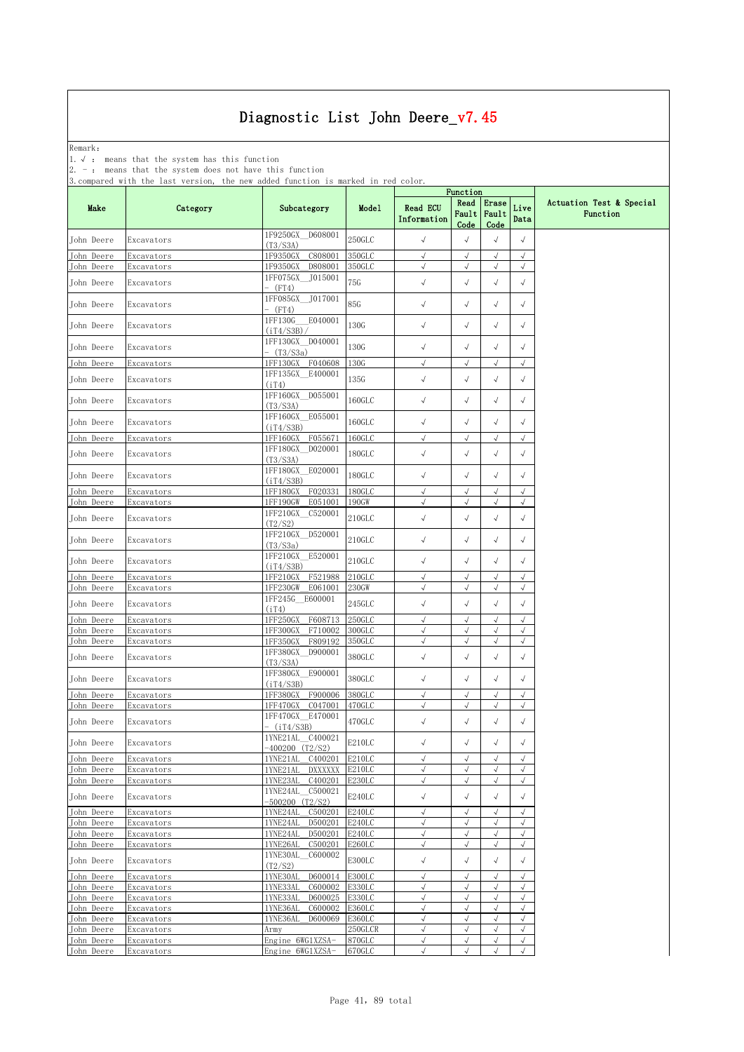Remark: The contract of the contract of  $\mathbb{R}$  and  $\mathbb{R}$  are contract of  $\mathbb{R}$  and  $\mathbb{R}$  are contract of  $\mathbb{R}$  and  $\mathbb{R}$  are contract of  $\mathbb{R}$  and  $\mathbb{R}$  are contract of  $\mathbb{R}$  and  $\mathbb{R}$  are cont

1.√ : means that the system has this function

2. - : means that the system does not have this function

|                          |                          |                                            |                  |                         | Function                 |                          |                          |                                      |
|--------------------------|--------------------------|--------------------------------------------|------------------|-------------------------|--------------------------|--------------------------|--------------------------|--------------------------------------|
| Make                     | Category                 | Subcategory                                | Model            | Read ECU<br>Information | Read<br>Fault<br>Code    | Erase<br>Fault<br>Code   | Live<br>Data             | Actuation Test & Special<br>Function |
| John Deere               | Excavators               | 1F9250GX D608001<br>(T3/S3A)               | $250$ GLC        | $\sqrt{ }$              | √                        | $\sqrt{}$                | $\sqrt{}$                |                                      |
| John Deere               | Excavators               | 1F9350GX<br>C808001                        | 350GLC           | $\checkmark$            | $\sqrt{ }$               | $\sqrt{}$                | $\sqrt{ }$               |                                      |
| John Deere               | Excavators               | 1F9350GX<br>D808001                        | 350GLC           | $\sqrt{ }$              | $\sqrt{2}$               | $\sqrt{ }$               | $\sqrt{2}$               |                                      |
| John Deere               | Excavators               | 1FF075GX<br>_J015001<br>(FT4)              | 75G              | $\sqrt{ }$              | $\sqrt{ }$               | $\sqrt{}$                | $\sqrt{}$                |                                      |
| John Deere               | Excavators               | 1FF085GX_J017001<br>(FT4)                  | 85G              | $\sqrt{ }$              | $\sqrt{ }$               | $\sqrt{}$                | $\sqrt{}$                |                                      |
| John Deere               | Excavators               | 1FF130G<br>E040001<br>(iT4/S3B)/           | 130G             | $\checkmark$            | $\sqrt{ }$               | √                        | $\sqrt{}$                |                                      |
| John Deere               | Excavators               | 1FF130GX D040001<br>- (T3/S3a)             | 130G             | $\sqrt{ }$              | $\sqrt{}$                | $\sqrt{}$                | $\sqrt{}$                |                                      |
| John Deere               | Excavators               | 1FF130GX F040608                           | 130G             | $\sqrt{ }$              | $\sqrt{}$                | $\sqrt{ }$               | $\sqrt{ }$               |                                      |
| John Deere               | Excavators               | 1FF135GX_E400001<br>(iT4)                  | 135G             | $\sqrt{ }$              | $\sqrt{ }$               | $\sqrt{}$                | $\sqrt{}$                |                                      |
| John Deere               | Excavators               | 1FF160GX D055001<br>(T3/S3A)               | 160GLC           | $\checkmark$            | $\sqrt{ }$               | √                        | $\sqrt{ }$               |                                      |
| John Deere               | Excavators               | 1FF160GX E055001<br>(iT4/S3B)              | 160GLC           | $\sqrt{ }$              | $\sqrt{}$                | $\sqrt{}$                | $\sqrt{}$                |                                      |
| John Deere               | Excavators               | 1FF160GX<br>F055671                        | 160GLC           | $\sqrt{ }$              | $\sqrt{}$                | $\sqrt{ }$               | $\sqrt{ }$               |                                      |
| John Deere               | Excavators               | 1FF180GX D020001<br>(T3/S3A)               | 180GLC           | $\sqrt{ }$              | $\sqrt{}$                | $\sqrt{}$                | $\sqrt{}$                |                                      |
| John Deere               | Excavators               | 1FF180GX_E020001<br>(iT4/S3B)              | 180GLC           | $\checkmark$            | $\sqrt{}$                | √                        | $\sqrt{ }$               |                                      |
| John Deere               | Excavators               | F020331<br>1FF180GX                        | 180GLC           | $\sqrt{ }$              | $\sqrt{}$                | $\sqrt{ }$               | $\sqrt{}$                |                                      |
| John Deere               | Excavators               | 1FF190GW<br>E051001                        | 190GW            | $\sqrt{ }$              | $\sqrt{}$                | $\sqrt{}$                | $\sqrt{2}$               |                                      |
| John Deere               | Excavators               | 1FF210GX_C520001<br>(T2/S2)                | 210GLC           | $\checkmark$            | $\sqrt{2}$               | $\sqrt{}$                | $\sqrt{ }$               |                                      |
| John Deere               | Excavators               | 1FF210GX D520001<br>(T3/S3a)               | 210GLC           | $\sqrt{ }$              | $\sqrt{}$                | $\sqrt{}$                | $\sqrt{}$                |                                      |
| John Deere               | Excavators               | E520001<br>1FF210GX<br>(iT4/S3B)           | $210$ GLC        | $\sqrt{ }$              | $\sqrt{ }$               | $\sqrt{}$                | $\sqrt{ }$               |                                      |
| John Deere               | Excavators               | 1FF210GX<br>F521988                        | $210$ GLC        | $\sqrt{}$               | $\sqrt{}$                | $\sqrt{}$                | $\sqrt{}$                |                                      |
| John Deere               | Excavators               | 1FF230GW<br>E061001                        | 230GW            | $\sqrt{ }$              | $\sqrt{}$                | $\sqrt{ }$               | $\sqrt{}$                |                                      |
| John Deere               | Excavators               | 1FF245G E600001<br>(iT4)                   | 245GLC           | $\sqrt{ }$              | $\sqrt{}$                | $\sqrt{ }$               | $\sqrt{ }$               |                                      |
| John Deere               | Excavators               | F608713<br>1FF250GX                        | 250GLC           | $\sqrt{}$               | $\sqrt{2}$               | $\sqrt{}$                | $\sqrt{}$                |                                      |
| John Deere               | Excavators               | F710002<br>1FF300GX                        | 300GLC           | $\sqrt{}$               | $\sqrt{}$                | $\sqrt{}$                | $\sqrt{ }$               |                                      |
| John Deere<br>John Deere | Excavators<br>Excavators | 1FF350GX<br>F809192<br>1FF380GX_D900001    | 350GLC<br>380GLC | √<br>$\checkmark$       | √<br>$\sqrt{ }$          | $\sqrt{}$<br>$\sqrt{}$   | $\sqrt{}$<br>$\sqrt{ }$  |                                      |
| John Deere               |                          | (T3/S3A)<br>1FF380GX E900001               | 380GLC           | $\sqrt{ }$              | $\sqrt{}$                | $\sqrt{}$                | $\sqrt{}$                |                                      |
|                          | Excavators               | (iT4/S3B)                                  |                  |                         |                          |                          |                          |                                      |
| John Deere<br>John Deere | Excavators<br>Excavators | 1FF380GX<br>F900006<br>1FF470GX<br>C047001 | 380GLC<br>470GLC | $\sqrt{ }$<br>$\sqrt{}$ | $\sqrt{}$<br>$\sqrt{2}$  | $\sqrt{ }$<br>$\sqrt{}$  | $\sqrt{2}$<br>$\sqrt{ }$ |                                      |
| John Deere               | Excavators               | 1FF470GX E470001<br>- (iT4/S3B)            | 470GLC           | $\sqrt{\phantom{a}}$    | $\sqrt{}$                | $\sqrt{ }$               | $\sqrt{}$                |                                      |
| John Deere               | Excavators               | 1YNE21AL_C400021<br>-400200 (T2/S2)        | E210LC           | $\sqrt{ }$              | $\sqrt{2}$               | $\sqrt{2}$               |                          |                                      |
| John Deere               | Excavators               | 1YNE21AL C400201                           | E210LC           | $\sqrt{ }$              | $\sqrt{ }$               | $\sqrt{ }$               | $\sqrt{ }$               |                                      |
| John Deere               | Excavators               | DXXXXXX<br>1YNE21AL                        | E210LC           | $\sqrt{ }$              | $\sqrt{2}$               | $\sqrt{ }$               | $\sqrt{ }$               |                                      |
| <b>Tohn Deere</b>        | Excavators               | 1YNE23AL C400201                           | E230LC           | $\sqrt{}$               | $\sqrt{2}$               | $\sqrt{ }$               | $\sqrt{ }$               |                                      |
| John Deere               | Excavators               | 1YNE24AL C500021<br>$-500200$ $(T2/S2)$    | E240LC           | $\sqrt{\phantom{a}}$    | $\sqrt{ }$               | $\sqrt{}$                | $\sqrt{ }$               |                                      |
| John Deere               | Excavators               | 1YNE24AL<br>C500201                        | E240LC           | $\sqrt{}$               | $\sqrt{}$                | $\sqrt{ }$               | $\sqrt{ }$               |                                      |
| John Deere               | Excavators               | 1YNE24AL<br>D500201                        | E240LC           | $\sqrt{ }$              | $\sqrt{}$                | $\sqrt{ }$               | $\sqrt{ }$               |                                      |
| John Deere               | Excavators               | 1YNE24AL<br>D500201<br>1YNE26AL<br>C500201 | E240LC<br>E260LC | $\sqrt{ }$<br>√         | $\sqrt{ }$<br>$\sqrt{2}$ | $\sqrt{ }$<br>$\sqrt{ }$ | $\sqrt{ }$<br>$\sqrt{ }$ |                                      |
| John Deere<br>John Deere | Excavators<br>Excavators | 1YNE30AL C600002                           | E300LC           | $\sqrt{ }$              | $\sqrt{}$                | $\sqrt{}$                | $\sqrt{ }$               |                                      |
| John Deere               | Excavators               | (T2/S2)<br>1YNE30AL<br>D600014             | E300LC           | $\sqrt{ }$              | $\sqrt{}$                | $\sqrt{}$                | $\sqrt{ }$               |                                      |
| John Deere               | Excavators               | C600002<br>1YNE33AL                        | E330LC           | $\sqrt{}$               | $\sqrt{ }$               | $\sqrt{ }$               | $\sqrt{ }$               |                                      |
| John Deere               | Excavators               | 1YNE33AL<br>D600025                        | E330LC           | $\sqrt{ }$              | $\sqrt{ }$               | $\sqrt{ }$               | $\sqrt{ }$               |                                      |
| John Deere               | Excavators               | 1YNE36AL<br>C600002                        | E360LC           | $\sqrt{ }$              | $\sqrt{ }$               | $\sqrt{ }$               | $\sqrt{ }$               |                                      |
| John Deere               | Excavators               | D600069<br>1YNE36AL                        | E360LC           | √                       | $\sqrt{2}$               | $\sqrt{}$                | $\sqrt{ }$               |                                      |
| John Deere               | Excavators               | Army                                       | 250GLCR          | $\sqrt{ }$              | $\sqrt{2}$               | $\sqrt{2}$               | $\sqrt{ }$               |                                      |
| John Deere               | Excavators               | Engine 6WG1XZSA-                           | 870GLC           | $\sqrt{ }$              | $\sqrt{ }$               | $\sqrt{ }$               | $\sqrt{ }$               |                                      |
| John Deere               | Excavators               | Engine 6WG1XZSA-                           | 670GLC           | $\sqrt{ }$              | $\sqrt{}$                | $\sqrt{}$                | $\sqrt{ }$               |                                      |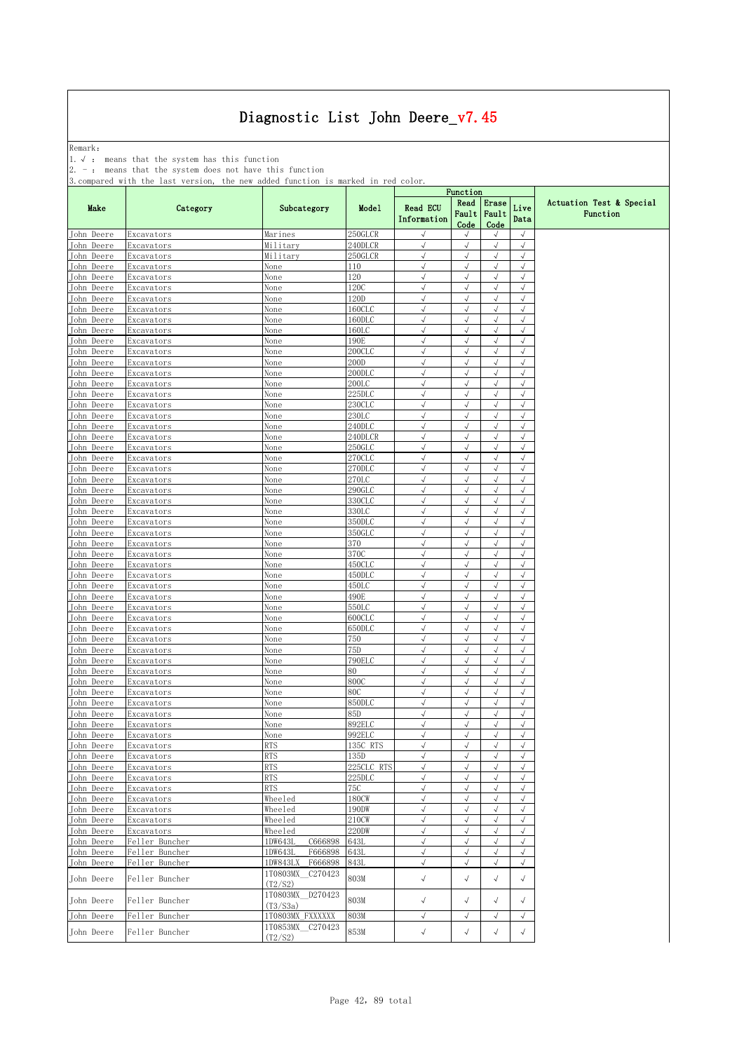Remark: The contract of the contract of  $\mathbb{R}$  and  $\mathbb{R}$  are contract of  $\mathbb{R}$  and  $\mathbb{R}$  are contract of  $\mathbb{R}$  and  $\mathbb{R}$  are contract of  $\mathbb{R}$  and  $\mathbb{R}$  are contract of  $\mathbb{R}$  and  $\mathbb{R}$  are cont

1.√ : means that the system has this function

2. - : means that the system does not have this function

|                          |                                  |                                          |                  |                          | Function                |                          |                          |                                      |
|--------------------------|----------------------------------|------------------------------------------|------------------|--------------------------|-------------------------|--------------------------|--------------------------|--------------------------------------|
| Make                     | Category                         | Subcategory                              | Model            | Read ECU<br>Information  | Read<br>Fault<br>Code   | Erase<br>Fault<br>Code   | Live<br>Data             | Actuation Test & Special<br>Function |
| John Deere               | Excavators                       | Marines                                  | 250GLCR          | $\sqrt{}$                | $\sqrt{}$               | $\sqrt{}$                | $\sqrt{ }$               |                                      |
| John Deere               | Excavators                       | Military                                 | 240DLCR          | $\sqrt{ }$               | $\sqrt{}$               | $\sqrt{ }$               | $\sqrt{}$                |                                      |
| John Deere               | Excavators                       | Military                                 | 250GLCR          | $\sqrt{ }$<br>√          | $\sqrt{ }$<br>$\sqrt{}$ | $\sqrt{ }$<br>$\sqrt{ }$ | $\sqrt{2}$<br>$\sqrt{}$  |                                      |
| John Deere<br>John Deere | Excavators<br>Excavators         | None<br>None                             | 110<br>120       | $\sqrt{2}$               | $\sqrt{}$               | $\sqrt{ }$               | $\sqrt{}$                |                                      |
| John Deere               | Excavators                       | None                                     | 120C             | $\sqrt{ }$               | $\sqrt{2}$              | $\sqrt{ }$               | $\sqrt{}$                |                                      |
| John Deere               | Excavators                       | None                                     | 120D             | $\sqrt{2}$               | $\sqrt{}$               | $\sqrt{ }$               | $\sqrt{}$                |                                      |
| John Deere               | Excavators                       | None                                     | 160CLC           | $\sqrt{ }$               | $\sqrt{}$               | $\sqrt{}$                | $\sqrt{}$                |                                      |
| John Deere               | Excavators                       | None                                     | 160DLC           | $\sqrt{}$                | $\sqrt{}$               | $\sqrt{ }$               | $\sqrt{ }$               |                                      |
| <b>John Deere</b>        | Excavators                       | None                                     | 160LC            | $\sqrt{2}$               | $\sqrt{}$               | $\sqrt{}$                | $\sqrt{ }$               |                                      |
| John Deere               | Excavators                       | None                                     | 190E             | √                        | J                       |                          | $\sqrt{}$                |                                      |
| John Deere               | Excavators                       | None                                     | 200CLC           | $\sqrt{2}$<br>$\sqrt{ }$ | $\sqrt{}$<br>$\sqrt{}$  | $\sqrt{ }$<br>$\sqrt{ }$ | $\sqrt{ }$<br>$\sqrt{}$  |                                      |
| John Deere<br>John Deere | Excavators<br>Excavators         | None<br>None                             | 200D<br>200DLC   | $\sqrt{ }$               | $\sqrt{}$               | $\sqrt{}$                | $\sqrt{}$                |                                      |
| John Deere               | Excavators                       | None                                     | 200LC            | $\sqrt{}$                | $\sqrt{ }$              | $\sqrt{ }$               | $\sqrt{ }$               |                                      |
| John Deere               | Excavators                       | None                                     | 225DLC           | $\sqrt{}$                | $\sqrt{}$               | $\sqrt{}$                | $\sqrt{}$                |                                      |
| John Deere               | Excavators                       | None                                     | 230CLC           | $\sqrt{ }$               | $\sqrt{}$               | $\sqrt{}$                | $\sqrt{ }$               |                                      |
| John Deere               | Excavators                       | None                                     | 230LC            | √                        | √                       | $\sqrt{ }$               | $\sqrt{}$                |                                      |
| John Deere               | Excavators                       | None                                     | 240DLC           | $\sqrt{2}$               | $\sqrt{}$               | $\sqrt{ }$               | $\sqrt{}$                |                                      |
| John Deere               | Excavators                       | None                                     | 240DLCR          | $\sqrt{ }$               | $\sqrt{}$               | $\sqrt{ }$               | $\sqrt{}$                |                                      |
| John<br>Deere            | Excavators                       | None                                     | 250GLC           | $\sqrt{ }$               | $\sqrt{}$               | $\sqrt{}$                | $\sqrt{}$                |                                      |
| John Deere<br>John Deere | Excavators                       | None                                     | 270CLC<br>270DLC | $\sqrt{}$<br>√           | $\sqrt{}$<br>$\sqrt{}$  | $\sqrt{}$<br>$\sqrt{ }$  | $\sqrt{ }$<br>$\sqrt{}$  |                                      |
| John Deere               | Excavators<br>Excavators         | None<br>None                             | 270LC            | $\sqrt{ }$               | $\sqrt{}$               | $\sqrt{}$                | $\sqrt{2}$               |                                      |
| John Deere               | Excavators                       | None                                     | 290GLC           | $\sqrt{ }$               | $\sqrt{2}$              | $\sqrt{ }$               | $\sqrt{2}$               |                                      |
| John Deere               | Excavators                       | None                                     | 330CLC           | $\sqrt{ }$               | $\sqrt{}$               | $\sqrt{}$                | $\sqrt{}$                |                                      |
| John Deere               | Excavators                       | None                                     | 330LC            | $\sqrt{ }$               | $\sqrt{}$               | $\sqrt{ }$               | $\sqrt{ }$               |                                      |
| John Deere               | Excavators                       | None                                     | 350DLC           | $\sqrt{}$                | $\sqrt{}$               | $\sqrt{}$                | $\sqrt{}$                |                                      |
| John Deere               | Excavators                       | None                                     | 350GLC           | $\sqrt{2}$               | $\sqrt{}$               | $\sqrt{ }$               | $\sqrt{ }$               |                                      |
| John Deere               | Excavators                       | None                                     | 370              | √                        | √                       | $\sqrt{}$                | $\sqrt{}$                |                                      |
| John Deere               | Excavators                       | None                                     | 370C<br>450CLC   | $\sqrt{ }$<br>$\sqrt{ }$ | $\sqrt{}$<br>$\sqrt{2}$ | $\sqrt{ }$<br>$\sqrt{ }$ | $\sqrt{ }$<br>$\sqrt{2}$ |                                      |
| John Deere<br>John Deere | Excavators<br>Excavators         | None<br>None                             | 450DLC           | $\sqrt{ }$               | $\sqrt{}$               | $\sqrt{}$                | $\sqrt{}$                |                                      |
| John Deere               | Excavators                       | None                                     | 450LC            | $\sqrt{ }$               | $\sqrt{ }$              | $\sqrt{ }$               | $\sqrt{ }$               |                                      |
| John Deere               | Excavators                       | None                                     | 490E             | √                        | $\sqrt{}$               | $\sqrt{ }$               | $\sqrt{}$                |                                      |
| John Deere               | Excavators                       | None                                     | 550LC            | J                        | $\sqrt{}$               | $\sqrt{2}$               | $\sqrt{2}$               |                                      |
| John Deere               | Excavators                       | None                                     | 600CLC           | $\sqrt{}$                | $\sqrt{2}$              | $\sqrt{ }$               | $\sqrt{}$                |                                      |
| John Deere               | Excavators                       | None                                     | 650DLC           | $\sqrt{2}$               | $\sqrt{}$               | $\sqrt{ }$               | $\sqrt{}$                |                                      |
| John Deere               | Excavators                       | None                                     | 750              | $\sqrt{2}$               | $\sqrt{}$               | $\sqrt{ }$               | $\sqrt{}$                |                                      |
| John Deere<br>John Deere | Excavators<br>Excavators         | None<br>None                             | 75D<br>790ELC    | $\sqrt{}$<br>$\sqrt{}$   | $\sqrt{}$<br>$\sqrt{}$  | $\sqrt{ }$<br>$\sqrt{}$  | $\sqrt{ }$<br>$\sqrt{ }$ |                                      |
| John Deere               | Excavators                       | None                                     | 80               | √                        | $\checkmark$            | $\sqrt{ }$               | $\sqrt{ }$               |                                      |
| <b>John Deere</b>        | Excavators                       | None                                     | 800C             | $\sqrt{2}$               | $\sqrt{}$               | $\sqrt{}$                | $\sqrt{ }$               |                                      |
| John Deere               | Excavators                       | None                                     | <b>80C</b>       | $\sqrt{ }$               | $\sqrt{}$               | $\sqrt{ }$               | $\sqrt{ }$               |                                      |
| John Deere               | Excavators                       | None                                     | 850DLC           | $\sqrt{ }$               | $\sqrt{}$               | $\sqrt{ }$               | $\sqrt{}$                |                                      |
| John Deere               | Excavators                       | None                                     | 85D              | $\sqrt{}$                | $\sqrt{}$               | $\sqrt{ }$               | $\sqrt{}$                |                                      |
| John Deere               | Excavators                       | None                                     | 892ELC           | $\sqrt{}$                | $\sqrt{}$               | $\sqrt{}$                | $\sqrt{}$                |                                      |
| John Deere               | Excavators                       | None                                     | 992ELC           | $\sqrt{}$                | $\sqrt{2}$              | $\sqrt{2}$               | $\sqrt{ }$               |                                      |
| John Deere<br>John Deere | Excavators<br>Excavators         | <b>RTS</b><br><b>RTS</b>                 | 135C RTS<br>135D | √<br>$\sqrt{ }$          | √<br>$\sqrt{ }$         | $\sqrt{ }$               | √<br>$\sqrt{ }$          |                                      |
| John Deere               | Excavators                       | <b>RTS</b>                               | 225CLC RTS       | $\sqrt{}$                | $\sqrt{}$               | $\sqrt{ }$               | $\sqrt{ }$               |                                      |
| John Deere               | Excavators                       | <b>RTS</b>                               | 225DLC           | $\sqrt{ }$               | √                       | $\sqrt{ }$               | $\sqrt{}$                |                                      |
| John Deere               | Excavators                       | <b>RTS</b>                               | 75C              | $\sqrt{ }$               | $\sqrt{ }$              | $\sqrt{}$                | $\sqrt{ }$               |                                      |
| John Deere               | Excavators                       | Wheeled                                  | 180CW            | $\sqrt{}$                | $\checkmark$            | $\sqrt{ }$               | $\sqrt{ }$               |                                      |
| John Deere               | Excavators                       | Wheeled                                  | 190DW            | $\sqrt{2}$               | $\sqrt{}$               | $\sqrt{}$                | $\sqrt{ }$               |                                      |
| John Deere               | Excavators                       | Wheeled                                  | 210CW            | $\sqrt{ }$               | $\sqrt{}$               | $\sqrt{ }$               | $\sqrt{}$                |                                      |
| John Deere               | Excavators                       | Wheeled                                  | 220DW            | $\sqrt{ }$               | $\sqrt{}$               | $\sqrt{}$                | $\sqrt{ }$               |                                      |
| John Deere<br>John Deere | Feller Buncher<br>Feller Buncher | 1DW643L<br>C666898<br>F666898<br>1DW643L | 643L<br>643L     | $\sqrt{ }$<br>$\sqrt{ }$ | $\sqrt{ }$<br>$\sqrt{}$ | $\sqrt{ }$<br>$\sqrt{}$  | $\sqrt{ }$<br>$\sqrt{ }$ |                                      |
| John Deere               | Feller Buncher                   | F666898<br>1DW843LX                      | 843L             | $\sqrt{ }$               | $\sqrt{ }$              | $\sqrt{}$                | $\sqrt{ }$               |                                      |
| John Deere               | Feller Buncher                   | 1T0803MX C270423<br>(T2/S2)              | 803M             | $\sqrt{ }$               | $\sqrt{ }$              | $\sqrt{}$                | $\checkmark$             |                                      |
| John Deere               | Feller Buncher                   | 1T0803MX D270423<br>(T3/S3a)             | 803M             | $\checkmark$             | $\sqrt{ }$              | $\sqrt{}$                | $\sqrt{ }$               |                                      |
| John Deere               | Feller Buncher                   | 1T0803MX FXXXXXX                         | 803M             | $\checkmark$             | $\sqrt{ }$              | $\sqrt{}$                | $\sqrt{ }$               |                                      |
| John Deere               | Feller Buncher                   | 1T0853MX C270423<br>(T2/S2)              | 853M             | $\checkmark$             | $\sqrt{ }$              | $\sqrt{}$                | $\sqrt{ }$               |                                      |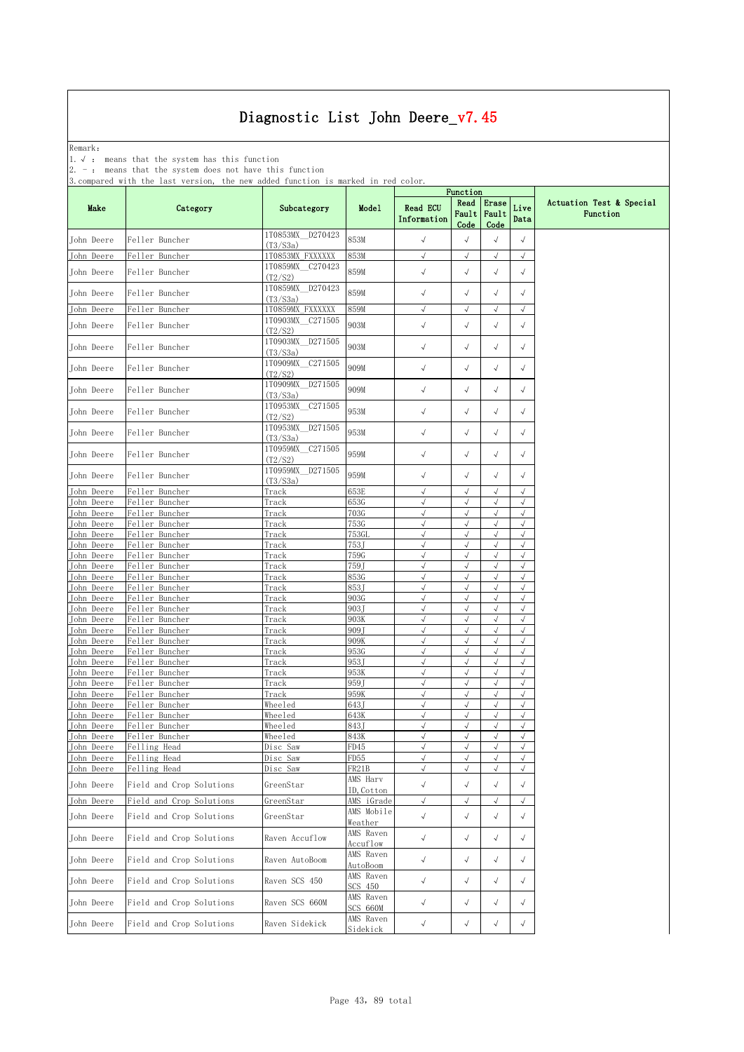Remark: The contract of the contract of  $\mathbb{R}$  and  $\mathbb{R}$  are contract of  $\mathbb{R}$  and  $\mathbb{R}$  are contract of  $\mathbb{R}$  and  $\mathbb{R}$  are contract of  $\mathbb{R}$  and  $\mathbb{R}$  are contract of  $\mathbb{R}$  and  $\mathbb{R}$  are cont

1.√ : means that the system has this function

2. - : means that the system does not have this function

| .                        |                                  |                              |                        |                          | Function                |                          |                         |                                      |
|--------------------------|----------------------------------|------------------------------|------------------------|--------------------------|-------------------------|--------------------------|-------------------------|--------------------------------------|
| Make                     | Category                         | Subcategory                  | Model                  | Read ECU<br>Information  | Read<br>Fault<br>Code   | Erase<br>Fault<br>Code   | Live<br>Data            | Actuation Test & Special<br>Function |
| John Deere               | Feller Buncher                   | 1T0853MX D270423<br>(T3/S3a) | 853M                   | $\sqrt{ }$               | $\sqrt{ }$              | $\sqrt{}$                | $\sqrt{ }$              |                                      |
| John Deere               | Feller Buncher                   | 1T0853MX FXXXXXX             | 853M                   | $\sqrt{ }$               | $\sqrt{ }$              | $\sqrt{ }$               | $\sqrt{ }$              |                                      |
| John Deere               | Feller Buncher                   | 1T0859MX C270423<br>(T2/S2)  | 859M                   | $\sqrt{ }$               | $\sqrt{ }$              | $\sqrt{}$                | $\sqrt{ }$              |                                      |
| John Deere               | Feller Buncher                   | 1T0859MX D270423<br>(T3/S3a) | 859M                   | $\sqrt{ }$               | $\sqrt{}$               | $\sqrt{}$                | $\sqrt{ }$              |                                      |
| John Deere               | Feller Buncher                   | 1T0859MX FXXXXXX             | 859M                   | $\sqrt{ }$               | $\sqrt{ }$              | $\sqrt{}$                | $\sqrt{ }$              |                                      |
| John Deere               | Feller Buncher                   | 1T0903MX C271505<br>(T2/S2)  | 903M                   | $\sqrt{ }$               | $\sqrt{}$               | $\sqrt{ }$               | $\sqrt{}$               |                                      |
| John Deere               | Feller Buncher                   | 1T0903MX D271505<br>(T3/S3a) | 903M                   | $\checkmark$             | $\sqrt{\phantom{a}}$    | $\sqrt{ }$               | $\sqrt{ }$              |                                      |
| John Deere               | Feller Buncher                   | 1T0909MX C271505<br>(T2/S2)  | 909M                   | $\sqrt{ }$               | $\sqrt{}$               | $\sqrt{}$                | $\sqrt{ }$              |                                      |
| John Deere               | Feller Buncher                   | 1T0909MX D271505<br>(T3/S3a) | 909M                   | $\sqrt{ }$               | $\sqrt{}$               | $\sqrt{}$                | $\sqrt{}$               |                                      |
| John Deere               | Feller Buncher                   | 1T0953MX C271505<br>(T2/S2)  | 953M                   | $\sqrt{ }$               | $\sqrt{}$               | $\sqrt{}$                | $\sqrt{}$               |                                      |
| John Deere               | Feller Buncher                   | 1T0953MX D271505             | 953M                   | $\sqrt{ }$               | $\sqrt{}$               | $\sqrt{}$                | $\sqrt{}$               |                                      |
| John Deere               | Feller Buncher                   | (T3/S3a)<br>1T0959MX C271505 | 959M                   | $\sqrt{}$                | $\sqrt{ }$              | $\sqrt{}$                | $\sqrt{}$               |                                      |
| John Deere               | Feller Buncher                   | (T2/S2)<br>1T0959MX D271505  | 959M                   | $\sqrt{ }$               | $\sqrt{}$               | $\sqrt{}$                | $\sqrt{}$               |                                      |
| John Deere               |                                  | (T3/S3a)                     | 653E                   | $\sqrt{ }$               | $\sqrt{ }$              | $\sqrt{}$                | $\sqrt{ }$              |                                      |
| <b>Tohn Deere</b>        | Feller Buncher<br>Feller Buncher | Track<br>Track               | 653G                   | $\checkmark$             | $\sqrt{}$               | $\sqrt{}$                | $\sqrt{ }$              |                                      |
| John Deere               | Feller Buncher                   | Track                        | 703G                   | $\sqrt{ }$               | $\sqrt{}$               | $\sqrt{}$                | $\sqrt{ }$              |                                      |
| John Deere               | Feller Buncher                   | Track                        | 753G                   | $\sqrt{ }$               | $\sqrt{}$               | $\sqrt{ }$               | $\sqrt{ }$              |                                      |
| John Deere               | Feller Buncher                   | Track                        | 753GL                  | $\sqrt{ }$               | $\sqrt{2}$              | $\sqrt{ }$               | $\sqrt{ }$              |                                      |
| John Deere               | Feller Buncher                   | Track                        | 753 J                  | $\sqrt{ }$               | $\sqrt{2}$              | $\sqrt{}$                | $\sqrt{ }$              |                                      |
| John Deere               | Feller Buncher                   | Track                        | 759G                   | $\sqrt{}$                | $\sqrt{}$               | $\sqrt{ }$               | $\sqrt{ }$              |                                      |
| John Deere               | Feller Buncher                   | Track                        | 759 J                  | $\sqrt{ }$               | $\sqrt{ }$              | $\sqrt{}$                | $\sqrt{ }$              |                                      |
| John Deere               | Feller Buncher                   | Track                        | 853G                   | $\checkmark$             | $\sqrt{}$               | $\sqrt{}$                | $\sqrt{}$               |                                      |
| John Deere               | Feller Buncher                   | Track                        | 853J                   | $\sqrt{ }$               | $\sqrt{ }$              | $\sqrt{ }$               | $\sqrt{ }$              |                                      |
| John Deere<br>John Deere | Feller Buncher<br>Feller Buncher | Track                        | 903G<br>903 J          | $\sqrt{ }$<br>$\sqrt{ }$ | $\sqrt{}$<br>$\sqrt{ }$ | $\sqrt{ }$<br>$\sqrt{ }$ | $\sqrt{}$<br>$\sqrt{ }$ |                                      |
| John Deere               | Feller Buncher                   | Track<br>Track               | 903K                   | $\sqrt{}$                | $\sqrt{}$               | $\sqrt{}$                | $\sqrt{ }$              |                                      |
| John Deere               | Feller Buncher                   | Track                        | 909.T                  | $\sqrt{ }$               | $\sqrt{ }$              | $\sqrt{}$                | $\sqrt{}$               |                                      |
| John Deere               | Feller Buncher                   | Track                        | 909K                   | √                        | √                       | $\sqrt{}$                | $\sqrt{ }$              |                                      |
| John Deere               | Feller Buncher                   | Track                        | 953G                   | $\sqrt{ }$               | $\sqrt{ }$              | $\sqrt{ }$               | $\sqrt{}$               |                                      |
| John Deere               | Feller Buncher                   | Track                        | 953J                   | $\sqrt{ }$               | $\sqrt{ }$              | $\sqrt{ }$               | $\sqrt{ }$              |                                      |
| John Deere               | Feller Buncher                   | Track                        | 953K                   | $\sqrt{ }$               | $\sqrt{}$               | $\sqrt{}$                | $\sqrt{ }$              |                                      |
| John Deere               | Feller Buncher                   | Track                        | 959 J                  | $\sqrt{ }$               | $\sqrt{ }$              | $\sqrt{ }$               | $\sqrt{ }$              |                                      |
| John Deere               | Feller Buncher                   | Track                        | 959K                   | $\sqrt{}$                | $\sqrt{ }$              | $\sqrt{}$                | $\sqrt{ }$              |                                      |
| <b>Tohn Deere</b>        | Feller Buncher                   | Wheeled                      | 643J                   | J<br>$\sqrt{ }$          | $\sqrt{}$<br>$\sqrt{ }$ | $\sqrt{}$<br>$\sqrt{ }$  | $\sqrt{}$<br>$\sqrt{ }$ |                                      |
| John Deere<br>John Deere | Feller Buncher<br>Feller Buncher | Wheeled<br>Wheeled           | 643K<br>843J           | $\sqrt{ }$               | $\sqrt{ }$              | $\sqrt{ }$               | $\sqrt{}$               |                                      |
| John Deere               | Feller Buncher                   | Wheeled                      | 843K                   | $\sqrt{ }$               | $\sqrt{ }$              | $\sqrt{ }$               | $\sqrt{}$               |                                      |
| John Deere               | Felling Head                     | Disc Saw                     | FD45                   | $\sqrt{}$                | $\sqrt{ }$              | √                        | $\sqrt{ }$              |                                      |
| John Deere               | Felling Head                     | Disc Saw                     | FD55                   | $\checkmark$             | $\sqrt{}$               | $\sqrt{ }$               | $\sqrt{ }$              |                                      |
| John Deere               | Felling Head                     | Disc Saw                     | FR21B                  | √                        | $\sqrt{2}$              |                          | $\sqrt{}$               |                                      |
| John Deere               | Field and Crop Solutions         | GreenStar                    | AMS Harv<br>ID, Cotton | $\checkmark$             | $\sqrt{}$               | $\checkmark$             | $\sqrt{}$               |                                      |
| John Deere               | Field and Crop Solutions         | GreenStar                    | AMS iGrade             | $\sqrt{ }$               | $\sqrt{}$               | $\sqrt{ }$               | $\sqrt{ }$              |                                      |
| John Deere               | Field and Crop Solutions         | GreenStar                    | AMS Mobile<br>Weather  | $\checkmark$             | $\sqrt{}$               | $\checkmark$             | $\sqrt{}$               |                                      |
| John Deere               | Field and Crop Solutions         | Raven Accuflow               | AMS Raven<br>Accuflow  | $\checkmark$             | $\sqrt{}$               | $\sqrt{}$                | $\sqrt{}$               |                                      |
| John Deere               | Field and Crop Solutions         | Raven AutoBoom               | AMS Raven<br>AutoBoom  | $\checkmark$             | $\sqrt{ }$              | $\sqrt{}$                | $\sqrt{}$               |                                      |
| John Deere               | Field and Crop Solutions         | Raven SCS 450                | AMS Raven<br>SCS 450   | $\checkmark$             | $\sqrt{}$               | $\sqrt{}$                | $\sqrt{}$               |                                      |
| John Deere               | Field and Crop Solutions         | Raven SCS 660M               | AMS Raven<br>SCS 660M  | $\sqrt{ }$               | $\sqrt{}$               | $\sqrt{ }$               | $\sqrt{}$               |                                      |
| John Deere               | Field and Crop Solutions         | Raven Sidekick               | AMS Raven<br>Sidekick  | $\checkmark$             | $\sqrt{\phantom{a}}$    | $\sqrt{ }$               | $\sqrt{}$               |                                      |
|                          |                                  |                              |                        |                          |                         |                          |                         |                                      |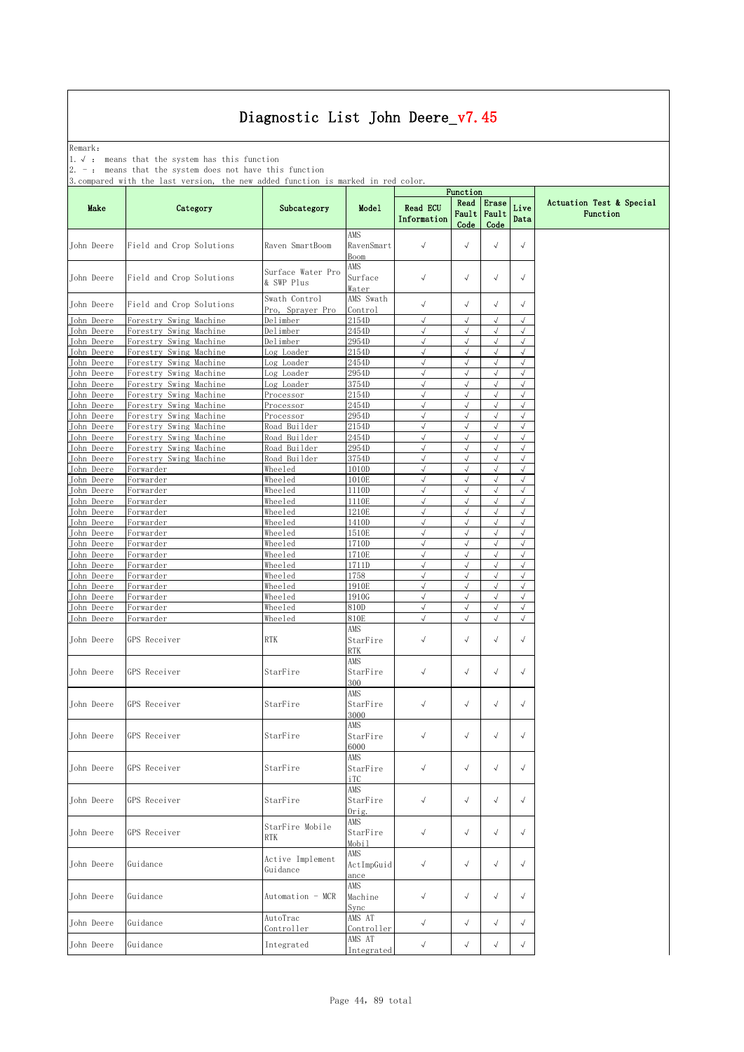Remark: The contract of the contract of  $\mathbb{R}$  and  $\mathbb{R}$  are contract of  $\mathbb{R}$  and  $\mathbb{R}$  are contract of  $\mathbb{R}$  and  $\mathbb{R}$  are contract of  $\mathbb{R}$  and  $\mathbb{R}$  are contract of  $\mathbb{R}$  and  $\mathbb{R}$  are cont

1.√ : means that the system has this function

2. - : means that the system does not have this function

| Read Erase<br>Live<br>Make<br><b>Read ECU</b><br>Category<br>Subcategory<br>Model<br>Fault<br>Fault<br>Function<br>Information<br>Data<br>Code<br>Code<br>AMS<br>Field and Crop Solutions<br>$\sqrt{ }$<br>$\sqrt{ }$<br>$\sqrt{ }$<br>$\sqrt{}$<br>Raven SmartBoom<br>RavenSmart<br>Boom<br>AMS<br>Surface Water Pro<br>Field and Crop Solutions<br>$\sqrt{ }$<br>$\sqrt{ }$<br>$\sqrt{}$<br>$\sqrt{}$<br>John Deere<br>Surface<br>& SWP Plus<br>Water<br>Swath Control<br>AMS Swath<br>John Deere<br>Field and Crop Solutions<br>$\sqrt{}$<br>$\sqrt{}$<br>$\sqrt{}$<br>$\sqrt{}$<br>Control<br>Pro, Sprayer Pro<br>John Deere<br>Forestry Swing Machine<br>Delimber<br>2154D<br>$\sqrt{ }$<br>$\sqrt{ }$<br>$\sqrt{}$<br>$\sqrt{ }$<br>$\sqrt{}$<br>John Deere<br>Forestry Swing Machine<br>Delimber<br>2454D<br>$\sqrt{ }$<br>$\sqrt{ }$<br>J<br>2954D<br>$\sqrt{ }$<br>$\sqrt{2}$<br>$\sqrt{}$<br>Forestry Swing Machine<br>Delimber<br>$\sqrt{}$<br>John Deere<br>$\sqrt{ }$<br>$\sqrt{}$<br>John Deere<br>Forestry Swing Machine<br>2154D<br>$\sqrt{ }$<br>$\sqrt{}$<br>Log Loader<br>$\sqrt{ }$<br>$\sqrt{ }$<br>John Deere<br>Forestry Swing Machine<br>Log Loader<br>2454D<br>$\sqrt{ }$<br>$\sqrt{}$<br>$\sqrt{}$<br>John Deere<br>2954D<br>$\sqrt{ }$<br>$\sqrt{ }$<br>$\sqrt{}$<br>Forestry Swing Machine<br>Log Loader<br>$\sqrt{}$<br>Forestry Swing Machine<br>$\sqrt{}$<br>John Deere<br>Log Loader<br>3754D<br>$\sqrt{ }$<br>√<br>$\sqrt{2}$<br>$\sqrt{2}$<br>$\sqrt{ }$<br>John Deere<br>Forestry Swing Machine<br>2154D<br>$\sqrt{}$<br>Processor<br>2454D<br>$\sqrt{ }$<br>$\sqrt{ }$<br>$\sqrt{ }$<br>Forestry Swing Machine<br>J<br>John Deere<br>Processor<br>2954D<br>$\sqrt{ }$<br>$\sqrt{ }$<br>$\sqrt{ }$<br>John Deere<br>Forestry Swing Machine<br>Processor<br>$\sqrt{}$<br>$\sqrt{}$<br>$\sqrt{}$<br>John Deere<br>2154D<br>$\sqrt{ }$<br>$\sqrt{ }$<br>Forestry Swing Machine<br>Road Builder<br>$\sqrt{}$<br>$\sqrt{}$<br>John Deere<br>Swing Machine<br>Road Builder<br>2454D<br>$\sqrt{ }$<br>$\sqrt{2}$<br>Forestry<br>2954D<br>$\sqrt{}$<br>$\sqrt{}$<br>John Deere<br>Forestry Swing Machine<br>Road Builder<br>$\sqrt{ }$<br>$\sqrt{}$<br>John Deere<br>Forestry Swing Machine<br>Road Builder<br>3754D<br>$\sqrt{ }$<br>$\sqrt{}$<br>√<br>$\checkmark$<br>1010D<br>$\sqrt{ }$<br>$\sqrt{}$<br>$\sqrt{2}$<br>Wheeled<br>$\sqrt{ }$<br>John Deere<br>Forwarder<br>1010E<br>$\sqrt{ }$<br>$\sqrt{ }$<br>$\sqrt{}$<br>$\sqrt{}$<br>Forwarder<br>Wheeled<br>John Deere<br>$\sqrt{}$<br>$\sqrt{2}$<br>John Deere<br>Forwarder<br>Wheeled<br>1110D<br>$\sqrt{ }$<br>$\sqrt{}$<br>$\checkmark$<br>$\sqrt{}$<br>John Deere<br>Wheeled<br>$\sqrt{ }$<br>$\sqrt{ }$<br>Forwarder<br>1110E<br>$\sqrt{}$<br>Wheeled<br>1210E<br>$\sqrt{ }$<br>$\sqrt{ }$<br>$\sqrt{}$<br>John Deere<br>Forwarder<br>$\sqrt{2}$<br>$\sqrt{ }$<br>John Deere<br>Forwarder<br>Wheeled<br>1410D<br>J<br>$\sqrt{}$<br>$\sqrt{}$<br>1510E<br>$\sqrt{ }$<br>$\sqrt{2}$<br>$\sqrt{}$<br>John Deere<br>Forwarder<br>Wheeled<br>1710D<br>$\sqrt{ }$<br>$\sqrt{ }$<br>$\sqrt{2}$<br>Wheeled<br>$\sqrt{}$<br>John Deere<br>Forwarder<br>1710E<br>$\sqrt{ }$<br>$\sqrt{ }$<br>$\sqrt{}$<br>$\sqrt{}$<br>John Deere<br>Forwarder<br>Wheeled<br>John Deere<br>Forwarder<br>Wheeled<br>1711D<br>$\sqrt{ }$<br>$\sqrt{ }$<br>$\sqrt{}$<br>$\sqrt{}$<br>$\sqrt{ }$<br>$\sqrt{}$<br>$\checkmark$<br>$\sqrt{ }$<br>Wheeled<br>1758<br>John Deere<br>Forwarder<br>$\sqrt{}$<br>Wheeled<br>1910E<br>$\sqrt{ }$<br>$\sqrt{}$<br>John Deere<br>Forwarder<br>$\sqrt{}$<br>$\sqrt{2}$<br>$\sqrt{}$<br>$\sqrt{ }$<br>John Deere<br>Forwarder<br>Wheeled<br>1910G<br>$\sqrt{}$<br>810D<br>$\sqrt{ }$<br>$\sqrt{ }$<br>$\sqrt{}$<br>$\sqrt{}$<br>John Deere<br>Forwarder<br>Wheeled<br>$\sqrt{ }$<br>$\sqrt{}$<br>John Deere<br>Wheeled<br>810E<br>$\sqrt{ }$<br>$\sqrt{2}$<br>Forwarder<br>AMS<br>$\sqrt{ }$<br>$\checkmark$<br>$\sqrt{}$<br>$\sqrt{}$<br>John Deere<br>GPS Receiver<br>RTK<br>StarFire<br>RTK<br>AMS<br>$\sqrt{ }$<br>$\sqrt{ }$<br>$\sqrt{ }$<br>$\sqrt{}$<br>John Deere<br>GPS Receiver<br>StarFire<br>StarFire<br>300<br>AMS<br>John Deere<br>GPS Receiver<br>StarFire<br>$\sqrt{ }$<br>$\sqrt{ }$<br>$\sqrt{}$<br>$\sqrt{}$<br>StarFire<br>3000<br>AMS<br>John Deere<br>GPS Receiver<br>StarFire<br>$\sqrt{ }$<br>$\sqrt{}$<br>$\sqrt{ }$<br>StarFire<br>$\sqrt{ }$<br>6000<br>AMS<br>John Deere<br>GPS Receiver<br>StarFire<br>StarFire<br>$\sqrt{ }$<br>$\sqrt{ }$<br>$\sqrt{ }$<br>$\sqrt{}$<br>iTC<br>AMS<br>John Deere<br>GPS Receiver<br>StarFire<br>StarFire<br>$\sqrt{ }$<br>$\sqrt{ }$<br>$\sqrt{ }$<br>$\sqrt{}$<br>Orig.<br>AMS<br>StarFire Mobile<br>GPS Receiver<br>StarFire<br>$\checkmark$<br>$\sqrt{ }$<br>John Deere<br>$\sqrt{ }$<br>$\sqrt{}$<br>RTK<br>Mobil<br>AMS<br>Active Implement<br>John Deere<br>Guidance<br>$\sqrt{ }$<br>$\sqrt{ }$<br>$\sqrt{}$<br>$\checkmark$<br>ActImpGuid<br>Guidance<br>ance<br>AMS<br>John Deere<br>Guidance<br>Automation - MCR<br>Machine<br>$\sqrt{ }$<br>$\sqrt{ }$<br>$\sqrt{ }$<br>$\sqrt{}$<br>Sync<br>AutoTrac<br>AMS AT<br>$\checkmark$<br>$\sqrt{}$<br>Guidance<br>$\sqrt{ }$<br>$\sqrt{ }$<br>Controller<br>Controller<br>AMS AT<br>$\sqrt{}$<br>$\sqrt{}$<br>John Deere<br>Guidance<br>Integrated<br>$\sqrt{ }$<br>$\sqrt{ }$ |            | 5. Compared with the last version, the new added function is marked in red color. |            | Function |  |                          |
|-----------------------------------------------------------------------------------------------------------------------------------------------------------------------------------------------------------------------------------------------------------------------------------------------------------------------------------------------------------------------------------------------------------------------------------------------------------------------------------------------------------------------------------------------------------------------------------------------------------------------------------------------------------------------------------------------------------------------------------------------------------------------------------------------------------------------------------------------------------------------------------------------------------------------------------------------------------------------------------------------------------------------------------------------------------------------------------------------------------------------------------------------------------------------------------------------------------------------------------------------------------------------------------------------------------------------------------------------------------------------------------------------------------------------------------------------------------------------------------------------------------------------------------------------------------------------------------------------------------------------------------------------------------------------------------------------------------------------------------------------------------------------------------------------------------------------------------------------------------------------------------------------------------------------------------------------------------------------------------------------------------------------------------------------------------------------------------------------------------------------------------------------------------------------------------------------------------------------------------------------------------------------------------------------------------------------------------------------------------------------------------------------------------------------------------------------------------------------------------------------------------------------------------------------------------------------------------------------------------------------------------------------------------------------------------------------------------------------------------------------------------------------------------------------------------------------------------------------------------------------------------------------------------------------------------------------------------------------------------------------------------------------------------------------------------------------------------------------------------------------------------------------------------------------------------------------------------------------------------------------------------------------------------------------------------------------------------------------------------------------------------------------------------------------------------------------------------------------------------------------------------------------------------------------------------------------------------------------------------------------------------------------------------------------------------------------------------------------------------------------------------------------------------------------------------------------------------------------------------------------------------------------------------------------------------------------------------------------------------------------------------------------------------------------------------------------------------------------------------------------------------------------------------------------------------------------------------------------------------------------------------------------------------------------------------------------------------------------------------------------------------------------------------------------------------------------------------------------------------------------------------------------------------------------------------------------------------------------------------------------------------------------------------------------------------------------------------------------------------------------------------------------------------------------------------------------------------------------------------------------------------------------------------------------------------------------------------------------------------------------------------------------------------------------------------------------------------------------------------------------------------------------------------------------------------------------------------------------------------------------------------------------------------------------------|------------|-----------------------------------------------------------------------------------|------------|----------|--|--------------------------|
|                                                                                                                                                                                                                                                                                                                                                                                                                                                                                                                                                                                                                                                                                                                                                                                                                                                                                                                                                                                                                                                                                                                                                                                                                                                                                                                                                                                                                                                                                                                                                                                                                                                                                                                                                                                                                                                                                                                                                                                                                                                                                                                                                                                                                                                                                                                                                                                                                                                                                                                                                                                                                                                                                                                                                                                                                                                                                                                                                                                                                                                                                                                                                                                                                                                                                                                                                                                                                                                                                                                                                                                                                                                                                                                                                                                                                                                                                                                                                                                                                                                                                                                                                                                                                                                                                                                                                                                                                                                                                                                                                                                                                                                                                                                                                                                                                                                                                                                                                                                                                                                                                                                                                                                                                                                                                                     |            |                                                                                   |            |          |  | Actuation Test & Special |
|                                                                                                                                                                                                                                                                                                                                                                                                                                                                                                                                                                                                                                                                                                                                                                                                                                                                                                                                                                                                                                                                                                                                                                                                                                                                                                                                                                                                                                                                                                                                                                                                                                                                                                                                                                                                                                                                                                                                                                                                                                                                                                                                                                                                                                                                                                                                                                                                                                                                                                                                                                                                                                                                                                                                                                                                                                                                                                                                                                                                                                                                                                                                                                                                                                                                                                                                                                                                                                                                                                                                                                                                                                                                                                                                                                                                                                                                                                                                                                                                                                                                                                                                                                                                                                                                                                                                                                                                                                                                                                                                                                                                                                                                                                                                                                                                                                                                                                                                                                                                                                                                                                                                                                                                                                                                                                     | John Deere |                                                                                   |            |          |  |                          |
|                                                                                                                                                                                                                                                                                                                                                                                                                                                                                                                                                                                                                                                                                                                                                                                                                                                                                                                                                                                                                                                                                                                                                                                                                                                                                                                                                                                                                                                                                                                                                                                                                                                                                                                                                                                                                                                                                                                                                                                                                                                                                                                                                                                                                                                                                                                                                                                                                                                                                                                                                                                                                                                                                                                                                                                                                                                                                                                                                                                                                                                                                                                                                                                                                                                                                                                                                                                                                                                                                                                                                                                                                                                                                                                                                                                                                                                                                                                                                                                                                                                                                                                                                                                                                                                                                                                                                                                                                                                                                                                                                                                                                                                                                                                                                                                                                                                                                                                                                                                                                                                                                                                                                                                                                                                                                                     |            |                                                                                   |            |          |  |                          |
|                                                                                                                                                                                                                                                                                                                                                                                                                                                                                                                                                                                                                                                                                                                                                                                                                                                                                                                                                                                                                                                                                                                                                                                                                                                                                                                                                                                                                                                                                                                                                                                                                                                                                                                                                                                                                                                                                                                                                                                                                                                                                                                                                                                                                                                                                                                                                                                                                                                                                                                                                                                                                                                                                                                                                                                                                                                                                                                                                                                                                                                                                                                                                                                                                                                                                                                                                                                                                                                                                                                                                                                                                                                                                                                                                                                                                                                                                                                                                                                                                                                                                                                                                                                                                                                                                                                                                                                                                                                                                                                                                                                                                                                                                                                                                                                                                                                                                                                                                                                                                                                                                                                                                                                                                                                                                                     |            |                                                                                   |            |          |  |                          |
|                                                                                                                                                                                                                                                                                                                                                                                                                                                                                                                                                                                                                                                                                                                                                                                                                                                                                                                                                                                                                                                                                                                                                                                                                                                                                                                                                                                                                                                                                                                                                                                                                                                                                                                                                                                                                                                                                                                                                                                                                                                                                                                                                                                                                                                                                                                                                                                                                                                                                                                                                                                                                                                                                                                                                                                                                                                                                                                                                                                                                                                                                                                                                                                                                                                                                                                                                                                                                                                                                                                                                                                                                                                                                                                                                                                                                                                                                                                                                                                                                                                                                                                                                                                                                                                                                                                                                                                                                                                                                                                                                                                                                                                                                                                                                                                                                                                                                                                                                                                                                                                                                                                                                                                                                                                                                                     |            |                                                                                   |            |          |  |                          |
|                                                                                                                                                                                                                                                                                                                                                                                                                                                                                                                                                                                                                                                                                                                                                                                                                                                                                                                                                                                                                                                                                                                                                                                                                                                                                                                                                                                                                                                                                                                                                                                                                                                                                                                                                                                                                                                                                                                                                                                                                                                                                                                                                                                                                                                                                                                                                                                                                                                                                                                                                                                                                                                                                                                                                                                                                                                                                                                                                                                                                                                                                                                                                                                                                                                                                                                                                                                                                                                                                                                                                                                                                                                                                                                                                                                                                                                                                                                                                                                                                                                                                                                                                                                                                                                                                                                                                                                                                                                                                                                                                                                                                                                                                                                                                                                                                                                                                                                                                                                                                                                                                                                                                                                                                                                                                                     |            |                                                                                   |            |          |  |                          |
|                                                                                                                                                                                                                                                                                                                                                                                                                                                                                                                                                                                                                                                                                                                                                                                                                                                                                                                                                                                                                                                                                                                                                                                                                                                                                                                                                                                                                                                                                                                                                                                                                                                                                                                                                                                                                                                                                                                                                                                                                                                                                                                                                                                                                                                                                                                                                                                                                                                                                                                                                                                                                                                                                                                                                                                                                                                                                                                                                                                                                                                                                                                                                                                                                                                                                                                                                                                                                                                                                                                                                                                                                                                                                                                                                                                                                                                                                                                                                                                                                                                                                                                                                                                                                                                                                                                                                                                                                                                                                                                                                                                                                                                                                                                                                                                                                                                                                                                                                                                                                                                                                                                                                                                                                                                                                                     |            |                                                                                   |            |          |  |                          |
|                                                                                                                                                                                                                                                                                                                                                                                                                                                                                                                                                                                                                                                                                                                                                                                                                                                                                                                                                                                                                                                                                                                                                                                                                                                                                                                                                                                                                                                                                                                                                                                                                                                                                                                                                                                                                                                                                                                                                                                                                                                                                                                                                                                                                                                                                                                                                                                                                                                                                                                                                                                                                                                                                                                                                                                                                                                                                                                                                                                                                                                                                                                                                                                                                                                                                                                                                                                                                                                                                                                                                                                                                                                                                                                                                                                                                                                                                                                                                                                                                                                                                                                                                                                                                                                                                                                                                                                                                                                                                                                                                                                                                                                                                                                                                                                                                                                                                                                                                                                                                                                                                                                                                                                                                                                                                                     |            |                                                                                   |            |          |  |                          |
|                                                                                                                                                                                                                                                                                                                                                                                                                                                                                                                                                                                                                                                                                                                                                                                                                                                                                                                                                                                                                                                                                                                                                                                                                                                                                                                                                                                                                                                                                                                                                                                                                                                                                                                                                                                                                                                                                                                                                                                                                                                                                                                                                                                                                                                                                                                                                                                                                                                                                                                                                                                                                                                                                                                                                                                                                                                                                                                                                                                                                                                                                                                                                                                                                                                                                                                                                                                                                                                                                                                                                                                                                                                                                                                                                                                                                                                                                                                                                                                                                                                                                                                                                                                                                                                                                                                                                                                                                                                                                                                                                                                                                                                                                                                                                                                                                                                                                                                                                                                                                                                                                                                                                                                                                                                                                                     |            |                                                                                   |            |          |  |                          |
|                                                                                                                                                                                                                                                                                                                                                                                                                                                                                                                                                                                                                                                                                                                                                                                                                                                                                                                                                                                                                                                                                                                                                                                                                                                                                                                                                                                                                                                                                                                                                                                                                                                                                                                                                                                                                                                                                                                                                                                                                                                                                                                                                                                                                                                                                                                                                                                                                                                                                                                                                                                                                                                                                                                                                                                                                                                                                                                                                                                                                                                                                                                                                                                                                                                                                                                                                                                                                                                                                                                                                                                                                                                                                                                                                                                                                                                                                                                                                                                                                                                                                                                                                                                                                                                                                                                                                                                                                                                                                                                                                                                                                                                                                                                                                                                                                                                                                                                                                                                                                                                                                                                                                                                                                                                                                                     |            |                                                                                   |            |          |  |                          |
|                                                                                                                                                                                                                                                                                                                                                                                                                                                                                                                                                                                                                                                                                                                                                                                                                                                                                                                                                                                                                                                                                                                                                                                                                                                                                                                                                                                                                                                                                                                                                                                                                                                                                                                                                                                                                                                                                                                                                                                                                                                                                                                                                                                                                                                                                                                                                                                                                                                                                                                                                                                                                                                                                                                                                                                                                                                                                                                                                                                                                                                                                                                                                                                                                                                                                                                                                                                                                                                                                                                                                                                                                                                                                                                                                                                                                                                                                                                                                                                                                                                                                                                                                                                                                                                                                                                                                                                                                                                                                                                                                                                                                                                                                                                                                                                                                                                                                                                                                                                                                                                                                                                                                                                                                                                                                                     |            |                                                                                   |            |          |  |                          |
|                                                                                                                                                                                                                                                                                                                                                                                                                                                                                                                                                                                                                                                                                                                                                                                                                                                                                                                                                                                                                                                                                                                                                                                                                                                                                                                                                                                                                                                                                                                                                                                                                                                                                                                                                                                                                                                                                                                                                                                                                                                                                                                                                                                                                                                                                                                                                                                                                                                                                                                                                                                                                                                                                                                                                                                                                                                                                                                                                                                                                                                                                                                                                                                                                                                                                                                                                                                                                                                                                                                                                                                                                                                                                                                                                                                                                                                                                                                                                                                                                                                                                                                                                                                                                                                                                                                                                                                                                                                                                                                                                                                                                                                                                                                                                                                                                                                                                                                                                                                                                                                                                                                                                                                                                                                                                                     |            |                                                                                   |            |          |  |                          |
|                                                                                                                                                                                                                                                                                                                                                                                                                                                                                                                                                                                                                                                                                                                                                                                                                                                                                                                                                                                                                                                                                                                                                                                                                                                                                                                                                                                                                                                                                                                                                                                                                                                                                                                                                                                                                                                                                                                                                                                                                                                                                                                                                                                                                                                                                                                                                                                                                                                                                                                                                                                                                                                                                                                                                                                                                                                                                                                                                                                                                                                                                                                                                                                                                                                                                                                                                                                                                                                                                                                                                                                                                                                                                                                                                                                                                                                                                                                                                                                                                                                                                                                                                                                                                                                                                                                                                                                                                                                                                                                                                                                                                                                                                                                                                                                                                                                                                                                                                                                                                                                                                                                                                                                                                                                                                                     |            |                                                                                   |            |          |  |                          |
|                                                                                                                                                                                                                                                                                                                                                                                                                                                                                                                                                                                                                                                                                                                                                                                                                                                                                                                                                                                                                                                                                                                                                                                                                                                                                                                                                                                                                                                                                                                                                                                                                                                                                                                                                                                                                                                                                                                                                                                                                                                                                                                                                                                                                                                                                                                                                                                                                                                                                                                                                                                                                                                                                                                                                                                                                                                                                                                                                                                                                                                                                                                                                                                                                                                                                                                                                                                                                                                                                                                                                                                                                                                                                                                                                                                                                                                                                                                                                                                                                                                                                                                                                                                                                                                                                                                                                                                                                                                                                                                                                                                                                                                                                                                                                                                                                                                                                                                                                                                                                                                                                                                                                                                                                                                                                                     |            |                                                                                   |            |          |  |                          |
|                                                                                                                                                                                                                                                                                                                                                                                                                                                                                                                                                                                                                                                                                                                                                                                                                                                                                                                                                                                                                                                                                                                                                                                                                                                                                                                                                                                                                                                                                                                                                                                                                                                                                                                                                                                                                                                                                                                                                                                                                                                                                                                                                                                                                                                                                                                                                                                                                                                                                                                                                                                                                                                                                                                                                                                                                                                                                                                                                                                                                                                                                                                                                                                                                                                                                                                                                                                                                                                                                                                                                                                                                                                                                                                                                                                                                                                                                                                                                                                                                                                                                                                                                                                                                                                                                                                                                                                                                                                                                                                                                                                                                                                                                                                                                                                                                                                                                                                                                                                                                                                                                                                                                                                                                                                                                                     |            |                                                                                   |            |          |  |                          |
|                                                                                                                                                                                                                                                                                                                                                                                                                                                                                                                                                                                                                                                                                                                                                                                                                                                                                                                                                                                                                                                                                                                                                                                                                                                                                                                                                                                                                                                                                                                                                                                                                                                                                                                                                                                                                                                                                                                                                                                                                                                                                                                                                                                                                                                                                                                                                                                                                                                                                                                                                                                                                                                                                                                                                                                                                                                                                                                                                                                                                                                                                                                                                                                                                                                                                                                                                                                                                                                                                                                                                                                                                                                                                                                                                                                                                                                                                                                                                                                                                                                                                                                                                                                                                                                                                                                                                                                                                                                                                                                                                                                                                                                                                                                                                                                                                                                                                                                                                                                                                                                                                                                                                                                                                                                                                                     |            |                                                                                   |            |          |  |                          |
|                                                                                                                                                                                                                                                                                                                                                                                                                                                                                                                                                                                                                                                                                                                                                                                                                                                                                                                                                                                                                                                                                                                                                                                                                                                                                                                                                                                                                                                                                                                                                                                                                                                                                                                                                                                                                                                                                                                                                                                                                                                                                                                                                                                                                                                                                                                                                                                                                                                                                                                                                                                                                                                                                                                                                                                                                                                                                                                                                                                                                                                                                                                                                                                                                                                                                                                                                                                                                                                                                                                                                                                                                                                                                                                                                                                                                                                                                                                                                                                                                                                                                                                                                                                                                                                                                                                                                                                                                                                                                                                                                                                                                                                                                                                                                                                                                                                                                                                                                                                                                                                                                                                                                                                                                                                                                                     |            |                                                                                   |            |          |  |                          |
|                                                                                                                                                                                                                                                                                                                                                                                                                                                                                                                                                                                                                                                                                                                                                                                                                                                                                                                                                                                                                                                                                                                                                                                                                                                                                                                                                                                                                                                                                                                                                                                                                                                                                                                                                                                                                                                                                                                                                                                                                                                                                                                                                                                                                                                                                                                                                                                                                                                                                                                                                                                                                                                                                                                                                                                                                                                                                                                                                                                                                                                                                                                                                                                                                                                                                                                                                                                                                                                                                                                                                                                                                                                                                                                                                                                                                                                                                                                                                                                                                                                                                                                                                                                                                                                                                                                                                                                                                                                                                                                                                                                                                                                                                                                                                                                                                                                                                                                                                                                                                                                                                                                                                                                                                                                                                                     |            |                                                                                   |            |          |  |                          |
|                                                                                                                                                                                                                                                                                                                                                                                                                                                                                                                                                                                                                                                                                                                                                                                                                                                                                                                                                                                                                                                                                                                                                                                                                                                                                                                                                                                                                                                                                                                                                                                                                                                                                                                                                                                                                                                                                                                                                                                                                                                                                                                                                                                                                                                                                                                                                                                                                                                                                                                                                                                                                                                                                                                                                                                                                                                                                                                                                                                                                                                                                                                                                                                                                                                                                                                                                                                                                                                                                                                                                                                                                                                                                                                                                                                                                                                                                                                                                                                                                                                                                                                                                                                                                                                                                                                                                                                                                                                                                                                                                                                                                                                                                                                                                                                                                                                                                                                                                                                                                                                                                                                                                                                                                                                                                                     |            |                                                                                   |            |          |  |                          |
|                                                                                                                                                                                                                                                                                                                                                                                                                                                                                                                                                                                                                                                                                                                                                                                                                                                                                                                                                                                                                                                                                                                                                                                                                                                                                                                                                                                                                                                                                                                                                                                                                                                                                                                                                                                                                                                                                                                                                                                                                                                                                                                                                                                                                                                                                                                                                                                                                                                                                                                                                                                                                                                                                                                                                                                                                                                                                                                                                                                                                                                                                                                                                                                                                                                                                                                                                                                                                                                                                                                                                                                                                                                                                                                                                                                                                                                                                                                                                                                                                                                                                                                                                                                                                                                                                                                                                                                                                                                                                                                                                                                                                                                                                                                                                                                                                                                                                                                                                                                                                                                                                                                                                                                                                                                                                                     |            |                                                                                   |            |          |  |                          |
|                                                                                                                                                                                                                                                                                                                                                                                                                                                                                                                                                                                                                                                                                                                                                                                                                                                                                                                                                                                                                                                                                                                                                                                                                                                                                                                                                                                                                                                                                                                                                                                                                                                                                                                                                                                                                                                                                                                                                                                                                                                                                                                                                                                                                                                                                                                                                                                                                                                                                                                                                                                                                                                                                                                                                                                                                                                                                                                                                                                                                                                                                                                                                                                                                                                                                                                                                                                                                                                                                                                                                                                                                                                                                                                                                                                                                                                                                                                                                                                                                                                                                                                                                                                                                                                                                                                                                                                                                                                                                                                                                                                                                                                                                                                                                                                                                                                                                                                                                                                                                                                                                                                                                                                                                                                                                                     |            |                                                                                   |            |          |  |                          |
|                                                                                                                                                                                                                                                                                                                                                                                                                                                                                                                                                                                                                                                                                                                                                                                                                                                                                                                                                                                                                                                                                                                                                                                                                                                                                                                                                                                                                                                                                                                                                                                                                                                                                                                                                                                                                                                                                                                                                                                                                                                                                                                                                                                                                                                                                                                                                                                                                                                                                                                                                                                                                                                                                                                                                                                                                                                                                                                                                                                                                                                                                                                                                                                                                                                                                                                                                                                                                                                                                                                                                                                                                                                                                                                                                                                                                                                                                                                                                                                                                                                                                                                                                                                                                                                                                                                                                                                                                                                                                                                                                                                                                                                                                                                                                                                                                                                                                                                                                                                                                                                                                                                                                                                                                                                                                                     |            |                                                                                   |            |          |  |                          |
|                                                                                                                                                                                                                                                                                                                                                                                                                                                                                                                                                                                                                                                                                                                                                                                                                                                                                                                                                                                                                                                                                                                                                                                                                                                                                                                                                                                                                                                                                                                                                                                                                                                                                                                                                                                                                                                                                                                                                                                                                                                                                                                                                                                                                                                                                                                                                                                                                                                                                                                                                                                                                                                                                                                                                                                                                                                                                                                                                                                                                                                                                                                                                                                                                                                                                                                                                                                                                                                                                                                                                                                                                                                                                                                                                                                                                                                                                                                                                                                                                                                                                                                                                                                                                                                                                                                                                                                                                                                                                                                                                                                                                                                                                                                                                                                                                                                                                                                                                                                                                                                                                                                                                                                                                                                                                                     |            |                                                                                   |            |          |  |                          |
|                                                                                                                                                                                                                                                                                                                                                                                                                                                                                                                                                                                                                                                                                                                                                                                                                                                                                                                                                                                                                                                                                                                                                                                                                                                                                                                                                                                                                                                                                                                                                                                                                                                                                                                                                                                                                                                                                                                                                                                                                                                                                                                                                                                                                                                                                                                                                                                                                                                                                                                                                                                                                                                                                                                                                                                                                                                                                                                                                                                                                                                                                                                                                                                                                                                                                                                                                                                                                                                                                                                                                                                                                                                                                                                                                                                                                                                                                                                                                                                                                                                                                                                                                                                                                                                                                                                                                                                                                                                                                                                                                                                                                                                                                                                                                                                                                                                                                                                                                                                                                                                                                                                                                                                                                                                                                                     |            |                                                                                   |            |          |  |                          |
|                                                                                                                                                                                                                                                                                                                                                                                                                                                                                                                                                                                                                                                                                                                                                                                                                                                                                                                                                                                                                                                                                                                                                                                                                                                                                                                                                                                                                                                                                                                                                                                                                                                                                                                                                                                                                                                                                                                                                                                                                                                                                                                                                                                                                                                                                                                                                                                                                                                                                                                                                                                                                                                                                                                                                                                                                                                                                                                                                                                                                                                                                                                                                                                                                                                                                                                                                                                                                                                                                                                                                                                                                                                                                                                                                                                                                                                                                                                                                                                                                                                                                                                                                                                                                                                                                                                                                                                                                                                                                                                                                                                                                                                                                                                                                                                                                                                                                                                                                                                                                                                                                                                                                                                                                                                                                                     |            |                                                                                   |            |          |  |                          |
|                                                                                                                                                                                                                                                                                                                                                                                                                                                                                                                                                                                                                                                                                                                                                                                                                                                                                                                                                                                                                                                                                                                                                                                                                                                                                                                                                                                                                                                                                                                                                                                                                                                                                                                                                                                                                                                                                                                                                                                                                                                                                                                                                                                                                                                                                                                                                                                                                                                                                                                                                                                                                                                                                                                                                                                                                                                                                                                                                                                                                                                                                                                                                                                                                                                                                                                                                                                                                                                                                                                                                                                                                                                                                                                                                                                                                                                                                                                                                                                                                                                                                                                                                                                                                                                                                                                                                                                                                                                                                                                                                                                                                                                                                                                                                                                                                                                                                                                                                                                                                                                                                                                                                                                                                                                                                                     |            |                                                                                   |            |          |  |                          |
|                                                                                                                                                                                                                                                                                                                                                                                                                                                                                                                                                                                                                                                                                                                                                                                                                                                                                                                                                                                                                                                                                                                                                                                                                                                                                                                                                                                                                                                                                                                                                                                                                                                                                                                                                                                                                                                                                                                                                                                                                                                                                                                                                                                                                                                                                                                                                                                                                                                                                                                                                                                                                                                                                                                                                                                                                                                                                                                                                                                                                                                                                                                                                                                                                                                                                                                                                                                                                                                                                                                                                                                                                                                                                                                                                                                                                                                                                                                                                                                                                                                                                                                                                                                                                                                                                                                                                                                                                                                                                                                                                                                                                                                                                                                                                                                                                                                                                                                                                                                                                                                                                                                                                                                                                                                                                                     |            |                                                                                   |            |          |  |                          |
|                                                                                                                                                                                                                                                                                                                                                                                                                                                                                                                                                                                                                                                                                                                                                                                                                                                                                                                                                                                                                                                                                                                                                                                                                                                                                                                                                                                                                                                                                                                                                                                                                                                                                                                                                                                                                                                                                                                                                                                                                                                                                                                                                                                                                                                                                                                                                                                                                                                                                                                                                                                                                                                                                                                                                                                                                                                                                                                                                                                                                                                                                                                                                                                                                                                                                                                                                                                                                                                                                                                                                                                                                                                                                                                                                                                                                                                                                                                                                                                                                                                                                                                                                                                                                                                                                                                                                                                                                                                                                                                                                                                                                                                                                                                                                                                                                                                                                                                                                                                                                                                                                                                                                                                                                                                                                                     |            |                                                                                   |            |          |  |                          |
|                                                                                                                                                                                                                                                                                                                                                                                                                                                                                                                                                                                                                                                                                                                                                                                                                                                                                                                                                                                                                                                                                                                                                                                                                                                                                                                                                                                                                                                                                                                                                                                                                                                                                                                                                                                                                                                                                                                                                                                                                                                                                                                                                                                                                                                                                                                                                                                                                                                                                                                                                                                                                                                                                                                                                                                                                                                                                                                                                                                                                                                                                                                                                                                                                                                                                                                                                                                                                                                                                                                                                                                                                                                                                                                                                                                                                                                                                                                                                                                                                                                                                                                                                                                                                                                                                                                                                                                                                                                                                                                                                                                                                                                                                                                                                                                                                                                                                                                                                                                                                                                                                                                                                                                                                                                                                                     |            |                                                                                   |            |          |  |                          |
|                                                                                                                                                                                                                                                                                                                                                                                                                                                                                                                                                                                                                                                                                                                                                                                                                                                                                                                                                                                                                                                                                                                                                                                                                                                                                                                                                                                                                                                                                                                                                                                                                                                                                                                                                                                                                                                                                                                                                                                                                                                                                                                                                                                                                                                                                                                                                                                                                                                                                                                                                                                                                                                                                                                                                                                                                                                                                                                                                                                                                                                                                                                                                                                                                                                                                                                                                                                                                                                                                                                                                                                                                                                                                                                                                                                                                                                                                                                                                                                                                                                                                                                                                                                                                                                                                                                                                                                                                                                                                                                                                                                                                                                                                                                                                                                                                                                                                                                                                                                                                                                                                                                                                                                                                                                                                                     |            |                                                                                   |            |          |  |                          |
|                                                                                                                                                                                                                                                                                                                                                                                                                                                                                                                                                                                                                                                                                                                                                                                                                                                                                                                                                                                                                                                                                                                                                                                                                                                                                                                                                                                                                                                                                                                                                                                                                                                                                                                                                                                                                                                                                                                                                                                                                                                                                                                                                                                                                                                                                                                                                                                                                                                                                                                                                                                                                                                                                                                                                                                                                                                                                                                                                                                                                                                                                                                                                                                                                                                                                                                                                                                                                                                                                                                                                                                                                                                                                                                                                                                                                                                                                                                                                                                                                                                                                                                                                                                                                                                                                                                                                                                                                                                                                                                                                                                                                                                                                                                                                                                                                                                                                                                                                                                                                                                                                                                                                                                                                                                                                                     |            |                                                                                   |            |          |  |                          |
|                                                                                                                                                                                                                                                                                                                                                                                                                                                                                                                                                                                                                                                                                                                                                                                                                                                                                                                                                                                                                                                                                                                                                                                                                                                                                                                                                                                                                                                                                                                                                                                                                                                                                                                                                                                                                                                                                                                                                                                                                                                                                                                                                                                                                                                                                                                                                                                                                                                                                                                                                                                                                                                                                                                                                                                                                                                                                                                                                                                                                                                                                                                                                                                                                                                                                                                                                                                                                                                                                                                                                                                                                                                                                                                                                                                                                                                                                                                                                                                                                                                                                                                                                                                                                                                                                                                                                                                                                                                                                                                                                                                                                                                                                                                                                                                                                                                                                                                                                                                                                                                                                                                                                                                                                                                                                                     |            |                                                                                   |            |          |  |                          |
|                                                                                                                                                                                                                                                                                                                                                                                                                                                                                                                                                                                                                                                                                                                                                                                                                                                                                                                                                                                                                                                                                                                                                                                                                                                                                                                                                                                                                                                                                                                                                                                                                                                                                                                                                                                                                                                                                                                                                                                                                                                                                                                                                                                                                                                                                                                                                                                                                                                                                                                                                                                                                                                                                                                                                                                                                                                                                                                                                                                                                                                                                                                                                                                                                                                                                                                                                                                                                                                                                                                                                                                                                                                                                                                                                                                                                                                                                                                                                                                                                                                                                                                                                                                                                                                                                                                                                                                                                                                                                                                                                                                                                                                                                                                                                                                                                                                                                                                                                                                                                                                                                                                                                                                                                                                                                                     |            |                                                                                   |            |          |  |                          |
|                                                                                                                                                                                                                                                                                                                                                                                                                                                                                                                                                                                                                                                                                                                                                                                                                                                                                                                                                                                                                                                                                                                                                                                                                                                                                                                                                                                                                                                                                                                                                                                                                                                                                                                                                                                                                                                                                                                                                                                                                                                                                                                                                                                                                                                                                                                                                                                                                                                                                                                                                                                                                                                                                                                                                                                                                                                                                                                                                                                                                                                                                                                                                                                                                                                                                                                                                                                                                                                                                                                                                                                                                                                                                                                                                                                                                                                                                                                                                                                                                                                                                                                                                                                                                                                                                                                                                                                                                                                                                                                                                                                                                                                                                                                                                                                                                                                                                                                                                                                                                                                                                                                                                                                                                                                                                                     |            |                                                                                   |            |          |  |                          |
|                                                                                                                                                                                                                                                                                                                                                                                                                                                                                                                                                                                                                                                                                                                                                                                                                                                                                                                                                                                                                                                                                                                                                                                                                                                                                                                                                                                                                                                                                                                                                                                                                                                                                                                                                                                                                                                                                                                                                                                                                                                                                                                                                                                                                                                                                                                                                                                                                                                                                                                                                                                                                                                                                                                                                                                                                                                                                                                                                                                                                                                                                                                                                                                                                                                                                                                                                                                                                                                                                                                                                                                                                                                                                                                                                                                                                                                                                                                                                                                                                                                                                                                                                                                                                                                                                                                                                                                                                                                                                                                                                                                                                                                                                                                                                                                                                                                                                                                                                                                                                                                                                                                                                                                                                                                                                                     |            |                                                                                   |            |          |  |                          |
|                                                                                                                                                                                                                                                                                                                                                                                                                                                                                                                                                                                                                                                                                                                                                                                                                                                                                                                                                                                                                                                                                                                                                                                                                                                                                                                                                                                                                                                                                                                                                                                                                                                                                                                                                                                                                                                                                                                                                                                                                                                                                                                                                                                                                                                                                                                                                                                                                                                                                                                                                                                                                                                                                                                                                                                                                                                                                                                                                                                                                                                                                                                                                                                                                                                                                                                                                                                                                                                                                                                                                                                                                                                                                                                                                                                                                                                                                                                                                                                                                                                                                                                                                                                                                                                                                                                                                                                                                                                                                                                                                                                                                                                                                                                                                                                                                                                                                                                                                                                                                                                                                                                                                                                                                                                                                                     |            |                                                                                   |            |          |  |                          |
|                                                                                                                                                                                                                                                                                                                                                                                                                                                                                                                                                                                                                                                                                                                                                                                                                                                                                                                                                                                                                                                                                                                                                                                                                                                                                                                                                                                                                                                                                                                                                                                                                                                                                                                                                                                                                                                                                                                                                                                                                                                                                                                                                                                                                                                                                                                                                                                                                                                                                                                                                                                                                                                                                                                                                                                                                                                                                                                                                                                                                                                                                                                                                                                                                                                                                                                                                                                                                                                                                                                                                                                                                                                                                                                                                                                                                                                                                                                                                                                                                                                                                                                                                                                                                                                                                                                                                                                                                                                                                                                                                                                                                                                                                                                                                                                                                                                                                                                                                                                                                                                                                                                                                                                                                                                                                                     |            |                                                                                   |            |          |  |                          |
|                                                                                                                                                                                                                                                                                                                                                                                                                                                                                                                                                                                                                                                                                                                                                                                                                                                                                                                                                                                                                                                                                                                                                                                                                                                                                                                                                                                                                                                                                                                                                                                                                                                                                                                                                                                                                                                                                                                                                                                                                                                                                                                                                                                                                                                                                                                                                                                                                                                                                                                                                                                                                                                                                                                                                                                                                                                                                                                                                                                                                                                                                                                                                                                                                                                                                                                                                                                                                                                                                                                                                                                                                                                                                                                                                                                                                                                                                                                                                                                                                                                                                                                                                                                                                                                                                                                                                                                                                                                                                                                                                                                                                                                                                                                                                                                                                                                                                                                                                                                                                                                                                                                                                                                                                                                                                                     |            |                                                                                   |            |          |  |                          |
|                                                                                                                                                                                                                                                                                                                                                                                                                                                                                                                                                                                                                                                                                                                                                                                                                                                                                                                                                                                                                                                                                                                                                                                                                                                                                                                                                                                                                                                                                                                                                                                                                                                                                                                                                                                                                                                                                                                                                                                                                                                                                                                                                                                                                                                                                                                                                                                                                                                                                                                                                                                                                                                                                                                                                                                                                                                                                                                                                                                                                                                                                                                                                                                                                                                                                                                                                                                                                                                                                                                                                                                                                                                                                                                                                                                                                                                                                                                                                                                                                                                                                                                                                                                                                                                                                                                                                                                                                                                                                                                                                                                                                                                                                                                                                                                                                                                                                                                                                                                                                                                                                                                                                                                                                                                                                                     |            |                                                                                   |            |          |  |                          |
|                                                                                                                                                                                                                                                                                                                                                                                                                                                                                                                                                                                                                                                                                                                                                                                                                                                                                                                                                                                                                                                                                                                                                                                                                                                                                                                                                                                                                                                                                                                                                                                                                                                                                                                                                                                                                                                                                                                                                                                                                                                                                                                                                                                                                                                                                                                                                                                                                                                                                                                                                                                                                                                                                                                                                                                                                                                                                                                                                                                                                                                                                                                                                                                                                                                                                                                                                                                                                                                                                                                                                                                                                                                                                                                                                                                                                                                                                                                                                                                                                                                                                                                                                                                                                                                                                                                                                                                                                                                                                                                                                                                                                                                                                                                                                                                                                                                                                                                                                                                                                                                                                                                                                                                                                                                                                                     | John Deere |                                                                                   |            |          |  |                          |
|                                                                                                                                                                                                                                                                                                                                                                                                                                                                                                                                                                                                                                                                                                                                                                                                                                                                                                                                                                                                                                                                                                                                                                                                                                                                                                                                                                                                                                                                                                                                                                                                                                                                                                                                                                                                                                                                                                                                                                                                                                                                                                                                                                                                                                                                                                                                                                                                                                                                                                                                                                                                                                                                                                                                                                                                                                                                                                                                                                                                                                                                                                                                                                                                                                                                                                                                                                                                                                                                                                                                                                                                                                                                                                                                                                                                                                                                                                                                                                                                                                                                                                                                                                                                                                                                                                                                                                                                                                                                                                                                                                                                                                                                                                                                                                                                                                                                                                                                                                                                                                                                                                                                                                                                                                                                                                     |            |                                                                                   | Integrated |          |  |                          |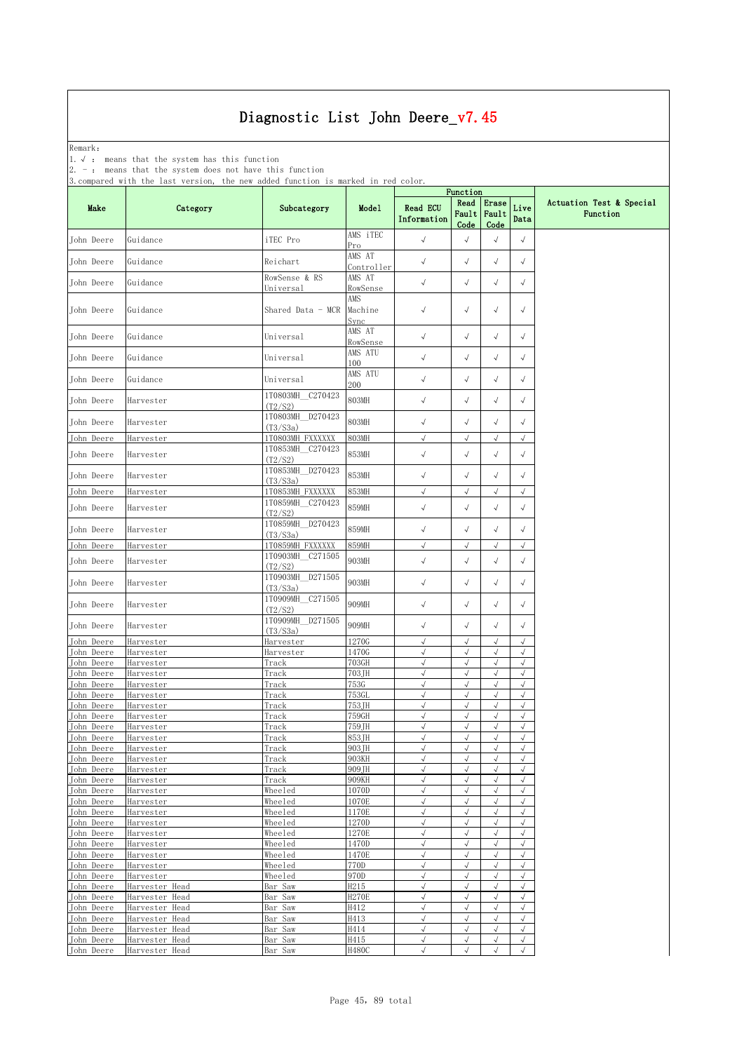Remark: The contract of the contract of  $\mathbb{R}$  and  $\mathbb{R}$  are contract of  $\mathbb{R}$  and  $\mathbb{R}$  are contract of  $\mathbb{R}$  and  $\mathbb{R}$  are contract of  $\mathbb{R}$  and  $\mathbb{R}$  are contract of  $\mathbb{R}$  and  $\mathbb{R}$  are cont

1.√ : means that the system has this function

2. - : means that the system does not have this function

| ompaz o                  |                                  |                              |                      |                                | Function                 |                          |                          |                                      |
|--------------------------|----------------------------------|------------------------------|----------------------|--------------------------------|--------------------------|--------------------------|--------------------------|--------------------------------------|
| Make                     | Category                         | Subcategory                  | Model                | <b>Read ECU</b><br>Information | Read<br>Fault<br>Code    | Erase<br>Fault<br>Code   | Live<br>Data             | Actuation Test & Special<br>Function |
| John Deere               | Guidance                         | iTEC Pro                     | AMS iTEC<br>Pro      | $\sqrt{ }$                     | $\sqrt{\phantom{a}}$     | $\checkmark$             | $\sqrt{}$                |                                      |
| John Deere               | Guidance                         | Reichart                     | AMS AT<br>Controller | $\sqrt{ }$                     | $\sqrt{ }$               | $\sqrt{}$                | $\sqrt{}$                |                                      |
| John Deere               | Guidance                         | RowSense & RS<br>Universal   | AMS AT<br>RowSense   | $\sqrt{}$                      | $\sqrt{}$                | $\sqrt{}$                | $\sqrt{ }$               |                                      |
|                          |                                  |                              | AMS                  |                                |                          |                          |                          |                                      |
| John Deere               | Guidance                         | Shared Data - MCR            | Machine<br>Sync      | $\sqrt{ }$                     | $\sqrt{ }$               | $\sqrt{ }$               | $\sqrt{ }$               |                                      |
| John Deere               | Guidance                         | Universal                    | AMS AT<br>RowSense   | $\checkmark$                   | $\sqrt{ }$               | $\sqrt{}$                | $\sqrt{ }$               |                                      |
| John Deere               | Guidance                         | Universal                    | AMS ATU<br>100       | $\sqrt{ }$                     | $\sqrt{}$                | $\sqrt{}$                | $\checkmark$             |                                      |
| John Deere               | Guidance                         | Universal                    | AMS ATU<br>200       | $\sqrt{ }$                     | $\sqrt{ }$               | $\sqrt{ }$               | $\sqrt{}$                |                                      |
| John Deere               | Harvester                        | 1T0803MH C270423<br>(T2/S2)  | 803MH                | $\sqrt{}$                      | $\sqrt{}$                | $\sqrt{}$                | $\sqrt{ }$               |                                      |
| John Deere               | Harvester                        | 1T0803MH D270423             | 803MH                | $\sqrt{ }$                     | $\sqrt{}$                | $\sqrt{ }$               | $\sqrt{}$                |                                      |
| John Deere               | Harvester                        | (T3/S3a)<br>1TO8O3MH FXXXXXX | 803MH                | $\sqrt{ }$                     | √                        | $\sqrt{ }$               | $\sqrt{ }$               |                                      |
| John Deere               | Harvester                        | 1T0853MH C270423<br>(T2/S2)  | 853MH                | $\sqrt{ }$                     | $\sqrt{ }$               | $\sqrt{ }$               | $\sqrt{ }$               |                                      |
| John Deere               | Harvester                        | 1T0853MH D270423<br>(T3/S3a) | 853MH                | $\sqrt{ }$                     | $\sqrt{}$                | $\sqrt{}$                | $\sqrt{ }$               |                                      |
| John Deere               | Harvester                        | 1T0853MH FXXXXXX             | 853MH                | $\sqrt{ }$                     | $\sqrt{}$                | $\sqrt{ }$               | $\sqrt{}$                |                                      |
| John Deere               | Harvester                        | 1T0859MH C270423<br>(T2/S2)  | 859MH                | $\sqrt{ }$                     | $\sqrt{\phantom{a}}$     | $\sqrt{}$                | $\sqrt{ }$               |                                      |
| John Deere               | Harvester                        | 1T0859MH D270423<br>(T3/S3a) | 859MH                | $\sqrt{ }$                     | $\sqrt{ }$               | $\sqrt{ }$               | $\sqrt{ }$               |                                      |
| John Deere               | Harvester                        | 1T0859MH FXXXXXX             | 859MH                | $\sqrt{ }$                     | $\sqrt{}$                | $\sqrt{ }$               | $\sqrt{ }$               |                                      |
| John Deere               | Harvester                        | 1T0903MH C271505<br>(T2/S2)  | 903MH                | $\checkmark$                   | $\sqrt{}$                | $\sqrt{}$                | $\sqrt{}$                |                                      |
| John Deere               | Harvester                        | 1T0903MH D271505<br>(T3/S3a) | 903MH                | $\sqrt{ }$                     | $\sqrt{}$                | $\sqrt{}$                | $\sqrt{ }$               |                                      |
| John Deere               | Harvester                        | 1T0909MH C271505<br>(T2/S2)  | 909MH                | $\sqrt{ }$                     | $\sqrt{ }$               | $\sqrt{ }$               | $\sqrt{}$                |                                      |
| John Deere               | Harvester                        | 1T0909MH D271505<br>(T3/S3a) | 909MH                | $\sqrt{ }$                     | $\sqrt{}$                | $\sqrt{}$                | $\sqrt{ }$               |                                      |
| John Deere               | Harvester                        | Harvester                    | 1270G                | $\sqrt{ }$                     | $\sqrt{ }$               | $\sqrt{ }$               | $\sqrt{ }$               |                                      |
| John Deere               | Harvester                        | Harvester                    | 1470G                | $\sqrt{ }$                     | $\sqrt{2}$               | $\sqrt{}$                | $\sqrt{ }$               |                                      |
| John Deere<br>John Deere | Harvester<br>Harvester           | Track<br>Track               | 703GH<br>703JH       | $\sqrt{ }$<br>$\sqrt{ }$       | $\sqrt{2}$<br>$\sqrt{}$  | $\sqrt{}$<br>$\sqrt{ }$  | $\sqrt{2}$<br>$\sqrt{}$  |                                      |
| John Deere               | Harvester                        | Track                        | 753G                 | $\sqrt{ }$                     | $\sqrt{ }$               | $\sqrt{ }$               | $\sqrt{}$                |                                      |
| <b>John Deere</b>        | Harvester                        | Track                        | 753GL                | $\sqrt{}$                      | $\sqrt{}$                | $\sqrt{ }$               | $\sqrt{ }$               |                                      |
| John Deere               | Harvester                        | Track                        | 753JH                | $\sqrt{ }$                     | $\sqrt{ }$               | $\sqrt{}$                | $\sqrt{ }$               |                                      |
| John Deere               | Harvester                        | Track                        | 759GH                | $\sqrt{}$                      | √                        | √                        | $\sqrt{}$                |                                      |
| John Deere               | Harvester                        | Track                        | 759JH                | $\sqrt{}$                      | $\sqrt{}$                | $\sqrt{}$                | $\sqrt{2}$               |                                      |
| John Deere<br>John Deere | Harvester<br>Harvester           | Track<br>Track               | 853JH<br>903 JH      | $\sqrt{ }$<br>$\sqrt{ }$       | $\sqrt{2}$<br>$\sqrt{ }$ | $\sqrt{2}$<br>$\sqrt{}$  | $\sqrt{}$<br>$\sqrt{ }$  |                                      |
| John Deere               | Harvester                        | Track                        | 903KH                | $\sqrt{ }$                     | $\sqrt{ }$               | $\sqrt{ }$               | $\sqrt{}$                |                                      |
| John Deere               | Harvester                        | Track                        | 909JH                | $\sqrt{ }$                     | $\sqrt{}$                | $\sqrt{ }$               | $\sqrt{2}$               |                                      |
| John Deere               | Harvester                        | Track                        | 909KH                | $\sqrt{ }$                     | $\sqrt{}$                | $\sqrt{}$                | $\sqrt{2}$               |                                      |
| John Deere               | Harvester                        | Wheeled                      | 1070D                | $\sqrt{ }$                     | $\sqrt{ }$               | $\sqrt{}$                | $\sqrt{}$                |                                      |
| John Deere               | Harvester                        | Wheeled                      | 1070E                | $\sqrt{ }$                     | $\sqrt{\phantom{a}}$     | $\sqrt{ }$               | $\sqrt{2}$               |                                      |
| John Deere<br>John Deere | Harvester<br>Harvester           | Wheeled<br>Wheeled           | 1170E<br>1270D       | $\sqrt{ }$<br>$\sqrt{ }$       | $\sqrt{}$<br>$\sqrt{}$   | $\sqrt{ }$<br>$\sqrt{ }$ | $\sqrt{ }$<br>$\sqrt{}$  |                                      |
| John Deere               | Harvester                        | Wheeled                      | 1270E                | $\sqrt{ }$                     | $\sqrt{}$                | $\sqrt{ }$               | $\sqrt{2}$               |                                      |
| John Deere               | Harvester                        | Wheeled                      | 1470D                | $\sqrt{ }$                     | $\sqrt{}$                | $\sqrt{}$                | $\sqrt{}$                |                                      |
| John Deere               | Harvester                        | Wheeled                      | 1470E                | $\sqrt{ }$                     | $\sqrt{}$                | $\sqrt{}$                | $\sqrt{2}$               |                                      |
| John Deere               | Harvester                        | Wheeled                      | 770D                 | $\sqrt{ }$                     | $\sqrt{}$                | $\sqrt{ }$               | $\sqrt{}$                |                                      |
| John Deere               | Harvester                        | Wheeled                      | 970D                 | $\sqrt{ }$                     | $\sqrt{}$                | $\sqrt{ }$               | $\sqrt{}$                |                                      |
| John Deere               | Harvester Head                   | Bar Saw                      | H215                 | $\sqrt{ }$                     | $\sqrt{}$                | $\sqrt{ }$               | $\sqrt{ }$               |                                      |
| John Deere               | Harvester Head                   | Bar Saw                      | H270E                | $\sqrt{ }$                     | $\sqrt{}$                | $\sqrt{}$                | $\sqrt{2}$               |                                      |
| John Deere               | Harvester Head                   | Bar Saw                      | H412                 | $\sqrt{ }$                     | $\sqrt{}$                | $\sqrt{ }$               | $\sqrt{ }$               |                                      |
| John Deere               | Harvester Head                   | Bar Saw                      | H413                 | $\sqrt{ }$<br>$\sqrt{ }$       | $\sqrt{}$<br>$\sqrt{ }$  | $\sqrt{ }$<br>$\sqrt{2}$ | $\sqrt{ }$<br>$\sqrt{2}$ |                                      |
| John Deere<br>John Deere | Harvester Head<br>Harvester Head | Bar Saw<br>Bar Saw           | H414<br>H415         | $\sqrt{ }$                     | $\sqrt{\phantom{a}}$     | $\checkmark$             | $\sqrt{ }$               |                                      |
| John Deere               | Harvester Head                   | Bar Saw                      | H480C                | $\sqrt{2}$                     | $\sqrt{}$                | $\sqrt{}$                | $\sqrt{ }$               |                                      |
|                          |                                  |                              |                      |                                |                          |                          |                          |                                      |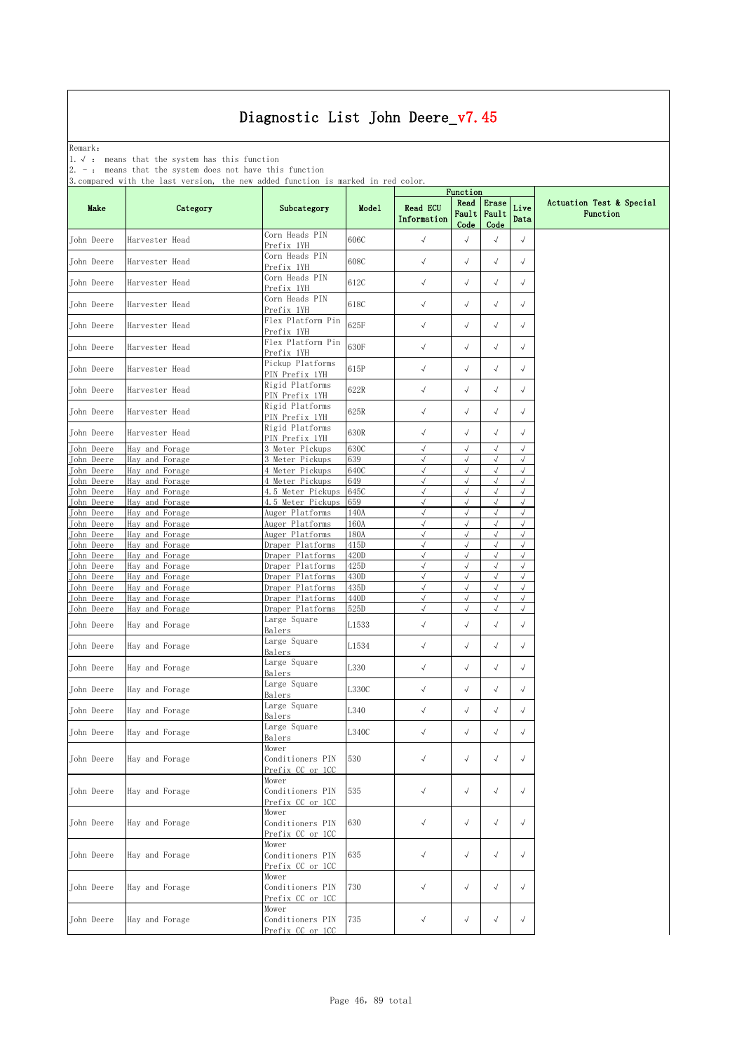Remark: The contract of the contract of  $\mathbb{R}$  and  $\mathbb{R}$  are contract of  $\mathbb{R}$  and  $\mathbb{R}$  are contract of  $\mathbb{R}$  and  $\mathbb{R}$  are contract of  $\mathbb{R}$  and  $\mathbb{R}$  are contract of  $\mathbb{R}$  and  $\mathbb{R}$  are cont

1.√ : means that the system has this function

2. - : means that the system does not have this function

|                          |                                  |                                               |              | Function                       |                        |                          |                          |                                      |
|--------------------------|----------------------------------|-----------------------------------------------|--------------|--------------------------------|------------------------|--------------------------|--------------------------|--------------------------------------|
| Make                     | Category                         | Subcategory                                   | Model        | <b>Read ECU</b><br>Information | Read<br>Fault<br>Code  | Erase<br>Fault<br>Code   | Live<br>Data             | Actuation Test & Special<br>Function |
| John Deere               | Harvester Head                   | Corn Heads PIN<br>Prefix 1YH                  | 606C         | $\checkmark$                   | $\sqrt{ }$             | $\sqrt{}$                | $\sqrt{ }$               |                                      |
| John Deere               | Harvester Head                   | Corn Heads PIN<br>Prefix 1YH                  | 608C         | $\checkmark$                   | $\sqrt{ }$             | $\sqrt{ }$               | $\sqrt{ }$               |                                      |
| John Deere               | Harvester Head                   | Corn Heads PIN<br>Prefix 1YH                  | 612C         | $\sqrt{ }$                     | $\sqrt{ }$             | $\sqrt{}$                | $\sqrt{}$                |                                      |
| John Deere               | Harvester Head                   | Corn Heads PIN<br>Prefix 1YH                  | 618C         | $\sqrt{ }$                     | $\sqrt{ }$             | $\sqrt{}$                | $\sqrt{ }$               |                                      |
| John Deere               | Harvester Head                   | Flex Platform Pin<br>Prefix 1YH               | 625F         | $\sqrt{ }$                     | $\sqrt{}$              | $\sqrt{}$                | $\sqrt{ }$               |                                      |
| John Deere               | Harvester Head                   | Flex Platform Pin<br>Prefix 1YH               | 630F         | $\sqrt{ }$                     | $\sqrt{ }$             | $\sqrt{}$                | $\sqrt{ }$               |                                      |
| John Deere               | Harvester Head                   | Pickup Platforms<br>PIN Prefix 1YH            | 615P         | $\sqrt{ }$                     | $\sqrt{ }$             | $\sqrt{}$                | $\sqrt{ }$               |                                      |
| John Deere               | Harvester Head                   | Rigid Platforms<br>PIN Prefix 1YH             | 622R         | $\checkmark$                   | $\sqrt{ }$             | $\sqrt{2}$               | $\sqrt{ }$               |                                      |
| John Deere               | Harvester Head                   | Rigid Platforms<br>PIN Prefix 1YH             | $625{\rm R}$ | $\checkmark$                   | $\sqrt{}$              | $\sqrt{}$                | $\sqrt{ }$               |                                      |
| John Deere               | Harvester Head                   | Rigid Platforms<br>PIN Prefix 1YH             | 630R         | $\sqrt{ }$                     | $\sqrt{ }$             | $\sqrt{}$                | $\sqrt{ }$               |                                      |
| John Deere               | Hav and Forage                   | 3 Meter Pickups                               | 630C         | $\sqrt{ }$                     | $\sqrt{}$              | $\sqrt{}$                | $\sqrt{}$                |                                      |
| John Deere               | Hay and Forage                   | 3 Meter Pickups                               | 639          | $\sqrt{ }$                     | $\sqrt{ }$             | $\sqrt{ }$               | $\sqrt{ }$               |                                      |
| John Deere               | Hay and Forage                   | 4 Meter Pickups                               | 640C         | $\sqrt{}$                      | $\sqrt{}$              | $\sqrt{ }$               | $\sqrt{ }$               |                                      |
| John Deere               | Hay and Forage                   | 4 Meter Pickups                               | 649          | $\sqrt{ }$                     | $\sqrt{ }$             | $\sqrt{}$                | $\sqrt{ }$               |                                      |
| John Deere               | Hay and Forage                   | 4.5 Meter Pickups                             | 645C         | $\sqrt{}$                      | $\sqrt{}$              | $\sqrt{}$                | $\sqrt{ }$               |                                      |
| <b>John Deere</b>        | Hay and Forage                   | 4.5 Meter Pickups                             | 659          | $\sqrt{2}$                     | $\sqrt{}$              | $\sqrt{}$                | $\sqrt{ }$               |                                      |
| John Deere               | Hay and Forage                   | Auger Platforms                               | 140A         | $\sqrt{ }$                     | $\sqrt{ }$             | $\sqrt{ }$               | $\sqrt{ }$               |                                      |
| John Deere               | Hay and Forage                   | Auger Platforms                               | 160A         | $\sqrt{ }$                     | $\sqrt{}$              | $\sqrt{ }$               | $\sqrt{ }$               |                                      |
| John Deere               | Hay and Forage                   | Auger Platforms                               | 180A         | $\sqrt{ }$                     | $\sqrt{}$              | $\sqrt{}$                | $\sqrt{ }$               |                                      |
| John Deere               | Hay and Forage                   | Draper Platforms                              | 415D         | $\sqrt{}$                      | $\sqrt{}$              | $\sqrt{ }$               | $\sqrt{ }$               |                                      |
| John Deere               | Hay and Forage                   | Draper Platforms                              | 420D         | $\sqrt{ }$                     | $\sqrt{ }$             | $\sqrt{ }$               | $\sqrt{ }$               |                                      |
| John Deere               | Hay and Forage                   | Draper Platforms                              | 425D         | $\sqrt{ }$                     | $\sqrt{}$              | $\sqrt{}$                | $\sqrt{ }$               |                                      |
| John Deere               | Hay and Forage<br>Hay and Forage | Draper Platforms                              | 430D         | $\sqrt{2}$<br>$\sqrt{ }$       | $\sqrt{}$<br>$\sqrt{}$ | $\sqrt{ }$<br>$\sqrt{ }$ | $\sqrt{2}$<br>$\sqrt{ }$ |                                      |
| John Deere<br>John Deere | Hay and Forage                   | Draper Platforms<br>Draper Platforms          | 435D<br>440D | $\sqrt{ }$                     | √                      | $\sqrt{}$                | $\sqrt{ }$               |                                      |
| John Deere               | Hay and Forage                   | Draper Platforms                              | 525D         | $\sqrt{ }$                     | $\sqrt{ }$             | $\sqrt{ }$               | $\sqrt{ }$               |                                      |
| John Deere               | Hay and Forage                   | Large Square<br>Balers                        | L1533        | $\checkmark$                   | $\sqrt{ }$             | $\sqrt{}$                | $\sqrt{ }$               |                                      |
| John Deere               | Hay and Forage                   | Large Square                                  | L1534        | $\sqrt{ }$                     | $\sqrt{}$              | $\sqrt{}$                | $\sqrt{ }$               |                                      |
| John Deere               | Hay and Forage                   | Balers<br>Large Square<br>Balers              | L330         | $\checkmark$                   | $\sqrt{ }$             | $\sqrt{}$                | $\sqrt{ }$               |                                      |
| John Deere               | Hay and Forage                   | Large Square                                  | L330C        | $\checkmark$                   | $\sqrt{ }$             | $\sqrt{}$                | $\sqrt{ }$               |                                      |
| John Deere               | Hay and Forage                   | Balers<br>Large Square                        | L340         | $\checkmark$                   | √                      | $\sqrt{}$                | $\sqrt{}$                |                                      |
| John Deere               | Hay and Forage                   | Balers<br>Large Square                        | L340C        | $\sqrt{ }$                     | $\sqrt{}$              | $\sqrt{}$                | $\sqrt{}$                |                                      |
|                          |                                  | Balers                                        |              |                                |                        |                          |                          |                                      |
| John Deere               | Hay and Forage                   | Mower<br>Conditioners PIN<br>Prefix CC or 1CC | 530          | $\sqrt{ }$                     | $\sqrt{ }$             | $\sqrt{}$                | $\sqrt{}$                |                                      |
| John Deere               | Hay and Forage                   | Mower<br>Conditioners PIN<br>Prefix CC or 1CC | 535          | $\sqrt{ }$                     | $\sqrt{ }$             | $\sqrt{}$                | $\sqrt{ }$               |                                      |
| John Deere               | Hay and Forage                   | Mower<br>Conditioners PIN<br>Prefix CC or 1CC | 630          | $\checkmark$                   | $\sqrt{ }$             | $\sqrt{}$                | $\sqrt{ }$               |                                      |
| John Deere               | Hay and Forage                   | Mower<br>Conditioners PIN<br>Prefix CC or 1CC | 635          | $\sqrt{ }$                     | $\sqrt{ }$             | $\sqrt{ }$               | $\sqrt{ }$               |                                      |
| John Deere               | Hay and Forage                   | Mower<br>Conditioners PIN<br>Prefix CC or 1CC | 730          | $\sqrt{ }$                     | $\sqrt{ }$             | $\sqrt{}$                | $\sqrt{ }$               |                                      |
| John Deere               | Hay and Forage                   | Mower<br>Conditioners PIN<br>Prefix CC or 1CC | 735          | $\checkmark$                   | $\sqrt{ }$             | $\sqrt{}$                | $\sqrt{}$                |                                      |
|                          |                                  |                                               |              |                                |                        |                          |                          |                                      |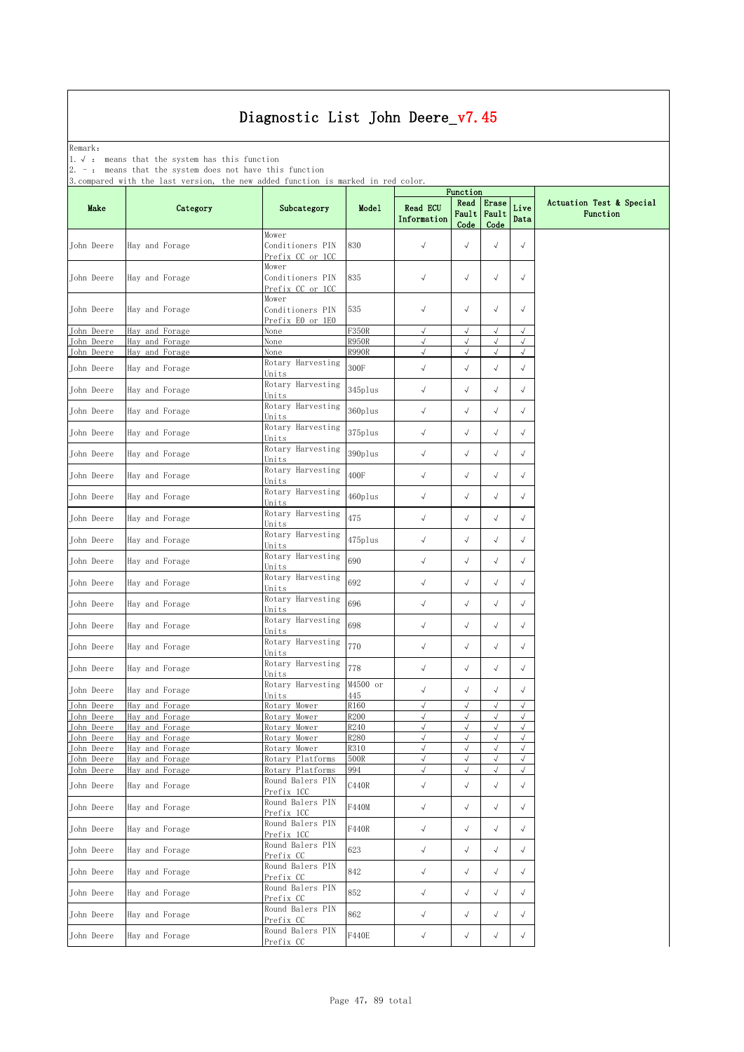Remark: The contract of the contract of  $\mathbb{R}$  and  $\mathbb{R}$  are contract of  $\mathbb{R}$  and  $\mathbb{R}$  are contract of  $\mathbb{R}$  and  $\mathbb{R}$  are contract of  $\mathbb{R}$  and  $\mathbb{R}$  are contract of  $\mathbb{R}$  and  $\mathbb{R}$  are cont

1.√ : means that the system has this function

2. - : means that the system does not have this function

| $\ldots$                 |                                  |                                               |                      | Function                       |                        |                         |                          |                                      |
|--------------------------|----------------------------------|-----------------------------------------------|----------------------|--------------------------------|------------------------|-------------------------|--------------------------|--------------------------------------|
| Make                     | Category                         | Subcategory                                   | Model                | <b>Read ECU</b><br>Information | Read<br>Fault<br>Code  | Erase<br>Fault<br>Code  | Live<br>Data             | Actuation Test & Special<br>Function |
| John Deere               | Hay and Forage                   | Mower<br>Conditioners PIN<br>Prefix CC or 1CC | 830                  | $\checkmark$                   | $\sqrt{ }$             | $\sqrt{ }$              | $\sqrt{}$                |                                      |
| John Deere               | Hay and Forage                   | Mower<br>Conditioners PIN<br>Prefix CC or 1CC | 835                  | $\sqrt{ }$                     | $\sqrt{}$              | $\sqrt{ }$              | $\sqrt{}$                |                                      |
| John Deere               | Hay and Forage                   | Mower<br>Conditioners PIN<br>Prefix EO or 1EO | 535                  | $\sqrt{ }$                     | $\sqrt{}$              | $\sqrt{ }$              | $\sqrt{}$                |                                      |
| John Deere               | Hay and Forage                   | None                                          | <b>F350R</b>         | $\sqrt{ }$                     | $\sqrt{ }$             | $\sqrt{ }$              | $\sqrt{}$                |                                      |
| John Deere               | Hay and Forage                   | None                                          | <b>R950R</b>         | $\sqrt{ }$<br>$\sqrt{ }$       | $\sqrt{}$<br>$\sqrt{}$ | $\sqrt{ }$<br>$\sqrt{}$ | $\sqrt{}$<br>$\sqrt{ }$  |                                      |
| John Deere<br>John Deere | Hay and Forage<br>Hay and Forage | None<br>Rotary Harvesting<br>Units            | <b>R990R</b><br>300F | $\sqrt{ }$                     | $\sqrt{}$              | $\sqrt{ }$              | $\checkmark$             |                                      |
| John Deere               | Hay and Forage                   | Rotary Harvesting<br>Units                    | $345$ plus           | $\sqrt{ }$                     | $\sqrt{}$              | $\sqrt{}$               | $\sqrt{}$                |                                      |
| John Deere               | Hay and Forage                   | Rotary Harvesting<br>Units                    | $360 \rm{plus}$      | $\checkmark$                   | $\sqrt{}$              | $\sqrt{ }$              | $\sqrt{}$                |                                      |
| John Deere               | Hay and Forage                   | Rotary Harvesting<br>Units                    | $375p1us$            | $\sqrt{ }$                     | $\sqrt{}$              | $\sqrt{}$               | $\sqrt{ }$               |                                      |
| John Deere               | Hay and Forage                   | Rotary Harvesting<br>Units                    | 390plus              | $\sqrt{ }$                     | $\sqrt{}$              | $\sqrt{ }$              | $\sqrt{}$                |                                      |
| John Deere               | Hay and Forage                   | Rotary Harvesting<br>Units                    | 400F                 | $\sqrt{ }$                     | $\sqrt{ }$             | $\checkmark$            | $\sqrt{}$                |                                      |
| John Deere               | Hay and Forage                   | Rotary Harvesting<br>Units                    | $460$ plus           | $\sqrt{ }$                     | $\sqrt{ }$             | $\sqrt{ }$              | $\sqrt{}$                |                                      |
| John Deere               | Hay and Forage                   | Rotary Harvesting<br>Units                    | 475                  | $\sqrt{}$                      | $\sqrt{\phantom{a}}$   | $\checkmark$            | $\sqrt{}$                |                                      |
| John Deere               | Hay and Forage                   | Rotary Harvesting<br>Units                    | $475 \mathrm{plus}$  | $\sqrt{ }$                     | $\sqrt{ }$             | $\sqrt{ }$              | $\sqrt{}$                |                                      |
| John Deere               | Hay and Forage                   | Rotary Harvesting<br>Units                    | 690                  | $\sqrt{\phantom{a}}$           | $\sqrt{}$              | $\checkmark$            | $\sqrt{}$                |                                      |
| John Deere               | Hay and Forage                   | Rotary Harvesting<br>Units                    | 692                  | $\sqrt{ }$                     | $\sqrt{}$              | $\sqrt{}$               | $\sqrt{}$                |                                      |
| John Deere               | Hay and Forage                   | Rotary Harvesting<br>Units                    | 696                  | $\sqrt{ }$                     | $\sqrt{}$              | $\checkmark$            | $\sqrt{ }$               |                                      |
| John Deere               | Hay and Forage                   | Rotary Harvesting<br>Units                    | 698                  | $\sqrt{ }$                     | $\sqrt{}$              | $\checkmark$            | $\sqrt{ }$               |                                      |
| John Deere               | Hay and Forage                   | Rotary Harvesting<br>Units                    | 770                  | $\sqrt{ }$                     | $\sqrt{}$              | $\sqrt{ }$              | $\sqrt{}$                |                                      |
| John Deere               | Hay and Forage                   | Rotary Harvesting<br>Units                    | 778                  | $\sqrt{ }$                     | $\sqrt{\phantom{a}}$   | $\checkmark$            | $\sqrt{ }$               |                                      |
| John Deere               | Hay and Forage                   | Rotary Harvesting<br>Units                    | M4500 or<br>445      | $\sqrt{ }$                     | $\sqrt{}$              | $\sqrt{ }$              | $\sqrt{ }$               |                                      |
| John Deere               | Hay and Forage                   | Rotary Mower                                  | R160                 | $\sqrt{ }$                     | $\sqrt{}$              | $\sqrt{}$               | $\sqrt{ }$               |                                      |
| John Deere               | Hay and<br>Forage                | Rotary Mower                                  | R200<br>R240         | $\sqrt{ }$<br>$\sqrt{ }$       | √<br>$\sqrt{}$         | √<br>$\sqrt{}$          | $\sqrt{2}$<br>$\sqrt{2}$ |                                      |
| John Deere<br>John Deere | Hay and Forage<br>Hay and Forage | Rotary Mower<br>Rotary Mower                  | R280                 | $\sqrt{}$                      |                        |                         | $\sqrt{}$                |                                      |
| John Deere               | Hay and Forage                   | Rotary Mower                                  | R310                 | $\sqrt{ }$                     | $\sqrt{ }$             | $\sqrt{ }$              | $\sqrt{}$                |                                      |
| John Deere               | Hay and Forage                   | Rotary Platforms                              | 500R                 | $\sqrt{ }$                     | $\sqrt{}$              | $\sqrt{ }$              | $\sqrt{}$                |                                      |
| John Deere               | Hay and Forage                   | Rotary Platforms                              | 994                  | $\sqrt{ }$                     | $\sqrt{2}$             | $\sqrt{ }$              | $\sqrt{2}$               |                                      |
| John Deere               | Hay and Forage                   | Round Balers PIN<br>Prefix 1CC                | C440R                | $\sqrt{}$                      | $\sqrt{ }$             | $\checkmark$            | $\sqrt{}$                |                                      |
| John Deere               | Hay and Forage                   | Round Balers PIN<br>Prefix 1CC                | F440M                | $\sqrt{ }$                     | $\sqrt{}$              | $\sqrt{}$               | $\sqrt{ }$               |                                      |
| John Deere               | Hay and Forage                   | Round Balers PIN<br>Prefix 1CC                | F440R                | $\sqrt{ }$                     | $\sqrt{ }$             | $\sqrt{ }$              | $\sqrt{}$                |                                      |
| John Deere               | Hay and Forage                   | Round Balers PIN<br>Prefix CC                 | 623                  | $\sqrt{ }$                     | $\sqrt{\phantom{a}}$   | $\sqrt{}$               | $\sqrt{}$                |                                      |
| John Deere               | Hay and Forage                   | Round Balers PIN<br>Prefix CC                 | 842                  | $\sqrt{\phantom{a}}$           | $\sqrt{ }$             | $\sqrt{ }$              | $\sqrt{}$                |                                      |
| John Deere               | Hay and Forage                   | Round Balers PIN<br>Prefix CC                 | 852                  | $\sqrt{ }$                     | $\sqrt{ }$             | $\sqrt{ }$              | $\sqrt{}$                |                                      |
| John Deere               | Hay and Forage                   | Round Balers PIN<br>Prefix CC                 | 862                  | $\sqrt{\phantom{a}}$           | $\sqrt{}$              | $\sqrt{}$               | $\sqrt{}$                |                                      |
| John Deere               | Hay and Forage                   | Round Balers PIN<br>Prefix CC                 | ${\rm F440E}$        | $\sqrt{ }$                     | $\sqrt{ }$             | $\sqrt{ }$              | $\sqrt{}$                |                                      |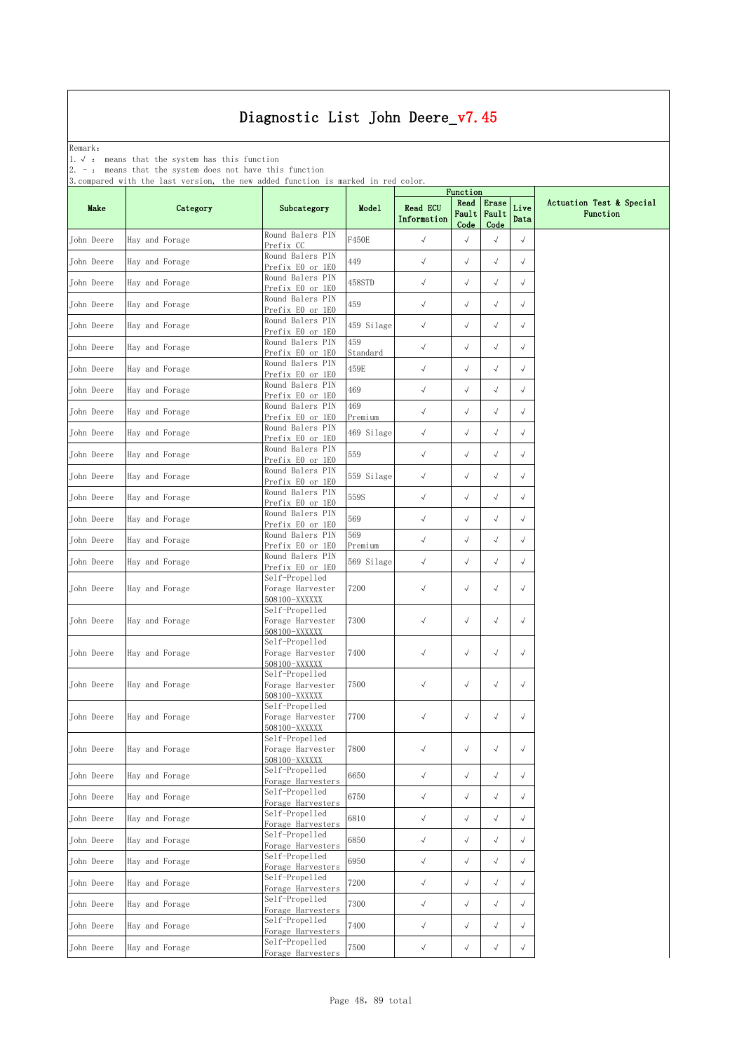Remark: The contract of the contract of  $\mathbb{R}$  and  $\mathbb{R}$  are contract of  $\mathbb{R}$  and  $\mathbb{R}$  are contract of  $\mathbb{R}$  and  $\mathbb{R}$  are contract of  $\mathbb{R}$  and  $\mathbb{R}$  are contract of  $\mathbb{R}$  and  $\mathbb{R}$  are cont

1.√ : means that the system has this function

2. - : means that the system does not have this function

| . compared "reur |                | $a$ ado $a$ ranceron                                     |                       |                                | Function              |                        |              |                                      |
|------------------|----------------|----------------------------------------------------------|-----------------------|--------------------------------|-----------------------|------------------------|--------------|--------------------------------------|
| Make             | Category       | Subcategory                                              | Model                 | <b>Read ECU</b><br>Information | Read<br>Fault<br>Code | Erase<br>Fault<br>Code | Live<br>Data | Actuation Test & Special<br>Function |
| John Deere       | Hay and Forage | Round Balers PIN<br>Prefix CC                            | <b>F450E</b>          | $\checkmark$                   | $\sqrt{ }$            | $\sqrt{}$              | $\sqrt{}$    |                                      |
| John Deere       | Hay and Forage | Round Balers PIN<br>Prefix EO or 1EO                     | 449                   | $\checkmark$                   | $\sqrt{}$             | $\sqrt{ }$             | $\sqrt{}$    |                                      |
| John Deere       | Hay and Forage | Round Balers PIN<br>Prefix EO or 1EO                     | 458STD                | $\checkmark$                   | $\sqrt{}$             | $\sqrt{}$              | $\sqrt{ }$   |                                      |
| John Deere       | Hay and Forage | Round Balers PIN<br>Prefix EO or 1EO                     | 459                   | $\sqrt{ }$                     | $\sqrt{ }$            | $\sqrt{ }$             | $\sqrt{}$    |                                      |
| John Deere       | Hay and Forage | Round Balers PIN<br>Prefix E0 or 1E0                     | 459 Silage            | $\checkmark$                   | $\sqrt{}$             | $\sqrt{ }$             | $\sqrt{}$    |                                      |
| John Deere       | Hay and Forage | Round Balers PIN<br>Prefix EO or 1EO                     | 459<br>Standard       | $\checkmark$                   | $\sqrt{ }$            | $\sqrt{ }$             | $\sqrt{}$    |                                      |
| John Deere       | Hay and Forage | Round Balers PIN<br>Prefix EO or 1EO                     | 459E                  | $\sqrt{ }$                     | $\sqrt{ }$            | $\sqrt{ }$             | $\sqrt{}$    |                                      |
| John Deere       | Hay and Forage | Round Balers PIN<br>Prefix EO or 1EO                     | 469                   | $\sqrt{ }$                     | $\sqrt{ }$            | $\sqrt{ }$             | $\sqrt{}$    |                                      |
| John Deere       | Hay and Forage | Round Balers PIN<br>Prefix EO or 1EO                     | 469<br>Premium        | $\checkmark$                   | $\sqrt{}$             | $\sqrt{ }$             | $\checkmark$ |                                      |
| John Deere       | Hay and Forage | Round Balers PIN                                         | 469 Silage            | $\checkmark$                   | $\sqrt{ }$            | $\sqrt{ }$             | $\sqrt{}$    |                                      |
| John Deere       | Hay and Forage | Prefix EO or 1EO<br>Round Balers PIN                     | 559                   | $\checkmark$                   | $\sqrt{ }$            | $\sqrt{ }$             | $\sqrt{}$    |                                      |
| John Deere       | Hay and Forage | Prefix EO or 1EO<br>Round Balers PIN<br>Prefix EO or 1EO | 559 Silage            | $\sqrt{ }$                     | $\sqrt{}$             | $\sqrt{ }$             | $\sqrt{}$    |                                      |
| John Deere       | Hay and Forage | Round Balers PIN                                         | 559S                  | $\checkmark$                   | $\sqrt{ }$            | $\sqrt{ }$             | $\sqrt{}$    |                                      |
| John Deere       | Hav and Forage | Prefix EO or 1EO<br>Round Balers PIN<br>Prefix EO or 1EO | 569                   | $\checkmark$                   | $\sqrt{ }$            | $\sqrt{ }$             | $\sqrt{ }$   |                                      |
| John Deere       | Hay and Forage | Round Balers PIN                                         | 569                   | $\checkmark$                   | $\checkmark$          | $\sqrt{ }$             | $\sqrt{}$    |                                      |
| John Deere       | Hay and Forage | Prefix EO or 1EO<br>Round Balers PIN<br>Prefix EO or 1EO | Premium<br>569 Silage | $\checkmark$                   | $\sqrt{}$             | $\sqrt{ }$             | $\checkmark$ |                                      |
| John Deere       | Hay and Forage | Self-Propelled<br>Forage Harvester<br>508100-XXXXXX      | 7200                  | $\checkmark$                   | $\sqrt{ }$            | $\sqrt{ }$             | $\sqrt{}$    |                                      |
| John Deere       | Hay and Forage | Self-Propelled<br>Forage Harvester<br>508100-XXXXXX      | 7300                  | $\checkmark$                   | $\sqrt{ }$            | $\sqrt{}$              | $\sqrt{}$    |                                      |
| John Deere       | Hay and Forage | Self-Propelled<br>Forage Harvester<br>508100-XXXXXX      | 7400                  | $\checkmark$                   | $\checkmark$          | $\sqrt{ }$             | $\sqrt{}$    |                                      |
| John Deere       | Hay and Forage | Self-Propelled<br>Forage Harvester<br>508100-XXXXXX      | 7500                  | $\checkmark$                   | $\sqrt{ }$            | $\sqrt{ }$             | $\sqrt{}$    |                                      |
| John Deere       | Hay and Forage | Self-Propelled<br>Forage Harvester<br>508100-XXXXXX      | 7700                  | $\checkmark$                   | $\sqrt{ }$            | $\sqrt{ }$             | $\checkmark$ |                                      |
| John Deere       | Hay and Forage | Self-Propelled<br>Forage Harvester<br>508100-XXXXXX      | 7800                  | $\sqrt{ }$                     | $\sqrt{}$             | √                      | $\sqrt{}$    |                                      |
| John Deere       | Hay and Forage | Self-Propelled<br>Forage Harvesters                      | 6650                  | $\checkmark$                   | $\sqrt{}$             | $\sqrt{}$              | $\sqrt{}$    |                                      |
| John Deere       | Hay and Forage | Self-Propelled<br>Forage Harvesters                      | 6750                  | $\checkmark$                   | $\checkmark$          | $\sqrt{ }$             | $\sqrt{}$    |                                      |
| John Deere       | Hay and Forage | Self-Propelled<br>Forage Harvesters                      | 6810                  | $\checkmark$                   | $\sqrt{ }$            | $\sqrt{ }$             | $\sqrt{}$    |                                      |
| John Deere       | Hay and Forage | Self-Propelled<br>Forage Harvesters                      | 6850                  | $\sqrt{ }$                     | $\sqrt{ }$            | $\sqrt{}$              | $\sqrt{}$    |                                      |
| John Deere       | Hay and Forage | Self-Propelled<br>Forage Harvesters                      | 6950                  | $\checkmark$                   | $\sqrt{}$             | $\sqrt{}$              | $\sqrt{}$    |                                      |
| John Deere       | Hay and Forage | Self-Propelled<br>Forage Harvesters                      | 7200                  | $\checkmark$                   | $\sqrt{ }$            | $\sqrt{2}$             | $\sqrt{}$    |                                      |
| John Deere       | Hay and Forage | Self-Propelled<br>Forage Harvesters                      | 7300                  | $\checkmark$                   | $\sqrt{ }$            | $\sqrt{}$              | $\checkmark$ |                                      |
| John Deere       | Hay and Forage | Self-Propelled<br>Forage Harvesters                      | 7400                  | $\checkmark$                   | $\sqrt{}$             | $\checkmark$           | $\checkmark$ |                                      |
| John Deere       | Hay and Forage | Self-Propelled<br>Forage Harvesters                      | 7500                  | $\sqrt{ }$                     | $\checkmark$          | $\sqrt{ }$             | $\checkmark$ |                                      |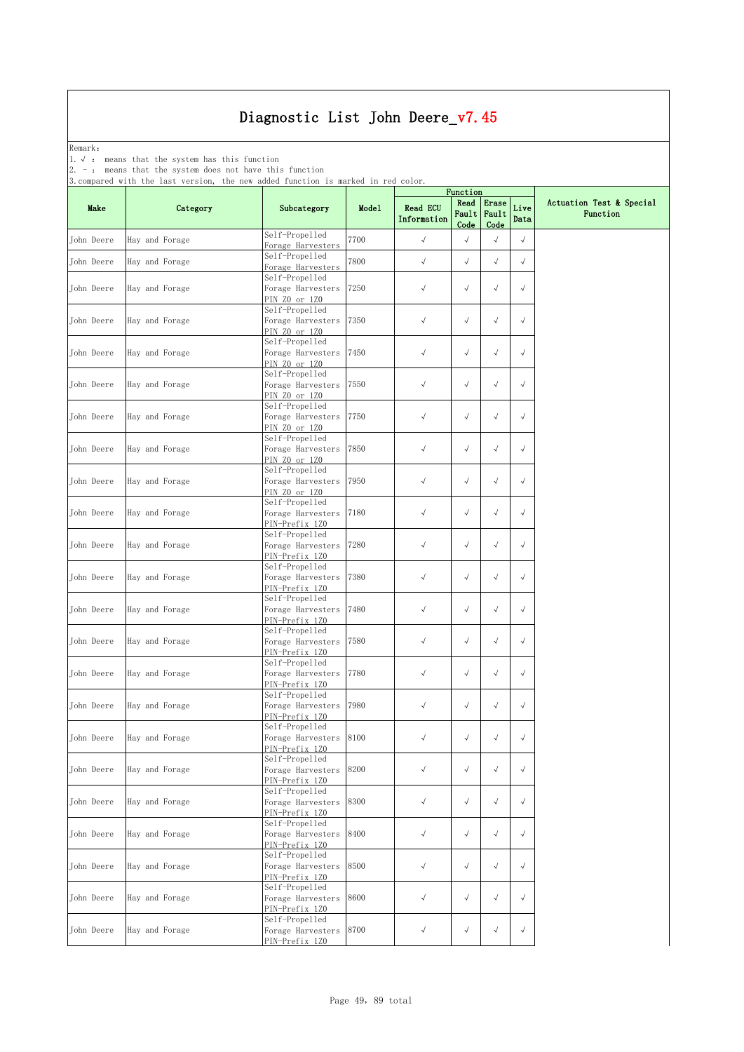Remark: The contract of the contract of  $\mathbb{R}$  and  $\mathbb{R}$  are contract of  $\mathbb{R}$  and  $\mathbb{R}$  are contract of  $\mathbb{R}$  and  $\mathbb{R}$  are contract of  $\mathbb{R}$  and  $\mathbb{R}$  are contract of  $\mathbb{R}$  and  $\mathbb{R}$  are cont

1.√ : means that the system has this function

2. - : means that the system does not have this function

|            |                |                                                      |       |                                | Function                    |               |              |                                      |
|------------|----------------|------------------------------------------------------|-------|--------------------------------|-----------------------------|---------------|--------------|--------------------------------------|
| Make       | Category       | Subcategory                                          | Model | <b>Read ECU</b><br>Information | Read<br>Fault Fault<br>Code | Erase<br>Code | Live<br>Data | Actuation Test & Special<br>Function |
| John Deere | Hay and Forage | Self-Propelled<br>Forage Harvesters                  | 7700  | $\checkmark$                   | $\sqrt{ }$                  | $\sqrt{}$     | $\sqrt{}$    |                                      |
| John Deere | Hay and Forage | Self-Propelled<br>Forage Harvesters                  | 7800  | $\sqrt{ }$                     | $\sqrt{ }$                  | $\sqrt{ }$    | $\sqrt{}$    |                                      |
| John Deere | Hay and Forage | Self-Propelled<br>Forage Harvesters                  | 7250  | $\checkmark$                   | $\sqrt{ }$                  | $\checkmark$  | $\sqrt{ }$   |                                      |
|            |                | PIN Z0 or 1Z0<br>Self-Propelled                      |       |                                |                             |               |              |                                      |
| John Deere | Hay and Forage | Forage Harvesters<br>PIN Z0 or 1Z0                   | 7350  | $\checkmark$                   | $\sqrt{ }$                  | $\sqrt{ }$    | $\sqrt{}$    |                                      |
| John Deere | Hay and Forage | Self-Propelled<br>Forage Harvesters<br>PIN Z0 or 1Z0 | 7450  | $\checkmark$                   | $\sqrt{ }$                  | $\sqrt{}$     | $\sqrt{}$    |                                      |
|            |                | Self-Propelled                                       |       |                                |                             |               |              |                                      |
| John Deere | Hay and Forage | Forage Harvesters<br>PIN ZO or 1ZO                   | 7550  | $\checkmark$                   | $\sqrt{ }$                  | $\sqrt{ }$    | $\sqrt{}$    |                                      |
| John Deere | Hay and Forage | Self-Propelled<br>Forage Harvesters                  | 7750  | $\checkmark$                   | $\sqrt{ }$                  | $\sqrt{ }$    | $\sqrt{}$    |                                      |
|            |                | PIN Z0 or 1Z0<br>Self-Propelled                      |       |                                |                             |               |              |                                      |
| John Deere | Hay and Forage | Forage Harvesters<br>PIN Z0 or 1Z0                   | 7850  | $\checkmark$                   | $\sqrt{ }$                  | $\sqrt{ }$    | $\sqrt{ }$   |                                      |
|            |                | Self-Propelled                                       |       |                                |                             |               |              |                                      |
| John Deere | Hay and Forage | Forage Harvesters<br>PIN Z0 or 1Z0                   | 7950  | $\checkmark$                   | $\sqrt{ }$                  | $\sqrt{ }$    | $\sqrt{}$    |                                      |
| John Deere | Hay and Forage | Self-Propelled<br>Forage Harvesters                  | 7180  | $\sqrt{ }$                     | $\sqrt{ }$                  | $\sqrt{ }$    | $\sqrt{}$    |                                      |
|            |                | PIN-Prefix 1Z0                                       |       |                                |                             |               |              |                                      |
| John Deere | Hay and Forage | Self-Propelled<br>Forage Harvesters                  | 7280  | $\checkmark$                   | $\sqrt{ }$                  | $\sqrt{ }$    | $\sqrt{}$    |                                      |
|            |                | PIN-Prefix 1Z0                                       |       |                                |                             |               |              |                                      |
| John Deere | Hay and Forage | Self-Propelled<br>Forage Harvesters                  | 7380  | $\checkmark$                   | $\sqrt{ }$                  | $\sqrt{}$     | $\sqrt{}$    |                                      |
|            |                | PIN-Prefix 1Z0<br>Self-Propelled                     |       |                                |                             |               |              |                                      |
| John Deere | Hay and Forage | Forage Harvesters                                    | 7480  | $\checkmark$                   | $\sqrt{ }$                  | $\sqrt{ }$    | $\sqrt{}$    |                                      |
|            |                | PIN-Prefix 1Z0<br>Self-Propelled                     |       |                                |                             |               |              |                                      |
| John Deere | Hay and Forage | Forage Harvesters                                    | 7580  | $\checkmark$                   | $\sqrt{ }$                  | $\sqrt{}$     | $\sqrt{}$    |                                      |
|            |                | PIN-Prefix 1Z0<br>Self-Propelled                     |       |                                |                             |               |              |                                      |
| John Deere | Hay and Forage | Forage Harvesters                                    | 7780  | $\checkmark$                   | $\sqrt{ }$                  | $\sqrt{ }$    | $\sqrt{}$    |                                      |
|            |                | PIN-Prefix 1Z0<br>Self-Propelled                     |       |                                |                             |               |              |                                      |
| John Deere | Hay and Forage | Forage Harvesters                                    | 7980  | $\checkmark$                   | $\sqrt{ }$                  | $\sqrt{ }$    | $\sqrt{}$    |                                      |
|            |                | PIN-Prefix 1Z0<br>Self-Propelled                     |       |                                |                             |               |              |                                      |
| John Deere | Hay and Forage | Forage Harvesters<br>PIN-Prefix 1Z0                  | 8100  | $\sqrt{}$                      | $\sqrt{}$                   | $\sqrt{ }$    | $\sqrt{ }$   |                                      |
|            |                | Self-Propelled                                       |       |                                |                             |               |              |                                      |
| John Deere | Hay and Forage | Forage Harvesters<br>PIN-Prefix 1Z0                  | 8200  | $\sqrt{ }$                     | $\checkmark$                | $\sqrt{ }$    | $\sqrt{}$    |                                      |
|            |                | Self-Propelled                                       |       |                                |                             |               |              |                                      |
| John Deere | Hay and Forage | Forage Harvesters<br>PIN-Prefix 1Z0                  | 8300  | $\checkmark$                   | $\sqrt{ }$                  | $\sqrt{}$     | $\sqrt{ }$   |                                      |
|            |                | Self-Propelled                                       |       |                                |                             | $\sqrt{}$     |              |                                      |
| John Deere | Hay and Forage | Forage Harvesters<br>PIN-Prefix 1Z0                  | 8400  | $\sqrt{ }$                     | $\sqrt{ }$                  |               | $\sqrt{}$    |                                      |
| John Deere | Hay and Forage | Self-Propelled<br>Forage Harvesters                  | 8500  | $\checkmark$                   | $\sqrt{ }$                  | $\checkmark$  | $\sqrt{}$    |                                      |
|            |                | PIN-Prefix 1Z0                                       |       |                                |                             |               |              |                                      |
| John Deere | Hay and Forage | Self-Propelled<br>Forage Harvesters                  | 8600  | $\checkmark$                   | $\sqrt{ }$                  | $\sqrt{ }$    | $\sqrt{}$    |                                      |
|            |                | PIN-Prefix 1Z0                                       |       |                                |                             |               |              |                                      |
| John Deere | Hay and Forage | Self-Propelled<br>Forage Harvesters                  | 8700  | $\sqrt{ }$                     | $\sqrt{ }$                  | $\sqrt{}$     | $\sqrt{}$    |                                      |
|            |                | PIN-Prefix 1Z0                                       |       |                                |                             |               |              |                                      |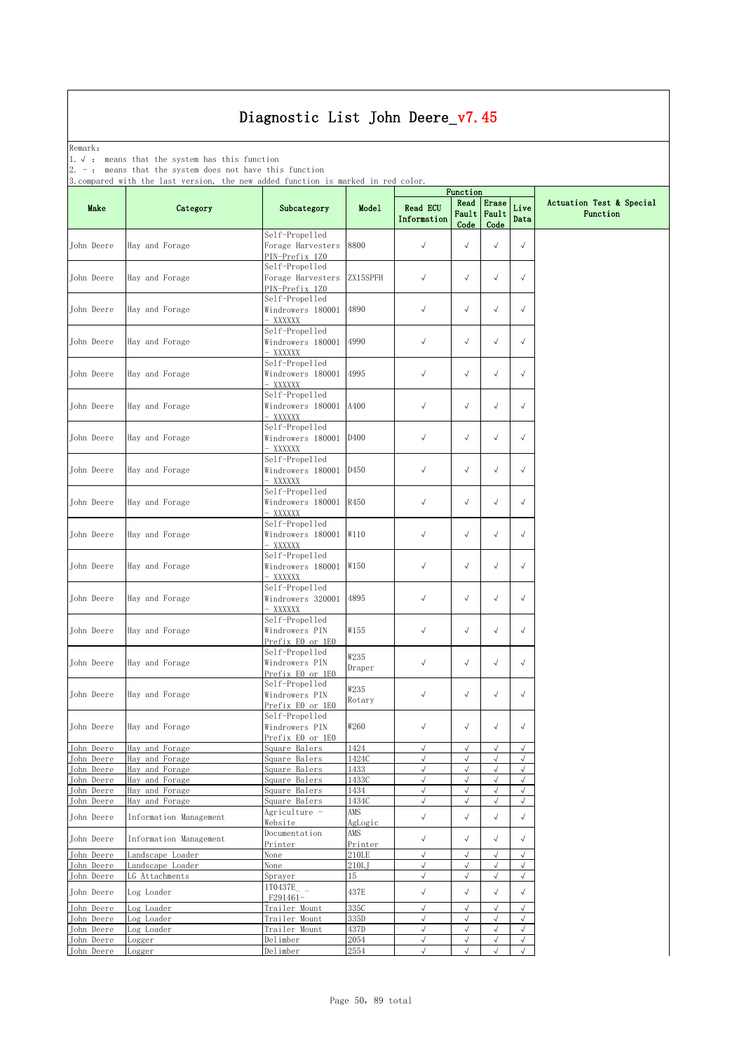Remark: The contract of the contract of  $\mathbb{R}$  and  $\mathbb{R}$  are contract of  $\mathbb{R}$  and  $\mathbb{R}$  are contract of  $\mathbb{R}$  and  $\mathbb{R}$  are contract of  $\mathbb{R}$  and  $\mathbb{R}$  are contract of  $\mathbb{R}$  and  $\mathbb{R}$  are cont

1.√ : means that the system has this function

2. - : means that the system does not have this function

|                          |                                            |                                                       |                         |                                | Function                     |                         |                          |                                      |
|--------------------------|--------------------------------------------|-------------------------------------------------------|-------------------------|--------------------------------|------------------------------|-------------------------|--------------------------|--------------------------------------|
| Make                     | Category                                   | Subcategory                                           | Model                   | <b>Read ECU</b><br>Information | Read<br><b>Fault</b><br>Code | Erase<br>Fault<br>Code  | Live<br>Data             | Actuation Test & Special<br>Function |
| John Deere               | Hay and Forage                             | Self-Propelled<br>Forage Harvesters<br>PIN-Prefix 1ZO | 8800                    | $\sqrt{ }$                     | $\sqrt{ }$                   | $\checkmark$            | $\sqrt{ }$               |                                      |
| John Deere               | Hay and Forage                             | Self-Propelled<br>Forage Harvesters<br>PIN-Prefix 1Z0 | ZX15SPFH                | $\sqrt{ }$                     | $\sqrt{ }$                   | $\sqrt{ }$              | $\sqrt{}$                |                                      |
| John Deere               | Hay and Forage                             | Self-Propelled<br>Windrowers 180001<br>XXXXXX         | 4890                    | $\sqrt{}$                      | $\sqrt{ }$                   | $\sqrt{}$               | $\sqrt{}$                |                                      |
| John Deere               | Hay and Forage                             | Self-Propelled<br>Windrowers 180001<br>- XXXXXX       | 4990                    | $\checkmark$                   | $\sqrt{ }$                   | $\sqrt{ }$              | $\sqrt{}$                |                                      |
| John Deere               | Hay and Forage                             | Self-Propelled<br>Windrowers 180001<br>XXXXXX         | 4995                    | $\sqrt{}$                      | $\sqrt{ }$                   | $\sqrt{ }$              | $\sqrt{}$                |                                      |
| John Deere               | Hay and Forage                             | Self-Propelled<br>Windrowers 180001<br>XXXXXX         | A400                    | $\sqrt{ }$                     | $\sqrt{ }$                   | $\sqrt{ }$              | $\sqrt{}$                |                                      |
| John Deere               | Hay and Forage                             | Self-Propelled<br>Windrowers 180001<br>- XXXXXX       | D400                    | $\sqrt{}$                      | $\sqrt{ }$                   | $\checkmark$            | $\sqrt{}$                |                                      |
| John Deere               | Hay and Forage                             | Self-Propelled<br>Windrowers 180001<br>XXXXXX         | D450                    | $\checkmark$                   | $\sqrt{ }$                   | $\checkmark$            | $\sqrt{}$                |                                      |
| John Deere               | Hay and Forage                             | Self-Propelled<br>Windrowers 180001<br>XXXXXX         | R450                    | $\sqrt{ }$                     | $\sqrt{ }$                   | $\sqrt{ }$              | $\sqrt{}$                |                                      |
| John Deere               | Hay and Forage                             | Self-Propelled<br>Windrowers 180001<br>XXXXXX         | W110                    | $\checkmark$                   | $\sqrt{ }$                   | $\sqrt{}$               | $\sqrt{}$                |                                      |
| John Deere               | Hay and Forage                             | Self-Propelled<br>Windrowers 180001<br>- XXXXXX       | W150                    | $\checkmark$                   | $\sqrt{}$                    | $\checkmark$            | $\sqrt{}$                |                                      |
| John Deere               | Hay and Forage                             | Self-Propelled<br>Windrowers 320001<br>XXXXXX         | 4895                    | $\sqrt{}$                      | $\sqrt{ }$                   | $\sqrt{}$               | $\sqrt{}$                |                                      |
| John Deere               | Hay and Forage                             | Self-Propelled<br>Windrowers PIN<br>Prefix EO or 1EO  | W155                    | $\sqrt{}$                      | $\sqrt{ }$                   | $\sqrt{}$               | $\sqrt{}$                |                                      |
| John Deere               | Hay and Forage                             | Self-Propelled<br>Windrowers PIN<br>Prefix EO or 1EO  | W235<br>Draper          | $\sqrt{}$                      | $\sqrt{ }$                   | $\checkmark$            | $\sqrt{}$                |                                      |
| John Deere               | Hay and Forage                             | Self-Propelled<br>Windrowers PIN<br>Prefix EO or 1EO  | W235<br>Rotary          | $\checkmark$                   | $\sqrt{ }$                   | $\checkmark$            | $\sqrt{}$                |                                      |
| John Deere               | Hay and Forage                             | Self-Propelled<br>Windrowers PIN<br>Prefix EO or 1EO  | W260                    | $\sqrt{ }$                     | $\sqrt{2}$                   | √                       | $\sqrt{}$                |                                      |
| John Deere               | Hay and Forage                             | Square Balers                                         | 1424                    | $\sqrt{ }$<br>$\sqrt{ }$       | $\sqrt{ }$<br>$\sqrt{ }$     | $\sqrt{ }$              | $\sqrt{ }$               |                                      |
| John Deere<br>John Deere | Hay and Forage<br>Hay and Forage           | Square Balers<br>Square Balers                        | 1424C<br>1433           | √                              | $\sqrt{ }$                   | $\sqrt{}$<br>$\sqrt{2}$ | $\sqrt{2}$<br>$\sqrt{2}$ |                                      |
| John Deere               | Hay and Forage                             | Square Balers                                         | 1433C                   | $\sqrt{ }$                     | $\sqrt{}$                    | $\sqrt{ }$              | $\sqrt{2}$               |                                      |
| <u>John Deere</u>        | Hay and Forage                             | Square Balers                                         | 1434                    | $\sqrt{ }$                     | $\sqrt{ }$                   | $\sqrt{}$               | $\sqrt{ }$               |                                      |
| John Deere               | Hay and Forage                             | Square Balers                                         | 1434C                   | $\sqrt{ }$                     | $\sqrt{ }$                   | $\sqrt{}$               | $\sqrt{ }$               |                                      |
| John Deere               | Information Management                     | Agriculture -<br>Website                              | AMS<br>AgLogic          | $\sqrt{ }$                     | $\sqrt{}$                    | $\sqrt{}$               | $\sqrt{}$                |                                      |
| John Deere<br>John Deere | Information Management<br>Landscape Loader | Documentation<br>Printer<br>None                      | AMS<br>Printer<br>210LE | $\sqrt{}$<br>$\sqrt{ }$        | $\sqrt{ }$                   | $\sqrt{}$               | $\sqrt{}$<br>$\sqrt{}$   |                                      |
| John Deere               | Landscape Loader                           | None                                                  | 210LJ                   | $\sqrt{ }$                     | $\sqrt{ }$                   | $\sqrt{}$               | $\sqrt{2}$               |                                      |
| John Deere               | LG Attachments<br>Log Loader               | Sprayer<br>1T0437E_ _                                 | 15<br>437E              | $\sqrt{ }$<br>$\sqrt{ }$       | $\sqrt{}$<br>$\sqrt{ }$      | $\sqrt{}$<br>$\sqrt{}$  | $\sqrt{}$<br>$\sqrt{}$   |                                      |
| John Deere<br>John Deere | Log Loader                                 | $F291461-$<br>Trailer Mount                           | 335C                    | $\sqrt{ }$                     | $\checkmark$                 | $\sqrt{}$               | $\sqrt{2}$               |                                      |
| John Deere               | Log Loader                                 | Trailer Mount                                         | 335D                    | $\sqrt{ }$                     | √                            | $\sqrt{}$               | $\sqrt{ }$               |                                      |
| John Deere               | Log Loader                                 | Trailer Mount                                         | 437D                    | $\sqrt{ }$                     | $\sqrt{ }$                   | $\sqrt{}$               | $\sqrt{2}$               |                                      |
| John Deere               | Logger                                     | Delimber                                              | 2054                    | $\sqrt{}$                      | $\sqrt{ }$                   | $\sqrt{}$               | $\sqrt{2}$               |                                      |
| John Deere               | Logger                                     | Delimber                                              | 2554                    | $\sqrt{2}$                     | $\sqrt{2}$                   | $\sqrt{}$               | $\sqrt{ }$               |                                      |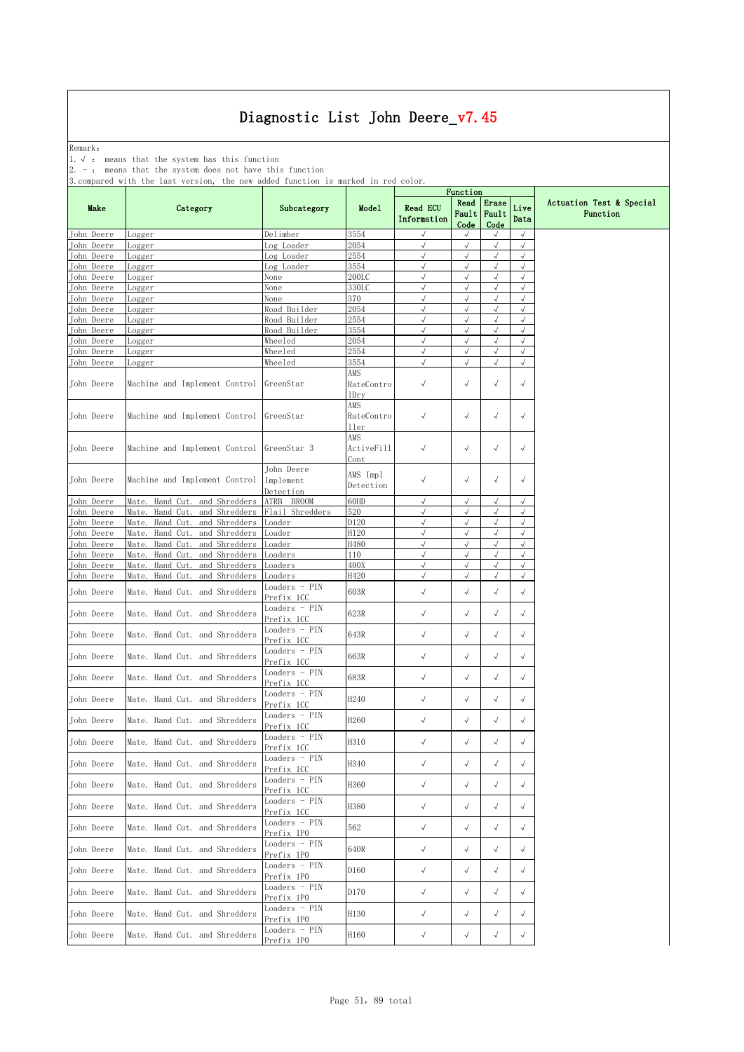Remark: The contract of the contract of  $\mathbb{R}$  and  $\mathbb{R}$  are contract of  $\mathbb{R}$  and  $\mathbb{R}$  are contract of  $\mathbb{R}$  and  $\mathbb{R}$  are contract of  $\mathbb{R}$  and  $\mathbb{R}$  are contract of  $\mathbb{R}$  and  $\mathbb{R}$  are cont

1.√ : means that the system has this function

2. - : means that the system does not have this function

| Read<br>Erase<br>Actuation Test & Special<br><b>Read ECU</b><br>Make<br>Subcategory<br>Model<br>Live<br>Category<br>Fault<br>Fault<br>Function<br>Data<br>Information<br>Code<br>Code<br>3554<br>Delimber<br>√<br>$\sqrt{}$<br>$\sqrt{ }$<br>$\sqrt{}$<br>Logger<br>2054<br>$\sqrt{}$<br>Log Loader<br>$\sqrt{ }$<br>$\sqrt{}$<br>$\sqrt{ }$<br>ogger<br>2554<br>$\sqrt{ }$<br>$\sqrt{}$<br>$\sqrt{ }$<br>$\sqrt{2}$<br>Log Loader<br>Logger<br>$\sqrt{ }$<br>$\sqrt{}$<br>$\sqrt{ }$<br>$\sqrt{ }$<br>John Deere<br>3554<br>Logger<br>Log Loader<br>$\sqrt{ }$<br>$\sqrt{ }$<br>John Deere<br>None<br>200LC<br>$\sqrt{}$<br>$\sqrt{}$<br>Logger<br>$\sqrt{ }$<br>$\sqrt{}$<br>$\sqrt{}$<br>$\sqrt{ }$<br>330LC<br>John Deere<br>None<br>Logger<br>$\sqrt{2}$<br>John Deere<br>370<br>$\sqrt{ }$<br>√<br>Logger<br>None<br>$\sqrt{2}$<br>$\sqrt{}$<br>$\sqrt{ }$<br>$\sqrt{ }$<br>Road Builder<br>2054<br>John Deere<br>Logger<br>2554<br>$\sqrt{ }$<br>$\sqrt{}$<br>$\sqrt{ }$<br>$\sqrt{}$<br>Road Builder<br>John Deere<br>Logger<br>Road Builder<br>$\sqrt{}$<br>$\sqrt{2}$<br>John Deere<br>3554<br>$\sqrt{ }$<br>$\sqrt{}$<br>Logger<br><b>John Deere</b><br>Wheeled<br>2054<br>$\sqrt{}$<br>$\sqrt{}$<br>$\sqrt{ }$<br>$\sqrt{ }$<br>ogger<br>$\sqrt{ }$<br>2554<br>$\sqrt{}$<br>$\sqrt{}$<br>John Deere<br>Wheeled<br>$\sqrt{ }$<br>Logger<br>$\sqrt{}$<br>$\sqrt{}$<br>$\sqrt{ }$<br>Wheeled<br>3554<br>$\sqrt{ }$<br>John Deere<br>Logger<br>AMS<br>$\sqrt{ }$<br>$\sqrt{ }$<br>$\sqrt{}$<br>John Deere<br>Machine and Implement Control<br>GreenStar<br>RateContro<br>$\sqrt{ }$<br>1 <sub>Dry</sub><br>AMS<br>Machine and Implement Control<br>$\sqrt{ }$<br>$\sqrt{}$<br>John Deere<br>GreenStar<br>$\sqrt{ }$<br>$\sqrt{ }$<br>RateContro<br>ller<br>AMS<br>John Deere<br>Machine and Implement Control GreenStar 3<br>$\sqrt{ }$<br>√<br>$\sqrt{ }$<br>ActiveFill<br>$\sqrt{}$<br>Cont<br>John Deere<br>AMS Impl<br>Machine and Implement Control<br>$\sqrt{ }$<br>$\sqrt{ }$<br>$\sqrt{}$<br>John Deere<br>$\sqrt{}$<br>Implement<br>Detection<br>Detection<br>and Shredders<br>$\sqrt{}$<br>John Deere<br>Hand<br>Cut.<br>ATRB<br><b>BROOM</b><br>60HD<br>$\sqrt{}$<br>J<br>J<br>Mate.<br>John Deere<br>Hand Cut.<br>and Shredders<br>Flail Shredders<br>520<br>$\sqrt{}$<br>$\sqrt{}$<br>$\sqrt{ }$<br>$\sqrt{}$<br>Mate.<br>$\sqrt{ }$<br>$\sqrt{}$<br>and Shredders<br>$\sqrt{ }$<br>$\sqrt{ }$<br>John Deere<br>Mate.<br>Hand Cut.<br>Loader<br>D120<br>Hand Cut.<br>and Shredders<br>H120<br>$\sqrt{2}$<br>$\sqrt{}$<br>$\sqrt{ }$<br>$\sqrt{2}$<br><b>John Deere</b><br>Mate.<br>Loader<br>$\sqrt{ }$<br>$\sqrt{}$<br>$\checkmark$<br>$\sqrt{ }$<br>John Deere<br>Hand Cut.<br>and Shredders<br>H480<br>Mate.<br>Loader<br>John Deere<br>Hand Cut.<br>and Shredders<br>$\sqrt{ }$<br>$\sqrt{}$<br>Mate.<br>Loaders<br>110<br>$\sqrt{}$<br>$\sqrt{}$<br>$\sqrt{}$<br>$\sqrt{ }$<br>$\sqrt{}$<br>$\sqrt{2}$<br>John Deere<br>and Shredders<br>400X<br>Mate.<br>Hand Cut.<br>Loaders<br>$\sqrt{ }$<br>John Deere<br>Hand Cut. and Shredders<br>H420<br>$\sqrt{}$<br>Mate.<br>Loaders<br>√<br>$\checkmark$<br>Loaders - PIN<br>$\sqrt{ }$<br>$\sqrt{ }$<br>John Deere<br>Mate. Hand Cut. and Shredders<br>603R<br>$\sqrt{}$<br>$\sqrt{}$<br>Prefix 1CC<br>Loaders - PIN<br>$\sqrt{ }$<br>Mate. Hand Cut. and Shredders<br>623R<br>$\sqrt{ }$<br>$\sqrt{}$<br>John Deere<br>$\sqrt{}$<br>Prefix 1CC<br>Loaders - PIN<br>$\checkmark$<br>$\sqrt{ }$<br>John Deere<br>Mate. Hand Cut. and Shredders<br>643R<br>$\sqrt{ }$<br>$\sqrt{ }$<br>Prefix 1CC<br>Loaders - PIN<br>$\sqrt{ }$<br>$\sqrt{ }$<br>Mate. Hand Cut. and Shredders<br>663R<br>$\sqrt{}$<br>$\sqrt{}$<br>John Deere<br>Prefix 1CC<br>Loaders - PIN<br>$\checkmark$<br>$\sqrt{ }$<br>John Deere<br>Mate. Hand Cut. and Shredders<br>683R<br>$\sqrt{}$<br>$\sqrt{ }$<br>Prefix 1CC<br>Loaders - PIN<br>$\sqrt{ }$<br>John Deere<br>Mate. Hand Cut. and Shredders<br>H <sub>240</sub><br>$\sqrt{ }$<br>$\sqrt{}$<br>$\sqrt{}$<br>Prefix 1CC<br>Loaders - PIN<br>$\sqrt{ }$<br>John Deere<br>Mate. Hand Cut. and Shredders<br>H <sub>260</sub><br>$\sqrt{ }$<br>$\sqrt{}$<br>$\sqrt{}$<br>Prefix 1CC<br>Loaders - PIN<br>H310<br>$\sqrt{}$<br>$\sqrt{}$<br>$\sqrt{}$<br>John Deere<br>Mate. Hand Cut. and Shredders<br>$\sqrt{ }$<br>Prefix 1CC<br>Loaders - PIN<br>$\sqrt{ }$<br>$\sqrt{ }$<br>$\sqrt{}$<br>Mate. Hand Cut. and Shredders<br>H340<br>John Deere<br>$\sqrt{}$<br>Prefix 1CC<br>Loaders - PIN<br>H360<br>$\checkmark$<br>$\checkmark$<br>Mate. Hand Cut. and Shredders<br>$\sqrt{}$<br>John Deere<br>$\sqrt{}$<br>Prefix 1CC<br>Loaders - PIN<br>$\checkmark$<br>$\sqrt{ }$<br>$\sqrt{ }$<br>John Deere<br>Mate. Hand Cut. and Shredders<br>H380<br>$\sqrt{ }$<br>Prefix 1CC<br>Loaders - PIN<br>$\checkmark$<br>$\sqrt{ }$<br>$\sqrt{ }$<br>Mate. Hand Cut. and Shredders<br>562<br>$\sqrt{ }$<br>John Deere<br>Prefix 1PO<br>Loaders - PIN<br>John Deere<br>Mate. Hand Cut. and Shredders<br>640R<br>$\sqrt{ }$<br>$\sqrt{ }$<br>$\sqrt{}$<br>$\sqrt{ }$<br>Prefix 1PO<br>Loaders - PIN<br>$\sqrt{ }$<br>$\sqrt{}$<br>John Deere<br>Mate. Hand Cut. and Shredders<br>D160<br>$\sqrt{ }$<br>$\sqrt{ }$<br>Prefix 1PO<br>Loaders - PIN<br>$\sqrt{ }$<br>John Deere<br>Mate. Hand Cut. and Shredders<br>D170<br>$\sqrt{}$<br>$\sqrt{}$<br>$\sqrt{ }$<br>Prefix 1PO<br>Loaders - PIN<br>$\checkmark$<br>$\sqrt{ }$<br>$\sqrt{ }$<br>John Deere<br>Mate. Hand Cut. and Shredders<br>H130<br>$\sqrt{ }$<br>Prefix 1PO<br>Loaders - PIN<br>Mate. Hand Cut. and Shredders<br>H160<br>$\sqrt{ }$<br>$\sqrt{}$<br>John Deere<br>√<br>$\sqrt{ }$<br>Prefix 1PO |            |  |  | Function |  |  |
|--------------------------------------------------------------------------------------------------------------------------------------------------------------------------------------------------------------------------------------------------------------------------------------------------------------------------------------------------------------------------------------------------------------------------------------------------------------------------------------------------------------------------------------------------------------------------------------------------------------------------------------------------------------------------------------------------------------------------------------------------------------------------------------------------------------------------------------------------------------------------------------------------------------------------------------------------------------------------------------------------------------------------------------------------------------------------------------------------------------------------------------------------------------------------------------------------------------------------------------------------------------------------------------------------------------------------------------------------------------------------------------------------------------------------------------------------------------------------------------------------------------------------------------------------------------------------------------------------------------------------------------------------------------------------------------------------------------------------------------------------------------------------------------------------------------------------------------------------------------------------------------------------------------------------------------------------------------------------------------------------------------------------------------------------------------------------------------------------------------------------------------------------------------------------------------------------------------------------------------------------------------------------------------------------------------------------------------------------------------------------------------------------------------------------------------------------------------------------------------------------------------------------------------------------------------------------------------------------------------------------------------------------------------------------------------------------------------------------------------------------------------------------------------------------------------------------------------------------------------------------------------------------------------------------------------------------------------------------------------------------------------------------------------------------------------------------------------------------------------------------------------------------------------------------------------------------------------------------------------------------------------------------------------------------------------------------------------------------------------------------------------------------------------------------------------------------------------------------------------------------------------------------------------------------------------------------------------------------------------------------------------------------------------------------------------------------------------------------------------------------------------------------------------------------------------------------------------------------------------------------------------------------------------------------------------------------------------------------------------------------------------------------------------------------------------------------------------------------------------------------------------------------------------------------------------------------------------------------------------------------------------------------------------------------------------------------------------------------------------------------------------------------------------------------------------------------------------------------------------------------------------------------------------------------------------------------------------------------------------------------------------------------------------------------------------------------------------------------------------------------------------------------------------------------------------------------------------------------------------------------------------------------------------------------------------------------------------------------------------------------------------------------------------------------------------------------------------------------------------------------------------------------------------------------------------------------------------------------------------------------------------------------------------------------------------------------------------------------------------------------------------------------------------------------------------------------------------------------------------------------------------------------------------------------------------------------------------------------------------------------------------------------|------------|--|--|----------|--|--|
|                                                                                                                                                                                                                                                                                                                                                                                                                                                                                                                                                                                                                                                                                                                                                                                                                                                                                                                                                                                                                                                                                                                                                                                                                                                                                                                                                                                                                                                                                                                                                                                                                                                                                                                                                                                                                                                                                                                                                                                                                                                                                                                                                                                                                                                                                                                                                                                                                                                                                                                                                                                                                                                                                                                                                                                                                                                                                                                                                                                                                                                                                                                                                                                                                                                                                                                                                                                                                                                                                                                                                                                                                                                                                                                                                                                                                                                                                                                                                                                                                                                                                                                                                                                                                                                                                                                                                                                                                                                                                                                                                                                                                                                                                                                                                                                                                                                                                                                                                                                                                                                                                                                                                                                                                                                                                                                                                                                                                                                                                                                                                                                                                                                  |            |  |  |          |  |  |
|                                                                                                                                                                                                                                                                                                                                                                                                                                                                                                                                                                                                                                                                                                                                                                                                                                                                                                                                                                                                                                                                                                                                                                                                                                                                                                                                                                                                                                                                                                                                                                                                                                                                                                                                                                                                                                                                                                                                                                                                                                                                                                                                                                                                                                                                                                                                                                                                                                                                                                                                                                                                                                                                                                                                                                                                                                                                                                                                                                                                                                                                                                                                                                                                                                                                                                                                                                                                                                                                                                                                                                                                                                                                                                                                                                                                                                                                                                                                                                                                                                                                                                                                                                                                                                                                                                                                                                                                                                                                                                                                                                                                                                                                                                                                                                                                                                                                                                                                                                                                                                                                                                                                                                                                                                                                                                                                                                                                                                                                                                                                                                                                                                                  | John Deere |  |  |          |  |  |
|                                                                                                                                                                                                                                                                                                                                                                                                                                                                                                                                                                                                                                                                                                                                                                                                                                                                                                                                                                                                                                                                                                                                                                                                                                                                                                                                                                                                                                                                                                                                                                                                                                                                                                                                                                                                                                                                                                                                                                                                                                                                                                                                                                                                                                                                                                                                                                                                                                                                                                                                                                                                                                                                                                                                                                                                                                                                                                                                                                                                                                                                                                                                                                                                                                                                                                                                                                                                                                                                                                                                                                                                                                                                                                                                                                                                                                                                                                                                                                                                                                                                                                                                                                                                                                                                                                                                                                                                                                                                                                                                                                                                                                                                                                                                                                                                                                                                                                                                                                                                                                                                                                                                                                                                                                                                                                                                                                                                                                                                                                                                                                                                                                                  | John Deere |  |  |          |  |  |
|                                                                                                                                                                                                                                                                                                                                                                                                                                                                                                                                                                                                                                                                                                                                                                                                                                                                                                                                                                                                                                                                                                                                                                                                                                                                                                                                                                                                                                                                                                                                                                                                                                                                                                                                                                                                                                                                                                                                                                                                                                                                                                                                                                                                                                                                                                                                                                                                                                                                                                                                                                                                                                                                                                                                                                                                                                                                                                                                                                                                                                                                                                                                                                                                                                                                                                                                                                                                                                                                                                                                                                                                                                                                                                                                                                                                                                                                                                                                                                                                                                                                                                                                                                                                                                                                                                                                                                                                                                                                                                                                                                                                                                                                                                                                                                                                                                                                                                                                                                                                                                                                                                                                                                                                                                                                                                                                                                                                                                                                                                                                                                                                                                                  | John Deere |  |  |          |  |  |
|                                                                                                                                                                                                                                                                                                                                                                                                                                                                                                                                                                                                                                                                                                                                                                                                                                                                                                                                                                                                                                                                                                                                                                                                                                                                                                                                                                                                                                                                                                                                                                                                                                                                                                                                                                                                                                                                                                                                                                                                                                                                                                                                                                                                                                                                                                                                                                                                                                                                                                                                                                                                                                                                                                                                                                                                                                                                                                                                                                                                                                                                                                                                                                                                                                                                                                                                                                                                                                                                                                                                                                                                                                                                                                                                                                                                                                                                                                                                                                                                                                                                                                                                                                                                                                                                                                                                                                                                                                                                                                                                                                                                                                                                                                                                                                                                                                                                                                                                                                                                                                                                                                                                                                                                                                                                                                                                                                                                                                                                                                                                                                                                                                                  |            |  |  |          |  |  |
|                                                                                                                                                                                                                                                                                                                                                                                                                                                                                                                                                                                                                                                                                                                                                                                                                                                                                                                                                                                                                                                                                                                                                                                                                                                                                                                                                                                                                                                                                                                                                                                                                                                                                                                                                                                                                                                                                                                                                                                                                                                                                                                                                                                                                                                                                                                                                                                                                                                                                                                                                                                                                                                                                                                                                                                                                                                                                                                                                                                                                                                                                                                                                                                                                                                                                                                                                                                                                                                                                                                                                                                                                                                                                                                                                                                                                                                                                                                                                                                                                                                                                                                                                                                                                                                                                                                                                                                                                                                                                                                                                                                                                                                                                                                                                                                                                                                                                                                                                                                                                                                                                                                                                                                                                                                                                                                                                                                                                                                                                                                                                                                                                                                  |            |  |  |          |  |  |
|                                                                                                                                                                                                                                                                                                                                                                                                                                                                                                                                                                                                                                                                                                                                                                                                                                                                                                                                                                                                                                                                                                                                                                                                                                                                                                                                                                                                                                                                                                                                                                                                                                                                                                                                                                                                                                                                                                                                                                                                                                                                                                                                                                                                                                                                                                                                                                                                                                                                                                                                                                                                                                                                                                                                                                                                                                                                                                                                                                                                                                                                                                                                                                                                                                                                                                                                                                                                                                                                                                                                                                                                                                                                                                                                                                                                                                                                                                                                                                                                                                                                                                                                                                                                                                                                                                                                                                                                                                                                                                                                                                                                                                                                                                                                                                                                                                                                                                                                                                                                                                                                                                                                                                                                                                                                                                                                                                                                                                                                                                                                                                                                                                                  |            |  |  |          |  |  |
|                                                                                                                                                                                                                                                                                                                                                                                                                                                                                                                                                                                                                                                                                                                                                                                                                                                                                                                                                                                                                                                                                                                                                                                                                                                                                                                                                                                                                                                                                                                                                                                                                                                                                                                                                                                                                                                                                                                                                                                                                                                                                                                                                                                                                                                                                                                                                                                                                                                                                                                                                                                                                                                                                                                                                                                                                                                                                                                                                                                                                                                                                                                                                                                                                                                                                                                                                                                                                                                                                                                                                                                                                                                                                                                                                                                                                                                                                                                                                                                                                                                                                                                                                                                                                                                                                                                                                                                                                                                                                                                                                                                                                                                                                                                                                                                                                                                                                                                                                                                                                                                                                                                                                                                                                                                                                                                                                                                                                                                                                                                                                                                                                                                  |            |  |  |          |  |  |
|                                                                                                                                                                                                                                                                                                                                                                                                                                                                                                                                                                                                                                                                                                                                                                                                                                                                                                                                                                                                                                                                                                                                                                                                                                                                                                                                                                                                                                                                                                                                                                                                                                                                                                                                                                                                                                                                                                                                                                                                                                                                                                                                                                                                                                                                                                                                                                                                                                                                                                                                                                                                                                                                                                                                                                                                                                                                                                                                                                                                                                                                                                                                                                                                                                                                                                                                                                                                                                                                                                                                                                                                                                                                                                                                                                                                                                                                                                                                                                                                                                                                                                                                                                                                                                                                                                                                                                                                                                                                                                                                                                                                                                                                                                                                                                                                                                                                                                                                                                                                                                                                                                                                                                                                                                                                                                                                                                                                                                                                                                                                                                                                                                                  |            |  |  |          |  |  |
|                                                                                                                                                                                                                                                                                                                                                                                                                                                                                                                                                                                                                                                                                                                                                                                                                                                                                                                                                                                                                                                                                                                                                                                                                                                                                                                                                                                                                                                                                                                                                                                                                                                                                                                                                                                                                                                                                                                                                                                                                                                                                                                                                                                                                                                                                                                                                                                                                                                                                                                                                                                                                                                                                                                                                                                                                                                                                                                                                                                                                                                                                                                                                                                                                                                                                                                                                                                                                                                                                                                                                                                                                                                                                                                                                                                                                                                                                                                                                                                                                                                                                                                                                                                                                                                                                                                                                                                                                                                                                                                                                                                                                                                                                                                                                                                                                                                                                                                                                                                                                                                                                                                                                                                                                                                                                                                                                                                                                                                                                                                                                                                                                                                  |            |  |  |          |  |  |
|                                                                                                                                                                                                                                                                                                                                                                                                                                                                                                                                                                                                                                                                                                                                                                                                                                                                                                                                                                                                                                                                                                                                                                                                                                                                                                                                                                                                                                                                                                                                                                                                                                                                                                                                                                                                                                                                                                                                                                                                                                                                                                                                                                                                                                                                                                                                                                                                                                                                                                                                                                                                                                                                                                                                                                                                                                                                                                                                                                                                                                                                                                                                                                                                                                                                                                                                                                                                                                                                                                                                                                                                                                                                                                                                                                                                                                                                                                                                                                                                                                                                                                                                                                                                                                                                                                                                                                                                                                                                                                                                                                                                                                                                                                                                                                                                                                                                                                                                                                                                                                                                                                                                                                                                                                                                                                                                                                                                                                                                                                                                                                                                                                                  |            |  |  |          |  |  |
|                                                                                                                                                                                                                                                                                                                                                                                                                                                                                                                                                                                                                                                                                                                                                                                                                                                                                                                                                                                                                                                                                                                                                                                                                                                                                                                                                                                                                                                                                                                                                                                                                                                                                                                                                                                                                                                                                                                                                                                                                                                                                                                                                                                                                                                                                                                                                                                                                                                                                                                                                                                                                                                                                                                                                                                                                                                                                                                                                                                                                                                                                                                                                                                                                                                                                                                                                                                                                                                                                                                                                                                                                                                                                                                                                                                                                                                                                                                                                                                                                                                                                                                                                                                                                                                                                                                                                                                                                                                                                                                                                                                                                                                                                                                                                                                                                                                                                                                                                                                                                                                                                                                                                                                                                                                                                                                                                                                                                                                                                                                                                                                                                                                  |            |  |  |          |  |  |
|                                                                                                                                                                                                                                                                                                                                                                                                                                                                                                                                                                                                                                                                                                                                                                                                                                                                                                                                                                                                                                                                                                                                                                                                                                                                                                                                                                                                                                                                                                                                                                                                                                                                                                                                                                                                                                                                                                                                                                                                                                                                                                                                                                                                                                                                                                                                                                                                                                                                                                                                                                                                                                                                                                                                                                                                                                                                                                                                                                                                                                                                                                                                                                                                                                                                                                                                                                                                                                                                                                                                                                                                                                                                                                                                                                                                                                                                                                                                                                                                                                                                                                                                                                                                                                                                                                                                                                                                                                                                                                                                                                                                                                                                                                                                                                                                                                                                                                                                                                                                                                                                                                                                                                                                                                                                                                                                                                                                                                                                                                                                                                                                                                                  |            |  |  |          |  |  |
|                                                                                                                                                                                                                                                                                                                                                                                                                                                                                                                                                                                                                                                                                                                                                                                                                                                                                                                                                                                                                                                                                                                                                                                                                                                                                                                                                                                                                                                                                                                                                                                                                                                                                                                                                                                                                                                                                                                                                                                                                                                                                                                                                                                                                                                                                                                                                                                                                                                                                                                                                                                                                                                                                                                                                                                                                                                                                                                                                                                                                                                                                                                                                                                                                                                                                                                                                                                                                                                                                                                                                                                                                                                                                                                                                                                                                                                                                                                                                                                                                                                                                                                                                                                                                                                                                                                                                                                                                                                                                                                                                                                                                                                                                                                                                                                                                                                                                                                                                                                                                                                                                                                                                                                                                                                                                                                                                                                                                                                                                                                                                                                                                                                  |            |  |  |          |  |  |
|                                                                                                                                                                                                                                                                                                                                                                                                                                                                                                                                                                                                                                                                                                                                                                                                                                                                                                                                                                                                                                                                                                                                                                                                                                                                                                                                                                                                                                                                                                                                                                                                                                                                                                                                                                                                                                                                                                                                                                                                                                                                                                                                                                                                                                                                                                                                                                                                                                                                                                                                                                                                                                                                                                                                                                                                                                                                                                                                                                                                                                                                                                                                                                                                                                                                                                                                                                                                                                                                                                                                                                                                                                                                                                                                                                                                                                                                                                                                                                                                                                                                                                                                                                                                                                                                                                                                                                                                                                                                                                                                                                                                                                                                                                                                                                                                                                                                                                                                                                                                                                                                                                                                                                                                                                                                                                                                                                                                                                                                                                                                                                                                                                                  |            |  |  |          |  |  |
|                                                                                                                                                                                                                                                                                                                                                                                                                                                                                                                                                                                                                                                                                                                                                                                                                                                                                                                                                                                                                                                                                                                                                                                                                                                                                                                                                                                                                                                                                                                                                                                                                                                                                                                                                                                                                                                                                                                                                                                                                                                                                                                                                                                                                                                                                                                                                                                                                                                                                                                                                                                                                                                                                                                                                                                                                                                                                                                                                                                                                                                                                                                                                                                                                                                                                                                                                                                                                                                                                                                                                                                                                                                                                                                                                                                                                                                                                                                                                                                                                                                                                                                                                                                                                                                                                                                                                                                                                                                                                                                                                                                                                                                                                                                                                                                                                                                                                                                                                                                                                                                                                                                                                                                                                                                                                                                                                                                                                                                                                                                                                                                                                                                  |            |  |  |          |  |  |
|                                                                                                                                                                                                                                                                                                                                                                                                                                                                                                                                                                                                                                                                                                                                                                                                                                                                                                                                                                                                                                                                                                                                                                                                                                                                                                                                                                                                                                                                                                                                                                                                                                                                                                                                                                                                                                                                                                                                                                                                                                                                                                                                                                                                                                                                                                                                                                                                                                                                                                                                                                                                                                                                                                                                                                                                                                                                                                                                                                                                                                                                                                                                                                                                                                                                                                                                                                                                                                                                                                                                                                                                                                                                                                                                                                                                                                                                                                                                                                                                                                                                                                                                                                                                                                                                                                                                                                                                                                                                                                                                                                                                                                                                                                                                                                                                                                                                                                                                                                                                                                                                                                                                                                                                                                                                                                                                                                                                                                                                                                                                                                                                                                                  |            |  |  |          |  |  |
|                                                                                                                                                                                                                                                                                                                                                                                                                                                                                                                                                                                                                                                                                                                                                                                                                                                                                                                                                                                                                                                                                                                                                                                                                                                                                                                                                                                                                                                                                                                                                                                                                                                                                                                                                                                                                                                                                                                                                                                                                                                                                                                                                                                                                                                                                                                                                                                                                                                                                                                                                                                                                                                                                                                                                                                                                                                                                                                                                                                                                                                                                                                                                                                                                                                                                                                                                                                                                                                                                                                                                                                                                                                                                                                                                                                                                                                                                                                                                                                                                                                                                                                                                                                                                                                                                                                                                                                                                                                                                                                                                                                                                                                                                                                                                                                                                                                                                                                                                                                                                                                                                                                                                                                                                                                                                                                                                                                                                                                                                                                                                                                                                                                  |            |  |  |          |  |  |
|                                                                                                                                                                                                                                                                                                                                                                                                                                                                                                                                                                                                                                                                                                                                                                                                                                                                                                                                                                                                                                                                                                                                                                                                                                                                                                                                                                                                                                                                                                                                                                                                                                                                                                                                                                                                                                                                                                                                                                                                                                                                                                                                                                                                                                                                                                                                                                                                                                                                                                                                                                                                                                                                                                                                                                                                                                                                                                                                                                                                                                                                                                                                                                                                                                                                                                                                                                                                                                                                                                                                                                                                                                                                                                                                                                                                                                                                                                                                                                                                                                                                                                                                                                                                                                                                                                                                                                                                                                                                                                                                                                                                                                                                                                                                                                                                                                                                                                                                                                                                                                                                                                                                                                                                                                                                                                                                                                                                                                                                                                                                                                                                                                                  |            |  |  |          |  |  |
|                                                                                                                                                                                                                                                                                                                                                                                                                                                                                                                                                                                                                                                                                                                                                                                                                                                                                                                                                                                                                                                                                                                                                                                                                                                                                                                                                                                                                                                                                                                                                                                                                                                                                                                                                                                                                                                                                                                                                                                                                                                                                                                                                                                                                                                                                                                                                                                                                                                                                                                                                                                                                                                                                                                                                                                                                                                                                                                                                                                                                                                                                                                                                                                                                                                                                                                                                                                                                                                                                                                                                                                                                                                                                                                                                                                                                                                                                                                                                                                                                                                                                                                                                                                                                                                                                                                                                                                                                                                                                                                                                                                                                                                                                                                                                                                                                                                                                                                                                                                                                                                                                                                                                                                                                                                                                                                                                                                                                                                                                                                                                                                                                                                  |            |  |  |          |  |  |
|                                                                                                                                                                                                                                                                                                                                                                                                                                                                                                                                                                                                                                                                                                                                                                                                                                                                                                                                                                                                                                                                                                                                                                                                                                                                                                                                                                                                                                                                                                                                                                                                                                                                                                                                                                                                                                                                                                                                                                                                                                                                                                                                                                                                                                                                                                                                                                                                                                                                                                                                                                                                                                                                                                                                                                                                                                                                                                                                                                                                                                                                                                                                                                                                                                                                                                                                                                                                                                                                                                                                                                                                                                                                                                                                                                                                                                                                                                                                                                                                                                                                                                                                                                                                                                                                                                                                                                                                                                                                                                                                                                                                                                                                                                                                                                                                                                                                                                                                                                                                                                                                                                                                                                                                                                                                                                                                                                                                                                                                                                                                                                                                                                                  |            |  |  |          |  |  |
|                                                                                                                                                                                                                                                                                                                                                                                                                                                                                                                                                                                                                                                                                                                                                                                                                                                                                                                                                                                                                                                                                                                                                                                                                                                                                                                                                                                                                                                                                                                                                                                                                                                                                                                                                                                                                                                                                                                                                                                                                                                                                                                                                                                                                                                                                                                                                                                                                                                                                                                                                                                                                                                                                                                                                                                                                                                                                                                                                                                                                                                                                                                                                                                                                                                                                                                                                                                                                                                                                                                                                                                                                                                                                                                                                                                                                                                                                                                                                                                                                                                                                                                                                                                                                                                                                                                                                                                                                                                                                                                                                                                                                                                                                                                                                                                                                                                                                                                                                                                                                                                                                                                                                                                                                                                                                                                                                                                                                                                                                                                                                                                                                                                  |            |  |  |          |  |  |
|                                                                                                                                                                                                                                                                                                                                                                                                                                                                                                                                                                                                                                                                                                                                                                                                                                                                                                                                                                                                                                                                                                                                                                                                                                                                                                                                                                                                                                                                                                                                                                                                                                                                                                                                                                                                                                                                                                                                                                                                                                                                                                                                                                                                                                                                                                                                                                                                                                                                                                                                                                                                                                                                                                                                                                                                                                                                                                                                                                                                                                                                                                                                                                                                                                                                                                                                                                                                                                                                                                                                                                                                                                                                                                                                                                                                                                                                                                                                                                                                                                                                                                                                                                                                                                                                                                                                                                                                                                                                                                                                                                                                                                                                                                                                                                                                                                                                                                                                                                                                                                                                                                                                                                                                                                                                                                                                                                                                                                                                                                                                                                                                                                                  |            |  |  |          |  |  |
|                                                                                                                                                                                                                                                                                                                                                                                                                                                                                                                                                                                                                                                                                                                                                                                                                                                                                                                                                                                                                                                                                                                                                                                                                                                                                                                                                                                                                                                                                                                                                                                                                                                                                                                                                                                                                                                                                                                                                                                                                                                                                                                                                                                                                                                                                                                                                                                                                                                                                                                                                                                                                                                                                                                                                                                                                                                                                                                                                                                                                                                                                                                                                                                                                                                                                                                                                                                                                                                                                                                                                                                                                                                                                                                                                                                                                                                                                                                                                                                                                                                                                                                                                                                                                                                                                                                                                                                                                                                                                                                                                                                                                                                                                                                                                                                                                                                                                                                                                                                                                                                                                                                                                                                                                                                                                                                                                                                                                                                                                                                                                                                                                                                  |            |  |  |          |  |  |
|                                                                                                                                                                                                                                                                                                                                                                                                                                                                                                                                                                                                                                                                                                                                                                                                                                                                                                                                                                                                                                                                                                                                                                                                                                                                                                                                                                                                                                                                                                                                                                                                                                                                                                                                                                                                                                                                                                                                                                                                                                                                                                                                                                                                                                                                                                                                                                                                                                                                                                                                                                                                                                                                                                                                                                                                                                                                                                                                                                                                                                                                                                                                                                                                                                                                                                                                                                                                                                                                                                                                                                                                                                                                                                                                                                                                                                                                                                                                                                                                                                                                                                                                                                                                                                                                                                                                                                                                                                                                                                                                                                                                                                                                                                                                                                                                                                                                                                                                                                                                                                                                                                                                                                                                                                                                                                                                                                                                                                                                                                                                                                                                                                                  |            |  |  |          |  |  |
|                                                                                                                                                                                                                                                                                                                                                                                                                                                                                                                                                                                                                                                                                                                                                                                                                                                                                                                                                                                                                                                                                                                                                                                                                                                                                                                                                                                                                                                                                                                                                                                                                                                                                                                                                                                                                                                                                                                                                                                                                                                                                                                                                                                                                                                                                                                                                                                                                                                                                                                                                                                                                                                                                                                                                                                                                                                                                                                                                                                                                                                                                                                                                                                                                                                                                                                                                                                                                                                                                                                                                                                                                                                                                                                                                                                                                                                                                                                                                                                                                                                                                                                                                                                                                                                                                                                                                                                                                                                                                                                                                                                                                                                                                                                                                                                                                                                                                                                                                                                                                                                                                                                                                                                                                                                                                                                                                                                                                                                                                                                                                                                                                                                  |            |  |  |          |  |  |
|                                                                                                                                                                                                                                                                                                                                                                                                                                                                                                                                                                                                                                                                                                                                                                                                                                                                                                                                                                                                                                                                                                                                                                                                                                                                                                                                                                                                                                                                                                                                                                                                                                                                                                                                                                                                                                                                                                                                                                                                                                                                                                                                                                                                                                                                                                                                                                                                                                                                                                                                                                                                                                                                                                                                                                                                                                                                                                                                                                                                                                                                                                                                                                                                                                                                                                                                                                                                                                                                                                                                                                                                                                                                                                                                                                                                                                                                                                                                                                                                                                                                                                                                                                                                                                                                                                                                                                                                                                                                                                                                                                                                                                                                                                                                                                                                                                                                                                                                                                                                                                                                                                                                                                                                                                                                                                                                                                                                                                                                                                                                                                                                                                                  |            |  |  |          |  |  |
|                                                                                                                                                                                                                                                                                                                                                                                                                                                                                                                                                                                                                                                                                                                                                                                                                                                                                                                                                                                                                                                                                                                                                                                                                                                                                                                                                                                                                                                                                                                                                                                                                                                                                                                                                                                                                                                                                                                                                                                                                                                                                                                                                                                                                                                                                                                                                                                                                                                                                                                                                                                                                                                                                                                                                                                                                                                                                                                                                                                                                                                                                                                                                                                                                                                                                                                                                                                                                                                                                                                                                                                                                                                                                                                                                                                                                                                                                                                                                                                                                                                                                                                                                                                                                                                                                                                                                                                                                                                                                                                                                                                                                                                                                                                                                                                                                                                                                                                                                                                                                                                                                                                                                                                                                                                                                                                                                                                                                                                                                                                                                                                                                                                  |            |  |  |          |  |  |
|                                                                                                                                                                                                                                                                                                                                                                                                                                                                                                                                                                                                                                                                                                                                                                                                                                                                                                                                                                                                                                                                                                                                                                                                                                                                                                                                                                                                                                                                                                                                                                                                                                                                                                                                                                                                                                                                                                                                                                                                                                                                                                                                                                                                                                                                                                                                                                                                                                                                                                                                                                                                                                                                                                                                                                                                                                                                                                                                                                                                                                                                                                                                                                                                                                                                                                                                                                                                                                                                                                                                                                                                                                                                                                                                                                                                                                                                                                                                                                                                                                                                                                                                                                                                                                                                                                                                                                                                                                                                                                                                                                                                                                                                                                                                                                                                                                                                                                                                                                                                                                                                                                                                                                                                                                                                                                                                                                                                                                                                                                                                                                                                                                                  |            |  |  |          |  |  |
|                                                                                                                                                                                                                                                                                                                                                                                                                                                                                                                                                                                                                                                                                                                                                                                                                                                                                                                                                                                                                                                                                                                                                                                                                                                                                                                                                                                                                                                                                                                                                                                                                                                                                                                                                                                                                                                                                                                                                                                                                                                                                                                                                                                                                                                                                                                                                                                                                                                                                                                                                                                                                                                                                                                                                                                                                                                                                                                                                                                                                                                                                                                                                                                                                                                                                                                                                                                                                                                                                                                                                                                                                                                                                                                                                                                                                                                                                                                                                                                                                                                                                                                                                                                                                                                                                                                                                                                                                                                                                                                                                                                                                                                                                                                                                                                                                                                                                                                                                                                                                                                                                                                                                                                                                                                                                                                                                                                                                                                                                                                                                                                                                                                  |            |  |  |          |  |  |
|                                                                                                                                                                                                                                                                                                                                                                                                                                                                                                                                                                                                                                                                                                                                                                                                                                                                                                                                                                                                                                                                                                                                                                                                                                                                                                                                                                                                                                                                                                                                                                                                                                                                                                                                                                                                                                                                                                                                                                                                                                                                                                                                                                                                                                                                                                                                                                                                                                                                                                                                                                                                                                                                                                                                                                                                                                                                                                                                                                                                                                                                                                                                                                                                                                                                                                                                                                                                                                                                                                                                                                                                                                                                                                                                                                                                                                                                                                                                                                                                                                                                                                                                                                                                                                                                                                                                                                                                                                                                                                                                                                                                                                                                                                                                                                                                                                                                                                                                                                                                                                                                                                                                                                                                                                                                                                                                                                                                                                                                                                                                                                                                                                                  |            |  |  |          |  |  |
|                                                                                                                                                                                                                                                                                                                                                                                                                                                                                                                                                                                                                                                                                                                                                                                                                                                                                                                                                                                                                                                                                                                                                                                                                                                                                                                                                                                                                                                                                                                                                                                                                                                                                                                                                                                                                                                                                                                                                                                                                                                                                                                                                                                                                                                                                                                                                                                                                                                                                                                                                                                                                                                                                                                                                                                                                                                                                                                                                                                                                                                                                                                                                                                                                                                                                                                                                                                                                                                                                                                                                                                                                                                                                                                                                                                                                                                                                                                                                                                                                                                                                                                                                                                                                                                                                                                                                                                                                                                                                                                                                                                                                                                                                                                                                                                                                                                                                                                                                                                                                                                                                                                                                                                                                                                                                                                                                                                                                                                                                                                                                                                                                                                  |            |  |  |          |  |  |
|                                                                                                                                                                                                                                                                                                                                                                                                                                                                                                                                                                                                                                                                                                                                                                                                                                                                                                                                                                                                                                                                                                                                                                                                                                                                                                                                                                                                                                                                                                                                                                                                                                                                                                                                                                                                                                                                                                                                                                                                                                                                                                                                                                                                                                                                                                                                                                                                                                                                                                                                                                                                                                                                                                                                                                                                                                                                                                                                                                                                                                                                                                                                                                                                                                                                                                                                                                                                                                                                                                                                                                                                                                                                                                                                                                                                                                                                                                                                                                                                                                                                                                                                                                                                                                                                                                                                                                                                                                                                                                                                                                                                                                                                                                                                                                                                                                                                                                                                                                                                                                                                                                                                                                                                                                                                                                                                                                                                                                                                                                                                                                                                                                                  |            |  |  |          |  |  |
|                                                                                                                                                                                                                                                                                                                                                                                                                                                                                                                                                                                                                                                                                                                                                                                                                                                                                                                                                                                                                                                                                                                                                                                                                                                                                                                                                                                                                                                                                                                                                                                                                                                                                                                                                                                                                                                                                                                                                                                                                                                                                                                                                                                                                                                                                                                                                                                                                                                                                                                                                                                                                                                                                                                                                                                                                                                                                                                                                                                                                                                                                                                                                                                                                                                                                                                                                                                                                                                                                                                                                                                                                                                                                                                                                                                                                                                                                                                                                                                                                                                                                                                                                                                                                                                                                                                                                                                                                                                                                                                                                                                                                                                                                                                                                                                                                                                                                                                                                                                                                                                                                                                                                                                                                                                                                                                                                                                                                                                                                                                                                                                                                                                  |            |  |  |          |  |  |
|                                                                                                                                                                                                                                                                                                                                                                                                                                                                                                                                                                                                                                                                                                                                                                                                                                                                                                                                                                                                                                                                                                                                                                                                                                                                                                                                                                                                                                                                                                                                                                                                                                                                                                                                                                                                                                                                                                                                                                                                                                                                                                                                                                                                                                                                                                                                                                                                                                                                                                                                                                                                                                                                                                                                                                                                                                                                                                                                                                                                                                                                                                                                                                                                                                                                                                                                                                                                                                                                                                                                                                                                                                                                                                                                                                                                                                                                                                                                                                                                                                                                                                                                                                                                                                                                                                                                                                                                                                                                                                                                                                                                                                                                                                                                                                                                                                                                                                                                                                                                                                                                                                                                                                                                                                                                                                                                                                                                                                                                                                                                                                                                                                                  |            |  |  |          |  |  |
|                                                                                                                                                                                                                                                                                                                                                                                                                                                                                                                                                                                                                                                                                                                                                                                                                                                                                                                                                                                                                                                                                                                                                                                                                                                                                                                                                                                                                                                                                                                                                                                                                                                                                                                                                                                                                                                                                                                                                                                                                                                                                                                                                                                                                                                                                                                                                                                                                                                                                                                                                                                                                                                                                                                                                                                                                                                                                                                                                                                                                                                                                                                                                                                                                                                                                                                                                                                                                                                                                                                                                                                                                                                                                                                                                                                                                                                                                                                                                                                                                                                                                                                                                                                                                                                                                                                                                                                                                                                                                                                                                                                                                                                                                                                                                                                                                                                                                                                                                                                                                                                                                                                                                                                                                                                                                                                                                                                                                                                                                                                                                                                                                                                  |            |  |  |          |  |  |
|                                                                                                                                                                                                                                                                                                                                                                                                                                                                                                                                                                                                                                                                                                                                                                                                                                                                                                                                                                                                                                                                                                                                                                                                                                                                                                                                                                                                                                                                                                                                                                                                                                                                                                                                                                                                                                                                                                                                                                                                                                                                                                                                                                                                                                                                                                                                                                                                                                                                                                                                                                                                                                                                                                                                                                                                                                                                                                                                                                                                                                                                                                                                                                                                                                                                                                                                                                                                                                                                                                                                                                                                                                                                                                                                                                                                                                                                                                                                                                                                                                                                                                                                                                                                                                                                                                                                                                                                                                                                                                                                                                                                                                                                                                                                                                                                                                                                                                                                                                                                                                                                                                                                                                                                                                                                                                                                                                                                                                                                                                                                                                                                                                                  |            |  |  |          |  |  |
|                                                                                                                                                                                                                                                                                                                                                                                                                                                                                                                                                                                                                                                                                                                                                                                                                                                                                                                                                                                                                                                                                                                                                                                                                                                                                                                                                                                                                                                                                                                                                                                                                                                                                                                                                                                                                                                                                                                                                                                                                                                                                                                                                                                                                                                                                                                                                                                                                                                                                                                                                                                                                                                                                                                                                                                                                                                                                                                                                                                                                                                                                                                                                                                                                                                                                                                                                                                                                                                                                                                                                                                                                                                                                                                                                                                                                                                                                                                                                                                                                                                                                                                                                                                                                                                                                                                                                                                                                                                                                                                                                                                                                                                                                                                                                                                                                                                                                                                                                                                                                                                                                                                                                                                                                                                                                                                                                                                                                                                                                                                                                                                                                                                  |            |  |  |          |  |  |
|                                                                                                                                                                                                                                                                                                                                                                                                                                                                                                                                                                                                                                                                                                                                                                                                                                                                                                                                                                                                                                                                                                                                                                                                                                                                                                                                                                                                                                                                                                                                                                                                                                                                                                                                                                                                                                                                                                                                                                                                                                                                                                                                                                                                                                                                                                                                                                                                                                                                                                                                                                                                                                                                                                                                                                                                                                                                                                                                                                                                                                                                                                                                                                                                                                                                                                                                                                                                                                                                                                                                                                                                                                                                                                                                                                                                                                                                                                                                                                                                                                                                                                                                                                                                                                                                                                                                                                                                                                                                                                                                                                                                                                                                                                                                                                                                                                                                                                                                                                                                                                                                                                                                                                                                                                                                                                                                                                                                                                                                                                                                                                                                                                                  |            |  |  |          |  |  |
|                                                                                                                                                                                                                                                                                                                                                                                                                                                                                                                                                                                                                                                                                                                                                                                                                                                                                                                                                                                                                                                                                                                                                                                                                                                                                                                                                                                                                                                                                                                                                                                                                                                                                                                                                                                                                                                                                                                                                                                                                                                                                                                                                                                                                                                                                                                                                                                                                                                                                                                                                                                                                                                                                                                                                                                                                                                                                                                                                                                                                                                                                                                                                                                                                                                                                                                                                                                                                                                                                                                                                                                                                                                                                                                                                                                                                                                                                                                                                                                                                                                                                                                                                                                                                                                                                                                                                                                                                                                                                                                                                                                                                                                                                                                                                                                                                                                                                                                                                                                                                                                                                                                                                                                                                                                                                                                                                                                                                                                                                                                                                                                                                                                  |            |  |  |          |  |  |
|                                                                                                                                                                                                                                                                                                                                                                                                                                                                                                                                                                                                                                                                                                                                                                                                                                                                                                                                                                                                                                                                                                                                                                                                                                                                                                                                                                                                                                                                                                                                                                                                                                                                                                                                                                                                                                                                                                                                                                                                                                                                                                                                                                                                                                                                                                                                                                                                                                                                                                                                                                                                                                                                                                                                                                                                                                                                                                                                                                                                                                                                                                                                                                                                                                                                                                                                                                                                                                                                                                                                                                                                                                                                                                                                                                                                                                                                                                                                                                                                                                                                                                                                                                                                                                                                                                                                                                                                                                                                                                                                                                                                                                                                                                                                                                                                                                                                                                                                                                                                                                                                                                                                                                                                                                                                                                                                                                                                                                                                                                                                                                                                                                                  |            |  |  |          |  |  |
|                                                                                                                                                                                                                                                                                                                                                                                                                                                                                                                                                                                                                                                                                                                                                                                                                                                                                                                                                                                                                                                                                                                                                                                                                                                                                                                                                                                                                                                                                                                                                                                                                                                                                                                                                                                                                                                                                                                                                                                                                                                                                                                                                                                                                                                                                                                                                                                                                                                                                                                                                                                                                                                                                                                                                                                                                                                                                                                                                                                                                                                                                                                                                                                                                                                                                                                                                                                                                                                                                                                                                                                                                                                                                                                                                                                                                                                                                                                                                                                                                                                                                                                                                                                                                                                                                                                                                                                                                                                                                                                                                                                                                                                                                                                                                                                                                                                                                                                                                                                                                                                                                                                                                                                                                                                                                                                                                                                                                                                                                                                                                                                                                                                  |            |  |  |          |  |  |
|                                                                                                                                                                                                                                                                                                                                                                                                                                                                                                                                                                                                                                                                                                                                                                                                                                                                                                                                                                                                                                                                                                                                                                                                                                                                                                                                                                                                                                                                                                                                                                                                                                                                                                                                                                                                                                                                                                                                                                                                                                                                                                                                                                                                                                                                                                                                                                                                                                                                                                                                                                                                                                                                                                                                                                                                                                                                                                                                                                                                                                                                                                                                                                                                                                                                                                                                                                                                                                                                                                                                                                                                                                                                                                                                                                                                                                                                                                                                                                                                                                                                                                                                                                                                                                                                                                                                                                                                                                                                                                                                                                                                                                                                                                                                                                                                                                                                                                                                                                                                                                                                                                                                                                                                                                                                                                                                                                                                                                                                                                                                                                                                                                                  |            |  |  |          |  |  |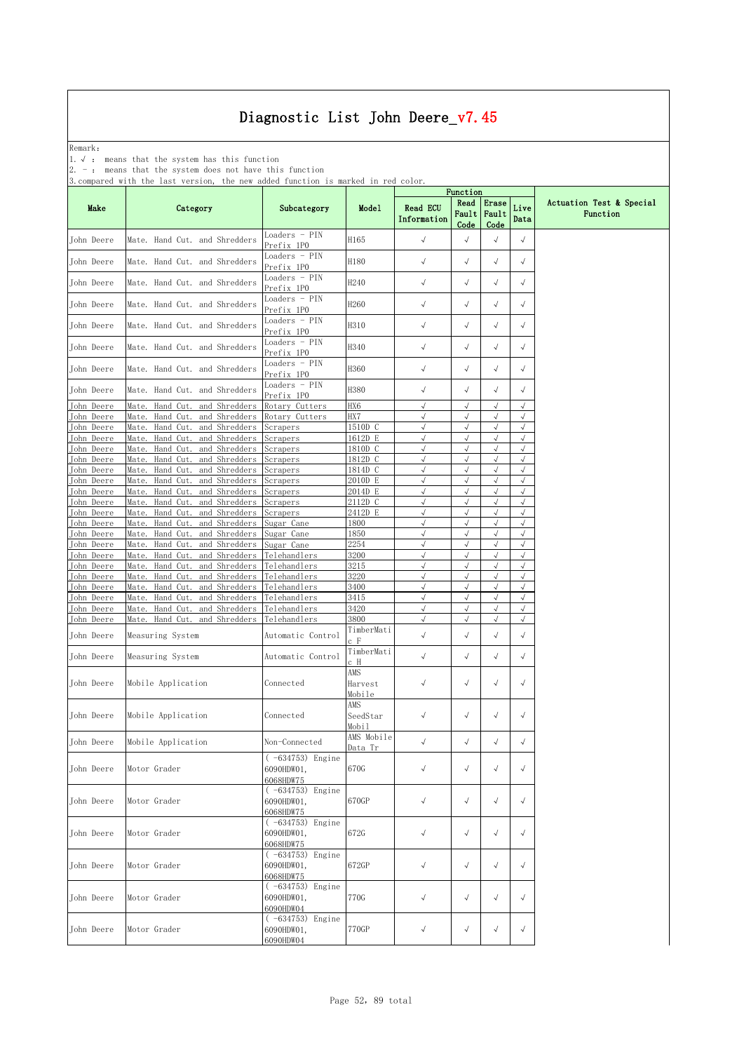Remark: The contract of the contract of  $\mathbb{R}$  and  $\mathbb{R}$  are contract of  $\mathbb{R}$  and  $\mathbb{R}$  are contract of  $\mathbb{R}$  and  $\mathbb{R}$  are contract of  $\mathbb{R}$  and  $\mathbb{R}$  are contract of  $\mathbb{R}$  and  $\mathbb{R}$  are cont

1.√ : means that the system has this function

2. - : means that the system does not have this function

| Read<br>Erase<br>Actuation Test & Special<br>Live<br><b>Read ECU</b><br>Make<br>Category<br>Subcategory<br>Model<br>Fault   Fault<br>Function<br>Data<br>Information<br>Code<br>Code<br>Loaders - PIN<br>$\sqrt{}$<br>$\sqrt{ }$<br>Mate. Hand Cut. and Shredders<br>H165<br>$\sqrt{}$<br>$\sqrt{ }$<br>Prefix 1PO<br>Loaders - PIN<br>$\sqrt{ }$<br>$\sqrt{}$<br>$\sqrt{}$<br>Mate. Hand Cut. and Shredders<br>H180<br>$\sqrt{ }$<br>Prefix 1PO<br>Loaders - PIN<br>$\sqrt{ }$<br>$\sqrt{ }$<br>$\sqrt{ }$<br>Mate. Hand Cut. and Shredders<br>H240<br>$\sqrt{ }$<br>Prefix 1PO<br>Loaders - PIN<br>$\sqrt{ }$<br>$\checkmark$<br>$\sqrt{ }$<br>Mate. Hand Cut. and Shredders<br>H260<br>$\sqrt{}$<br>Prefix 1PO<br>Loaders - PIN<br>$\sqrt{\phantom{a}}$<br>Mate. Hand Cut. and Shredders<br>H310<br>$\sqrt{ }$<br>$\sqrt{ }$<br>$\sqrt{ }$<br>Prefix 1PO<br>Loaders - PIN<br>$\sqrt{ }$<br>$\sqrt{\phantom{a}}$<br>$\checkmark$<br>$\sqrt{ }$<br>Mate. Hand Cut. and Shredders<br>H340<br>Prefix 1PO<br>Loaders - PIN<br>$\sqrt{ }$<br>$\sqrt{ }$<br>$\sqrt{ }$<br>$\sqrt{}$<br>Mate. Hand Cut. and Shredders<br>H360<br>Prefix 1PO<br>Loaders - PIN<br>Mate. Hand Cut. and Shredders<br>H380<br>$\sqrt{ }$<br>$\sqrt{}$<br>$\sqrt{}$<br>$\sqrt{}$<br>Prefix 1PO<br>$\sqrt{ }$<br>$\sqrt{}$<br>$\sqrt{ }$<br>$\sqrt{}$<br>Hand Cut.<br>and Shredders<br>HX6<br>Mate.<br>Rotary Cutters<br>John Deere<br>Hand Cut.<br>and Shredders<br>HX7<br>$\sqrt{ }$<br>$\sqrt{}$<br>$\sqrt{ }$<br>Mate.<br>Rotary Cutters<br>√<br>$\sqrt{}$<br>$\sqrt{2}$<br><b>John Deere</b><br>Mate.<br>Hand Cut.<br>and Shredders<br>1510D C<br>$\sqrt{ }$<br>$\sqrt{}$<br>Scrapers<br>$\sqrt{ }$<br>$\sqrt{ }$<br>$\sqrt{2}$<br>John Deere<br>Hand Cut.<br>and Shredders<br>1612D E<br>$\sqrt{2}$<br>Mate.<br>Scrapers<br>$\sqrt{ }$<br>$\sqrt{2}$<br>John Deere<br>Hand Cut.<br>and Shredders<br>1810D C<br>$\sqrt{ }$<br>$\sqrt{ }$<br>Mate.<br>Scrapers<br>$\sqrt{ }$<br>$\sqrt{}$<br>$\sqrt{ }$<br>$\sqrt{2}$<br>John Deere<br>Mate.<br>Hand Cut.<br>and Shredders<br>1812D C<br>Scrapers<br>John Deere<br>Hand<br>Cut.<br>and Shredders<br>$\sqrt{ }$<br>$\sqrt{2}$<br>Mate.<br>Scrapers<br>1814D C<br>$\sqrt{ }$<br>√<br>$\sqrt{}$<br>$\sqrt{ }$<br>John Deere<br>and Shredders<br>2010D E<br>$\sqrt{ }$<br>$\sqrt{}$<br>Mate.<br>Hand Cut.<br>Scrapers<br>$\sqrt{2}$<br>John Deere<br>Hand Cut.<br>and Shredders<br>2014D E<br>$\sqrt{ }$<br>Mate.<br>$\sqrt{}$<br>Scrapers<br>2112D C<br>$\sqrt{ }$<br>$\sqrt{2}$<br>$\sqrt{2}$<br>$\sqrt{2}$<br>John Deere<br>Hand Cut.<br>and Shredders<br>Mate.<br>Scrapers<br>$\sqrt{ }$<br>$\sqrt{ }$<br>$\sqrt{2}$<br>Hand Cut.<br>and Shredders<br>2412D E<br>$\sqrt{2}$<br>John Deere<br>Mate.<br>Scrapers<br>$\sqrt{}$<br>John Deere<br>Hand Cut.<br>and Shredders<br>1800<br>$\sqrt{}$<br>$\sqrt{ }$<br>$\sqrt{}$<br>Mate.<br>Sugar Cane<br>John Deere<br>and Shredders<br>1850<br>$\sqrt{ }$<br>$\sqrt{2}$<br>$\sqrt{}$<br>$\sqrt{2}$<br>Mate.<br>Hand Cut.<br>Sugar Cane<br>2254<br>John Deere<br>Hand<br>Cut.<br>and Shredders<br>$\sqrt{2}$<br>Mate.<br>Sugar Cane<br>$\sqrt{}$<br>J<br>$\checkmark$<br>3200<br>$\sqrt{2}$<br>J<br>$\sqrt{2}$<br>John Deere<br>Mate.<br>Hand Cut.<br>and Shredders<br>Telehandlers<br>$\sqrt{ }$<br>$\sqrt{}$<br>Hand Cut.<br>and Shredders<br>3215<br>$\sqrt{ }$<br>$\sqrt{ }$<br>John Deere<br>Mate.<br>Telehandlers<br>3220<br>$\sqrt{ }$<br>$\sqrt{2}$<br>$\sqrt{2}$<br>Hand Cut.<br>and Shredders<br>$\sqrt{}$<br>John Deere<br>Mate.<br>Telehandlers<br>$\sqrt{ }$<br>$\sqrt{}$<br>$\sqrt{ }$<br>$\sqrt{2}$<br>John Deere<br>Mate.<br>Hand Cut.<br>and Shredders<br>Telehandlers<br>3400<br>John Deere<br>and Shredders<br>$\sqrt{ }$<br>$\sqrt{2}$<br>Mate.<br>Hand Cut.<br>Telehandlers<br>3415<br>$\sqrt{ }$<br>$\sqrt{}$<br>$\sqrt{ }$<br>$\sqrt{}$<br>$\sqrt{}$<br>$\sqrt{}$<br>John Deere<br>Hand Cut.<br>and Shredders<br>3420<br>Mate.<br>Telehandlers<br>$\sqrt{ }$<br>John Deere<br>Hand Cut. and Shredders<br>Telehandlers<br>3800<br>$\sqrt{}$<br>Mate.<br>$\sqrt{}$<br>J<br>TimberMati<br>$\sqrt{ }$<br>$\sqrt{ }$<br>$\checkmark$<br>$\sqrt{ }$<br>John Deere<br>Measuring System<br>Automatic Control<br>сF<br>TimberMati<br>$\sqrt{ }$<br>$\sqrt{ }$<br>$\sqrt{}$<br>$\sqrt{}$<br>John Deere<br>Automatic Control<br>Measuring System<br>сH<br>AMS<br>$\sqrt{ }$<br>$\sqrt{}$<br>$\sqrt{ }$<br>$\sqrt{ }$<br>John Deere<br>Mobile Application<br>Connected<br>Harvest<br>Mobile<br>AMS<br>$\sqrt{ }$<br>John Deere<br>Mobile Application<br>$\sqrt{}$<br>$\sqrt{ }$<br>$\sqrt{ }$<br>Connected<br>SeedStar<br>Mobil<br>AMS Mobile<br>√<br>$\sqrt{}$<br>Mobile Application<br>Non-Connected<br>$\sqrt{ }$<br>Data Tr<br>( -634753) Engine<br>6090HDW01,<br>670G<br>$\sqrt{ }$<br>$\sqrt{}$<br>$\sqrt{}$<br>$\sqrt{ }$<br>Motor Grader<br>6068HDW75<br>$(-634753)$ Engine<br>John Deere<br>Motor Grader<br>670GP<br>$\sqrt{ }$<br>$\sqrt{ }$<br>$\sqrt{ }$<br>6090HDW01,<br>$\sqrt{ }$<br>6068HDW75<br>$(-634753)$ Engine<br>6090HDW01,<br>672G<br>$\sqrt{ }$<br>$\sqrt{}$<br>$\sqrt{ }$<br>$\sqrt{ }$<br>Motor Grader<br>6068HDW75<br>$(-634753)$ Engine<br>672GP<br>$\sqrt{ }$<br>John Deere<br>Motor Grader<br>$\sqrt{ }$<br>$\sqrt{}$<br>$\sqrt{ }$<br>6090HDW01,<br>6068HDW75<br>$(-634753)$ Engine<br>6090HDW01,<br>$\checkmark$<br>$\sqrt{}$<br>$\sqrt{}$<br>Motor Grader<br>770G<br>$\sqrt{ }$<br>6090HDW04<br>$(-634753)$ Engine<br>770GP<br>$\sqrt{ }$<br>Motor Grader<br>6090HDW01,<br>$\sqrt{ }$<br>$\sqrt{}$<br>$\sqrt{ }$ |            |           |  | Function |  |  |
|-------------------------------------------------------------------------------------------------------------------------------------------------------------------------------------------------------------------------------------------------------------------------------------------------------------------------------------------------------------------------------------------------------------------------------------------------------------------------------------------------------------------------------------------------------------------------------------------------------------------------------------------------------------------------------------------------------------------------------------------------------------------------------------------------------------------------------------------------------------------------------------------------------------------------------------------------------------------------------------------------------------------------------------------------------------------------------------------------------------------------------------------------------------------------------------------------------------------------------------------------------------------------------------------------------------------------------------------------------------------------------------------------------------------------------------------------------------------------------------------------------------------------------------------------------------------------------------------------------------------------------------------------------------------------------------------------------------------------------------------------------------------------------------------------------------------------------------------------------------------------------------------------------------------------------------------------------------------------------------------------------------------------------------------------------------------------------------------------------------------------------------------------------------------------------------------------------------------------------------------------------------------------------------------------------------------------------------------------------------------------------------------------------------------------------------------------------------------------------------------------------------------------------------------------------------------------------------------------------------------------------------------------------------------------------------------------------------------------------------------------------------------------------------------------------------------------------------------------------------------------------------------------------------------------------------------------------------------------------------------------------------------------------------------------------------------------------------------------------------------------------------------------------------------------------------------------------------------------------------------------------------------------------------------------------------------------------------------------------------------------------------------------------------------------------------------------------------------------------------------------------------------------------------------------------------------------------------------------------------------------------------------------------------------------------------------------------------------------------------------------------------------------------------------------------------------------------------------------------------------------------------------------------------------------------------------------------------------------------------------------------------------------------------------------------------------------------------------------------------------------------------------------------------------------------------------------------------------------------------------------------------------------------------------------------------------------------------------------------------------------------------------------------------------------------------------------------------------------------------------------------------------------------------------------------------------------------------------------------------------------------------------------------------------------------------------------------------------------------------------------------------------------------------------------------------------------------------------------------------------------------------------------------------------------------------------------------------------------------------------------------------------------------------------------------------------------------------------------------------------------------------------------------------------------------------------------------------------------------------------------------------------------------------------------------------------------------------------------------------------------------------------------------------------------------------------------------------------------------------------------------------------------------|------------|-----------|--|----------|--|--|
|                                                                                                                                                                                                                                                                                                                                                                                                                                                                                                                                                                                                                                                                                                                                                                                                                                                                                                                                                                                                                                                                                                                                                                                                                                                                                                                                                                                                                                                                                                                                                                                                                                                                                                                                                                                                                                                                                                                                                                                                                                                                                                                                                                                                                                                                                                                                                                                                                                                                                                                                                                                                                                                                                                                                                                                                                                                                                                                                                                                                                                                                                                                                                                                                                                                                                                                                                                                                                                                                                                                                                                                                                                                                                                                                                                                                                                                                                                                                                                                                                                                                                                                                                                                                                                                                                                                                                                                                                                                                                                                                                                                                                                                                                                                                                                                                                                                                                                                                                                                                                                                                                                                                                                                                                                                                                                                                                                                                                                                                                                                               |            |           |  |          |  |  |
|                                                                                                                                                                                                                                                                                                                                                                                                                                                                                                                                                                                                                                                                                                                                                                                                                                                                                                                                                                                                                                                                                                                                                                                                                                                                                                                                                                                                                                                                                                                                                                                                                                                                                                                                                                                                                                                                                                                                                                                                                                                                                                                                                                                                                                                                                                                                                                                                                                                                                                                                                                                                                                                                                                                                                                                                                                                                                                                                                                                                                                                                                                                                                                                                                                                                                                                                                                                                                                                                                                                                                                                                                                                                                                                                                                                                                                                                                                                                                                                                                                                                                                                                                                                                                                                                                                                                                                                                                                                                                                                                                                                                                                                                                                                                                                                                                                                                                                                                                                                                                                                                                                                                                                                                                                                                                                                                                                                                                                                                                                                               | John Deere |           |  |          |  |  |
|                                                                                                                                                                                                                                                                                                                                                                                                                                                                                                                                                                                                                                                                                                                                                                                                                                                                                                                                                                                                                                                                                                                                                                                                                                                                                                                                                                                                                                                                                                                                                                                                                                                                                                                                                                                                                                                                                                                                                                                                                                                                                                                                                                                                                                                                                                                                                                                                                                                                                                                                                                                                                                                                                                                                                                                                                                                                                                                                                                                                                                                                                                                                                                                                                                                                                                                                                                                                                                                                                                                                                                                                                                                                                                                                                                                                                                                                                                                                                                                                                                                                                                                                                                                                                                                                                                                                                                                                                                                                                                                                                                                                                                                                                                                                                                                                                                                                                                                                                                                                                                                                                                                                                                                                                                                                                                                                                                                                                                                                                                                               | John Deere |           |  |          |  |  |
|                                                                                                                                                                                                                                                                                                                                                                                                                                                                                                                                                                                                                                                                                                                                                                                                                                                                                                                                                                                                                                                                                                                                                                                                                                                                                                                                                                                                                                                                                                                                                                                                                                                                                                                                                                                                                                                                                                                                                                                                                                                                                                                                                                                                                                                                                                                                                                                                                                                                                                                                                                                                                                                                                                                                                                                                                                                                                                                                                                                                                                                                                                                                                                                                                                                                                                                                                                                                                                                                                                                                                                                                                                                                                                                                                                                                                                                                                                                                                                                                                                                                                                                                                                                                                                                                                                                                                                                                                                                                                                                                                                                                                                                                                                                                                                                                                                                                                                                                                                                                                                                                                                                                                                                                                                                                                                                                                                                                                                                                                                                               | John Deere |           |  |          |  |  |
|                                                                                                                                                                                                                                                                                                                                                                                                                                                                                                                                                                                                                                                                                                                                                                                                                                                                                                                                                                                                                                                                                                                                                                                                                                                                                                                                                                                                                                                                                                                                                                                                                                                                                                                                                                                                                                                                                                                                                                                                                                                                                                                                                                                                                                                                                                                                                                                                                                                                                                                                                                                                                                                                                                                                                                                                                                                                                                                                                                                                                                                                                                                                                                                                                                                                                                                                                                                                                                                                                                                                                                                                                                                                                                                                                                                                                                                                                                                                                                                                                                                                                                                                                                                                                                                                                                                                                                                                                                                                                                                                                                                                                                                                                                                                                                                                                                                                                                                                                                                                                                                                                                                                                                                                                                                                                                                                                                                                                                                                                                                               | John Deere |           |  |          |  |  |
|                                                                                                                                                                                                                                                                                                                                                                                                                                                                                                                                                                                                                                                                                                                                                                                                                                                                                                                                                                                                                                                                                                                                                                                                                                                                                                                                                                                                                                                                                                                                                                                                                                                                                                                                                                                                                                                                                                                                                                                                                                                                                                                                                                                                                                                                                                                                                                                                                                                                                                                                                                                                                                                                                                                                                                                                                                                                                                                                                                                                                                                                                                                                                                                                                                                                                                                                                                                                                                                                                                                                                                                                                                                                                                                                                                                                                                                                                                                                                                                                                                                                                                                                                                                                                                                                                                                                                                                                                                                                                                                                                                                                                                                                                                                                                                                                                                                                                                                                                                                                                                                                                                                                                                                                                                                                                                                                                                                                                                                                                                                               | John Deere |           |  |          |  |  |
|                                                                                                                                                                                                                                                                                                                                                                                                                                                                                                                                                                                                                                                                                                                                                                                                                                                                                                                                                                                                                                                                                                                                                                                                                                                                                                                                                                                                                                                                                                                                                                                                                                                                                                                                                                                                                                                                                                                                                                                                                                                                                                                                                                                                                                                                                                                                                                                                                                                                                                                                                                                                                                                                                                                                                                                                                                                                                                                                                                                                                                                                                                                                                                                                                                                                                                                                                                                                                                                                                                                                                                                                                                                                                                                                                                                                                                                                                                                                                                                                                                                                                                                                                                                                                                                                                                                                                                                                                                                                                                                                                                                                                                                                                                                                                                                                                                                                                                                                                                                                                                                                                                                                                                                                                                                                                                                                                                                                                                                                                                                               | John Deere |           |  |          |  |  |
|                                                                                                                                                                                                                                                                                                                                                                                                                                                                                                                                                                                                                                                                                                                                                                                                                                                                                                                                                                                                                                                                                                                                                                                                                                                                                                                                                                                                                                                                                                                                                                                                                                                                                                                                                                                                                                                                                                                                                                                                                                                                                                                                                                                                                                                                                                                                                                                                                                                                                                                                                                                                                                                                                                                                                                                                                                                                                                                                                                                                                                                                                                                                                                                                                                                                                                                                                                                                                                                                                                                                                                                                                                                                                                                                                                                                                                                                                                                                                                                                                                                                                                                                                                                                                                                                                                                                                                                                                                                                                                                                                                                                                                                                                                                                                                                                                                                                                                                                                                                                                                                                                                                                                                                                                                                                                                                                                                                                                                                                                                                               | John Deere |           |  |          |  |  |
|                                                                                                                                                                                                                                                                                                                                                                                                                                                                                                                                                                                                                                                                                                                                                                                                                                                                                                                                                                                                                                                                                                                                                                                                                                                                                                                                                                                                                                                                                                                                                                                                                                                                                                                                                                                                                                                                                                                                                                                                                                                                                                                                                                                                                                                                                                                                                                                                                                                                                                                                                                                                                                                                                                                                                                                                                                                                                                                                                                                                                                                                                                                                                                                                                                                                                                                                                                                                                                                                                                                                                                                                                                                                                                                                                                                                                                                                                                                                                                                                                                                                                                                                                                                                                                                                                                                                                                                                                                                                                                                                                                                                                                                                                                                                                                                                                                                                                                                                                                                                                                                                                                                                                                                                                                                                                                                                                                                                                                                                                                                               | John Deere |           |  |          |  |  |
|                                                                                                                                                                                                                                                                                                                                                                                                                                                                                                                                                                                                                                                                                                                                                                                                                                                                                                                                                                                                                                                                                                                                                                                                                                                                                                                                                                                                                                                                                                                                                                                                                                                                                                                                                                                                                                                                                                                                                                                                                                                                                                                                                                                                                                                                                                                                                                                                                                                                                                                                                                                                                                                                                                                                                                                                                                                                                                                                                                                                                                                                                                                                                                                                                                                                                                                                                                                                                                                                                                                                                                                                                                                                                                                                                                                                                                                                                                                                                                                                                                                                                                                                                                                                                                                                                                                                                                                                                                                                                                                                                                                                                                                                                                                                                                                                                                                                                                                                                                                                                                                                                                                                                                                                                                                                                                                                                                                                                                                                                                                               | John Deere |           |  |          |  |  |
|                                                                                                                                                                                                                                                                                                                                                                                                                                                                                                                                                                                                                                                                                                                                                                                                                                                                                                                                                                                                                                                                                                                                                                                                                                                                                                                                                                                                                                                                                                                                                                                                                                                                                                                                                                                                                                                                                                                                                                                                                                                                                                                                                                                                                                                                                                                                                                                                                                                                                                                                                                                                                                                                                                                                                                                                                                                                                                                                                                                                                                                                                                                                                                                                                                                                                                                                                                                                                                                                                                                                                                                                                                                                                                                                                                                                                                                                                                                                                                                                                                                                                                                                                                                                                                                                                                                                                                                                                                                                                                                                                                                                                                                                                                                                                                                                                                                                                                                                                                                                                                                                                                                                                                                                                                                                                                                                                                                                                                                                                                                               |            |           |  |          |  |  |
|                                                                                                                                                                                                                                                                                                                                                                                                                                                                                                                                                                                                                                                                                                                                                                                                                                                                                                                                                                                                                                                                                                                                                                                                                                                                                                                                                                                                                                                                                                                                                                                                                                                                                                                                                                                                                                                                                                                                                                                                                                                                                                                                                                                                                                                                                                                                                                                                                                                                                                                                                                                                                                                                                                                                                                                                                                                                                                                                                                                                                                                                                                                                                                                                                                                                                                                                                                                                                                                                                                                                                                                                                                                                                                                                                                                                                                                                                                                                                                                                                                                                                                                                                                                                                                                                                                                                                                                                                                                                                                                                                                                                                                                                                                                                                                                                                                                                                                                                                                                                                                                                                                                                                                                                                                                                                                                                                                                                                                                                                                                               |            |           |  |          |  |  |
|                                                                                                                                                                                                                                                                                                                                                                                                                                                                                                                                                                                                                                                                                                                                                                                                                                                                                                                                                                                                                                                                                                                                                                                                                                                                                                                                                                                                                                                                                                                                                                                                                                                                                                                                                                                                                                                                                                                                                                                                                                                                                                                                                                                                                                                                                                                                                                                                                                                                                                                                                                                                                                                                                                                                                                                                                                                                                                                                                                                                                                                                                                                                                                                                                                                                                                                                                                                                                                                                                                                                                                                                                                                                                                                                                                                                                                                                                                                                                                                                                                                                                                                                                                                                                                                                                                                                                                                                                                                                                                                                                                                                                                                                                                                                                                                                                                                                                                                                                                                                                                                                                                                                                                                                                                                                                                                                                                                                                                                                                                                               |            |           |  |          |  |  |
|                                                                                                                                                                                                                                                                                                                                                                                                                                                                                                                                                                                                                                                                                                                                                                                                                                                                                                                                                                                                                                                                                                                                                                                                                                                                                                                                                                                                                                                                                                                                                                                                                                                                                                                                                                                                                                                                                                                                                                                                                                                                                                                                                                                                                                                                                                                                                                                                                                                                                                                                                                                                                                                                                                                                                                                                                                                                                                                                                                                                                                                                                                                                                                                                                                                                                                                                                                                                                                                                                                                                                                                                                                                                                                                                                                                                                                                                                                                                                                                                                                                                                                                                                                                                                                                                                                                                                                                                                                                                                                                                                                                                                                                                                                                                                                                                                                                                                                                                                                                                                                                                                                                                                                                                                                                                                                                                                                                                                                                                                                                               |            |           |  |          |  |  |
|                                                                                                                                                                                                                                                                                                                                                                                                                                                                                                                                                                                                                                                                                                                                                                                                                                                                                                                                                                                                                                                                                                                                                                                                                                                                                                                                                                                                                                                                                                                                                                                                                                                                                                                                                                                                                                                                                                                                                                                                                                                                                                                                                                                                                                                                                                                                                                                                                                                                                                                                                                                                                                                                                                                                                                                                                                                                                                                                                                                                                                                                                                                                                                                                                                                                                                                                                                                                                                                                                                                                                                                                                                                                                                                                                                                                                                                                                                                                                                                                                                                                                                                                                                                                                                                                                                                                                                                                                                                                                                                                                                                                                                                                                                                                                                                                                                                                                                                                                                                                                                                                                                                                                                                                                                                                                                                                                                                                                                                                                                                               |            |           |  |          |  |  |
|                                                                                                                                                                                                                                                                                                                                                                                                                                                                                                                                                                                                                                                                                                                                                                                                                                                                                                                                                                                                                                                                                                                                                                                                                                                                                                                                                                                                                                                                                                                                                                                                                                                                                                                                                                                                                                                                                                                                                                                                                                                                                                                                                                                                                                                                                                                                                                                                                                                                                                                                                                                                                                                                                                                                                                                                                                                                                                                                                                                                                                                                                                                                                                                                                                                                                                                                                                                                                                                                                                                                                                                                                                                                                                                                                                                                                                                                                                                                                                                                                                                                                                                                                                                                                                                                                                                                                                                                                                                                                                                                                                                                                                                                                                                                                                                                                                                                                                                                                                                                                                                                                                                                                                                                                                                                                                                                                                                                                                                                                                                               |            |           |  |          |  |  |
|                                                                                                                                                                                                                                                                                                                                                                                                                                                                                                                                                                                                                                                                                                                                                                                                                                                                                                                                                                                                                                                                                                                                                                                                                                                                                                                                                                                                                                                                                                                                                                                                                                                                                                                                                                                                                                                                                                                                                                                                                                                                                                                                                                                                                                                                                                                                                                                                                                                                                                                                                                                                                                                                                                                                                                                                                                                                                                                                                                                                                                                                                                                                                                                                                                                                                                                                                                                                                                                                                                                                                                                                                                                                                                                                                                                                                                                                                                                                                                                                                                                                                                                                                                                                                                                                                                                                                                                                                                                                                                                                                                                                                                                                                                                                                                                                                                                                                                                                                                                                                                                                                                                                                                                                                                                                                                                                                                                                                                                                                                                               |            |           |  |          |  |  |
|                                                                                                                                                                                                                                                                                                                                                                                                                                                                                                                                                                                                                                                                                                                                                                                                                                                                                                                                                                                                                                                                                                                                                                                                                                                                                                                                                                                                                                                                                                                                                                                                                                                                                                                                                                                                                                                                                                                                                                                                                                                                                                                                                                                                                                                                                                                                                                                                                                                                                                                                                                                                                                                                                                                                                                                                                                                                                                                                                                                                                                                                                                                                                                                                                                                                                                                                                                                                                                                                                                                                                                                                                                                                                                                                                                                                                                                                                                                                                                                                                                                                                                                                                                                                                                                                                                                                                                                                                                                                                                                                                                                                                                                                                                                                                                                                                                                                                                                                                                                                                                                                                                                                                                                                                                                                                                                                                                                                                                                                                                                               |            |           |  |          |  |  |
|                                                                                                                                                                                                                                                                                                                                                                                                                                                                                                                                                                                                                                                                                                                                                                                                                                                                                                                                                                                                                                                                                                                                                                                                                                                                                                                                                                                                                                                                                                                                                                                                                                                                                                                                                                                                                                                                                                                                                                                                                                                                                                                                                                                                                                                                                                                                                                                                                                                                                                                                                                                                                                                                                                                                                                                                                                                                                                                                                                                                                                                                                                                                                                                                                                                                                                                                                                                                                                                                                                                                                                                                                                                                                                                                                                                                                                                                                                                                                                                                                                                                                                                                                                                                                                                                                                                                                                                                                                                                                                                                                                                                                                                                                                                                                                                                                                                                                                                                                                                                                                                                                                                                                                                                                                                                                                                                                                                                                                                                                                                               |            |           |  |          |  |  |
|                                                                                                                                                                                                                                                                                                                                                                                                                                                                                                                                                                                                                                                                                                                                                                                                                                                                                                                                                                                                                                                                                                                                                                                                                                                                                                                                                                                                                                                                                                                                                                                                                                                                                                                                                                                                                                                                                                                                                                                                                                                                                                                                                                                                                                                                                                                                                                                                                                                                                                                                                                                                                                                                                                                                                                                                                                                                                                                                                                                                                                                                                                                                                                                                                                                                                                                                                                                                                                                                                                                                                                                                                                                                                                                                                                                                                                                                                                                                                                                                                                                                                                                                                                                                                                                                                                                                                                                                                                                                                                                                                                                                                                                                                                                                                                                                                                                                                                                                                                                                                                                                                                                                                                                                                                                                                                                                                                                                                                                                                                                               |            |           |  |          |  |  |
|                                                                                                                                                                                                                                                                                                                                                                                                                                                                                                                                                                                                                                                                                                                                                                                                                                                                                                                                                                                                                                                                                                                                                                                                                                                                                                                                                                                                                                                                                                                                                                                                                                                                                                                                                                                                                                                                                                                                                                                                                                                                                                                                                                                                                                                                                                                                                                                                                                                                                                                                                                                                                                                                                                                                                                                                                                                                                                                                                                                                                                                                                                                                                                                                                                                                                                                                                                                                                                                                                                                                                                                                                                                                                                                                                                                                                                                                                                                                                                                                                                                                                                                                                                                                                                                                                                                                                                                                                                                                                                                                                                                                                                                                                                                                                                                                                                                                                                                                                                                                                                                                                                                                                                                                                                                                                                                                                                                                                                                                                                                               |            |           |  |          |  |  |
|                                                                                                                                                                                                                                                                                                                                                                                                                                                                                                                                                                                                                                                                                                                                                                                                                                                                                                                                                                                                                                                                                                                                                                                                                                                                                                                                                                                                                                                                                                                                                                                                                                                                                                                                                                                                                                                                                                                                                                                                                                                                                                                                                                                                                                                                                                                                                                                                                                                                                                                                                                                                                                                                                                                                                                                                                                                                                                                                                                                                                                                                                                                                                                                                                                                                                                                                                                                                                                                                                                                                                                                                                                                                                                                                                                                                                                                                                                                                                                                                                                                                                                                                                                                                                                                                                                                                                                                                                                                                                                                                                                                                                                                                                                                                                                                                                                                                                                                                                                                                                                                                                                                                                                                                                                                                                                                                                                                                                                                                                                                               |            |           |  |          |  |  |
|                                                                                                                                                                                                                                                                                                                                                                                                                                                                                                                                                                                                                                                                                                                                                                                                                                                                                                                                                                                                                                                                                                                                                                                                                                                                                                                                                                                                                                                                                                                                                                                                                                                                                                                                                                                                                                                                                                                                                                                                                                                                                                                                                                                                                                                                                                                                                                                                                                                                                                                                                                                                                                                                                                                                                                                                                                                                                                                                                                                                                                                                                                                                                                                                                                                                                                                                                                                                                                                                                                                                                                                                                                                                                                                                                                                                                                                                                                                                                                                                                                                                                                                                                                                                                                                                                                                                                                                                                                                                                                                                                                                                                                                                                                                                                                                                                                                                                                                                                                                                                                                                                                                                                                                                                                                                                                                                                                                                                                                                                                                               |            |           |  |          |  |  |
|                                                                                                                                                                                                                                                                                                                                                                                                                                                                                                                                                                                                                                                                                                                                                                                                                                                                                                                                                                                                                                                                                                                                                                                                                                                                                                                                                                                                                                                                                                                                                                                                                                                                                                                                                                                                                                                                                                                                                                                                                                                                                                                                                                                                                                                                                                                                                                                                                                                                                                                                                                                                                                                                                                                                                                                                                                                                                                                                                                                                                                                                                                                                                                                                                                                                                                                                                                                                                                                                                                                                                                                                                                                                                                                                                                                                                                                                                                                                                                                                                                                                                                                                                                                                                                                                                                                                                                                                                                                                                                                                                                                                                                                                                                                                                                                                                                                                                                                                                                                                                                                                                                                                                                                                                                                                                                                                                                                                                                                                                                                               |            |           |  |          |  |  |
|                                                                                                                                                                                                                                                                                                                                                                                                                                                                                                                                                                                                                                                                                                                                                                                                                                                                                                                                                                                                                                                                                                                                                                                                                                                                                                                                                                                                                                                                                                                                                                                                                                                                                                                                                                                                                                                                                                                                                                                                                                                                                                                                                                                                                                                                                                                                                                                                                                                                                                                                                                                                                                                                                                                                                                                                                                                                                                                                                                                                                                                                                                                                                                                                                                                                                                                                                                                                                                                                                                                                                                                                                                                                                                                                                                                                                                                                                                                                                                                                                                                                                                                                                                                                                                                                                                                                                                                                                                                                                                                                                                                                                                                                                                                                                                                                                                                                                                                                                                                                                                                                                                                                                                                                                                                                                                                                                                                                                                                                                                                               |            |           |  |          |  |  |
|                                                                                                                                                                                                                                                                                                                                                                                                                                                                                                                                                                                                                                                                                                                                                                                                                                                                                                                                                                                                                                                                                                                                                                                                                                                                                                                                                                                                                                                                                                                                                                                                                                                                                                                                                                                                                                                                                                                                                                                                                                                                                                                                                                                                                                                                                                                                                                                                                                                                                                                                                                                                                                                                                                                                                                                                                                                                                                                                                                                                                                                                                                                                                                                                                                                                                                                                                                                                                                                                                                                                                                                                                                                                                                                                                                                                                                                                                                                                                                                                                                                                                                                                                                                                                                                                                                                                                                                                                                                                                                                                                                                                                                                                                                                                                                                                                                                                                                                                                                                                                                                                                                                                                                                                                                                                                                                                                                                                                                                                                                                               |            |           |  |          |  |  |
|                                                                                                                                                                                                                                                                                                                                                                                                                                                                                                                                                                                                                                                                                                                                                                                                                                                                                                                                                                                                                                                                                                                                                                                                                                                                                                                                                                                                                                                                                                                                                                                                                                                                                                                                                                                                                                                                                                                                                                                                                                                                                                                                                                                                                                                                                                                                                                                                                                                                                                                                                                                                                                                                                                                                                                                                                                                                                                                                                                                                                                                                                                                                                                                                                                                                                                                                                                                                                                                                                                                                                                                                                                                                                                                                                                                                                                                                                                                                                                                                                                                                                                                                                                                                                                                                                                                                                                                                                                                                                                                                                                                                                                                                                                                                                                                                                                                                                                                                                                                                                                                                                                                                                                                                                                                                                                                                                                                                                                                                                                                               |            |           |  |          |  |  |
|                                                                                                                                                                                                                                                                                                                                                                                                                                                                                                                                                                                                                                                                                                                                                                                                                                                                                                                                                                                                                                                                                                                                                                                                                                                                                                                                                                                                                                                                                                                                                                                                                                                                                                                                                                                                                                                                                                                                                                                                                                                                                                                                                                                                                                                                                                                                                                                                                                                                                                                                                                                                                                                                                                                                                                                                                                                                                                                                                                                                                                                                                                                                                                                                                                                                                                                                                                                                                                                                                                                                                                                                                                                                                                                                                                                                                                                                                                                                                                                                                                                                                                                                                                                                                                                                                                                                                                                                                                                                                                                                                                                                                                                                                                                                                                                                                                                                                                                                                                                                                                                                                                                                                                                                                                                                                                                                                                                                                                                                                                                               |            |           |  |          |  |  |
|                                                                                                                                                                                                                                                                                                                                                                                                                                                                                                                                                                                                                                                                                                                                                                                                                                                                                                                                                                                                                                                                                                                                                                                                                                                                                                                                                                                                                                                                                                                                                                                                                                                                                                                                                                                                                                                                                                                                                                                                                                                                                                                                                                                                                                                                                                                                                                                                                                                                                                                                                                                                                                                                                                                                                                                                                                                                                                                                                                                                                                                                                                                                                                                                                                                                                                                                                                                                                                                                                                                                                                                                                                                                                                                                                                                                                                                                                                                                                                                                                                                                                                                                                                                                                                                                                                                                                                                                                                                                                                                                                                                                                                                                                                                                                                                                                                                                                                                                                                                                                                                                                                                                                                                                                                                                                                                                                                                                                                                                                                                               |            |           |  |          |  |  |
|                                                                                                                                                                                                                                                                                                                                                                                                                                                                                                                                                                                                                                                                                                                                                                                                                                                                                                                                                                                                                                                                                                                                                                                                                                                                                                                                                                                                                                                                                                                                                                                                                                                                                                                                                                                                                                                                                                                                                                                                                                                                                                                                                                                                                                                                                                                                                                                                                                                                                                                                                                                                                                                                                                                                                                                                                                                                                                                                                                                                                                                                                                                                                                                                                                                                                                                                                                                                                                                                                                                                                                                                                                                                                                                                                                                                                                                                                                                                                                                                                                                                                                                                                                                                                                                                                                                                                                                                                                                                                                                                                                                                                                                                                                                                                                                                                                                                                                                                                                                                                                                                                                                                                                                                                                                                                                                                                                                                                                                                                                                               |            |           |  |          |  |  |
|                                                                                                                                                                                                                                                                                                                                                                                                                                                                                                                                                                                                                                                                                                                                                                                                                                                                                                                                                                                                                                                                                                                                                                                                                                                                                                                                                                                                                                                                                                                                                                                                                                                                                                                                                                                                                                                                                                                                                                                                                                                                                                                                                                                                                                                                                                                                                                                                                                                                                                                                                                                                                                                                                                                                                                                                                                                                                                                                                                                                                                                                                                                                                                                                                                                                                                                                                                                                                                                                                                                                                                                                                                                                                                                                                                                                                                                                                                                                                                                                                                                                                                                                                                                                                                                                                                                                                                                                                                                                                                                                                                                                                                                                                                                                                                                                                                                                                                                                                                                                                                                                                                                                                                                                                                                                                                                                                                                                                                                                                                                               |            |           |  |          |  |  |
|                                                                                                                                                                                                                                                                                                                                                                                                                                                                                                                                                                                                                                                                                                                                                                                                                                                                                                                                                                                                                                                                                                                                                                                                                                                                                                                                                                                                                                                                                                                                                                                                                                                                                                                                                                                                                                                                                                                                                                                                                                                                                                                                                                                                                                                                                                                                                                                                                                                                                                                                                                                                                                                                                                                                                                                                                                                                                                                                                                                                                                                                                                                                                                                                                                                                                                                                                                                                                                                                                                                                                                                                                                                                                                                                                                                                                                                                                                                                                                                                                                                                                                                                                                                                                                                                                                                                                                                                                                                                                                                                                                                                                                                                                                                                                                                                                                                                                                                                                                                                                                                                                                                                                                                                                                                                                                                                                                                                                                                                                                                               |            |           |  |          |  |  |
|                                                                                                                                                                                                                                                                                                                                                                                                                                                                                                                                                                                                                                                                                                                                                                                                                                                                                                                                                                                                                                                                                                                                                                                                                                                                                                                                                                                                                                                                                                                                                                                                                                                                                                                                                                                                                                                                                                                                                                                                                                                                                                                                                                                                                                                                                                                                                                                                                                                                                                                                                                                                                                                                                                                                                                                                                                                                                                                                                                                                                                                                                                                                                                                                                                                                                                                                                                                                                                                                                                                                                                                                                                                                                                                                                                                                                                                                                                                                                                                                                                                                                                                                                                                                                                                                                                                                                                                                                                                                                                                                                                                                                                                                                                                                                                                                                                                                                                                                                                                                                                                                                                                                                                                                                                                                                                                                                                                                                                                                                                                               |            |           |  |          |  |  |
|                                                                                                                                                                                                                                                                                                                                                                                                                                                                                                                                                                                                                                                                                                                                                                                                                                                                                                                                                                                                                                                                                                                                                                                                                                                                                                                                                                                                                                                                                                                                                                                                                                                                                                                                                                                                                                                                                                                                                                                                                                                                                                                                                                                                                                                                                                                                                                                                                                                                                                                                                                                                                                                                                                                                                                                                                                                                                                                                                                                                                                                                                                                                                                                                                                                                                                                                                                                                                                                                                                                                                                                                                                                                                                                                                                                                                                                                                                                                                                                                                                                                                                                                                                                                                                                                                                                                                                                                                                                                                                                                                                                                                                                                                                                                                                                                                                                                                                                                                                                                                                                                                                                                                                                                                                                                                                                                                                                                                                                                                                                               |            |           |  |          |  |  |
|                                                                                                                                                                                                                                                                                                                                                                                                                                                                                                                                                                                                                                                                                                                                                                                                                                                                                                                                                                                                                                                                                                                                                                                                                                                                                                                                                                                                                                                                                                                                                                                                                                                                                                                                                                                                                                                                                                                                                                                                                                                                                                                                                                                                                                                                                                                                                                                                                                                                                                                                                                                                                                                                                                                                                                                                                                                                                                                                                                                                                                                                                                                                                                                                                                                                                                                                                                                                                                                                                                                                                                                                                                                                                                                                                                                                                                                                                                                                                                                                                                                                                                                                                                                                                                                                                                                                                                                                                                                                                                                                                                                                                                                                                                                                                                                                                                                                                                                                                                                                                                                                                                                                                                                                                                                                                                                                                                                                                                                                                                                               |            |           |  |          |  |  |
|                                                                                                                                                                                                                                                                                                                                                                                                                                                                                                                                                                                                                                                                                                                                                                                                                                                                                                                                                                                                                                                                                                                                                                                                                                                                                                                                                                                                                                                                                                                                                                                                                                                                                                                                                                                                                                                                                                                                                                                                                                                                                                                                                                                                                                                                                                                                                                                                                                                                                                                                                                                                                                                                                                                                                                                                                                                                                                                                                                                                                                                                                                                                                                                                                                                                                                                                                                                                                                                                                                                                                                                                                                                                                                                                                                                                                                                                                                                                                                                                                                                                                                                                                                                                                                                                                                                                                                                                                                                                                                                                                                                                                                                                                                                                                                                                                                                                                                                                                                                                                                                                                                                                                                                                                                                                                                                                                                                                                                                                                                                               |            |           |  |          |  |  |
|                                                                                                                                                                                                                                                                                                                                                                                                                                                                                                                                                                                                                                                                                                                                                                                                                                                                                                                                                                                                                                                                                                                                                                                                                                                                                                                                                                                                                                                                                                                                                                                                                                                                                                                                                                                                                                                                                                                                                                                                                                                                                                                                                                                                                                                                                                                                                                                                                                                                                                                                                                                                                                                                                                                                                                                                                                                                                                                                                                                                                                                                                                                                                                                                                                                                                                                                                                                                                                                                                                                                                                                                                                                                                                                                                                                                                                                                                                                                                                                                                                                                                                                                                                                                                                                                                                                                                                                                                                                                                                                                                                                                                                                                                                                                                                                                                                                                                                                                                                                                                                                                                                                                                                                                                                                                                                                                                                                                                                                                                                                               |            |           |  |          |  |  |
|                                                                                                                                                                                                                                                                                                                                                                                                                                                                                                                                                                                                                                                                                                                                                                                                                                                                                                                                                                                                                                                                                                                                                                                                                                                                                                                                                                                                                                                                                                                                                                                                                                                                                                                                                                                                                                                                                                                                                                                                                                                                                                                                                                                                                                                                                                                                                                                                                                                                                                                                                                                                                                                                                                                                                                                                                                                                                                                                                                                                                                                                                                                                                                                                                                                                                                                                                                                                                                                                                                                                                                                                                                                                                                                                                                                                                                                                                                                                                                                                                                                                                                                                                                                                                                                                                                                                                                                                                                                                                                                                                                                                                                                                                                                                                                                                                                                                                                                                                                                                                                                                                                                                                                                                                                                                                                                                                                                                                                                                                                                               | John Deere |           |  |          |  |  |
|                                                                                                                                                                                                                                                                                                                                                                                                                                                                                                                                                                                                                                                                                                                                                                                                                                                                                                                                                                                                                                                                                                                                                                                                                                                                                                                                                                                                                                                                                                                                                                                                                                                                                                                                                                                                                                                                                                                                                                                                                                                                                                                                                                                                                                                                                                                                                                                                                                                                                                                                                                                                                                                                                                                                                                                                                                                                                                                                                                                                                                                                                                                                                                                                                                                                                                                                                                                                                                                                                                                                                                                                                                                                                                                                                                                                                                                                                                                                                                                                                                                                                                                                                                                                                                                                                                                                                                                                                                                                                                                                                                                                                                                                                                                                                                                                                                                                                                                                                                                                                                                                                                                                                                                                                                                                                                                                                                                                                                                                                                                               | John Deere |           |  |          |  |  |
|                                                                                                                                                                                                                                                                                                                                                                                                                                                                                                                                                                                                                                                                                                                                                                                                                                                                                                                                                                                                                                                                                                                                                                                                                                                                                                                                                                                                                                                                                                                                                                                                                                                                                                                                                                                                                                                                                                                                                                                                                                                                                                                                                                                                                                                                                                                                                                                                                                                                                                                                                                                                                                                                                                                                                                                                                                                                                                                                                                                                                                                                                                                                                                                                                                                                                                                                                                                                                                                                                                                                                                                                                                                                                                                                                                                                                                                                                                                                                                                                                                                                                                                                                                                                                                                                                                                                                                                                                                                                                                                                                                                                                                                                                                                                                                                                                                                                                                                                                                                                                                                                                                                                                                                                                                                                                                                                                                                                                                                                                                                               |            |           |  |          |  |  |
|                                                                                                                                                                                                                                                                                                                                                                                                                                                                                                                                                                                                                                                                                                                                                                                                                                                                                                                                                                                                                                                                                                                                                                                                                                                                                                                                                                                                                                                                                                                                                                                                                                                                                                                                                                                                                                                                                                                                                                                                                                                                                                                                                                                                                                                                                                                                                                                                                                                                                                                                                                                                                                                                                                                                                                                                                                                                                                                                                                                                                                                                                                                                                                                                                                                                                                                                                                                                                                                                                                                                                                                                                                                                                                                                                                                                                                                                                                                                                                                                                                                                                                                                                                                                                                                                                                                                                                                                                                                                                                                                                                                                                                                                                                                                                                                                                                                                                                                                                                                                                                                                                                                                                                                                                                                                                                                                                                                                                                                                                                                               | John Deere |           |  |          |  |  |
|                                                                                                                                                                                                                                                                                                                                                                                                                                                                                                                                                                                                                                                                                                                                                                                                                                                                                                                                                                                                                                                                                                                                                                                                                                                                                                                                                                                                                                                                                                                                                                                                                                                                                                                                                                                                                                                                                                                                                                                                                                                                                                                                                                                                                                                                                                                                                                                                                                                                                                                                                                                                                                                                                                                                                                                                                                                                                                                                                                                                                                                                                                                                                                                                                                                                                                                                                                                                                                                                                                                                                                                                                                                                                                                                                                                                                                                                                                                                                                                                                                                                                                                                                                                                                                                                                                                                                                                                                                                                                                                                                                                                                                                                                                                                                                                                                                                                                                                                                                                                                                                                                                                                                                                                                                                                                                                                                                                                                                                                                                                               |            |           |  |          |  |  |
|                                                                                                                                                                                                                                                                                                                                                                                                                                                                                                                                                                                                                                                                                                                                                                                                                                                                                                                                                                                                                                                                                                                                                                                                                                                                                                                                                                                                                                                                                                                                                                                                                                                                                                                                                                                                                                                                                                                                                                                                                                                                                                                                                                                                                                                                                                                                                                                                                                                                                                                                                                                                                                                                                                                                                                                                                                                                                                                                                                                                                                                                                                                                                                                                                                                                                                                                                                                                                                                                                                                                                                                                                                                                                                                                                                                                                                                                                                                                                                                                                                                                                                                                                                                                                                                                                                                                                                                                                                                                                                                                                                                                                                                                                                                                                                                                                                                                                                                                                                                                                                                                                                                                                                                                                                                                                                                                                                                                                                                                                                                               | John Deere |           |  |          |  |  |
|                                                                                                                                                                                                                                                                                                                                                                                                                                                                                                                                                                                                                                                                                                                                                                                                                                                                                                                                                                                                                                                                                                                                                                                                                                                                                                                                                                                                                                                                                                                                                                                                                                                                                                                                                                                                                                                                                                                                                                                                                                                                                                                                                                                                                                                                                                                                                                                                                                                                                                                                                                                                                                                                                                                                                                                                                                                                                                                                                                                                                                                                                                                                                                                                                                                                                                                                                                                                                                                                                                                                                                                                                                                                                                                                                                                                                                                                                                                                                                                                                                                                                                                                                                                                                                                                                                                                                                                                                                                                                                                                                                                                                                                                                                                                                                                                                                                                                                                                                                                                                                                                                                                                                                                                                                                                                                                                                                                                                                                                                                                               | John Deere | 6090HDW04 |  |          |  |  |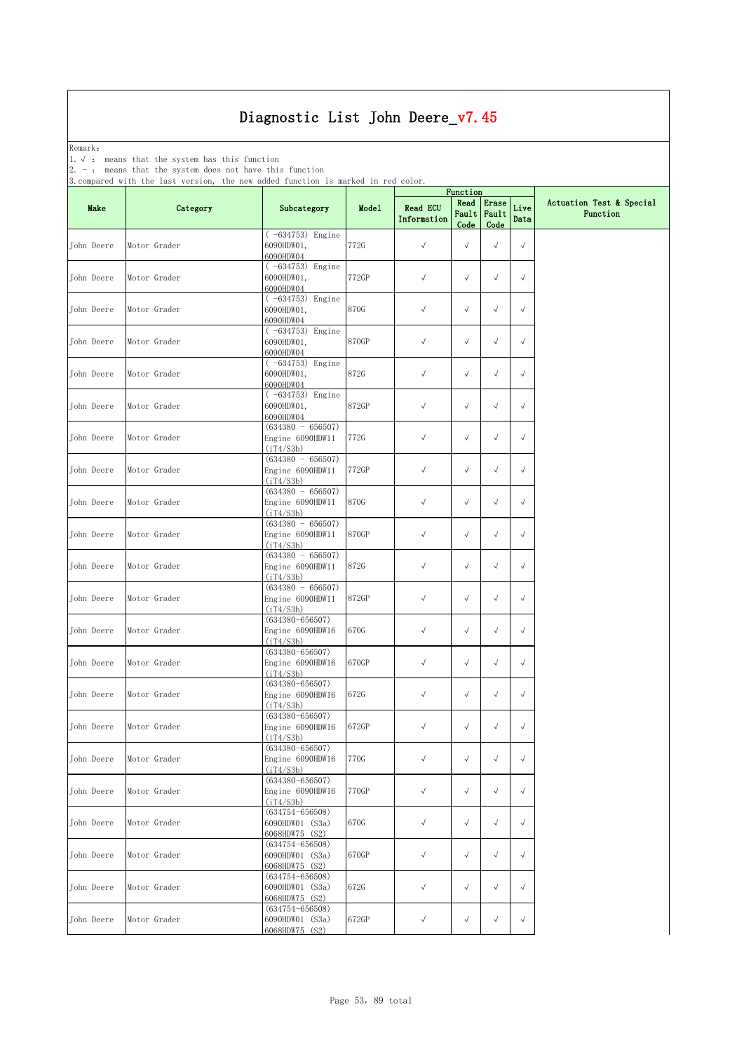Remark: The contract of the contract of  $\mathbb{R}$  and  $\mathbb{R}$  are contract of  $\mathbb{R}$  and  $\mathbb{R}$  are contract of  $\mathbb{R}$  and  $\mathbb{R}$  are contract of  $\mathbb{R}$  and  $\mathbb{R}$  are contract of  $\mathbb{R}$  and  $\mathbb{R}$  are cont

1.√ : means that the system has this function

2. - : means that the system does not have this function

| compared "ru |              |                                                          |       |                                | Function              |                        |              |                                      |
|--------------|--------------|----------------------------------------------------------|-------|--------------------------------|-----------------------|------------------------|--------------|--------------------------------------|
| Make         | Category     | Subcategory                                              | Model | <b>Read ECU</b><br>Information | Read<br>Fault<br>Code | Erase<br>Fault<br>Code | Live<br>Data | Actuation Test & Special<br>Function |
| John Deere   | Motor Grader | ( -634753) Engine<br>6090HDW01,<br>6090HDW04             | 772G  | $\sqrt{ }$                     | $\sqrt{ }$            | $\sqrt{}$              | $\sqrt{ }$   |                                      |
| John Deere   | Motor Grader | ( -634753) Engine<br>6090HDW01,<br>6090HDW04             | 772GP | $\sqrt{ }$                     | $\sqrt{ }$            | $\sqrt{}$              | $\sqrt{ }$   |                                      |
| John Deere   | Motor Grader | $(-634753)$ Engine<br>6090HDW01,<br>6090HDW04            | 870G  | $\sqrt{ }$                     | $\sqrt{ }$            | $\sqrt{}$              | $\sqrt{ }$   |                                      |
| John Deere   | Motor Grader | ( -634753) Engine<br>6090HDW01,<br>6090HDW04             | 870GP | $\sqrt{ }$                     | $\sqrt{ }$            | $\sqrt{}$              | $\sqrt{}$    |                                      |
| John Deere   | Motor Grader | ( -634753) Engine<br>6090HDW01,<br>6090HDW04             | 872G  | $\sqrt{ }$                     | $\sqrt{ }$            | $\sqrt{}$              | $\sqrt{}$    |                                      |
| John Deere   | Motor Grader | ( -634753) Engine<br>6090HDW01,<br>6090HDW04             | 872GP | $\sqrt{}$                      | $\sqrt{ }$            | $\sqrt{}$              | $\sqrt{}$    |                                      |
| John Deere   | Motor Grader | $(634380 - 656507)$<br>Engine 6090HDW11<br>(iT4/S3b)     | 772G  | $\sqrt{}$                      | $\sqrt{ }$            | $\sqrt{ }$             | $\sqrt{}$    |                                      |
| John Deere   | Motor Grader | $(634380 - 656507)$<br>Engine 6090HDW11<br>(iT4/S3b)     | 772GP | $\sqrt{ }$                     | $\sqrt{ }$            | $\sqrt{}$              | $\sqrt{ }$   |                                      |
| John Deere   | Motor Grader | $(634380 - 656507)$<br>Engine 6090HDW11<br>(iT4/S3b)     | 870G  | $\sqrt{ }$                     | $\sqrt{ }$            | $\sqrt{}$              | $\sqrt{}$    |                                      |
| John Deere   | Motor Grader | $(634380 - 656507)$<br>Engine 6090HDW11<br>(iT4/S3b)     | 870GP | $\sqrt{ }$                     | $\sqrt{ }$            | $\checkmark$           | $\sqrt{ }$   |                                      |
| John Deere   | Motor Grader | $(634380 - 656507)$<br>Engine 6090HDW11<br>(iT4/S3b)     | 872G  | $\sqrt{ }$                     | $\sqrt{ }$            | $\sqrt{}$              | $\sqrt{ }$   |                                      |
| John Deere   | Motor Grader | $(634380 - 656507)$<br>Engine 6090HDW11<br>(iT4/S3b)     | 872GP | $\sqrt{ }$                     | $\sqrt{ }$            | $\sqrt{ }$             | $\sqrt{}$    |                                      |
| John Deere   | Motor Grader | $(634380 - 656507)$<br>Engine 6090HDW16<br>(iT4/S3b)     | 670G  | $\sqrt{ }$                     | $\sqrt{ }$            | $\sqrt{ }$             | $\sqrt{}$    |                                      |
| John Deere   | Motor Grader | $(634380 - 656507)$<br>Engine 6090HDW16<br>(iT4/S3b)     | 670GP | $\sqrt{ }$                     | $\sqrt{ }$            | $\checkmark$           | $\sqrt{}$    |                                      |
| John Deere   | Motor Grader | $(634380 - 656507)$<br>Engine 6090HDW16<br>(iT4/S3b)     | 672G  | $\sqrt{ }$                     | $\sqrt{ }$            | $\sqrt{ }$             | $\sqrt{}$    |                                      |
| John Deere   | Motor Grader | $(634380 - 656507)$<br>Engine 6090HDW16<br>(iT4/S3b)     | 672GP | $\sqrt{ }$                     | $\sqrt{ }$            | √                      | $\sqrt{}$    |                                      |
| John Deere   | Motor Grader | $(634380 - 656507)$<br>Engine 6090HDW16<br>(iT4/S3b)     | 770G  | $\sqrt{ }$                     | $\sqrt{ }$            | $\sqrt{ }$             | $\sqrt{}$    |                                      |
| John Deere   | Motor Grader | $(634380 - 656507)$<br>Engine 6090HDW16<br>(iT4/S3b)     | 770GP | $\sqrt{ }$                     | $\sqrt{ }$            | $\sqrt{ }$             | $\sqrt{ }$   |                                      |
| John Deere   | Motor Grader | $(634754 - 656508)$<br>6090HDW01 (S3a)<br>6068HDW75 (S2) | 670G  | $\sqrt{ }$                     | $\sqrt{ }$            | $\sqrt{ }$             | $\sqrt{ }$   |                                      |
| John Deere   | Motor Grader | $(634754 - 656508)$<br>6090HDW01 (S3a)<br>6068HDW75 (S2) | 670GP | $\sqrt{ }$                     | $\sqrt{ }$            | $\sqrt{ }$             | $\sqrt{}$    |                                      |
| John Deere   | Motor Grader | $(634754 - 656508)$<br>6090HDW01 (S3a)<br>6068HDW75 (S2) | 672G  | $\sqrt{ }$                     | $\sqrt{ }$            | $\sqrt{}$              | $\sqrt{}$    |                                      |
| John Deere   | Motor Grader | $(634754 - 656508)$<br>6090HDW01 (S3a)<br>6068HDW75 (S2) | 672GP | $\checkmark$                   | $\sqrt{ }$            | $\sqrt{ }$             | $\sqrt{}$    |                                      |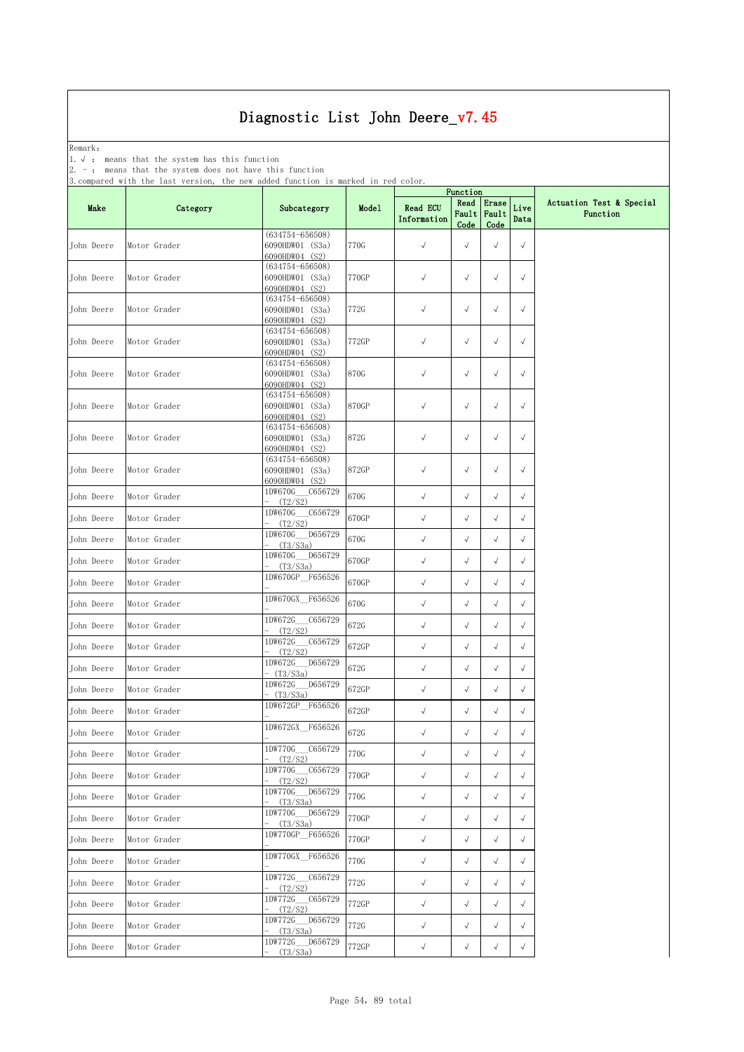Remark: The contract of the contract of  $\mathbb{R}$  and  $\mathbb{R}$  are contract of  $\mathbb{R}$  and  $\mathbb{R}$  are contract of  $\mathbb{R}$  and  $\mathbb{R}$  are contract of  $\mathbb{R}$  and  $\mathbb{R}$  are contract of  $\mathbb{R}$  and  $\mathbb{R}$  are cont

1.√ : means that the system has this function

2. - : means that the system does not have this function

|            |              |                                                          |       |                                | Function     |                              |              |                                      |
|------------|--------------|----------------------------------------------------------|-------|--------------------------------|--------------|------------------------------|--------------|--------------------------------------|
| Make       | Category     | Subcategory                                              | Model | <b>Read ECU</b><br>Information | Read<br>Code | Erase<br>Fault Fault<br>Code | Live<br>Data | Actuation Test & Special<br>Function |
| John Deere | Motor Grader | $(634754 - 656508)$<br>6090HDW01 (S3a)<br>6090HDW04 (S2) | 770G  | $\checkmark$                   | $\sqrt{ }$   | $\sqrt{ }$                   | $\sqrt{}$    |                                      |
| John Deere | Motor Grader | $(634754 - 656508)$<br>6090HDW01 (S3a)<br>6090HDW04 (S2) | 770GP | $\sqrt{ }$                     | $\sqrt{ }$   | $\sqrt{ }$                   | $\sqrt{}$    |                                      |
| John Deere | Motor Grader | $(634754 - 656508)$<br>6090HDW01 (S3a)<br>6090HDW04 (S2) | 772G  | $\sqrt{ }$                     | $\sqrt{ }$   | $\sqrt{ }$                   | $\sqrt{ }$   |                                      |
| John Deere | Motor Grader | $(634754 - 656508)$<br>6090HDW01 (S3a)<br>6090HDW04 (S2) | 772GP | $\sqrt{ }$                     | $\sqrt{ }$   | $\sqrt{ }$                   | $\sqrt{}$    |                                      |
| John Deere | Motor Grader | $(634754 - 656508)$<br>6090HDW01 (S3a)<br>6090HDW04 (S2) | 870G  | $\sqrt{ }$                     | $\sqrt{ }$   | $\sqrt{}$                    | $\sqrt{}$    |                                      |
| John Deere | Motor Grader | $(634754 - 656508)$<br>6090HDW01 (S3a)<br>6090HDW04 (S2) | 870GP | $\sqrt{ }$                     | $\sqrt{ }$   | $\sqrt{}$                    | $\sqrt{ }$   |                                      |
| John Deere | Motor Grader | $(634754 - 656508)$<br>6090HDW01 (S3a)<br>6090HDW04 (S2) | 872G  | $\sqrt{ }$                     | $\sqrt{ }$   | $\sqrt{ }$                   | $\sqrt{ }$   |                                      |
| John Deere | Motor Grader | $(634754 - 656508)$<br>6090HDW01 (S3a)<br>6090HDW04 (S2) | 872GP | $\sqrt{ }$                     | $\sqrt{ }$   | $\sqrt{}$                    | $\sqrt{ }$   |                                      |
| John Deere | Motor Grader | 1DW670G C656729<br>(T2/S2)                               | 670G  | $\checkmark$                   | $\sqrt{ }$   | $\sqrt{ }$                   | $\sqrt{}$    |                                      |
| John Deere | Motor Grader | 1DW670G_C656729<br>(T2/S2)                               | 670GP | $\checkmark$                   | $\sqrt{ }$   | $\sqrt{}$                    | $\checkmark$ |                                      |
| John Deere | Motor Grader | 1DW670G D656729<br>(T3/S3a)                              | 670G  | $\checkmark$                   | $\sqrt{ }$   | $\sqrt{ }$                   | $\sqrt{}$    |                                      |
| John Deere | Motor Grader | 1DW670G___D656729<br>(T3/S3a)                            | 670GP | $\checkmark$                   | $\sqrt{ }$   | $\sqrt{}$                    | $\sqrt{}$    |                                      |
| John Deere | Motor Grader | 1DW670GP F656526                                         | 670GP | $\checkmark$                   | $\sqrt{ }$   | $\sqrt{ }$                   | $\sqrt{}$    |                                      |
| John Deere | Motor Grader | 1DW670GX F656526                                         | 670G  | $\checkmark$                   | $\checkmark$ | $\sqrt{ }$                   | $\sqrt{}$    |                                      |
| John Deere | Motor Grader | 1DW672G<br>C656729<br>(T2/S2)                            | 672G  | $\checkmark$                   | $\sqrt{ }$   | $\sqrt{ }$                   | $\sqrt{}$    |                                      |
| John Deere | Motor Grader | 1DW672G<br>C656729<br>(T2/S2)<br>1DW672G D656729         | 672GP | $\checkmark$                   | $\checkmark$ | $\sqrt{ }$                   | $\sqrt{}$    |                                      |
| John Deere | Motor Grader | - (T3/S3a)                                               | 672G  | $\checkmark$                   | $\sqrt{ }$   | $\sqrt{}$                    | $\sqrt{ }$   |                                      |
| John Deere | Motor Grader | 1DW672G D656729<br>- (T3/S3a)                            | 672GP | $\sqrt{ }$                     | $\checkmark$ | $\sqrt{}$                    | $\sqrt{}$    |                                      |
| John Deere | Motor Grader | 1DW672GP F656526                                         | 672GP | $\sqrt{ }$                     | $\sqrt{}$    | $\sqrt{ }$                   | $\sqrt{}$    |                                      |
| John Deere | Motor Grader | 1DW672GX F656526                                         | 672G  | $\sqrt{ }$                     | $\sqrt{ }$   | $\sqrt{}$                    | $\sqrt{}$    |                                      |
| John Deere | Motor Grader | 1DW770G C656729<br>(T2/S2)                               | 770G  | $\checkmark$                   | $\sqrt{}$    | $\sqrt{ }$                   | $\sqrt{ }$   |                                      |
| John Deere | Motor Grader | 1DW770G C656729<br>(T2/S2)                               | 770GP | $\checkmark$                   | $\sqrt{ }$   | $\sqrt{}$                    | $\sqrt{}$    |                                      |
| John Deere | Motor Grader | 1DW770G D656729<br>(T3/S3a)                              | 770G  | $\checkmark$                   | $\sqrt{ }$   | $\sqrt{ }$                   | $\sqrt{}$    |                                      |
| John Deere | Motor Grader | 1DW770G D656729<br>(T3/S3a)                              | 770GP | $\checkmark$                   | $\sqrt{}$    | $\checkmark$                 | $\sqrt{}$    |                                      |
| John Deere | Motor Grader | 1DW770GP_F656526                                         | 770GP | $\sqrt{ }$                     | $\sqrt{ }$   | $\sqrt{}$                    | $\checkmark$ |                                      |
| John Deere | Motor Grader | 1DW770GX F656526                                         | 770G  | $\sqrt{ }$                     | $\sqrt{ }$   | $\sqrt{}$                    | $\sqrt{ }$   |                                      |
| John Deere | Motor Grader | 1DW772G<br>C656729<br>(T2/S2)                            | 772G  | $\checkmark$                   | $\sqrt{ }$   | $\sqrt{}$                    | $\sqrt{}$    |                                      |
| John Deere | Motor Grader | 1DW772G C656729<br>(T2/S2)                               | 772GP | $\checkmark$                   | $\sqrt{ }$   | $\sqrt{ }$                   | $\sqrt{}$    |                                      |
| John Deere | Motor Grader | 1DW772G D656729<br>(T3/S3a)                              | 772G  | $\checkmark$                   | $\sqrt{ }$   | $\sqrt{}$                    | $\sqrt{}$    |                                      |
| John Deere | Motor Grader | 1DW772G D656729<br>(T3/S3a)                              | 772GP | $\sqrt{ }$                     | $\sqrt{}$    | $\sqrt{ }$                   | $\sqrt{}$    |                                      |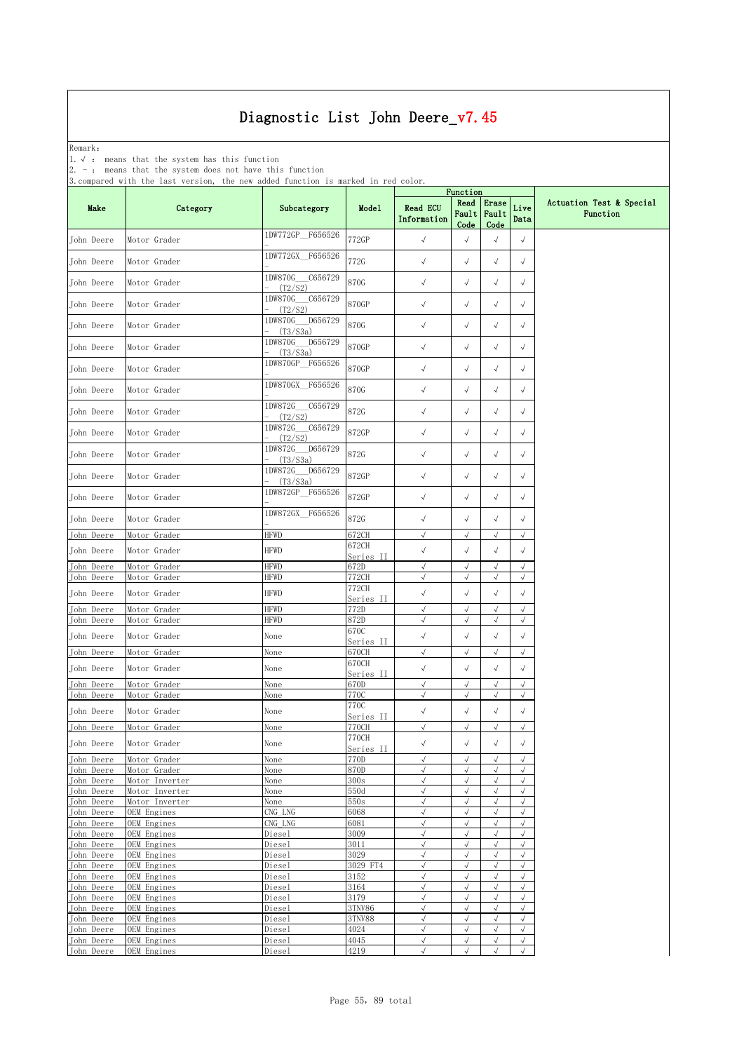Remark: The contract of the contract of  $\mathbb{R}$  and  $\mathbb{R}$  are contract of  $\mathbb{R}$  and  $\mathbb{R}$  are contract of  $\mathbb{R}$  and  $\mathbb{R}$  are contract of  $\mathbb{R}$  and  $\mathbb{R}$  are contract of  $\mathbb{R}$  and  $\mathbb{R}$  are cont

1.√ : means that the system has this function

2. - : means that the system does not have this function

|                          |                                |                                |                           |                                | Function                 |                          |                          |                                      |
|--------------------------|--------------------------------|--------------------------------|---------------------------|--------------------------------|--------------------------|--------------------------|--------------------------|--------------------------------------|
| Make                     | Category                       | Subcategory                    | Model                     | <b>Read ECU</b><br>Information | Read<br>Fault<br>Code    | Erase<br>Fault<br>Code   | Live<br>Data             | Actuation Test & Special<br>Function |
| John Deere               | Motor Grader                   | 1DW772GP_F656526               | 772GP                     | $\sqrt{ }$                     | √                        | $\sqrt{}$                | $\sqrt{ }$               |                                      |
| John Deere               | Motor Grader                   | 1DW772GX F656526               | 772G                      | $\checkmark$                   | $\sqrt{ }$               | $\sqrt{}$                | $\sqrt{ }$               |                                      |
| John Deere               | Motor Grader                   | 1DW870G<br>C656729<br>(T2/S2)  | 870G                      | $\checkmark$                   | $\sqrt{ }$               | $\sqrt{}$                | $\sqrt{ }$               |                                      |
| John Deere               | Motor Grader                   | 1DW870G C656729<br>(T2/S2)     | 870GP                     | $\sqrt{ }$                     | $\sqrt{}$                | $\sqrt{}$                | $\sqrt{}$                |                                      |
| John Deere               | Motor Grader                   | 1DW870G D656729<br>(T3/S3a)    | 870G                      | $\checkmark$                   | $\sqrt{ }$               | $\sqrt{}$                | $\sqrt{}$                |                                      |
| John Deere               | Motor Grader                   | 1DW870G<br>D656729<br>(T3/S3a) | 870GP                     | $\checkmark$                   | $\sqrt{}$                | $\sqrt{ }$               | $\sqrt{}$                |                                      |
| John Deere               | Motor Grader                   | 1DW870GP F656526               | 870GP                     | $\checkmark$                   | $\sqrt{ }$               | $\sqrt{ }$               | $\sqrt{ }$               |                                      |
| John Deere               | Motor Grader                   | 1DW870GX F656526               | 870G                      | $\sqrt{ }$                     | $\sqrt{}$                | $\sqrt{}$                | $\sqrt{ }$               |                                      |
| John Deere               | Motor Grader                   | 1DW872G C656729<br>(T2/S2)     | 872G                      | $\sqrt{ }$                     | $\sqrt{ }$               | $\sqrt{}$                | $\sqrt{ }$               |                                      |
| John Deere               | Motor Grader                   | C656729<br>1DW872G<br>(T2/S2)  | 872GP                     | $\sqrt{ }$                     | $\sqrt{ }$               | $\sqrt{}$                | $\sqrt{ }$               |                                      |
| John Deere               | Motor Grader                   | 1DW872G D656729<br>(T3/S3a)    | 872G                      | $\checkmark$                   | $\sqrt{}$                | $\sqrt{}$                | $\sqrt{ }$               |                                      |
| John Deere               | Motor Grader                   | 1DW872G<br>D656729<br>(T3/S3a) | 872GP                     | $\checkmark$                   | $\sqrt{ }$               | $\sqrt{}$                | $\sqrt{ }$               |                                      |
| John Deere               | Motor Grader                   | 1DW872GP F656526               | 872GP                     | $\sqrt{ }$                     | $\sqrt{}$                | $\sqrt{ }$               | $\sqrt{}$                |                                      |
| John Deere               | Motor Grader                   | 1DW872GX F656526               | 872G                      | $\sqrt{ }$                     | $\sqrt{}$                | $\sqrt{ }$               | $\sqrt{ }$               |                                      |
| John Deere               | Motor Grader                   | <b>HFWD</b>                    | 672CH                     | $\sqrt{ }$                     | $\sqrt{}$                | $\sqrt{ }$               | $\sqrt{ }$               |                                      |
| John Deere               | Motor Grader                   | HFWD                           | 672CH<br>Series II        | $\checkmark$                   | $\checkmark$             | $\sqrt{ }$               | $\sqrt{ }$               |                                      |
| John Deere               | Motor Grader                   | <b>HFWD</b>                    | 672D                      | $\sqrt{}$                      | √                        | $\sqrt{ }$               | $\sqrt{}$                |                                      |
| John Deere               | Motor Grader                   | HFWD                           | 772CH                     | $\sqrt{}$                      | $\sqrt{}$                | $\sqrt{}$                | $\sqrt{}$                |                                      |
| John Deere               | Motor Grader                   | <b>HFWD</b>                    | 772CH<br>Series II        | $\sqrt{ }$                     | $\sqrt{}$                | $\sqrt{}$                | $\sqrt{ }$               |                                      |
| John Deere               | Motor Grader                   | <b>HFWD</b>                    | 772D                      | $\sqrt{}$                      | $\sqrt{}$                | $\sqrt{ }$               | $\sqrt{ }$               |                                      |
| John Deere               | Motor Grader                   | HFWD                           | 872D<br>670C              | $\sqrt{}$                      | $\sqrt{}$                | $\sqrt{ }$               | $\sqrt{ }$               |                                      |
| John Deere               | Motor Grader                   | None                           | Series II                 | $\sqrt{ }$                     | $\sqrt{ }$               | $\sqrt{}$                | $\sqrt{ }$               |                                      |
| John Deere               | Motor Grader                   | None                           | 670CH                     | $\sqrt{ }$                     | $\sqrt{}$                | $\sqrt{}$                | $\sqrt{2}$               |                                      |
| John Deere               | Motor Grader                   | None                           | 670CH<br>Series II        | $\sqrt{ }$                     | $\sqrt{}$                | $\sqrt{}$                | $\sqrt{ }$               |                                      |
| John Deere               | Motor Grader                   | None                           | 670D                      | $\checkmark$                   | $\sqrt{ }$               | $\sqrt{}$                | $\sqrt{ }$               |                                      |
| John Deere               | Motor Grader                   | None                           | 770C                      | $\sqrt{}$                      | $\sqrt{}$                | $\sqrt{ }$               | $\sqrt{}$                |                                      |
| John Deere               | Motor Grader                   | None                           | 770C<br>Series II         | $\sqrt{ }$                     | $\sqrt{}$                | $\sqrt{}$                | $\sqrt{ }$               |                                      |
| John Deere               | Motor Grader                   | None                           | <b>770CH</b>              | $\sqrt{}$                      | $\sqrt{}$                | $\sqrt{}$                | $\sqrt{}$                |                                      |
| John Deere               | Motor Grader                   | None                           | <b>770CH</b><br>Series II | √                              | $\sqrt{2}$               | $\sqrt{2}$               |                          |                                      |
| John Deere               | Motor Grader                   | None                           | 770D                      | $\sqrt{ }$                     | $\sqrt{ }$               | $\sqrt{ }$               | $\sqrt{}$                |                                      |
| John Deere<br>John Deere | Motor Grader<br>Motor Inverter | None                           | 870D<br>300s              | $\sqrt{ }$<br>$\sqrt{}$        | $\sqrt{ }$<br>$\sqrt{ }$ | $\sqrt{ }$<br>$\sqrt{ }$ | $\sqrt{ }$<br>$\sqrt{ }$ |                                      |
| John Deere               | Motor Inverter                 | None<br>None                   | 550d                      | $\sqrt{}$                      | $\checkmark$             | $\sqrt{ }$               | $\sqrt{ }$               |                                      |
| John Deere               | Motor Inverter                 | None                           | 550s                      | $\sqrt{ }$                     | $\sqrt{2}$               | $\sqrt{}$                | $\sqrt{ }$               |                                      |
| John Deere               | OEM Engines                    | CNG LNG                        | 6068                      | $\sqrt{ }$                     | $\sqrt{ }$               | $\sqrt{ }$               | $\sqrt{ }$               |                                      |
| John Deere               | OEM Engines                    | CNG LNG                        | 6081                      | $\sqrt{ }$                     | $\sqrt{ }$               | $\sqrt{ }$               | $\sqrt{ }$               |                                      |
| John Deere               | OEM Engines                    | Diesel                         | 3009                      | $\sqrt{ }$                     | $\sqrt{ }$               | $\sqrt{ }$               | $\sqrt{ }$               |                                      |
| John Deere               | OEM Engines                    | Diesel                         | 3011                      | $\sqrt{}$                      | $\sqrt{2}$               | $\sqrt{ }$               | $\sqrt{ }$               |                                      |
| John Deere               | OEM Engines                    | Diesel                         | 3029                      | $\sqrt{2}$                     | $\sqrt{2}$               | $\sqrt{2}$               | $\sqrt{ }$               |                                      |
| John Deere               | OEM Engines                    | Diesel                         | 3029 FT4                  | $\sqrt{ }$                     | $\sqrt{}$                | $\sqrt{ }$               | $\sqrt{ }$               |                                      |
| John Deere               | OEM Engines                    | Diesel                         | 3152                      | $\sqrt{ }$                     | $\sqrt{2}$               | $\sqrt{}$                | $\sqrt{ }$               |                                      |
| John Deere               | OEM Engines                    | Diesel                         | 3164                      | $\sqrt{}$                      | $\sqrt{ }$               | $\sqrt{ }$               | $\sqrt{ }$               |                                      |
| John Deere               | OEM Engines                    | Diesel                         | 3179                      | $\sqrt{ }$                     | $\sqrt{ }$               | $\sqrt{ }$               | $\sqrt{ }$               |                                      |
| John Deere<br>John Deere | OEM Engines                    | Diesel                         | 3TNV86<br>3TNV88          | $\sqrt{ }$<br>$\sqrt{ }$       | $\sqrt{ }$<br>$\sqrt{2}$ | $\sqrt{ }$<br>$\sqrt{ }$ | $\sqrt{ }$<br>$\sqrt{ }$ |                                      |
| John Deere               | OEM Engines<br>OEM Engines     | Diesel<br>Diesel               | 4024                      | $\sqrt{ }$                     | $\sqrt{2}$               | $\sqrt{ }$               | $\sqrt{ }$               |                                      |
| John Deere               | OEM Engines                    | Diesel                         | 4045                      | $\checkmark$                   | $\sqrt{ }$               | $\sqrt{}$                | $\sqrt{ }$               |                                      |
| John Deere               | OEM Engines                    | Diesel                         | 4219                      | $\sqrt{2}$                     | $\sqrt{}$                | $\sqrt{}$                | $\sqrt{ }$               |                                      |
|                          |                                |                                |                           |                                |                          |                          |                          |                                      |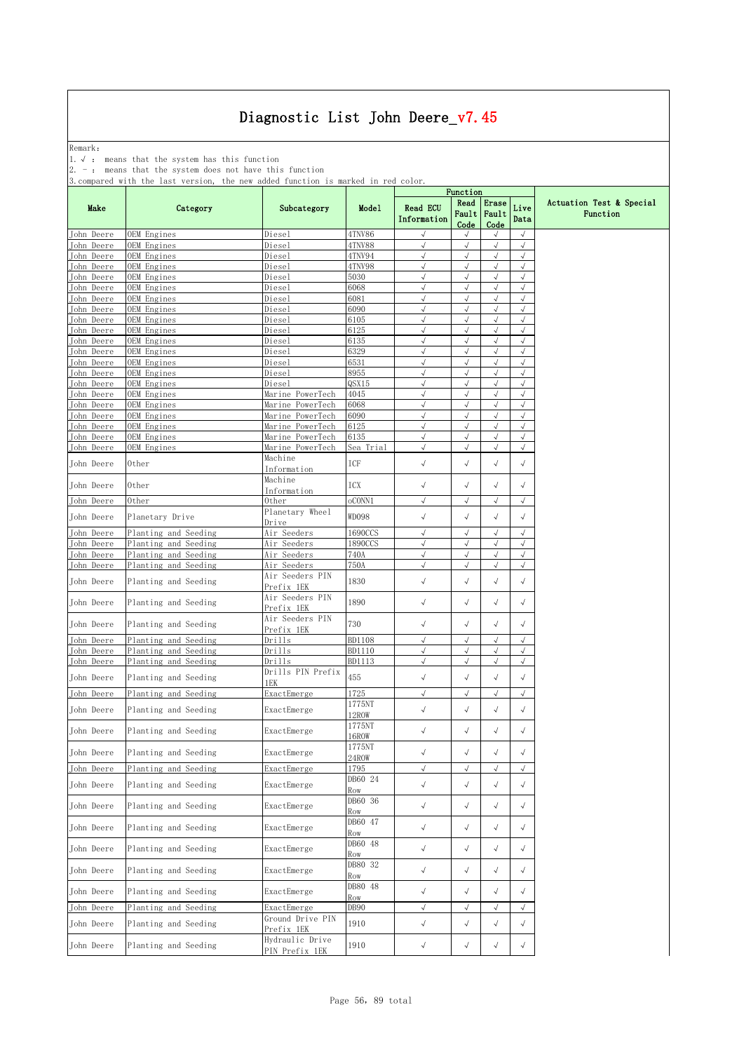Remark: The contract of the contract of  $\mathbb{R}$  and  $\mathbb{R}$  are contract of  $\mathbb{R}$  and  $\mathbb{R}$  are contract of  $\mathbb{R}$  and  $\mathbb{R}$  are contract of  $\mathbb{R}$  and  $\mathbb{R}$  are contract of  $\mathbb{R}$  and  $\mathbb{R}$  are cont

1.√ : means that the system has this function

2. - : means that the system does not have this function

| Actuation Test & Special<br>Read<br>Erase<br>Live<br>Make<br><b>Read ECU</b><br>Category<br>Subcategory<br>Model<br>Fault<br>Fault<br>Function<br>Information<br>Data<br>Code<br>Code<br>4TNV86<br>$\sqrt{ }$<br>OEM Engines<br>Diesel<br>$\sqrt{ }$<br>$\sqrt{ }$<br>$\sqrt{ }$<br>4TNV88<br>$\sqrt{ }$<br>$\sqrt{}$<br>$\sqrt{}$<br>$\sqrt{2}$<br>John Deere<br>Diesel<br><b>DEM Engines</b><br>$\sqrt{ }$<br>$\sqrt{}$<br>$\sqrt{ }$<br>$\sqrt{2}$<br>John Deere<br>OEM Engines<br>Diesel<br>4TNV94<br>John Deere<br>OEM Engines<br>Diesel<br>4TNV98<br>$\sqrt{ }$<br>$\sqrt{}$<br>$\sqrt{ }$<br>$\sqrt{ }$<br>$\sqrt{ }$<br>$\sqrt{}$<br>$\sqrt{}$<br>$\sqrt{ }$<br>John Deere<br>5030<br>OEM Engines<br>Diesel<br>$\sqrt{2}$<br>John Deere<br>6068<br>$\sqrt{ }$<br>$\sqrt{}$<br>DEM Engines<br>Diesel<br>$\sqrt{}$<br>$\sqrt{2}$<br>$\sqrt{ }$<br>$\sqrt{}$<br>$\sqrt{}$<br>John Deere<br>6081<br>OEM Engines<br>Diesel<br>$\sqrt{ }$<br>$\sqrt{2}$<br>$\sqrt{ }$<br>$\sqrt{}$<br>Diesel<br>6090<br>John Deere<br>OEM Engines<br>$\sqrt{}$<br>$\sqrt{}$<br>6105<br>$\sqrt{}$<br>$\sqrt{}$<br>OEM Engines<br>Diesel<br>$\sqrt{ }$<br>$\sqrt{ }$<br>$\sqrt{ }$<br>$\sqrt{}$<br>Diesel<br>6125<br>OEM Engines<br>6135<br>$\sqrt{ }$<br>$\sqrt{2}$<br>OEM Engines<br>Diesel<br>$\sqrt{ }$<br>$\sqrt{}$<br>$\sqrt{}$<br>$\sqrt{ }$<br>6329<br>$\sqrt{ }$<br>$\sqrt{}$<br><b>DEM Engines</b><br>Diesel<br>6531<br>$\sqrt{ }$<br>$\sqrt{}$<br>DEM Engines<br>Diesel<br>$\sqrt{}$<br>√<br>8955<br>$\sqrt{ }$<br>$\sqrt{2}$<br>$\sqrt{2}$<br>$\sqrt{2}$<br>John Deere<br>Diesel<br>DEM Engines<br>$\sqrt{ }$<br>$\sqrt{}$<br>QSX15<br>$\sqrt{ }$<br>$\sqrt{}$<br>John Deere<br>OEM Engines<br>Diesel<br>John Deere<br>$\sqrt{}$<br>$\sqrt{}$<br>$\sqrt{ }$<br>$\sqrt{2}$<br>OEM Engines<br>Marine PowerTech<br>4045<br>$\sqrt{}$<br>$\sqrt{2}$<br>John Deere<br>$\sqrt{ }$<br>$\sqrt{2}$<br>OEM Engines<br>Marine PowerTech<br>6068<br>$\sqrt{}$<br>$\sqrt{ }$<br>$\sqrt{2}$<br>$\sqrt{}$<br>John Deere<br>DEM Engines<br>Marine PowerTech<br>6090<br>$\sqrt{}$<br>$\sqrt{2}$<br>John Deere<br>Marine PowerTech<br>6125<br>$\sqrt{}$<br>$\sqrt{}$<br>DEM Engines<br>$\sqrt{ }$<br>$\sqrt{ }$<br>6135<br>$\sqrt{ }$<br>$\sqrt{ }$<br>John Deere<br>DEM Engines<br>Marine PowerTech<br>$\sqrt{ }$<br>$\sqrt{}$<br>$\sqrt{}$<br>$\sqrt{2}$<br>John Deere<br>Marine PowerTech<br>Sea Trial<br>OEM Engines<br>Machine<br>$\sqrt{}$<br>$\sqrt{ }$<br>$\sqrt{}$<br>John Deere<br>ICF<br>$\sqrt{ }$<br>0ther<br>Information<br>Machine<br>ICX<br>$\sqrt{ }$<br>$\sqrt{}$<br>$\sqrt{}$<br>$\sqrt{ }$<br>0ther<br>Information<br>John Deere<br>oCONN1<br>$\sqrt{ }$<br>√<br>$\sqrt{ }$<br>$\sqrt{}$<br>0ther<br>Other<br>Planetary Wheel<br>WD098<br>$\sqrt{ }$<br>$\sqrt{}$<br>$\sqrt{}$<br>$\sqrt{ }$<br>Planetary Drive<br>Drive<br>$\sqrt{ }$<br>$\sqrt{}$<br>John Deere<br>Planting and Seeding<br>Air Seeders<br>1690CCS<br>$\sqrt{ }$<br>$\sqrt{}$<br>Planting and Seeding<br>$\sqrt{}$<br>John Deere<br>Air Seeders<br>1890CCS<br>$\sqrt{ }$<br>$\sqrt{}$<br>$\sqrt{ }$<br>$\sqrt{ }$<br>$\sqrt{}$<br>$\sqrt{ }$<br>John Deere<br>Planting and Seeding<br>Air Seeders<br>$\sqrt{}$<br>740A<br>John Deere<br>Planting and Seeding<br>Air Seeders<br>750A<br>$\sqrt{2}$<br>√<br>$\checkmark$<br>Air Seeders PIN<br>$\sqrt{ }$<br>$\checkmark$<br>$\sqrt{}$<br>1830<br>$\sqrt{ }$<br>Planting and Seeding<br>Prefix 1EK<br>Air Seeders PIN<br>1890<br>$\sqrt{ }$<br>$\sqrt{}$<br>$\sqrt{}$<br>$\sqrt{ }$<br>Planting and Seeding<br>Prefix 1EK<br>Air Seeders PIN<br>730<br>$\sqrt{ }$<br>Planting and Seeding<br>$\sqrt{}$<br>$\sqrt{ }$<br>$\sqrt{ }$<br>Prefix 1EK<br>John Deere<br>Planting and Seeding<br>BD1108<br>$\sqrt{}$<br>$\sqrt{}$<br>$\sqrt{ }$<br>Drills<br>J<br>$\sqrt{ }$<br>$\sqrt{ }$<br>$\sqrt{}$<br>John Deere<br>Planting and Seeding<br>Drills<br>BD1110<br>$\sqrt{}$<br>$\sqrt{ }$<br>$\sqrt{}$<br>Planting and Seeding<br>Drills<br>BD1113<br>$\sqrt{}$<br>$\sqrt{ }$<br>John Deere<br>Drills PIN Prefix<br>455<br>$\sqrt{}$<br>$\checkmark$<br>$\sqrt{ }$<br>$\sqrt{\phantom{a}}$<br>John Deere<br>Planting and Seeding<br>1 EK<br>Planting and Seeding<br>ExactEmerge<br>1725<br>$\sqrt{ }$<br>$\sqrt{}$<br>$\sqrt{}$<br>$\sqrt{2}$<br>1775NT<br>John Deere<br>Planting and Seeding<br>$\sqrt{ }$<br>$\sqrt{}$<br>$\sqrt{}$<br>ExactEmerge<br>$\sqrt{}$<br>12ROW<br>1775NT<br>$\sqrt{ }$<br>$\sqrt{}$<br>$\sqrt{}$<br>$\sqrt{ }$<br>John Deere<br>Planting and Seeding<br>ExactEmerge<br>16ROW<br>1775NT<br>John Deere<br>Planting and Seeding<br>ExactEmerge<br>$\sqrt{ }$<br>$\sqrt{ }$<br>$\sqrt{ }$<br>$\sqrt{ }$<br>24ROW<br>John Deere<br>1795<br>$\sqrt{}$<br>$\sqrt{}$<br>Planting and Seeding<br>ExactEmerge<br>$\sqrt{}$<br>$\sqrt{2}$<br>DB60 24<br>$\sqrt{ }$<br>$\sqrt{ }$<br>Planting and Seeding<br>ExactEmerge<br>$\sqrt{ }$<br>$\sqrt{}$<br>Row<br>DB60 36<br>$\sqrt{\phantom{a}}$<br>$\sqrt{}$<br>Planting and Seeding<br>$\sqrt{ }$<br>$\sqrt{ }$<br>ExactEmerge<br>Row<br>DB60 47<br>$\sqrt{ }$<br>$\checkmark$<br>$\sqrt{}$<br>Planting and Seeding<br>$\sqrt{ }$<br>ExactEmerge<br>Row<br>DB60 48<br>$\sqrt{}$<br>$\sqrt{\phantom{a}}$<br>$\sqrt{}$<br>Planting and Seeding<br>ExactEmerge<br>$\sqrt{ }$<br>Row<br>DB80 32<br>$\sqrt{\phantom{a}}$<br>$\sqrt{ }$<br>$\checkmark$<br>Planting and Seeding<br>ExactEmerge<br>$\sqrt{ }$<br>Row<br>DB80 48<br>$\sqrt{\phantom{a}}$<br>$\sqrt{}$<br>Planting and Seeding<br>ExactEmerge<br>$\sqrt{ }$<br>$\sqrt{ }$<br>Row<br>Planting and Seeding<br>ExactEmerge<br>$\sqrt{ }$<br>$\sqrt{}$<br>$\sqrt{}$<br>DB90<br>$\sqrt{ }$<br>Ground Drive PIN<br>1910<br>$\sqrt{\phantom{a}}$<br>$\sqrt{\phantom{a}}$<br>$\checkmark$<br>$\sqrt{}$<br>Planting and Seeding<br>Prefix 1EK<br>Hydraulic Drive<br>1910<br>$\sqrt{ }$<br>$\sqrt{}$<br>$\sqrt{}$<br>Planting and Seeding<br>$\sqrt{}$<br>PIN Prefix 1EK |            | o, compared write the fast version, the new added function is marked in rea coron. |  | Function |  |  |
|-----------------------------------------------------------------------------------------------------------------------------------------------------------------------------------------------------------------------------------------------------------------------------------------------------------------------------------------------------------------------------------------------------------------------------------------------------------------------------------------------------------------------------------------------------------------------------------------------------------------------------------------------------------------------------------------------------------------------------------------------------------------------------------------------------------------------------------------------------------------------------------------------------------------------------------------------------------------------------------------------------------------------------------------------------------------------------------------------------------------------------------------------------------------------------------------------------------------------------------------------------------------------------------------------------------------------------------------------------------------------------------------------------------------------------------------------------------------------------------------------------------------------------------------------------------------------------------------------------------------------------------------------------------------------------------------------------------------------------------------------------------------------------------------------------------------------------------------------------------------------------------------------------------------------------------------------------------------------------------------------------------------------------------------------------------------------------------------------------------------------------------------------------------------------------------------------------------------------------------------------------------------------------------------------------------------------------------------------------------------------------------------------------------------------------------------------------------------------------------------------------------------------------------------------------------------------------------------------------------------------------------------------------------------------------------------------------------------------------------------------------------------------------------------------------------------------------------------------------------------------------------------------------------------------------------------------------------------------------------------------------------------------------------------------------------------------------------------------------------------------------------------------------------------------------------------------------------------------------------------------------------------------------------------------------------------------------------------------------------------------------------------------------------------------------------------------------------------------------------------------------------------------------------------------------------------------------------------------------------------------------------------------------------------------------------------------------------------------------------------------------------------------------------------------------------------------------------------------------------------------------------------------------------------------------------------------------------------------------------------------------------------------------------------------------------------------------------------------------------------------------------------------------------------------------------------------------------------------------------------------------------------------------------------------------------------------------------------------------------------------------------------------------------------------------------------------------------------------------------------------------------------------------------------------------------------------------------------------------------------------------------------------------------------------------------------------------------------------------------------------------------------------------------------------------------------------------------------------------------------------------------------------------------------------------------------------------------------------------------------------------------------------------------------------------------------------------------------------------------------------------------------------------------------------------------------------------------------------------------------------------------------------------------------------------------------------------------------------------------------------------------------------------------------------------------------------------------------------------------------------------------------------------------------------------------------------------------------------------------------------------------------------------------------------------------------------------------------------------------------------------------------------------------------------------------------------------------------------------------------------------------------------|------------|------------------------------------------------------------------------------------|--|----------|--|--|
|                                                                                                                                                                                                                                                                                                                                                                                                                                                                                                                                                                                                                                                                                                                                                                                                                                                                                                                                                                                                                                                                                                                                                                                                                                                                                                                                                                                                                                                                                                                                                                                                                                                                                                                                                                                                                                                                                                                                                                                                                                                                                                                                                                                                                                                                                                                                                                                                                                                                                                                                                                                                                                                                                                                                                                                                                                                                                                                                                                                                                                                                                                                                                                                                                                                                                                                                                                                                                                                                                                                                                                                                                                                                                                                                                                                                                                                                                                                                                                                                                                                                                                                                                                                                                                                                                                                                                                                                                                                                                                                                                                                                                                                                                                                                                                                                                                                                                                                                                                                                                                                                                                                                                                                                                                                                                                                                                                                                                                                                                                                                                                                                                                                                                                                                                                                                                                                                                               |            |                                                                                    |  |          |  |  |
|                                                                                                                                                                                                                                                                                                                                                                                                                                                                                                                                                                                                                                                                                                                                                                                                                                                                                                                                                                                                                                                                                                                                                                                                                                                                                                                                                                                                                                                                                                                                                                                                                                                                                                                                                                                                                                                                                                                                                                                                                                                                                                                                                                                                                                                                                                                                                                                                                                                                                                                                                                                                                                                                                                                                                                                                                                                                                                                                                                                                                                                                                                                                                                                                                                                                                                                                                                                                                                                                                                                                                                                                                                                                                                                                                                                                                                                                                                                                                                                                                                                                                                                                                                                                                                                                                                                                                                                                                                                                                                                                                                                                                                                                                                                                                                                                                                                                                                                                                                                                                                                                                                                                                                                                                                                                                                                                                                                                                                                                                                                                                                                                                                                                                                                                                                                                                                                                                               | John Deere |                                                                                    |  |          |  |  |
|                                                                                                                                                                                                                                                                                                                                                                                                                                                                                                                                                                                                                                                                                                                                                                                                                                                                                                                                                                                                                                                                                                                                                                                                                                                                                                                                                                                                                                                                                                                                                                                                                                                                                                                                                                                                                                                                                                                                                                                                                                                                                                                                                                                                                                                                                                                                                                                                                                                                                                                                                                                                                                                                                                                                                                                                                                                                                                                                                                                                                                                                                                                                                                                                                                                                                                                                                                                                                                                                                                                                                                                                                                                                                                                                                                                                                                                                                                                                                                                                                                                                                                                                                                                                                                                                                                                                                                                                                                                                                                                                                                                                                                                                                                                                                                                                                                                                                                                                                                                                                                                                                                                                                                                                                                                                                                                                                                                                                                                                                                                                                                                                                                                                                                                                                                                                                                                                                               |            |                                                                                    |  |          |  |  |
|                                                                                                                                                                                                                                                                                                                                                                                                                                                                                                                                                                                                                                                                                                                                                                                                                                                                                                                                                                                                                                                                                                                                                                                                                                                                                                                                                                                                                                                                                                                                                                                                                                                                                                                                                                                                                                                                                                                                                                                                                                                                                                                                                                                                                                                                                                                                                                                                                                                                                                                                                                                                                                                                                                                                                                                                                                                                                                                                                                                                                                                                                                                                                                                                                                                                                                                                                                                                                                                                                                                                                                                                                                                                                                                                                                                                                                                                                                                                                                                                                                                                                                                                                                                                                                                                                                                                                                                                                                                                                                                                                                                                                                                                                                                                                                                                                                                                                                                                                                                                                                                                                                                                                                                                                                                                                                                                                                                                                                                                                                                                                                                                                                                                                                                                                                                                                                                                                               |            |                                                                                    |  |          |  |  |
|                                                                                                                                                                                                                                                                                                                                                                                                                                                                                                                                                                                                                                                                                                                                                                                                                                                                                                                                                                                                                                                                                                                                                                                                                                                                                                                                                                                                                                                                                                                                                                                                                                                                                                                                                                                                                                                                                                                                                                                                                                                                                                                                                                                                                                                                                                                                                                                                                                                                                                                                                                                                                                                                                                                                                                                                                                                                                                                                                                                                                                                                                                                                                                                                                                                                                                                                                                                                                                                                                                                                                                                                                                                                                                                                                                                                                                                                                                                                                                                                                                                                                                                                                                                                                                                                                                                                                                                                                                                                                                                                                                                                                                                                                                                                                                                                                                                                                                                                                                                                                                                                                                                                                                                                                                                                                                                                                                                                                                                                                                                                                                                                                                                                                                                                                                                                                                                                                               |            |                                                                                    |  |          |  |  |
|                                                                                                                                                                                                                                                                                                                                                                                                                                                                                                                                                                                                                                                                                                                                                                                                                                                                                                                                                                                                                                                                                                                                                                                                                                                                                                                                                                                                                                                                                                                                                                                                                                                                                                                                                                                                                                                                                                                                                                                                                                                                                                                                                                                                                                                                                                                                                                                                                                                                                                                                                                                                                                                                                                                                                                                                                                                                                                                                                                                                                                                                                                                                                                                                                                                                                                                                                                                                                                                                                                                                                                                                                                                                                                                                                                                                                                                                                                                                                                                                                                                                                                                                                                                                                                                                                                                                                                                                                                                                                                                                                                                                                                                                                                                                                                                                                                                                                                                                                                                                                                                                                                                                                                                                                                                                                                                                                                                                                                                                                                                                                                                                                                                                                                                                                                                                                                                                                               |            |                                                                                    |  |          |  |  |
|                                                                                                                                                                                                                                                                                                                                                                                                                                                                                                                                                                                                                                                                                                                                                                                                                                                                                                                                                                                                                                                                                                                                                                                                                                                                                                                                                                                                                                                                                                                                                                                                                                                                                                                                                                                                                                                                                                                                                                                                                                                                                                                                                                                                                                                                                                                                                                                                                                                                                                                                                                                                                                                                                                                                                                                                                                                                                                                                                                                                                                                                                                                                                                                                                                                                                                                                                                                                                                                                                                                                                                                                                                                                                                                                                                                                                                                                                                                                                                                                                                                                                                                                                                                                                                                                                                                                                                                                                                                                                                                                                                                                                                                                                                                                                                                                                                                                                                                                                                                                                                                                                                                                                                                                                                                                                                                                                                                                                                                                                                                                                                                                                                                                                                                                                                                                                                                                                               |            |                                                                                    |  |          |  |  |
|                                                                                                                                                                                                                                                                                                                                                                                                                                                                                                                                                                                                                                                                                                                                                                                                                                                                                                                                                                                                                                                                                                                                                                                                                                                                                                                                                                                                                                                                                                                                                                                                                                                                                                                                                                                                                                                                                                                                                                                                                                                                                                                                                                                                                                                                                                                                                                                                                                                                                                                                                                                                                                                                                                                                                                                                                                                                                                                                                                                                                                                                                                                                                                                                                                                                                                                                                                                                                                                                                                                                                                                                                                                                                                                                                                                                                                                                                                                                                                                                                                                                                                                                                                                                                                                                                                                                                                                                                                                                                                                                                                                                                                                                                                                                                                                                                                                                                                                                                                                                                                                                                                                                                                                                                                                                                                                                                                                                                                                                                                                                                                                                                                                                                                                                                                                                                                                                                               |            |                                                                                    |  |          |  |  |
|                                                                                                                                                                                                                                                                                                                                                                                                                                                                                                                                                                                                                                                                                                                                                                                                                                                                                                                                                                                                                                                                                                                                                                                                                                                                                                                                                                                                                                                                                                                                                                                                                                                                                                                                                                                                                                                                                                                                                                                                                                                                                                                                                                                                                                                                                                                                                                                                                                                                                                                                                                                                                                                                                                                                                                                                                                                                                                                                                                                                                                                                                                                                                                                                                                                                                                                                                                                                                                                                                                                                                                                                                                                                                                                                                                                                                                                                                                                                                                                                                                                                                                                                                                                                                                                                                                                                                                                                                                                                                                                                                                                                                                                                                                                                                                                                                                                                                                                                                                                                                                                                                                                                                                                                                                                                                                                                                                                                                                                                                                                                                                                                                                                                                                                                                                                                                                                                                               | John Deere |                                                                                    |  |          |  |  |
|                                                                                                                                                                                                                                                                                                                                                                                                                                                                                                                                                                                                                                                                                                                                                                                                                                                                                                                                                                                                                                                                                                                                                                                                                                                                                                                                                                                                                                                                                                                                                                                                                                                                                                                                                                                                                                                                                                                                                                                                                                                                                                                                                                                                                                                                                                                                                                                                                                                                                                                                                                                                                                                                                                                                                                                                                                                                                                                                                                                                                                                                                                                                                                                                                                                                                                                                                                                                                                                                                                                                                                                                                                                                                                                                                                                                                                                                                                                                                                                                                                                                                                                                                                                                                                                                                                                                                                                                                                                                                                                                                                                                                                                                                                                                                                                                                                                                                                                                                                                                                                                                                                                                                                                                                                                                                                                                                                                                                                                                                                                                                                                                                                                                                                                                                                                                                                                                                               | John Deere |                                                                                    |  |          |  |  |
|                                                                                                                                                                                                                                                                                                                                                                                                                                                                                                                                                                                                                                                                                                                                                                                                                                                                                                                                                                                                                                                                                                                                                                                                                                                                                                                                                                                                                                                                                                                                                                                                                                                                                                                                                                                                                                                                                                                                                                                                                                                                                                                                                                                                                                                                                                                                                                                                                                                                                                                                                                                                                                                                                                                                                                                                                                                                                                                                                                                                                                                                                                                                                                                                                                                                                                                                                                                                                                                                                                                                                                                                                                                                                                                                                                                                                                                                                                                                                                                                                                                                                                                                                                                                                                                                                                                                                                                                                                                                                                                                                                                                                                                                                                                                                                                                                                                                                                                                                                                                                                                                                                                                                                                                                                                                                                                                                                                                                                                                                                                                                                                                                                                                                                                                                                                                                                                                                               | John Deere |                                                                                    |  |          |  |  |
|                                                                                                                                                                                                                                                                                                                                                                                                                                                                                                                                                                                                                                                                                                                                                                                                                                                                                                                                                                                                                                                                                                                                                                                                                                                                                                                                                                                                                                                                                                                                                                                                                                                                                                                                                                                                                                                                                                                                                                                                                                                                                                                                                                                                                                                                                                                                                                                                                                                                                                                                                                                                                                                                                                                                                                                                                                                                                                                                                                                                                                                                                                                                                                                                                                                                                                                                                                                                                                                                                                                                                                                                                                                                                                                                                                                                                                                                                                                                                                                                                                                                                                                                                                                                                                                                                                                                                                                                                                                                                                                                                                                                                                                                                                                                                                                                                                                                                                                                                                                                                                                                                                                                                                                                                                                                                                                                                                                                                                                                                                                                                                                                                                                                                                                                                                                                                                                                                               | John Deere |                                                                                    |  |          |  |  |
|                                                                                                                                                                                                                                                                                                                                                                                                                                                                                                                                                                                                                                                                                                                                                                                                                                                                                                                                                                                                                                                                                                                                                                                                                                                                                                                                                                                                                                                                                                                                                                                                                                                                                                                                                                                                                                                                                                                                                                                                                                                                                                                                                                                                                                                                                                                                                                                                                                                                                                                                                                                                                                                                                                                                                                                                                                                                                                                                                                                                                                                                                                                                                                                                                                                                                                                                                                                                                                                                                                                                                                                                                                                                                                                                                                                                                                                                                                                                                                                                                                                                                                                                                                                                                                                                                                                                                                                                                                                                                                                                                                                                                                                                                                                                                                                                                                                                                                                                                                                                                                                                                                                                                                                                                                                                                                                                                                                                                                                                                                                                                                                                                                                                                                                                                                                                                                                                                               | John Deere |                                                                                    |  |          |  |  |
|                                                                                                                                                                                                                                                                                                                                                                                                                                                                                                                                                                                                                                                                                                                                                                                                                                                                                                                                                                                                                                                                                                                                                                                                                                                                                                                                                                                                                                                                                                                                                                                                                                                                                                                                                                                                                                                                                                                                                                                                                                                                                                                                                                                                                                                                                                                                                                                                                                                                                                                                                                                                                                                                                                                                                                                                                                                                                                                                                                                                                                                                                                                                                                                                                                                                                                                                                                                                                                                                                                                                                                                                                                                                                                                                                                                                                                                                                                                                                                                                                                                                                                                                                                                                                                                                                                                                                                                                                                                                                                                                                                                                                                                                                                                                                                                                                                                                                                                                                                                                                                                                                                                                                                                                                                                                                                                                                                                                                                                                                                                                                                                                                                                                                                                                                                                                                                                                                               |            |                                                                                    |  |          |  |  |
|                                                                                                                                                                                                                                                                                                                                                                                                                                                                                                                                                                                                                                                                                                                                                                                                                                                                                                                                                                                                                                                                                                                                                                                                                                                                                                                                                                                                                                                                                                                                                                                                                                                                                                                                                                                                                                                                                                                                                                                                                                                                                                                                                                                                                                                                                                                                                                                                                                                                                                                                                                                                                                                                                                                                                                                                                                                                                                                                                                                                                                                                                                                                                                                                                                                                                                                                                                                                                                                                                                                                                                                                                                                                                                                                                                                                                                                                                                                                                                                                                                                                                                                                                                                                                                                                                                                                                                                                                                                                                                                                                                                                                                                                                                                                                                                                                                                                                                                                                                                                                                                                                                                                                                                                                                                                                                                                                                                                                                                                                                                                                                                                                                                                                                                                                                                                                                                                                               |            |                                                                                    |  |          |  |  |
|                                                                                                                                                                                                                                                                                                                                                                                                                                                                                                                                                                                                                                                                                                                                                                                                                                                                                                                                                                                                                                                                                                                                                                                                                                                                                                                                                                                                                                                                                                                                                                                                                                                                                                                                                                                                                                                                                                                                                                                                                                                                                                                                                                                                                                                                                                                                                                                                                                                                                                                                                                                                                                                                                                                                                                                                                                                                                                                                                                                                                                                                                                                                                                                                                                                                                                                                                                                                                                                                                                                                                                                                                                                                                                                                                                                                                                                                                                                                                                                                                                                                                                                                                                                                                                                                                                                                                                                                                                                                                                                                                                                                                                                                                                                                                                                                                                                                                                                                                                                                                                                                                                                                                                                                                                                                                                                                                                                                                                                                                                                                                                                                                                                                                                                                                                                                                                                                                               |            |                                                                                    |  |          |  |  |
|                                                                                                                                                                                                                                                                                                                                                                                                                                                                                                                                                                                                                                                                                                                                                                                                                                                                                                                                                                                                                                                                                                                                                                                                                                                                                                                                                                                                                                                                                                                                                                                                                                                                                                                                                                                                                                                                                                                                                                                                                                                                                                                                                                                                                                                                                                                                                                                                                                                                                                                                                                                                                                                                                                                                                                                                                                                                                                                                                                                                                                                                                                                                                                                                                                                                                                                                                                                                                                                                                                                                                                                                                                                                                                                                                                                                                                                                                                                                                                                                                                                                                                                                                                                                                                                                                                                                                                                                                                                                                                                                                                                                                                                                                                                                                                                                                                                                                                                                                                                                                                                                                                                                                                                                                                                                                                                                                                                                                                                                                                                                                                                                                                                                                                                                                                                                                                                                                               |            |                                                                                    |  |          |  |  |
|                                                                                                                                                                                                                                                                                                                                                                                                                                                                                                                                                                                                                                                                                                                                                                                                                                                                                                                                                                                                                                                                                                                                                                                                                                                                                                                                                                                                                                                                                                                                                                                                                                                                                                                                                                                                                                                                                                                                                                                                                                                                                                                                                                                                                                                                                                                                                                                                                                                                                                                                                                                                                                                                                                                                                                                                                                                                                                                                                                                                                                                                                                                                                                                                                                                                                                                                                                                                                                                                                                                                                                                                                                                                                                                                                                                                                                                                                                                                                                                                                                                                                                                                                                                                                                                                                                                                                                                                                                                                                                                                                                                                                                                                                                                                                                                                                                                                                                                                                                                                                                                                                                                                                                                                                                                                                                                                                                                                                                                                                                                                                                                                                                                                                                                                                                                                                                                                                               |            |                                                                                    |  |          |  |  |
|                                                                                                                                                                                                                                                                                                                                                                                                                                                                                                                                                                                                                                                                                                                                                                                                                                                                                                                                                                                                                                                                                                                                                                                                                                                                                                                                                                                                                                                                                                                                                                                                                                                                                                                                                                                                                                                                                                                                                                                                                                                                                                                                                                                                                                                                                                                                                                                                                                                                                                                                                                                                                                                                                                                                                                                                                                                                                                                                                                                                                                                                                                                                                                                                                                                                                                                                                                                                                                                                                                                                                                                                                                                                                                                                                                                                                                                                                                                                                                                                                                                                                                                                                                                                                                                                                                                                                                                                                                                                                                                                                                                                                                                                                                                                                                                                                                                                                                                                                                                                                                                                                                                                                                                                                                                                                                                                                                                                                                                                                                                                                                                                                                                                                                                                                                                                                                                                                               |            |                                                                                    |  |          |  |  |
|                                                                                                                                                                                                                                                                                                                                                                                                                                                                                                                                                                                                                                                                                                                                                                                                                                                                                                                                                                                                                                                                                                                                                                                                                                                                                                                                                                                                                                                                                                                                                                                                                                                                                                                                                                                                                                                                                                                                                                                                                                                                                                                                                                                                                                                                                                                                                                                                                                                                                                                                                                                                                                                                                                                                                                                                                                                                                                                                                                                                                                                                                                                                                                                                                                                                                                                                                                                                                                                                                                                                                                                                                                                                                                                                                                                                                                                                                                                                                                                                                                                                                                                                                                                                                                                                                                                                                                                                                                                                                                                                                                                                                                                                                                                                                                                                                                                                                                                                                                                                                                                                                                                                                                                                                                                                                                                                                                                                                                                                                                                                                                                                                                                                                                                                                                                                                                                                                               |            |                                                                                    |  |          |  |  |
|                                                                                                                                                                                                                                                                                                                                                                                                                                                                                                                                                                                                                                                                                                                                                                                                                                                                                                                                                                                                                                                                                                                                                                                                                                                                                                                                                                                                                                                                                                                                                                                                                                                                                                                                                                                                                                                                                                                                                                                                                                                                                                                                                                                                                                                                                                                                                                                                                                                                                                                                                                                                                                                                                                                                                                                                                                                                                                                                                                                                                                                                                                                                                                                                                                                                                                                                                                                                                                                                                                                                                                                                                                                                                                                                                                                                                                                                                                                                                                                                                                                                                                                                                                                                                                                                                                                                                                                                                                                                                                                                                                                                                                                                                                                                                                                                                                                                                                                                                                                                                                                                                                                                                                                                                                                                                                                                                                                                                                                                                                                                                                                                                                                                                                                                                                                                                                                                                               |            |                                                                                    |  |          |  |  |
|                                                                                                                                                                                                                                                                                                                                                                                                                                                                                                                                                                                                                                                                                                                                                                                                                                                                                                                                                                                                                                                                                                                                                                                                                                                                                                                                                                                                                                                                                                                                                                                                                                                                                                                                                                                                                                                                                                                                                                                                                                                                                                                                                                                                                                                                                                                                                                                                                                                                                                                                                                                                                                                                                                                                                                                                                                                                                                                                                                                                                                                                                                                                                                                                                                                                                                                                                                                                                                                                                                                                                                                                                                                                                                                                                                                                                                                                                                                                                                                                                                                                                                                                                                                                                                                                                                                                                                                                                                                                                                                                                                                                                                                                                                                                                                                                                                                                                                                                                                                                                                                                                                                                                                                                                                                                                                                                                                                                                                                                                                                                                                                                                                                                                                                                                                                                                                                                                               |            |                                                                                    |  |          |  |  |
|                                                                                                                                                                                                                                                                                                                                                                                                                                                                                                                                                                                                                                                                                                                                                                                                                                                                                                                                                                                                                                                                                                                                                                                                                                                                                                                                                                                                                                                                                                                                                                                                                                                                                                                                                                                                                                                                                                                                                                                                                                                                                                                                                                                                                                                                                                                                                                                                                                                                                                                                                                                                                                                                                                                                                                                                                                                                                                                                                                                                                                                                                                                                                                                                                                                                                                                                                                                                                                                                                                                                                                                                                                                                                                                                                                                                                                                                                                                                                                                                                                                                                                                                                                                                                                                                                                                                                                                                                                                                                                                                                                                                                                                                                                                                                                                                                                                                                                                                                                                                                                                                                                                                                                                                                                                                                                                                                                                                                                                                                                                                                                                                                                                                                                                                                                                                                                                                                               | John Deere |                                                                                    |  |          |  |  |
|                                                                                                                                                                                                                                                                                                                                                                                                                                                                                                                                                                                                                                                                                                                                                                                                                                                                                                                                                                                                                                                                                                                                                                                                                                                                                                                                                                                                                                                                                                                                                                                                                                                                                                                                                                                                                                                                                                                                                                                                                                                                                                                                                                                                                                                                                                                                                                                                                                                                                                                                                                                                                                                                                                                                                                                                                                                                                                                                                                                                                                                                                                                                                                                                                                                                                                                                                                                                                                                                                                                                                                                                                                                                                                                                                                                                                                                                                                                                                                                                                                                                                                                                                                                                                                                                                                                                                                                                                                                                                                                                                                                                                                                                                                                                                                                                                                                                                                                                                                                                                                                                                                                                                                                                                                                                                                                                                                                                                                                                                                                                                                                                                                                                                                                                                                                                                                                                                               |            |                                                                                    |  |          |  |  |
|                                                                                                                                                                                                                                                                                                                                                                                                                                                                                                                                                                                                                                                                                                                                                                                                                                                                                                                                                                                                                                                                                                                                                                                                                                                                                                                                                                                                                                                                                                                                                                                                                                                                                                                                                                                                                                                                                                                                                                                                                                                                                                                                                                                                                                                                                                                                                                                                                                                                                                                                                                                                                                                                                                                                                                                                                                                                                                                                                                                                                                                                                                                                                                                                                                                                                                                                                                                                                                                                                                                                                                                                                                                                                                                                                                                                                                                                                                                                                                                                                                                                                                                                                                                                                                                                                                                                                                                                                                                                                                                                                                                                                                                                                                                                                                                                                                                                                                                                                                                                                                                                                                                                                                                                                                                                                                                                                                                                                                                                                                                                                                                                                                                                                                                                                                                                                                                                                               | John Deere |                                                                                    |  |          |  |  |
|                                                                                                                                                                                                                                                                                                                                                                                                                                                                                                                                                                                                                                                                                                                                                                                                                                                                                                                                                                                                                                                                                                                                                                                                                                                                                                                                                                                                                                                                                                                                                                                                                                                                                                                                                                                                                                                                                                                                                                                                                                                                                                                                                                                                                                                                                                                                                                                                                                                                                                                                                                                                                                                                                                                                                                                                                                                                                                                                                                                                                                                                                                                                                                                                                                                                                                                                                                                                                                                                                                                                                                                                                                                                                                                                                                                                                                                                                                                                                                                                                                                                                                                                                                                                                                                                                                                                                                                                                                                                                                                                                                                                                                                                                                                                                                                                                                                                                                                                                                                                                                                                                                                                                                                                                                                                                                                                                                                                                                                                                                                                                                                                                                                                                                                                                                                                                                                                                               |            |                                                                                    |  |          |  |  |
|                                                                                                                                                                                                                                                                                                                                                                                                                                                                                                                                                                                                                                                                                                                                                                                                                                                                                                                                                                                                                                                                                                                                                                                                                                                                                                                                                                                                                                                                                                                                                                                                                                                                                                                                                                                                                                                                                                                                                                                                                                                                                                                                                                                                                                                                                                                                                                                                                                                                                                                                                                                                                                                                                                                                                                                                                                                                                                                                                                                                                                                                                                                                                                                                                                                                                                                                                                                                                                                                                                                                                                                                                                                                                                                                                                                                                                                                                                                                                                                                                                                                                                                                                                                                                                                                                                                                                                                                                                                                                                                                                                                                                                                                                                                                                                                                                                                                                                                                                                                                                                                                                                                                                                                                                                                                                                                                                                                                                                                                                                                                                                                                                                                                                                                                                                                                                                                                                               |            |                                                                                    |  |          |  |  |
|                                                                                                                                                                                                                                                                                                                                                                                                                                                                                                                                                                                                                                                                                                                                                                                                                                                                                                                                                                                                                                                                                                                                                                                                                                                                                                                                                                                                                                                                                                                                                                                                                                                                                                                                                                                                                                                                                                                                                                                                                                                                                                                                                                                                                                                                                                                                                                                                                                                                                                                                                                                                                                                                                                                                                                                                                                                                                                                                                                                                                                                                                                                                                                                                                                                                                                                                                                                                                                                                                                                                                                                                                                                                                                                                                                                                                                                                                                                                                                                                                                                                                                                                                                                                                                                                                                                                                                                                                                                                                                                                                                                                                                                                                                                                                                                                                                                                                                                                                                                                                                                                                                                                                                                                                                                                                                                                                                                                                                                                                                                                                                                                                                                                                                                                                                                                                                                                                               |            |                                                                                    |  |          |  |  |
|                                                                                                                                                                                                                                                                                                                                                                                                                                                                                                                                                                                                                                                                                                                                                                                                                                                                                                                                                                                                                                                                                                                                                                                                                                                                                                                                                                                                                                                                                                                                                                                                                                                                                                                                                                                                                                                                                                                                                                                                                                                                                                                                                                                                                                                                                                                                                                                                                                                                                                                                                                                                                                                                                                                                                                                                                                                                                                                                                                                                                                                                                                                                                                                                                                                                                                                                                                                                                                                                                                                                                                                                                                                                                                                                                                                                                                                                                                                                                                                                                                                                                                                                                                                                                                                                                                                                                                                                                                                                                                                                                                                                                                                                                                                                                                                                                                                                                                                                                                                                                                                                                                                                                                                                                                                                                                                                                                                                                                                                                                                                                                                                                                                                                                                                                                                                                                                                                               | John Deere |                                                                                    |  |          |  |  |
|                                                                                                                                                                                                                                                                                                                                                                                                                                                                                                                                                                                                                                                                                                                                                                                                                                                                                                                                                                                                                                                                                                                                                                                                                                                                                                                                                                                                                                                                                                                                                                                                                                                                                                                                                                                                                                                                                                                                                                                                                                                                                                                                                                                                                                                                                                                                                                                                                                                                                                                                                                                                                                                                                                                                                                                                                                                                                                                                                                                                                                                                                                                                                                                                                                                                                                                                                                                                                                                                                                                                                                                                                                                                                                                                                                                                                                                                                                                                                                                                                                                                                                                                                                                                                                                                                                                                                                                                                                                                                                                                                                                                                                                                                                                                                                                                                                                                                                                                                                                                                                                                                                                                                                                                                                                                                                                                                                                                                                                                                                                                                                                                                                                                                                                                                                                                                                                                                               | John Deere |                                                                                    |  |          |  |  |
|                                                                                                                                                                                                                                                                                                                                                                                                                                                                                                                                                                                                                                                                                                                                                                                                                                                                                                                                                                                                                                                                                                                                                                                                                                                                                                                                                                                                                                                                                                                                                                                                                                                                                                                                                                                                                                                                                                                                                                                                                                                                                                                                                                                                                                                                                                                                                                                                                                                                                                                                                                                                                                                                                                                                                                                                                                                                                                                                                                                                                                                                                                                                                                                                                                                                                                                                                                                                                                                                                                                                                                                                                                                                                                                                                                                                                                                                                                                                                                                                                                                                                                                                                                                                                                                                                                                                                                                                                                                                                                                                                                                                                                                                                                                                                                                                                                                                                                                                                                                                                                                                                                                                                                                                                                                                                                                                                                                                                                                                                                                                                                                                                                                                                                                                                                                                                                                                                               | John Deere |                                                                                    |  |          |  |  |
|                                                                                                                                                                                                                                                                                                                                                                                                                                                                                                                                                                                                                                                                                                                                                                                                                                                                                                                                                                                                                                                                                                                                                                                                                                                                                                                                                                                                                                                                                                                                                                                                                                                                                                                                                                                                                                                                                                                                                                                                                                                                                                                                                                                                                                                                                                                                                                                                                                                                                                                                                                                                                                                                                                                                                                                                                                                                                                                                                                                                                                                                                                                                                                                                                                                                                                                                                                                                                                                                                                                                                                                                                                                                                                                                                                                                                                                                                                                                                                                                                                                                                                                                                                                                                                                                                                                                                                                                                                                                                                                                                                                                                                                                                                                                                                                                                                                                                                                                                                                                                                                                                                                                                                                                                                                                                                                                                                                                                                                                                                                                                                                                                                                                                                                                                                                                                                                                                               |            |                                                                                    |  |          |  |  |
|                                                                                                                                                                                                                                                                                                                                                                                                                                                                                                                                                                                                                                                                                                                                                                                                                                                                                                                                                                                                                                                                                                                                                                                                                                                                                                                                                                                                                                                                                                                                                                                                                                                                                                                                                                                                                                                                                                                                                                                                                                                                                                                                                                                                                                                                                                                                                                                                                                                                                                                                                                                                                                                                                                                                                                                                                                                                                                                                                                                                                                                                                                                                                                                                                                                                                                                                                                                                                                                                                                                                                                                                                                                                                                                                                                                                                                                                                                                                                                                                                                                                                                                                                                                                                                                                                                                                                                                                                                                                                                                                                                                                                                                                                                                                                                                                                                                                                                                                                                                                                                                                                                                                                                                                                                                                                                                                                                                                                                                                                                                                                                                                                                                                                                                                                                                                                                                                                               |            |                                                                                    |  |          |  |  |
|                                                                                                                                                                                                                                                                                                                                                                                                                                                                                                                                                                                                                                                                                                                                                                                                                                                                                                                                                                                                                                                                                                                                                                                                                                                                                                                                                                                                                                                                                                                                                                                                                                                                                                                                                                                                                                                                                                                                                                                                                                                                                                                                                                                                                                                                                                                                                                                                                                                                                                                                                                                                                                                                                                                                                                                                                                                                                                                                                                                                                                                                                                                                                                                                                                                                                                                                                                                                                                                                                                                                                                                                                                                                                                                                                                                                                                                                                                                                                                                                                                                                                                                                                                                                                                                                                                                                                                                                                                                                                                                                                                                                                                                                                                                                                                                                                                                                                                                                                                                                                                                                                                                                                                                                                                                                                                                                                                                                                                                                                                                                                                                                                                                                                                                                                                                                                                                                                               |            |                                                                                    |  |          |  |  |
|                                                                                                                                                                                                                                                                                                                                                                                                                                                                                                                                                                                                                                                                                                                                                                                                                                                                                                                                                                                                                                                                                                                                                                                                                                                                                                                                                                                                                                                                                                                                                                                                                                                                                                                                                                                                                                                                                                                                                                                                                                                                                                                                                                                                                                                                                                                                                                                                                                                                                                                                                                                                                                                                                                                                                                                                                                                                                                                                                                                                                                                                                                                                                                                                                                                                                                                                                                                                                                                                                                                                                                                                                                                                                                                                                                                                                                                                                                                                                                                                                                                                                                                                                                                                                                                                                                                                                                                                                                                                                                                                                                                                                                                                                                                                                                                                                                                                                                                                                                                                                                                                                                                                                                                                                                                                                                                                                                                                                                                                                                                                                                                                                                                                                                                                                                                                                                                                                               |            |                                                                                    |  |          |  |  |
|                                                                                                                                                                                                                                                                                                                                                                                                                                                                                                                                                                                                                                                                                                                                                                                                                                                                                                                                                                                                                                                                                                                                                                                                                                                                                                                                                                                                                                                                                                                                                                                                                                                                                                                                                                                                                                                                                                                                                                                                                                                                                                                                                                                                                                                                                                                                                                                                                                                                                                                                                                                                                                                                                                                                                                                                                                                                                                                                                                                                                                                                                                                                                                                                                                                                                                                                                                                                                                                                                                                                                                                                                                                                                                                                                                                                                                                                                                                                                                                                                                                                                                                                                                                                                                                                                                                                                                                                                                                                                                                                                                                                                                                                                                                                                                                                                                                                                                                                                                                                                                                                                                                                                                                                                                                                                                                                                                                                                                                                                                                                                                                                                                                                                                                                                                                                                                                                                               |            |                                                                                    |  |          |  |  |
|                                                                                                                                                                                                                                                                                                                                                                                                                                                                                                                                                                                                                                                                                                                                                                                                                                                                                                                                                                                                                                                                                                                                                                                                                                                                                                                                                                                                                                                                                                                                                                                                                                                                                                                                                                                                                                                                                                                                                                                                                                                                                                                                                                                                                                                                                                                                                                                                                                                                                                                                                                                                                                                                                                                                                                                                                                                                                                                                                                                                                                                                                                                                                                                                                                                                                                                                                                                                                                                                                                                                                                                                                                                                                                                                                                                                                                                                                                                                                                                                                                                                                                                                                                                                                                                                                                                                                                                                                                                                                                                                                                                                                                                                                                                                                                                                                                                                                                                                                                                                                                                                                                                                                                                                                                                                                                                                                                                                                                                                                                                                                                                                                                                                                                                                                                                                                                                                                               | John Deere |                                                                                    |  |          |  |  |
|                                                                                                                                                                                                                                                                                                                                                                                                                                                                                                                                                                                                                                                                                                                                                                                                                                                                                                                                                                                                                                                                                                                                                                                                                                                                                                                                                                                                                                                                                                                                                                                                                                                                                                                                                                                                                                                                                                                                                                                                                                                                                                                                                                                                                                                                                                                                                                                                                                                                                                                                                                                                                                                                                                                                                                                                                                                                                                                                                                                                                                                                                                                                                                                                                                                                                                                                                                                                                                                                                                                                                                                                                                                                                                                                                                                                                                                                                                                                                                                                                                                                                                                                                                                                                                                                                                                                                                                                                                                                                                                                                                                                                                                                                                                                                                                                                                                                                                                                                                                                                                                                                                                                                                                                                                                                                                                                                                                                                                                                                                                                                                                                                                                                                                                                                                                                                                                                                               |            |                                                                                    |  |          |  |  |
|                                                                                                                                                                                                                                                                                                                                                                                                                                                                                                                                                                                                                                                                                                                                                                                                                                                                                                                                                                                                                                                                                                                                                                                                                                                                                                                                                                                                                                                                                                                                                                                                                                                                                                                                                                                                                                                                                                                                                                                                                                                                                                                                                                                                                                                                                                                                                                                                                                                                                                                                                                                                                                                                                                                                                                                                                                                                                                                                                                                                                                                                                                                                                                                                                                                                                                                                                                                                                                                                                                                                                                                                                                                                                                                                                                                                                                                                                                                                                                                                                                                                                                                                                                                                                                                                                                                                                                                                                                                                                                                                                                                                                                                                                                                                                                                                                                                                                                                                                                                                                                                                                                                                                                                                                                                                                                                                                                                                                                                                                                                                                                                                                                                                                                                                                                                                                                                                                               |            |                                                                                    |  |          |  |  |
|                                                                                                                                                                                                                                                                                                                                                                                                                                                                                                                                                                                                                                                                                                                                                                                                                                                                                                                                                                                                                                                                                                                                                                                                                                                                                                                                                                                                                                                                                                                                                                                                                                                                                                                                                                                                                                                                                                                                                                                                                                                                                                                                                                                                                                                                                                                                                                                                                                                                                                                                                                                                                                                                                                                                                                                                                                                                                                                                                                                                                                                                                                                                                                                                                                                                                                                                                                                                                                                                                                                                                                                                                                                                                                                                                                                                                                                                                                                                                                                                                                                                                                                                                                                                                                                                                                                                                                                                                                                                                                                                                                                                                                                                                                                                                                                                                                                                                                                                                                                                                                                                                                                                                                                                                                                                                                                                                                                                                                                                                                                                                                                                                                                                                                                                                                                                                                                                                               |            |                                                                                    |  |          |  |  |
|                                                                                                                                                                                                                                                                                                                                                                                                                                                                                                                                                                                                                                                                                                                                                                                                                                                                                                                                                                                                                                                                                                                                                                                                                                                                                                                                                                                                                                                                                                                                                                                                                                                                                                                                                                                                                                                                                                                                                                                                                                                                                                                                                                                                                                                                                                                                                                                                                                                                                                                                                                                                                                                                                                                                                                                                                                                                                                                                                                                                                                                                                                                                                                                                                                                                                                                                                                                                                                                                                                                                                                                                                                                                                                                                                                                                                                                                                                                                                                                                                                                                                                                                                                                                                                                                                                                                                                                                                                                                                                                                                                                                                                                                                                                                                                                                                                                                                                                                                                                                                                                                                                                                                                                                                                                                                                                                                                                                                                                                                                                                                                                                                                                                                                                                                                                                                                                                                               |            |                                                                                    |  |          |  |  |
|                                                                                                                                                                                                                                                                                                                                                                                                                                                                                                                                                                                                                                                                                                                                                                                                                                                                                                                                                                                                                                                                                                                                                                                                                                                                                                                                                                                                                                                                                                                                                                                                                                                                                                                                                                                                                                                                                                                                                                                                                                                                                                                                                                                                                                                                                                                                                                                                                                                                                                                                                                                                                                                                                                                                                                                                                                                                                                                                                                                                                                                                                                                                                                                                                                                                                                                                                                                                                                                                                                                                                                                                                                                                                                                                                                                                                                                                                                                                                                                                                                                                                                                                                                                                                                                                                                                                                                                                                                                                                                                                                                                                                                                                                                                                                                                                                                                                                                                                                                                                                                                                                                                                                                                                                                                                                                                                                                                                                                                                                                                                                                                                                                                                                                                                                                                                                                                                                               |            |                                                                                    |  |          |  |  |
|                                                                                                                                                                                                                                                                                                                                                                                                                                                                                                                                                                                                                                                                                                                                                                                                                                                                                                                                                                                                                                                                                                                                                                                                                                                                                                                                                                                                                                                                                                                                                                                                                                                                                                                                                                                                                                                                                                                                                                                                                                                                                                                                                                                                                                                                                                                                                                                                                                                                                                                                                                                                                                                                                                                                                                                                                                                                                                                                                                                                                                                                                                                                                                                                                                                                                                                                                                                                                                                                                                                                                                                                                                                                                                                                                                                                                                                                                                                                                                                                                                                                                                                                                                                                                                                                                                                                                                                                                                                                                                                                                                                                                                                                                                                                                                                                                                                                                                                                                                                                                                                                                                                                                                                                                                                                                                                                                                                                                                                                                                                                                                                                                                                                                                                                                                                                                                                                                               | John Deere |                                                                                    |  |          |  |  |
|                                                                                                                                                                                                                                                                                                                                                                                                                                                                                                                                                                                                                                                                                                                                                                                                                                                                                                                                                                                                                                                                                                                                                                                                                                                                                                                                                                                                                                                                                                                                                                                                                                                                                                                                                                                                                                                                                                                                                                                                                                                                                                                                                                                                                                                                                                                                                                                                                                                                                                                                                                                                                                                                                                                                                                                                                                                                                                                                                                                                                                                                                                                                                                                                                                                                                                                                                                                                                                                                                                                                                                                                                                                                                                                                                                                                                                                                                                                                                                                                                                                                                                                                                                                                                                                                                                                                                                                                                                                                                                                                                                                                                                                                                                                                                                                                                                                                                                                                                                                                                                                                                                                                                                                                                                                                                                                                                                                                                                                                                                                                                                                                                                                                                                                                                                                                                                                                                               | John Deere |                                                                                    |  |          |  |  |
|                                                                                                                                                                                                                                                                                                                                                                                                                                                                                                                                                                                                                                                                                                                                                                                                                                                                                                                                                                                                                                                                                                                                                                                                                                                                                                                                                                                                                                                                                                                                                                                                                                                                                                                                                                                                                                                                                                                                                                                                                                                                                                                                                                                                                                                                                                                                                                                                                                                                                                                                                                                                                                                                                                                                                                                                                                                                                                                                                                                                                                                                                                                                                                                                                                                                                                                                                                                                                                                                                                                                                                                                                                                                                                                                                                                                                                                                                                                                                                                                                                                                                                                                                                                                                                                                                                                                                                                                                                                                                                                                                                                                                                                                                                                                                                                                                                                                                                                                                                                                                                                                                                                                                                                                                                                                                                                                                                                                                                                                                                                                                                                                                                                                                                                                                                                                                                                                                               | John Deere |                                                                                    |  |          |  |  |
|                                                                                                                                                                                                                                                                                                                                                                                                                                                                                                                                                                                                                                                                                                                                                                                                                                                                                                                                                                                                                                                                                                                                                                                                                                                                                                                                                                                                                                                                                                                                                                                                                                                                                                                                                                                                                                                                                                                                                                                                                                                                                                                                                                                                                                                                                                                                                                                                                                                                                                                                                                                                                                                                                                                                                                                                                                                                                                                                                                                                                                                                                                                                                                                                                                                                                                                                                                                                                                                                                                                                                                                                                                                                                                                                                                                                                                                                                                                                                                                                                                                                                                                                                                                                                                                                                                                                                                                                                                                                                                                                                                                                                                                                                                                                                                                                                                                                                                                                                                                                                                                                                                                                                                                                                                                                                                                                                                                                                                                                                                                                                                                                                                                                                                                                                                                                                                                                                               | John Deere |                                                                                    |  |          |  |  |
|                                                                                                                                                                                                                                                                                                                                                                                                                                                                                                                                                                                                                                                                                                                                                                                                                                                                                                                                                                                                                                                                                                                                                                                                                                                                                                                                                                                                                                                                                                                                                                                                                                                                                                                                                                                                                                                                                                                                                                                                                                                                                                                                                                                                                                                                                                                                                                                                                                                                                                                                                                                                                                                                                                                                                                                                                                                                                                                                                                                                                                                                                                                                                                                                                                                                                                                                                                                                                                                                                                                                                                                                                                                                                                                                                                                                                                                                                                                                                                                                                                                                                                                                                                                                                                                                                                                                                                                                                                                                                                                                                                                                                                                                                                                                                                                                                                                                                                                                                                                                                                                                                                                                                                                                                                                                                                                                                                                                                                                                                                                                                                                                                                                                                                                                                                                                                                                                                               | John Deere |                                                                                    |  |          |  |  |
|                                                                                                                                                                                                                                                                                                                                                                                                                                                                                                                                                                                                                                                                                                                                                                                                                                                                                                                                                                                                                                                                                                                                                                                                                                                                                                                                                                                                                                                                                                                                                                                                                                                                                                                                                                                                                                                                                                                                                                                                                                                                                                                                                                                                                                                                                                                                                                                                                                                                                                                                                                                                                                                                                                                                                                                                                                                                                                                                                                                                                                                                                                                                                                                                                                                                                                                                                                                                                                                                                                                                                                                                                                                                                                                                                                                                                                                                                                                                                                                                                                                                                                                                                                                                                                                                                                                                                                                                                                                                                                                                                                                                                                                                                                                                                                                                                                                                                                                                                                                                                                                                                                                                                                                                                                                                                                                                                                                                                                                                                                                                                                                                                                                                                                                                                                                                                                                                                               | John Deere |                                                                                    |  |          |  |  |
|                                                                                                                                                                                                                                                                                                                                                                                                                                                                                                                                                                                                                                                                                                                                                                                                                                                                                                                                                                                                                                                                                                                                                                                                                                                                                                                                                                                                                                                                                                                                                                                                                                                                                                                                                                                                                                                                                                                                                                                                                                                                                                                                                                                                                                                                                                                                                                                                                                                                                                                                                                                                                                                                                                                                                                                                                                                                                                                                                                                                                                                                                                                                                                                                                                                                                                                                                                                                                                                                                                                                                                                                                                                                                                                                                                                                                                                                                                                                                                                                                                                                                                                                                                                                                                                                                                                                                                                                                                                                                                                                                                                                                                                                                                                                                                                                                                                                                                                                                                                                                                                                                                                                                                                                                                                                                                                                                                                                                                                                                                                                                                                                                                                                                                                                                                                                                                                                                               | John Deere |                                                                                    |  |          |  |  |
|                                                                                                                                                                                                                                                                                                                                                                                                                                                                                                                                                                                                                                                                                                                                                                                                                                                                                                                                                                                                                                                                                                                                                                                                                                                                                                                                                                                                                                                                                                                                                                                                                                                                                                                                                                                                                                                                                                                                                                                                                                                                                                                                                                                                                                                                                                                                                                                                                                                                                                                                                                                                                                                                                                                                                                                                                                                                                                                                                                                                                                                                                                                                                                                                                                                                                                                                                                                                                                                                                                                                                                                                                                                                                                                                                                                                                                                                                                                                                                                                                                                                                                                                                                                                                                                                                                                                                                                                                                                                                                                                                                                                                                                                                                                                                                                                                                                                                                                                                                                                                                                                                                                                                                                                                                                                                                                                                                                                                                                                                                                                                                                                                                                                                                                                                                                                                                                                                               | John Deere |                                                                                    |  |          |  |  |
|                                                                                                                                                                                                                                                                                                                                                                                                                                                                                                                                                                                                                                                                                                                                                                                                                                                                                                                                                                                                                                                                                                                                                                                                                                                                                                                                                                                                                                                                                                                                                                                                                                                                                                                                                                                                                                                                                                                                                                                                                                                                                                                                                                                                                                                                                                                                                                                                                                                                                                                                                                                                                                                                                                                                                                                                                                                                                                                                                                                                                                                                                                                                                                                                                                                                                                                                                                                                                                                                                                                                                                                                                                                                                                                                                                                                                                                                                                                                                                                                                                                                                                                                                                                                                                                                                                                                                                                                                                                                                                                                                                                                                                                                                                                                                                                                                                                                                                                                                                                                                                                                                                                                                                                                                                                                                                                                                                                                                                                                                                                                                                                                                                                                                                                                                                                                                                                                                               | John Deere |                                                                                    |  |          |  |  |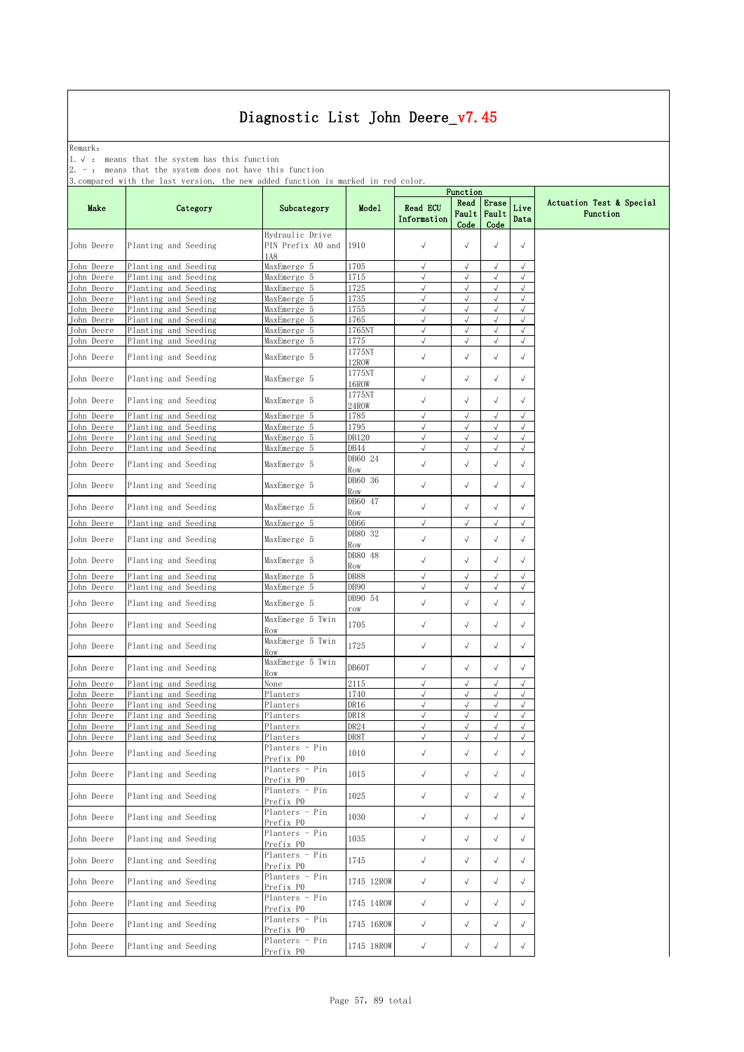Remark: The contract of the contract of  $\mathbb{R}$  and  $\mathbb{R}$  are contract of  $\mathbb{R}$  and  $\mathbb{R}$  are contract of  $\mathbb{R}$  and  $\mathbb{R}$  are contract of  $\mathbb{R}$  and  $\mathbb{R}$  are contract of  $\mathbb{R}$  and  $\mathbb{R}$  are cont

1.√ : means that the system has this function

2. - : means that the system does not have this function

|                          |                                              |                                             |                     |                          | Function                   |                          |                         |                                      |
|--------------------------|----------------------------------------------|---------------------------------------------|---------------------|--------------------------|----------------------------|--------------------------|-------------------------|--------------------------------------|
| Make                     | Category                                     | Subcategory                                 | Model               | Read ECU<br>Information  | Read<br>Fault<br>Code      | Erase<br>Fault<br>Code   | Live<br>Data            | Actuation Test & Special<br>Function |
| John Deere               | Planting and Seeding                         | Hydraulic Drive<br>PIN Prefix AO and<br>1A8 | 1910                | $\sqrt{ }$               | $\sqrt{ }$                 | $\sqrt{ }$               | $\sqrt{}$               |                                      |
| John Deere               | Planting and Seeding                         | MaxEmerge 5                                 | 1705                | $\sqrt{ }$               | $\checkmark$               | √                        | $\sqrt{}$               |                                      |
| John Deere               | Planting and Seeding                         | MaxEmerge 5                                 | 1715                | $\sqrt{2}$               | $\sqrt{}$                  | $\sqrt{}$                | $\sqrt{2}$              |                                      |
| John Deere               | Planting and Seeding                         | MaxEmerge 5                                 | 1725                | $\sqrt{ }$               | $\sqrt{ }$                 | $\sqrt{}$                | $\sqrt{ }$              |                                      |
| John Deere<br>John Deere | Planting and Seeding<br>Planting and Seeding | MaxEmerge 5<br>MaxEmerge 5                  | 1735<br>1755        | $\sqrt{ }$<br>$\sqrt{ }$ | $\sqrt{}$<br>$\sqrt{}$     | $\sqrt{2}$<br>$\sqrt{ }$ | $\sqrt{}$<br>$\sqrt{2}$ |                                      |
| John Deere               | Planting and Seeding                         | MaxEmerge 5                                 | 1765                | $\sqrt{ }$               | $\sqrt{2}$                 | $\sqrt{}$                | $\sqrt{ }$              |                                      |
| John Deere               | Planting and Seeding                         | MaxEmerge 5                                 | 1765NT              | $\sqrt{ }$               | $\sqrt{ }$                 | $\sqrt{2}$               | $\sqrt{}$               |                                      |
| John Deere               | Planting and Seeding                         | MaxEmerge 5                                 | 1775                | √                        | $\checkmark$               | $\sqrt{}$                | $\sqrt{}$               |                                      |
| John Deere               | Planting and Seeding                         | MaxEmerge 5                                 | 1775NT<br>12ROW     | $\checkmark$             | $\sqrt{ }$                 | $\sqrt{ }$               | $\sqrt{}$               |                                      |
| John Deere               | Planting and Seeding                         | MaxEmerge 5                                 | 1775NT<br>16ROW     | $\checkmark$             | $\sqrt{ }$                 | $\sqrt{}$                | $\sqrt{}$               |                                      |
| John Deere               | Planting and Seeding                         | MaxEmerge 5                                 | 1775NT<br>24ROW     | $\sqrt{ }$               | $\sqrt{}$                  | $\sqrt{ }$               | $\sqrt{}$               |                                      |
| John Deere               | Planting and Seeding                         | MaxEmerge 5                                 | 1785                | $\sqrt{ }$               | $\checkmark$               | $\sqrt{}$                | $\checkmark$            |                                      |
| John Deere               | Planting and Seeding                         | MaxEmerge 5                                 | 1795                | $\sqrt{ }$               | $\sqrt{ }$                 | $\sqrt{2}$               | $\sqrt{2}$              |                                      |
| John Deere               | Planting and Seeding                         | MaxEmerge 5                                 | DB120               | $\sqrt{ }$               | $\sqrt{ }$                 | $\sqrt{}$                | $\sqrt{ }$              |                                      |
| John Deere               | Planting and Seeding                         | MaxEmerge 5                                 | DB44                | $\sqrt{}$                | $\sqrt{}$                  | $\sqrt{}$                | $\sqrt{ }$              |                                      |
| John Deere               | Planting and Seeding                         | MaxEmerge 5                                 | DB60 24<br>Row      | $\checkmark$             | $\sqrt{}$                  | $\checkmark$             | $\sqrt{}$               |                                      |
| John Deere               | Planting and Seeding                         | MaxEmerge 5                                 | DB60 36<br>Row      | $\sqrt{}$                | $\sqrt{}$                  | $\sqrt{}$                | $\sqrt{}$               |                                      |
| John Deere               | Planting and Seeding                         | MaxEmerge 5                                 | DB60 47<br>Row      | $\checkmark$             | $\sqrt{ }$                 | $\sqrt{ }$               | $\sqrt{}$               |                                      |
| John Deere               | Planting and Seeding                         | MaxEmerge 5                                 | DB66                | $\sqrt{}$                | $\sqrt{}$                  | $\sqrt{ }$               | $\sqrt{}$               |                                      |
| John Deere               | Planting and Seeding                         | MaxEmerge 5                                 | DB80 32<br>Row      | $\checkmark$             | $\sqrt{}$                  | $\checkmark$             | $\sqrt{}$               |                                      |
| John Deere               | Planting and Seeding                         | MaxEmerge 5                                 | DB80 48<br>Row      | $\checkmark$             | $\sqrt{ }$                 | $\sqrt{}$                | $\sqrt{ }$              |                                      |
| John Deere               | Planting and Seeding                         | MaxEmerge 5                                 | DB88                | $\sqrt{ }$               | $\sqrt{}$                  | $\sqrt{ }$               | $\sqrt{}$               |                                      |
| John Deere               | Planting and Seeding                         | MaxEmerge 5                                 | DB90                | $\sqrt{ }$               | $\sqrt{ }$                 | $\sqrt{ }$               | $\sqrt{ }$              |                                      |
| John Deere               | Planting and Seeding                         | MaxEmerge 5                                 | DB90 54<br>row      | $\sqrt{ }$               | $\sqrt{ }$                 | $\sqrt{ }$               | $\sqrt{}$               |                                      |
| John Deere               | Planting and Seeding                         | MaxEmerge 5 Twin<br>Row                     | 1705                | $\checkmark$             | $\sqrt{ }$                 | $\sqrt{ }$               | $\sqrt{}$               |                                      |
| John Deere               | Planting and Seeding                         | MaxEmerge 5 Twin<br>Row                     | 1725                | $\checkmark$             | $\sqrt{ }$                 | $\sqrt{ }$               | $\sqrt{}$               |                                      |
| John Deere               | Planting and Seeding                         | MaxEmerge 5 Twin<br>Row                     | DB60T               | $\checkmark$             | $\sqrt{ }$                 | $\sqrt{}$                | $\sqrt{ }$              |                                      |
| Tohn Deere               | Planting and Seeding                         | None                                        | 2115                | $\sqrt{ }$               | $\sqrt{ }$                 | $\sqrt{}$                | $\sqrt{ }$              |                                      |
| John Deere               | Planting and Seeding                         | Planters                                    | 1740                | $\sqrt{ }$               | $\sqrt{2}$                 | $\sqrt{}$                | $\sqrt{ }$              |                                      |
| John Deere               | Planting and Seeding                         | Planters                                    | DR16                | $\sqrt{ }$               | $\sqrt{}$                  | $\sqrt{}$                | $\sqrt{2}$              |                                      |
| John Deere               | Planting and Seeding                         | Planters                                    | DR18<br><b>DR24</b> | $\sqrt{ }$<br>$\sqrt{ }$ | $\checkmark$<br>$\sqrt{ }$ | $\sqrt{ }$<br>$\sqrt{2}$ | $\sqrt{}$<br>$\sqrt{2}$ |                                      |
| John Deere<br>John Deere | Planting and Seeding<br>Planting and Seeding | Planters<br>Planters                        | DR8T                | $\sqrt{}$                | $\sqrt{}$                  | $\sqrt{}$                | $\sqrt{ }$              |                                      |
| John Deere               | Planting and Seeding                         | Planters - Pin<br>Prefix PO                 | 1010                | $\checkmark$             | $\sqrt{}$                  | $\sqrt{ }$               | $\sqrt{ }$              |                                      |
| John Deere               | Planting and Seeding                         | Planters - Pin<br>Prefix PO                 | 1015                | $\sqrt{ }$               | $\checkmark$               | $\sqrt{ }$               | $\sqrt{ }$              |                                      |
| John Deere               | Planting and Seeding                         | Planters - Pin<br>Prefix PO                 | 1025                | $\checkmark$             | $\sqrt{ }$                 | $\sqrt{ }$               | $\sqrt{}$               |                                      |
| John Deere               | Planting and Seeding                         | Planters - Pin<br>Prefix PO                 | 1030                | $\checkmark$             | $\sqrt{}$                  | $\sqrt{}$                | $\sqrt{}$               |                                      |
| John Deere               | Planting and Seeding                         | Planters - Pin<br>Prefix PO                 | 1035                | $\checkmark$             | $\sqrt{ }$                 | $\sqrt{}$                | $\checkmark$            |                                      |
| John Deere               | Planting and Seeding                         | Planters - Pin<br>Prefix PO                 | 1745                | $\sqrt{ }$               | $\sqrt{ }$                 | $\sqrt{}$                | $\sqrt{ }$              |                                      |
| John Deere               | Planting and Seeding                         | Planters - Pin<br>Prefix PO                 | 1745 12ROW          | $\sqrt{ }$               | $\sqrt{ }$                 | $\sqrt{}$                | $\sqrt{}$               |                                      |
| John Deere               | Planting and Seeding                         | Planters - Pin<br>Prefix PO                 | 1745 14ROW          | $\checkmark$             | $\sqrt{ }$                 | $\sqrt{ }$               | $\sqrt{}$               |                                      |
| John Deere               | Planting and Seeding                         | Planters - Pin<br>Prefix PO                 | 1745 16ROW          | $\checkmark$             | $\sqrt{ }$                 | $\sqrt{}$                | $\sqrt{}$               |                                      |
| John Deere               | Planting and Seeding                         | Planters - Pin<br>Prefix PO                 | 1745 18ROW          | $\checkmark$             | $\sqrt{}$                  | $\sqrt{ }$               | $\checkmark$            |                                      |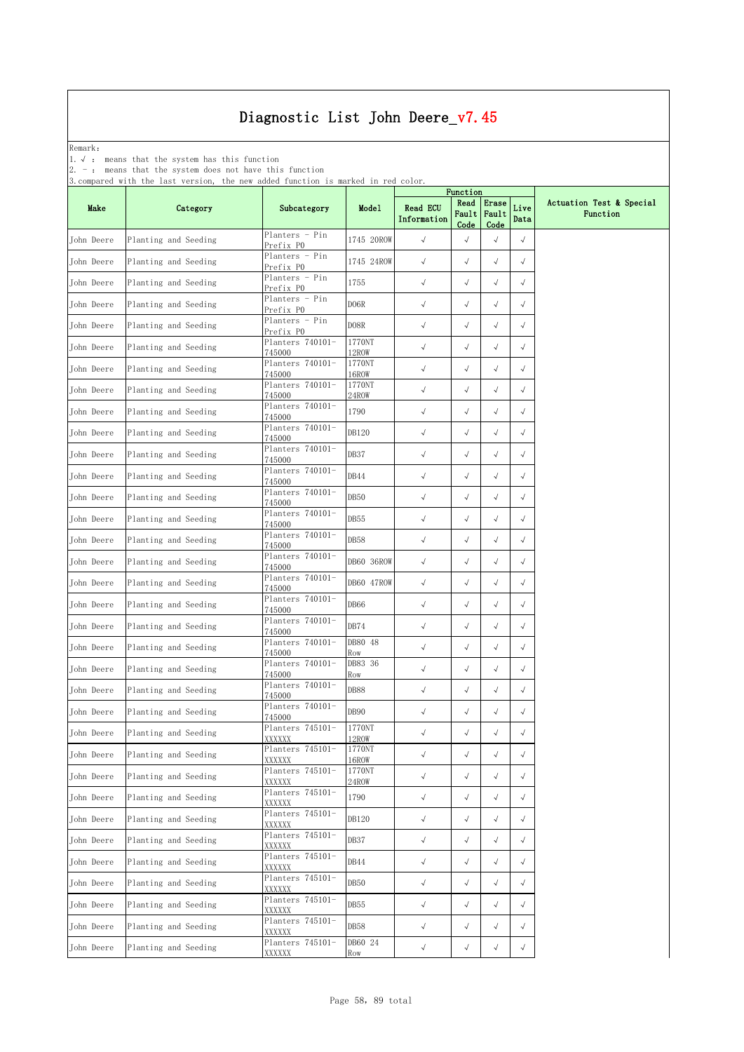Remark: The contract of the contract of  $\mathbb{R}$  and  $\mathbb{R}$  are contract of  $\mathbb{R}$  and  $\mathbb{R}$  are contract of  $\mathbb{R}$  and  $\mathbb{R}$  are contract of  $\mathbb{R}$  and  $\mathbb{R}$  are contract of  $\mathbb{R}$  and  $\mathbb{R}$  are cont

1.√ : means that the system has this function

2. - : means that the system does not have this function

| $\sim$ mp $\sim$ |                      |                             |                  |                                | Function              |                        |              |                                      |
|------------------|----------------------|-----------------------------|------------------|--------------------------------|-----------------------|------------------------|--------------|--------------------------------------|
| Make             | Category             | Subcategory                 | Model            | <b>Read ECU</b><br>Information | Read<br>Fault<br>Code | Erase<br>Fault<br>Code | Live<br>Data | Actuation Test & Special<br>Function |
| John Deere       | Planting and Seeding | Planters - Pin<br>Prefix PO | 1745 20ROW       | $\sqrt{ }$                     | $\sqrt{ }$            | $\sqrt{}$              | $\sqrt{}$    |                                      |
| John Deere       | Planting and Seeding | Planters - Pin<br>Prefix PO | 1745 24ROW       | $\checkmark$                   | $\sqrt{ }$            | $\sqrt{}$              | $\sqrt{ }$   |                                      |
| John Deere       | Planting and Seeding | Planters - Pin<br>Prefix PO | 1755             | $\sqrt{ }$                     | $\sqrt{ }$            | $\sqrt{}$              | $\sqrt{}$    |                                      |
| John Deere       | Planting and Seeding | Planters - Pin<br>Prefix PO | DO6R             | $\checkmark$                   | $\sqrt{ }$            | $\sqrt{}$              | $\sqrt{ }$   |                                      |
| John Deere       | Planting and Seeding | Planters - Pin<br>Prefix PO | DO8R             | $\checkmark$                   | $\sqrt{}$             | $\sqrt{}$              | $\sqrt{}$    |                                      |
| John Deere       | Planting and Seeding | Planters 740101-<br>745000  | 1770NT<br>12ROW  | $\checkmark$                   | $\sqrt{ }$            | $\sqrt{}$              | $\sqrt{ }$   |                                      |
| John Deere       | Planting and Seeding | Planters 740101-<br>745000  | 1770NT<br>16ROW  | $\checkmark$                   | $\sqrt{ }$            | $\sqrt{}$              | $\sqrt{ }$   |                                      |
| John Deere       | Planting and Seeding | Planters 740101-<br>745000  | 1770NT<br>24ROW  | $\checkmark$                   | $\sqrt{ }$            | $\sqrt{}$              | $\sqrt{ }$   |                                      |
| John Deere       | Planting and Seeding | Planters 740101-<br>745000  | 1790             | $\sqrt{\phantom{a}}$           | $\sqrt{}$             | $\sqrt{}$              | $\sqrt{ }$   |                                      |
| John Deere       | Planting and Seeding | Planters 740101-<br>745000  | DB120            | $\sqrt{ }$                     | $\sqrt{ }$            | $\sqrt{}$              | $\sqrt{}$    |                                      |
| John Deere       | Planting and Seeding | Planters 740101-<br>745000  | DB37             | $\sqrt{ }$                     | $\sqrt{ }$            | $\sqrt{}$              | $\sqrt{ }$   |                                      |
| John Deere       | Planting and Seeding | Planters 740101-<br>745000  | DB44             | $\checkmark$                   | $\checkmark$          | $\sqrt{}$              | $\sqrt{}$    |                                      |
| John Deere       | Planting and Seeding | Planters 740101-<br>745000  | DB <sub>50</sub> | $\checkmark$                   | $\sqrt{ }$            | $\sqrt{}$              | $\sqrt{ }$   |                                      |
| John Deere       | Planting and Seeding | Planters 740101-<br>745000  | DB55             | $\checkmark$                   | $\sqrt{ }$            | $\checkmark$           | $\sqrt{ }$   |                                      |
| John Deere       | Planting and Seeding | Planters 740101-<br>745000  | <b>DB58</b>      | $\checkmark$                   | $\sqrt{ }$            | $\sqrt{}$              | $\sqrt{ }$   |                                      |
| John Deere       | Planting and Seeding | Planters 740101-<br>745000  | DB60 36ROW       | $\checkmark$                   | $\sqrt{ }$            | $\sqrt{}$              | $\sqrt{ }$   |                                      |
| John Deere       | Planting and Seeding | Planters 740101-<br>745000  | DB60 47ROW       | $\sqrt{ }$                     | $\sqrt{ }$            | $\sqrt{}$              | $\sqrt{}$    |                                      |
| John Deere       | Planting and Seeding | Planters 740101-<br>745000  | DB66             | $\checkmark$                   | $\sqrt{}$             | $\sqrt{}$              | $\sqrt{ }$   |                                      |
| John Deere       | Planting and Seeding | Planters 740101-<br>745000  | DB74             | $\checkmark$                   | $\sqrt{ }$            | $\sqrt{}$              | $\sqrt{}$    |                                      |
| John Deere       | Planting and Seeding | Planters 740101-<br>745000  | DB80 48<br>Row   | $\checkmark$                   | $\sqrt{}$             | $\sqrt{ }$             | $\sqrt{ }$   |                                      |
| John Deere       | Planting and Seeding | Planters 740101-<br>745000  | DB83 36<br>Row   | $\checkmark$                   | $\sqrt{ }$            | $\sqrt{}$              | $\sqrt{ }$   |                                      |
| John Deere       | Planting and Seeding | Planters 740101-<br>745000  | <b>DB88</b>      | $\checkmark$                   | $\sqrt{ }$            | $\sqrt{}$              | $\sqrt{ }$   |                                      |
| John Deere       | Planting and Seeding | Planters 740101-<br>745000  | DB90             | $\checkmark$                   | $\sqrt{}$             | $\sqrt{}$              | $\sqrt{}$    |                                      |
| John Deere       | Planting and Seeding | Planters 745101-<br>XXXXXX  | 1770NT<br>12ROW  | $\sqrt{ }$                     | $\sqrt{}$             | $\sqrt{}$              |              |                                      |
| John Deere       | Planting and Seeding | Planters 745101-<br>XXXXXX  | 1770NT<br>16ROW  | $\checkmark$                   | $\sqrt{ }$            | $\sqrt{ }$             | $\sqrt{}$    |                                      |
| John Deere       | Planting and Seeding | Planters 745101-<br>XXXXXX  | 1770NT<br>24ROW  | $\checkmark$                   | $\sqrt{}$             | $\sqrt{}$              | $\sqrt{}$    |                                      |
| John Deere       | Planting and Seeding | Planters 745101-<br>XXXXXX  | 1790             | $\checkmark$                   | $\checkmark$          | $\sqrt{}$              | $\sqrt{ }$   |                                      |
| John Deere       | Planting and Seeding | Planters 745101-<br>XXXXXX  | DB120            | $\checkmark$                   | $\sqrt{ }$            | $\sqrt{}$              | $\sqrt{ }$   |                                      |
| John Deere       | Planting and Seeding | Planters 745101-<br>XXXXXX  | DB37             | $\checkmark$                   | $\sqrt{}$             | $\sqrt{}$              | $\sqrt{ }$   |                                      |
| John Deere       | Planting and Seeding | Planters 745101-<br>XXXXXX  | DB44             | $\checkmark$                   | $\sqrt{ }$            | $\sqrt{}$              | $\sqrt{}$    |                                      |
| John Deere       | Planting and Seeding | Planters 745101-<br>XXXXXX  | DB50             | $\checkmark$                   | $\sqrt{ }$            | $\sqrt{}$              | $\sqrt{ }$   |                                      |
| John Deere       | Planting and Seeding | Planters 745101-<br>XXXXXX  | DB55             | $\sqrt{ }$                     | $\sqrt{ }$            | $\sqrt{ }$             | $\sqrt{ }$   |                                      |
| John Deere       | Planting and Seeding | Planters 745101-<br>XXXXXX  | DB58             | $\checkmark$                   | $\sqrt{ }$            | $\sqrt{}$              | $\sqrt{ }$   |                                      |
| John Deere       | Planting and Seeding | Planters 745101-<br>XXXXXX  | DB60 24<br>Row   | $\checkmark$                   | $\sqrt{ }$            | $\sqrt{ }$             | $\sqrt{ }$   |                                      |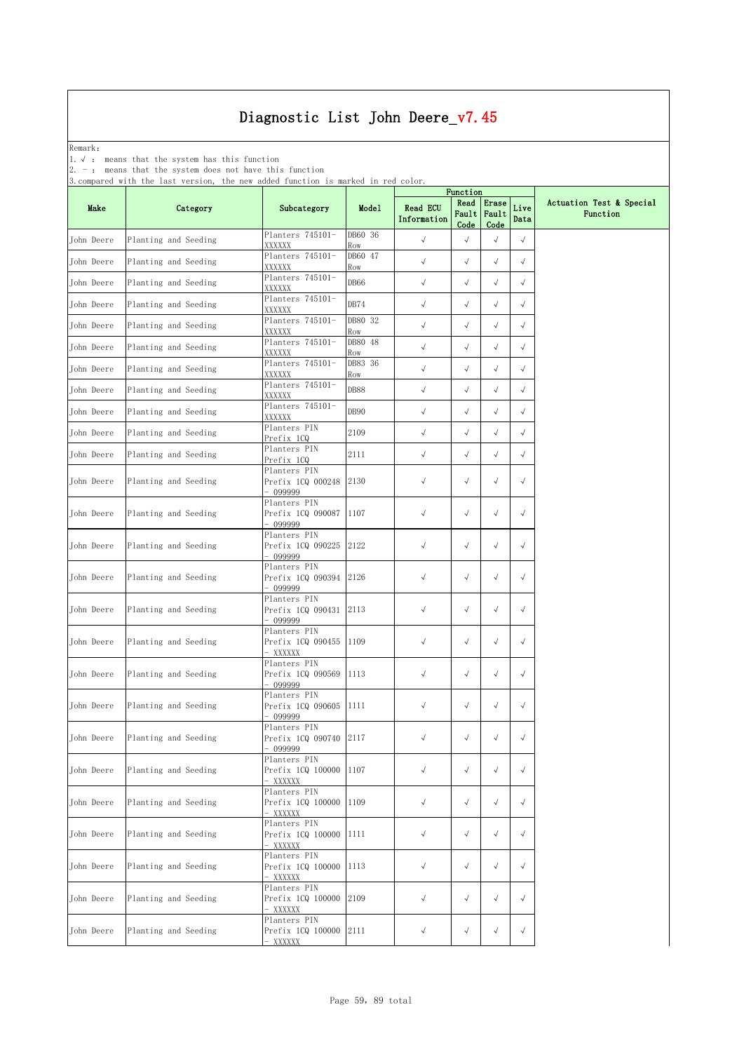Remark: The contract of the contract of  $\mathbb{R}$  and  $\mathbb{R}$  are contract of  $\mathbb{R}$  and  $\mathbb{R}$  are contract of  $\mathbb{R}$  and  $\mathbb{R}$  are contract of  $\mathbb{R}$  and  $\mathbb{R}$  are contract of  $\mathbb{R}$  and  $\mathbb{R}$  are cont

1.√ : means that the system has this function

2. - : means that the system does not have this function

|            |                      |                                                    |                |                                | Function              |                        |              |                                      |  |
|------------|----------------------|----------------------------------------------------|----------------|--------------------------------|-----------------------|------------------------|--------------|--------------------------------------|--|
| Make       | Category             | Subcategory                                        | Model          | <b>Read ECU</b><br>Information | Read<br>Fault<br>Code | Erase<br>Fault<br>Code | Live<br>Data | Actuation Test & Special<br>Function |  |
| John Deere | Planting and Seeding | Planters 745101-<br>XXXXXX                         | DB60 36<br>Row | $\sqrt{ }$                     | √                     | $\sqrt{}$              | $\sqrt{}$    |                                      |  |
| John Deere | Planting and Seeding | Planters 745101-<br>XXXXXX                         | DB60 47<br>Row | $\checkmark$                   | $\sqrt{ }$            | $\sqrt{}$              | $\sqrt{ }$   |                                      |  |
| John Deere | Planting and Seeding | Planters 745101-<br>XXXXXX                         | DB66           | $\checkmark$                   | $\checkmark$          | $\sqrt{ }$             | $\sqrt{ }$   |                                      |  |
| John Deere | Planting and Seeding | Planters 745101-<br>XXXXXX                         | DB74           | $\checkmark$                   | $\sqrt{ }$            | $\sqrt{}$              | $\sqrt{}$    |                                      |  |
| John Deere | Planting and Seeding | Planters 745101-<br>XXXXXX                         | DB80 32<br>Row | $\checkmark$                   | $\sqrt{ }$            | $\sqrt{ }$             | $\sqrt{}$    |                                      |  |
| John Deere | Planting and Seeding | Planters 745101-<br>XXXXXX                         | DB80 48<br>Row | $\checkmark$                   | $\sqrt{}$             | $\sqrt{}$              | $\sqrt{ }$   |                                      |  |
| John Deere | Planting and Seeding | Planters 745101-<br>XXXXXX                         | DB83 36<br>Row | $\checkmark$                   | $\sqrt{ }$            | $\sqrt{}$              | $\sqrt{ }$   |                                      |  |
| John Deere | Planting and Seeding | Planters 745101-<br>XXXXXX                         | <b>DB88</b>    | $\sqrt{ }$                     | $\sqrt{ }$            | $\sqrt{}$              | $\sqrt{}$    |                                      |  |
| John Deere | Planting and Seeding | Planters 745101-<br>XXXXXX                         | DB90           | $\sqrt{ }$                     | $\sqrt{ }$            | $\sqrt{}$              | $\sqrt{ }$   |                                      |  |
| John Deere | Planting and Seeding | Planters PIN<br>Prefix 1CQ                         | 2109           | $\sqrt{ }$                     | $\sqrt{ }$            | $\sqrt{}$              | $\sqrt{}$    |                                      |  |
| John Deere | Planting and Seeding | Planters PIN<br>Prefix 1CQ                         | 2111           | $\checkmark$                   | $\sqrt{ }$            | $\sqrt{ }$             | $\sqrt{}$    |                                      |  |
| John Deere | Planting and Seeding | Planters PIN<br>Prefix 1CQ 000248<br>- 099999      | 2130           | $\sqrt{ }$                     | $\sqrt{}$             | $\sqrt{}$              | $\sqrt{ }$   |                                      |  |
| John Deere | Planting and Seeding | Planters PIN<br>Prefix 1CQ 090087<br>099999        | 1107           | $\checkmark$                   | $\sqrt{\phantom{a}}$  | $\sqrt{ }$             | $\sqrt{ }$   |                                      |  |
| John Deere | Planting and Seeding | Planters PIN<br>Prefix 1CQ 090225<br>- 099999      | 2122           | $\checkmark$                   | $\sqrt{ }$            | $\sqrt{}$              | $\sqrt{}$    |                                      |  |
| John Deere | Planting and Seeding | Planters PIN<br>Prefix 1CQ 090394<br>099999        | 2126           | $\sqrt{ }$                     | $\sqrt{}$             | $\sqrt{ }$             | $\sqrt{}$    |                                      |  |
| John Deere | Planting and Seeding | Planters PIN<br>Prefix 1CQ 090431<br>- 099999      | 2113           | $\sqrt{ }$                     | $\sqrt{}$             | $\sqrt{}$              | $\sqrt{ }$   |                                      |  |
| John Deere | Planting and Seeding | Planters PIN<br>Prefix 1CQ 090455<br>- XXXXXX      | 1109           | $\sqrt{ }$                     | $\sqrt{ }$            | $\sqrt{}$              | $\sqrt{ }$   |                                      |  |
| John Deere | Planting and Seeding | Planters PIN<br>Prefix 1CQ 090569<br>- 099999      | 1113           | $\checkmark$                   | $\sqrt{ }$            | $\sqrt{}$              | $\sqrt{}$    |                                      |  |
| John Deere | Planting and Seeding | Planters PIN<br>Prefix 1CQ 090605<br>099999        | 1111           | $\sqrt{ }$                     | $\sqrt{}$             | $\sqrt{}$              | $\sqrt{}$    |                                      |  |
| John Deere | Planting and Seeding | Planters PIN<br>Prefix 1CQ 090740 2117<br>- 099999 |                | $\checkmark$                   | $\sqrt{}$             | $\sqrt{ }$             | √            |                                      |  |
| John Deere | Planting and Seeding | Planters PIN<br>Prefix 1CQ 100000<br>- XXXXXX      | 1107           | $\checkmark$                   | $\sqrt{ }$            | $\sqrt{}$              | $\sqrt{ }$   |                                      |  |
| John Deere | Planting and Seeding | Planters PIN<br>Prefix 1CQ 100000<br>- XXXXXX      | 1109           | $\sqrt{ }$                     | $\sqrt{}$             | $\sqrt{ }$             | $\sqrt{}$    |                                      |  |
| John Deere | Planting and Seeding | Planters PIN<br>Prefix 1CQ 100000<br>- XXXXXX      | 1111           | $\sqrt{ }$                     | $\sqrt{ }$            | $\sqrt{}$              | $\sqrt{ }$   |                                      |  |
| John Deere | Planting and Seeding | Planters PIN<br>Prefix 1CQ 100000<br>- XXXXXX      | 1113           | $\sqrt{ }$                     | $\sqrt{ }$            | $\sqrt{}$              | $\sqrt{ }$   |                                      |  |
| John Deere | Planting and Seeding | Planters PIN<br>Prefix 1CQ 100000<br>- XXXXXX      | 2109           | $\checkmark$                   | $\sqrt{ }$            | $\sqrt{}$              | $\sqrt{ }$   |                                      |  |
| John Deere | Planting and Seeding | Planters PIN<br>Prefix 1CQ 100000<br>- XXXXXX      | 2111           | $\sqrt{ }$                     | $\sqrt{ }$            | $\sqrt{}$              | $\sqrt{ }$   |                                      |  |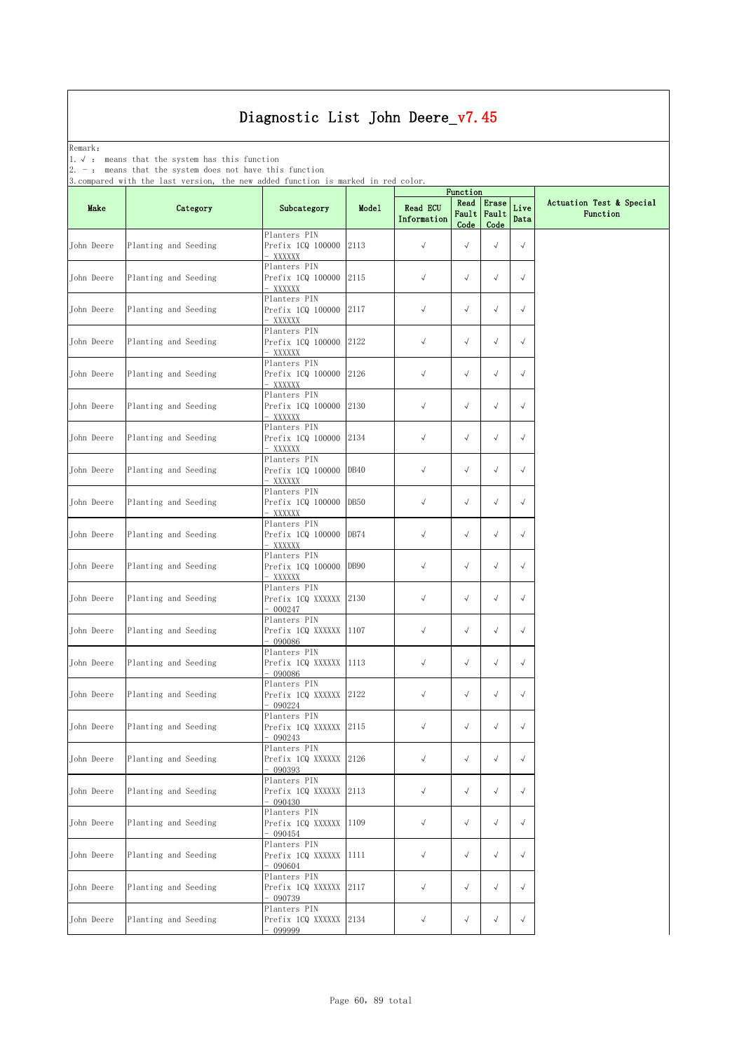Remark: The contract of the contract of  $\mathbb{R}$  and  $\mathbb{R}$  are contract of  $\mathbb{R}$  and  $\mathbb{R}$  are contract of  $\mathbb{R}$  and  $\mathbb{R}$  are contract of  $\mathbb{R}$  and  $\mathbb{R}$  are contract of  $\mathbb{R}$  and  $\mathbb{R}$  are cont

1.√ : means that the system has this function

2. - : means that the system does not have this function

|            |                      |                                                |                  |                                | Function              |                        |              |                                      |
|------------|----------------------|------------------------------------------------|------------------|--------------------------------|-----------------------|------------------------|--------------|--------------------------------------|
| Make       | Category             | Subcategory                                    | Model            | <b>Read ECU</b><br>Information | Read<br>Fault<br>Code | Erase<br>Fault<br>Code | Live<br>Data | Actuation Test & Special<br>Function |
| John Deere | Planting and Seeding | Planters PIN<br>Prefix 1CQ 100000<br>XXXXXX    | 2113             | $\sqrt{ }$                     | $\sqrt{ }$            | $\sqrt{}$              | $\sqrt{}$    |                                      |
| John Deere | Planting and Seeding | Planters PIN<br>Prefix 1CQ 100000<br>XXXXXX    | 2115             | $\sqrt{ }$                     | $\sqrt{ }$            | $\sqrt{}$              | $\sqrt{}$    |                                      |
| John Deere | Planting and Seeding | Planters PIN<br>Prefix 1CQ 100000<br>· XXXXXX  | 2117             | $\sqrt{}$                      | $\sqrt{ }$            | $\sqrt{}$              | $\sqrt{}$    |                                      |
| John Deere | Planting and Seeding | Planters PIN<br>Prefix 1CQ 100000<br>XXXXXX    | 2122             | $\sqrt{ }$                     | $\sqrt{ }$            | $\sqrt{}$              | $\sqrt{ }$   |                                      |
| John Deere | Planting and Seeding | Planters PIN<br>Prefix 1CQ 100000<br>XXXXXX    | 2126             | $\sqrt{ }$                     | $\sqrt{ }$            | $\sqrt{ }$             | $\sqrt{}$    |                                      |
| John Deere | Planting and Seeding | Planters PIN<br>Prefix 1CQ 100000<br>XXXXXX    | 2130             | $\sqrt{}$                      | $\sqrt{ }$            | $\checkmark$           | $\sqrt{}$    |                                      |
| John Deere | Planting and Seeding | Planters PIN<br>Prefix 1CQ 100000<br>· XXXXXX  | 2134             | $\sqrt{ }$                     | $\sqrt{}$             | $\checkmark$           | $\sqrt{}$    |                                      |
| John Deere | Planting and Seeding | Planters PIN<br>Prefix 1CQ 100000<br>XXXXXX    | DB40             | $\sqrt{ }$                     | $\sqrt{ }$            | $\sqrt{}$              | $\sqrt{}$    |                                      |
| John Deere | Planting and Seeding | Planters PIN<br>Prefix 1CQ 100000<br>XXXXXX    | DB <sub>50</sub> | $\sqrt{ }$                     | $\sqrt{ }$            | √                      | $\sqrt{}$    |                                      |
| John Deere | Planting and Seeding | Planters PIN<br>Prefix 1CQ 100000<br>XXXXXX    | DB74             | $\sqrt{}$                      | $\sqrt{ }$            | $\sqrt{}$              | $\sqrt{}$    |                                      |
| John Deere | Planting and Seeding | Planters PIN<br>Prefix 1CQ 100000<br>- XXXXXX  | DB90             | $\sqrt{ }$                     | $\sqrt{ }$            | $\sqrt{}$              | $\sqrt{}$    |                                      |
| John Deere | Planting and Seeding | Planters PIN<br>Prefix 1CQ XXXXXX<br>000247    | 2130             | $\sqrt{ }$                     | $\sqrt{ }$            | $\sqrt{}$              | $\sqrt{}$    |                                      |
| John Deere | Planting and Seeding | Planters PIN<br>Prefix 1CQ XXXXXX<br>090086    | 1107             | $\sqrt{ }$                     | $\sqrt{ }$            | $\sqrt{}$              | $\sqrt{}$    |                                      |
| John Deere | Planting and Seeding | Planters PIN<br>Prefix 1CQ XXXXXX<br>090086    | 1113             | $\sqrt{ }$                     | $\sqrt{}$             | $\sqrt{ }$             | $\sqrt{}$    |                                      |
| John Deere | Planting and Seeding | Planters PIN<br>Prefix 1CQ XXXXXX<br>090224    | 2122             | $\sqrt{ }$                     | $\sqrt{ }$            | $\sqrt{ }$             | $\sqrt{}$    |                                      |
| John Deere | Planting and Seeding | Planters PIN<br>Prefix 1CQ XXXXXX<br>090243    | 2115             | $\sqrt{ }$                     | $\sqrt{ }$            | √                      | $\sqrt{}$    |                                      |
| John Deere | Planting and Seeding | Planters PIN<br>Prefix 1CQ XXXXXX<br>090393    | 2126             | $\sqrt{}$                      | $\sqrt{}$             | $\sqrt{ }$             | $\sqrt{ }$   |                                      |
| John Deere | Planting and Seeding | Planters PIN<br>Prefix 1CQ XXXXXX<br>$-090430$ | 2113             | $\sqrt{}$                      | $\sqrt{ }$            | $\sqrt{ }$             | $\sqrt{}$    |                                      |
| John Deere | Planting and Seeding | Planters PIN<br>Prefix 1CQ XXXXXX<br>090454    | 1109             | $\sqrt{ }$                     | $\sqrt{ }$            | $\sqrt{}$              | $\sqrt{}$    |                                      |
| John Deere | Planting and Seeding | Planters PIN<br>Prefix 1CQ XXXXXX<br>090604    | 1111             | $\sqrt{ }$                     | $\sqrt{ }$            | $\sqrt{ }$             | $\sqrt{}$    |                                      |
| John Deere | Planting and Seeding | Planters PIN<br>Prefix 1CQ XXXXXX<br>090739    | 2117             | $\sqrt{ }$                     | $\sqrt{}$             | $\sqrt{}$              | $\sqrt{}$    |                                      |
| John Deere | Planting and Seeding | Planters PIN<br>Prefix 1CQ XXXXXX<br>099999    | 2134             | $\sqrt{ }$                     | $\sqrt{}$             | $\sqrt{ }$             | $\sqrt{}$    |                                      |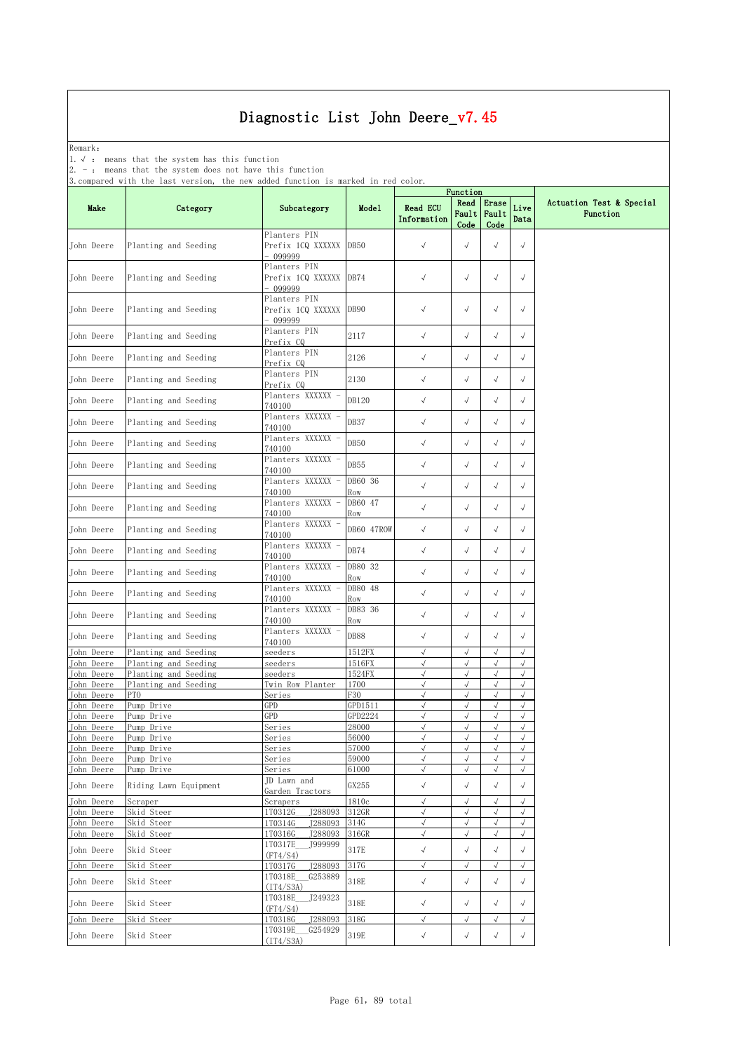Remark: The contract of the contract of  $\mathbb{R}$  and  $\mathbb{R}$  are contract of  $\mathbb{R}$  and  $\mathbb{R}$  are contract of  $\mathbb{R}$  and  $\mathbb{R}$  are contract of  $\mathbb{R}$  and  $\mathbb{R}$  are contract of  $\mathbb{R}$  and  $\mathbb{R}$  are cont

1.√ : means that the system has this function

2. - : means that the system does not have this function

| . computeu sten          |                          | GOOD LANCEDII                                 |                    | Function                       |                            |                          |                           |                                      |
|--------------------------|--------------------------|-----------------------------------------------|--------------------|--------------------------------|----------------------------|--------------------------|---------------------------|--------------------------------------|
| Make                     | Category                 | Subcategory                                   | Model              | <b>Read ECU</b><br>Information | Read<br>Fault<br>Code      | Erase<br>Fault<br>Code   | Live<br>Data              | Actuation Test & Special<br>Function |
| John Deere               | Planting and Seeding     | Planters PIN<br>Prefix 1CQ XXXXXX<br>- 099999 | DB <sub>50</sub>   | $\sqrt{ }$                     | $\sqrt{ }$                 | $\sqrt{ }$               | $\sqrt{}$                 |                                      |
| John Deere               | Planting and Seeding     | Planters PIN<br>Prefix 1CQ XXXXXX<br>- 099999 | DB74               | $\sqrt{ }$                     | $\sqrt{ }$                 | $\sqrt{}$                | $\sqrt{}$                 |                                      |
| John Deere               | Planting and Seeding     | Planters PIN<br>Prefix 1CQ XXXXXX<br>- 099999 | DB90               | $\checkmark$                   | $\sqrt{ }$                 | $\sqrt{ }$               | $\sqrt{}$                 |                                      |
| John Deere               | Planting and Seeding     | Planters PIN<br>Prefix CQ                     | 2117               | $\checkmark$                   | $\sqrt{ }$                 | $\sqrt{}$                | $\sqrt{}$                 |                                      |
| John Deere               | Planting and Seeding     | Planters PIN<br>Prefix CQ                     | 2126               | $\sqrt{ }$                     | $\sqrt{ }$                 | $\sqrt{}$                | $\sqrt{}$                 |                                      |
| John Deere               | Planting and Seeding     | Planters PIN<br>Prefix CQ                     | 2130               | $\checkmark$                   | $\sqrt{ }$                 | $\sqrt{ }$               | $\sqrt{}$                 |                                      |
| John Deere               | Planting and Seeding     | Planters XXXXXX<br>740100                     | DB120              | $\checkmark$                   | $\sqrt{ }$                 | $\sqrt{}$                | $\sqrt{}$                 |                                      |
| John Deere               | Planting and Seeding     | Planters XXXXXX<br>740100                     | DB37               | $\checkmark$                   | $\sqrt{ }$                 | $\sqrt{ }$               | $\sqrt{}$                 |                                      |
| John Deere               | Planting and Seeding     | Planters XXXXXX<br>740100                     | DB <sub>50</sub>   | $\checkmark$                   | $\sqrt{ }$                 | $\sqrt{ }$               | $\sqrt{}$                 |                                      |
| John Deere               | Planting and Seeding     | Planters XXXXXX -<br>740100                   | DB55               | $\checkmark$                   | $\sqrt{ }$                 | $\sqrt{}$                | $\sqrt{}$                 |                                      |
| John Deere               | Planting and Seeding     | Planters XXXXXX -<br>740100                   | DB60 36<br>Row     | $\checkmark$                   | $\sqrt{}$                  | $\sqrt{ }$               | $\sqrt{}$                 |                                      |
| John Deere               | Planting and Seeding     | Planters XXXXXX<br>740100                     | DB60 47<br>Row     | $\checkmark$                   | $\sqrt{ }$                 | $\sqrt{}$                | $\sqrt{}$                 |                                      |
| John Deere               | Planting and Seeding     | Planters XXXXXX<br>740100                     | DB60 47ROW         | $\checkmark$                   | $\sqrt{ }$                 | $\sqrt{ }$               | $\sqrt{}$                 |                                      |
| John Deere               | Planting and Seeding     | Planters XXXXXX<br>740100                     | DB74               | $\sqrt{ }$                     | $\sqrt{ }$                 | $\sqrt{}$                | $\sqrt{}$                 |                                      |
| John Deere               | Planting and Seeding     | Planters XXXXXX<br>740100                     | DB80 32<br>Row     | $\checkmark$                   | $\sqrt{ }$                 | $\sqrt{ }$               | $\sqrt{}$                 |                                      |
| John Deere               | Planting and Seeding     | Planters XXXXXX<br>740100                     | DB80 48<br>Row     | $\sqrt{ }$                     | $\sqrt{ }$                 | $\sqrt{ }$               | $\sqrt{}$                 |                                      |
| John Deere               | Planting and Seeding     | Planters XXXXXX -<br>740100                   | DB83 36<br>Row     | $\checkmark$                   | $\sqrt{ }$                 | $\sqrt{}$                | $\sqrt{}$                 |                                      |
| John Deere               | Planting and Seeding     | Planters XXXXXX<br>740100                     | DB88               | $\checkmark$                   | $\sqrt{}$                  | $\sqrt{ }$               | $\sqrt{ }$                |                                      |
| John Deere               | Planting and Seeding     | seeders                                       | 1512FX             | $\sqrt{ }$                     | $\sqrt{ }$                 | $\sqrt{2}$               | $\sqrt{}$                 |                                      |
| John Deere               | Planting and Seeding     | seeders                                       | 1516FX             | √                              | √                          | $\sqrt{}$                | $\sqrt{2}$                |                                      |
| John Deere               | Planting and Seeding     | seeders                                       | 1524FX             | $\sqrt{ }$                     | $\sqrt{}$                  | $\sqrt{}$                | $\sqrt{ }$                |                                      |
| John Deere               | Planting and Seeding     | Twin Row Planter                              | 1700               | $\sqrt{ }$                     | $\sqrt{ }$                 | $\sqrt{ }$               | $\sqrt{}$                 |                                      |
| John Deere               | PT0                      | Series                                        | F30                | $\sqrt{ }$                     | $\sqrt{}$                  | $\sqrt{}$                | $\sqrt{}$                 |                                      |
| John Deere<br>John Deere | Pump Drive               | GPD<br>GPD                                    | GPD1511<br>GPD2224 | $\sqrt{ }$<br>$\sqrt{ }$       | $\sqrt{ }$<br>$\sqrt{ }$   | $\sqrt{ }$<br>$\sqrt{ }$ | $\sqrt{ }$<br>$\sqrt{}$   |                                      |
| John Deere               | Pump Drive<br>Pump Drive | Series                                        | 28000              | $\sqrt{ }$                     | $\sqrt{ }$                 | $\sqrt{}$                | $\sqrt{2}$                |                                      |
| John Deere               | Pump Drive               | Series                                        | 56000              | $\sqrt{ }$                     |                            |                          |                           |                                      |
| John Deere               | Pump Drive               | Series                                        | 57000              | $\sqrt{ }$                     | $\sqrt{ }$                 | √                        | $\sqrt{ }$                |                                      |
| John Deere               | Pump Drive               | Series                                        | 59000              | $\sqrt{ }$                     | $\sqrt{ }$                 | $\sqrt{}$                | $\sqrt{}$                 |                                      |
| John Deere               | Pump Drive               | Series                                        | 61000              | $\sqrt{}$                      | $\sqrt{ }$                 | $\sqrt{}$                | $\sqrt{}$                 |                                      |
| John Deere               | Riding Lawn Equipment    | JD Lawn and<br>Garden Tractors                | GX255              | $\checkmark$                   | $\checkmark$               | $\sqrt{ }$               | $\sqrt{}$                 |                                      |
| John Deere               | Scraper                  | Scrapers                                      | 1810c              | $\sqrt{ }$                     | $\sqrt{}$                  | $\sqrt{}$                | $\sqrt{2}$                |                                      |
| John Deere               | Skid Steer               | 1T0312G<br>J288093                            | 312GR              | $\sqrt{ }$                     | $\sqrt{ }$                 | $\sqrt{}$                | $\sqrt{}$                 |                                      |
| John Deere               | Skid Steer               | 1T0314G<br>J288093                            | 314G               | $\sqrt{ }$                     | $\sqrt{ }$                 | $\sqrt{}$                | $\sqrt{}$                 |                                      |
| John Deere<br>John Deere | Skid Steer<br>Skid Steer | 1T0316G<br>J288093<br>1T0317E<br>J999999      | 316GR<br>317E      | $\sqrt{ }$<br>$\checkmark$     | $\sqrt{ }$<br>$\checkmark$ | $\sqrt{ }$<br>$\sqrt{ }$ | $\sqrt{}$<br>$\checkmark$ |                                      |
|                          | Skid Steer               | (FT4/S4)<br>1T0317G<br>J288093                | 317G               | $\sqrt{ }$                     | $\sqrt{ }$                 | $\sqrt{ }$               | $\sqrt{ }$                |                                      |
| John Deere<br>John Deere | Skid Steer               | 1T0318E<br>G253889<br>(TT4/S3A)               | 318E               | $\sqrt{ }$                     | $\sqrt{ }$                 | $\sqrt{2}$               | $\sqrt{}$                 |                                      |
| John Deere               | Skid Steer               | 1T0318E<br>J249323<br>(FT4/S4)                | 318E               | $\checkmark$                   | $\sqrt{ }$                 | $\sqrt{}$                | $\sqrt{}$                 |                                      |
| John Deere               | Skid Steer               | 1T0318G<br>J288093                            | 318G               | $\sqrt{ }$                     | $\sqrt{ }$                 | $\sqrt{}$                | $\sqrt{ }$                |                                      |
| John Deere               | Skid Steer               | 1T0319E<br>G254929                            | $319\mathrm{E}$    | $\checkmark$                   | $\sqrt{ }$                 | $\sqrt{ }$               | $\checkmark$              |                                      |
|                          |                          | (TT4/S3A)                                     |                    |                                |                            |                          |                           |                                      |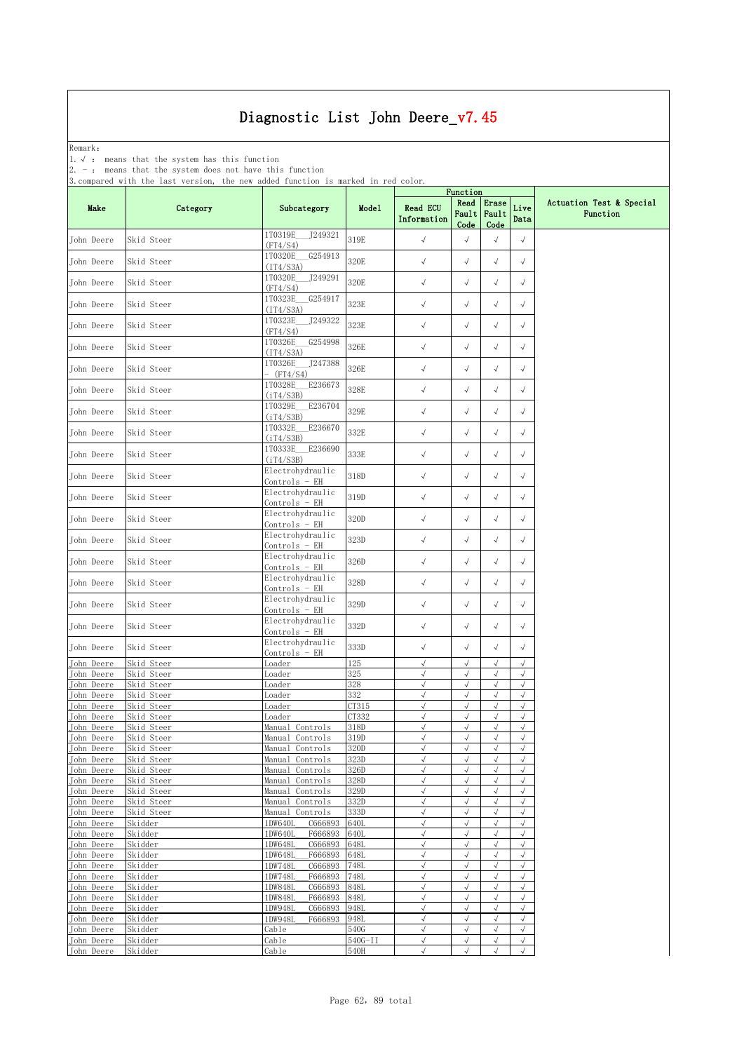Remark: The contract of the contract of  $\mathbb{R}$  and  $\mathbb{R}$  are contract of  $\mathbb{R}$  and  $\mathbb{R}$  are contract of  $\mathbb{R}$  and  $\mathbb{R}$  are contract of  $\mathbb{R}$  and  $\mathbb{R}$  are contract of  $\mathbb{R}$  and  $\mathbb{R}$  are cont

1.√ : means that the system has this function

2. - : means that the system does not have this function

|                          |                          |                                   |             |                                | Function                |                         |                         |                                      |
|--------------------------|--------------------------|-----------------------------------|-------------|--------------------------------|-------------------------|-------------------------|-------------------------|--------------------------------------|
| Make                     | Category                 | Subcategory                       | Model       | <b>Read ECU</b><br>Information | Read<br>Fault<br>Code   | Erase<br>Fault<br>Code  | Live<br>Data            | Actuation Test & Special<br>Function |
| John Deere               | Skid Steer               | 1T0319E<br>J249321<br>(FT4/S4)    | 319E        | $\sqrt{ }$                     | $\sqrt{ }$              | $\checkmark$            | $\sqrt{}$               |                                      |
| John Deere               | Skid Steer               | 1T0320E<br>G254913<br>(TT4/S3A)   | 320E        | $\sqrt{\phantom{a}}$           | $\sqrt{}$               | $\checkmark$            | $\sqrt{}$               |                                      |
| John Deere               | Skid Steer               | J249291<br>1T0320E<br>(FT4/S4)    | 320E        | $\sqrt{ }$                     | $\sqrt{}$               | $\sqrt{}$               | $\sqrt{ }$              |                                      |
| John Deere               | Skid Steer               | 1T0323E<br>G254917<br>(TT4/S3A)   | 323E        | $\sqrt{ }$                     | $\sqrt{}$               | $\sqrt{ }$              | $\sqrt{}$               |                                      |
| John Deere               | Skid Steer               | 1T0323E<br>J249322<br>(FT4/S4)    | 323E        | $\sqrt{ }$                     | $\sqrt{ }$              | $\checkmark$            | $\sqrt{}$               |                                      |
| John Deere               | Skid Steer               | G254998<br>1T0326E<br>(TT4/S3A)   | 326E        | $\sqrt{ }$                     | $\sqrt{}$               | $\sqrt{ }$              | $\sqrt{}$               |                                      |
| John Deere               | Skid Steer               | 1T0326E<br>J247388                | 326E        | $\checkmark$                   | $\sqrt{}$               | $\checkmark$            | $\sqrt{}$               |                                      |
| John Deere               | Skid Steer               | - (FT4/S4)<br>E236673<br>1T0328E  | 328E        | $\sqrt{ }$                     | $\sqrt{}$               | $\sqrt{}$               | $\sqrt{}$               |                                      |
| John Deere               | Skid Steer               | (iT4/S3B)<br>1T0329E<br>E236704   | 329E        | $\sqrt{\phantom{a}}$           | $\sqrt{ }$              | $\sqrt{}$               | $\checkmark$            |                                      |
| John Deere               | Skid Steer               | (iT4/S3B)<br>E236670<br>1T0332E   | 332E        | $\sqrt{ }$                     | $\sqrt{}$               | $\sqrt{}$               | $\sqrt{}$               |                                      |
| John Deere               | Skid Steer               | (iT4/S3B)<br>E236690<br>1T0333E   | 333E        | $\sqrt{ }$                     | $\sqrt{}$               | $\sqrt{ }$              | $\sqrt{}$               |                                      |
| John Deere               | Skid Steer               | (iT4/S3B)<br>Electrohydraulic     | 318D        | $\sqrt{ }$                     | $\sqrt{ }$              | $\checkmark$            | $\sqrt{}$               |                                      |
| John Deere               | Skid Steer               | Controls - EH<br>Electrohydraulic | 319D        | $\sqrt{ }$                     | $\sqrt{ }$              | $\sqrt{ }$              | $\sqrt{}$               |                                      |
| John Deere               | Skid Steer               | Controls - EH<br>Electrohydraulic | 320D        | $\checkmark$                   | $\sqrt{\phantom{a}}$    | $\checkmark$            | $\sqrt{}$               |                                      |
|                          |                          | Controls - EH<br>Electrohydraulic | 323D        | $\sqrt{ }$                     | $\sqrt{}$               | $\sqrt{ }$              | $\sqrt{}$               |                                      |
| John Deere               | Skid Steer               | Controls - EH<br>Electrohydraulic |             |                                |                         |                         |                         |                                      |
| John Deere               | Skid Steer               | Controls - EH<br>Electrohydraulic | 326D        | $\checkmark$                   | $\sqrt{}$               | $\sqrt{}$               | $\sqrt{}$               |                                      |
| John Deere               | Skid Steer               | Controls - EH<br>Electrohydraulic | 328D        | $\sqrt{ }$                     | $\sqrt{}$               | $\sqrt{ }$              | $\sqrt{}$               |                                      |
| John Deere               | Skid Steer               | Controls - EH<br>Electrohydraulic | 329D        | $\sqrt{ }$                     | $\sqrt{}$               | $\checkmark$            | $\sqrt{}$               |                                      |
| John Deere               | Skid Steer               | Controls - EH<br>Electrohydraulic | 332D        | $\sqrt{ }$                     | $\sqrt{}$               | $\checkmark$            | $\sqrt{}$               |                                      |
| John Deere               | Skid Steer               | Controls - EH                     | 333D        | $\sqrt{ }$                     | $\sqrt{ }$              | $\sqrt{ }$<br>$\sqrt{}$ | $\sqrt{}$<br>$\sqrt{2}$ |                                      |
| John Deere<br>John Deere | Skid Steer<br>Skid Steer | Loader<br>Loader                  | 125<br>325  | $\sqrt{}$<br>$\sqrt{ }$        | $\sqrt{}$<br>$\sqrt{ }$ | $\sqrt{ }$              | $\sqrt{ }$              |                                      |
| John Deere               | Skid Steer               | Loader                            | 328         | $\sqrt{ }$                     | $\sqrt{ }$              | $\sqrt{ }$              | $\sqrt{}$               |                                      |
| John Deere               | Skid Steer               | Loader                            | 332         | $\sqrt{ }$                     | $\sqrt{}$               | $\sqrt{ }$              | $\sqrt{ }$              |                                      |
| John Deere               | Skid Steer               | Loader                            | CT315       | $\sqrt{ }$                     | $\sqrt{ }$              | $\sqrt{ }$              | $\sqrt{ }$              |                                      |
| John Deere               | Skid Steer               | Loader                            | CT332       | $\sqrt{ }$                     | $\sqrt{ }$              | $\sqrt{ }$              | $\sqrt{}$               |                                      |
| John Deere               | Skid Steer               | Manual Controls                   | 318D        | $\sqrt{2}$                     | $\sqrt{}$               | $\sqrt{}$               | $\sqrt{ }$              |                                      |
| John Deere               | Skid Steer               | Manual Controls                   | 319D        | $\sqrt{}$                      | $\sqrt{ }$              | $\sqrt{2}$              | $\sqrt{2}$              |                                      |
| John Deere               | Skid Steer               | Manual Controls                   | 320D        | $\sqrt{}$                      | $\sqrt{}$               | $\sqrt{ }$              | $\sqrt{}$               |                                      |
| John Deere               | Skid Steer               | Manual Controls                   | 323D        | $\sqrt{ }$                     | $\sqrt{ }$              | $\sqrt{ }$              | $\sqrt{}$               |                                      |
| John Deere               | Skid Steer               | Manual Controls                   | 326D        | $\sqrt{ }$                     | $\sqrt{ }$              | $\sqrt{ }$              | $\sqrt{}$               |                                      |
| John Deere               | Skid Steer               | Manual Controls                   | 328D        | $\sqrt{ }$                     | $\sqrt{}$               | $\sqrt{ }$              | $\sqrt{}$               |                                      |
| John Deere               | Skid Steer               | Manual Controls                   | 329D        | $\sqrt{ }$                     | $\sqrt{}$               | $\sqrt{ }$              | $\sqrt{}$               |                                      |
| John Deere               | Skid Steer               | Manual Controls                   | 332D        | $\sqrt{}$                      | $\sqrt{}$               | $\sqrt{}$               | $\sqrt{ }$              |                                      |
| John Deere               | Skid Steer               | Manual Controls                   | 333D        | $\sqrt{ }$                     | $\sqrt{ }$              | $\sqrt{ }$              | $\sqrt{ }$              |                                      |
| John Deere               | Skidder                  | 1DW640L<br>C666893                | 640L        | $\sqrt{ }$                     | $\sqrt{}$               | $\sqrt{ }$              | $\sqrt{}$               |                                      |
| John Deere               | Skidder                  | 1DW640L<br>F666893                | 640L        | $\sqrt{ }$                     | $\sqrt{}$               | $\sqrt{ }$              | $\sqrt{ }$              |                                      |
| John Deere               | Skidder                  | 1DW648L<br>C666893                | 648I        | $\sqrt{ }$                     | $\sqrt{}$               | $\sqrt{ }$              | $\sqrt{ }$              |                                      |
| John Deere               | Skidder                  | 1DW648L<br>F666893                | 648I        | $\sqrt{ }$                     | $\sqrt{}$               | $\sqrt{ }$              | $\sqrt{ }$              |                                      |
| John Deere               | Skidder                  | C666893<br>1DW748L                | 748I        | $\sqrt{ }$                     | $\sqrt{ }$              | $\sqrt{}$               | $\sqrt{2}$              |                                      |
| John Deere               | Skidder                  | 1DW748L<br>F666893                | 748L        | $\sqrt{ }$                     | $\sqrt{}$               | $\sqrt{ }$              | $\sqrt{ }$              |                                      |
| John Deere               | Skidder                  | 1DW848L<br>C666893                | 848L        | $\sqrt{ }$                     | $\sqrt{}$               | $\sqrt{ }$              | $\sqrt{}$               |                                      |
| John Deere               | Skidder                  | F666893<br>1DW848L                | 848L        | $\sqrt{ }$                     | $\sqrt{}$               | $\sqrt{}$               | $\sqrt{}$               |                                      |
| John Deere               | Skidder                  | 1DW948L<br>C666893                | 948L        | $\sqrt{ }$                     | $\sqrt{ }$              | $\sqrt{ }$              | $\sqrt{ }$              |                                      |
| John Deere               | Skidder                  | 1DW948L<br>F666893                | 948I        | $\sqrt{}$                      | $\sqrt{}$               | $\sqrt{}$               | $\sqrt{}$               |                                      |
| John Deere               | Skidder                  | Cable                             | 540G        | $\sqrt{}$                      | $\sqrt{}$               | $\sqrt{}$               | $\sqrt{2}$              |                                      |
| John Deere               | Skidder                  | Cable                             | $540G - I1$ | $\sqrt{ }$                     | $\sqrt{}$               | $\sqrt{ }$              | $\sqrt{ }$              |                                      |
| John Deere               | Skidder                  | Cable                             | 540H        | $\sqrt{ }$                     | $\sqrt{2}$              | $\sqrt{ }$              | $\sqrt{ }$              |                                      |
|                          |                          |                                   |             |                                |                         |                         |                         |                                      |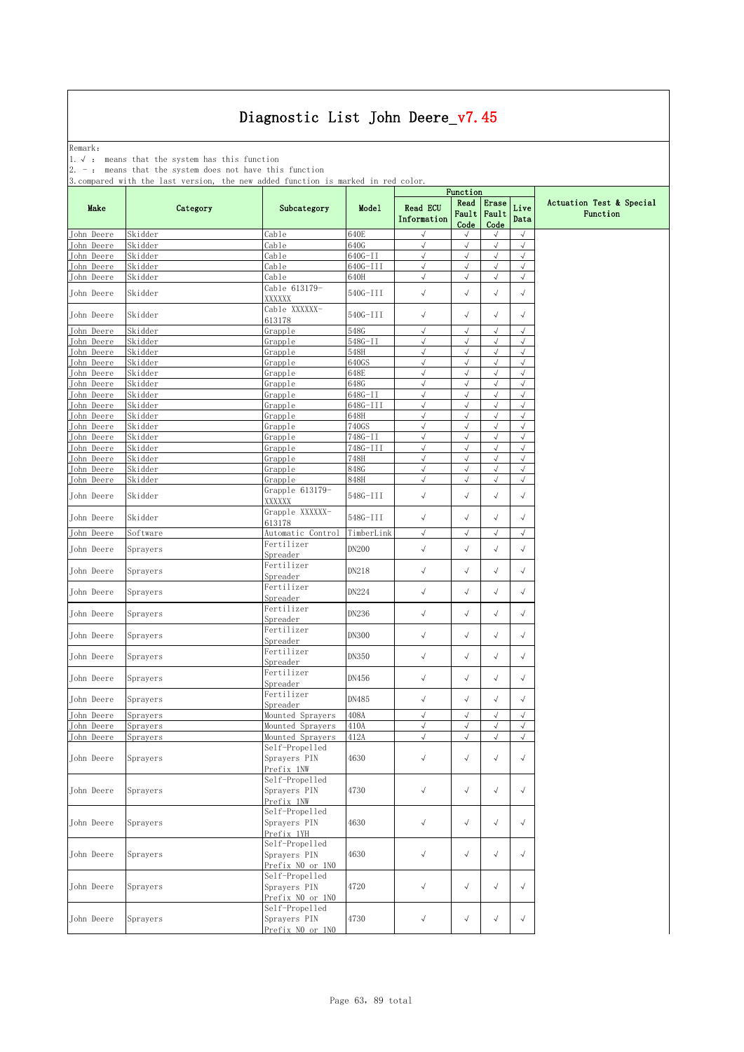Remark: The contract of the contract of  $\mathbb{R}$  and  $\mathbb{R}$  are contract of  $\mathbb{R}$  and  $\mathbb{R}$  are contract of  $\mathbb{R}$  and  $\mathbb{R}$  are contract of  $\mathbb{R}$  and  $\mathbb{R}$  are contract of  $\mathbb{R}$  and  $\mathbb{R}$  are cont

1.√ : means that the system has this function

2. - : means that the system does not have this function

| pux                      |                    |                                              |               | Function                       |                       |                          |                         |                                      |
|--------------------------|--------------------|----------------------------------------------|---------------|--------------------------------|-----------------------|--------------------------|-------------------------|--------------------------------------|
| Make                     | Category           | Subcategory                                  | Model         | <b>Read ECU</b><br>Information | Read<br>Fault<br>Code | Erase<br>Fault<br>Code   | Live<br>Data            | Actuation Test & Special<br>Function |
| John Deere               | Skidder            | Cable                                        | 640E          | $\sqrt{ }$                     | $\sqrt{ }$            | $\sqrt{ }$               | $\sqrt{ }$              |                                      |
| John Deere               | Skidder            | Cable                                        | 640G          | $\sqrt{}$                      | $\sqrt{}$             | $\sqrt{ }$               | $\sqrt{ }$              |                                      |
| John Deere               | Skidder            | Cable                                        | 640G-II       | $\sqrt{ }$                     | $\sqrt{ }$            | $\sqrt{ }$               | $\sqrt{ }$              |                                      |
| John Deere               | Skidder            | Cable                                        | 640G-III      | $\sqrt{}$                      | $\sqrt{}$             | $\sqrt{ }$               | $\sqrt{ }$              |                                      |
| John Deere               | Skidder            | Cable                                        | 640H          | $\sqrt{2}$                     | √                     | $\sqrt{ }$               | $\sqrt{}$               |                                      |
| John Deere               | Skidder            | Cable 613179-<br>XXXXXX                      | 540G-III      | $\sqrt{ }$                     | $\sqrt{}$             | $\sqrt{ }$               | $\sqrt{ }$              |                                      |
| John Deere               | Skidder            | Cable XXXXXX-<br>613178                      | 540G-III      | $\sqrt{ }$                     | $\sqrt{}$             | $\sqrt{}$                | $\sqrt{ }$              |                                      |
| John Deere               | Skidder            | Grapple                                      | 548G          | $\sqrt{ }$                     | $\sqrt{ }$            | $\sqrt{ }$               | $\sqrt{ }$              |                                      |
| John Deere               | Skidder            | Grapple                                      | 548G-II       | $\sqrt{}$                      | $\sqrt{}$             | $\sqrt{ }$               | $\sqrt{ }$              |                                      |
| John Deere               | Skidder            | Grapple                                      | 548H          | $\sqrt{2}$                     | $\sqrt{}$             | $\sqrt{ }$               | $\sqrt{ }$              |                                      |
| John Deere               | Skidder            | Grapple                                      | 640GS         | $\sqrt{ }$                     | $\sqrt{}$             | $\sqrt{ }$               | $\sqrt{ }$              |                                      |
| John Deere               | Skidder            | Grapple                                      | 648E          | $\sqrt{}$                      | $\sqrt{}$             | $\sqrt{ }$               | $\sqrt{ }$              |                                      |
| John Deere               | Skidder            | Grapple                                      | 648G          | $\sqrt{ }$                     | $\sqrt{}$             | $\sqrt{ }$               | $\sqrt{ }$              |                                      |
| John Deere               | Skidder            | Grapple                                      | 648G-II       | $\sqrt{}$                      | $\sqrt{}$             | $\sqrt{ }$               | $\sqrt{2}$              |                                      |
| John Deere               | Skidder            | Grapple                                      | 648G-III      | $\sqrt{2}$                     | $\sqrt{}$             | $\sqrt{ }$               | $\sqrt{ }$              |                                      |
| John Deere               | Skidder<br>Skidder | Grapple                                      | 648H<br>740GS | √<br>$\sqrt{ }$                | √<br>$\sqrt{}$        | $\sqrt{ }$<br>$\sqrt{ }$ | $\sqrt{}$<br>$\sqrt{ }$ |                                      |
| John Deere<br>John Deere | Skidder            | Grapple                                      | 748G-II       | $\sqrt{ }$                     | $\sqrt{}$             | $\sqrt{ }$               | $\sqrt{ }$              |                                      |
| John Deere               | Skidder            | Grapple<br>Grapple                           | 748G-III      | $\sqrt{ }$                     | $\sqrt{}$             | $\sqrt{}$                | $\sqrt{ }$              |                                      |
| John Deere               | Skidder            | Grapple                                      | 748H          | $\sqrt{ }$                     | $\sqrt{ }$            | $\sqrt{ }$               | $\sqrt{}$               |                                      |
| John Deere               | Skidder            | Grapple                                      | 848G          | $\sqrt{}$                      | $\sqrt{}$             | $\sqrt{ }$               | $\sqrt{}$               |                                      |
| John Deere               | Skidder            | Grapple                                      | 848H          | $\sqrt{2}$                     | $\sqrt{}$             | $\sqrt{}$                | $\sqrt{2}$              |                                      |
| John Deere               | Skidder            | Grapple 613179-<br>XXXXXX                    | 548G-III      | $\sqrt{ }$                     | $\sqrt{ }$            | $\sqrt{}$                | $\sqrt{ }$              |                                      |
| John Deere               | Skidder            | Grapple XXXXXX-<br>613178                    | 548G-III      | $\checkmark$                   | $\sqrt{ }$            | $\sqrt{}$                | $\sqrt{ }$              |                                      |
| John Deere               | Software           | Automatic Control                            | TimberLink    | $\sqrt{ }$                     | $\sqrt{ }$            | $\sqrt{}$                | $\sqrt{ }$              |                                      |
| John Deere               | Sprayers           | Fertilizer                                   | <b>DN200</b>  | $\checkmark$                   | $\sqrt{}$             | $\sqrt{}$                | $\sqrt{ }$              |                                      |
|                          |                    | Spreader                                     |               |                                |                       |                          |                         |                                      |
| John Deere               | Sprayers           | Fertilizer<br>Spreader                       | DN218         | $\checkmark$                   | $\sqrt{ }$            | $\checkmark$             | $\sqrt{ }$              |                                      |
| John Deere               | Sprayers           | Fertilizer<br>Spreader                       | <b>DN224</b>  | $\sqrt{ }$                     | $\sqrt{}$             | $\sqrt{}$                | $\sqrt{ }$              |                                      |
| John Deere               | Sprayers           | Fertilizer<br>Spreader                       | <b>DN236</b>  | $\checkmark$                   | $\sqrt{ }$            | $\sqrt{}$                | $\sqrt{ }$              |                                      |
| John Deere               | Sprayers           | Fertilizer<br>Spreader                       | <b>DN300</b>  | $\sqrt{}$                      | $\sqrt{ }$            | $\sqrt{}$                | $\sqrt{ }$              |                                      |
| John Deere               | Sprayers           | Fertilizer                                   | <b>DN350</b>  | $\sqrt{ }$                     | $\sqrt{ }$            | $\sqrt{}$                | $\sqrt{ }$              |                                      |
|                          |                    | Spreader<br>Fertilizer                       |               |                                |                       |                          |                         |                                      |
| John Deere               | Sprayers           | Spreader                                     | DN456         | $\checkmark$                   | $\sqrt{}$             | $\sqrt{}$                | $\sqrt{ }$              |                                      |
| John Deere               | Sprayers           | Fertilizer<br>Spreader                       | DN485         | $\checkmark$                   | $\sqrt{ }$            | $\sqrt{}$                | $\sqrt{}$               |                                      |
| John Deere               | Sprayers           | Mounted Sprayers                             | 408A          | $\sqrt{ }$                     | $\sqrt{2}$            | $\sqrt{ }$               | $\sqrt{}$               |                                      |
| John Deere               | Sprayers           | Mounted Sprayers                             | 410A          | $\sqrt{ }$                     | $\sqrt{}$             | $\sqrt{ }$               | $\sqrt{}$               |                                      |
| John Deere               | Sprayers           | Mounted Sprayers                             | 412A          | $\sqrt{2}$                     | $\sqrt{2}$            | $\sqrt{ }$               | $\sqrt{}$               |                                      |
| John Deere               | Sprayers           | Self-Propelled<br>Sprayers PIN<br>Prefix 1NW | 4630          | $\sqrt{ }$                     | $\checkmark$          | $\checkmark$             | $\sqrt{ }$              |                                      |
| John Deere               | Sprayers           | Self-Propelled<br>Sprayers PIN               | 4730          | $\checkmark$                   | $\sqrt{ }$            | $\sqrt{}$                | $\sqrt{ }$              |                                      |
|                          |                    | Prefix 1NW                                   |               |                                |                       |                          |                         |                                      |
| John Deere               |                    | Self-Propelled<br>Sprayers PIN               | 4630          | $\checkmark$                   | $\sqrt{ }$            | $\sqrt{}$                | $\sqrt{ }$              |                                      |
|                          | Sprayers           | Prefix 1YH                                   |               |                                |                       |                          |                         |                                      |
|                          |                    | $Self-Propelled$                             |               |                                |                       |                          |                         |                                      |
| John Deere               | Sprayers           | Sprayers PIN                                 | 4630          | $\checkmark$                   | $\checkmark$          | $\checkmark$             | $\sqrt{ }$              |                                      |
|                          |                    | Prefix NO or 1NO                             |               |                                |                       |                          |                         |                                      |
|                          |                    | Self-Propelled                               |               |                                |                       |                          |                         |                                      |
| John Deere               | Sprayers           | Sprayers PIN                                 | 4720          | $\checkmark$                   | $\sqrt{ }$            | $\sqrt{ }$               | $\sqrt{ }$              |                                      |
|                          |                    | Prefix NO or 1NO                             |               |                                |                       |                          |                         |                                      |
|                          |                    | Self-Propelled                               |               |                                |                       |                          |                         |                                      |
| John Deere               | Sprayers           | Sprayers PIN                                 | 4730          | $\checkmark$                   | $\sqrt{ }$            | $\sqrt{}$                | $\sqrt{ }$              |                                      |
|                          |                    | Prefix NO or 1NO                             |               |                                |                       |                          |                         |                                      |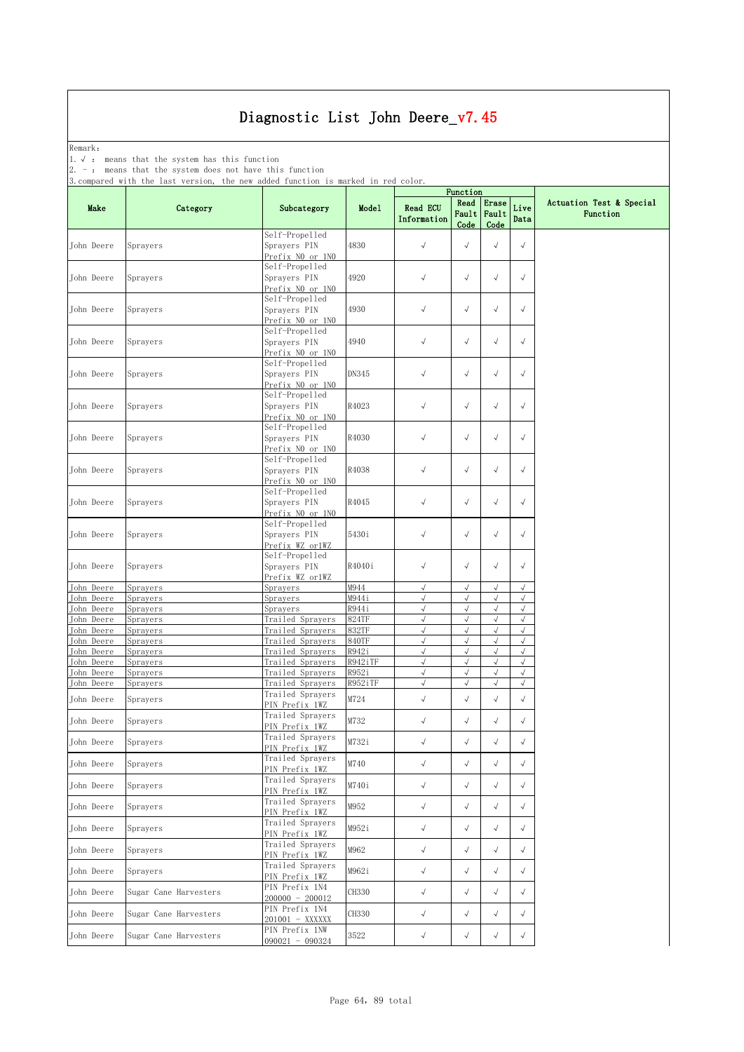Remark: The contract of the contract of  $\mathbb{R}$  and  $\mathbb{R}$  are contract of  $\mathbb{R}$  and  $\mathbb{R}$  are contract of  $\mathbb{R}$  and  $\mathbb{R}$  are contract of  $\mathbb{R}$  and  $\mathbb{R}$  are contract of  $\mathbb{R}$  and  $\mathbb{R}$  are cont

1.√ : means that the system has this function

2. - : means that the system does not have this function

|                          | of compared write the rase version, the new added runction is marked in rea coror. |                                                        |                | Function                       |                         |                          |                            |                                      |
|--------------------------|------------------------------------------------------------------------------------|--------------------------------------------------------|----------------|--------------------------------|-------------------------|--------------------------|----------------------------|--------------------------------------|
| Make                     | Category                                                                           | Subcategory                                            | Model          | <b>Read ECU</b><br>Information | Read<br>Fault<br>Code   | Erase<br>Fault<br>Code   | Live<br>Data               | Actuation Test & Special<br>Function |
| John Deere               | Sprayers                                                                           | Self-Propelled<br>Sprayers PIN<br>Prefix NO or 1NO     | 4830           | $\checkmark$                   | $\sqrt{ }$              | $\sqrt{ }$               | $\sqrt{}$                  |                                      |
| John Deere               | Sprayers                                                                           | Self-Propelled<br>Sprayers PIN<br>Prefix NO or 1NO     | 4920           | $\sqrt{ }$                     | $\sqrt{ }$              | $\sqrt{ }$               | $\sqrt{ }$                 |                                      |
| John Deere               | Sprayers                                                                           | Self-Propelled<br>Sprayers PIN<br>Prefix NO or 1NO     | 4930           | $\checkmark$                   | $\sqrt{ }$              | $\sqrt{ }$               | $\sqrt{}$                  |                                      |
| John Deere               | Sprayers                                                                           | Self-Propelled<br>Sprayers PIN<br>Prefix NO or 1NO     | 4940           | $\sqrt{ }$                     | $\sqrt{ }$              | $\sqrt{ }$               | $\sqrt{}$                  |                                      |
| John Deere               | Sprayers                                                                           | Self-Propelled<br>Sprayers PIN<br>Prefix NO or 1NO     | DN345          | $\sqrt{ }$                     | $\sqrt{ }$              | $\sqrt{ }$               | $\sqrt{ }$                 |                                      |
| John Deere               | Sprayers                                                                           | Self-Propelled<br>Sprayers PIN<br>Prefix NO or 1NO     | R4023          | $\sqrt{ }$                     | $\sqrt{ }$              | $\sqrt{ }$               | $\sqrt{ }$                 |                                      |
| John Deere               | Sprayers                                                                           | Self-Propelled<br>Sprayers PIN<br>Prefix NO or 1NO     | R4030          | $\sqrt{ }$                     | $\sqrt{ }$              | $\sqrt{ }$               | $\sqrt{}$                  |                                      |
| John Deere               | Sprayers                                                                           | Self-Propelled<br>Sprayers PIN<br>Prefix NO or 1NO     | R4038          | $\sqrt{ }$                     | $\sqrt{ }$              | $\sqrt{}$                | $\sqrt{}$                  |                                      |
| John Deere               | Sprayers                                                                           | Self-Propelled<br>Sprayers PIN<br>Prefix NO or 1NO     | R4045          | $\sqrt{ }$                     | $\sqrt{ }$              | $\sqrt{}$                | $\sqrt{}$                  |                                      |
| John Deere               | Sprayers                                                                           | Self-Propelled<br>Sprayers PIN<br>Prefix WZ or1WZ      | 5430i          | $\checkmark$                   | $\sqrt{ }$              | $\sqrt{ }$               | $\sqrt{ }$                 |                                      |
| John Deere               | Sprayers                                                                           | Self-Propelled<br>Sprayers PIN<br>Prefix WZ or1WZ      | R4040i         | $\sqrt{ }$                     | $\sqrt{ }$              | $\sqrt{}$                | $\sqrt{ }$                 |                                      |
| John Deere               | Sprayers                                                                           | Sprayers                                               | M944           | $\sqrt{ }$                     | $\sqrt{}$               | $\sqrt{}$                | $\sqrt{}$                  |                                      |
| John Deere               | Sprayers                                                                           | Sprayers                                               | M944i          | $\sqrt{ }$                     | $\sqrt{}$               | $\sqrt{}$                | $\sqrt{}$                  |                                      |
| John Deere               | Sprayers                                                                           | Sprayers                                               | R944i          | $\sqrt{ }$                     | $\sqrt{ }$              | $\sqrt{ }$               | $\sqrt{}$                  |                                      |
| John Deere<br>John Deere | Sprayers<br>Sprayers                                                               | Trailed Sprayers<br>Trailed Sprayers                   | 824TF<br>832TF | $\sqrt{}$<br>$\sqrt{ }$        | $\sqrt{}$<br>$\sqrt{}$  | $\sqrt{}$<br>$\sqrt{2}$  | $\sqrt{2}$<br>$\sqrt{ }$   |                                      |
| John Deere               | Sprayers                                                                           | Trailed Sprayers                                       | <b>840TF</b>   | $\sqrt{ }$                     | $\sqrt{}$               | $\checkmark$             | $\checkmark$               |                                      |
| John Deere               | Sprayers                                                                           | Trailed Sprayers                                       | R942i          | $\sqrt{ }$                     | $\sqrt{ }$              | $\sqrt{}$                | $\sqrt{2}$                 |                                      |
| John Deere               | Sprayers                                                                           | Trailed Sprayers                                       | R942iTF        | $\sqrt{ }$                     | $\sqrt{}$               | $\sqrt{}$                | $\sqrt{}$                  |                                      |
| John Deere               | Sprayers                                                                           | Trailed Sprayers                                       | R952i          | $\checkmark$                   | $\sqrt{}$               | $\sqrt{ }$               | $\sqrt{}$                  |                                      |
| John Deere               | Sprayers                                                                           | Trailed Sprayers                                       | R952iTF        | $\checkmark$                   | $\sqrt{ }$              | $\sqrt{ }$               | $\sqrt{}$                  |                                      |
| John Deere<br>John Deere | Sprayers                                                                           | Trailed Sprayers<br>PIN Prefix 1WZ<br>Trailed Sprayers | M724<br>M732   | $\checkmark$<br>$\checkmark$   | $\sqrt{}$<br>$\sqrt{ }$ | $\sqrt{ }$<br>$\sqrt{ }$ | $\checkmark$<br>$\sqrt{ }$ |                                      |
| John Deere               | Sprayers<br>$\rm Sprayers$                                                         | PIN Prefix 1WZ<br>Trailed Sprayers<br>PIN Prefix 1WZ   | M732i          | $\sqrt{}$                      |                         |                          |                            |                                      |
| John Deere               | Sprayers                                                                           | Trailed Sprayers<br>PIN Prefix 1WZ                     | M740           | $\sqrt{ }$                     | $\sqrt{}$               | $\sqrt{ }$               | $\sqrt{}$                  |                                      |
| John Deere               | Sprayers                                                                           | Trailed Sprayers<br>PIN Prefix 1WZ<br>Trailed Sprayers | M740i          | $\checkmark$                   | $\sqrt{}$               | $\sqrt{2}$               | $\checkmark$               |                                      |
| John Deere               | Sprayers                                                                           | PIN Prefix 1WZ                                         | M952           | $\checkmark$                   | $\sqrt{}$               | $\sqrt{}$                | $\checkmark$               |                                      |
| John Deere               | Sprayers                                                                           | Trailed Sprayers<br>PIN Prefix 1WZ<br>Trailed Sprayers | M952i          | $\checkmark$                   | $\sqrt{ }$              | $\sqrt{2}$               | $\checkmark$               |                                      |
| John Deere               | Sprayers                                                                           | PIN Prefix 1WZ                                         | M962           | $\sqrt{ }$                     | $\sqrt{}$               | $\sqrt{}$                | $\sqrt{}$                  |                                      |
| John Deere               | Sprayers                                                                           | Trailed Sprayers<br>PIN Prefix 1WZ<br>PIN Prefix 1N4   | M962i          | $\checkmark$                   | $\sqrt{}$               | $\sqrt{ }$               | $\checkmark$               |                                      |
| John Deere               | Sugar Cane Harvesters                                                              | $200000 - 200012$                                      | CH330          | $\checkmark$                   | $\checkmark$            | $\sqrt{ }$               | $\checkmark$               |                                      |
| John Deere               | Sugar Cane Harvesters                                                              | PIN Prefix 1N4<br>201001 - XXXXXX<br>PIN Prefix 1NW    | CH330          | $\checkmark$                   | $\sqrt{}$               | $\sqrt{2}$               | $\checkmark$               |                                      |
| John Deere               | Sugar Cane Harvesters                                                              | $090021 - 090324$                                      | $3522\,$       | $\sqrt{ }$                     | $\checkmark$            | $\sqrt{ }$               | $\checkmark$               |                                      |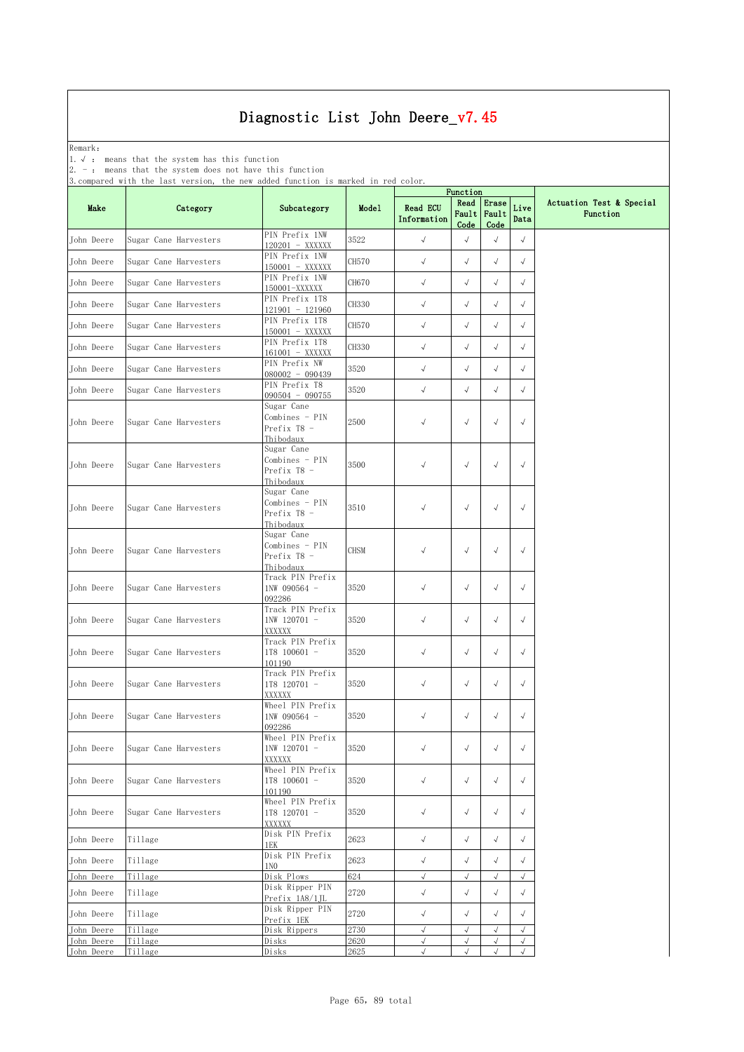Remark: The contract of the contract of  $\mathbb{R}$  and  $\mathbb{R}$  are contract of  $\mathbb{R}$  and  $\mathbb{R}$  are contract of  $\mathbb{R}$  and  $\mathbb{R}$  are contract of  $\mathbb{R}$  and  $\mathbb{R}$  are contract of  $\mathbb{R}$  and  $\mathbb{R}$  are cont

1.√ : means that the system has this function

2. - : means that the system does not have this function

|                          |                       |                                                              |              |                                | Function                |                              |                          |                                      |  |
|--------------------------|-----------------------|--------------------------------------------------------------|--------------|--------------------------------|-------------------------|------------------------------|--------------------------|--------------------------------------|--|
| Make                     | Category              | Subcategory                                                  | Model        | <b>Read ECU</b><br>Information | Read<br>Code            | Erase<br>Fault Fault<br>Code | Live<br>Data             | Actuation Test & Special<br>Function |  |
| John Deere               | Sugar Cane Harvesters | PIN Prefix 1NW<br>120201 - XXXXXX                            | 3522         | $\sqrt{}$                      | $\sqrt{ }$              | $\sqrt{ }$                   | $\sqrt{}$                |                                      |  |
| John Deere               | Sugar Cane Harvesters | PIN Prefix 1NW<br>150001 - XXXXXX                            | CH570        | $\checkmark$                   | $\sqrt{ }$              | $\checkmark$                 | $\sqrt{}$                |                                      |  |
| John Deere               | Sugar Cane Harvesters | PIN Prefix 1NW<br>150001-XXXXXX                              | CH670        | $\sqrt{}$                      | $\sqrt{}$               | $\sqrt{}$                    | $\sqrt{}$                |                                      |  |
| John Deere               | Sugar Cane Harvesters | PIN Prefix 1T8<br>121901 - 121960                            | CH330        | $\sqrt{ }$                     | $\sqrt{ }$              | $\sqrt{ }$                   | $\sqrt{ }$               |                                      |  |
| John Deere               | Sugar Cane Harvesters | PIN Prefix 1T8<br>150001 - XXXXXX                            | CH570        | $\sqrt{ }$                     | $\sqrt{}$               | $\sqrt{}$                    | $\sqrt{}$                |                                      |  |
| John Deere               | Sugar Cane Harvesters | PIN Prefix 1T8<br>161001 - XXXXXX                            | CH330        | $\sqrt{ }$                     | $\sqrt{ }$              | $\sqrt{ }$                   | $\sqrt{ }$               |                                      |  |
| John Deere               | Sugar Cane Harvesters | PIN Prefix NW<br>080002 - 090439                             | 3520         | $\checkmark$                   | $\sqrt{ }$              | $\sqrt{ }$                   | $\checkmark$             |                                      |  |
| John Deere               | Sugar Cane Harvesters | PIN Prefix T8<br>$090504 - 090755$                           | 3520         | $\sqrt{}$                      | $\sqrt{ }$              | $\sqrt{ }$                   | $\sqrt{}$                |                                      |  |
| John Deere               | Sugar Cane Harvesters | Sugar Cane<br>Combines - PIN<br>Prefix T8 -<br>Thibodaux     | 2500         | $\sqrt{ }$                     | $\sqrt{ }$              | $\checkmark$                 | $\sqrt{}$                |                                      |  |
| John Deere               | Sugar Cane Harvesters | Sugar Cane<br>Combines - PIN<br>Prefix T8 -<br>Thibodaux     | 3500         | $\sqrt{ }$                     | $\sqrt{ }$              | $\sqrt{ }$                   | $\sqrt{}$                |                                      |  |
| John Deere               | Sugar Cane Harvesters | Sugar Cane<br>$Combines$ - $PIN$<br>Prefix T8 -<br>Thibodaux | 3510         | $\sqrt{ }$                     | $\sqrt{ }$              | $\checkmark$                 | $\sqrt{ }$               |                                      |  |
| John Deere               | Sugar Cane Harvesters | Sugar Cane<br>Combines - PIN<br>Prefix T8 -<br>Thibodaux     | <b>CHSM</b>  | $\sqrt{\phantom{a}}$           | $\sqrt{ }$              | $\sqrt{ }$                   | $\sqrt{ }$               |                                      |  |
| John Deere               | Sugar Cane Harvesters | Track PIN Prefix<br>1NW 090564 -<br>092286                   | 3520         | $\sqrt{ }$                     | $\sqrt{}$               | $\checkmark$                 | $\sqrt{}$                |                                      |  |
| John Deere               | Sugar Cane Harvesters | Track PIN Prefix<br>1NW 120701 -<br>XXXXXX                   | 3520         | $\sqrt{ }$                     | $\sqrt{ }$              | $\sqrt{}$                    | $\sqrt{ }$               |                                      |  |
| John Deere               | Sugar Cane Harvesters | Track PIN Prefix<br>1T8 100601 -<br>101190                   | 3520         | $\sqrt{ }$                     | $\sqrt{}$               | $\sqrt{ }$                   | $\sqrt{}$                |                                      |  |
| John Deere               | Sugar Cane Harvesters | Track PIN Prefix<br>1T8 120701 -<br>XXXXXX                   | 3520         | $\sqrt{}$                      | $\sqrt{}$               | $\sqrt{ }$                   | $\sqrt{ }$               |                                      |  |
| John Deere               | Sugar Cane Harvesters | Wheel PIN Prefix<br>1NW 090564 -<br>092286                   | 3520         | $\sqrt{ }$                     | $\sqrt{}$               | $\sqrt{}$                    | $\sqrt{ }$               |                                      |  |
| John Deere               | Sugar Cane Harvesters | Wheel PIN Prefix<br>1NW 120701 -<br>XXXXXX                   | 3520         | $\sqrt{ }$                     | $\sqrt{}$               | $\checkmark$                 | $\sqrt{ }$               |                                      |  |
| John Deere               | Sugar Cane Harvesters | Wheel PIN Prefix<br>1T8 100601 -<br>101190                   | 3520         | $\sqrt{ }$                     | $\sqrt{}$               | $\sqrt{ }$                   | $\sqrt{ }$               |                                      |  |
| John Deere               | Sugar Cane Harvesters | Wheel PIN Prefix<br>1T8 120701 -<br>XXXXXX                   | 3520         | $\checkmark$                   | $\sqrt{\phantom{a}}$    | $\checkmark$                 | $\sqrt{ }$               |                                      |  |
| John Deere               | Tillage               | Disk PIN Prefix<br>1EK                                       | 2623         | $\sqrt{ }$                     | $\sqrt{}$               | $\sqrt{}$                    | $\sqrt{}$                |                                      |  |
| John Deere               | Tillage               | Disk PIN Prefix<br>1N <sub>0</sub>                           | 2623         | $\sqrt{ }$                     | $\sqrt{}$               | $\sqrt{ }$                   | $\sqrt{ }$               |                                      |  |
| John Deere               | Tillage               | Disk Plows                                                   | 624          | $\sqrt{ }$                     | $\sqrt{}$               | $\sqrt{}$                    | $\sqrt{}$                |                                      |  |
| John Deere               | Tillage               | Disk Ripper PIN<br>Prefix 1A8/1JL                            | 2720         | $\sqrt{ }$                     | $\sqrt{}$               | $\sqrt{ }$                   | $\sqrt{}$                |                                      |  |
| John Deere               | Tillage               | Disk Ripper PIN<br>Prefix 1EK                                | 2720         | $\sqrt{ }$                     | $\sqrt{}$               | $\sqrt{}$                    | $\sqrt{ }$               |                                      |  |
| John Deere               | Tillage               | Disk Rippers                                                 | 2730         | $\sqrt{ }$                     | $\sqrt{2}$              | $\sqrt{ }$                   | $\sqrt{ }$               |                                      |  |
| John Deere<br>John Deere | Tillage<br>Tillage    | Disks<br>Disks                                               | 2620<br>2625 | $\sqrt{}$<br>$\sqrt{ }$        | $\sqrt{ }$<br>$\sqrt{}$ | $\sqrt{2}$<br>$\sqrt{}$      | $\sqrt{ }$<br>$\sqrt{ }$ |                                      |  |
|                          |                       |                                                              |              |                                |                         |                              |                          |                                      |  |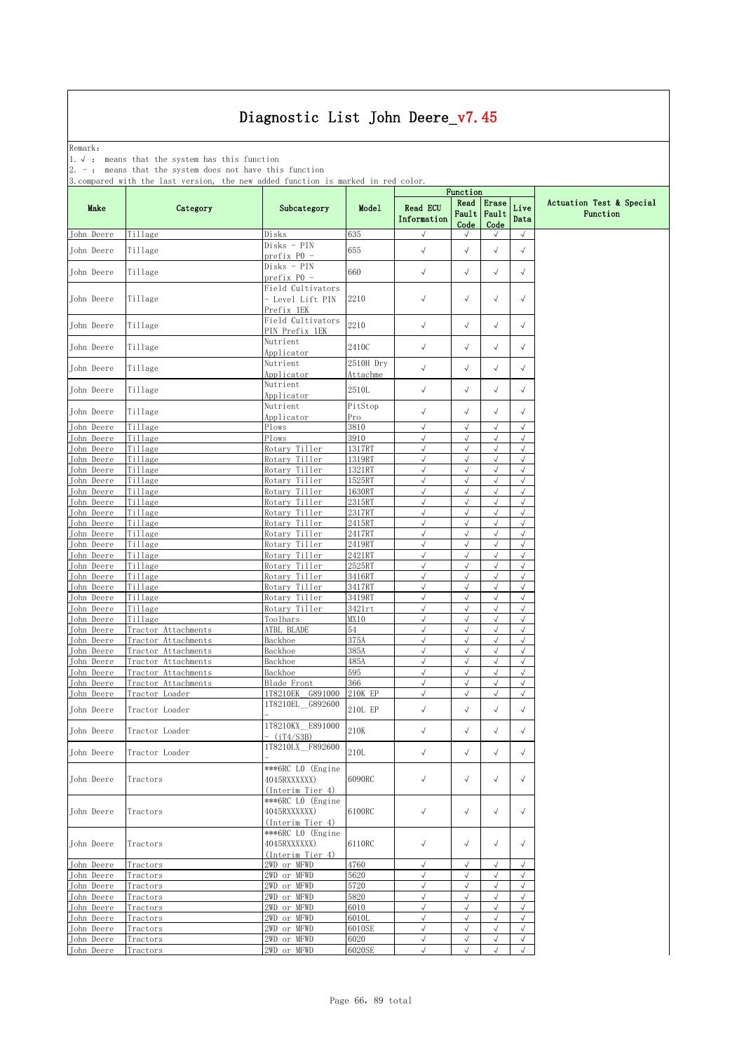Remark: The contract of the contract of  $\mathbb{R}$  and  $\mathbb{R}$  are contract of  $\mathbb{R}$  and  $\mathbb{R}$  are contract of  $\mathbb{R}$  and  $\mathbb{R}$  are contract of  $\mathbb{R}$  and  $\mathbb{R}$  are contract of  $\mathbb{R}$  and  $\mathbb{R}$  are cont

1.√ : means that the system has this function

2. - : means that the system does not have this function

| Read<br>Erase<br>Live<br><b>Read ECU</b><br>Make<br>Category<br>Subcategory<br>Model<br>Fault<br>Fault<br>Function<br>Information<br>Data<br>Code<br>Code<br>Disks<br>635<br>Tillage<br>$\sqrt{ }$<br>$\sqrt{ }$<br>$\sqrt{ }$<br>$\sqrt{ }$<br>Disks - PIN<br>$\sqrt{ }$<br>$\sqrt{ }$<br>655<br>$\checkmark$<br>$\sqrt{ }$<br>Tillage<br>prefix PO -<br>Disks - PIN<br>$\checkmark$<br>$\sqrt{ }$<br>$\sqrt{}$<br>Tillage<br>660<br>$\sqrt{ }$<br>prefix PO -<br>Field Cultivators<br>2210<br>$\sqrt{ }$<br>$\checkmark$<br>$\sqrt{}$<br>Tillage<br>- Level Lift PIN<br>$\sqrt{}$<br>Prefix 1EK<br>Field Cultivators<br>2210<br>$\checkmark$<br>Tillage<br>$\sqrt{ }$<br>$\sqrt{}$<br>$\sqrt{}$<br>PIN Prefix 1EK<br>Nutrient<br>$\checkmark$<br>$\sqrt{ }$<br>$\sqrt{}$<br>Tillage<br>2410C<br>$\sqrt{ }$<br>Applicator<br>2510H Dry<br>Nutrient<br>$\checkmark$<br>$\sqrt{}$<br>$\sqrt{}$<br>$\sqrt{ }$<br>Tillage<br>Applicator<br>Attachme<br>Nutrient<br>$\sqrt{ }$<br>$\sqrt{ }$<br>2510L<br>$\sqrt{}$<br>$\sqrt{ }$<br>Tillage<br>Applicator<br>PitStop<br>Nutrient<br>$\sqrt{\phantom{a}}$<br>√<br>$\sqrt{}$<br>Tillage<br>$\sqrt{ }$<br>Applicator<br>Pro<br>Plows<br>$\sqrt{}$<br>John Deere<br>Tillage<br>3810<br>$\sqrt{ }$<br>$\sqrt{}$<br>$\sqrt{2}$<br>$\sqrt{}$<br>John Deere<br>Tillage<br>Plows<br>3910<br>$\sqrt{}$<br>$\sqrt{}$<br>$\sqrt{ }$<br>1317RT<br>$\sqrt{ }$<br>$\sqrt{}$<br>$\sqrt{ }$<br>$\sqrt{}$<br>Tillage<br>Rotary Tiller<br>$\sqrt{}$<br>$\sqrt{ }$<br>$\sqrt{ }$<br>Tillage<br>Rotary Tiller<br>1319RT<br>$\sqrt{}$<br>$\sqrt{ }$<br>Tillage<br>1321RT<br>$\sqrt{}$<br>$\sqrt{}$<br>$\sqrt{}$<br>Rotary Tiller<br>$\sqrt{ }$<br>$\sqrt{}$<br>$\sqrt{ }$<br>$\sqrt{ }$<br>1525RT<br>Tillage<br>Rotary Tiller<br>$\sqrt{ }$<br>John Deere<br>1630RT<br>$\sqrt{ }$<br>Tillage<br>Rotary Tiller<br>$\sqrt{}$<br>$\sqrt{}$<br>2315R1<br>$\sqrt{ }$<br>$\sqrt{ }$<br><b>John Deere</b><br>Tillage<br>Rotary Tiller<br>$\sqrt{}$<br>$\sqrt{}$<br>2317RT<br>$\sqrt{ }$<br>$\sqrt{2}$<br>$\sqrt{ }$<br>$\sqrt{}$<br>John Deere<br>Tillage<br>Rotary Tiller<br>$\sqrt{ }$<br>$\sqrt{ }$<br>John Deere<br>Tillage<br>Rotary Tiller<br>2415RT<br>$\sqrt{}$<br>$\sqrt{}$<br>$\sqrt{ }$<br>$\sqrt{}$<br>$\sqrt{ }$<br>$\sqrt{ }$<br>John Deere<br>Tillage<br>2417RT<br>Rotary Tiller<br>John Deere<br>Rotary Tiller<br>2419RT<br>$\sqrt{2}$<br>Tillage<br>$\sqrt{}$<br>$\sqrt{}$<br>$\sqrt{ }$<br>$\sqrt{2}$<br>$\sqrt{}$<br>$\sqrt{ }$<br>$\sqrt{2}$<br>2421RT<br>John Deere<br>Tillage<br>Rotary Tiller<br>$\sqrt{}$<br>John Deere<br>Tillage<br>Rotary Tiller<br>2525R1<br>$\sqrt{ }$<br>√<br>$\sqrt{ }$<br>$\sqrt{}$<br>$\sqrt{}$<br>$\sqrt{ }$<br>Tillage<br>3416RT<br>John Deere<br>Rotary Tiller<br>3417RT<br>$\sqrt{ }$<br>$\sqrt{}$<br>$\sqrt{ }$<br>$\sqrt{ }$<br>John Deere<br>Tillage<br>Rotary Tiller<br>John Deere<br>Rotary Tiller<br>3419RT<br>$\sqrt{ }$<br>$\sqrt{}$<br>$\sqrt{}$<br>$\sqrt{ }$<br>Tillage<br>John Deere<br>$\sqrt{ }$<br>$\sqrt{ }$<br>$\sqrt{ }$<br>$\sqrt{ }$<br>Tillage<br>Rotary Tiller<br>3421rt<br>John Deere<br>Toolbars<br>MX10<br>$\sqrt{}$<br>Tillage<br>$\sqrt{}$<br>$\sqrt{2}$<br>$\sqrt{}$<br>54<br>ATBL BLADE<br>$\sqrt{ }$<br>$\sqrt{ }$<br>John Deere<br>Tractor Attachments<br>$\sqrt{2}$<br>$\sqrt{}$<br>375A<br>$\sqrt{ }$<br>John Deere<br>Tractor Attachments<br>$\sqrt{}$<br>$\sqrt{ }$<br>$\sqrt{ }$<br>Backhoe<br>385A<br>$\sqrt{ }$<br>$\sqrt{ }$<br>$\sqrt{}$<br>Backhoe<br>$\sqrt{}$<br>John Deere<br>Tractor Attachments<br>Backhoe<br>$\sqrt{ }$<br>$\sqrt{}$<br>$\sqrt{ }$<br>$\sqrt{ }$<br>John Deere<br>485A<br>Tractor Attachments<br>595<br>$\sqrt{ }$<br>$\sqrt{ }$<br>John Deere<br>Tractor Attachments<br>Backhoe<br>$\sqrt{ }$<br>$\sqrt{}$<br>$\sqrt{ }$<br>$\sqrt{}$<br>$\sqrt{ }$<br>$\sqrt{ }$<br>John Deere<br>Tractor Attachments<br>366<br>Blade Front<br>$\sqrt{2}$<br>John Deere<br>1T8210EK G891000<br>$\sqrt{}$<br>$\sqrt{}$<br>Tractor Loader<br>210K EP<br>$\sqrt{}$<br>1T8210EL G892600<br>$\sqrt{ }$<br>210L EP<br>$\sqrt{ }$<br>$\sqrt{ }$<br>$\sqrt{ }$<br>Tractor Loader<br>1T8210KX E891000<br>210K<br>$\sqrt{}$<br>$\sqrt{}$<br>$\sqrt{}$<br>Tractor Loader<br>$\sqrt{}$<br>(iT4/S3B)<br>1T8210LX F892600<br>$210\textrm{L}$<br>$\checkmark$<br>$\sqrt{}$<br>$\sqrt{ }$<br>Tractor Loader<br>$\sqrt{}$<br>***6RC LO (Engine<br>$\sqrt{ }$<br>4045RXXXXXX)<br>6090RC<br>$\sqrt{ }$<br>$\sqrt{ }$<br>Tractors<br>$\sqrt{ }$<br>(Interim Tier 4)<br>***6RC LO (Engine<br>4045RXXXXXX)<br>6100RC<br>$\sqrt{ }$<br>$\sqrt{ }$<br>$\sqrt{ }$<br>$\sqrt{ }$<br>John Deere<br>Tractors<br>(Interim Tier 4)<br>***6RC LO (Engine<br>4045RXXXXXX)<br>6110RC<br>$\sqrt{ }$<br>$\sqrt{ }$<br>$\sqrt{ }$<br>$\sqrt{ }$<br>Tractors<br>(Interim Tier 4)<br>2WD or MFWD<br>4760<br>John Deere<br>Tractors<br>$\sqrt{ }$<br>$\sqrt{}$<br>$\sqrt{ }$<br>$\sqrt{ }$<br>2WD or MFWD<br>5620<br>$\sqrt{ }$<br>John Deere<br>$\sqrt{}$<br>$\sqrt{}$<br>$\sqrt{ }$<br>Tractors<br>2WD or MFWD<br>5720<br>$\sqrt{ }$<br>$\sqrt{ }$<br>John Deere<br>Tractors<br>$\sqrt{ }$<br>$\sqrt{ }$<br>John Deere<br>2WD or MFWD<br>5820<br>$\sqrt{ }$<br>Tractors<br>$\sqrt{ }$<br>$\sqrt{}$<br>$\sqrt{ }$<br>2WD or MFWD<br>$\sqrt{}$<br>John Deere<br>6010<br>$\sqrt{}$<br>$\sqrt{}$<br>$\sqrt{ }$<br>Tractors<br>2WD or MFWD<br>6010L<br>$\sqrt{ }$<br>John Deere<br>Tractors<br>$\sqrt{}$<br>$\sqrt{}$<br>$\sqrt{}$<br>$\sqrt{ }$<br>2WD or MFWD<br>6010SE<br>$\sqrt{}$<br>$\sqrt{}$<br>$\sqrt{ }$<br>John Deere<br>Tractors<br>$\sqrt{ }$<br>$\sqrt{}$<br>$\sqrt{ }$<br>John Deere<br>2WD or MFWD<br>6020<br>$\sqrt{ }$<br>Tractors<br>$\sqrt{ }$ | , , <u>, ,</u> , , , , , |          |             |        |            | Function  |            |                          |
|----------------------------------------------------------------------------------------------------------------------------------------------------------------------------------------------------------------------------------------------------------------------------------------------------------------------------------------------------------------------------------------------------------------------------------------------------------------------------------------------------------------------------------------------------------------------------------------------------------------------------------------------------------------------------------------------------------------------------------------------------------------------------------------------------------------------------------------------------------------------------------------------------------------------------------------------------------------------------------------------------------------------------------------------------------------------------------------------------------------------------------------------------------------------------------------------------------------------------------------------------------------------------------------------------------------------------------------------------------------------------------------------------------------------------------------------------------------------------------------------------------------------------------------------------------------------------------------------------------------------------------------------------------------------------------------------------------------------------------------------------------------------------------------------------------------------------------------------------------------------------------------------------------------------------------------------------------------------------------------------------------------------------------------------------------------------------------------------------------------------------------------------------------------------------------------------------------------------------------------------------------------------------------------------------------------------------------------------------------------------------------------------------------------------------------------------------------------------------------------------------------------------------------------------------------------------------------------------------------------------------------------------------------------------------------------------------------------------------------------------------------------------------------------------------------------------------------------------------------------------------------------------------------------------------------------------------------------------------------------------------------------------------------------------------------------------------------------------------------------------------------------------------------------------------------------------------------------------------------------------------------------------------------------------------------------------------------------------------------------------------------------------------------------------------------------------------------------------------------------------------------------------------------------------------------------------------------------------------------------------------------------------------------------------------------------------------------------------------------------------------------------------------------------------------------------------------------------------------------------------------------------------------------------------------------------------------------------------------------------------------------------------------------------------------------------------------------------------------------------------------------------------------------------------------------------------------------------------------------------------------------------------------------------------------------------------------------------------------------------------------------------------------------------------------------------------------------------------------------------------------------------------------------------------------------------------------------------------------------------------------------------------------------------------------------------------------------------------------------------------------------------------------------------------------------------------------------------------------------------------------------------------------------------------------------------------------------------------------------------------------------------------------------------------------------------------------------------------------------------------------------------------------------------------------------------------------------------------------------------------------------------------------------------------------------------------------------------------------------------------------------------------------------------------------------------------------------------------------------------------------------------------------------------------------------------------------------------------------------------------------------------------|--------------------------|----------|-------------|--------|------------|-----------|------------|--------------------------|
|                                                                                                                                                                                                                                                                                                                                                                                                                                                                                                                                                                                                                                                                                                                                                                                                                                                                                                                                                                                                                                                                                                                                                                                                                                                                                                                                                                                                                                                                                                                                                                                                                                                                                                                                                                                                                                                                                                                                                                                                                                                                                                                                                                                                                                                                                                                                                                                                                                                                                                                                                                                                                                                                                                                                                                                                                                                                                                                                                                                                                                                                                                                                                                                                                                                                                                                                                                                                                                                                                                                                                                                                                                                                                                                                                                                                                                                                                                                                                                                                                                                                                                                                                                                                                                                                                                                                                                                                                                                                                                                                                                                                                                                                                                                                                                                                                                                                                                                                                                                                                                                                                                                                                                                                                                                                                                                                                                                                                                                                                                                                                                                                                                              |                          |          |             |        |            |           |            | Actuation Test & Special |
|                                                                                                                                                                                                                                                                                                                                                                                                                                                                                                                                                                                                                                                                                                                                                                                                                                                                                                                                                                                                                                                                                                                                                                                                                                                                                                                                                                                                                                                                                                                                                                                                                                                                                                                                                                                                                                                                                                                                                                                                                                                                                                                                                                                                                                                                                                                                                                                                                                                                                                                                                                                                                                                                                                                                                                                                                                                                                                                                                                                                                                                                                                                                                                                                                                                                                                                                                                                                                                                                                                                                                                                                                                                                                                                                                                                                                                                                                                                                                                                                                                                                                                                                                                                                                                                                                                                                                                                                                                                                                                                                                                                                                                                                                                                                                                                                                                                                                                                                                                                                                                                                                                                                                                                                                                                                                                                                                                                                                                                                                                                                                                                                                                              | John Deere               |          |             |        |            |           |            |                          |
|                                                                                                                                                                                                                                                                                                                                                                                                                                                                                                                                                                                                                                                                                                                                                                                                                                                                                                                                                                                                                                                                                                                                                                                                                                                                                                                                                                                                                                                                                                                                                                                                                                                                                                                                                                                                                                                                                                                                                                                                                                                                                                                                                                                                                                                                                                                                                                                                                                                                                                                                                                                                                                                                                                                                                                                                                                                                                                                                                                                                                                                                                                                                                                                                                                                                                                                                                                                                                                                                                                                                                                                                                                                                                                                                                                                                                                                                                                                                                                                                                                                                                                                                                                                                                                                                                                                                                                                                                                                                                                                                                                                                                                                                                                                                                                                                                                                                                                                                                                                                                                                                                                                                                                                                                                                                                                                                                                                                                                                                                                                                                                                                                                              | John Deere               |          |             |        |            |           |            |                          |
|                                                                                                                                                                                                                                                                                                                                                                                                                                                                                                                                                                                                                                                                                                                                                                                                                                                                                                                                                                                                                                                                                                                                                                                                                                                                                                                                                                                                                                                                                                                                                                                                                                                                                                                                                                                                                                                                                                                                                                                                                                                                                                                                                                                                                                                                                                                                                                                                                                                                                                                                                                                                                                                                                                                                                                                                                                                                                                                                                                                                                                                                                                                                                                                                                                                                                                                                                                                                                                                                                                                                                                                                                                                                                                                                                                                                                                                                                                                                                                                                                                                                                                                                                                                                                                                                                                                                                                                                                                                                                                                                                                                                                                                                                                                                                                                                                                                                                                                                                                                                                                                                                                                                                                                                                                                                                                                                                                                                                                                                                                                                                                                                                                              | John Deere               |          |             |        |            |           |            |                          |
|                                                                                                                                                                                                                                                                                                                                                                                                                                                                                                                                                                                                                                                                                                                                                                                                                                                                                                                                                                                                                                                                                                                                                                                                                                                                                                                                                                                                                                                                                                                                                                                                                                                                                                                                                                                                                                                                                                                                                                                                                                                                                                                                                                                                                                                                                                                                                                                                                                                                                                                                                                                                                                                                                                                                                                                                                                                                                                                                                                                                                                                                                                                                                                                                                                                                                                                                                                                                                                                                                                                                                                                                                                                                                                                                                                                                                                                                                                                                                                                                                                                                                                                                                                                                                                                                                                                                                                                                                                                                                                                                                                                                                                                                                                                                                                                                                                                                                                                                                                                                                                                                                                                                                                                                                                                                                                                                                                                                                                                                                                                                                                                                                                              | John Deere               |          |             |        |            |           |            |                          |
|                                                                                                                                                                                                                                                                                                                                                                                                                                                                                                                                                                                                                                                                                                                                                                                                                                                                                                                                                                                                                                                                                                                                                                                                                                                                                                                                                                                                                                                                                                                                                                                                                                                                                                                                                                                                                                                                                                                                                                                                                                                                                                                                                                                                                                                                                                                                                                                                                                                                                                                                                                                                                                                                                                                                                                                                                                                                                                                                                                                                                                                                                                                                                                                                                                                                                                                                                                                                                                                                                                                                                                                                                                                                                                                                                                                                                                                                                                                                                                                                                                                                                                                                                                                                                                                                                                                                                                                                                                                                                                                                                                                                                                                                                                                                                                                                                                                                                                                                                                                                                                                                                                                                                                                                                                                                                                                                                                                                                                                                                                                                                                                                                                              | John Deere               |          |             |        |            |           |            |                          |
|                                                                                                                                                                                                                                                                                                                                                                                                                                                                                                                                                                                                                                                                                                                                                                                                                                                                                                                                                                                                                                                                                                                                                                                                                                                                                                                                                                                                                                                                                                                                                                                                                                                                                                                                                                                                                                                                                                                                                                                                                                                                                                                                                                                                                                                                                                                                                                                                                                                                                                                                                                                                                                                                                                                                                                                                                                                                                                                                                                                                                                                                                                                                                                                                                                                                                                                                                                                                                                                                                                                                                                                                                                                                                                                                                                                                                                                                                                                                                                                                                                                                                                                                                                                                                                                                                                                                                                                                                                                                                                                                                                                                                                                                                                                                                                                                                                                                                                                                                                                                                                                                                                                                                                                                                                                                                                                                                                                                                                                                                                                                                                                                                                              | John Deere               |          |             |        |            |           |            |                          |
|                                                                                                                                                                                                                                                                                                                                                                                                                                                                                                                                                                                                                                                                                                                                                                                                                                                                                                                                                                                                                                                                                                                                                                                                                                                                                                                                                                                                                                                                                                                                                                                                                                                                                                                                                                                                                                                                                                                                                                                                                                                                                                                                                                                                                                                                                                                                                                                                                                                                                                                                                                                                                                                                                                                                                                                                                                                                                                                                                                                                                                                                                                                                                                                                                                                                                                                                                                                                                                                                                                                                                                                                                                                                                                                                                                                                                                                                                                                                                                                                                                                                                                                                                                                                                                                                                                                                                                                                                                                                                                                                                                                                                                                                                                                                                                                                                                                                                                                                                                                                                                                                                                                                                                                                                                                                                                                                                                                                                                                                                                                                                                                                                                              | John Deere               |          |             |        |            |           |            |                          |
|                                                                                                                                                                                                                                                                                                                                                                                                                                                                                                                                                                                                                                                                                                                                                                                                                                                                                                                                                                                                                                                                                                                                                                                                                                                                                                                                                                                                                                                                                                                                                                                                                                                                                                                                                                                                                                                                                                                                                                                                                                                                                                                                                                                                                                                                                                                                                                                                                                                                                                                                                                                                                                                                                                                                                                                                                                                                                                                                                                                                                                                                                                                                                                                                                                                                                                                                                                                                                                                                                                                                                                                                                                                                                                                                                                                                                                                                                                                                                                                                                                                                                                                                                                                                                                                                                                                                                                                                                                                                                                                                                                                                                                                                                                                                                                                                                                                                                                                                                                                                                                                                                                                                                                                                                                                                                                                                                                                                                                                                                                                                                                                                                                              | John Deere               |          |             |        |            |           |            |                          |
|                                                                                                                                                                                                                                                                                                                                                                                                                                                                                                                                                                                                                                                                                                                                                                                                                                                                                                                                                                                                                                                                                                                                                                                                                                                                                                                                                                                                                                                                                                                                                                                                                                                                                                                                                                                                                                                                                                                                                                                                                                                                                                                                                                                                                                                                                                                                                                                                                                                                                                                                                                                                                                                                                                                                                                                                                                                                                                                                                                                                                                                                                                                                                                                                                                                                                                                                                                                                                                                                                                                                                                                                                                                                                                                                                                                                                                                                                                                                                                                                                                                                                                                                                                                                                                                                                                                                                                                                                                                                                                                                                                                                                                                                                                                                                                                                                                                                                                                                                                                                                                                                                                                                                                                                                                                                                                                                                                                                                                                                                                                                                                                                                                              | John Deere               |          |             |        |            |           |            |                          |
|                                                                                                                                                                                                                                                                                                                                                                                                                                                                                                                                                                                                                                                                                                                                                                                                                                                                                                                                                                                                                                                                                                                                                                                                                                                                                                                                                                                                                                                                                                                                                                                                                                                                                                                                                                                                                                                                                                                                                                                                                                                                                                                                                                                                                                                                                                                                                                                                                                                                                                                                                                                                                                                                                                                                                                                                                                                                                                                                                                                                                                                                                                                                                                                                                                                                                                                                                                                                                                                                                                                                                                                                                                                                                                                                                                                                                                                                                                                                                                                                                                                                                                                                                                                                                                                                                                                                                                                                                                                                                                                                                                                                                                                                                                                                                                                                                                                                                                                                                                                                                                                                                                                                                                                                                                                                                                                                                                                                                                                                                                                                                                                                                                              |                          |          |             |        |            |           |            |                          |
|                                                                                                                                                                                                                                                                                                                                                                                                                                                                                                                                                                                                                                                                                                                                                                                                                                                                                                                                                                                                                                                                                                                                                                                                                                                                                                                                                                                                                                                                                                                                                                                                                                                                                                                                                                                                                                                                                                                                                                                                                                                                                                                                                                                                                                                                                                                                                                                                                                                                                                                                                                                                                                                                                                                                                                                                                                                                                                                                                                                                                                                                                                                                                                                                                                                                                                                                                                                                                                                                                                                                                                                                                                                                                                                                                                                                                                                                                                                                                                                                                                                                                                                                                                                                                                                                                                                                                                                                                                                                                                                                                                                                                                                                                                                                                                                                                                                                                                                                                                                                                                                                                                                                                                                                                                                                                                                                                                                                                                                                                                                                                                                                                                              |                          |          |             |        |            |           |            |                          |
|                                                                                                                                                                                                                                                                                                                                                                                                                                                                                                                                                                                                                                                                                                                                                                                                                                                                                                                                                                                                                                                                                                                                                                                                                                                                                                                                                                                                                                                                                                                                                                                                                                                                                                                                                                                                                                                                                                                                                                                                                                                                                                                                                                                                                                                                                                                                                                                                                                                                                                                                                                                                                                                                                                                                                                                                                                                                                                                                                                                                                                                                                                                                                                                                                                                                                                                                                                                                                                                                                                                                                                                                                                                                                                                                                                                                                                                                                                                                                                                                                                                                                                                                                                                                                                                                                                                                                                                                                                                                                                                                                                                                                                                                                                                                                                                                                                                                                                                                                                                                                                                                                                                                                                                                                                                                                                                                                                                                                                                                                                                                                                                                                                              | John Deere               |          |             |        |            |           |            |                          |
|                                                                                                                                                                                                                                                                                                                                                                                                                                                                                                                                                                                                                                                                                                                                                                                                                                                                                                                                                                                                                                                                                                                                                                                                                                                                                                                                                                                                                                                                                                                                                                                                                                                                                                                                                                                                                                                                                                                                                                                                                                                                                                                                                                                                                                                                                                                                                                                                                                                                                                                                                                                                                                                                                                                                                                                                                                                                                                                                                                                                                                                                                                                                                                                                                                                                                                                                                                                                                                                                                                                                                                                                                                                                                                                                                                                                                                                                                                                                                                                                                                                                                                                                                                                                                                                                                                                                                                                                                                                                                                                                                                                                                                                                                                                                                                                                                                                                                                                                                                                                                                                                                                                                                                                                                                                                                                                                                                                                                                                                                                                                                                                                                                              | John Deere               |          |             |        |            |           |            |                          |
|                                                                                                                                                                                                                                                                                                                                                                                                                                                                                                                                                                                                                                                                                                                                                                                                                                                                                                                                                                                                                                                                                                                                                                                                                                                                                                                                                                                                                                                                                                                                                                                                                                                                                                                                                                                                                                                                                                                                                                                                                                                                                                                                                                                                                                                                                                                                                                                                                                                                                                                                                                                                                                                                                                                                                                                                                                                                                                                                                                                                                                                                                                                                                                                                                                                                                                                                                                                                                                                                                                                                                                                                                                                                                                                                                                                                                                                                                                                                                                                                                                                                                                                                                                                                                                                                                                                                                                                                                                                                                                                                                                                                                                                                                                                                                                                                                                                                                                                                                                                                                                                                                                                                                                                                                                                                                                                                                                                                                                                                                                                                                                                                                                              | John Deere               |          |             |        |            |           |            |                          |
|                                                                                                                                                                                                                                                                                                                                                                                                                                                                                                                                                                                                                                                                                                                                                                                                                                                                                                                                                                                                                                                                                                                                                                                                                                                                                                                                                                                                                                                                                                                                                                                                                                                                                                                                                                                                                                                                                                                                                                                                                                                                                                                                                                                                                                                                                                                                                                                                                                                                                                                                                                                                                                                                                                                                                                                                                                                                                                                                                                                                                                                                                                                                                                                                                                                                                                                                                                                                                                                                                                                                                                                                                                                                                                                                                                                                                                                                                                                                                                                                                                                                                                                                                                                                                                                                                                                                                                                                                                                                                                                                                                                                                                                                                                                                                                                                                                                                                                                                                                                                                                                                                                                                                                                                                                                                                                                                                                                                                                                                                                                                                                                                                                              | John Deere               |          |             |        |            |           |            |                          |
|                                                                                                                                                                                                                                                                                                                                                                                                                                                                                                                                                                                                                                                                                                                                                                                                                                                                                                                                                                                                                                                                                                                                                                                                                                                                                                                                                                                                                                                                                                                                                                                                                                                                                                                                                                                                                                                                                                                                                                                                                                                                                                                                                                                                                                                                                                                                                                                                                                                                                                                                                                                                                                                                                                                                                                                                                                                                                                                                                                                                                                                                                                                                                                                                                                                                                                                                                                                                                                                                                                                                                                                                                                                                                                                                                                                                                                                                                                                                                                                                                                                                                                                                                                                                                                                                                                                                                                                                                                                                                                                                                                                                                                                                                                                                                                                                                                                                                                                                                                                                                                                                                                                                                                                                                                                                                                                                                                                                                                                                                                                                                                                                                                              |                          |          |             |        |            |           |            |                          |
|                                                                                                                                                                                                                                                                                                                                                                                                                                                                                                                                                                                                                                                                                                                                                                                                                                                                                                                                                                                                                                                                                                                                                                                                                                                                                                                                                                                                                                                                                                                                                                                                                                                                                                                                                                                                                                                                                                                                                                                                                                                                                                                                                                                                                                                                                                                                                                                                                                                                                                                                                                                                                                                                                                                                                                                                                                                                                                                                                                                                                                                                                                                                                                                                                                                                                                                                                                                                                                                                                                                                                                                                                                                                                                                                                                                                                                                                                                                                                                                                                                                                                                                                                                                                                                                                                                                                                                                                                                                                                                                                                                                                                                                                                                                                                                                                                                                                                                                                                                                                                                                                                                                                                                                                                                                                                                                                                                                                                                                                                                                                                                                                                                              |                          |          |             |        |            |           |            |                          |
|                                                                                                                                                                                                                                                                                                                                                                                                                                                                                                                                                                                                                                                                                                                                                                                                                                                                                                                                                                                                                                                                                                                                                                                                                                                                                                                                                                                                                                                                                                                                                                                                                                                                                                                                                                                                                                                                                                                                                                                                                                                                                                                                                                                                                                                                                                                                                                                                                                                                                                                                                                                                                                                                                                                                                                                                                                                                                                                                                                                                                                                                                                                                                                                                                                                                                                                                                                                                                                                                                                                                                                                                                                                                                                                                                                                                                                                                                                                                                                                                                                                                                                                                                                                                                                                                                                                                                                                                                                                                                                                                                                                                                                                                                                                                                                                                                                                                                                                                                                                                                                                                                                                                                                                                                                                                                                                                                                                                                                                                                                                                                                                                                                              |                          |          |             |        |            |           |            |                          |
|                                                                                                                                                                                                                                                                                                                                                                                                                                                                                                                                                                                                                                                                                                                                                                                                                                                                                                                                                                                                                                                                                                                                                                                                                                                                                                                                                                                                                                                                                                                                                                                                                                                                                                                                                                                                                                                                                                                                                                                                                                                                                                                                                                                                                                                                                                                                                                                                                                                                                                                                                                                                                                                                                                                                                                                                                                                                                                                                                                                                                                                                                                                                                                                                                                                                                                                                                                                                                                                                                                                                                                                                                                                                                                                                                                                                                                                                                                                                                                                                                                                                                                                                                                                                                                                                                                                                                                                                                                                                                                                                                                                                                                                                                                                                                                                                                                                                                                                                                                                                                                                                                                                                                                                                                                                                                                                                                                                                                                                                                                                                                                                                                                              |                          |          |             |        |            |           |            |                          |
|                                                                                                                                                                                                                                                                                                                                                                                                                                                                                                                                                                                                                                                                                                                                                                                                                                                                                                                                                                                                                                                                                                                                                                                                                                                                                                                                                                                                                                                                                                                                                                                                                                                                                                                                                                                                                                                                                                                                                                                                                                                                                                                                                                                                                                                                                                                                                                                                                                                                                                                                                                                                                                                                                                                                                                                                                                                                                                                                                                                                                                                                                                                                                                                                                                                                                                                                                                                                                                                                                                                                                                                                                                                                                                                                                                                                                                                                                                                                                                                                                                                                                                                                                                                                                                                                                                                                                                                                                                                                                                                                                                                                                                                                                                                                                                                                                                                                                                                                                                                                                                                                                                                                                                                                                                                                                                                                                                                                                                                                                                                                                                                                                                              |                          |          |             |        |            |           |            |                          |
|                                                                                                                                                                                                                                                                                                                                                                                                                                                                                                                                                                                                                                                                                                                                                                                                                                                                                                                                                                                                                                                                                                                                                                                                                                                                                                                                                                                                                                                                                                                                                                                                                                                                                                                                                                                                                                                                                                                                                                                                                                                                                                                                                                                                                                                                                                                                                                                                                                                                                                                                                                                                                                                                                                                                                                                                                                                                                                                                                                                                                                                                                                                                                                                                                                                                                                                                                                                                                                                                                                                                                                                                                                                                                                                                                                                                                                                                                                                                                                                                                                                                                                                                                                                                                                                                                                                                                                                                                                                                                                                                                                                                                                                                                                                                                                                                                                                                                                                                                                                                                                                                                                                                                                                                                                                                                                                                                                                                                                                                                                                                                                                                                                              |                          |          |             |        |            |           |            |                          |
|                                                                                                                                                                                                                                                                                                                                                                                                                                                                                                                                                                                                                                                                                                                                                                                                                                                                                                                                                                                                                                                                                                                                                                                                                                                                                                                                                                                                                                                                                                                                                                                                                                                                                                                                                                                                                                                                                                                                                                                                                                                                                                                                                                                                                                                                                                                                                                                                                                                                                                                                                                                                                                                                                                                                                                                                                                                                                                                                                                                                                                                                                                                                                                                                                                                                                                                                                                                                                                                                                                                                                                                                                                                                                                                                                                                                                                                                                                                                                                                                                                                                                                                                                                                                                                                                                                                                                                                                                                                                                                                                                                                                                                                                                                                                                                                                                                                                                                                                                                                                                                                                                                                                                                                                                                                                                                                                                                                                                                                                                                                                                                                                                                              |                          |          |             |        |            |           |            |                          |
|                                                                                                                                                                                                                                                                                                                                                                                                                                                                                                                                                                                                                                                                                                                                                                                                                                                                                                                                                                                                                                                                                                                                                                                                                                                                                                                                                                                                                                                                                                                                                                                                                                                                                                                                                                                                                                                                                                                                                                                                                                                                                                                                                                                                                                                                                                                                                                                                                                                                                                                                                                                                                                                                                                                                                                                                                                                                                                                                                                                                                                                                                                                                                                                                                                                                                                                                                                                                                                                                                                                                                                                                                                                                                                                                                                                                                                                                                                                                                                                                                                                                                                                                                                                                                                                                                                                                                                                                                                                                                                                                                                                                                                                                                                                                                                                                                                                                                                                                                                                                                                                                                                                                                                                                                                                                                                                                                                                                                                                                                                                                                                                                                                              |                          |          |             |        |            |           |            |                          |
|                                                                                                                                                                                                                                                                                                                                                                                                                                                                                                                                                                                                                                                                                                                                                                                                                                                                                                                                                                                                                                                                                                                                                                                                                                                                                                                                                                                                                                                                                                                                                                                                                                                                                                                                                                                                                                                                                                                                                                                                                                                                                                                                                                                                                                                                                                                                                                                                                                                                                                                                                                                                                                                                                                                                                                                                                                                                                                                                                                                                                                                                                                                                                                                                                                                                                                                                                                                                                                                                                                                                                                                                                                                                                                                                                                                                                                                                                                                                                                                                                                                                                                                                                                                                                                                                                                                                                                                                                                                                                                                                                                                                                                                                                                                                                                                                                                                                                                                                                                                                                                                                                                                                                                                                                                                                                                                                                                                                                                                                                                                                                                                                                                              |                          |          |             |        |            |           |            |                          |
|                                                                                                                                                                                                                                                                                                                                                                                                                                                                                                                                                                                                                                                                                                                                                                                                                                                                                                                                                                                                                                                                                                                                                                                                                                                                                                                                                                                                                                                                                                                                                                                                                                                                                                                                                                                                                                                                                                                                                                                                                                                                                                                                                                                                                                                                                                                                                                                                                                                                                                                                                                                                                                                                                                                                                                                                                                                                                                                                                                                                                                                                                                                                                                                                                                                                                                                                                                                                                                                                                                                                                                                                                                                                                                                                                                                                                                                                                                                                                                                                                                                                                                                                                                                                                                                                                                                                                                                                                                                                                                                                                                                                                                                                                                                                                                                                                                                                                                                                                                                                                                                                                                                                                                                                                                                                                                                                                                                                                                                                                                                                                                                                                                              |                          |          |             |        |            |           |            |                          |
|                                                                                                                                                                                                                                                                                                                                                                                                                                                                                                                                                                                                                                                                                                                                                                                                                                                                                                                                                                                                                                                                                                                                                                                                                                                                                                                                                                                                                                                                                                                                                                                                                                                                                                                                                                                                                                                                                                                                                                                                                                                                                                                                                                                                                                                                                                                                                                                                                                                                                                                                                                                                                                                                                                                                                                                                                                                                                                                                                                                                                                                                                                                                                                                                                                                                                                                                                                                                                                                                                                                                                                                                                                                                                                                                                                                                                                                                                                                                                                                                                                                                                                                                                                                                                                                                                                                                                                                                                                                                                                                                                                                                                                                                                                                                                                                                                                                                                                                                                                                                                                                                                                                                                                                                                                                                                                                                                                                                                                                                                                                                                                                                                                              |                          |          |             |        |            |           |            |                          |
|                                                                                                                                                                                                                                                                                                                                                                                                                                                                                                                                                                                                                                                                                                                                                                                                                                                                                                                                                                                                                                                                                                                                                                                                                                                                                                                                                                                                                                                                                                                                                                                                                                                                                                                                                                                                                                                                                                                                                                                                                                                                                                                                                                                                                                                                                                                                                                                                                                                                                                                                                                                                                                                                                                                                                                                                                                                                                                                                                                                                                                                                                                                                                                                                                                                                                                                                                                                                                                                                                                                                                                                                                                                                                                                                                                                                                                                                                                                                                                                                                                                                                                                                                                                                                                                                                                                                                                                                                                                                                                                                                                                                                                                                                                                                                                                                                                                                                                                                                                                                                                                                                                                                                                                                                                                                                                                                                                                                                                                                                                                                                                                                                                              |                          |          |             |        |            |           |            |                          |
|                                                                                                                                                                                                                                                                                                                                                                                                                                                                                                                                                                                                                                                                                                                                                                                                                                                                                                                                                                                                                                                                                                                                                                                                                                                                                                                                                                                                                                                                                                                                                                                                                                                                                                                                                                                                                                                                                                                                                                                                                                                                                                                                                                                                                                                                                                                                                                                                                                                                                                                                                                                                                                                                                                                                                                                                                                                                                                                                                                                                                                                                                                                                                                                                                                                                                                                                                                                                                                                                                                                                                                                                                                                                                                                                                                                                                                                                                                                                                                                                                                                                                                                                                                                                                                                                                                                                                                                                                                                                                                                                                                                                                                                                                                                                                                                                                                                                                                                                                                                                                                                                                                                                                                                                                                                                                                                                                                                                                                                                                                                                                                                                                                              |                          |          |             |        |            |           |            |                          |
|                                                                                                                                                                                                                                                                                                                                                                                                                                                                                                                                                                                                                                                                                                                                                                                                                                                                                                                                                                                                                                                                                                                                                                                                                                                                                                                                                                                                                                                                                                                                                                                                                                                                                                                                                                                                                                                                                                                                                                                                                                                                                                                                                                                                                                                                                                                                                                                                                                                                                                                                                                                                                                                                                                                                                                                                                                                                                                                                                                                                                                                                                                                                                                                                                                                                                                                                                                                                                                                                                                                                                                                                                                                                                                                                                                                                                                                                                                                                                                                                                                                                                                                                                                                                                                                                                                                                                                                                                                                                                                                                                                                                                                                                                                                                                                                                                                                                                                                                                                                                                                                                                                                                                                                                                                                                                                                                                                                                                                                                                                                                                                                                                                              |                          |          |             |        |            |           |            |                          |
|                                                                                                                                                                                                                                                                                                                                                                                                                                                                                                                                                                                                                                                                                                                                                                                                                                                                                                                                                                                                                                                                                                                                                                                                                                                                                                                                                                                                                                                                                                                                                                                                                                                                                                                                                                                                                                                                                                                                                                                                                                                                                                                                                                                                                                                                                                                                                                                                                                                                                                                                                                                                                                                                                                                                                                                                                                                                                                                                                                                                                                                                                                                                                                                                                                                                                                                                                                                                                                                                                                                                                                                                                                                                                                                                                                                                                                                                                                                                                                                                                                                                                                                                                                                                                                                                                                                                                                                                                                                                                                                                                                                                                                                                                                                                                                                                                                                                                                                                                                                                                                                                                                                                                                                                                                                                                                                                                                                                                                                                                                                                                                                                                                              |                          |          |             |        |            |           |            |                          |
|                                                                                                                                                                                                                                                                                                                                                                                                                                                                                                                                                                                                                                                                                                                                                                                                                                                                                                                                                                                                                                                                                                                                                                                                                                                                                                                                                                                                                                                                                                                                                                                                                                                                                                                                                                                                                                                                                                                                                                                                                                                                                                                                                                                                                                                                                                                                                                                                                                                                                                                                                                                                                                                                                                                                                                                                                                                                                                                                                                                                                                                                                                                                                                                                                                                                                                                                                                                                                                                                                                                                                                                                                                                                                                                                                                                                                                                                                                                                                                                                                                                                                                                                                                                                                                                                                                                                                                                                                                                                                                                                                                                                                                                                                                                                                                                                                                                                                                                                                                                                                                                                                                                                                                                                                                                                                                                                                                                                                                                                                                                                                                                                                                              |                          |          |             |        |            |           |            |                          |
|                                                                                                                                                                                                                                                                                                                                                                                                                                                                                                                                                                                                                                                                                                                                                                                                                                                                                                                                                                                                                                                                                                                                                                                                                                                                                                                                                                                                                                                                                                                                                                                                                                                                                                                                                                                                                                                                                                                                                                                                                                                                                                                                                                                                                                                                                                                                                                                                                                                                                                                                                                                                                                                                                                                                                                                                                                                                                                                                                                                                                                                                                                                                                                                                                                                                                                                                                                                                                                                                                                                                                                                                                                                                                                                                                                                                                                                                                                                                                                                                                                                                                                                                                                                                                                                                                                                                                                                                                                                                                                                                                                                                                                                                                                                                                                                                                                                                                                                                                                                                                                                                                                                                                                                                                                                                                                                                                                                                                                                                                                                                                                                                                                              |                          |          |             |        |            |           |            |                          |
|                                                                                                                                                                                                                                                                                                                                                                                                                                                                                                                                                                                                                                                                                                                                                                                                                                                                                                                                                                                                                                                                                                                                                                                                                                                                                                                                                                                                                                                                                                                                                                                                                                                                                                                                                                                                                                                                                                                                                                                                                                                                                                                                                                                                                                                                                                                                                                                                                                                                                                                                                                                                                                                                                                                                                                                                                                                                                                                                                                                                                                                                                                                                                                                                                                                                                                                                                                                                                                                                                                                                                                                                                                                                                                                                                                                                                                                                                                                                                                                                                                                                                                                                                                                                                                                                                                                                                                                                                                                                                                                                                                                                                                                                                                                                                                                                                                                                                                                                                                                                                                                                                                                                                                                                                                                                                                                                                                                                                                                                                                                                                                                                                                              |                          |          |             |        |            |           |            |                          |
|                                                                                                                                                                                                                                                                                                                                                                                                                                                                                                                                                                                                                                                                                                                                                                                                                                                                                                                                                                                                                                                                                                                                                                                                                                                                                                                                                                                                                                                                                                                                                                                                                                                                                                                                                                                                                                                                                                                                                                                                                                                                                                                                                                                                                                                                                                                                                                                                                                                                                                                                                                                                                                                                                                                                                                                                                                                                                                                                                                                                                                                                                                                                                                                                                                                                                                                                                                                                                                                                                                                                                                                                                                                                                                                                                                                                                                                                                                                                                                                                                                                                                                                                                                                                                                                                                                                                                                                                                                                                                                                                                                                                                                                                                                                                                                                                                                                                                                                                                                                                                                                                                                                                                                                                                                                                                                                                                                                                                                                                                                                                                                                                                                              |                          |          |             |        |            |           |            |                          |
|                                                                                                                                                                                                                                                                                                                                                                                                                                                                                                                                                                                                                                                                                                                                                                                                                                                                                                                                                                                                                                                                                                                                                                                                                                                                                                                                                                                                                                                                                                                                                                                                                                                                                                                                                                                                                                                                                                                                                                                                                                                                                                                                                                                                                                                                                                                                                                                                                                                                                                                                                                                                                                                                                                                                                                                                                                                                                                                                                                                                                                                                                                                                                                                                                                                                                                                                                                                                                                                                                                                                                                                                                                                                                                                                                                                                                                                                                                                                                                                                                                                                                                                                                                                                                                                                                                                                                                                                                                                                                                                                                                                                                                                                                                                                                                                                                                                                                                                                                                                                                                                                                                                                                                                                                                                                                                                                                                                                                                                                                                                                                                                                                                              | John Deere               |          |             |        |            |           |            |                          |
|                                                                                                                                                                                                                                                                                                                                                                                                                                                                                                                                                                                                                                                                                                                                                                                                                                                                                                                                                                                                                                                                                                                                                                                                                                                                                                                                                                                                                                                                                                                                                                                                                                                                                                                                                                                                                                                                                                                                                                                                                                                                                                                                                                                                                                                                                                                                                                                                                                                                                                                                                                                                                                                                                                                                                                                                                                                                                                                                                                                                                                                                                                                                                                                                                                                                                                                                                                                                                                                                                                                                                                                                                                                                                                                                                                                                                                                                                                                                                                                                                                                                                                                                                                                                                                                                                                                                                                                                                                                                                                                                                                                                                                                                                                                                                                                                                                                                                                                                                                                                                                                                                                                                                                                                                                                                                                                                                                                                                                                                                                                                                                                                                                              | John Deere               |          |             |        |            |           |            |                          |
|                                                                                                                                                                                                                                                                                                                                                                                                                                                                                                                                                                                                                                                                                                                                                                                                                                                                                                                                                                                                                                                                                                                                                                                                                                                                                                                                                                                                                                                                                                                                                                                                                                                                                                                                                                                                                                                                                                                                                                                                                                                                                                                                                                                                                                                                                                                                                                                                                                                                                                                                                                                                                                                                                                                                                                                                                                                                                                                                                                                                                                                                                                                                                                                                                                                                                                                                                                                                                                                                                                                                                                                                                                                                                                                                                                                                                                                                                                                                                                                                                                                                                                                                                                                                                                                                                                                                                                                                                                                                                                                                                                                                                                                                                                                                                                                                                                                                                                                                                                                                                                                                                                                                                                                                                                                                                                                                                                                                                                                                                                                                                                                                                                              | John Deere               |          |             |        |            |           |            |                          |
|                                                                                                                                                                                                                                                                                                                                                                                                                                                                                                                                                                                                                                                                                                                                                                                                                                                                                                                                                                                                                                                                                                                                                                                                                                                                                                                                                                                                                                                                                                                                                                                                                                                                                                                                                                                                                                                                                                                                                                                                                                                                                                                                                                                                                                                                                                                                                                                                                                                                                                                                                                                                                                                                                                                                                                                                                                                                                                                                                                                                                                                                                                                                                                                                                                                                                                                                                                                                                                                                                                                                                                                                                                                                                                                                                                                                                                                                                                                                                                                                                                                                                                                                                                                                                                                                                                                                                                                                                                                                                                                                                                                                                                                                                                                                                                                                                                                                                                                                                                                                                                                                                                                                                                                                                                                                                                                                                                                                                                                                                                                                                                                                                                              | John Deere               |          |             |        |            |           |            |                          |
|                                                                                                                                                                                                                                                                                                                                                                                                                                                                                                                                                                                                                                                                                                                                                                                                                                                                                                                                                                                                                                                                                                                                                                                                                                                                                                                                                                                                                                                                                                                                                                                                                                                                                                                                                                                                                                                                                                                                                                                                                                                                                                                                                                                                                                                                                                                                                                                                                                                                                                                                                                                                                                                                                                                                                                                                                                                                                                                                                                                                                                                                                                                                                                                                                                                                                                                                                                                                                                                                                                                                                                                                                                                                                                                                                                                                                                                                                                                                                                                                                                                                                                                                                                                                                                                                                                                                                                                                                                                                                                                                                                                                                                                                                                                                                                                                                                                                                                                                                                                                                                                                                                                                                                                                                                                                                                                                                                                                                                                                                                                                                                                                                                              |                          |          |             |        |            |           |            |                          |
|                                                                                                                                                                                                                                                                                                                                                                                                                                                                                                                                                                                                                                                                                                                                                                                                                                                                                                                                                                                                                                                                                                                                                                                                                                                                                                                                                                                                                                                                                                                                                                                                                                                                                                                                                                                                                                                                                                                                                                                                                                                                                                                                                                                                                                                                                                                                                                                                                                                                                                                                                                                                                                                                                                                                                                                                                                                                                                                                                                                                                                                                                                                                                                                                                                                                                                                                                                                                                                                                                                                                                                                                                                                                                                                                                                                                                                                                                                                                                                                                                                                                                                                                                                                                                                                                                                                                                                                                                                                                                                                                                                                                                                                                                                                                                                                                                                                                                                                                                                                                                                                                                                                                                                                                                                                                                                                                                                                                                                                                                                                                                                                                                                              | John Deere               |          |             |        |            |           |            |                          |
|                                                                                                                                                                                                                                                                                                                                                                                                                                                                                                                                                                                                                                                                                                                                                                                                                                                                                                                                                                                                                                                                                                                                                                                                                                                                                                                                                                                                                                                                                                                                                                                                                                                                                                                                                                                                                                                                                                                                                                                                                                                                                                                                                                                                                                                                                                                                                                                                                                                                                                                                                                                                                                                                                                                                                                                                                                                                                                                                                                                                                                                                                                                                                                                                                                                                                                                                                                                                                                                                                                                                                                                                                                                                                                                                                                                                                                                                                                                                                                                                                                                                                                                                                                                                                                                                                                                                                                                                                                                                                                                                                                                                                                                                                                                                                                                                                                                                                                                                                                                                                                                                                                                                                                                                                                                                                                                                                                                                                                                                                                                                                                                                                                              |                          |          |             |        |            |           |            |                          |
|                                                                                                                                                                                                                                                                                                                                                                                                                                                                                                                                                                                                                                                                                                                                                                                                                                                                                                                                                                                                                                                                                                                                                                                                                                                                                                                                                                                                                                                                                                                                                                                                                                                                                                                                                                                                                                                                                                                                                                                                                                                                                                                                                                                                                                                                                                                                                                                                                                                                                                                                                                                                                                                                                                                                                                                                                                                                                                                                                                                                                                                                                                                                                                                                                                                                                                                                                                                                                                                                                                                                                                                                                                                                                                                                                                                                                                                                                                                                                                                                                                                                                                                                                                                                                                                                                                                                                                                                                                                                                                                                                                                                                                                                                                                                                                                                                                                                                                                                                                                                                                                                                                                                                                                                                                                                                                                                                                                                                                                                                                                                                                                                                                              |                          |          |             |        |            |           |            |                          |
|                                                                                                                                                                                                                                                                                                                                                                                                                                                                                                                                                                                                                                                                                                                                                                                                                                                                                                                                                                                                                                                                                                                                                                                                                                                                                                                                                                                                                                                                                                                                                                                                                                                                                                                                                                                                                                                                                                                                                                                                                                                                                                                                                                                                                                                                                                                                                                                                                                                                                                                                                                                                                                                                                                                                                                                                                                                                                                                                                                                                                                                                                                                                                                                                                                                                                                                                                                                                                                                                                                                                                                                                                                                                                                                                                                                                                                                                                                                                                                                                                                                                                                                                                                                                                                                                                                                                                                                                                                                                                                                                                                                                                                                                                                                                                                                                                                                                                                                                                                                                                                                                                                                                                                                                                                                                                                                                                                                                                                                                                                                                                                                                                                              |                          |          |             |        |            |           |            |                          |
|                                                                                                                                                                                                                                                                                                                                                                                                                                                                                                                                                                                                                                                                                                                                                                                                                                                                                                                                                                                                                                                                                                                                                                                                                                                                                                                                                                                                                                                                                                                                                                                                                                                                                                                                                                                                                                                                                                                                                                                                                                                                                                                                                                                                                                                                                                                                                                                                                                                                                                                                                                                                                                                                                                                                                                                                                                                                                                                                                                                                                                                                                                                                                                                                                                                                                                                                                                                                                                                                                                                                                                                                                                                                                                                                                                                                                                                                                                                                                                                                                                                                                                                                                                                                                                                                                                                                                                                                                                                                                                                                                                                                                                                                                                                                                                                                                                                                                                                                                                                                                                                                                                                                                                                                                                                                                                                                                                                                                                                                                                                                                                                                                                              |                          |          |             |        |            |           |            |                          |
|                                                                                                                                                                                                                                                                                                                                                                                                                                                                                                                                                                                                                                                                                                                                                                                                                                                                                                                                                                                                                                                                                                                                                                                                                                                                                                                                                                                                                                                                                                                                                                                                                                                                                                                                                                                                                                                                                                                                                                                                                                                                                                                                                                                                                                                                                                                                                                                                                                                                                                                                                                                                                                                                                                                                                                                                                                                                                                                                                                                                                                                                                                                                                                                                                                                                                                                                                                                                                                                                                                                                                                                                                                                                                                                                                                                                                                                                                                                                                                                                                                                                                                                                                                                                                                                                                                                                                                                                                                                                                                                                                                                                                                                                                                                                                                                                                                                                                                                                                                                                                                                                                                                                                                                                                                                                                                                                                                                                                                                                                                                                                                                                                                              |                          |          |             |        |            |           |            |                          |
|                                                                                                                                                                                                                                                                                                                                                                                                                                                                                                                                                                                                                                                                                                                                                                                                                                                                                                                                                                                                                                                                                                                                                                                                                                                                                                                                                                                                                                                                                                                                                                                                                                                                                                                                                                                                                                                                                                                                                                                                                                                                                                                                                                                                                                                                                                                                                                                                                                                                                                                                                                                                                                                                                                                                                                                                                                                                                                                                                                                                                                                                                                                                                                                                                                                                                                                                                                                                                                                                                                                                                                                                                                                                                                                                                                                                                                                                                                                                                                                                                                                                                                                                                                                                                                                                                                                                                                                                                                                                                                                                                                                                                                                                                                                                                                                                                                                                                                                                                                                                                                                                                                                                                                                                                                                                                                                                                                                                                                                                                                                                                                                                                                              |                          |          |             |        |            |           |            |                          |
|                                                                                                                                                                                                                                                                                                                                                                                                                                                                                                                                                                                                                                                                                                                                                                                                                                                                                                                                                                                                                                                                                                                                                                                                                                                                                                                                                                                                                                                                                                                                                                                                                                                                                                                                                                                                                                                                                                                                                                                                                                                                                                                                                                                                                                                                                                                                                                                                                                                                                                                                                                                                                                                                                                                                                                                                                                                                                                                                                                                                                                                                                                                                                                                                                                                                                                                                                                                                                                                                                                                                                                                                                                                                                                                                                                                                                                                                                                                                                                                                                                                                                                                                                                                                                                                                                                                                                                                                                                                                                                                                                                                                                                                                                                                                                                                                                                                                                                                                                                                                                                                                                                                                                                                                                                                                                                                                                                                                                                                                                                                                                                                                                                              |                          |          |             |        |            |           |            |                          |
|                                                                                                                                                                                                                                                                                                                                                                                                                                                                                                                                                                                                                                                                                                                                                                                                                                                                                                                                                                                                                                                                                                                                                                                                                                                                                                                                                                                                                                                                                                                                                                                                                                                                                                                                                                                                                                                                                                                                                                                                                                                                                                                                                                                                                                                                                                                                                                                                                                                                                                                                                                                                                                                                                                                                                                                                                                                                                                                                                                                                                                                                                                                                                                                                                                                                                                                                                                                                                                                                                                                                                                                                                                                                                                                                                                                                                                                                                                                                                                                                                                                                                                                                                                                                                                                                                                                                                                                                                                                                                                                                                                                                                                                                                                                                                                                                                                                                                                                                                                                                                                                                                                                                                                                                                                                                                                                                                                                                                                                                                                                                                                                                                                              | John Deere               | Tractors | 2WD or MFWD | 6020SE | $\sqrt{ }$ | $\sqrt{}$ | $\sqrt{ }$ |                          |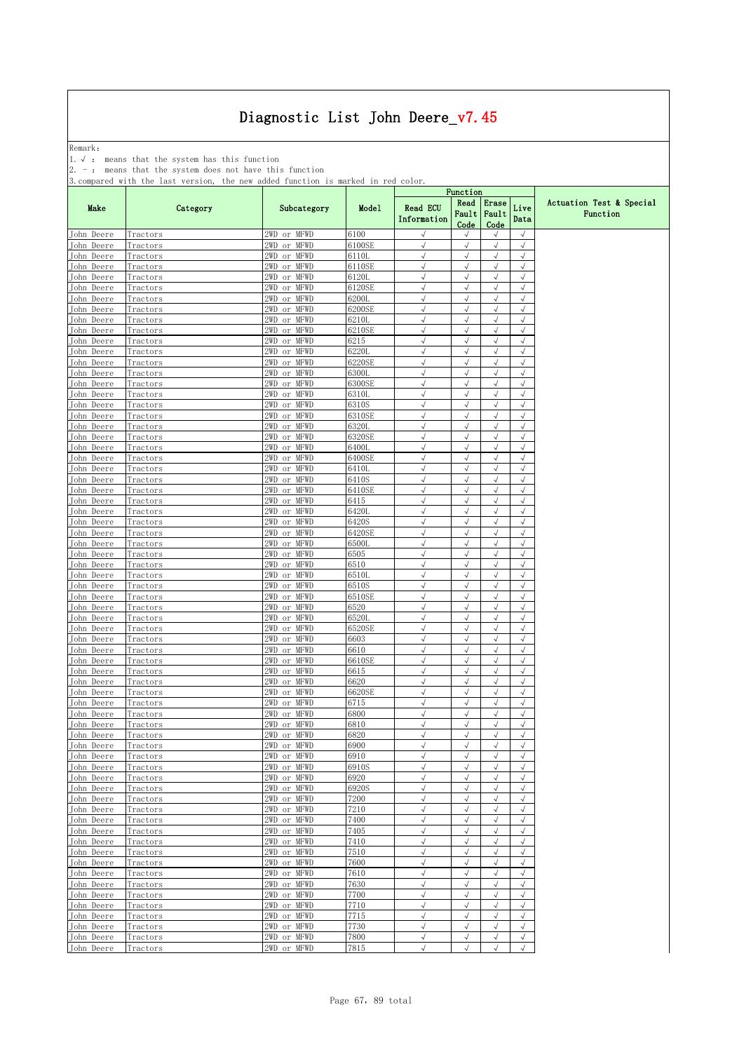Remark: The contract of the contract of  $\mathbb{R}$  and  $\mathbb{R}$  are contract of  $\mathbb{R}$  and  $\mathbb{R}$  are contract of  $\mathbb{R}$  and  $\mathbb{R}$  are contract of  $\mathbb{R}$  and  $\mathbb{R}$  are contract of  $\mathbb{R}$  and  $\mathbb{R}$  are cont

1.√ : means that the system has this function

2. - : means that the system does not have this function

|                                 |                      |                                |                 | Function                       |                           |                          |                          |                                      |
|---------------------------------|----------------------|--------------------------------|-----------------|--------------------------------|---------------------------|--------------------------|--------------------------|--------------------------------------|
| Make                            | Category             | Subcategory                    | Model           | <b>Read ECU</b><br>Information | Read<br>Fault<br>Code     | Erase<br>Fault<br>Code   | Live<br>Data             | Actuation Test & Special<br>Function |
| John Deere                      | Tractors             | 2WD or MFWD                    | 6100            | $\sqrt{ }$                     | $\sqrt{ }$                | $\sqrt{}$                | $\sqrt{ }$               |                                      |
| John Deere                      | Tractors             | 2WD or MFWD                    | 6100SE          | $\sqrt{}$                      | $\sqrt{2}$                | $\sqrt{}$                | $\sqrt{}$                |                                      |
| John Deere<br>John Deere        | Tractors<br>Tractors | 2WD or MFWD<br>2WD or MFWD     | 6110L<br>6110SE | $\sqrt{ }$<br>$\sqrt{}$        | $\sqrt{2}$<br>$\sqrt{ }$  | $\sqrt{}$<br>$\sqrt{ }$  | $\sqrt{2}$<br>$\sqrt{}$  |                                      |
| <b>John Deere</b>               | Tractors             | 2WD or MFWD                    | 6120L           | $\sqrt{2}$                     | $\sqrt{}$                 | $\sqrt{ }$               | $\sqrt{}$                |                                      |
| John Deere                      | Tractors             | 2WD or MFWD                    | 6120SE          | $\sqrt{2}$                     | $\sqrt{}$                 | $\sqrt{ }$               | $\sqrt{}$                |                                      |
| John Deere                      | Tractors             | 2WD<br>or MFWD                 | 6200L           | $\sqrt{ }$                     | $\sqrt{}$                 | $\sqrt{}$                | $\sqrt{2}$               |                                      |
| John Deere                      | Tractors             | 2WD or MFWD                    | 6200SE          | $\sqrt{}$                      | $\sqrt{ }$                | $\sqrt{}$                | $\sqrt{2}$               |                                      |
| John Deere                      | Tractors             | 2WD or MFWD                    | 6210L           | √                              | $\sqrt{}$                 | $\sqrt{ }$               | $\sqrt{}$                |                                      |
| <b>John Deere</b>               | Tractors             | 2WD or MFWD                    | 6210SE          | $\sqrt{ }$                     | $\sqrt{}$                 | $\sqrt{}$                | $\sqrt{ }$               |                                      |
| John Deere<br>John Deere        | Tractors<br>Tractors | 2WD or MFWD<br>2WD or MFWD     | 6215<br>6220L   | $\sqrt{ }$<br>$\sqrt{ }$       | $\sqrt{}$<br>$\sqrt{}$    | $\sqrt{ }$<br>$\sqrt{}$  | $\sqrt{}$<br>$\sqrt{ }$  |                                      |
| John Deere                      | Tractors             | 2WD or MFWD                    | 6220SE          | $\sqrt{ }$                     | $\sqrt{}$                 | $\sqrt{ }$               | $\sqrt{}$                |                                      |
| John Deere                      | Tractors             | 2WD.<br>or MFWD                | 6300L           | $\sqrt{}$                      | $\sqrt{}$                 | $\sqrt{}$                | $\sqrt{}$                |                                      |
| John Deere                      | Tractors             | 2WD or MFWD                    | 6300SE          | $\sqrt{ }$                     | $\sqrt{}$                 | $\sqrt{}$                | $\sqrt{ }$               |                                      |
| John Deere                      | Tractors             | or MFWD<br>2WD.                | 6310L           | √                              |                           | $\sqrt{ }$               | $\sqrt{}$                |                                      |
| John Deere                      | Tractors             | 2WD or MFWD                    | 6310S           | $\sqrt{2}$                     | $\sqrt{2}$                | $\sqrt{ }$               | $\sqrt{}$                |                                      |
| John Deere                      | Tractors             | 2WD or MFWD                    | 6310SE          | $\sqrt{ }$                     | $\sqrt{}$                 | $\sqrt{ }$               | $\sqrt{}$                |                                      |
| John Deere                      | Tractors             | 2WD<br>or MFWD                 | 6320L           | $\sqrt{ }$                     | $\sqrt{}$                 | $\sqrt{}$<br>$\sqrt{ }$  | $\sqrt{}$                |                                      |
| John Deere<br><b>John Deere</b> | Tractors<br>Tractors | 2WD or MFWD<br>or MFWD<br>2WD. | 6320SE<br>6400L | $\sqrt{ }$<br>$\sqrt{}$        | $\sqrt{}$<br>$\sqrt{}$    | $\sqrt{ }$               | $\sqrt{}$<br>$\sqrt{}$   |                                      |
| John Deere                      | Tractors             | 2WD or MFWD                    | 6400SE          | $\sqrt{ }$                     | $\sqrt{}$                 | $\sqrt{ }$               | $\sqrt{2}$               |                                      |
| John Deere                      | Tractors             | 2WD or MFWD                    | 6410L           | $\sqrt{}$                      | $\sqrt{2}$                | $\sqrt{ }$               | $\sqrt{}$                |                                      |
| John Deere                      | Tractors             | 2WD or MFWD                    | 6410S           | $\sqrt{2}$                     | $\sqrt{}$                 | $\sqrt{ }$               | $\sqrt{2}$               |                                      |
| John Deere                      | Tractors             | 2WD or MFWD                    | 6410SE          | $\sqrt{ }$                     | $\sqrt{}$                 | $\sqrt{ }$               | $\sqrt{}$                |                                      |
| John Deere                      | Tractors             | 2WD or MFWD                    | 6415            | $\sqrt{}$                      | $\sqrt{}$                 | $\sqrt{}$                | $\sqrt{}$                |                                      |
| John Deere                      | Tractors             | 2WD or MFWD                    | 6420L           | $\sqrt{}$                      | $\sqrt{}$                 | $\sqrt{}$                | $\sqrt{2}$               |                                      |
| John Deere<br>John Deere        | Tractors<br>Tractors | 2WD or MFWD<br>2WD or MFWD     | 6420S<br>6420SE | √<br>$\sqrt{2}$                | $\checkmark$<br>$\sqrt{}$ | $\sqrt{ }$<br>$\sqrt{}$  | $\sqrt{ }$<br>$\sqrt{ }$ |                                      |
| John Deere                      | Tractors             | 2WD or MFWD                    | 6500L           | $\sqrt{ }$                     | $\sqrt{}$                 | $\sqrt{ }$               | $\sqrt{}$                |                                      |
| John Deere                      | Tractors             | 2WD<br>or MFWD                 | 6505            | $\sqrt{ }$                     | $\sqrt{}$                 | $\sqrt{}$                | $\sqrt{ }$               |                                      |
| John Deere                      | Tractors             | 2WD<br>or MFWD                 | 6510            | $\sqrt{}$                      | $\sqrt{}$                 | $\sqrt{ }$               | $\sqrt{ }$               |                                      |
| John Deere                      | Tractors             | 2WD or MFWD                    | 6510L           | $\sqrt{}$                      | √                         | $\sqrt{}$                | $\sqrt{ }$               |                                      |
| John Deere                      | Tractors             | 2WD or MFWD                    | 6510S           | $\sqrt{ }$                     | $\sqrt{}$                 | $\sqrt{}$                | $\sqrt{ }$               |                                      |
| John Deere                      | Tractors             | 2WD or MFWD                    | 6510SE          | √                              |                           | $\sqrt{ }$               | $\sqrt{}$                |                                      |
| John Deere<br>John Deere        | Tractors<br>Tractors | 2WD or MFWD<br>2WD or MFWD     | 6520<br>6520L   | $\sqrt{ }$<br>$\sqrt{ }$       | $\sqrt{}$<br>$\sqrt{ }$   | $\sqrt{}$<br>$\sqrt{ }$  | $\sqrt{}$<br>$\sqrt{}$   |                                      |
| John Deere                      | Tractors             | 2WD<br>or MFWD                 | 6520SE          | $\sqrt{ }$                     | $\sqrt{}$                 | $\sqrt{}$                | $\sqrt{}$                |                                      |
| John Deere                      | Tractors             | 2WD or MFWD                    | 6603            | $\sqrt{}$                      | $\sqrt{}$                 | $\sqrt{ }$               | $\sqrt{2}$               |                                      |
| John Deere                      | Tractors             | 2WD or MFWD                    | 6610            | √                              | $\sqrt{}$                 | $\sqrt{ }$               | $\sqrt{}$                |                                      |
| John Deere                      | Tractors             | 2WD or MFWD                    | 6610SE          | $\sqrt{2}$                     | $\sqrt{}$                 | $\sqrt{ }$               | $\sqrt{}$                |                                      |
| John Deere                      | Tractors             | 2WD or MFWD                    | 6615            | $\sqrt{}$                      | $\sqrt{2}$                | $\sqrt{ }$               | $\sqrt{}$                |                                      |
| <b>John Deere</b>               | Tractors             | 2WD or MFWD                    | 6620            | $\sqrt{2}$                     | $\sqrt{}$                 | $\sqrt{ }$               | $\sqrt{2}$               |                                      |
| John Deere                      | Tractors             | 2WD or MFWD                    | 6620SE          | $\sqrt{ }$                     | $\sqrt{}$                 | $\sqrt{ }$               | $\sqrt{}$                |                                      |
| John Deere<br>John Deere        | Tractors<br>Tractors | 2WD or MFWD<br>2WD or MFWD     | 6715<br>6800    | $\sqrt{}$<br>$\sqrt{2}$        | $\sqrt{}$<br>$\sqrt{}$    | $\sqrt{ }$<br>$\sqrt{}$  | $\sqrt{ }$<br>$\sqrt{}$  |                                      |
| John Deere                      | Tractors             | 2WD or MFWD                    | 6810            | √                              |                           | $\sqrt{}$                | $\sqrt{}$                |                                      |
| John Deere                      | Tractors             | 2WD or MFWD                    | 6820            | $\sqrt{2}$                     | $\sqrt{2}$                | $\sqrt{ }$               | $\sqrt{}$                |                                      |
| John Deere                      | Tractors             | 2WD or MFWD                    | 6900            |                                |                           |                          |                          |                                      |
| John Deere                      | Tractors             | 2WD or MFWD                    | 6910            | $\sqrt{2}$                     | $\sqrt{}$                 | $\sqrt{ }$               | $\sqrt{ }$               |                                      |
| John Deere                      | Tractors             | 2WD or MFWD                    | 6910S           | $\sqrt{ }$                     | $\sqrt{ }$                | $\sqrt{ }$               | $\sqrt{ }$               |                                      |
| John Deere                      | Tractors             | 2WD or MFWD                    | 6920            | $\sqrt{ }$                     | $\sqrt{2}$                | $\sqrt{ }$               | $\sqrt{ }$               |                                      |
| John Deere<br>John Deere        | Tractors<br>Tractors | 2WD or MFWD<br>2WD or MFWD     | 6920S<br>7200   | $\sqrt{2}$<br>$\sqrt{}$        | $\sqrt{2}$<br>$\sqrt{}$   | $\sqrt{ }$<br>$\sqrt{ }$ | $\sqrt{ }$<br>$\sqrt{ }$ |                                      |
| John Deere                      | Tractors             | 2WD or MFWD                    | 7210            | $\sqrt{ }$                     | $\sqrt{2}$                | $\sqrt{}$                | $\sqrt{ }$               |                                      |
| John Deere                      | Tractors             | 2WD or MFWD                    | 7400            | $\sqrt{}$                      | $\sqrt{}$                 | $\sqrt{ }$               | $\sqrt{ }$               |                                      |
| John Deere                      | Tractors             | 2WD or MFWD                    | 7405            | $\sqrt{ }$                     | $\sqrt{}$                 | $\sqrt{ }$               | $\sqrt{ }$               |                                      |
| John Deere                      | Tractors             | 2WD or MFWD                    | 7410            | $\sqrt{}$                      | $\sqrt{ }$                | $\sqrt{ }$               | $\sqrt{ }$               |                                      |
| John Deere                      | Tractors             | 2WD or MFWD                    | 7510            | √                              | $\sqrt{}$                 | $\sqrt{}$                | $\sqrt{ }$               |                                      |
| John Deere                      | Tractors             | 2WD or MFWD                    | 7600            | $\sqrt{2}$                     | $\sqrt{2}$                | $\sqrt{ }$               | $\sqrt{ }$               |                                      |
| John Deere                      | Tractors             | 2WD or MFWD                    | 7610            | $\sqrt{ }$                     | $\sqrt{}$                 | $\sqrt{ }$               | $\sqrt{ }$               |                                      |
| John Deere<br>John Deere        | Tractors<br>Tractors | 2WD or MFWD<br>2WD or MFWD     | 7630<br>7700    | $\sqrt{}$<br>$\sqrt{ }$        | $\sqrt{}$<br>$\sqrt{ }$   | $\sqrt{ }$<br>$\sqrt{ }$ | $\sqrt{ }$<br>$\sqrt{ }$ |                                      |
| John Deere                      | Tractors             | 2WD or MFWD                    | 7710            | $\sqrt{}$                      | $\sqrt{}$                 | $\sqrt{ }$               | $\sqrt{ }$               |                                      |
| John Deere                      | Tractors             | 2WD or MFWD                    | 7715            | $\sqrt{ }$                     | $\sqrt{2}$                | $\sqrt{ }$               | $\sqrt{ }$               |                                      |
| John Deere                      | Tractors             | 2WD or MFWD                    | 7730            | √                              | $\checkmark$              | $\sqrt{}$                | $\sqrt{ }$               |                                      |
| John Deere                      | Tractors             | 2WD or MFWD                    | 7800            | $\sqrt{ }$                     | $\sqrt{2}$                | $\sqrt{}$                | $\sqrt{ }$               |                                      |
| John Deere                      | Tractors             | 2WD or MFWD                    | 7815            | $\sqrt{}$                      | $\sqrt{2}$                | $\sqrt{2}$               | $\sqrt{ }$               |                                      |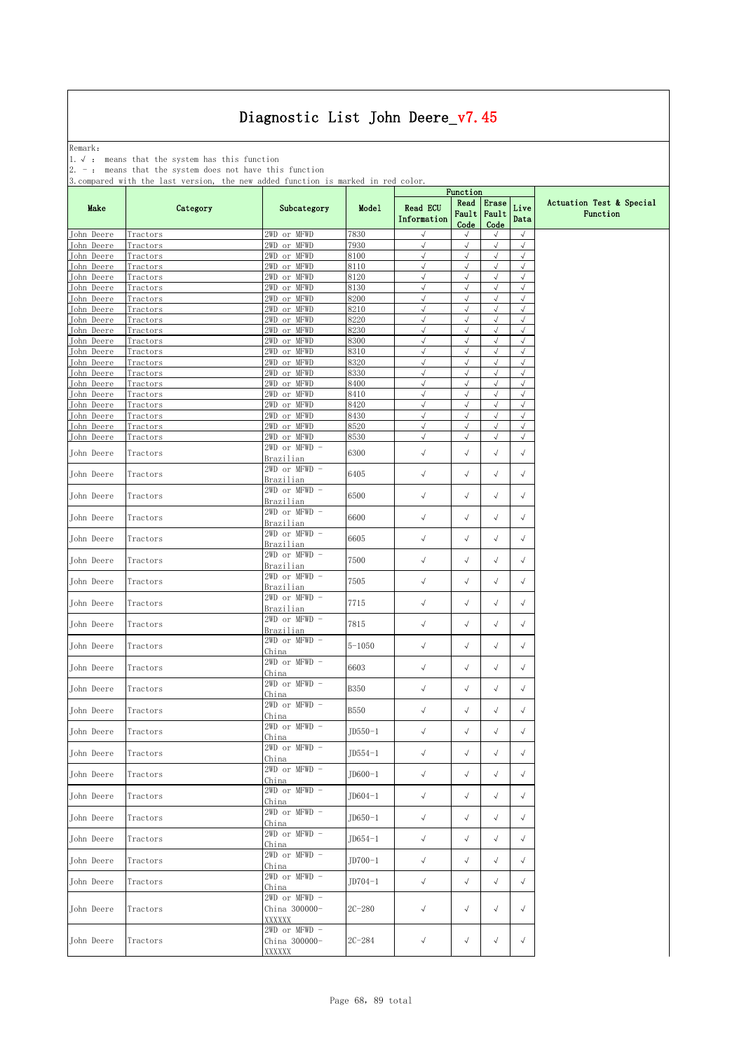Remark: The contract of the contract of  $\mathbb{R}$  and  $\mathbb{R}$  are contract of  $\mathbb{R}$  and  $\mathbb{R}$  are contract of  $\mathbb{R}$  and  $\mathbb{R}$  are contract of  $\mathbb{R}$  and  $\mathbb{R}$  are contract of  $\mathbb{R}$  and  $\mathbb{R}$  are cont

1.√ : means that the system has this function

2. - : means that the system does not have this function

|                          |                      |                                            |              | Function                       |                       |                            |                          |                                      |
|--------------------------|----------------------|--------------------------------------------|--------------|--------------------------------|-----------------------|----------------------------|--------------------------|--------------------------------------|
| Make                     | Category             | Subcategory                                | Model        | <b>Read ECU</b><br>Information | Read<br>Fault<br>Code | Erase<br>Fault<br>Code     | Live<br>Data             | Actuation Test & Special<br>Function |
| John Deere               | Tractors             | 2WD or MFWD                                | 7830         | $\sqrt{ }$                     | $\sqrt{ }$            | $\sqrt{ }$                 | $\sqrt{}$                |                                      |
| John Deere               | Tractors             | 2WD or MFWD                                | 7930         | $\sqrt{ }$                     | $\sqrt{2}$            | $\sqrt{}$                  | $\sqrt{}$                |                                      |
| John Deere<br>John Deere | Tractors<br>Tractors | 2WD or MFWD<br>2WD or MFWD                 | 8100<br>8110 | $\sqrt{ }$<br>$\sqrt{}$        | $\sqrt{ }$<br>√       | $\sqrt{}$<br>$\sqrt{}$     | $\sqrt{ }$<br>$\sqrt{ }$ |                                      |
| John Deere               | Tractors             | 2WD or MFWD                                | 8120         | $\sqrt{}$                      | $\sqrt{}$             | $\sqrt{}$                  | $\sqrt{2}$               |                                      |
| John Deere               | Tractors             | 2WD or MFWD                                | 8130         | $\sqrt{ }$                     | $\sqrt{ }$            | $\sqrt{ }$                 | $\sqrt{2}$               |                                      |
| John Deere               | Tractors             | 2WD or MFWD                                | 8200         | $\sqrt{ }$                     | $\sqrt{ }$            | $\sqrt{ }$                 | $\sqrt{2}$               |                                      |
| John Deere               | Tractors             | 2WD or MFWD                                | 8210         | $\sqrt{ }$                     | $\sqrt{2}$            | $\sqrt{ }$                 | $\sqrt{}$                |                                      |
| John Deere               | Tractors             | 2WD or MFWD                                | 8220         | $\sqrt{ }$                     | $\sqrt{}$             | $\sqrt{ }$                 | $\sqrt{}$                |                                      |
| John Deere               | fractors             | 2WD or MFWD                                | 8230         | $\sqrt{ }$                     | $\sqrt{}$             | $\sqrt{ }$                 | $\sqrt{ }$               |                                      |
| John Deere<br>John Deere | Tractors<br>Tractors | 2WD or MFWD<br>2WD or MFWD                 | 8300<br>8310 | √<br>$\sqrt{ }$                | J<br>$\sqrt{}$        | $\checkmark$<br>$\sqrt{ }$ | $\sqrt{2}$<br>$\sqrt{2}$ |                                      |
| John Deere               | Tractors             | 2WD or MFWD                                | 8320         | $\sqrt{ }$                     | $\sqrt{ }$            | $\sqrt{ }$                 | $\sqrt{}$                |                                      |
| John Deere               | Tractors             | 2WD or MFWD                                | 8330         | $\sqrt{ }$                     | $\sqrt{}$             | $\sqrt{ }$                 | $\sqrt{ }$               |                                      |
| John Deere               | Tractors             | 2WD or MFWD                                | 8400         | $\sqrt{ }$                     | $\sqrt{ }$            | $\sqrt{ }$                 | $\sqrt{ }$               |                                      |
| John Deere               | Tractors             | 2WD or MFWD                                | 8410         | $\sqrt{ }$                     | $\sqrt{ }$            | $\sqrt{ }$                 | $\sqrt{}$                |                                      |
| John Deere               | Tractors             | 2WD or MFWD                                | 8420         | $\sqrt{ }$                     | $\sqrt{}$             | $\sqrt{}$                  | $\sqrt{2}$               |                                      |
| John Deere               | Tractors             | 2WD or MFWD                                | 8430         | $\sqrt{ }$                     | √                     | $\sqrt{ }$                 | $\sqrt{ }$               |                                      |
| John Deere               | Tractors             | 2WD or MFWD                                | 8520         | $\sqrt{ }$                     | $\sqrt{ }$            | $\sqrt{ }$                 | $\sqrt{}$                |                                      |
| John Deere               | Tractors             | 2WD or MFWD<br>2WD or MFWD -               | 8530         | $\sqrt{ }$                     | $\sqrt{ }$            | $\checkmark$               | $\sqrt{}$                |                                      |
| John Deere               | Tractors             | Brazilian                                  | 6300         | $\sqrt{ }$                     | $\sqrt{\phantom{a}}$  | $\sqrt{}$                  | $\checkmark$             |                                      |
| John Deere               | Tractors             | $2WD$ or MFWD -<br>Brazilian               | 6405         | $\sqrt{ }$                     | $\sqrt{}$             | $\sqrt{}$                  | $\sqrt{ }$               |                                      |
| John Deere               | Tractors             | $2WD$ or MFWD -<br>Brazilian               | 6500         | $\sqrt{\phantom{a}}$           | $\sqrt{ }$            | $\checkmark$               | $\sqrt{ }$               |                                      |
| John Deere               | Tractors             | 2WD or MFWD -<br>Brazilian                 | 6600         | $\sqrt{ }$                     | $\sqrt{}$             | $\sqrt{}$                  | $\sqrt{ }$               |                                      |
| John Deere               | Tractors             | $2WD$ or MFWD -<br>Brazilian               | 6605         | $\sqrt{\phantom{a}}$           | $\sqrt{ }$            | $\sqrt{ }$                 | $\sqrt{ }$               |                                      |
| John Deere               | Tractors             | $2WD$ or MFWD -<br>Brazilian               | 7500         | $\sqrt{}$                      | $\sqrt{}$             | $\sqrt{}$                  | $\sqrt{ }$               |                                      |
| John Deere               | Tractors             | 2WD or MFWD -<br>Brazilian                 | 7505         | $\sqrt{}$                      | $\sqrt{ }$            | $\sqrt{ }$                 | $\sqrt{ }$               |                                      |
| John Deere               | Tractors             | $2WD$ or MFWD -<br>Brazilian               | 7715         | $\sqrt{ }$                     | $\sqrt{}$             | $\checkmark$               | $\sqrt{}$                |                                      |
| John Deere               | Tractors             | $2WD$ or MFWD -<br>Brazilian               | 7815         | $\sqrt{ }$                     | $\sqrt{ }$            | $\checkmark$               | $\sqrt{}$                |                                      |
| John Deere               | Tractors             | 2WD or MFWD -<br>China                     | $5 - 1050$   | $\sqrt{\phantom{a}}$           | $\sqrt{ }$            | $\checkmark$               | $\sqrt{}$                |                                      |
| John Deere               | Tractors             | $2WD$ or MFWD -<br>China                   | 6603         | $\sqrt{ }$                     | $\sqrt{}$             | $\sqrt{}$                  | $\sqrt{ }$               |                                      |
| John Deere               | Tractors             | $2WD$ or MFWD -<br>China                   | B350         | $\checkmark$                   | $\sqrt{ }$            | $\sqrt{}$                  | $\sqrt{}$                |                                      |
| John Deere               | Tractors             | 2WD or MFWD -<br>China                     | B550         | $\sqrt{}$                      | $\sqrt{}$             | $\sqrt{}$                  | $\sqrt{ }$               |                                      |
| John Deere               | Tractors             | 2WD or MFWD -<br>China                     | $JD550-1$    | $\sqrt{ }$                     | $\sqrt{}$             | $\sqrt{}$                  | $\sqrt{}$                |                                      |
| John Deere               | Tractors             | 2WD or MFWD -<br>China                     | $JD554-1$    | $\checkmark$                   | $\sqrt{\phantom{a}}$  | $\sqrt{ }$                 | $\sqrt{ }$               |                                      |
| John Deere               | Tractors             | $2WD$ or MFWD -<br>China                   | $JD600-1$    | $\checkmark$                   | $\sqrt{ }$            | $\sqrt{ }$                 | $\sqrt{}$                |                                      |
| John Deere               | Tractors             | 2WD or MFWD -<br>China                     | JD604-1      | $\checkmark$                   | $\sqrt{}$             | $\sqrt{}$                  | $\sqrt{}$                |                                      |
| John Deere               | Tractors             | $2WD$ or MFWD -<br>China                   | $JD650-1$    | $\checkmark$                   | $\sqrt{}$             | $\sqrt{}$                  | $\sqrt{}$                |                                      |
| John Deere               | Tractors             | 2WD or MFWD -<br>China                     | JD654-1      | $\checkmark$                   | $\sqrt{ }$            | $\checkmark$               | $\sqrt{}$                |                                      |
| John Deere               | Tractors             | 2WD or MFWD -<br>China                     | $JD700-1$    | $\sqrt{ }$                     | $\sqrt{ }$            | $\sqrt{ }$                 | $\sqrt{}$                |                                      |
| John Deere               | Tractors             | 2WD or MFWD -<br>China                     | $JD704-1$    | $\sqrt{ }$                     | $\sqrt{}$             | $\sqrt{ }$                 | $\sqrt{}$                |                                      |
| John Deere               | Tractors             | $2WD$ or MFWD -<br>China 300000-<br>XXXXXX | $2C - 280$   | $\sqrt{ }$                     | $\sqrt{ }$            | $\sqrt{ }$                 | $\sqrt{}$                |                                      |
| John Deere               | Tractors             | $2WD$ or MFWD -<br>China 300000-<br>XXXXXX | $2C - 284$   | $\sqrt{ }$                     | $\sqrt{}$             | $\sqrt{ }$                 | $\checkmark$             |                                      |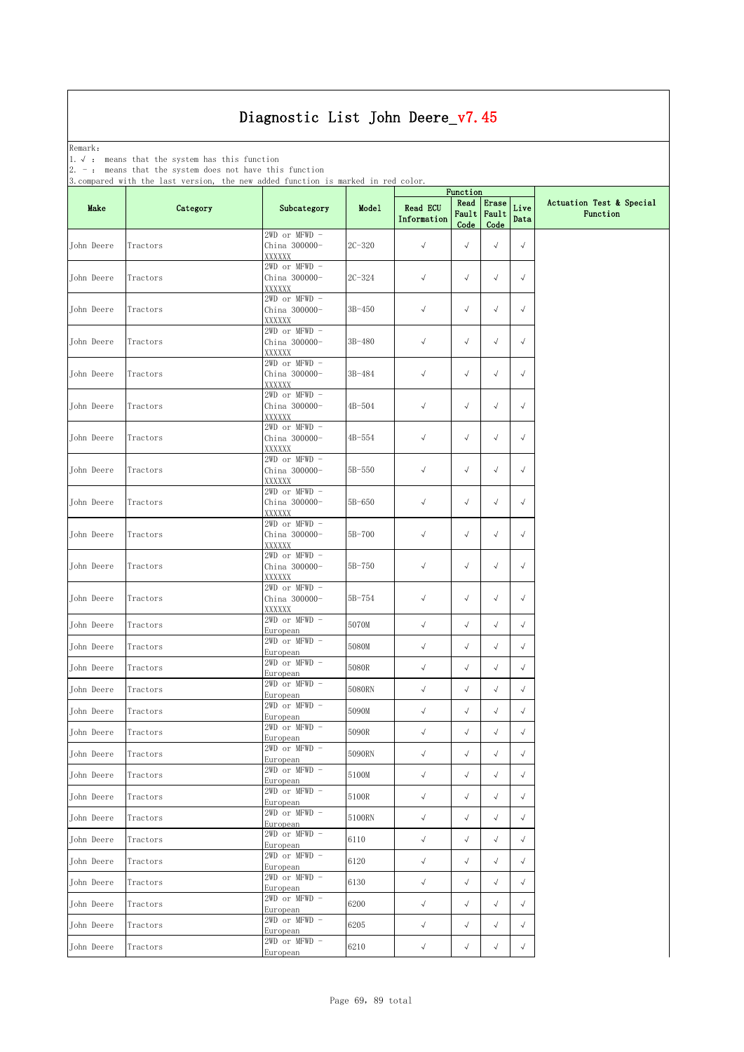Remark: The contract of the contract of  $\mathbb{R}$  and  $\mathbb{R}$  are contract of  $\mathbb{R}$  and  $\mathbb{R}$  are contract of  $\mathbb{R}$  and  $\mathbb{R}$  are contract of  $\mathbb{R}$  and  $\mathbb{R}$  are contract of  $\mathbb{R}$  and  $\mathbb{R}$  are cont

1.√ : means that the system has this function

2. - : means that the system does not have this function

|            | ə.compared with the last version, the new added function is marked in red color. |                                          |            |                                | Function                          |              |              |                                      |
|------------|----------------------------------------------------------------------------------|------------------------------------------|------------|--------------------------------|-----------------------------------|--------------|--------------|--------------------------------------|
| Make       | Category                                                                         | Subcategory                              | Model      | <b>Read ECU</b><br>Information | Read Erase<br>Fault Fault<br>Code | Code         | Live<br>Data | Actuation Test & Special<br>Function |
| John Deere | Tractors                                                                         | 2WD or MFWD -<br>China 300000-<br>XXXXXX | $2C - 320$ | $\checkmark$                   | $\sqrt{ }$                        | $\sqrt{}$    | $\sqrt{}$    |                                      |
| John Deere | Tractors                                                                         | 2WD or MFWD -<br>China 300000-<br>XXXXXX | $2C - 324$ | $\checkmark$                   | $\sqrt{}$                         | $\checkmark$ | $\sqrt{}$    |                                      |
| John Deere | Tractors                                                                         | 2WD or MFWD -<br>China 300000-<br>XXXXXX | $3B - 450$ | $\sqrt{ }$                     | $\sqrt{ }$                        | $\sqrt{ }$   | $\sqrt{}$    |                                      |
| John Deere | Tractors                                                                         | 2WD or MFWD -<br>China 300000-<br>XXXXXX | 3B-480     | $\sqrt{}$                      | $\sqrt{ }$                        | $\sqrt{}$    | $\sqrt{}$    |                                      |
| John Deere | Tractors                                                                         | 2WD or MFWD -<br>China 300000-<br>XXXXXX | 3B-484     | $\sqrt{ }$                     | $\sqrt{ }$                        | $\checkmark$ | $\sqrt{}$    |                                      |
| John Deere | Tractors                                                                         | 2WD or MFWD -<br>China 300000-<br>XXXXXX | $4B - 504$ | $\sqrt{ }$                     | $\sqrt{}$                         | $\sqrt{ }$   | $\sqrt{}$    |                                      |
| John Deere | Tractors                                                                         | 2WD or MFWD -<br>China 300000-<br>XXXXXX | $4B - 554$ | $\sqrt{ }$                     | $\sqrt{ }$                        | $\sqrt{ }$   | $\sqrt{}$    |                                      |
| John Deere | Tractors                                                                         | 2WD or MFWD -<br>China 300000-<br>XXXXXX | 5B-550     | $\checkmark$                   | $\sqrt{ }$                        | $\sqrt{}$    | $\sqrt{}$    |                                      |
| John Deere | Tractors                                                                         | 2WD or MFWD -<br>China 300000-<br>XXXXXX | $5B - 650$ | $\sqrt{ }$                     | $\sqrt{ }$                        | $\sqrt{}$    | $\sqrt{}$    |                                      |
| John Deere | Tractors                                                                         | 2WD or MFWD -<br>China 300000-<br>XXXXXX | $5B-700$   | $\sqrt{ }$                     | $\sqrt{ }$                        | $\sqrt{}$    | $\sqrt{ }$   |                                      |
| John Deere | Tractors                                                                         | 2WD or MFWD -<br>China 300000-<br>XXXXXX | $5B - 750$ | $\sqrt{ }$                     | $\sqrt{ }$                        | $\sqrt{ }$   | $\sqrt{ }$   |                                      |
| John Deere | Tractors                                                                         | 2WD or MFWD -<br>China 300000-<br>XXXXXX | 5B-754     | $\sqrt{ }$                     | $\sqrt{ }$                        | $\checkmark$ | $\sqrt{}$    |                                      |
| John Deere | Tractors                                                                         | 2WD or MFWD -<br>European                | 5070M      | $\checkmark$                   | $\sqrt{ }$                        | $\sqrt{}$    | $\sqrt{2}$   |                                      |
| John Deere | Tractors                                                                         | 2WD or MFWD -<br>European                | 5080M      | $\sqrt{}$                      | $\sqrt{ }$                        | $\sqrt{}$    | $\sqrt{}$    |                                      |
| John Deere | Tractors                                                                         | 2WD or MFWD -<br>European                | 5080R      | $\checkmark$                   | $\sqrt{}$                         | $\sqrt{ }$   | $\sqrt{}$    |                                      |
| John Deere | Tractors                                                                         | 2WD or MFWD -<br>European                | 5080RN     | $\sqrt{ }$                     | $\sqrt{ }$                        | $\sqrt{}$    | $\sqrt{}$    |                                      |
| John Deere | Tractors                                                                         | 2WD or MFWD -<br>European                | 5090M      | $\sqrt{ }$                     | $\sqrt{}$                         | $\checkmark$ | $\sqrt{}$    |                                      |
| John Deere | Tractors                                                                         | 2WD or MFWD -<br>European                | 5090R      | $\sqrt{ }$                     | $\sqrt{}$                         | $\sqrt{}$    | $\sqrt{}$    |                                      |
| John Deere | Tractors                                                                         | 2WD or MFWD -<br>European                | 5090RN     | $\checkmark$                   | $\sqrt{}$                         | $\sqrt{ }$   | $\sqrt{}$    |                                      |
| John Deere | Tractors                                                                         | 2WD or MFWD -<br>European                | 5100M      | $\checkmark$                   | $\sqrt{ }$                        | $\sqrt{}$    | $\sqrt{}$    |                                      |
| John Deere | Tractors                                                                         | 2WD or MFWD -<br>European                | 5100R      | $\checkmark$                   | $\sqrt{}$                         | $\sqrt{ }$   | $\sqrt{}$    |                                      |
| John Deere | Tractors                                                                         | 2WD or MFWD -<br>European                | 5100RN     | $\sqrt{}$                      | $\sqrt{ }$                        | $\checkmark$ | $\sqrt{}$    |                                      |
| John Deere | Tractors                                                                         | $2WD$ or $MFWD -$<br>European            | 6110       | $\checkmark$                   | $\sqrt{ }$                        | $\sqrt{}$    | $\sqrt{}$    |                                      |
| John Deere | Tractors                                                                         | 2WD or MFWD -<br>European                | 6120       | $\sqrt{ }$                     | $\sqrt{ }$                        | $\sqrt{ }$   | $\sqrt{}$    |                                      |
| John Deere | Tractors                                                                         | 2WD or MFWD -<br>European                | 6130       | $\checkmark$                   | $\sqrt{ }$                        | $\sqrt{}$    | $\sqrt{}$    |                                      |
| John Deere | Tractors                                                                         | 2WD or MFWD -<br>European                | 6200       | $\sqrt{ }$                     | $\sqrt{}$                         | $\checkmark$ | $\checkmark$ |                                      |
| John Deere | Tractors                                                                         | 2WD or MFWD -<br>European                | 6205       | $\sqrt{}$                      | $\sqrt{ }$                        | $\sqrt{}$    | $\sqrt{}$    |                                      |
| John Deere | Tractors                                                                         | 2WD or MFWD -<br>European                | 6210       | $\checkmark$                   | $\sqrt{}$                         | $\sqrt{}$    | $\checkmark$ |                                      |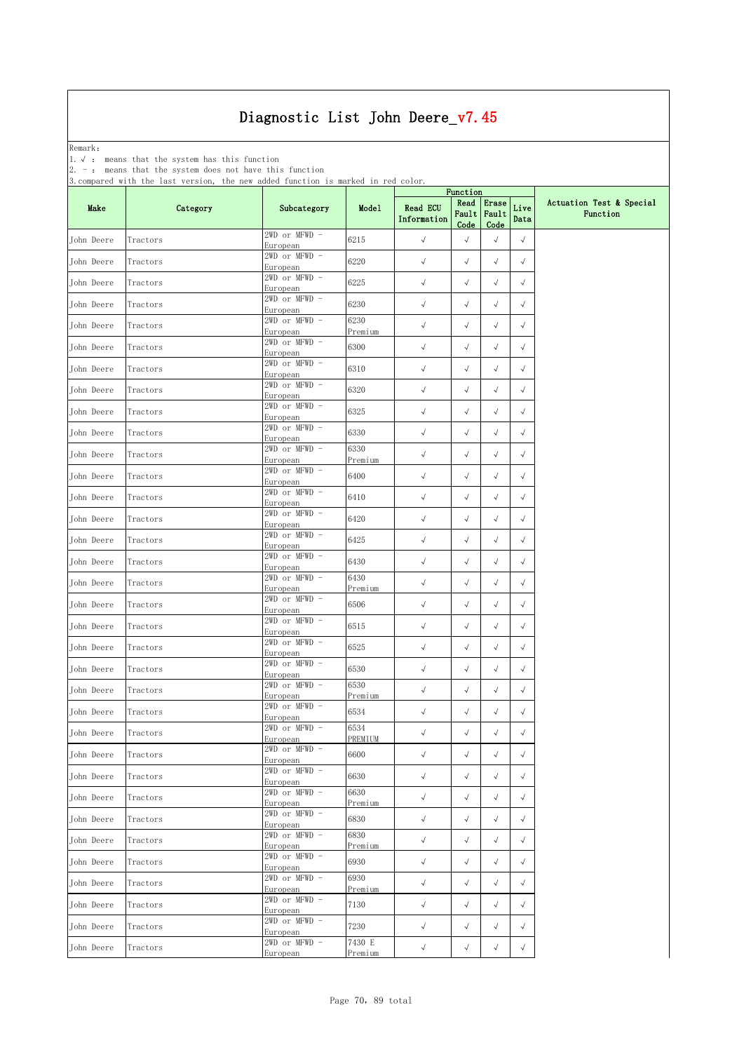Remark: The contract of the contract of  $\mathbb{R}$  and  $\mathbb{R}$  are contract of  $\mathbb{R}$  and  $\mathbb{R}$  are contract of  $\mathbb{R}$  and  $\mathbb{R}$  are contract of  $\mathbb{R}$  and  $\mathbb{R}$  are contract of  $\mathbb{R}$  and  $\mathbb{R}$  are cont

1.√ : means that the system has this function

2. - : means that the system does not have this function

|            | of compared write the rast version, the new added runction is marked in rea coror. |                             |                   | Function                       |                       |                        |              |                                      |
|------------|------------------------------------------------------------------------------------|-----------------------------|-------------------|--------------------------------|-----------------------|------------------------|--------------|--------------------------------------|
| Make       | Category                                                                           | Subcategory                 | Model             | <b>Read ECU</b><br>Information | Read<br>Fault<br>Code | Erase<br>Fault<br>Code | Live<br>Data | Actuation Test & Special<br>Function |
| John Deere | Tractors                                                                           | $2WD$ or MFWD -<br>European | 6215              | $\checkmark$                   | $\sqrt{}$             | $\sqrt{ }$             | $\sqrt{}$    |                                      |
| John Deere | Tractors                                                                           | 2WD or MFWD -<br>European   | 6220              | $\sqrt{ }$                     | $\sqrt{}$             | $\sqrt{}$              | $\sqrt{ }$   |                                      |
| John Deere | Tractors                                                                           | 2WD or MFWD -               | 6225              | $\checkmark$                   | $\sqrt{}$             | $\sqrt{ }$             | $\sqrt{}$    |                                      |
| John Deere | Tractors                                                                           | European<br>2WD or MFWD -   | 6230              | $\sqrt{}$                      | $\sqrt{\phantom{a}}$  | $\sqrt{}$              | $\sqrt{}$    |                                      |
|            |                                                                                    | European<br>2WD or MFWD -   | 6230              | $\sqrt{ }$                     | $\sqrt{}$             | $\sqrt{ }$             | $\sqrt{}$    |                                      |
| John Deere | Tractors                                                                           | European<br>2WD or MFWD -   | Premium           |                                |                       |                        |              |                                      |
| John Deere | Tractors                                                                           | European<br>2WD or MFWD -   | 6300              | $\checkmark$                   | $\sqrt{ }$            | $\checkmark$           | $\checkmark$ |                                      |
| John Deere | Tractors                                                                           | European                    | 6310              | $\sqrt{ }$                     | $\sqrt{}$             | $\sqrt{}$              | $\sqrt{}$    |                                      |
| John Deere | Tractors                                                                           | 2WD or MFWD -<br>European   | 6320              | $\checkmark$                   | $\sqrt{}$             | $\sqrt{ }$             | $\checkmark$ |                                      |
| John Deere | Tractors                                                                           | 2WD or MFWD -<br>European   | 6325              | $\sqrt{ }$                     | $\sqrt{}$             | $\sqrt{}$              | $\sqrt{}$    |                                      |
| John Deere | Tractors                                                                           | 2WD or MFWD -<br>European   | 6330              | $\checkmark$                   | $\sqrt{ }$            | $\checkmark$           | $\checkmark$ |                                      |
| John Deere | Tractors                                                                           | 2WD or MFWD -               | 6330              | $\sqrt{}$                      | $\sqrt{}$             | $\sqrt{}$              | $\sqrt{}$    |                                      |
| John Deere | Tractors                                                                           | European<br>$2WD$ or MFWD - | Premium<br>6400   | $\sqrt{ }$                     | $\sqrt{}$             | $\sqrt{ }$             | $\sqrt{}$    |                                      |
| John Deere | Tractors                                                                           | European<br>$2WD$ or MFWD - | 6410              | $\sqrt{ }$                     | $\sqrt{ }$            | $\sqrt{}$              | $\sqrt{}$    |                                      |
|            |                                                                                    | European<br>2WD or MFWD -   |                   |                                |                       |                        |              |                                      |
| John Deere | Tractors                                                                           | European<br>2WD or MFWD -   | 6420              | $\checkmark$                   | $\sqrt{\phantom{a}}$  | $\sqrt{ }$             | $\sqrt{}$    |                                      |
| John Deere | Tractors                                                                           | European                    | 6425              | $\sqrt{ }$                     | $\sqrt{\phantom{a}}$  | $\sqrt{ }$             | $\checkmark$ |                                      |
| John Deere | Tractors                                                                           | 2WD or MFWD -<br>European   | 6430              | $\checkmark$                   | $\sqrt{}$             | $\sqrt{}$              | $\sqrt{}$    |                                      |
| John Deere | Tractors                                                                           | 2WD or MFWD -<br>European   | 6430<br>Premium   | $\checkmark$                   | $\sqrt{ }$            | $\checkmark$           | $\checkmark$ |                                      |
| John Deere | Tractors                                                                           | 2WD or MFWD -<br>European   | 6506              | $\sqrt{ }$                     | $\sqrt{}$             | $\sqrt{}$              | $\sqrt{ }$   |                                      |
| John Deere | Tractors                                                                           | 2WD or MFWD -<br>European   | 6515              | $\checkmark$                   | $\sqrt{ }$            | $\sqrt{}$              | $\sqrt{ }$   |                                      |
| John Deere | Tractors                                                                           | $2WD$ or MFWD -             | 6525              | $\sqrt{ }$                     | $\sqrt{}$             | $\checkmark$           | $\checkmark$ |                                      |
| John Deere | Tractors                                                                           | European<br>2WD or MFWD -   | 6530              | $\sqrt{ }$                     | $\sqrt{\phantom{a}}$  | $\sqrt{ }$             | $\sqrt{}$    |                                      |
| John Deere |                                                                                    | European<br>$2WD$ or MFWD - | 6530              | $\sqrt{ }$                     | $\sqrt{\phantom{a}}$  | $\sqrt{ }$             | $\checkmark$ |                                      |
|            | Tractors                                                                           | European<br>2WD or MFWD -   | Premium           |                                |                       |                        |              |                                      |
| John Deere | Tractors                                                                           | European<br>2WD or MFWD -   | 6534<br>6534      | $\sqrt{ }$                     | $\sqrt{}$             | $\sqrt{ }$             | $\checkmark$ |                                      |
| John Deere | Tractors                                                                           | European                    | PREMIUM           | $\checkmark$                   | $\sqrt{}$             | $\sqrt{}$              | $\sqrt{}$    |                                      |
| John Deere | Tractors                                                                           | 2WD or MFWD -<br>European   | 6600              | $\checkmark$                   | $\sqrt{ }$            | $\sqrt{ }$             | $\sqrt{}$    |                                      |
| John Deere | Tractors                                                                           | 2WD or MFWD -<br>European   | 6630              | $\sqrt{ }$                     | $\sqrt{}$             | $\sqrt{}$              | $\sqrt{}$    |                                      |
| John Deere | Tractors                                                                           | $2WD$ or MFWD -<br>European | 6630<br>Premium   | $\sqrt{ }$                     | $\sqrt{ }$            | $\sqrt{}$              | $\sqrt{}$    |                                      |
| John Deere | Tractors                                                                           | 2WD or MFWD -<br>European   | 6830              | $\checkmark$                   | $\sqrt{\phantom{a}}$  | $\sqrt{ }$             | $\sqrt{}$    |                                      |
| John Deere | Tractors                                                                           | $2WD$ or MFWD -             | 6830              | $\checkmark$                   | $\sqrt{}$             | $\sqrt{}$              | $\sqrt{}$    |                                      |
| John Deere | Tractors                                                                           | European<br>$2WD$ or MFWD - | Premium<br>6930   | $\sqrt{ }$                     | $\sqrt{}$             | $\sqrt{ }$             | $\sqrt{}$    |                                      |
| John Deere |                                                                                    | European<br>$2WD$ or MFWD - | 6930              | $\checkmark$                   | $\sqrt{ }$            | $\sqrt{}$              |              |                                      |
|            | Tractors                                                                           | European<br>$2WD$ or MFWD - | Premium           |                                |                       |                        | $\sqrt{}$    |                                      |
| John Deere | Tractors                                                                           | European<br>2WD or MFWD -   | 7130              | $\checkmark$                   | $\sqrt{ }$            | $\sqrt{ }$             | $\sqrt{}$    |                                      |
| John Deere | Tractors                                                                           | European                    | 7230              | $\checkmark$                   | $\sqrt{}$             | $\sqrt{}$              | $\sqrt{}$    |                                      |
| John Deere | Tractors                                                                           | $2WD$ or MFWD -<br>European | 7430 E<br>Premium | $\checkmark$                   | $\sqrt{ }$            | $\sqrt{}$              | $\checkmark$ |                                      |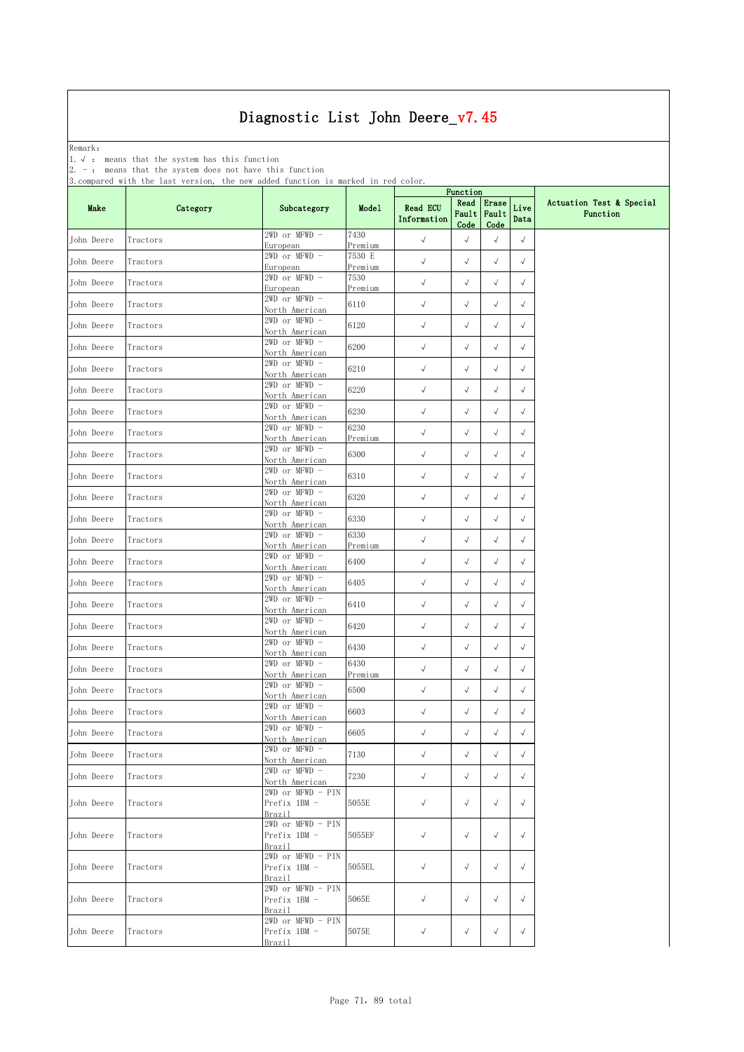Remark: The contract of the contract of  $\mathbb{R}$  and  $\mathbb{R}$  are contract of  $\mathbb{R}$  and  $\mathbb{R}$  are contract of  $\mathbb{R}$  and  $\mathbb{R}$  are contract of  $\mathbb{R}$  and  $\mathbb{R}$  are contract of  $\mathbb{R}$  and  $\mathbb{R}$  are cont

1.√ : means that the system has this function

2. - : means that the system does not have this function

|            | $\sim$ compared write the rase version, the new added ranceron to marked in rea coron. |                                                    |                   | Function                       |                       |                        |              |                                      |
|------------|----------------------------------------------------------------------------------------|----------------------------------------------------|-------------------|--------------------------------|-----------------------|------------------------|--------------|--------------------------------------|
| Make       | Category                                                                               | Subcategory                                        | Model             | <b>Read ECU</b><br>Information | Read<br>Fault<br>Code | Erase<br>Fault<br>Code | Live<br>Data | Actuation Test & Special<br>Function |
| John Deere | Tractors                                                                               | $2WD$ or MFWD -<br>European                        | 7430<br>Premium   | $\checkmark$                   | $\sqrt{ }$            | $\sqrt{ }$             | $\sqrt{}$    |                                      |
| John Deere | Tractors                                                                               | 2WD or MFWD -<br>European                          | 7530 E<br>Premium | $\checkmark$                   | $\sqrt{\phantom{a}}$  | $\sqrt{}$              | $\sqrt{}$    |                                      |
| John Deere | Tractors                                                                               | $2WD$ or MFWD -                                    | 7530              | $\checkmark$                   | $\sqrt{}$             | $\sqrt{}$              | $\sqrt{}$    |                                      |
|            |                                                                                        | European<br>2WD or MFWD -                          | <u>Premium</u>    |                                |                       |                        |              |                                      |
| John Deere | Tractors                                                                               | <u>North American</u><br>2WD or MFWD -             | 6110              | $\sqrt{ }$                     | $\sqrt{ }$            | $\checkmark$           | $\sqrt{ }$   |                                      |
| John Deere | Tractors                                                                               | North American                                     | 6120              | $\sqrt{}$                      | $\sqrt{ }$            | $\sqrt{}$              | $\sqrt{ }$   |                                      |
| John Deere | Tractors                                                                               | 2WD or MFWD -<br>North American                    | 6200              | $\checkmark$                   | $\sqrt{ }$            | $\sqrt{ }$             | $\sqrt{}$    |                                      |
| John Deere | Tractors                                                                               | 2WD or MFWD -<br>North American                    | 6210              | $\sqrt{ }$                     | $\sqrt{\phantom{a}}$  | $\checkmark$           | $\sqrt{}$    |                                      |
| John Deere | Tractors                                                                               | 2WD or MFWD -<br>North American                    | 6220              | $\sqrt{ }$                     | $\sqrt{ }$            | $\sqrt{ }$             | $\sqrt{}$    |                                      |
| John Deere | Tractors                                                                               | 2WD or MFWD -                                      | 6230              | $\checkmark$                   | $\sqrt{}$             | $\sqrt{}$              | $\checkmark$ |                                      |
|            |                                                                                        | North American<br>$2WD$ or MFWD -                  | 6230              |                                |                       | $\sqrt{ }$             |              |                                      |
| John Deere | Tractors                                                                               | North American<br>2WD or MFWD -                    | Premium           | $\sqrt{\phantom{a}}$           | $\sqrt{}$             |                        | $\sqrt{}$    |                                      |
| John Deere | Tractors                                                                               | North American                                     | 6300              | $\checkmark$                   | $\sqrt{}$             | $\sqrt{}$              | $\sqrt{}$    |                                      |
| John Deere | Tractors                                                                               | 2WD or MFWD -<br>North American                    | 6310              | $\sqrt{ }$                     | $\sqrt{}$             | $\sqrt{}$              | $\sqrt{}$    |                                      |
| John Deere | Tractors                                                                               | 2WD or MFWD -<br>North American                    | 6320              | $\checkmark$                   | $\sqrt{ }$            | $\sqrt{ }$             | $\sqrt{}$    |                                      |
| John Deere | Tractors                                                                               | $2WD$ or MFWD -<br>North American                  | 6330              | $\sqrt{ }$                     | $\sqrt{}$             | $\checkmark$           | $\sqrt{ }$   |                                      |
| John Deere | Tractors                                                                               | 2WD or MFWD -                                      | 6330              | $\sqrt{\phantom{a}}$           | $\sqrt{ }$            | $\sqrt{ }$             | $\sqrt{}$    |                                      |
| John Deere | Tractors                                                                               | North American<br>2WD or MFWD -                    | Premium<br>6400   | $\checkmark$                   | $\sqrt{\phantom{a}}$  | $\sqrt{}$              | $\checkmark$ |                                      |
| John Deere | Tractors                                                                               | North American<br>$2WD$ or MFWD -                  | 6405              | $\sqrt{\phantom{a}}$           | $\sqrt{}$             | $\sqrt{ }$             | $\sqrt{}$    |                                      |
| John Deere | Tractors                                                                               | North American<br>2WD or MFWD -                    | 6410              | $\sqrt{ }$                     | $\sqrt{ }$            | $\sqrt{}$              | $\sqrt{}$    |                                      |
| John Deere | Tractors                                                                               | North American<br>2WD or MFWD -                    | 6420              | $\sqrt{ }$                     | $\sqrt{}$             | $\sqrt{ }$             | $\sqrt{}$    |                                      |
|            |                                                                                        | North American<br>2WD or MFWD -                    |                   |                                |                       | $\sqrt{ }$             | $\checkmark$ |                                      |
| John Deere | Tractors                                                                               | North American<br>$2WD$ or MFWD -                  | 6430<br>6430      | $\checkmark$                   | $\sqrt{\phantom{a}}$  |                        |              |                                      |
| John Deere | Tractors                                                                               | North American                                     | Premium           | $\checkmark$                   | $\sqrt{ }$            | $\checkmark$           | $\sqrt{}$    |                                      |
| John Deere | Tractors                                                                               | 2WD or MFWD -<br>North American                    | 6500              | $\sqrt{\phantom{a}}$           | $\sqrt{ }$            | $\checkmark$           | $\sqrt{}$    |                                      |
| John Deere | Tractors                                                                               | 2WD or MFWD -<br>North American                    | 6603              | $\sqrt{ }$                     | $\sqrt{}$             | $\sqrt{}$              | $\checkmark$ |                                      |
| John Deere | Tractors                                                                               | 2WD or MFWD -                                      | 6605              | $\sqrt{ }$                     | $\sqrt{}$             | $\sqrt{}$              | $\sqrt{}$    |                                      |
| John Deere | Tractors                                                                               | North American<br>2WD or MFWD -                    | 7130              | $\sqrt{}$                      | $\sqrt{}$             | $\sqrt{ }$             | $\sqrt{}$    |                                      |
| John Deere | Tractors                                                                               | North American<br>2WD or MFWD -                    | 7230              | $\sqrt{ }$                     | $\sqrt{ }$            | $\sqrt{ }$             | $\sqrt{ }$   |                                      |
|            |                                                                                        | North American<br>2WD or MFWD - PIN                |                   |                                |                       |                        |              |                                      |
| John Deere | Tractors                                                                               | Prefix 1BM -<br><b>Brazil</b>                      | 5055E             | $\sqrt{ }$                     | $\sqrt{ }$            | $\sqrt{}$              | $\sqrt{}$    |                                      |
| John Deere | Tractors                                                                               | 2WD or MFWD - PIN<br>Prefix 1BM -                  | 5055EF            | $\sqrt{}$                      | $\sqrt{ }$            | $\checkmark$           | $\sqrt{ }$   |                                      |
| John Deere | Tractors                                                                               | Brazil<br>2WD or MFWD - PIN<br>Prefix 1BM -        | 5055EL            | $\sqrt{ }$                     | $\sqrt{ }$            | $\sqrt{}$              | $\sqrt{ }$   |                                      |
|            |                                                                                        | Brazil<br>2WD or MFWD - PIN                        |                   |                                |                       |                        |              |                                      |
| John Deere | Tractors                                                                               | Prefix 1BM -<br>Brazil                             | 5065E             | $\sqrt{ }$                     | $\sqrt{ }$            | $\sqrt{ }$             | $\sqrt{ }$   |                                      |
| John Deere | Tractors                                                                               | 2WD or MFWD - PIN<br>Prefix 1BM -<br><b>Brazil</b> | 5075E             | $\sqrt{ }$                     | $\sqrt{}$             | $\sqrt{}$              | $\sqrt{}$    |                                      |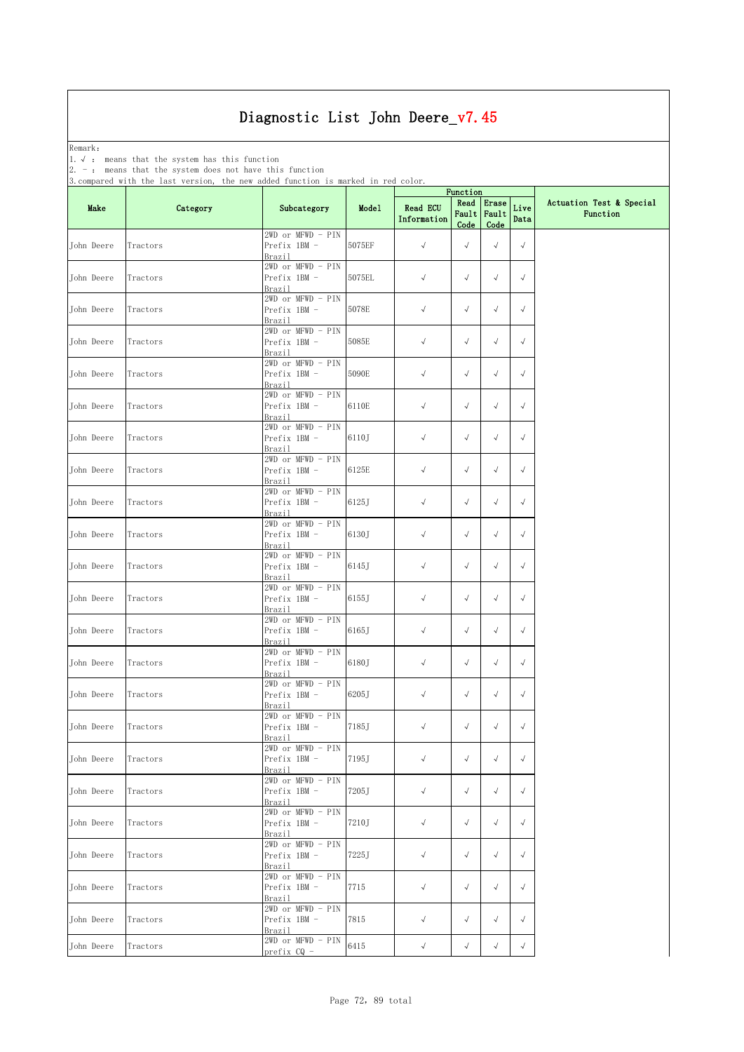Remark: The contract of the contract of  $\mathbb{R}$  and  $\mathbb{R}$  are contract of  $\mathbb{R}$  and  $\mathbb{R}$  are contract of  $\mathbb{R}$  and  $\mathbb{R}$  are contract of  $\mathbb{R}$  and  $\mathbb{R}$  are contract of  $\mathbb{R}$  and  $\mathbb{R}$  are cont

1.√ : means that the system has this function

2. - : means that the system does not have this function

| 20 compared write | $\cdots$<br>1000 | added runeeron to marked in rea                    |        | Function                       |              |                              |              |                                      |
|-------------------|------------------|----------------------------------------------------|--------|--------------------------------|--------------|------------------------------|--------------|--------------------------------------|
| Make              | Category         | Subcategory                                        | Model  | <b>Read ECU</b><br>Information | Read<br>Code | Erase<br>Fault Fault<br>Code | Live<br>Data | Actuation Test & Special<br>Function |
| John Deere        | Tractors         | 2WD or MFWD - PIN<br>Prefix 1BM -<br>Brazil        | 5075EF | $\sqrt{}$                      | $\sqrt{ }$   | $\sqrt{ }$                   | $\sqrt{}$    |                                      |
| John Deere        | Tractors         | 2WD or MFWD - PIN<br>Prefix 1BM -<br>Brazil        | 5075EL | $\checkmark$                   | $\sqrt{ }$   | $\sqrt{ }$                   | $\sqrt{ }$   |                                      |
| John Deere        | Tractors         | 2WD or MFWD - PIN<br>Prefix 1BM -<br>Brazil        | 5078E  | $\checkmark$                   | $\sqrt{ }$   | $\sqrt{}$                    | $\sqrt{}$    |                                      |
| John Deere        | Tractors         | 2WD or MFWD - PIN<br>Prefix 1BM -<br>Brazil        | 5085E  | $\sqrt{ }$                     | $\sqrt{ }$   | $\sqrt{ }$                   | $\sqrt{ }$   |                                      |
| John Deere        | Tractors         | 2WD or MFWD - PIN<br>Prefix 1BM -<br>Brazil        | 5090E  | $\sqrt{ }$                     | $\sqrt{ }$   | $\sqrt{ }$                   | $\sqrt{ }$   |                                      |
| John Deere        | Tractors         | 2WD or MFWD - PIN<br>Prefix 1BM -<br>Brazil        | 6110E  | $\sqrt{}$                      | $\sqrt{}$    | $\sqrt{ }$                   | $\sqrt{ }$   |                                      |
| John Deere        | Tractors         | 2WD or MFWD - PIN<br>Prefix 1BM -<br>Brazil        | 6110J  | $\sqrt{}$                      | $\sqrt{ }$   | $\sqrt{ }$                   | $\sqrt{}$    |                                      |
| John Deere        | Tractors         | 2WD or MFWD - PIN<br>Prefix 1BM -<br>Brazil        | 6125E  | $\sqrt{}$                      | $\sqrt{ }$   | $\sqrt{}$                    | $\sqrt{}$    |                                      |
| John Deere        | Tractors         | 2WD or MFWD - PIN<br>Prefix 1BM -<br>Brazil        | 6125J  | $\sqrt{}$                      | $\sqrt{ }$   | $\sqrt{ }$                   | $\sqrt{}$    |                                      |
| John Deere        | Tractors         | 2WD or MFWD - PIN<br>Prefix 1BM -<br>Brazil        | 6130J  | $\sqrt{ }$                     | $\sqrt{ }$   | $\sqrt{}$                    | $\sqrt{}$    |                                      |
| John Deere        | Tractors         | 2WD or MFWD - PIN<br>Prefix 1BM -<br>Brazil        | 6145J  | $\sqrt{}$                      | $\sqrt{ }$   | $\sqrt{}$                    | $\sqrt{ }$   |                                      |
| John Deere        | Tractors         | 2WD or MFWD - PIN<br>Prefix 1BM -<br>Brazil        | 6155J  | $\sqrt{ }$                     | $\sqrt{ }$   | $\sqrt{ }$                   | $\sqrt{ }$   |                                      |
| John Deere        | Tractors         | 2WD or MFWD - PIN<br>Prefix 1BM -<br>Brazil        | 6165J  | $\sqrt{}$                      | $\sqrt{ }$   | $\sqrt{ }$                   | $\sqrt{ }$   |                                      |
| John Deere        | Tractors         | 2WD or MFWD - PIN<br>Prefix 1BM -<br>Brazil        | 6180J  | $\sqrt{}$                      | $\sqrt{ }$   | $\sqrt{ }$                   | $\sqrt{ }$   |                                      |
| John Deere        | Tractors         | 2WD or MFWD - PIN<br>Prefix 1BM -<br>Brazil        | 6205J  | $\sqrt{ }$                     | $\sqrt{ }$   | $\sqrt{ }$                   | $\sqrt{ }$   |                                      |
| John Deere        | Tractors         | 2WD or MFWD - PIN<br>Prefix 1BM -<br><b>Brazil</b> | 7185J  | $\sqrt{ }$                     | $\sqrt{}$    | $\sqrt{}$                    | $\sqrt{}$    |                                      |
| John Deere        | Tractors         | 2WD or MFWD - PIN<br>Prefix 1BM -<br>Brazil        | 7195J  | $\checkmark$                   | $\sqrt{ }$   | $\sqrt{ }$                   | $\sqrt{}$    |                                      |
| John Deere        | Tractors         | 2WD or MFWD - PIN<br>Prefix 1BM -<br><b>Brazil</b> | 7205J  | $\sqrt{ }$                     | $\sqrt{ }$   | $\sqrt{ }$                   | $\sqrt{ }$   |                                      |
| John Deere        | Tractors         | 2WD or MFWD - PIN<br>Prefix 1BM -<br>Brazil        | 7210J  | $\sqrt{ }$                     | $\sqrt{ }$   | $\sqrt{}$                    | $\sqrt{ }$   |                                      |
| John Deere        | Tractors         | 2WD or MFWD - PIN<br>$Prefix$ 1BM $-$<br>Brazil    | 7225J  | $\checkmark$                   | $\sqrt{ }$   | $\sqrt{ }$                   | $\sqrt{ }$   |                                      |
| John Deere        | Tractors         | 2WD or MFWD - PIN<br>Prefix 1BM -<br>Brazil        | 7715   | $\checkmark$                   | $\sqrt{ }$   | $\sqrt{ }$                   | $\sqrt{ }$   |                                      |
| John Deere        | Tractors         | 2WD or MFWD - PIN<br>Prefix 1BM -<br><b>Brazil</b> | 7815   | $\sqrt{ }$                     | $\sqrt{ }$   | $\sqrt{}$                    | $\sqrt{ }$   |                                      |
| John Deere        | Tractors         | 2WD or MFWD - PIN<br>prefix CQ -                   | 6415   | $\sqrt{ }$                     | $\sqrt{ }$   | $\sqrt{}$                    | $\sqrt{ }$   |                                      |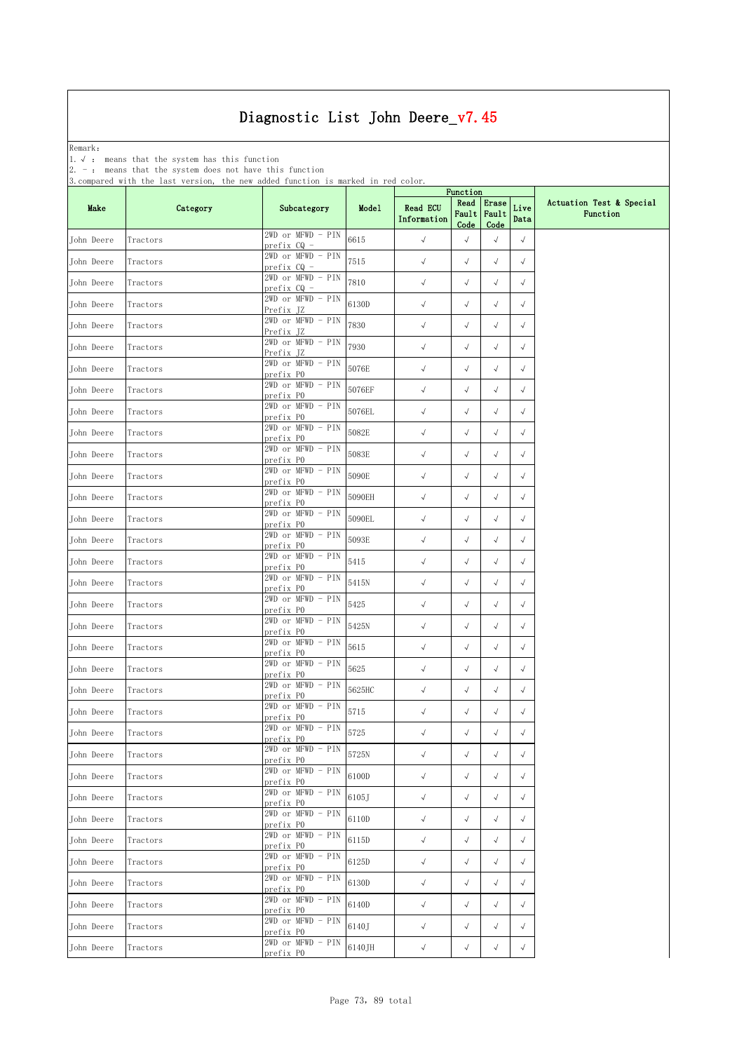Remark: The contract of the contract of  $\mathbb{R}$  and  $\mathbb{R}$  are contract of  $\mathbb{R}$  and  $\mathbb{R}$  are contract of  $\mathbb{R}$  and  $\mathbb{R}$  are contract of  $\mathbb{R}$  and  $\mathbb{R}$  are contract of  $\mathbb{R}$  and  $\mathbb{R}$  are cont

1.√ : means that the system has this function

2. - : means that the system does not have this function

| pu.r.      |          |                                    |        |                                | Function              |                        |              |                                      |
|------------|----------|------------------------------------|--------|--------------------------------|-----------------------|------------------------|--------------|--------------------------------------|
| Make       | Category | Subcategory                        | Model  | <b>Read ECU</b><br>Information | Read<br>Fault<br>Code | Erase<br>Fault<br>Code | Live<br>Data | Actuation Test & Special<br>Function |
| John Deere | Tractors | 2WD or MFWD - PIN<br>prefix CQ -   | 6615   | $\checkmark$                   | $\sqrt{ }$            | $\sqrt{}$              | $\sqrt{ }$   |                                      |
| John Deere | Tractors | 2WD or MFWD - PIN<br>prefix CQ -   | 7515   | $\checkmark$                   | $\sqrt{ }$            | $\sqrt{}$              | $\sqrt{ }$   |                                      |
| John Deere | Tractors | 2WD or MFWD - PIN<br>prefix CQ -   | 7810   | $\sqrt{ }$                     | $\sqrt{ }$            | $\sqrt{ }$             | $\sqrt{ }$   |                                      |
| John Deere | Tractors | 2WD or MFWD - PIN                  | 6130D  | $\checkmark$                   | $\sqrt{ }$            | $\sqrt{ }$             | $\sqrt{ }$   |                                      |
| John Deere | Tractors | Prefix JZ<br>2WD or MFWD - PIN     | 7830   | $\checkmark$                   | $\sqrt{}$             | $\sqrt{}$              | $\sqrt{ }$   |                                      |
| John Deere | Tractors | Prefix JZ<br>2WD or MFWD - PIN     | 7930   | $\checkmark$                   | $\sqrt{ }$            | $\sqrt{ }$             | $\sqrt{ }$   |                                      |
| John Deere | Tractors | Prefix JZ<br>2WD or MFWD - PIN     | 5076E  | $\sqrt{ }$                     | $\sqrt{ }$            | $\sqrt{ }$             | $\sqrt{ }$   |                                      |
|            |          | prefix PO<br>2WD or MFWD - PIN     |        |                                |                       |                        |              |                                      |
| John Deere | Tractors | prefix PO<br>2WD or MFWD - PIN     | 5076EF | $\checkmark$                   | $\sqrt{ }$            | $\sqrt{}$              | $\sqrt{ }$   |                                      |
| John Deere | Tractors | prefix PO<br>2WD or MFWD - PIN     | 5076EL | $\checkmark$                   | $\checkmark$          | $\sqrt{ }$             | $\sqrt{ }$   |                                      |
| John Deere | Tractors | prefix PO                          | 5082E  | $\checkmark$                   | $\sqrt{ }$            | $\sqrt{}$              | $\sqrt{ }$   |                                      |
| John Deere | Tractors | 2WD or MFWD - PIN<br>prefix PO     | 5083E  | $\checkmark$                   | $\sqrt{ }$            | $\sqrt{ }$             | $\sqrt{ }$   |                                      |
| John Deere | Tractors | 2WD or MFWD - PIN<br>prefix PO     | 5090E  | $\checkmark$                   | $\checkmark$          | $\sqrt{ }$             | $\sqrt{ }$   |                                      |
| John Deere | Tractors | 2WD or MFWD - PIN<br>prefix PO     | 5090EH | $\sqrt{ }$                     | $\sqrt{ }$            | $\sqrt{ }$             | $\sqrt{ }$   |                                      |
| John Deere | Tractors | 2WD or MFWD - PIN<br>prefix PO     | 5090EL | $\checkmark$                   | $\sqrt{ }$            | $\sqrt{ }$             | $\sqrt{ }$   |                                      |
| John Deere | Tractors | 2WD or MFWD - PIN<br>prefix PO     | 5093E  | $\checkmark$                   | $\sqrt{ }$            | $\sqrt{ }$             | $\sqrt{ }$   |                                      |
| John Deere | Tractors | 2WD or MFWD - PIN<br>prefix PO     | 5415   | $\checkmark$                   | $\sqrt{ }$            | $\sqrt{}$              | $\checkmark$ |                                      |
| John Deere | Tractors | 2WD or MFWD - PIN                  | 5415N  | $\checkmark$                   | $\sqrt{ }$            | $\sqrt{}$              | $\sqrt{ }$   |                                      |
| John Deere | Tractors | prefix PO<br>2WD or MFWD - PIN     | 5425   | $\checkmark$                   | $\sqrt{}$             | $\sqrt{}$              | $\sqrt{ }$   |                                      |
| John Deere | Tractors | prefix PO<br>2WD or MFWD - PIN     | 5425N  | $\checkmark$                   | $\sqrt{ }$            | $\sqrt{}$              | $\sqrt{ }$   |                                      |
| John Deere | Tractors | prefix PO<br>2WD or MFWD - PIN     | 5615   | $\checkmark$                   | $\sqrt{}$             | $\sqrt{ }$             | $\sqrt{ }$   |                                      |
|            |          | prefix PO<br>2WD or MFWD - PIN     | 5625   | $\checkmark$                   | $\sqrt{ }$            | $\sqrt{}$              | $\sqrt{ }$   |                                      |
| John Deere | Tractors | prefix PO<br>2WD or MFWD - PIN     |        |                                |                       |                        |              |                                      |
| John Deere | Tractors | prefix PO<br>2WD or MFWD - PIN     | 5625HC | $\checkmark$                   | $\sqrt{ }$            | $\sqrt{ }$             | $\sqrt{ }$   |                                      |
| John Deere | Tractors | prefix PO                          | 5715   | $\checkmark$                   | $\sqrt{ }$            | $\sqrt{}$              | $\sqrt{}$    |                                      |
| John Deere | Tractors | 2WD or MFWD - PIN<br>prefix PO     | 5725   | $\sqrt{ }$                     | $\sqrt{}$             | $\sqrt{}$              | $\sqrt{}$    |                                      |
| John Deere | Tractors | 2WD or MFWD - PIN<br>prefix PO     | 5725N  | $\checkmark$                   | $\sqrt{ }$            | $\sqrt{ }$             | $\sqrt{}$    |                                      |
| John Deere | Tractors | 2WD or MFWD - PIN<br>prefix PO     | 6100D  | $\checkmark$                   | $\sqrt{ }$            | $\sqrt{}$              | $\sqrt{ }$   |                                      |
| John Deere | Tractors | 2WD or MFWD - PIN<br>prefix PO     | 6105J  | $\checkmark$                   | $\checkmark$          | $\sqrt{ }$             | $\sqrt{ }$   |                                      |
| John Deere | Tractors | $2WD$ or $MFWD - PIN$<br>prefix PO | 6110D  | $\checkmark$                   | $\sqrt{ }$            | $\sqrt{}$              | $\sqrt{ }$   |                                      |
| John Deere | Tractors | 2WD or MFWD - PIN<br>prefix PO     | 6115D  | $\checkmark$                   | $\sqrt{ }$            | $\sqrt{ }$             | $\sqrt{}$    |                                      |
| John Deere | Tractors | 2WD or MFWD - PIN<br>prefix PO     | 6125D  | $\checkmark$                   | $\sqrt{ }$            | $\sqrt{}$              | $\sqrt{ }$   |                                      |
| John Deere | Tractors | 2WD or MFWD - PIN<br>prefix PO     | 6130D  | $\checkmark$                   | $\sqrt{ }$            | $\sqrt{ }$             | $\sqrt{ }$   |                                      |
| John Deere | Tractors | 2WD or MFWD - PIN                  | 6140D  | $\sqrt{ }$                     | $\sqrt{ }$            | $\sqrt{ }$             | $\sqrt{}$    |                                      |
| John Deere | Tractors | prefix PO<br>2WD or MFWD - PIN     | 6140J  | $\checkmark$                   | $\sqrt{ }$            | $\sqrt{}$              | $\sqrt{ }$   |                                      |
| John Deere | Tractors | prefix PO<br>2WD or MFWD - PIN     | 6140JH | $\sqrt{ }$                     | $\sqrt{\phantom{a}}$  | $\sqrt{ }$             | $\checkmark$ |                                      |
|            |          | prefix PO                          |        |                                |                       |                        |              |                                      |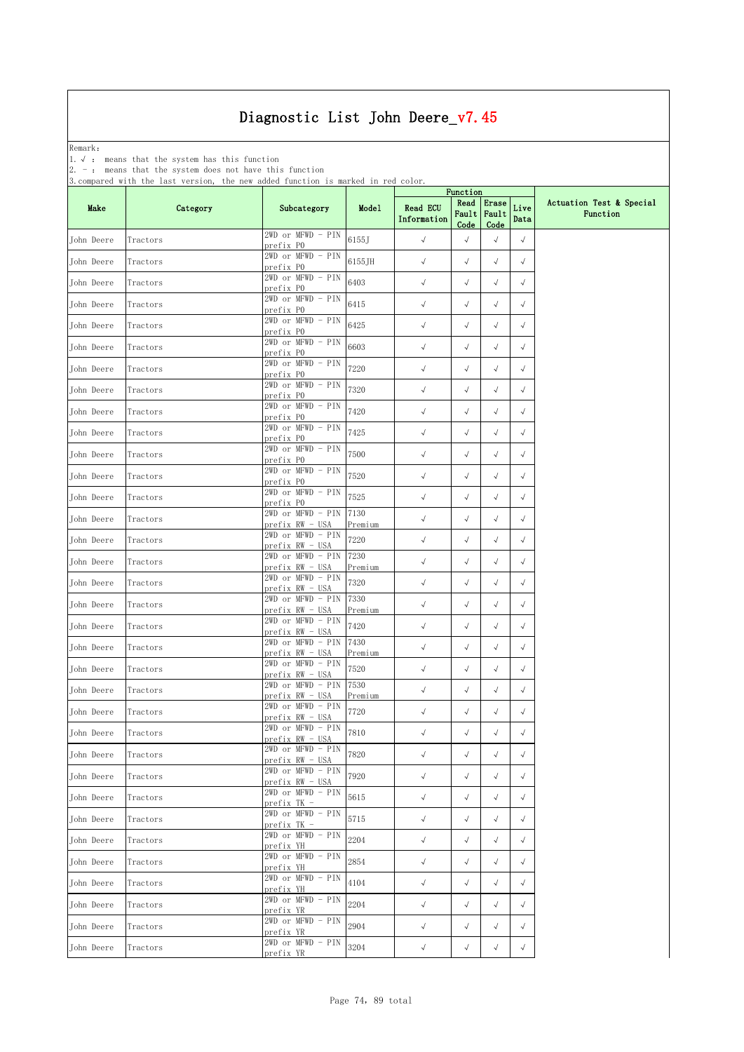Remark: The contract of the contract of  $\mathbb{R}$  and  $\mathbb{R}$  are contract of  $\mathbb{R}$  and  $\mathbb{R}$  are contract of  $\mathbb{R}$  and  $\mathbb{R}$  are contract of  $\mathbb{R}$  and  $\mathbb{R}$  are contract of  $\mathbb{R}$  and  $\mathbb{R}$  are cont

1.√ : means that the system has this function

2. - : means that the system does not have this function

|            |          |                                          |                 |                                | Function                    |               |              |                                      |
|------------|----------|------------------------------------------|-----------------|--------------------------------|-----------------------------|---------------|--------------|--------------------------------------|
| Make       | Category | Subcategory                              | Model           | <b>Read ECU</b><br>Information | Read<br>Fault Fault<br>Code | Erase<br>Code | Live<br>Data | Actuation Test & Special<br>Function |
| John Deere | Tractors | 2WD or MFWD - PIN<br>prefix PO           | 6155J           | $\checkmark$                   | $\checkmark$                | $\sqrt{ }$    | $\sqrt{ }$   |                                      |
| John Deere | Tractors | 2WD or MFWD - PIN<br>prefix PO           | 6155JH          | $\sqrt{ }$                     | $\sqrt{}$                   | $\sqrt{}$     | $\sqrt{ }$   |                                      |
| John Deere | Tractors | 2WD or MFWD - PIN<br>prefix PO           | 6403            | $\checkmark$                   | $\sqrt{ }$                  | $\sqrt{ }$    | $\sqrt{ }$   |                                      |
| John Deere | Tractors | 2WD or MFWD - PIN<br>prefix PO           | 6415            | $\checkmark$                   | $\sqrt{\phantom{a}}$        | $\sqrt{}$     | $\sqrt{ }$   |                                      |
| John Deere | Tractors | 2WD or MFWD - PIN<br>prefix PO           | 6425            | $\checkmark$                   | $\checkmark$                | $\sqrt{}$     | $\sqrt{ }$   |                                      |
| John Deere | Tractors | 2WD or MFWD - PIN<br>prefix PO           | 6603            | $\checkmark$                   | $\sqrt{}$                   | $\checkmark$  | $\sqrt{ }$   |                                      |
| John Deere | Tractors | 2WD or MFWD - PIN<br>prefix PO           | 7220            | $\checkmark$                   | $\sqrt{ }$                  | $\sqrt{}$     | $\sqrt{}$    |                                      |
| John Deere | Tractors | 2WD or MFWD - PIN<br>prefix PO           | 7320            | $\checkmark$                   | $\checkmark$                | $\sqrt{ }$    | $\checkmark$ |                                      |
| John Deere | Tractors | 2WD or MFWD - PIN<br>prefix PO           | 7420            | $\checkmark$                   | $\sqrt{ }$                  | $\sqrt{}$     | $\sqrt{ }$   |                                      |
| John Deere | Tractors | 2WD or MFWD - PIN<br>prefix PO           | 7425            | $\sqrt{ }$                     | $\sqrt{}$                   | $\sqrt{}$     | $\sqrt{ }$   |                                      |
| John Deere | Tractors | 2WD or MFWD - PIN<br>prefix PO           | 7500            | $\sqrt{ }$                     | $\sqrt{}$                   | $\sqrt{}$     | $\sqrt{ }$   |                                      |
| John Deere | Tractors | 2WD or MFWD - PIN<br>prefix PO           | 7520            | $\checkmark$                   | $\sqrt{\phantom{a}}$        | $\sqrt{}$     | $\sqrt{ }$   |                                      |
| John Deere | Tractors | 2WD or MFWD - PIN<br>prefix PO           | 7525            | $\checkmark$                   | $\sqrt{}$                   | $\checkmark$  | $\sqrt{ }$   |                                      |
| John Deere | Tractors | 2WD or MFWD - PIN<br>prefix RW - USA     | 7130<br>Premium | $\checkmark$                   | $\sqrt{ }$                  | $\sqrt{ }$    | $\sqrt{ }$   |                                      |
| John Deere | Tractors | 2WD or MFWD - PIN<br>prefix RW - USA     | 7220            | $\checkmark$                   | $\sqrt{ }$                  | $\sqrt{}$     | $\sqrt{ }$   |                                      |
| John Deere | Tractors | 2WD or MFWD - PIN<br>prefix RW - USA     | 7230<br>Premium | $\checkmark$                   | $\sqrt{ }$                  | $\sqrt{}$     | $\sqrt{ }$   |                                      |
| John Deere | Tractors | 2WD or MFWD - PIN<br>prefix RW - USA     | 7320            | $\sqrt{ }$                     | $\checkmark$                | $\sqrt{}$     | $\sqrt{ }$   |                                      |
| John Deere | Tractors | 2WD or MFWD - PIN<br>prefix RW - USA     | 7330<br>Premium | $\sqrt{ }$                     | $\sqrt{ }$                  | $\sqrt{}$     | $\sqrt{ }$   |                                      |
| John Deere | Tractors | 2WD or MFWD - PIN<br>prefix RW - USA     | 7420            | $\sqrt{ }$                     | $\sqrt{ }$                  | $\sqrt{ }$    | $\sqrt{ }$   |                                      |
| John Deere | Tractors | 2WD or MFWD - PIN<br>prefix RW - USA     | 7430<br>Premium | $\checkmark$                   | $\sqrt{}$                   | $\sqrt{}$     | $\sqrt{ }$   |                                      |
| John Deere | Tractors | 2WD or MFWD - PIN<br>prefix RW - USA     | 7520            | $\checkmark$                   | $\sqrt{ }$                  | $\sqrt{ }$    | $\sqrt{ }$   |                                      |
| John Deere | Tractors | $2WD$ or $MFWD - PIN$<br>prefix RW - USA | 7530<br>Premium | $\sqrt{ }$                     | $\sqrt{ }$                  | $\sqrt{}$     | $\sqrt{ }$   |                                      |
| John Deere | Tractors | 2WD or MFWD - PIN<br>prefix RW - USA     | 7720            | $\checkmark$                   | $\sqrt{}$                   | $\sqrt{}$     | $\sqrt{ }$   |                                      |
| John Deere | Tractors | 2WD or MFWD - PIN<br>prefix RW - USA     | 7810            | $\sqrt{ }$                     | $\sqrt{ }$                  | $\sqrt{}$     | $\sqrt{}$    |                                      |
| John Deere | Tractors | 2WD or MFWD - PIN<br>prefix RW - USA     | 7820            | $\sqrt{ }$                     | $\sqrt{}$                   | $\sqrt{ }$    | $\sqrt{ }$   |                                      |
| John Deere | Tractors | 2WD or MFWD - PIN<br>prefix RW - USA     | 7920            | $\checkmark$                   | $\sqrt{ }$                  | $\sqrt{ }$    | $\sqrt{ }$   |                                      |
| John Deere | Tractors | 2WD or MFWD - PIN<br>prefix TK -         | 5615            | $\checkmark$                   | $\sqrt{ }$                  | $\sqrt{}$     | $\sqrt{ }$   |                                      |
| John Deere | Tractors | 2WD or MFWD - PIN<br>prefix TK -         | 5715            | $\checkmark$                   | $\sqrt{ }$                  | $\sqrt{ }$    | $\sqrt{ }$   |                                      |
| John Deere | Tractors | 2WD or MFWD - PIN<br>prefix YH           | 2204            | $\checkmark$                   | $\sqrt{ }$                  | $\sqrt{}$     | $\sqrt{ }$   |                                      |
| John Deere | Tractors | 2WD or MFWD - PIN<br>prefix YH           | 2854            | $\checkmark$                   | $\sqrt{ }$                  | $\sqrt{2}$    | $\sqrt{ }$   |                                      |
| John Deere | Tractors | 2WD or MFWD - PIN<br>prefix YH           | 4104            | $\checkmark$                   | $\sqrt{ }$                  | $\sqrt{ }$    | $\sqrt{ }$   |                                      |
| John Deere | Tractors | 2WD or MFWD - PIN<br>prefix YR           | 2204            | $\checkmark$                   | $\sqrt{ }$                  | $\sqrt{ }$    | $\sqrt{ }$   |                                      |
| John Deere | Tractors | 2WD or MFWD - PIN<br>prefix YR           | 2904            | $\checkmark$                   | $\checkmark$                | $\sqrt{}$     | $\sqrt{ }$   |                                      |
| John Deere | Tractors | 2WD or MFWD - PIN<br>prefix YR           | 3204            | $\sqrt{ }$                     | $\sqrt{}$                   | $\sqrt{}$     | $\sqrt{ }$   |                                      |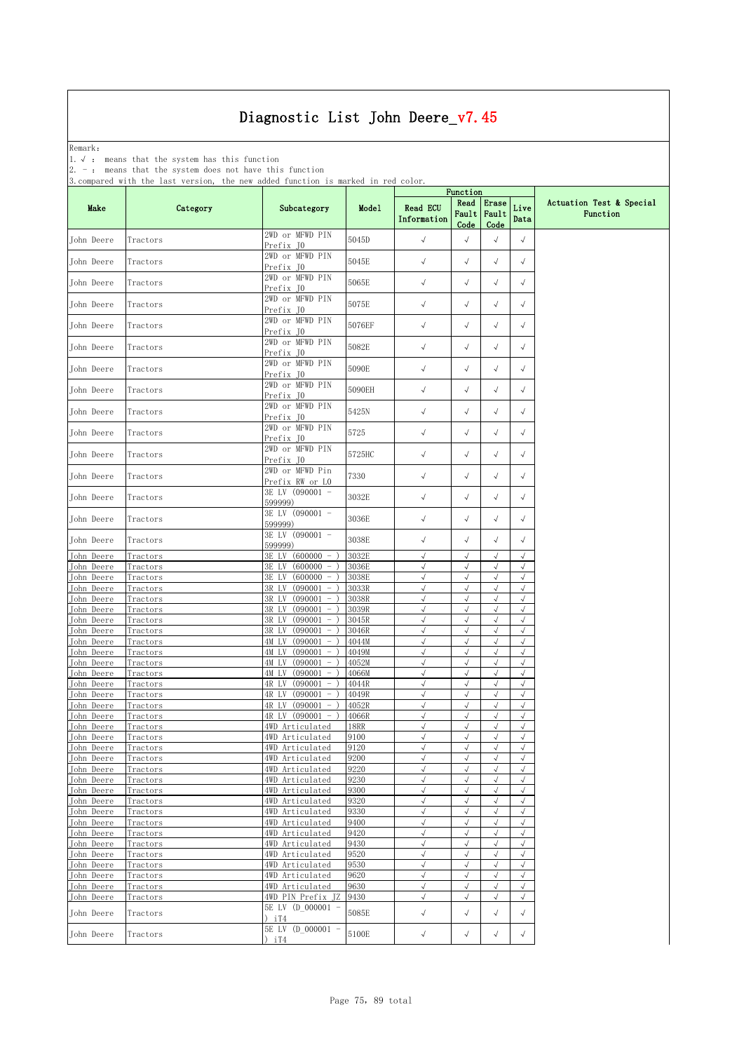Remark: The contract of the contract of  $\mathbb{R}$  and  $\mathbb{R}$  are contract of  $\mathbb{R}$  and  $\mathbb{R}$  are contract of  $\mathbb{R}$  and  $\mathbb{R}$  are contract of  $\mathbb{R}$  and  $\mathbb{R}$  are contract of  $\mathbb{R}$  and  $\mathbb{R}$  are cont

1.√ : means that the system has this function

2. - : means that the system does not have this function

| .                        |                      |                                                                            |                |                                | Function                 |                          |                          |                                      |
|--------------------------|----------------------|----------------------------------------------------------------------------|----------------|--------------------------------|--------------------------|--------------------------|--------------------------|--------------------------------------|
| Make                     | Category             | Subcategory                                                                | Model          | <b>Read ECU</b><br>Information | Read<br>Fault<br>Code    | Erase<br>Fault<br>Code   | Live<br>Data             | Actuation Test & Special<br>Function |
| John Deere               | Tractors             | 2WD or MFWD PIN<br>Prefix JO                                               | 5045D          | $\checkmark$                   | $\sqrt{ }$               | $\sqrt{}$                | $\sqrt{ }$               |                                      |
| John Deere               | Tractors             | 2WD or MFWD PIN<br>Prefix JO                                               | 5045E          | $\sqrt{ }$                     | $\sqrt{}$                | $\sqrt{}$                | $\sqrt{ }$               |                                      |
| John Deere               | Tractors             | 2WD or MFWD PIN                                                            | 5065E          | $\sqrt{ }$                     | $\sqrt{}$                | $\sqrt{}$                | $\sqrt{}$                |                                      |
| John Deere               | Tractors             | Prefix JO<br>2WD or MFWD PIN                                               | 5075E          | $\sqrt{ }$                     | $\sqrt{ }$               | $\sqrt{ }$               | $\sqrt{ }$               |                                      |
|                          |                      | Prefix JO<br>2WD or MFWD PIN                                               |                |                                |                          |                          |                          |                                      |
| John Deere               | Tractors             | Prefix JO                                                                  | 5076EF         | $\checkmark$                   | $\sqrt{}$                | $\sqrt{ }$               | $\sqrt{}$                |                                      |
| John Deere               | Tractors             | 2WD or MFWD PIN<br>Prefix JO                                               | 5082E          | $\checkmark$                   | $\sqrt{}$                | $\sqrt{}$                | $\sqrt{ }$               |                                      |
| John Deere               | Tractors             | 2WD or MFWD PIN<br>Prefix JO                                               | 5090E          | $\checkmark$                   | $\sqrt{ }$               | $\sqrt{}$                | $\sqrt{ }$               |                                      |
| John Deere               | Tractors             | 2WD or MFWD PIN                                                            | 5090EH         | $\checkmark$                   | $\sqrt{ }$               | $\sqrt{}$                | $\sqrt{ }$               |                                      |
| John Deere               | Tractors             | Prefix JO<br>2WD or MFWD PIN                                               | 5425N          | $\checkmark$                   | $\sqrt{}$                | $\sqrt{}$                | $\sqrt{ }$               |                                      |
|                          |                      | Prefix JO<br>2WD or MFWD PIN                                               |                |                                |                          |                          |                          |                                      |
| John Deere               | Tractors             | Prefix JO                                                                  | 5725           | $\sqrt{ }$                     | $\sqrt{}$                | $\sqrt{}$                | $\sqrt{}$                |                                      |
| John Deere               | Tractors             | 2WD or MFWD PIN<br>Prefix JO                                               | 5725HC         | $\sqrt{ }$                     | $\sqrt{}$                | $\sqrt{ }$               | $\sqrt{ }$               |                                      |
| John Deere               | Tractors             | 2WD or MFWD Pin<br>Prefix RW or LO                                         | 7330           | $\checkmark$                   | $\sqrt{}$                | $\sqrt{}$                | $\sqrt{}$                |                                      |
| John Deere               | Tractors             | 3E LV (090001 -                                                            | 3032E          | $\checkmark$                   | $\sqrt{}$                | $\sqrt{}$                | $\sqrt{ }$               |                                      |
|                          |                      | 599999)<br>3E LV (090001 -                                                 |                |                                |                          |                          |                          |                                      |
| John Deere               | Tractors             | 599999)<br>3E LV (090001 -                                                 | 3036E          | $\checkmark$                   | √                        | $\sqrt{}$                | $\sqrt{ }$               |                                      |
| John Deere               | Tractors             | 599999)                                                                    | 3038E          | $\checkmark$                   | $\sqrt{ }$               | $\sqrt{}$                | $\sqrt{ }$               |                                      |
| John Deere               | Tractors             | 3E LV (600000<br>$-$ )                                                     | 3032E          | $\sqrt{ }$                     | $\sqrt{ }$               | $\sqrt{ }$               | $\sqrt{ }$               |                                      |
| John Deere               | Tractors             | 3E LV<br>(600000)<br>$-$ )                                                 | 3036E          | $\sqrt{ }$                     | $\sqrt{}$                | $\sqrt{}$                | $\sqrt{ }$               |                                      |
| John Deere<br>John Deere | Tractors<br>Tractors | 3E LV<br>(600000)<br>$-$ )<br>3R LV<br>(090001<br>$\overline{\phantom{a}}$ | 3038E<br>3033R | $\sqrt{ }$<br>√                | $\sqrt{}$<br>√           | $\sqrt{}$<br>$\sqrt{}$   | $\sqrt{ }$<br>$\sqrt{ }$ |                                      |
| John Deere               | Tractors             | 3R LV<br>(090001<br>$-$ )                                                  | 3038R          | $\sqrt{ }$                     | $\sqrt{}$                | $\sqrt{}$                | $\sqrt{2}$               |                                      |
| John Deere               | Tractors             | 3R LV<br>(090001<br>$-$ )                                                  | 3039R          | $\sqrt{}$                      | $\sqrt{}$                | $\sqrt{}$                | $\sqrt{ }$               |                                      |
| John Deere               | Tractors             | 3R LV<br>(090001<br>$-$ )                                                  | 3045R          | $\sqrt{ }$                     | $\sqrt{}$                | $\sqrt{ }$               | $\sqrt{ }$               |                                      |
| John Deere               | Tractors             | 3R LV<br>(090001<br>$-$ )                                                  | 3046R          | $\sqrt{}$                      | $\sqrt{ }$               | $\sqrt{ }$               | $\sqrt{ }$               |                                      |
| John Deere               | Tractors             | (090001<br>4M LV<br>$-$ )                                                  | 4044M          | √                              | $\sqrt{}$                | $\sqrt{ }$               | $\sqrt{ }$               |                                      |
| John Deere               | Tractors             | 4M LV<br>(090001<br>$-$ )                                                  | 4049M          | $\sqrt{ }$                     | $\sqrt{}$                | $\sqrt{}$                | $\sqrt{2}$               |                                      |
| John Deere               | Tractors             | 4M LV<br>(090001<br>$\overline{\phantom{a}}$<br>4M LV                      | 4052M          | $\sqrt{ }$<br>$\sqrt{ }$       | $\sqrt{ }$               | $\sqrt{ }$<br>$\sqrt{ }$ | $\sqrt{ }$<br>$\sqrt{2}$ |                                      |
| John Deere<br>John Deere | Tractors<br>Tractors | (090001<br>$-$ )<br>4R LV<br>(090001<br>$-$ )                              | 4066M<br>4044R | $\sqrt{}$                      | $\sqrt{}$<br>$\sqrt{}$   | $\sqrt{ }$               | $\sqrt{ }$               |                                      |
| John Deere               | Tractors             | (090001<br>4R LV<br>$-$ )                                                  | 4049R          | $\sqrt{}$                      | $\sqrt{}$                | $\sqrt{ }$               | $\sqrt{ }$               |                                      |
| John Deere               | Tractors             | (090001<br>4R LV<br>$-$ )                                                  | 4052R          | $\sqrt{}$                      | $\sqrt{}$                | $\sqrt{}$                | $\sqrt{2}$               |                                      |
| John Deere               | Tractors             | (090001<br>4R LV<br>$\overline{\phantom{a}}$                               | 4066R          | √                              |                          | $\sqrt{}$                | $\sqrt{}$                |                                      |
| John Deere               | Tractors             | 4WD Articulated                                                            | 18RR           | $\sqrt{ }$                     | $\sqrt{}$                | $\sqrt{}$                | $\sqrt{2}$               |                                      |
| John Deere               | Tractors             | 4WD Articulated                                                            | 9100           | $\sqrt{2}$                     | $\sqrt{}$                | $\sqrt{ }$               | $\sqrt{ }$               |                                      |
| John Deere<br>John Deere | Tractors<br>Tractors | 4WD Articulated<br>4WD Articulated                                         | 9120<br>9200   | $\sqrt{ }$<br>$\sqrt{ }$       | $\sqrt{ }$<br>$\sqrt{ }$ | $\checkmark$             | $\sqrt{ }$<br>$\sqrt{ }$ |                                      |
| John Deere               | Tractors             | 4WD Articulated                                                            | 9220           | $\sqrt{}$                      | $\sqrt{}$                | $\sqrt{}$                | $\sqrt{ }$               |                                      |
| <b>Tohn Deere</b>        | Tractors             | 4WD Articulated                                                            | 9230           | $\sqrt{2}$                     | $\sqrt{2}$               | $\sqrt{2}$               | $\sqrt{ }$               |                                      |
| John Deere               | Tractors             | 4WD Articulated                                                            | 9300           | $\sqrt{ }$                     | $\checkmark$             | $\sqrt{}$                | $\sqrt{ }$               |                                      |
| John Deere               | Tractors             | 4WD Articulated                                                            | 9320           | $\sqrt{ }$                     | $\sqrt{}$                | $\sqrt{}$                | $\sqrt{ }$               |                                      |
| John Deere               | Tractors             | 4WD Articulated                                                            | 9330           | $\sqrt{ }$                     | $\sqrt{}$                | $\sqrt{ }$               | $\sqrt{ }$               |                                      |
| John Deere               | Tractors             | 4WD Articulated                                                            | 9400           | $\sqrt{}$                      | $\sqrt{}$                | $\sqrt{ }$               | $\sqrt{ }$               |                                      |
| John Deere               | Tractors             | 4WD Articulated                                                            | 9420           | $\sqrt{ }$                     | $\sqrt{ }$               | $\sqrt{}$                | $\sqrt{ }$               |                                      |
| John Deere               | Tractors             | 4WD Articulated                                                            | 9430           | $\sqrt{ }$                     | $\sqrt{}$                | $\sqrt{}$                | $\sqrt{ }$               |                                      |
| John Deere               | Tractors             | 4WD Articulated                                                            | 9520           | $\sqrt{2}$                     | $\sqrt{}$                | $\sqrt{}$                | $\sqrt{ }$               |                                      |
| John Deere               | Tractors             | 4WD Articulated<br>4WD Articulated                                         | 9530<br>9620   | $\sqrt{ }$                     | $\sqrt{}$<br>$\sqrt{}$   | $\sqrt{ }$<br>$\sqrt{ }$ | $\sqrt{}$<br>$\sqrt{ }$  |                                      |
| John Deere               | Tractors             |                                                                            |                | $\sqrt{ }$<br>$\sqrt{}$        | $\sqrt{}$                | $\sqrt{ }$               | $\sqrt{ }$               |                                      |
| John Deere<br>John Deere | Tractors<br>Tractors | 4WD Articulated<br>4WD PIN Prefix JZ                                       | 9630<br>9430   | $\sqrt{}$                      | $\sqrt{}$                | $\sqrt{ }$               | $\sqrt{ }$               |                                      |
| John Deere               | Tractors             | 5E LV (D 000001 -                                                          | 5085E          | $\sqrt{ }$                     | $\sqrt{ }$               | $\sqrt{}$                | $\sqrt{ }$               |                                      |
|                          |                      | ) $iT4$<br>5E LV (D_000001 -                                               |                |                                |                          |                          |                          |                                      |
| John Deere               | Tractors             | i T4                                                                       | 5100E          | $\checkmark$                   | $\sqrt{ }$               | $\sqrt{}$                | $\sqrt{ }$               |                                      |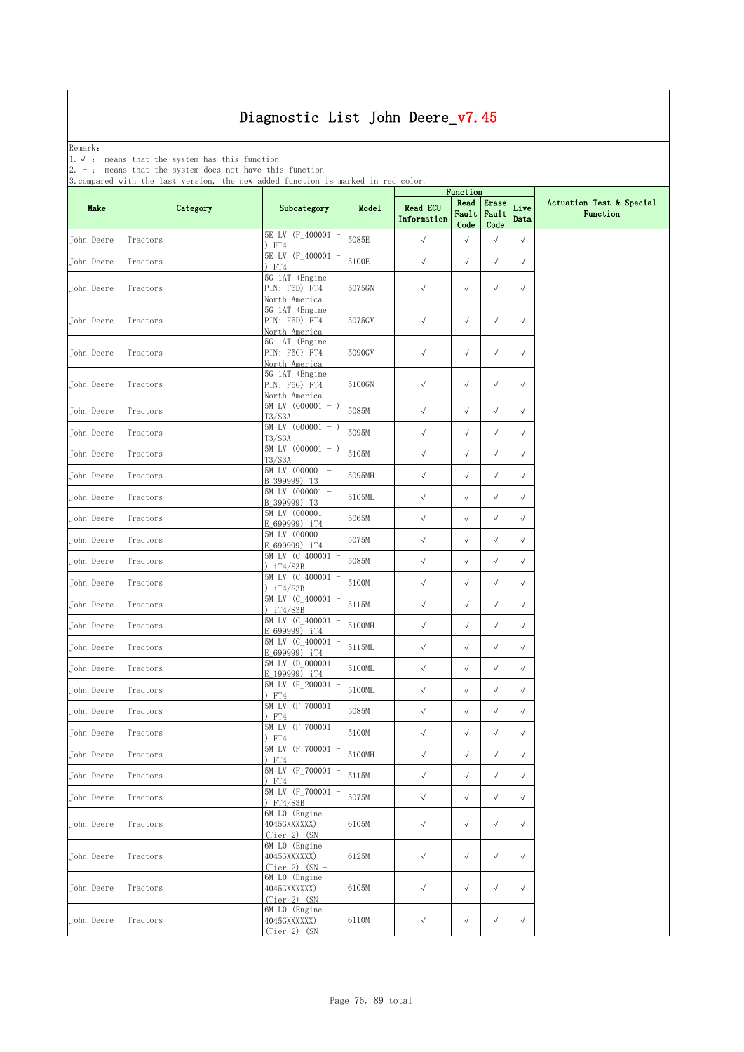Remark: The contract of the contract of  $\mathbb{R}$  and  $\mathbb{R}$  are contract of  $\mathbb{R}$  and  $\mathbb{R}$  are contract of  $\mathbb{R}$  and  $\mathbb{R}$  are contract of  $\mathbb{R}$  and  $\mathbb{R}$  are contract of  $\mathbb{R}$  and  $\mathbb{R}$  are cont

1.√ : means that the system has this function

2. - : means that the system does not have this function

| . compared "ru une | 100 U<br>10101011 | the new double runceron to marked in rea coron.     |        |                                | Function              |                        |              |                                      |
|--------------------|-------------------|-----------------------------------------------------|--------|--------------------------------|-----------------------|------------------------|--------------|--------------------------------------|
| Make               | Category          | Subcategory                                         | Model  | <b>Read ECU</b><br>Information | Read<br>Fault<br>Code | Erase<br>Fault<br>Code | Live<br>Data | Actuation Test & Special<br>Function |
| John Deere         | Tractors          | 5E LV (F_400001 -<br>) FT4                          | 5085E  | $\checkmark$                   | $\sqrt{ }$            | $\sqrt{}$              | $\checkmark$ |                                      |
| John Deere         | Tractors          | 5E LV (F_400001<br>) FT4                            | 5100E  | $\sqrt{ }$                     | $\sqrt{}$             | $\sqrt{ }$             | $\checkmark$ |                                      |
| John Deere         | Tractors          | 5G 1AT (Engine<br>PIN: F5D) FT4<br>North America    | 5075GN | $\sqrt{ }$                     | $\sqrt{ }$            | $\sqrt{ }$             | $\sqrt{ }$   |                                      |
| John Deere         | Tractors          | 5G 1AT (Engine<br>PIN: F5D) FT4<br>North America    | 5075GV | $\sqrt{ }$                     | $\sqrt{ }$            | $\sqrt{}$              | $\sqrt{ }$   |                                      |
| John Deere         | Tractors          | 5G 1AT (Engine<br>PIN: F5G) FT4<br>North America    | 5090GV | $\sqrt{ }$                     | $\sqrt{ }$            | $\sqrt{}$              | $\sqrt{ }$   |                                      |
| John Deere         | Tractors          | 5G 1AT (Engine<br>PIN: F5G) FT4<br>North America    | 5100GN | $\checkmark$                   | $\sqrt{ }$            | $\sqrt{ }$             | $\sqrt{}$    |                                      |
| John Deere         | Tractors          | $5M$ LV $(000001 - )$<br>T3/S3A                     | 5085M  | $\checkmark$                   | $\sqrt{}$             | $\sqrt{ }$             | $\checkmark$ |                                      |
| John Deere         | Tractors          | $5M$ LV $(000001 - )$<br>T3/S3A                     | 5095M  | $\sqrt{ }$                     | $\sqrt{ }$            | $\sqrt{}$              | $\sqrt{ }$   |                                      |
| John Deere         | Tractors          | 5M LV (000001 - )<br>T3/S3A                         | 5105M  | $\checkmark$                   | $\sqrt{ }$            | $\sqrt{}$              | $\sqrt{}$    |                                      |
| John Deere         | Tractors          | 5M LV (000001 -<br>B 399999) T3                     | 5095MH | $\sqrt{ }$                     | $\sqrt{ }$            | $\sqrt{}$              | $\sqrt{}$    |                                      |
| John Deere         | Tractors          | 5M LV (000001 -<br>B 399999) T3                     | 5105ML | $\checkmark$                   | $\sqrt{ }$            | $\sqrt{ }$             | $\sqrt{}$    |                                      |
| John Deere         | Tractors          | $5M$ LV (000001 -<br>E 699999) iT4                  | 5065M  | $\checkmark$                   | $\sqrt{ }$            | $\sqrt{ }$             | $\sqrt{}$    |                                      |
| John Deere         | Tractors          | 5M LV (000001 -<br>E 699999) iT4                    | 5075M  | $\checkmark$                   | $\sqrt{ }$            | $\sqrt{}$              | $\sqrt{}$    |                                      |
| John Deere         | Tractors          | 5M LV (C 400001 -<br>) iT4/S3B                      | 5085M  | $\checkmark$                   | $\sqrt{ }$            | $\sqrt{}$              | $\checkmark$ |                                      |
| John Deere         | Tractors          | 5M LV (C 400001 -<br>$j$ iT4/S3B                    | 5100M  | $\checkmark$                   | $\sqrt{ }$            | $\sqrt{}$              | $\sqrt{}$    |                                      |
| John Deere         | Tractors          | 5M LV (C 400001 -<br>) $iT4/S3B$                    | 5115M  | $\checkmark$                   | $\sqrt{ }$            | $\sqrt{}$              | $\sqrt{}$    |                                      |
| John Deere         | Tractors          | 5M LV (C_400001 -<br>E 699999) iT4                  | 5100MH | $\checkmark$                   | $\sqrt{ }$            | $\sqrt{}$              | $\sqrt{}$    |                                      |
| John Deere         | Tractors          | 5M LV (C_400001<br>E 699999) iT4                    | 5115ML | $\checkmark$                   | $\sqrt{ }$            | $\sqrt{ }$             | $\checkmark$ |                                      |
| John Deere         | Tractors          | 5M LV (D_000001 -<br>E 199999) iT4                  | 5100ML | $\checkmark$                   | $\sqrt{ }$            | $\sqrt{ }$             | $\sqrt{}$    |                                      |
| John Deere         | Tractors          | 5M LV (F 200001 -<br>) FT4                          | 5100ML | $\checkmark$                   | $\sqrt{ }$            | $\sqrt{}$              | $\checkmark$ |                                      |
| John Deere         | Tractors          | 5M LV (F_700001 -<br>) FT4                          | 5085M  | $\sqrt{ }$                     | $\sqrt{ }$            | $\sqrt{ }$             | $\checkmark$ |                                      |
| John Deere         | Tractors          | 5M LV (F_700001 -<br>) FT4                          | 5100M  | $\checkmark$                   | $\sqrt{ }$            | $\sqrt{}$              | $\sqrt{}$    |                                      |
| John Deere         | Tractors          | 5M LV (F_700001 -<br>) FT4                          | 5100MH | $\sqrt{ }$                     | $\sqrt{ }$            | $\sqrt{ }$             | $\sqrt{}$    |                                      |
| John Deere         | Tractors          | 5M LV (F_700001 -<br>) FT4                          | 5115M  | $\checkmark$                   | $\sqrt{}$             | $\sqrt{}$              | $\checkmark$ |                                      |
| John Deere         | Tractors          | 5M LV (F 700001 -<br>) FT4/S3B                      | 5075M  | $\checkmark$                   | $\sqrt{ }$            | $\sqrt{ }$             | $\sqrt{}$    |                                      |
| John Deere         | Tractors          | 6M LO (Engine<br>4045GXXXXXX)<br>$(Tier 2)$ $(SN -$ | 6105M  | $\checkmark$                   | $\sqrt{ }$            | $\sqrt{ }$             | $\sqrt{}$    |                                      |
| John Deere         | Tractors          | 6M LO (Engine<br>4045GXXXXXX)<br>$(Tier 2)$ $(SN -$ | 6125M  | $\checkmark$                   | $\sqrt{ }$            | $\checkmark$           | $\sqrt{}$    |                                      |
| John Deere         | Tractors          | 6M LO (Engine<br>4045GXXXXXX)<br>$(Tier 2)$ $(SN)$  | 6105M  | $\checkmark$                   | $\sqrt{ }$            | $\sqrt{}$              | $\sqrt{}$    |                                      |
| John Deere         | Tractors          | 6M LO (Engine<br>4045GXXXXXX)<br>(Tier 2) (SN       | 6110M  | $\sqrt{ }$                     | $\sqrt{ }$            | $\sqrt{}$              | $\checkmark$ |                                      |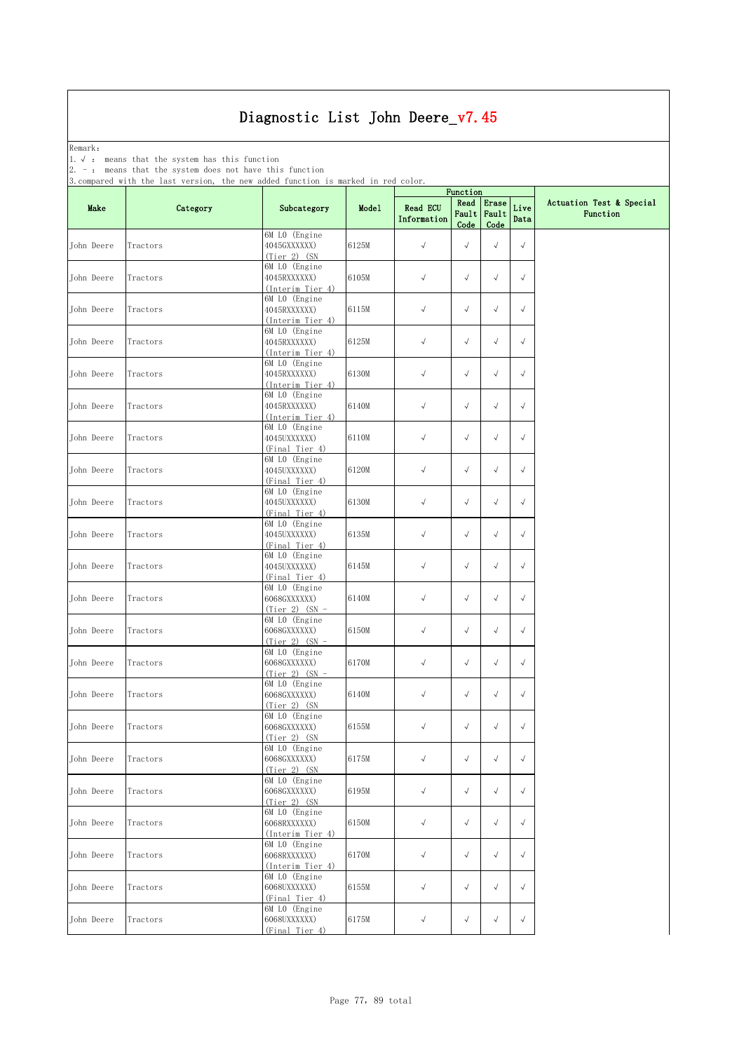Remark: The contract of the contract of  $\mathbb{R}$  and  $\mathbb{R}$  are contract of  $\mathbb{R}$  and  $\mathbb{R}$  are contract of  $\mathbb{R}$  and  $\mathbb{R}$  are contract of  $\mathbb{R}$  and  $\mathbb{R}$  are contract of  $\mathbb{R}$  and  $\mathbb{R}$  are cont

1.√ : means that the system has this function

2. - : means that the system does not have this function

| ompus :    |          |                                                     |       |                                | Function              |                        |              |                                      |
|------------|----------|-----------------------------------------------------|-------|--------------------------------|-----------------------|------------------------|--------------|--------------------------------------|
| Make       | Category | Subcategory                                         | Model | <b>Read ECU</b><br>Information | Read<br>Fault<br>Code | Erase<br>Fault<br>Code | Live<br>Data | Actuation Test & Special<br>Function |
| John Deere | Tractors | 6M LO (Engine<br>4045GXXXXXX)<br>$(Tier 2)$ (SN     | 6125M | $\sqrt{ }$                     | $\sqrt{ }$            | $\sqrt{}$              | $\sqrt{ }$   |                                      |
| John Deere | Tractors | 6M LO (Engine<br>4045RXXXXXX)<br>(Interim Tier 4)   | 6105M | $\sqrt{}$                      | $\sqrt{ }$            | $\sqrt{}$              | $\sqrt{}$    |                                      |
| John Deere | Tractors | 6M LO (Engine<br>4045RXXXXXX)<br>(Interim Tier 4)   | 6115M | $\sqrt{ }$                     | $\sqrt{ }$            | $\sqrt{}$              | $\sqrt{}$    |                                      |
| John Deere | Tractors | 6M LO (Engine<br>4045RXXXXXX)<br>(Interim Tier 4)   | 6125M | $\sqrt{ }$                     | $\sqrt{ }$            | $\sqrt{}$              | $\sqrt{ }$   |                                      |
| John Deere | Tractors | 6M LO (Engine<br>4045RXXXXXX)<br>(Interim Tier 4)   | 6130M | $\sqrt{ }$                     | $\sqrt{ }$            | $\sqrt{}$              | $\sqrt{ }$   |                                      |
| John Deere | Tractors | 6M LO (Engine<br>4045RXXXXXX)<br>(Interim Tier 4)   | 6140M | $\sqrt{ }$                     | $\sqrt{ }$            | $\checkmark$           | $\sqrt{}$    |                                      |
| John Deere | Tractors | 6M LO (Engine<br>4045UXXXXXX)<br>(Final Tier 4)     | 6110M | $\sqrt{ }$                     | $\sqrt{}$             | $\checkmark$           | $\sqrt{}$    |                                      |
| John Deere | Tractors | 6M LO (Engine<br>4045UXXXXXX)<br>(Final Tier 4)     | 6120M | $\sqrt{ }$                     | $\sqrt{ }$            | $\sqrt{ }$             | $\sqrt{}$    |                                      |
| John Deere | Tractors | 6M LO (Engine<br>4045UXXXXXX)<br>(Final Tier 4)     | 6130M | $\sqrt{ }$                     | $\sqrt{ }$            | $\sqrt{ }$             | $\sqrt{}$    |                                      |
| John Deere | Tractors | 6M LO (Engine<br>4045UXXXXXX)<br>(Final Tier 4)     | 6135M | $\sqrt{ }$                     | $\sqrt{ }$            | $\sqrt{}$              | $\sqrt{}$    |                                      |
| John Deere | Tractors | 6M LO (Engine<br>4045UXXXXXX)<br>(Final Tier 4)     | 6145M | $\checkmark$                   | $\sqrt{ }$            | $\sqrt{}$              | $\sqrt{}$    |                                      |
| John Deere | Tractors | 6M LO (Engine<br>6068GXXXXXX)<br>$(Tier 2)$ $(SN -$ | 6140M | $\sqrt{ }$                     | $\sqrt{ }$            | $\sqrt{ }$             | $\sqrt{ }$   |                                      |
| John Deere | Tractors | 6M LO (Engine<br>6068GXXXXXX)<br>$(Tier 2)$ $(SN -$ | 6150M | $\sqrt{ }$                     | $\sqrt{ }$            | $\checkmark$           | $\sqrt{}$    |                                      |
| John Deere | Tractors | 6M LO (Engine<br>6068GXXXXXX)<br>$(Tier 2)$ $(SN -$ | 6170M | $\sqrt{ }$                     | $\sqrt{}$             | $\checkmark$           | $\sqrt{}$    |                                      |
| John Deere | Tractors | 6M LO (Engine<br>6068GXXXXXX)<br>$(Tier 2)$ $(SN)$  | 6140M | $\sqrt{ }$                     | $\sqrt{ }$            | $\sqrt{ }$             | $\sqrt{}$    |                                      |
| John Deere | Tractors | 6M LO (Engine<br>6068GXXXXXX)<br>$(Tier 2)$ $(SN)$  | 6155M | $\sqrt{ }$                     | $\sqrt{ }$            | √                      | $\sqrt{}$    |                                      |
| John Deere | Tractors | 6M LO (Engine<br>6068GXXXXXX)<br>$(Tier 2)$ $(SN)$  | 6175M | $\checkmark$                   | $\sqrt{ }$            | $\checkmark$           | $\sqrt{}$    |                                      |
| John Deere | Tractors | 6M LO (Engine<br>6068GXXXXXX)<br>$(Tier 2)$ $(SN)$  | 6195M | $\sqrt{ }$                     | $\sqrt{ }$            | $\sqrt{ }$             | $\sqrt{}$    |                                      |
| John Deere | Tractors | 6M LO (Engine<br>6068RXXXXXX)<br>(Interim Tier 4)   | 6150M | $\sqrt{ }$                     | $\sqrt{ }$            | $\sqrt{}$              | $\sqrt{}$    |                                      |
| John Deere | Tractors | 6M LO (Engine<br>6068RXXXXXX)<br>(Interim Tier 4)   | 6170M | $\checkmark$                   | $\sqrt{ }$            | $\sqrt{}$              | $\sqrt{}$    |                                      |
| John Deere | Tractors | 6M LO (Engine<br>6068UXXXXXX)<br>(Final Tier 4)     | 6155M | $\checkmark$                   | $\sqrt{}$             | $\checkmark$           | $\sqrt{}$    |                                      |
| John Deere | Tractors | 6M LO (Engine<br>6068UXXXXXX)<br>(Final Tier 4)     | 6175M | $\sqrt{ }$                     | $\sqrt{ }$            | $\sqrt{ }$             | $\sqrt{}$    |                                      |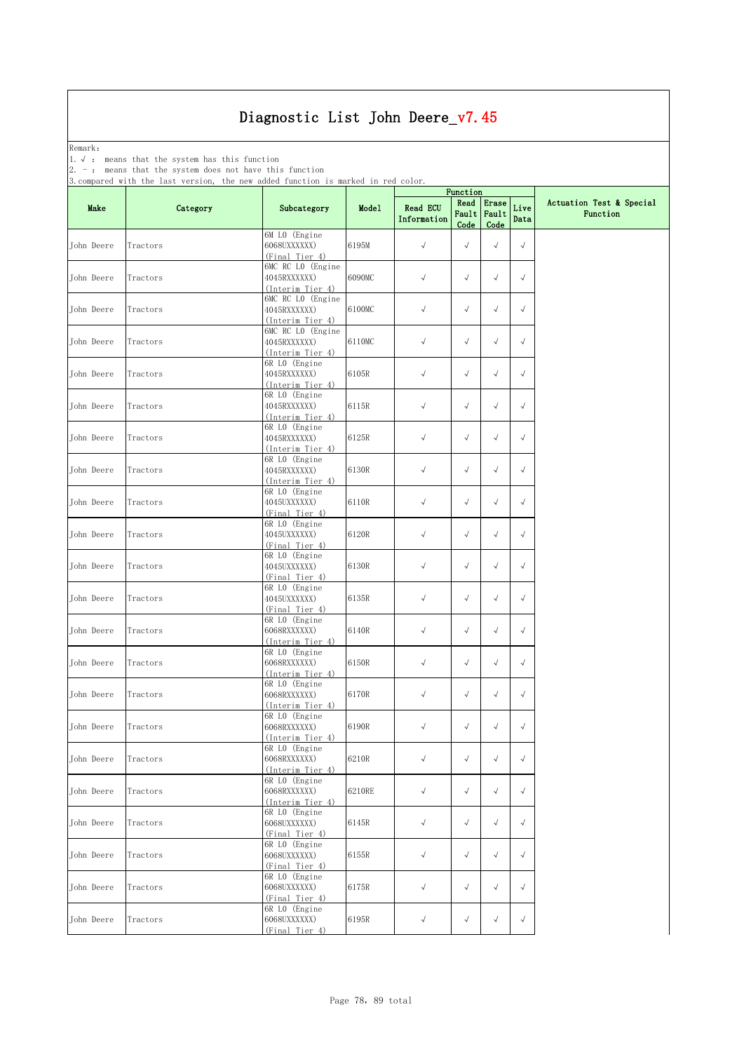Remark: The contract of the contract of  $\mathbb{R}$  and  $\mathbb{R}$  are contract of  $\mathbb{R}$  and  $\mathbb{R}$  are contract of  $\mathbb{R}$  and  $\mathbb{R}$  are contract of  $\mathbb{R}$  and  $\mathbb{R}$  are contract of  $\mathbb{R}$  and  $\mathbb{R}$  are cont

1.√ : means that the system has this function

2. - : means that the system does not have this function

| 3. compared with the last version, the new added function is marked in red color. |
|-----------------------------------------------------------------------------------|

|            | 0. COMPATED WITH THE TAST VELSION, THE HEW AQUED IDHCITON IS MAINED IN FEW COTOL. |                                                                    |        |                                | Function              |                        |              |                                      |
|------------|-----------------------------------------------------------------------------------|--------------------------------------------------------------------|--------|--------------------------------|-----------------------|------------------------|--------------|--------------------------------------|
| Make       | Category                                                                          | Subcategory                                                        | Model  | <b>Read ECU</b><br>Information | Read<br>Fault<br>Code | Erase<br>Fault<br>Code | Live<br>Data | Actuation Test & Special<br>Function |
| John Deere | Tractors                                                                          | 6M LO (Engine<br>6068UXXXXXX)<br>(Final Tier 4)                    | 6195M  | $\checkmark$                   | $\sqrt{ }$            | $\sqrt{ }$             | $\sqrt{}$    |                                      |
| John Deere | Tractors                                                                          | 6MC RC LO (Engine<br>4045RXXXXXX)<br>(Interim Tier 4)              | 6090MC | $\sqrt{ }$                     | $\sqrt{ }$            | $\sqrt{ }$             | $\sqrt{}$    |                                      |
| John Deere | Tractors                                                                          | 6MC RC LO (Engine<br>4045RXXXXXX)<br>(Interim Tier 4)              | 6100MC | $\sqrt{ }$                     | $\sqrt{}$             | $\sqrt{ }$             | $\sqrt{}$    |                                      |
| John Deere | Tractors                                                                          | 6MC RC LO (Engine<br>4045RXXXXXX)<br>(Interim Tier 4)              | 6110MC | $\sqrt{ }$                     | $\sqrt{}$             | $\sqrt{}$              | $\sqrt{}$    |                                      |
| John Deere | Tractors                                                                          | 6R LO (Engine<br>4045RXXXXXX)<br>(Interim Tier 4)                  | 6105R  | $\sqrt{ }$                     | $\sqrt{ }$            | $\sqrt{ }$             | $\sqrt{}$    |                                      |
| John Deere | Tractors                                                                          | 6R LO (Engine<br>4045RXXXXXX)<br>(Interim Tier 4)                  | 6115R  | $\checkmark$                   | $\sqrt{ }$            | $\sqrt{ }$             | $\checkmark$ |                                      |
| John Deere | Tractors                                                                          | 6R LO (Engine<br>4045RXXXXXX)<br>(Interim Tier 4)                  | 6125R  | $\sqrt{ }$                     | $\sqrt{ }$            | $\sqrt{ }$             | $\checkmark$ |                                      |
| John Deere | Tractors                                                                          | 6R LO (Engine<br>4045RXXXXXX)<br>(Interim Tier 4)                  | 6130R  | $\sqrt{ }$                     | $\sqrt{ }$            | $\sqrt{ }$             | $\checkmark$ |                                      |
| John Deere | Tractors                                                                          | 6R LO (Engine<br>4045UXXXXXX)<br>(Final Tier 4)                    | 6110R  | $\sqrt{ }$                     | $\sqrt{ }$            | $\sqrt{ }$             | $\sqrt{}$    |                                      |
| John Deere | Tractors                                                                          | 6R LO (Engine<br>4045UXXXXXX)<br>(Final Tier 4)                    | 6120R  | $\sqrt{ }$                     | $\sqrt{}$             | $\sqrt{ }$             | $\sqrt{}$    |                                      |
| John Deere | Tractors                                                                          | 6R LO (Engine<br>4045UXXXXXX)<br>(Final Tier 4)                    | 6130R  | $\sqrt{ }$                     | $\sqrt{ }$            | $\sqrt{ }$             | $\sqrt{}$    |                                      |
| John Deere | Tractors                                                                          | 6R LO (Engine<br>4045UXXXXXX)<br>(Final Tier 4)                    | 6135R  | $\sqrt{ }$                     | $\sqrt{ }$            | $\sqrt{ }$             | $\sqrt{ }$   |                                      |
| John Deere | Tractors                                                                          | 6R LO (Engine<br>6068RXXXXXX)<br>(Interim Tier 4)                  | 6140R  | $\sqrt{ }$                     | $\sqrt{ }$            | $\checkmark$           | $\sqrt{ }$   |                                      |
| John Deere | Tractors                                                                          | 6R LO (Engine<br>6068RXXXXXX)<br>(Interim Tier 4)                  | 6150R  | $\sqrt{ }$                     | $\sqrt{ }$            | $\sqrt{ }$             | $\sqrt{ }$   |                                      |
| John Deere | Tractors                                                                          | 6R LO (Engine<br>6068RXXXXXX)<br>(Interim Tier 4)                  | 6170R  | $\sqrt{ }$                     | $\sqrt{ }$            | $\sqrt{}$              | $\checkmark$ |                                      |
| John Deere | Tractors                                                                          | 6R LO (Engine<br>6068RXXXXXX)<br>(Interim Tier 4)                  | 6190R  | $\sqrt{ }$                     | $\sqrt{ }$            | $\sqrt{}$              | $\sqrt{ }$   |                                      |
| John Deere | Tractors                                                                          | 6R LO (Engine<br>6068RXXXXXX)<br>(Interim Tier 4)<br>6R LO (Engine | 6210R  | $\checkmark$                   | $\checkmark$          | $\sqrt{ }$             | $\sqrt{ }$   |                                      |
| John Deere | Tractors                                                                          | 6068RXXXXXX)<br>(Interim Tier 4)<br>6R LO (Engine                  | 6210RE | $\sqrt{ }$                     | $\sqrt{ }$            | $\sqrt{}$              | $\sqrt{ }$   |                                      |
| John Deere | Tractors                                                                          | 6068UXXXXXX)<br>(Final Tier 4)<br>6R LO (Engine                    | 6145R  | $\checkmark$                   | $\sqrt{ }$            | $\sqrt{ }$             | $\sqrt{}$    |                                      |
| John Deere | Tractors                                                                          | 6068UXXXXXX)<br>(Final Tier 4)<br>6R LO (Engine                    | 6155R  | $\sqrt{ }$                     | $\sqrt{ }$            | $\sqrt{}$              | $\sqrt{ }$   |                                      |
| John Deere | Tractors                                                                          | 6068UXXXXXX)<br>(Final Tier 4)<br>6R LO (Engine                    | 6175R  | $\sqrt{ }$                     | $\sqrt{ }$            | $\sqrt{}$              | $\sqrt{ }$   |                                      |
| John Deere | Tractors                                                                          | 6068UXXXXXX)<br>(Final Tier 4)                                     | 6195R  | $\sqrt{ }$                     | $\sqrt{ }$            | $\sqrt{}$              | $\sqrt{ }$   |                                      |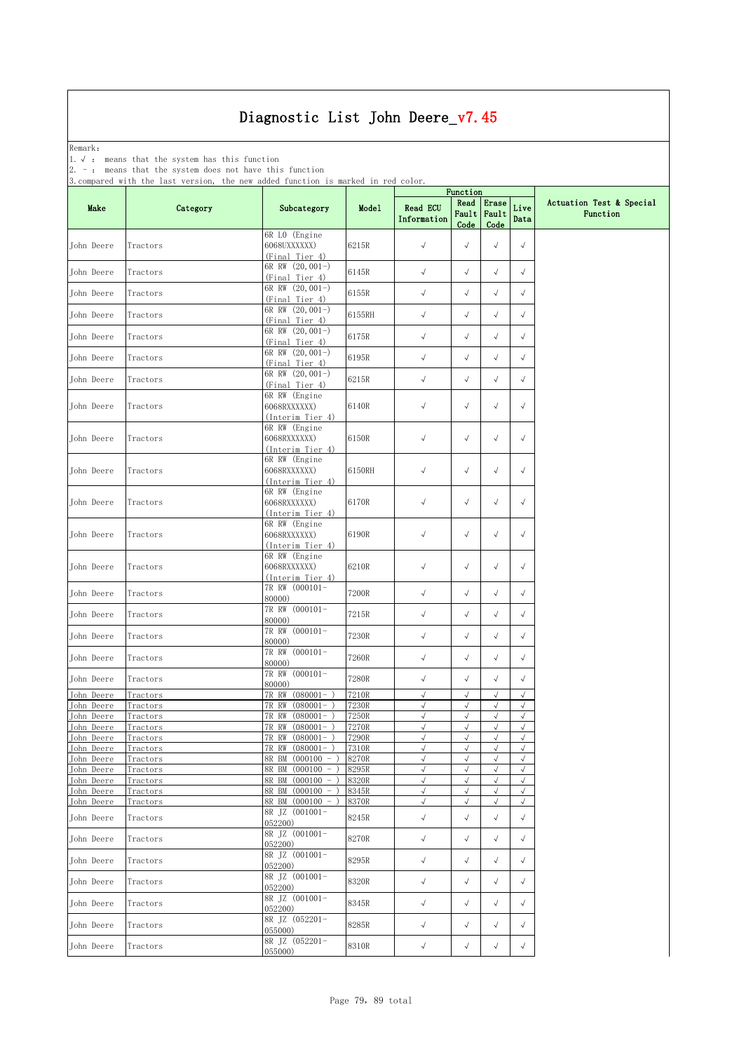Remark: The contract of the contract of  $\mathbb{R}$  and  $\mathbb{R}$  are contract of  $\mathbb{R}$  and  $\mathbb{R}$  are contract of  $\mathbb{R}$  and  $\mathbb{R}$  are contract of  $\mathbb{R}$  and  $\mathbb{R}$  are contract of  $\mathbb{R}$  and  $\mathbb{R}$  are cont

1.√ : means that the system has this function

2. - : means that the system does not have this function

|                                 |                      |                                                   |                |                                | Function       |                              |                         |                                      |
|---------------------------------|----------------------|---------------------------------------------------|----------------|--------------------------------|----------------|------------------------------|-------------------------|--------------------------------------|
| Make                            | Category             | Subcategory                                       | Model          | <b>Read ECU</b><br>Information | Read<br>Code   | Erase<br>Fault Fault<br>Code | Live<br>Data            | Actuation Test & Special<br>Function |
| John Deere                      | Tractors             | 6R LO (Engine<br>6068UXXXXXX)<br>(Final Tier 4)   | 6215R          | $\checkmark$                   | $\sqrt{ }$     | $\sqrt{ }$                   | $\sqrt{}$               |                                      |
| John Deere                      | Tractors             | 6R RW (20,001-)<br>(Final Tier 4)                 | 6145R          | $\checkmark$                   | $\sqrt{ }$     | $\sqrt{ }$                   | $\sqrt{ }$              |                                      |
| John Deere                      | Tractors             | 6R RW (20,001-)<br>(Final Tier 4)                 | 6155R          | $\checkmark$                   | $\sqrt{ }$     | $\sqrt{}$                    | $\checkmark$            |                                      |
| John Deere                      | Tractors             | 6R RW $(20, 001-)$<br>(Final Tier 4)              | 6155RH         | $\checkmark$                   | $\sqrt{ }$     | $\sqrt{ }$                   | $\checkmark$            |                                      |
| John Deere                      | Tractors             | 6R RW (20,001-)<br>(Final Tier 4)                 | 6175R          | $\checkmark$                   | $\sqrt{ }$     | $\sqrt{}$                    | $\checkmark$            |                                      |
| John Deere                      | Tractors             | 6R RW (20,001-)<br>(Final Tier 4)                 | 6195R          | $\checkmark$                   | $\sqrt{ }$     | $\sqrt{ }$                   | $\sqrt{}$               |                                      |
| John Deere                      | Tractors             | 6R RW (20,001-)<br>(Final Tier 4)                 | 6215R          | $\checkmark$                   | $\sqrt{ }$     | $\sqrt{}$                    | $\sqrt{}$               |                                      |
| John Deere                      | Tractors             | 6R RW (Engine<br>6068RXXXXXX)<br>(Interim Tier 4) | 6140R          | $\sqrt{ }$                     | $\sqrt{ }$     | $\sqrt{ }$                   | $\sqrt{}$               |                                      |
| John Deere                      | Tractors             | 6R RW (Engine<br>6068RXXXXXX)<br>(Interim Tier 4) | 6150R          | $\checkmark$                   | $\sqrt{ }$     | $\sqrt{ }$                   | $\sqrt{ }$              |                                      |
| John Deere                      | Tractors             | 6R RW (Engine<br>6068RXXXXXX)<br>(Interim Tier 4) | 6150RH         | $\sqrt{ }$                     | $\sqrt{ }$     | $\sqrt{}$                    | $\sqrt{}$               |                                      |
| John Deere                      | Tractors             | 6R RW (Engine<br>6068RXXXXXX)<br>(Interim Tier 4) | 6170R          | $\sqrt{ }$                     | $\sqrt{ }$     | $\sqrt{ }$                   | $\sqrt{}$               |                                      |
| John Deere                      | Tractors             | 6R RW (Engine<br>6068RXXXXXX)<br>(Interim Tier 4) | 6190R          | $\sqrt{ }$                     | $\sqrt{ }$     | $\sqrt{}$                    | $\sqrt{ }$              |                                      |
| John Deere                      | Tractors             | 6R RW (Engine<br>6068RXXXXXX)<br>(Interim Tier 4) | 6210R          | $\sqrt{ }$                     | $\sqrt{ }$     | $\sqrt{}$                    | $\sqrt{ }$              |                                      |
| John Deere                      | Tractors             | 7R RW (000101-<br>80000)                          | 7200R          | $\sqrt{ }$                     | $\sqrt{ }$     | $\sqrt{2}$                   | $\sqrt{}$               |                                      |
| John Deere                      | Tractors             | 7R RW (000101-<br>80000)                          | 7215R          | $\sqrt{ }$                     | $\sqrt{ }$     | $\sqrt{}$                    | $\checkmark$            |                                      |
| John Deere                      | Tractors             | 7R RW (000101-<br>80000)                          | 7230R          | $\checkmark$                   | $\sqrt{ }$     | $\sqrt{}$                    | $\sqrt{}$               |                                      |
| John Deere                      | Tractors             | 7R RW (000101-<br>80000)                          | 7260R          | $\checkmark$                   | $\sqrt{ }$     | $\sqrt{}$                    | $\sqrt{}$               |                                      |
| John Deere                      | Tractors             | 7R RW (000101-<br>80000)                          | 7280R          | $\checkmark$                   | $\sqrt{ }$     | $\sqrt{}$                    | $\sqrt{}$               |                                      |
| John Deere                      | Tractors             | $(080001 -$<br>7R RW                              | 7210R          | $\sqrt{ }$                     | $\sqrt{ }$     | $\sqrt{ }$                   | $\sqrt{ }$              |                                      |
| John Deere                      | Tractors             | $(080001 -$<br>7R RW                              | 7230R          | $\sqrt{ }$                     | $\sqrt{ }$     | $\sqrt{}$                    | $\sqrt{}$               |                                      |
| <b>John Deere</b><br>John Deere | Tractors<br>Tractors | $(080001 -$<br>7R RW<br>7R RW (080001-            | 7250R<br>7270R | √<br>$\sqrt{ }$                | √<br>$\sqrt{}$ | $\checkmark$<br>$\sqrt{ }$   | $\sqrt{}$<br>$\sqrt{ }$ |                                      |
| John Deere                      | Tractors             | 7R RW (080001-                                    | 7290R          | $\sqrt{ }$                     | $\sqrt{ }$     | $\sqrt{ }$                   | $\sqrt{}$               |                                      |
| John Deere                      | Tractors             | 7R RW (080001-)                                   | 7310R          | $\sqrt{ }$                     | $\sqrt{ }$     | $\sqrt{}$                    | $\sqrt{ }$              |                                      |
| John Deere                      | Tractors             | 8R BM $(000100 - )$                               | 8270R          | $\sqrt{ }$                     | $\sqrt{ }$     | $\sqrt{ }$                   | $\sqrt{}$               |                                      |
| John Deere                      | Tractors             | 8R BM (000100 - )                                 | 8295R          | $\sqrt{ }$                     | $\sqrt{ }$     | $\sqrt{2}$                   | $\sqrt{ }$              |                                      |
| <b>John Deere</b>               | Tractors             | 8R BM (000100 - )                                 | 8320R          | $\sqrt{}$                      | $\sqrt{2}$     | $\sqrt{2}$                   | $\sqrt{ }$              |                                      |
| John Deere                      | Tractors             | 8R BM (000100 -)                                  | 8345R          | $\sqrt{ }$                     | $\sqrt{ }$     | $\sqrt{}$                    | $\sqrt{ }$              |                                      |
| John Deere                      | Tractors             | 8R BM (000100 - )                                 | 8370R          | $\checkmark$                   | $\sqrt{}$      | $\sqrt{ }$                   | $\sqrt{ }$              |                                      |
| John Deere                      | Tractors             | 8R JZ (001001-<br>052200)                         | 8245R          | $\sqrt{ }$                     | $\sqrt{ }$     | $\sqrt{}$                    | $\sqrt{}$               |                                      |
| John Deere                      | Tractors             | 8R JZ (001001-<br>052200)                         | 8270R          | $\checkmark$                   | $\sqrt{ }$     | $\sqrt{}$                    | $\sqrt{}$               |                                      |
| John Deere                      | Tractors             | 8R JZ (001001-<br>052200)                         | 8295R          | $\sqrt{ }$                     | $\sqrt{ }$     | $\sqrt{}$                    | $\sqrt{ }$              |                                      |
| John Deere                      | Tractors             | 8R JZ (001001-<br>052200)                         | 8320R          | $\sqrt{ }$                     | $\sqrt{ }$     | $\sqrt{}$                    | $\sqrt{}$               |                                      |
| John Deere                      | Tractors             | 8R JZ (001001-<br>052200)                         | 8345R          | $\checkmark$                   | $\sqrt{ }$     | $\sqrt{}$                    | $\sqrt{}$               |                                      |
| John Deere                      | Tractors             | 8R JZ (052201-<br>055000)                         | 8285R          | $\sqrt{ }$                     | $\sqrt{ }$     | $\sqrt{ }$                   | $\sqrt{}$               |                                      |
| John Deere                      | Tractors             | 8R JZ (052201-<br>055000)                         | 8310R          | $\checkmark$                   | $\checkmark$   | $\sqrt{ }$                   | $\sqrt{}$               |                                      |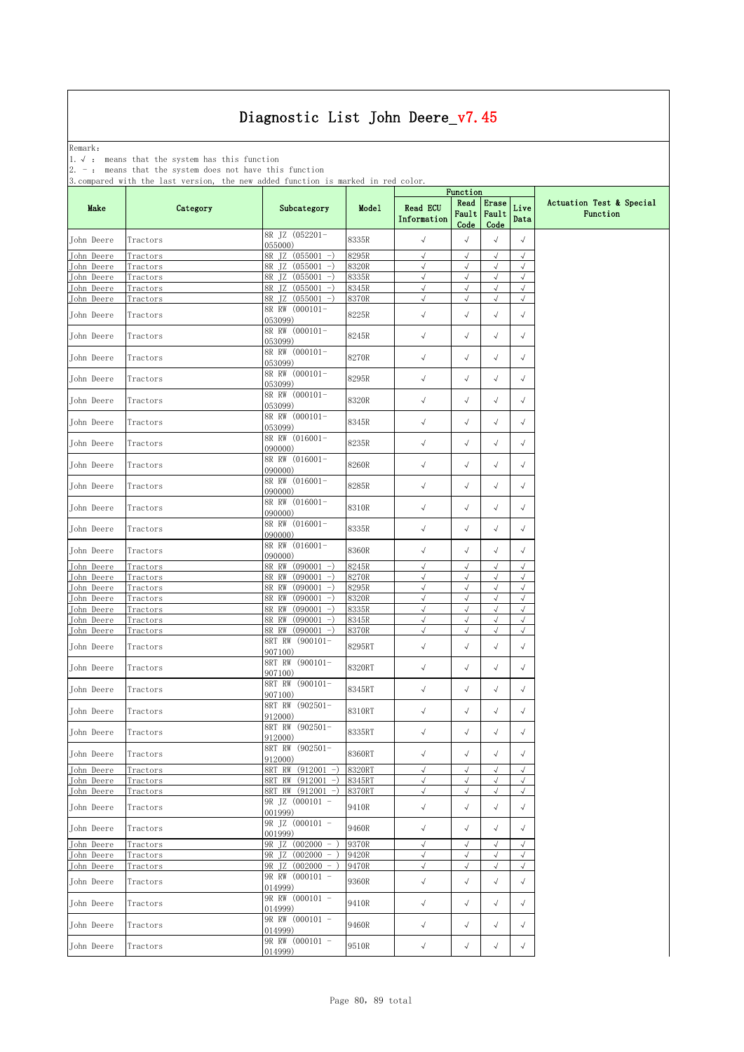Remark: The contract of the contract of  $\mathbb{R}$  and  $\mathbb{R}$  are contract of  $\mathbb{R}$  and  $\mathbb{R}$  are contract of  $\mathbb{R}$  and  $\mathbb{R}$  are contract of  $\mathbb{R}$  and  $\mathbb{R}$  are contract of  $\mathbb{R}$  and  $\mathbb{R}$  are cont

1.√ : means that the system has this function

2. - : means that the system does not have this function

|                   |          |                                        |        |                                | Function              |                        |              |                                      |
|-------------------|----------|----------------------------------------|--------|--------------------------------|-----------------------|------------------------|--------------|--------------------------------------|
| Make              | Category | Subcategory                            | Model  | <b>Read ECU</b><br>Information | Read<br>Fault<br>Code | Erase<br>Fault<br>Code | Live<br>Data | Actuation Test & Special<br>Function |
| John Deere        | Tractors | 8R JZ (052201-<br>055000)              | 8335R  | $\sqrt{ }$                     | √                     | $\sqrt{}$              | $\sqrt{ }$   |                                      |
| John Deere        | Tractors | 8R JZ (055001 -)                       | 8295R  | $\sqrt{}$                      | $\sqrt{}$             | $\sqrt{ }$             | $\sqrt{ }$   |                                      |
| John Deere        | Tractors | 8R JZ<br>(055001<br>$-$                | 8320R  | $\sqrt{}$                      | $\sqrt{2}$            | $\sqrt{}$              | $\sqrt{2}$   |                                      |
| John Deere        | Tractors | 8R JZ (055001<br>$-$                   | 8335R  | $\sqrt{2}$                     | $\sqrt{}$             | $\sqrt{}$              | $\sqrt{2}$   |                                      |
| John Deere        | Tractors | 8R JZ (055001<br>$-$                   | 8345R  | $\sqrt{ }$                     | $\sqrt{}$             | $\sqrt{ }$             | $\sqrt{ }$   |                                      |
| John Deere        | Tractors | 8R JZ (055001<br>$-$<br>8R RW (000101- | 8370R  | $\sqrt{ }$                     | √                     | $\sqrt{}$              | $\sqrt{ }$   |                                      |
| John Deere        | Tractors | 053099)                                | 8225R  | $\checkmark$                   | $\sqrt{ }$            | $\sqrt{}$              | $\sqrt{ }$   |                                      |
| John Deere        | Tractors | 8R RW (000101-<br>053099)              | 8245R  | $\sqrt{ }$                     | √                     | $\sqrt{}$              | $\sqrt{ }$   |                                      |
| John Deere        | Tractors | 8R RW (000101-<br>053099)              | 8270R  | $\sqrt{ }$                     | $\sqrt{}$             | $\sqrt{ }$             | $\sqrt{ }$   |                                      |
| John Deere        | Tractors | 8R RW (000101-<br>053099)              | 8295R  | $\checkmark$                   | √                     | $\sqrt{}$              | $\sqrt{ }$   |                                      |
| John Deere        | Tractors | 8R RW (000101-<br>053099)              | 8320R  | $\checkmark$                   | $\sqrt{}$             | $\sqrt{}$              | $\sqrt{ }$   |                                      |
| John Deere        | Tractors | 8R RW (000101-<br>053099)              | 8345R  | $\checkmark$                   | $\sqrt{}$             | $\sqrt{ }$             | $\sqrt{ }$   |                                      |
| John Deere        | Tractors | 8R RW (016001-                         | 8235R  | $\checkmark$                   | $\sqrt{ }$            | $\sqrt{ }$             | $\sqrt{ }$   |                                      |
| John Deere        | Tractors | 090000)<br>8R RW (016001-              | 8260R  | $\checkmark$                   | $\sqrt{ }$            | $\sqrt{ }$             | $\sqrt{ }$   |                                      |
| John Deere        | Tractors | 090000)<br>8R RW (016001-              | 8285R  | $\checkmark$                   | $\sqrt{ }$            | $\sqrt{}$              | $\sqrt{ }$   |                                      |
| John Deere        | Tractors | 090000)<br>8R RW (016001-              | 8310R  | $\checkmark$                   | $\sqrt{}$             | $\sqrt{ }$             | $\sqrt{ }$   |                                      |
| John Deere        | Tractors | 090000)<br>8R RW (016001-              | 8335R  | $\checkmark$                   | $\sqrt{}$             | $\sqrt{}$              | $\sqrt{ }$   |                                      |
| John Deere        | Tractors | 090000)<br>8R RW (016001-<br>090000)   | 8360R  | $\checkmark$                   | $\sqrt{}$             | $\sqrt{}$              | $\sqrt{ }$   |                                      |
| John Deere        | Tractors | 8R RW (090001 -)                       | 8245R  | $\sqrt{}$                      | $\sqrt{}$             | $\sqrt{ }$             | $\sqrt{}$    |                                      |
| John Deere        | Tractors | 8R RW<br>(090001<br>$-$                | 8270R  | $\sqrt{2}$                     | $\sqrt{}$             | $\sqrt{}$              | $\sqrt{ }$   |                                      |
| John Deere        | Tractors | 8R RW<br>(090001<br>$-$                | 8295R  | $\sqrt{ }$                     | $\sqrt{}$             | $\sqrt{ }$             | $\sqrt{ }$   |                                      |
| John Deere        | Tractors | (090001<br>8R RW<br>$-$                | 8320R  | $\sqrt{ }$                     | √                     | $\sqrt{}$              | $\sqrt{ }$   |                                      |
| John Deere        | Tractors | (090001<br>8R RW<br>$-$                | 8335R  | $\sqrt{ }$                     | $\sqrt{}$             | $\sqrt{ }$             | $\sqrt{ }$   |                                      |
| John Deere        | Tractors | $(090001 - )$<br>8R RW                 | 8345R  | $\sqrt{ }$                     | $\sqrt{}$             | $\sqrt{ }$             | $\sqrt{ }$   |                                      |
| John Deere        | Tractors | 8R RW<br>$(090001 - )$                 | 8370R  | $\sqrt{ }$                     | $\sqrt{ }$            | $\sqrt{}$              | $\sqrt{ }$   |                                      |
| John Deere        | Tractors | 8RT RW (900101-<br>907100)             | 8295RT | $\sqrt{ }$                     | $\sqrt{ }$            | $\sqrt{ }$             | $\sqrt{}$    |                                      |
| John Deere        | Tractors | 8RT RW (900101-<br>907100)             | 8320RT | $\checkmark$                   | $\sqrt{}$             | $\sqrt{}$              | $\sqrt{ }$   |                                      |
| John Deere        | Tractors | 8RT RW (900101-<br>907100)             | 8345RT | $\checkmark$                   | $\sqrt{}$             | $\sqrt{ }$             | $\sqrt{ }$   |                                      |
| John Deere        | Tractors | 8RT RW (902501-<br>912000)             | 8310RT | $\sqrt{ }$                     | √                     | $\sqrt{}$              | $\sqrt{}$    |                                      |
| John Deere        | Tractors | 8RT RW (902501-<br>912000)             | 8335RT | $\sqrt{}$                      | $\sqrt{}$             | $\sqrt{}$              | $\sqrt{}$    |                                      |
| John Deere        | Tractors | 8RT RW (902501-<br>912000)             | 8360RT | $\sqrt{ }$                     | $\sqrt{}$             | $\sqrt{ }$             | $\sqrt{ }$   |                                      |
| John Deere        | Tractors | 8RT RW (912001<br>$-$                  | 8320RT | $\checkmark$                   | $\sqrt{}$             | $\sqrt{}$              | $\sqrt{ }$   |                                      |
| John Deere        | Tractors | 8RT RW<br>$(912001 - )$                | 8345RT | $\sqrt{}$                      | $\sqrt{ }$            | $\sqrt{ }$             | $\sqrt{ }$   |                                      |
| John Deere        | Tractors | 8RT RW (912001 -)                      | 8370RT | $\sqrt{}$                      | √                     | $\sqrt{ }$             | $\sqrt{ }$   |                                      |
| John Deere        | Tractors | 9R JZ (000101 -<br>001999)             | 9410R  | $\checkmark$                   | $\sqrt{ }$            | $\sqrt{ }$             | $\sqrt{}$    |                                      |
| John Deere        | Tractors | 9R JZ (000101 -<br>001999)             | 9460R  | $\checkmark$                   | $\checkmark$          | $\sqrt{}$              | $\sqrt{ }$   |                                      |
| John Deere        | Tractors | 9R JZ (002000 - )                      | 9370R  | $\checkmark$                   | $\sqrt{ }$            | $\sqrt{ }$             | $\sqrt{ }$   |                                      |
| <b>Tohn Deere</b> | Tractors | $9R$ JZ $(002000 - )$                  | 9420R  | $\sqrt{}$                      | $\sqrt{2}$            | $\sqrt{2}$             | $\sqrt{ }$   |                                      |
| John Deere        | Tractors | 9R JZ (002000 - )                      | 9470R  | $\sqrt{}$                      | $\sqrt{}$             | $\sqrt{}$              | $\sqrt{ }$   |                                      |
| John Deere        | Tractors | $9R$ RW $(000101 -$<br>014999)         | 9360R  | $\checkmark$                   | $\sqrt{ }$            | $\sqrt{ }$             | $\sqrt{}$    |                                      |
| John Deere        | Tractors | 9R RW (000101 -<br>014999)             | 9410R  | $\checkmark$                   | $\checkmark$          | $\sqrt{}$              | $\sqrt{ }$   |                                      |
| John Deere        | Tractors | 9R RW (000101 -<br>014999)             | 9460R  | $\checkmark$                   | $\sqrt{ }$            | $\sqrt{}$              | $\sqrt{ }$   |                                      |
| John Deere        | Tractors | 9R RW (000101 -<br>014999)             | 9510R  | $\sqrt{ }$                     | $\sqrt{}$             | $\sqrt{}$              | $\sqrt{}$    |                                      |
|                   |          |                                        |        |                                |                       |                        |              |                                      |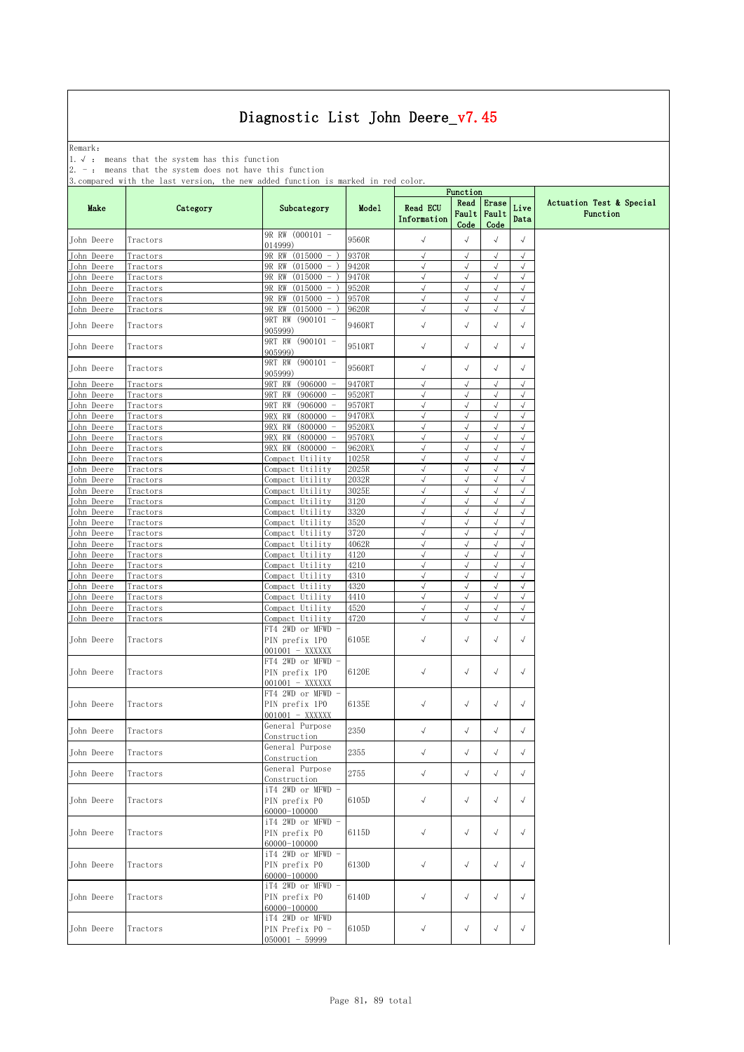Remark: The contract of the contract of  $\mathbb{R}$  and  $\mathbb{R}$  are contract of  $\mathbb{R}$  and  $\mathbb{R}$  are contract of  $\mathbb{R}$  and  $\mathbb{R}$  are contract of  $\mathbb{R}$  and  $\mathbb{R}$  are contract of  $\mathbb{R}$  and  $\mathbb{R}$  are cont

1.√ : means that the system has this function

2. - : means that the system does not have this function

| Actuation Test & Special<br>Read<br>Erase<br><b>Read ECU</b><br>Live<br>Make<br>Category<br>Subcategory<br>Model<br>Fault<br>Fault<br>Function<br>Information<br>Data<br>Code<br>Code<br>9R RW (000101 -<br>9560R<br>$\sqrt{ }$<br>$\sqrt{}$<br>$\sqrt{ }$<br>Tractors<br>$\sqrt{ }$<br>014999)<br>$9R$ RW $(015000 - )$<br>9370R<br>John Deere<br>$\sqrt{ }$<br>$\sqrt{}$<br>$\sqrt{}$<br>$\sqrt{ }$<br>Tractors<br>(015000)<br>9420R<br>$\sqrt{}$<br>John Deere<br>Tractors<br>9R RW<br>$\sqrt{}$<br>$\sqrt{}$<br>$\sqrt{ }$<br>$\overline{\phantom{a}}$<br>John Deere<br>Tractors<br>9R RW<br>(015000)<br>9470R<br>$\sqrt{ }$<br>$\sqrt{}$<br>$\sqrt{}$<br>$\sqrt{}$<br>- 1<br>9R RW<br>(015000)<br>9520R<br>$\sqrt{}$<br>$\sqrt{ }$<br>$\sqrt{ }$<br>John Deere<br>Tractors<br>$\sqrt{}$<br>- 1<br>9R RW<br>(015000)<br>9570R<br>$\sqrt{ }$<br>John Deere<br>$\sqrt{ }$<br>$\sqrt{}$<br>$\sqrt{}$<br>Tractors<br>$-$ )<br>9R RW<br>$\sqrt{ }$<br>$\sqrt{ }$<br>John Deere<br>(015000)<br>9620R<br>$\sqrt{ }$<br>$\sqrt{ }$<br>Tractors<br>$-$ )<br>9RT RW (900101 -<br>9460RT<br>$\sqrt{ }$<br>$\sqrt{}$<br>$\sqrt{}$<br>$\sqrt{ }$<br>John Deere<br>Tractors<br>905999)<br>9RT RW (900101 -<br>9510RT<br>$\checkmark$<br>$\sqrt{ }$<br>$\checkmark$<br>$\sqrt{ }$<br>John Deere<br>Tractors<br>905999)<br>9RT RW (900101 -<br>9560RT<br>$\sqrt{ }$<br>John Deere<br>√<br>$\sqrt{}$<br>Tractors<br>$\sqrt{}$<br>905999)<br>(906000)<br>$\sqrt{}$<br>John Deere<br>9RT RW<br>9470RT<br>$\sqrt{ }$<br>$\sqrt{ }$<br>$\sqrt{ }$<br>Tractors<br>$\sqrt{ }$<br>John Deere<br>(906000)<br>9520RT<br>$\sqrt{}$<br>$\sqrt{}$<br>$\sqrt{ }$<br>Tractors<br>RW<br>9RT.<br>$\sqrt{ }$<br>John Deere<br>9RT RW<br>(906000)<br>9570R1<br>$\sqrt{ }$<br>$\sqrt{}$<br>$\checkmark$<br>Tractors<br>$\overline{\phantom{a}}$<br>John Deere<br>9RX<br>9470RX<br>$\sqrt{ }$<br>$\sqrt{}$<br>Tractors<br>RW<br>(800000)<br>$\sqrt{}$<br>$\sqrt{2}$<br>John Deere<br>9RX<br>RW<br>(800000)<br>9520RX<br>$\sqrt{ }$<br>$\sqrt{}$<br>$\sqrt{ }$<br>$\sqrt{ }$<br>Tractors<br>$\sqrt{ }$<br>$\sqrt{}$<br>$\sqrt{ }$<br>$\sqrt{ }$<br>John Deere<br>9RX<br>RW<br>(800000)<br>9570RX<br>Tractors<br>9RX RW<br>(800000)<br>John Deere<br>9620RX<br>$\sqrt{ }$<br>$\sqrt{ }$<br>Tractors<br>$\sqrt{ }$<br>$\sqrt{}$<br>1025R<br>$\sqrt{ }$<br>$\sqrt{}$<br>$\sqrt{}$<br>$\sqrt{ }$<br>John Deere<br>Utility<br>Tractors<br>Compact<br>$\sqrt{}$<br>John Deere<br>Compact Utility<br>2025R<br>$\sqrt{ }$<br>Tractors<br>√<br>√<br>$\sqrt{ }$<br>$\sqrt{ }$<br>2032R<br>$\sqrt{ }$<br>$\sqrt{}$<br>John Deere<br>Compact Utility<br>Tractors<br>3025E<br>$\sqrt{ }$<br>$\sqrt{}$<br>$\sqrt{ }$<br>$\sqrt{ }$<br>John Deere<br>Tractors<br>Compact Utility<br>John Deere<br>3120<br>$\sqrt{2}$<br>$\sqrt{}$<br>$\sqrt{}$<br>$\sqrt{ }$<br>Tractors<br>Compact Utility<br>3320<br>$\sqrt{ }$<br>$\sqrt{}$<br>John Deere<br>Compact Utility<br>$\sqrt{ }$<br>$\sqrt{ }$<br>Tractors<br>Compact Utility<br>3520<br>$\sqrt{ }$<br>John Deere<br>Tractors<br>$\sqrt{}$<br>$\sqrt{}$<br>$\sqrt{}$<br>John Deere<br>3720<br>$\sqrt{2}$<br>$\sqrt{}$<br>$\sqrt{ }$<br>$\sqrt{ }$<br>Tractors<br>Compact Utility<br>$\sqrt{ }$<br>John Deere<br>Compact Utility<br>4062R<br>$\sqrt{}$<br>$\sqrt{ }$<br>$\sqrt{ }$<br>Tractors<br>4120<br>$\sqrt{ }$<br>$\sqrt{}$<br>$\sqrt{ }$<br>$\sqrt{ }$<br>John Deere<br>Tractors<br>Compact Utility<br>4210<br>$\sqrt{ }$<br>$\sqrt{}$<br>$\sqrt{ }$<br>$\sqrt{ }$<br>John Deere<br>Tractors<br>Compact Utility<br>Compact Utility<br>4310<br>$\sqrt{ }$<br>John Deere<br>Tractors<br>$\sqrt{}$<br>$\sqrt{}$<br>$\sqrt{ }$<br>4320<br>$\sqrt{ }$<br>$\sqrt{2}$<br>$\sqrt{}$<br>$\sqrt{ }$<br>John Deere<br>Compact Utility<br>Tractors<br>$\sqrt{ }$<br>John Deere<br>Compact Utility<br>4410<br>$\sqrt{ }$<br>$\sqrt{}$<br>$\sqrt{}$<br>Tractors<br>$\sqrt{2}$<br>4520<br>$\sqrt{}$<br>$\sqrt{}$<br>$\sqrt{2}$<br>John Deere<br>Tractors<br>Compact Utility<br>$\sqrt{}$<br>4720<br>$\sqrt{ }$<br>$\sqrt{}$<br>$\sqrt{ }$<br>John Deere<br>Compact Utility<br>Tractors<br>FT4 2WD or MFWD<br>6105E<br>$\sqrt{ }$<br>√<br>$\sqrt{}$<br>John Deere<br>PIN prefix 1PO<br>$\sqrt{ }$<br>Tractors<br>$001001 - XXXXXX$<br>FT4 2WD or MFWD<br>6120E<br>$\sqrt{ }$<br>√<br>PIN prefix 1PO<br>$\sqrt{ }$<br>$\sqrt{ }$<br>Tractors<br>$001001 - XXXXXX$<br>FT4 2WD or MFWD<br>6135E<br>$\sqrt{ }$<br>$\sqrt{}$<br>$\sqrt{}$<br>PIN prefix 1PO<br>$\sqrt{ }$<br>Tractors<br>001001 - XXXXXX<br>General Purpose<br>2350<br>$\sqrt{ }$<br>$\sqrt{}$<br>$\sqrt{ }$<br>Tractors<br>$\sqrt{}$<br>Construction<br>General Purpose<br>2355<br>$\checkmark$<br>$\sqrt{ }$<br>John Deere<br>Tractors<br>$\sqrt{}$<br>$\sqrt{ }$<br>Construction<br>General Purpose<br>$\sqrt{ }$<br>$\sqrt{ }$<br>2755<br>$\sqrt{ }$<br>$\sqrt{ }$<br>Tractors<br>Construction<br>iT4 2WD or MFWD -<br>John Deere<br>PIN prefix PO<br>6105D<br>$\sqrt{ }$<br>$\sqrt{ }$<br>Tractors<br>$\sqrt{ }$<br>$\sqrt{ }$<br>60000-100000<br>iT4 2WD or MFWD -<br>$\sqrt{ }$<br>John Deere<br>PIN prefix PO<br>6115D<br>$\sqrt{ }$<br>$\sqrt{ }$<br>$\sqrt{ }$<br>Tractors<br>60000-100000<br>iT4 2WD or MFWD -<br>$\checkmark$<br>$\sqrt{ }$<br>John Deere<br>PIN prefix PO<br>6130D<br>$\sqrt{}$<br>$\sqrt{ }$<br>Tractors<br>60000-100000<br>iT4 2WD or MFWD -<br>$\sqrt{ }$<br>John Deere<br>6140D<br>$\sqrt{ }$<br>$\sqrt{}$<br>$\sqrt{ }$<br>Tractors<br>PIN prefix PO<br>60000-100000<br>iT4 2WD or MFWD<br>PIN Prefix PO -<br>6105D<br>$\sqrt{ }$<br>$\sqrt{ }$<br>$\sqrt{}$<br>Tractors<br>$\sqrt{ }$ |            |                  |  | Function |  |  |
|-----------------------------------------------------------------------------------------------------------------------------------------------------------------------------------------------------------------------------------------------------------------------------------------------------------------------------------------------------------------------------------------------------------------------------------------------------------------------------------------------------------------------------------------------------------------------------------------------------------------------------------------------------------------------------------------------------------------------------------------------------------------------------------------------------------------------------------------------------------------------------------------------------------------------------------------------------------------------------------------------------------------------------------------------------------------------------------------------------------------------------------------------------------------------------------------------------------------------------------------------------------------------------------------------------------------------------------------------------------------------------------------------------------------------------------------------------------------------------------------------------------------------------------------------------------------------------------------------------------------------------------------------------------------------------------------------------------------------------------------------------------------------------------------------------------------------------------------------------------------------------------------------------------------------------------------------------------------------------------------------------------------------------------------------------------------------------------------------------------------------------------------------------------------------------------------------------------------------------------------------------------------------------------------------------------------------------------------------------------------------------------------------------------------------------------------------------------------------------------------------------------------------------------------------------------------------------------------------------------------------------------------------------------------------------------------------------------------------------------------------------------------------------------------------------------------------------------------------------------------------------------------------------------------------------------------------------------------------------------------------------------------------------------------------------------------------------------------------------------------------------------------------------------------------------------------------------------------------------------------------------------------------------------------------------------------------------------------------------------------------------------------------------------------------------------------------------------------------------------------------------------------------------------------------------------------------------------------------------------------------------------------------------------------------------------------------------------------------------------------------------------------------------------------------------------------------------------------------------------------------------------------------------------------------------------------------------------------------------------------------------------------------------------------------------------------------------------------------------------------------------------------------------------------------------------------------------------------------------------------------------------------------------------------------------------------------------------------------------------------------------------------------------------------------------------------------------------------------------------------------------------------------------------------------------------------------------------------------------------------------------------------------------------------------------------------------------------------------------------------------------------------------------------------------------------------------------------------------------------------------------------------------------------------------------------------------------------------------------------------------------------------------------------------------------------------------------------------------------------------------------------------------------------------------------------------------------------------------------------------------------------------------------------------------------------------------------------------------------------------------------------------------------------------------------------------------------------------------------------------------------------------------------------------------------------------------|------------|------------------|--|----------|--|--|
|                                                                                                                                                                                                                                                                                                                                                                                                                                                                                                                                                                                                                                                                                                                                                                                                                                                                                                                                                                                                                                                                                                                                                                                                                                                                                                                                                                                                                                                                                                                                                                                                                                                                                                                                                                                                                                                                                                                                                                                                                                                                                                                                                                                                                                                                                                                                                                                                                                                                                                                                                                                                                                                                                                                                                                                                                                                                                                                                                                                                                                                                                                                                                                                                                                                                                                                                                                                                                                                                                                                                                                                                                                                                                                                                                                                                                                                                                                                                                                                                                                                                                                                                                                                                                                                                                                                                                                                                                                                                                                                                                                                                                                                                                                                                                                                                                                                                                                                                                                                                                                                                                                                                                                                                                                                                                                                                                                                                                                                                                                                                                                       |            |                  |  |          |  |  |
|                                                                                                                                                                                                                                                                                                                                                                                                                                                                                                                                                                                                                                                                                                                                                                                                                                                                                                                                                                                                                                                                                                                                                                                                                                                                                                                                                                                                                                                                                                                                                                                                                                                                                                                                                                                                                                                                                                                                                                                                                                                                                                                                                                                                                                                                                                                                                                                                                                                                                                                                                                                                                                                                                                                                                                                                                                                                                                                                                                                                                                                                                                                                                                                                                                                                                                                                                                                                                                                                                                                                                                                                                                                                                                                                                                                                                                                                                                                                                                                                                                                                                                                                                                                                                                                                                                                                                                                                                                                                                                                                                                                                                                                                                                                                                                                                                                                                                                                                                                                                                                                                                                                                                                                                                                                                                                                                                                                                                                                                                                                                                                       | John Deere |                  |  |          |  |  |
|                                                                                                                                                                                                                                                                                                                                                                                                                                                                                                                                                                                                                                                                                                                                                                                                                                                                                                                                                                                                                                                                                                                                                                                                                                                                                                                                                                                                                                                                                                                                                                                                                                                                                                                                                                                                                                                                                                                                                                                                                                                                                                                                                                                                                                                                                                                                                                                                                                                                                                                                                                                                                                                                                                                                                                                                                                                                                                                                                                                                                                                                                                                                                                                                                                                                                                                                                                                                                                                                                                                                                                                                                                                                                                                                                                                                                                                                                                                                                                                                                                                                                                                                                                                                                                                                                                                                                                                                                                                                                                                                                                                                                                                                                                                                                                                                                                                                                                                                                                                                                                                                                                                                                                                                                                                                                                                                                                                                                                                                                                                                                                       |            |                  |  |          |  |  |
|                                                                                                                                                                                                                                                                                                                                                                                                                                                                                                                                                                                                                                                                                                                                                                                                                                                                                                                                                                                                                                                                                                                                                                                                                                                                                                                                                                                                                                                                                                                                                                                                                                                                                                                                                                                                                                                                                                                                                                                                                                                                                                                                                                                                                                                                                                                                                                                                                                                                                                                                                                                                                                                                                                                                                                                                                                                                                                                                                                                                                                                                                                                                                                                                                                                                                                                                                                                                                                                                                                                                                                                                                                                                                                                                                                                                                                                                                                                                                                                                                                                                                                                                                                                                                                                                                                                                                                                                                                                                                                                                                                                                                                                                                                                                                                                                                                                                                                                                                                                                                                                                                                                                                                                                                                                                                                                                                                                                                                                                                                                                                                       |            |                  |  |          |  |  |
|                                                                                                                                                                                                                                                                                                                                                                                                                                                                                                                                                                                                                                                                                                                                                                                                                                                                                                                                                                                                                                                                                                                                                                                                                                                                                                                                                                                                                                                                                                                                                                                                                                                                                                                                                                                                                                                                                                                                                                                                                                                                                                                                                                                                                                                                                                                                                                                                                                                                                                                                                                                                                                                                                                                                                                                                                                                                                                                                                                                                                                                                                                                                                                                                                                                                                                                                                                                                                                                                                                                                                                                                                                                                                                                                                                                                                                                                                                                                                                                                                                                                                                                                                                                                                                                                                                                                                                                                                                                                                                                                                                                                                                                                                                                                                                                                                                                                                                                                                                                                                                                                                                                                                                                                                                                                                                                                                                                                                                                                                                                                                                       |            |                  |  |          |  |  |
|                                                                                                                                                                                                                                                                                                                                                                                                                                                                                                                                                                                                                                                                                                                                                                                                                                                                                                                                                                                                                                                                                                                                                                                                                                                                                                                                                                                                                                                                                                                                                                                                                                                                                                                                                                                                                                                                                                                                                                                                                                                                                                                                                                                                                                                                                                                                                                                                                                                                                                                                                                                                                                                                                                                                                                                                                                                                                                                                                                                                                                                                                                                                                                                                                                                                                                                                                                                                                                                                                                                                                                                                                                                                                                                                                                                                                                                                                                                                                                                                                                                                                                                                                                                                                                                                                                                                                                                                                                                                                                                                                                                                                                                                                                                                                                                                                                                                                                                                                                                                                                                                                                                                                                                                                                                                                                                                                                                                                                                                                                                                                                       |            |                  |  |          |  |  |
|                                                                                                                                                                                                                                                                                                                                                                                                                                                                                                                                                                                                                                                                                                                                                                                                                                                                                                                                                                                                                                                                                                                                                                                                                                                                                                                                                                                                                                                                                                                                                                                                                                                                                                                                                                                                                                                                                                                                                                                                                                                                                                                                                                                                                                                                                                                                                                                                                                                                                                                                                                                                                                                                                                                                                                                                                                                                                                                                                                                                                                                                                                                                                                                                                                                                                                                                                                                                                                                                                                                                                                                                                                                                                                                                                                                                                                                                                                                                                                                                                                                                                                                                                                                                                                                                                                                                                                                                                                                                                                                                                                                                                                                                                                                                                                                                                                                                                                                                                                                                                                                                                                                                                                                                                                                                                                                                                                                                                                                                                                                                                                       |            |                  |  |          |  |  |
|                                                                                                                                                                                                                                                                                                                                                                                                                                                                                                                                                                                                                                                                                                                                                                                                                                                                                                                                                                                                                                                                                                                                                                                                                                                                                                                                                                                                                                                                                                                                                                                                                                                                                                                                                                                                                                                                                                                                                                                                                                                                                                                                                                                                                                                                                                                                                                                                                                                                                                                                                                                                                                                                                                                                                                                                                                                                                                                                                                                                                                                                                                                                                                                                                                                                                                                                                                                                                                                                                                                                                                                                                                                                                                                                                                                                                                                                                                                                                                                                                                                                                                                                                                                                                                                                                                                                                                                                                                                                                                                                                                                                                                                                                                                                                                                                                                                                                                                                                                                                                                                                                                                                                                                                                                                                                                                                                                                                                                                                                                                                                                       |            |                  |  |          |  |  |
|                                                                                                                                                                                                                                                                                                                                                                                                                                                                                                                                                                                                                                                                                                                                                                                                                                                                                                                                                                                                                                                                                                                                                                                                                                                                                                                                                                                                                                                                                                                                                                                                                                                                                                                                                                                                                                                                                                                                                                                                                                                                                                                                                                                                                                                                                                                                                                                                                                                                                                                                                                                                                                                                                                                                                                                                                                                                                                                                                                                                                                                                                                                                                                                                                                                                                                                                                                                                                                                                                                                                                                                                                                                                                                                                                                                                                                                                                                                                                                                                                                                                                                                                                                                                                                                                                                                                                                                                                                                                                                                                                                                                                                                                                                                                                                                                                                                                                                                                                                                                                                                                                                                                                                                                                                                                                                                                                                                                                                                                                                                                                                       |            |                  |  |          |  |  |
|                                                                                                                                                                                                                                                                                                                                                                                                                                                                                                                                                                                                                                                                                                                                                                                                                                                                                                                                                                                                                                                                                                                                                                                                                                                                                                                                                                                                                                                                                                                                                                                                                                                                                                                                                                                                                                                                                                                                                                                                                                                                                                                                                                                                                                                                                                                                                                                                                                                                                                                                                                                                                                                                                                                                                                                                                                                                                                                                                                                                                                                                                                                                                                                                                                                                                                                                                                                                                                                                                                                                                                                                                                                                                                                                                                                                                                                                                                                                                                                                                                                                                                                                                                                                                                                                                                                                                                                                                                                                                                                                                                                                                                                                                                                                                                                                                                                                                                                                                                                                                                                                                                                                                                                                                                                                                                                                                                                                                                                                                                                                                                       |            |                  |  |          |  |  |
|                                                                                                                                                                                                                                                                                                                                                                                                                                                                                                                                                                                                                                                                                                                                                                                                                                                                                                                                                                                                                                                                                                                                                                                                                                                                                                                                                                                                                                                                                                                                                                                                                                                                                                                                                                                                                                                                                                                                                                                                                                                                                                                                                                                                                                                                                                                                                                                                                                                                                                                                                                                                                                                                                                                                                                                                                                                                                                                                                                                                                                                                                                                                                                                                                                                                                                                                                                                                                                                                                                                                                                                                                                                                                                                                                                                                                                                                                                                                                                                                                                                                                                                                                                                                                                                                                                                                                                                                                                                                                                                                                                                                                                                                                                                                                                                                                                                                                                                                                                                                                                                                                                                                                                                                                                                                                                                                                                                                                                                                                                                                                                       |            |                  |  |          |  |  |
|                                                                                                                                                                                                                                                                                                                                                                                                                                                                                                                                                                                                                                                                                                                                                                                                                                                                                                                                                                                                                                                                                                                                                                                                                                                                                                                                                                                                                                                                                                                                                                                                                                                                                                                                                                                                                                                                                                                                                                                                                                                                                                                                                                                                                                                                                                                                                                                                                                                                                                                                                                                                                                                                                                                                                                                                                                                                                                                                                                                                                                                                                                                                                                                                                                                                                                                                                                                                                                                                                                                                                                                                                                                                                                                                                                                                                                                                                                                                                                                                                                                                                                                                                                                                                                                                                                                                                                                                                                                                                                                                                                                                                                                                                                                                                                                                                                                                                                                                                                                                                                                                                                                                                                                                                                                                                                                                                                                                                                                                                                                                                                       |            |                  |  |          |  |  |
|                                                                                                                                                                                                                                                                                                                                                                                                                                                                                                                                                                                                                                                                                                                                                                                                                                                                                                                                                                                                                                                                                                                                                                                                                                                                                                                                                                                                                                                                                                                                                                                                                                                                                                                                                                                                                                                                                                                                                                                                                                                                                                                                                                                                                                                                                                                                                                                                                                                                                                                                                                                                                                                                                                                                                                                                                                                                                                                                                                                                                                                                                                                                                                                                                                                                                                                                                                                                                                                                                                                                                                                                                                                                                                                                                                                                                                                                                                                                                                                                                                                                                                                                                                                                                                                                                                                                                                                                                                                                                                                                                                                                                                                                                                                                                                                                                                                                                                                                                                                                                                                                                                                                                                                                                                                                                                                                                                                                                                                                                                                                                                       |            |                  |  |          |  |  |
|                                                                                                                                                                                                                                                                                                                                                                                                                                                                                                                                                                                                                                                                                                                                                                                                                                                                                                                                                                                                                                                                                                                                                                                                                                                                                                                                                                                                                                                                                                                                                                                                                                                                                                                                                                                                                                                                                                                                                                                                                                                                                                                                                                                                                                                                                                                                                                                                                                                                                                                                                                                                                                                                                                                                                                                                                                                                                                                                                                                                                                                                                                                                                                                                                                                                                                                                                                                                                                                                                                                                                                                                                                                                                                                                                                                                                                                                                                                                                                                                                                                                                                                                                                                                                                                                                                                                                                                                                                                                                                                                                                                                                                                                                                                                                                                                                                                                                                                                                                                                                                                                                                                                                                                                                                                                                                                                                                                                                                                                                                                                                                       |            |                  |  |          |  |  |
|                                                                                                                                                                                                                                                                                                                                                                                                                                                                                                                                                                                                                                                                                                                                                                                                                                                                                                                                                                                                                                                                                                                                                                                                                                                                                                                                                                                                                                                                                                                                                                                                                                                                                                                                                                                                                                                                                                                                                                                                                                                                                                                                                                                                                                                                                                                                                                                                                                                                                                                                                                                                                                                                                                                                                                                                                                                                                                                                                                                                                                                                                                                                                                                                                                                                                                                                                                                                                                                                                                                                                                                                                                                                                                                                                                                                                                                                                                                                                                                                                                                                                                                                                                                                                                                                                                                                                                                                                                                                                                                                                                                                                                                                                                                                                                                                                                                                                                                                                                                                                                                                                                                                                                                                                                                                                                                                                                                                                                                                                                                                                                       |            |                  |  |          |  |  |
|                                                                                                                                                                                                                                                                                                                                                                                                                                                                                                                                                                                                                                                                                                                                                                                                                                                                                                                                                                                                                                                                                                                                                                                                                                                                                                                                                                                                                                                                                                                                                                                                                                                                                                                                                                                                                                                                                                                                                                                                                                                                                                                                                                                                                                                                                                                                                                                                                                                                                                                                                                                                                                                                                                                                                                                                                                                                                                                                                                                                                                                                                                                                                                                                                                                                                                                                                                                                                                                                                                                                                                                                                                                                                                                                                                                                                                                                                                                                                                                                                                                                                                                                                                                                                                                                                                                                                                                                                                                                                                                                                                                                                                                                                                                                                                                                                                                                                                                                                                                                                                                                                                                                                                                                                                                                                                                                                                                                                                                                                                                                                                       |            |                  |  |          |  |  |
|                                                                                                                                                                                                                                                                                                                                                                                                                                                                                                                                                                                                                                                                                                                                                                                                                                                                                                                                                                                                                                                                                                                                                                                                                                                                                                                                                                                                                                                                                                                                                                                                                                                                                                                                                                                                                                                                                                                                                                                                                                                                                                                                                                                                                                                                                                                                                                                                                                                                                                                                                                                                                                                                                                                                                                                                                                                                                                                                                                                                                                                                                                                                                                                                                                                                                                                                                                                                                                                                                                                                                                                                                                                                                                                                                                                                                                                                                                                                                                                                                                                                                                                                                                                                                                                                                                                                                                                                                                                                                                                                                                                                                                                                                                                                                                                                                                                                                                                                                                                                                                                                                                                                                                                                                                                                                                                                                                                                                                                                                                                                                                       |            |                  |  |          |  |  |
|                                                                                                                                                                                                                                                                                                                                                                                                                                                                                                                                                                                                                                                                                                                                                                                                                                                                                                                                                                                                                                                                                                                                                                                                                                                                                                                                                                                                                                                                                                                                                                                                                                                                                                                                                                                                                                                                                                                                                                                                                                                                                                                                                                                                                                                                                                                                                                                                                                                                                                                                                                                                                                                                                                                                                                                                                                                                                                                                                                                                                                                                                                                                                                                                                                                                                                                                                                                                                                                                                                                                                                                                                                                                                                                                                                                                                                                                                                                                                                                                                                                                                                                                                                                                                                                                                                                                                                                                                                                                                                                                                                                                                                                                                                                                                                                                                                                                                                                                                                                                                                                                                                                                                                                                                                                                                                                                                                                                                                                                                                                                                                       |            |                  |  |          |  |  |
|                                                                                                                                                                                                                                                                                                                                                                                                                                                                                                                                                                                                                                                                                                                                                                                                                                                                                                                                                                                                                                                                                                                                                                                                                                                                                                                                                                                                                                                                                                                                                                                                                                                                                                                                                                                                                                                                                                                                                                                                                                                                                                                                                                                                                                                                                                                                                                                                                                                                                                                                                                                                                                                                                                                                                                                                                                                                                                                                                                                                                                                                                                                                                                                                                                                                                                                                                                                                                                                                                                                                                                                                                                                                                                                                                                                                                                                                                                                                                                                                                                                                                                                                                                                                                                                                                                                                                                                                                                                                                                                                                                                                                                                                                                                                                                                                                                                                                                                                                                                                                                                                                                                                                                                                                                                                                                                                                                                                                                                                                                                                                                       |            |                  |  |          |  |  |
|                                                                                                                                                                                                                                                                                                                                                                                                                                                                                                                                                                                                                                                                                                                                                                                                                                                                                                                                                                                                                                                                                                                                                                                                                                                                                                                                                                                                                                                                                                                                                                                                                                                                                                                                                                                                                                                                                                                                                                                                                                                                                                                                                                                                                                                                                                                                                                                                                                                                                                                                                                                                                                                                                                                                                                                                                                                                                                                                                                                                                                                                                                                                                                                                                                                                                                                                                                                                                                                                                                                                                                                                                                                                                                                                                                                                                                                                                                                                                                                                                                                                                                                                                                                                                                                                                                                                                                                                                                                                                                                                                                                                                                                                                                                                                                                                                                                                                                                                                                                                                                                                                                                                                                                                                                                                                                                                                                                                                                                                                                                                                                       |            |                  |  |          |  |  |
|                                                                                                                                                                                                                                                                                                                                                                                                                                                                                                                                                                                                                                                                                                                                                                                                                                                                                                                                                                                                                                                                                                                                                                                                                                                                                                                                                                                                                                                                                                                                                                                                                                                                                                                                                                                                                                                                                                                                                                                                                                                                                                                                                                                                                                                                                                                                                                                                                                                                                                                                                                                                                                                                                                                                                                                                                                                                                                                                                                                                                                                                                                                                                                                                                                                                                                                                                                                                                                                                                                                                                                                                                                                                                                                                                                                                                                                                                                                                                                                                                                                                                                                                                                                                                                                                                                                                                                                                                                                                                                                                                                                                                                                                                                                                                                                                                                                                                                                                                                                                                                                                                                                                                                                                                                                                                                                                                                                                                                                                                                                                                                       |            |                  |  |          |  |  |
|                                                                                                                                                                                                                                                                                                                                                                                                                                                                                                                                                                                                                                                                                                                                                                                                                                                                                                                                                                                                                                                                                                                                                                                                                                                                                                                                                                                                                                                                                                                                                                                                                                                                                                                                                                                                                                                                                                                                                                                                                                                                                                                                                                                                                                                                                                                                                                                                                                                                                                                                                                                                                                                                                                                                                                                                                                                                                                                                                                                                                                                                                                                                                                                                                                                                                                                                                                                                                                                                                                                                                                                                                                                                                                                                                                                                                                                                                                                                                                                                                                                                                                                                                                                                                                                                                                                                                                                                                                                                                                                                                                                                                                                                                                                                                                                                                                                                                                                                                                                                                                                                                                                                                                                                                                                                                                                                                                                                                                                                                                                                                                       |            |                  |  |          |  |  |
|                                                                                                                                                                                                                                                                                                                                                                                                                                                                                                                                                                                                                                                                                                                                                                                                                                                                                                                                                                                                                                                                                                                                                                                                                                                                                                                                                                                                                                                                                                                                                                                                                                                                                                                                                                                                                                                                                                                                                                                                                                                                                                                                                                                                                                                                                                                                                                                                                                                                                                                                                                                                                                                                                                                                                                                                                                                                                                                                                                                                                                                                                                                                                                                                                                                                                                                                                                                                                                                                                                                                                                                                                                                                                                                                                                                                                                                                                                                                                                                                                                                                                                                                                                                                                                                                                                                                                                                                                                                                                                                                                                                                                                                                                                                                                                                                                                                                                                                                                                                                                                                                                                                                                                                                                                                                                                                                                                                                                                                                                                                                                                       |            |                  |  |          |  |  |
|                                                                                                                                                                                                                                                                                                                                                                                                                                                                                                                                                                                                                                                                                                                                                                                                                                                                                                                                                                                                                                                                                                                                                                                                                                                                                                                                                                                                                                                                                                                                                                                                                                                                                                                                                                                                                                                                                                                                                                                                                                                                                                                                                                                                                                                                                                                                                                                                                                                                                                                                                                                                                                                                                                                                                                                                                                                                                                                                                                                                                                                                                                                                                                                                                                                                                                                                                                                                                                                                                                                                                                                                                                                                                                                                                                                                                                                                                                                                                                                                                                                                                                                                                                                                                                                                                                                                                                                                                                                                                                                                                                                                                                                                                                                                                                                                                                                                                                                                                                                                                                                                                                                                                                                                                                                                                                                                                                                                                                                                                                                                                                       |            |                  |  |          |  |  |
|                                                                                                                                                                                                                                                                                                                                                                                                                                                                                                                                                                                                                                                                                                                                                                                                                                                                                                                                                                                                                                                                                                                                                                                                                                                                                                                                                                                                                                                                                                                                                                                                                                                                                                                                                                                                                                                                                                                                                                                                                                                                                                                                                                                                                                                                                                                                                                                                                                                                                                                                                                                                                                                                                                                                                                                                                                                                                                                                                                                                                                                                                                                                                                                                                                                                                                                                                                                                                                                                                                                                                                                                                                                                                                                                                                                                                                                                                                                                                                                                                                                                                                                                                                                                                                                                                                                                                                                                                                                                                                                                                                                                                                                                                                                                                                                                                                                                                                                                                                                                                                                                                                                                                                                                                                                                                                                                                                                                                                                                                                                                                                       |            |                  |  |          |  |  |
|                                                                                                                                                                                                                                                                                                                                                                                                                                                                                                                                                                                                                                                                                                                                                                                                                                                                                                                                                                                                                                                                                                                                                                                                                                                                                                                                                                                                                                                                                                                                                                                                                                                                                                                                                                                                                                                                                                                                                                                                                                                                                                                                                                                                                                                                                                                                                                                                                                                                                                                                                                                                                                                                                                                                                                                                                                                                                                                                                                                                                                                                                                                                                                                                                                                                                                                                                                                                                                                                                                                                                                                                                                                                                                                                                                                                                                                                                                                                                                                                                                                                                                                                                                                                                                                                                                                                                                                                                                                                                                                                                                                                                                                                                                                                                                                                                                                                                                                                                                                                                                                                                                                                                                                                                                                                                                                                                                                                                                                                                                                                                                       |            |                  |  |          |  |  |
|                                                                                                                                                                                                                                                                                                                                                                                                                                                                                                                                                                                                                                                                                                                                                                                                                                                                                                                                                                                                                                                                                                                                                                                                                                                                                                                                                                                                                                                                                                                                                                                                                                                                                                                                                                                                                                                                                                                                                                                                                                                                                                                                                                                                                                                                                                                                                                                                                                                                                                                                                                                                                                                                                                                                                                                                                                                                                                                                                                                                                                                                                                                                                                                                                                                                                                                                                                                                                                                                                                                                                                                                                                                                                                                                                                                                                                                                                                                                                                                                                                                                                                                                                                                                                                                                                                                                                                                                                                                                                                                                                                                                                                                                                                                                                                                                                                                                                                                                                                                                                                                                                                                                                                                                                                                                                                                                                                                                                                                                                                                                                                       |            |                  |  |          |  |  |
|                                                                                                                                                                                                                                                                                                                                                                                                                                                                                                                                                                                                                                                                                                                                                                                                                                                                                                                                                                                                                                                                                                                                                                                                                                                                                                                                                                                                                                                                                                                                                                                                                                                                                                                                                                                                                                                                                                                                                                                                                                                                                                                                                                                                                                                                                                                                                                                                                                                                                                                                                                                                                                                                                                                                                                                                                                                                                                                                                                                                                                                                                                                                                                                                                                                                                                                                                                                                                                                                                                                                                                                                                                                                                                                                                                                                                                                                                                                                                                                                                                                                                                                                                                                                                                                                                                                                                                                                                                                                                                                                                                                                                                                                                                                                                                                                                                                                                                                                                                                                                                                                                                                                                                                                                                                                                                                                                                                                                                                                                                                                                                       |            |                  |  |          |  |  |
|                                                                                                                                                                                                                                                                                                                                                                                                                                                                                                                                                                                                                                                                                                                                                                                                                                                                                                                                                                                                                                                                                                                                                                                                                                                                                                                                                                                                                                                                                                                                                                                                                                                                                                                                                                                                                                                                                                                                                                                                                                                                                                                                                                                                                                                                                                                                                                                                                                                                                                                                                                                                                                                                                                                                                                                                                                                                                                                                                                                                                                                                                                                                                                                                                                                                                                                                                                                                                                                                                                                                                                                                                                                                                                                                                                                                                                                                                                                                                                                                                                                                                                                                                                                                                                                                                                                                                                                                                                                                                                                                                                                                                                                                                                                                                                                                                                                                                                                                                                                                                                                                                                                                                                                                                                                                                                                                                                                                                                                                                                                                                                       |            |                  |  |          |  |  |
|                                                                                                                                                                                                                                                                                                                                                                                                                                                                                                                                                                                                                                                                                                                                                                                                                                                                                                                                                                                                                                                                                                                                                                                                                                                                                                                                                                                                                                                                                                                                                                                                                                                                                                                                                                                                                                                                                                                                                                                                                                                                                                                                                                                                                                                                                                                                                                                                                                                                                                                                                                                                                                                                                                                                                                                                                                                                                                                                                                                                                                                                                                                                                                                                                                                                                                                                                                                                                                                                                                                                                                                                                                                                                                                                                                                                                                                                                                                                                                                                                                                                                                                                                                                                                                                                                                                                                                                                                                                                                                                                                                                                                                                                                                                                                                                                                                                                                                                                                                                                                                                                                                                                                                                                                                                                                                                                                                                                                                                                                                                                                                       |            |                  |  |          |  |  |
|                                                                                                                                                                                                                                                                                                                                                                                                                                                                                                                                                                                                                                                                                                                                                                                                                                                                                                                                                                                                                                                                                                                                                                                                                                                                                                                                                                                                                                                                                                                                                                                                                                                                                                                                                                                                                                                                                                                                                                                                                                                                                                                                                                                                                                                                                                                                                                                                                                                                                                                                                                                                                                                                                                                                                                                                                                                                                                                                                                                                                                                                                                                                                                                                                                                                                                                                                                                                                                                                                                                                                                                                                                                                                                                                                                                                                                                                                                                                                                                                                                                                                                                                                                                                                                                                                                                                                                                                                                                                                                                                                                                                                                                                                                                                                                                                                                                                                                                                                                                                                                                                                                                                                                                                                                                                                                                                                                                                                                                                                                                                                                       |            |                  |  |          |  |  |
|                                                                                                                                                                                                                                                                                                                                                                                                                                                                                                                                                                                                                                                                                                                                                                                                                                                                                                                                                                                                                                                                                                                                                                                                                                                                                                                                                                                                                                                                                                                                                                                                                                                                                                                                                                                                                                                                                                                                                                                                                                                                                                                                                                                                                                                                                                                                                                                                                                                                                                                                                                                                                                                                                                                                                                                                                                                                                                                                                                                                                                                                                                                                                                                                                                                                                                                                                                                                                                                                                                                                                                                                                                                                                                                                                                                                                                                                                                                                                                                                                                                                                                                                                                                                                                                                                                                                                                                                                                                                                                                                                                                                                                                                                                                                                                                                                                                                                                                                                                                                                                                                                                                                                                                                                                                                                                                                                                                                                                                                                                                                                                       |            |                  |  |          |  |  |
|                                                                                                                                                                                                                                                                                                                                                                                                                                                                                                                                                                                                                                                                                                                                                                                                                                                                                                                                                                                                                                                                                                                                                                                                                                                                                                                                                                                                                                                                                                                                                                                                                                                                                                                                                                                                                                                                                                                                                                                                                                                                                                                                                                                                                                                                                                                                                                                                                                                                                                                                                                                                                                                                                                                                                                                                                                                                                                                                                                                                                                                                                                                                                                                                                                                                                                                                                                                                                                                                                                                                                                                                                                                                                                                                                                                                                                                                                                                                                                                                                                                                                                                                                                                                                                                                                                                                                                                                                                                                                                                                                                                                                                                                                                                                                                                                                                                                                                                                                                                                                                                                                                                                                                                                                                                                                                                                                                                                                                                                                                                                                                       |            |                  |  |          |  |  |
|                                                                                                                                                                                                                                                                                                                                                                                                                                                                                                                                                                                                                                                                                                                                                                                                                                                                                                                                                                                                                                                                                                                                                                                                                                                                                                                                                                                                                                                                                                                                                                                                                                                                                                                                                                                                                                                                                                                                                                                                                                                                                                                                                                                                                                                                                                                                                                                                                                                                                                                                                                                                                                                                                                                                                                                                                                                                                                                                                                                                                                                                                                                                                                                                                                                                                                                                                                                                                                                                                                                                                                                                                                                                                                                                                                                                                                                                                                                                                                                                                                                                                                                                                                                                                                                                                                                                                                                                                                                                                                                                                                                                                                                                                                                                                                                                                                                                                                                                                                                                                                                                                                                                                                                                                                                                                                                                                                                                                                                                                                                                                                       |            |                  |  |          |  |  |
|                                                                                                                                                                                                                                                                                                                                                                                                                                                                                                                                                                                                                                                                                                                                                                                                                                                                                                                                                                                                                                                                                                                                                                                                                                                                                                                                                                                                                                                                                                                                                                                                                                                                                                                                                                                                                                                                                                                                                                                                                                                                                                                                                                                                                                                                                                                                                                                                                                                                                                                                                                                                                                                                                                                                                                                                                                                                                                                                                                                                                                                                                                                                                                                                                                                                                                                                                                                                                                                                                                                                                                                                                                                                                                                                                                                                                                                                                                                                                                                                                                                                                                                                                                                                                                                                                                                                                                                                                                                                                                                                                                                                                                                                                                                                                                                                                                                                                                                                                                                                                                                                                                                                                                                                                                                                                                                                                                                                                                                                                                                                                                       |            |                  |  |          |  |  |
|                                                                                                                                                                                                                                                                                                                                                                                                                                                                                                                                                                                                                                                                                                                                                                                                                                                                                                                                                                                                                                                                                                                                                                                                                                                                                                                                                                                                                                                                                                                                                                                                                                                                                                                                                                                                                                                                                                                                                                                                                                                                                                                                                                                                                                                                                                                                                                                                                                                                                                                                                                                                                                                                                                                                                                                                                                                                                                                                                                                                                                                                                                                                                                                                                                                                                                                                                                                                                                                                                                                                                                                                                                                                                                                                                                                                                                                                                                                                                                                                                                                                                                                                                                                                                                                                                                                                                                                                                                                                                                                                                                                                                                                                                                                                                                                                                                                                                                                                                                                                                                                                                                                                                                                                                                                                                                                                                                                                                                                                                                                                                                       |            |                  |  |          |  |  |
|                                                                                                                                                                                                                                                                                                                                                                                                                                                                                                                                                                                                                                                                                                                                                                                                                                                                                                                                                                                                                                                                                                                                                                                                                                                                                                                                                                                                                                                                                                                                                                                                                                                                                                                                                                                                                                                                                                                                                                                                                                                                                                                                                                                                                                                                                                                                                                                                                                                                                                                                                                                                                                                                                                                                                                                                                                                                                                                                                                                                                                                                                                                                                                                                                                                                                                                                                                                                                                                                                                                                                                                                                                                                                                                                                                                                                                                                                                                                                                                                                                                                                                                                                                                                                                                                                                                                                                                                                                                                                                                                                                                                                                                                                                                                                                                                                                                                                                                                                                                                                                                                                                                                                                                                                                                                                                                                                                                                                                                                                                                                                                       |            |                  |  |          |  |  |
|                                                                                                                                                                                                                                                                                                                                                                                                                                                                                                                                                                                                                                                                                                                                                                                                                                                                                                                                                                                                                                                                                                                                                                                                                                                                                                                                                                                                                                                                                                                                                                                                                                                                                                                                                                                                                                                                                                                                                                                                                                                                                                                                                                                                                                                                                                                                                                                                                                                                                                                                                                                                                                                                                                                                                                                                                                                                                                                                                                                                                                                                                                                                                                                                                                                                                                                                                                                                                                                                                                                                                                                                                                                                                                                                                                                                                                                                                                                                                                                                                                                                                                                                                                                                                                                                                                                                                                                                                                                                                                                                                                                                                                                                                                                                                                                                                                                                                                                                                                                                                                                                                                                                                                                                                                                                                                                                                                                                                                                                                                                                                                       |            |                  |  |          |  |  |
|                                                                                                                                                                                                                                                                                                                                                                                                                                                                                                                                                                                                                                                                                                                                                                                                                                                                                                                                                                                                                                                                                                                                                                                                                                                                                                                                                                                                                                                                                                                                                                                                                                                                                                                                                                                                                                                                                                                                                                                                                                                                                                                                                                                                                                                                                                                                                                                                                                                                                                                                                                                                                                                                                                                                                                                                                                                                                                                                                                                                                                                                                                                                                                                                                                                                                                                                                                                                                                                                                                                                                                                                                                                                                                                                                                                                                                                                                                                                                                                                                                                                                                                                                                                                                                                                                                                                                                                                                                                                                                                                                                                                                                                                                                                                                                                                                                                                                                                                                                                                                                                                                                                                                                                                                                                                                                                                                                                                                                                                                                                                                                       |            |                  |  |          |  |  |
|                                                                                                                                                                                                                                                                                                                                                                                                                                                                                                                                                                                                                                                                                                                                                                                                                                                                                                                                                                                                                                                                                                                                                                                                                                                                                                                                                                                                                                                                                                                                                                                                                                                                                                                                                                                                                                                                                                                                                                                                                                                                                                                                                                                                                                                                                                                                                                                                                                                                                                                                                                                                                                                                                                                                                                                                                                                                                                                                                                                                                                                                                                                                                                                                                                                                                                                                                                                                                                                                                                                                                                                                                                                                                                                                                                                                                                                                                                                                                                                                                                                                                                                                                                                                                                                                                                                                                                                                                                                                                                                                                                                                                                                                                                                                                                                                                                                                                                                                                                                                                                                                                                                                                                                                                                                                                                                                                                                                                                                                                                                                                                       |            |                  |  |          |  |  |
|                                                                                                                                                                                                                                                                                                                                                                                                                                                                                                                                                                                                                                                                                                                                                                                                                                                                                                                                                                                                                                                                                                                                                                                                                                                                                                                                                                                                                                                                                                                                                                                                                                                                                                                                                                                                                                                                                                                                                                                                                                                                                                                                                                                                                                                                                                                                                                                                                                                                                                                                                                                                                                                                                                                                                                                                                                                                                                                                                                                                                                                                                                                                                                                                                                                                                                                                                                                                                                                                                                                                                                                                                                                                                                                                                                                                                                                                                                                                                                                                                                                                                                                                                                                                                                                                                                                                                                                                                                                                                                                                                                                                                                                                                                                                                                                                                                                                                                                                                                                                                                                                                                                                                                                                                                                                                                                                                                                                                                                                                                                                                                       |            |                  |  |          |  |  |
|                                                                                                                                                                                                                                                                                                                                                                                                                                                                                                                                                                                                                                                                                                                                                                                                                                                                                                                                                                                                                                                                                                                                                                                                                                                                                                                                                                                                                                                                                                                                                                                                                                                                                                                                                                                                                                                                                                                                                                                                                                                                                                                                                                                                                                                                                                                                                                                                                                                                                                                                                                                                                                                                                                                                                                                                                                                                                                                                                                                                                                                                                                                                                                                                                                                                                                                                                                                                                                                                                                                                                                                                                                                                                                                                                                                                                                                                                                                                                                                                                                                                                                                                                                                                                                                                                                                                                                                                                                                                                                                                                                                                                                                                                                                                                                                                                                                                                                                                                                                                                                                                                                                                                                                                                                                                                                                                                                                                                                                                                                                                                                       | John Deere |                  |  |          |  |  |
|                                                                                                                                                                                                                                                                                                                                                                                                                                                                                                                                                                                                                                                                                                                                                                                                                                                                                                                                                                                                                                                                                                                                                                                                                                                                                                                                                                                                                                                                                                                                                                                                                                                                                                                                                                                                                                                                                                                                                                                                                                                                                                                                                                                                                                                                                                                                                                                                                                                                                                                                                                                                                                                                                                                                                                                                                                                                                                                                                                                                                                                                                                                                                                                                                                                                                                                                                                                                                                                                                                                                                                                                                                                                                                                                                                                                                                                                                                                                                                                                                                                                                                                                                                                                                                                                                                                                                                                                                                                                                                                                                                                                                                                                                                                                                                                                                                                                                                                                                                                                                                                                                                                                                                                                                                                                                                                                                                                                                                                                                                                                                                       |            |                  |  |          |  |  |
|                                                                                                                                                                                                                                                                                                                                                                                                                                                                                                                                                                                                                                                                                                                                                                                                                                                                                                                                                                                                                                                                                                                                                                                                                                                                                                                                                                                                                                                                                                                                                                                                                                                                                                                                                                                                                                                                                                                                                                                                                                                                                                                                                                                                                                                                                                                                                                                                                                                                                                                                                                                                                                                                                                                                                                                                                                                                                                                                                                                                                                                                                                                                                                                                                                                                                                                                                                                                                                                                                                                                                                                                                                                                                                                                                                                                                                                                                                                                                                                                                                                                                                                                                                                                                                                                                                                                                                                                                                                                                                                                                                                                                                                                                                                                                                                                                                                                                                                                                                                                                                                                                                                                                                                                                                                                                                                                                                                                                                                                                                                                                                       |            |                  |  |          |  |  |
|                                                                                                                                                                                                                                                                                                                                                                                                                                                                                                                                                                                                                                                                                                                                                                                                                                                                                                                                                                                                                                                                                                                                                                                                                                                                                                                                                                                                                                                                                                                                                                                                                                                                                                                                                                                                                                                                                                                                                                                                                                                                                                                                                                                                                                                                                                                                                                                                                                                                                                                                                                                                                                                                                                                                                                                                                                                                                                                                                                                                                                                                                                                                                                                                                                                                                                                                                                                                                                                                                                                                                                                                                                                                                                                                                                                                                                                                                                                                                                                                                                                                                                                                                                                                                                                                                                                                                                                                                                                                                                                                                                                                                                                                                                                                                                                                                                                                                                                                                                                                                                                                                                                                                                                                                                                                                                                                                                                                                                                                                                                                                                       | John Deere |                  |  |          |  |  |
|                                                                                                                                                                                                                                                                                                                                                                                                                                                                                                                                                                                                                                                                                                                                                                                                                                                                                                                                                                                                                                                                                                                                                                                                                                                                                                                                                                                                                                                                                                                                                                                                                                                                                                                                                                                                                                                                                                                                                                                                                                                                                                                                                                                                                                                                                                                                                                                                                                                                                                                                                                                                                                                                                                                                                                                                                                                                                                                                                                                                                                                                                                                                                                                                                                                                                                                                                                                                                                                                                                                                                                                                                                                                                                                                                                                                                                                                                                                                                                                                                                                                                                                                                                                                                                                                                                                                                                                                                                                                                                                                                                                                                                                                                                                                                                                                                                                                                                                                                                                                                                                                                                                                                                                                                                                                                                                                                                                                                                                                                                                                                                       |            |                  |  |          |  |  |
|                                                                                                                                                                                                                                                                                                                                                                                                                                                                                                                                                                                                                                                                                                                                                                                                                                                                                                                                                                                                                                                                                                                                                                                                                                                                                                                                                                                                                                                                                                                                                                                                                                                                                                                                                                                                                                                                                                                                                                                                                                                                                                                                                                                                                                                                                                                                                                                                                                                                                                                                                                                                                                                                                                                                                                                                                                                                                                                                                                                                                                                                                                                                                                                                                                                                                                                                                                                                                                                                                                                                                                                                                                                                                                                                                                                                                                                                                                                                                                                                                                                                                                                                                                                                                                                                                                                                                                                                                                                                                                                                                                                                                                                                                                                                                                                                                                                                                                                                                                                                                                                                                                                                                                                                                                                                                                                                                                                                                                                                                                                                                                       |            |                  |  |          |  |  |
|                                                                                                                                                                                                                                                                                                                                                                                                                                                                                                                                                                                                                                                                                                                                                                                                                                                                                                                                                                                                                                                                                                                                                                                                                                                                                                                                                                                                                                                                                                                                                                                                                                                                                                                                                                                                                                                                                                                                                                                                                                                                                                                                                                                                                                                                                                                                                                                                                                                                                                                                                                                                                                                                                                                                                                                                                                                                                                                                                                                                                                                                                                                                                                                                                                                                                                                                                                                                                                                                                                                                                                                                                                                                                                                                                                                                                                                                                                                                                                                                                                                                                                                                                                                                                                                                                                                                                                                                                                                                                                                                                                                                                                                                                                                                                                                                                                                                                                                                                                                                                                                                                                                                                                                                                                                                                                                                                                                                                                                                                                                                                                       | John Deere |                  |  |          |  |  |
|                                                                                                                                                                                                                                                                                                                                                                                                                                                                                                                                                                                                                                                                                                                                                                                                                                                                                                                                                                                                                                                                                                                                                                                                                                                                                                                                                                                                                                                                                                                                                                                                                                                                                                                                                                                                                                                                                                                                                                                                                                                                                                                                                                                                                                                                                                                                                                                                                                                                                                                                                                                                                                                                                                                                                                                                                                                                                                                                                                                                                                                                                                                                                                                                                                                                                                                                                                                                                                                                                                                                                                                                                                                                                                                                                                                                                                                                                                                                                                                                                                                                                                                                                                                                                                                                                                                                                                                                                                                                                                                                                                                                                                                                                                                                                                                                                                                                                                                                                                                                                                                                                                                                                                                                                                                                                                                                                                                                                                                                                                                                                                       |            |                  |  |          |  |  |
|                                                                                                                                                                                                                                                                                                                                                                                                                                                                                                                                                                                                                                                                                                                                                                                                                                                                                                                                                                                                                                                                                                                                                                                                                                                                                                                                                                                                                                                                                                                                                                                                                                                                                                                                                                                                                                                                                                                                                                                                                                                                                                                                                                                                                                                                                                                                                                                                                                                                                                                                                                                                                                                                                                                                                                                                                                                                                                                                                                                                                                                                                                                                                                                                                                                                                                                                                                                                                                                                                                                                                                                                                                                                                                                                                                                                                                                                                                                                                                                                                                                                                                                                                                                                                                                                                                                                                                                                                                                                                                                                                                                                                                                                                                                                                                                                                                                                                                                                                                                                                                                                                                                                                                                                                                                                                                                                                                                                                                                                                                                                                                       |            |                  |  |          |  |  |
|                                                                                                                                                                                                                                                                                                                                                                                                                                                                                                                                                                                                                                                                                                                                                                                                                                                                                                                                                                                                                                                                                                                                                                                                                                                                                                                                                                                                                                                                                                                                                                                                                                                                                                                                                                                                                                                                                                                                                                                                                                                                                                                                                                                                                                                                                                                                                                                                                                                                                                                                                                                                                                                                                                                                                                                                                                                                                                                                                                                                                                                                                                                                                                                                                                                                                                                                                                                                                                                                                                                                                                                                                                                                                                                                                                                                                                                                                                                                                                                                                                                                                                                                                                                                                                                                                                                                                                                                                                                                                                                                                                                                                                                                                                                                                                                                                                                                                                                                                                                                                                                                                                                                                                                                                                                                                                                                                                                                                                                                                                                                                                       |            |                  |  |          |  |  |
|                                                                                                                                                                                                                                                                                                                                                                                                                                                                                                                                                                                                                                                                                                                                                                                                                                                                                                                                                                                                                                                                                                                                                                                                                                                                                                                                                                                                                                                                                                                                                                                                                                                                                                                                                                                                                                                                                                                                                                                                                                                                                                                                                                                                                                                                                                                                                                                                                                                                                                                                                                                                                                                                                                                                                                                                                                                                                                                                                                                                                                                                                                                                                                                                                                                                                                                                                                                                                                                                                                                                                                                                                                                                                                                                                                                                                                                                                                                                                                                                                                                                                                                                                                                                                                                                                                                                                                                                                                                                                                                                                                                                                                                                                                                                                                                                                                                                                                                                                                                                                                                                                                                                                                                                                                                                                                                                                                                                                                                                                                                                                                       | John Deere |                  |  |          |  |  |
|                                                                                                                                                                                                                                                                                                                                                                                                                                                                                                                                                                                                                                                                                                                                                                                                                                                                                                                                                                                                                                                                                                                                                                                                                                                                                                                                                                                                                                                                                                                                                                                                                                                                                                                                                                                                                                                                                                                                                                                                                                                                                                                                                                                                                                                                                                                                                                                                                                                                                                                                                                                                                                                                                                                                                                                                                                                                                                                                                                                                                                                                                                                                                                                                                                                                                                                                                                                                                                                                                                                                                                                                                                                                                                                                                                                                                                                                                                                                                                                                                                                                                                                                                                                                                                                                                                                                                                                                                                                                                                                                                                                                                                                                                                                                                                                                                                                                                                                                                                                                                                                                                                                                                                                                                                                                                                                                                                                                                                                                                                                                                                       |            |                  |  |          |  |  |
|                                                                                                                                                                                                                                                                                                                                                                                                                                                                                                                                                                                                                                                                                                                                                                                                                                                                                                                                                                                                                                                                                                                                                                                                                                                                                                                                                                                                                                                                                                                                                                                                                                                                                                                                                                                                                                                                                                                                                                                                                                                                                                                                                                                                                                                                                                                                                                                                                                                                                                                                                                                                                                                                                                                                                                                                                                                                                                                                                                                                                                                                                                                                                                                                                                                                                                                                                                                                                                                                                                                                                                                                                                                                                                                                                                                                                                                                                                                                                                                                                                                                                                                                                                                                                                                                                                                                                                                                                                                                                                                                                                                                                                                                                                                                                                                                                                                                                                                                                                                                                                                                                                                                                                                                                                                                                                                                                                                                                                                                                                                                                                       |            |                  |  |          |  |  |
|                                                                                                                                                                                                                                                                                                                                                                                                                                                                                                                                                                                                                                                                                                                                                                                                                                                                                                                                                                                                                                                                                                                                                                                                                                                                                                                                                                                                                                                                                                                                                                                                                                                                                                                                                                                                                                                                                                                                                                                                                                                                                                                                                                                                                                                                                                                                                                                                                                                                                                                                                                                                                                                                                                                                                                                                                                                                                                                                                                                                                                                                                                                                                                                                                                                                                                                                                                                                                                                                                                                                                                                                                                                                                                                                                                                                                                                                                                                                                                                                                                                                                                                                                                                                                                                                                                                                                                                                                                                                                                                                                                                                                                                                                                                                                                                                                                                                                                                                                                                                                                                                                                                                                                                                                                                                                                                                                                                                                                                                                                                                                                       |            |                  |  |          |  |  |
|                                                                                                                                                                                                                                                                                                                                                                                                                                                                                                                                                                                                                                                                                                                                                                                                                                                                                                                                                                                                                                                                                                                                                                                                                                                                                                                                                                                                                                                                                                                                                                                                                                                                                                                                                                                                                                                                                                                                                                                                                                                                                                                                                                                                                                                                                                                                                                                                                                                                                                                                                                                                                                                                                                                                                                                                                                                                                                                                                                                                                                                                                                                                                                                                                                                                                                                                                                                                                                                                                                                                                                                                                                                                                                                                                                                                                                                                                                                                                                                                                                                                                                                                                                                                                                                                                                                                                                                                                                                                                                                                                                                                                                                                                                                                                                                                                                                                                                                                                                                                                                                                                                                                                                                                                                                                                                                                                                                                                                                                                                                                                                       |            |                  |  |          |  |  |
|                                                                                                                                                                                                                                                                                                                                                                                                                                                                                                                                                                                                                                                                                                                                                                                                                                                                                                                                                                                                                                                                                                                                                                                                                                                                                                                                                                                                                                                                                                                                                                                                                                                                                                                                                                                                                                                                                                                                                                                                                                                                                                                                                                                                                                                                                                                                                                                                                                                                                                                                                                                                                                                                                                                                                                                                                                                                                                                                                                                                                                                                                                                                                                                                                                                                                                                                                                                                                                                                                                                                                                                                                                                                                                                                                                                                                                                                                                                                                                                                                                                                                                                                                                                                                                                                                                                                                                                                                                                                                                                                                                                                                                                                                                                                                                                                                                                                                                                                                                                                                                                                                                                                                                                                                                                                                                                                                                                                                                                                                                                                                                       |            |                  |  |          |  |  |
|                                                                                                                                                                                                                                                                                                                                                                                                                                                                                                                                                                                                                                                                                                                                                                                                                                                                                                                                                                                                                                                                                                                                                                                                                                                                                                                                                                                                                                                                                                                                                                                                                                                                                                                                                                                                                                                                                                                                                                                                                                                                                                                                                                                                                                                                                                                                                                                                                                                                                                                                                                                                                                                                                                                                                                                                                                                                                                                                                                                                                                                                                                                                                                                                                                                                                                                                                                                                                                                                                                                                                                                                                                                                                                                                                                                                                                                                                                                                                                                                                                                                                                                                                                                                                                                                                                                                                                                                                                                                                                                                                                                                                                                                                                                                                                                                                                                                                                                                                                                                                                                                                                                                                                                                                                                                                                                                                                                                                                                                                                                                                                       |            |                  |  |          |  |  |
|                                                                                                                                                                                                                                                                                                                                                                                                                                                                                                                                                                                                                                                                                                                                                                                                                                                                                                                                                                                                                                                                                                                                                                                                                                                                                                                                                                                                                                                                                                                                                                                                                                                                                                                                                                                                                                                                                                                                                                                                                                                                                                                                                                                                                                                                                                                                                                                                                                                                                                                                                                                                                                                                                                                                                                                                                                                                                                                                                                                                                                                                                                                                                                                                                                                                                                                                                                                                                                                                                                                                                                                                                                                                                                                                                                                                                                                                                                                                                                                                                                                                                                                                                                                                                                                                                                                                                                                                                                                                                                                                                                                                                                                                                                                                                                                                                                                                                                                                                                                                                                                                                                                                                                                                                                                                                                                                                                                                                                                                                                                                                                       |            |                  |  |          |  |  |
|                                                                                                                                                                                                                                                                                                                                                                                                                                                                                                                                                                                                                                                                                                                                                                                                                                                                                                                                                                                                                                                                                                                                                                                                                                                                                                                                                                                                                                                                                                                                                                                                                                                                                                                                                                                                                                                                                                                                                                                                                                                                                                                                                                                                                                                                                                                                                                                                                                                                                                                                                                                                                                                                                                                                                                                                                                                                                                                                                                                                                                                                                                                                                                                                                                                                                                                                                                                                                                                                                                                                                                                                                                                                                                                                                                                                                                                                                                                                                                                                                                                                                                                                                                                                                                                                                                                                                                                                                                                                                                                                                                                                                                                                                                                                                                                                                                                                                                                                                                                                                                                                                                                                                                                                                                                                                                                                                                                                                                                                                                                                                                       |            |                  |  |          |  |  |
|                                                                                                                                                                                                                                                                                                                                                                                                                                                                                                                                                                                                                                                                                                                                                                                                                                                                                                                                                                                                                                                                                                                                                                                                                                                                                                                                                                                                                                                                                                                                                                                                                                                                                                                                                                                                                                                                                                                                                                                                                                                                                                                                                                                                                                                                                                                                                                                                                                                                                                                                                                                                                                                                                                                                                                                                                                                                                                                                                                                                                                                                                                                                                                                                                                                                                                                                                                                                                                                                                                                                                                                                                                                                                                                                                                                                                                                                                                                                                                                                                                                                                                                                                                                                                                                                                                                                                                                                                                                                                                                                                                                                                                                                                                                                                                                                                                                                                                                                                                                                                                                                                                                                                                                                                                                                                                                                                                                                                                                                                                                                                                       |            |                  |  |          |  |  |
|                                                                                                                                                                                                                                                                                                                                                                                                                                                                                                                                                                                                                                                                                                                                                                                                                                                                                                                                                                                                                                                                                                                                                                                                                                                                                                                                                                                                                                                                                                                                                                                                                                                                                                                                                                                                                                                                                                                                                                                                                                                                                                                                                                                                                                                                                                                                                                                                                                                                                                                                                                                                                                                                                                                                                                                                                                                                                                                                                                                                                                                                                                                                                                                                                                                                                                                                                                                                                                                                                                                                                                                                                                                                                                                                                                                                                                                                                                                                                                                                                                                                                                                                                                                                                                                                                                                                                                                                                                                                                                                                                                                                                                                                                                                                                                                                                                                                                                                                                                                                                                                                                                                                                                                                                                                                                                                                                                                                                                                                                                                                                                       |            |                  |  |          |  |  |
|                                                                                                                                                                                                                                                                                                                                                                                                                                                                                                                                                                                                                                                                                                                                                                                                                                                                                                                                                                                                                                                                                                                                                                                                                                                                                                                                                                                                                                                                                                                                                                                                                                                                                                                                                                                                                                                                                                                                                                                                                                                                                                                                                                                                                                                                                                                                                                                                                                                                                                                                                                                                                                                                                                                                                                                                                                                                                                                                                                                                                                                                                                                                                                                                                                                                                                                                                                                                                                                                                                                                                                                                                                                                                                                                                                                                                                                                                                                                                                                                                                                                                                                                                                                                                                                                                                                                                                                                                                                                                                                                                                                                                                                                                                                                                                                                                                                                                                                                                                                                                                                                                                                                                                                                                                                                                                                                                                                                                                                                                                                                                                       |            |                  |  |          |  |  |
|                                                                                                                                                                                                                                                                                                                                                                                                                                                                                                                                                                                                                                                                                                                                                                                                                                                                                                                                                                                                                                                                                                                                                                                                                                                                                                                                                                                                                                                                                                                                                                                                                                                                                                                                                                                                                                                                                                                                                                                                                                                                                                                                                                                                                                                                                                                                                                                                                                                                                                                                                                                                                                                                                                                                                                                                                                                                                                                                                                                                                                                                                                                                                                                                                                                                                                                                                                                                                                                                                                                                                                                                                                                                                                                                                                                                                                                                                                                                                                                                                                                                                                                                                                                                                                                                                                                                                                                                                                                                                                                                                                                                                                                                                                                                                                                                                                                                                                                                                                                                                                                                                                                                                                                                                                                                                                                                                                                                                                                                                                                                                                       |            |                  |  |          |  |  |
|                                                                                                                                                                                                                                                                                                                                                                                                                                                                                                                                                                                                                                                                                                                                                                                                                                                                                                                                                                                                                                                                                                                                                                                                                                                                                                                                                                                                                                                                                                                                                                                                                                                                                                                                                                                                                                                                                                                                                                                                                                                                                                                                                                                                                                                                                                                                                                                                                                                                                                                                                                                                                                                                                                                                                                                                                                                                                                                                                                                                                                                                                                                                                                                                                                                                                                                                                                                                                                                                                                                                                                                                                                                                                                                                                                                                                                                                                                                                                                                                                                                                                                                                                                                                                                                                                                                                                                                                                                                                                                                                                                                                                                                                                                                                                                                                                                                                                                                                                                                                                                                                                                                                                                                                                                                                                                                                                                                                                                                                                                                                                                       |            |                  |  |          |  |  |
|                                                                                                                                                                                                                                                                                                                                                                                                                                                                                                                                                                                                                                                                                                                                                                                                                                                                                                                                                                                                                                                                                                                                                                                                                                                                                                                                                                                                                                                                                                                                                                                                                                                                                                                                                                                                                                                                                                                                                                                                                                                                                                                                                                                                                                                                                                                                                                                                                                                                                                                                                                                                                                                                                                                                                                                                                                                                                                                                                                                                                                                                                                                                                                                                                                                                                                                                                                                                                                                                                                                                                                                                                                                                                                                                                                                                                                                                                                                                                                                                                                                                                                                                                                                                                                                                                                                                                                                                                                                                                                                                                                                                                                                                                                                                                                                                                                                                                                                                                                                                                                                                                                                                                                                                                                                                                                                                                                                                                                                                                                                                                                       |            |                  |  |          |  |  |
|                                                                                                                                                                                                                                                                                                                                                                                                                                                                                                                                                                                                                                                                                                                                                                                                                                                                                                                                                                                                                                                                                                                                                                                                                                                                                                                                                                                                                                                                                                                                                                                                                                                                                                                                                                                                                                                                                                                                                                                                                                                                                                                                                                                                                                                                                                                                                                                                                                                                                                                                                                                                                                                                                                                                                                                                                                                                                                                                                                                                                                                                                                                                                                                                                                                                                                                                                                                                                                                                                                                                                                                                                                                                                                                                                                                                                                                                                                                                                                                                                                                                                                                                                                                                                                                                                                                                                                                                                                                                                                                                                                                                                                                                                                                                                                                                                                                                                                                                                                                                                                                                                                                                                                                                                                                                                                                                                                                                                                                                                                                                                                       |            |                  |  |          |  |  |
|                                                                                                                                                                                                                                                                                                                                                                                                                                                                                                                                                                                                                                                                                                                                                                                                                                                                                                                                                                                                                                                                                                                                                                                                                                                                                                                                                                                                                                                                                                                                                                                                                                                                                                                                                                                                                                                                                                                                                                                                                                                                                                                                                                                                                                                                                                                                                                                                                                                                                                                                                                                                                                                                                                                                                                                                                                                                                                                                                                                                                                                                                                                                                                                                                                                                                                                                                                                                                                                                                                                                                                                                                                                                                                                                                                                                                                                                                                                                                                                                                                                                                                                                                                                                                                                                                                                                                                                                                                                                                                                                                                                                                                                                                                                                                                                                                                                                                                                                                                                                                                                                                                                                                                                                                                                                                                                                                                                                                                                                                                                                                                       | John Deere |                  |  |          |  |  |
|                                                                                                                                                                                                                                                                                                                                                                                                                                                                                                                                                                                                                                                                                                                                                                                                                                                                                                                                                                                                                                                                                                                                                                                                                                                                                                                                                                                                                                                                                                                                                                                                                                                                                                                                                                                                                                                                                                                                                                                                                                                                                                                                                                                                                                                                                                                                                                                                                                                                                                                                                                                                                                                                                                                                                                                                                                                                                                                                                                                                                                                                                                                                                                                                                                                                                                                                                                                                                                                                                                                                                                                                                                                                                                                                                                                                                                                                                                                                                                                                                                                                                                                                                                                                                                                                                                                                                                                                                                                                                                                                                                                                                                                                                                                                                                                                                                                                                                                                                                                                                                                                                                                                                                                                                                                                                                                                                                                                                                                                                                                                                                       |            | $050001 - 59999$ |  |          |  |  |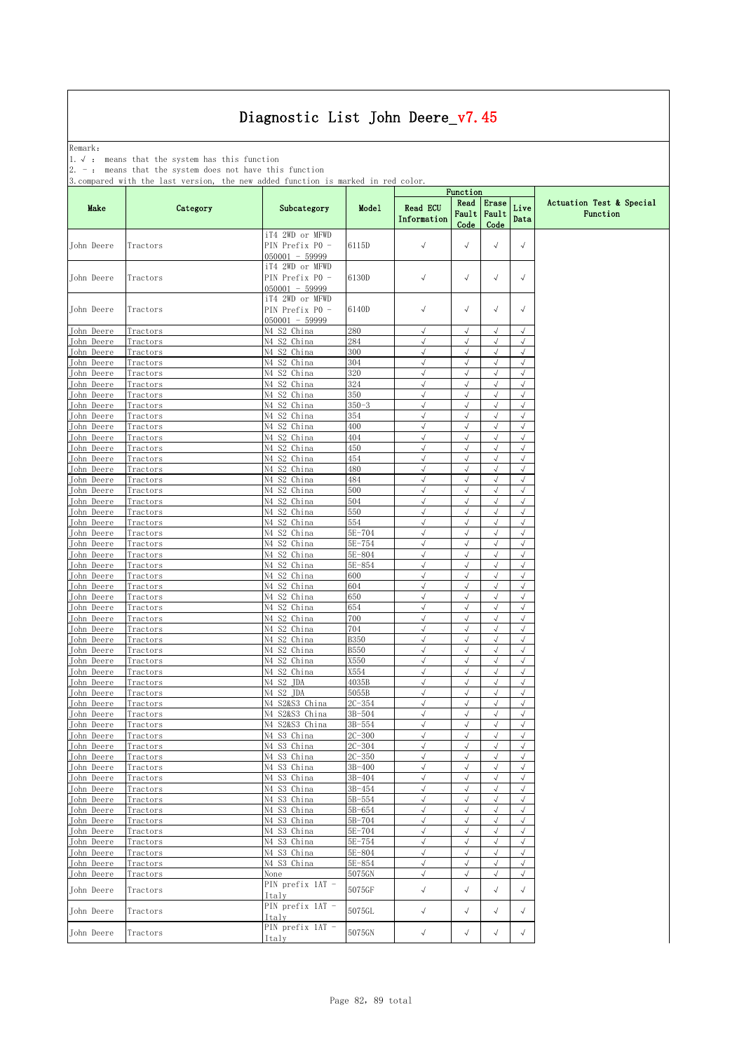Remark: The contract of the contract of  $\mathbb{R}$  and  $\mathbb{R}$  are contract of  $\mathbb{R}$  and  $\mathbb{R}$  are contract of  $\mathbb{R}$  and  $\mathbb{R}$  are contract of  $\mathbb{R}$  and  $\mathbb{R}$  are contract of  $\mathbb{R}$  and  $\mathbb{R}$  are cont

1.√ : means that the system has this function

2. - : means that the system does not have this function

| . compared wron one      | 100 <sub>v</sub><br>10101011 | now doncd runceron to marked in rea                    |                          |                          | Function                |                          |                          |                                      |
|--------------------------|------------------------------|--------------------------------------------------------|--------------------------|--------------------------|-------------------------|--------------------------|--------------------------|--------------------------------------|
| Make                     | Category                     | Subcategory                                            | Model                    | Read ECU<br>Information  | Read<br>Fault<br>Code   | Erase<br>Fault<br>Code   | Live<br>Data             | Actuation Test & Special<br>Function |
| John Deere               | Tractors                     | iT4 2WD or MFWD<br>PIN Prefix PO -<br>$050001 - 59999$ | 6115D                    | $\sqrt{ }$               | $\sqrt{ }$              | $\sqrt{}$                | $\sqrt{}$                |                                      |
| John Deere               | Tractors                     | iT4 2WD or MFWD<br>PIN Prefix PO -<br>$050001 - 59999$ | 6130D                    | $\sqrt{ }$               | $\sqrt{ }$              | $\sqrt{ }$               | $\sqrt{ }$               |                                      |
| John Deere               | Tractors                     | iT4 2WD or MFWD<br>PIN Prefix PO -<br>$050001 - 59999$ | 6140D                    | $\sqrt{}$                | $\sqrt{}$               | $\sqrt{ }$               | $\sqrt{ }$               |                                      |
| John Deere               | Tractors                     | N4 S2 China                                            | 280                      | $\sqrt{ }$               | $\sqrt{ }$              | $\sqrt{ }$               | $\sqrt{ }$               |                                      |
| John Deere<br>John Deere | Tractors                     | N4 S2 China<br>N4 S2 China                             | 284<br>300               | $\sqrt{}$<br>$\sqrt{ }$  | $\sqrt{}$<br>$\sqrt{}$  | $\sqrt{ }$<br>$\sqrt{}$  | $\sqrt{ }$<br>$\sqrt{ }$ |                                      |
| John Deere               | Tractors<br>Tractors         | N4 S2 China                                            | 304                      | √                        |                         | $\sqrt{}$                | $\sqrt{}$                |                                      |
| John Deere               | Tractors                     | N4 S2 China                                            | 320                      | $\sqrt{2}$               | $\sqrt{2}$              | $\sqrt{ }$               | $\sqrt{}$                |                                      |
| John Deere               | Tractors                     | N4 S2 China                                            | 324                      | $\sqrt{}$                | $\sqrt{ }$              | $\sqrt{ }$               | $\sqrt{ }$               |                                      |
| John Deere               | Tractors                     | N4 S2 China                                            | 350                      | $\sqrt{ }$               | $\sqrt{}$               | $\sqrt{}$                | $\sqrt{ }$               |                                      |
| John Deere               | Tractors                     | N4 S2 China                                            | $350 - 3$                | $\sqrt{ }$               | $\sqrt{}$               | $\sqrt{ }$               | $\sqrt{2}$               |                                      |
| John Deere               | Tractors                     | N4 S2 China                                            | 354                      | J<br>$\sqrt{}$           | √                       | $\sqrt{ }$<br>$\sqrt{ }$ | $\sqrt{2}$               |                                      |
| John Deere<br>John Deere | Tractors<br>Tractors         | N4 S2 China<br>N4 S2 China                             | 400<br>404               | $\sqrt{}$                | √<br>$\sqrt{2}$         | $\sqrt{ }$               | $\sqrt{2}$<br>$\sqrt{}$  |                                      |
| John Deere               | Tractors                     | N4 S2 China                                            | 450                      | $\sqrt{2}$               | $\sqrt{}$               | $\sqrt{ }$               | $\sqrt{2}$               |                                      |
| John Deere               | Tractors                     | N4 S2 China                                            | 454                      | $\sqrt{}$                | $\sqrt{}$               | $\sqrt{ }$               | $\sqrt{ }$               |                                      |
| John Deere               | Tractors                     | N4 S2 China                                            | 480                      | $\sqrt{}$                | $\sqrt{}$               | $\sqrt{ }$               | $\sqrt{ }$               |                                      |
| John Deere               | Tractors                     | N4 S2 China                                            | 484                      | $\sqrt{ }$               | $\sqrt{}$               | $\sqrt{}$                | $\sqrt{ }$               |                                      |
| John Deere               | Tractors                     | N4 S2 China                                            | 500                      | √                        | J                       | J                        | $\sqrt{2}$               |                                      |
| John Deere<br>John Deere | Tractors<br>Tractors         | N4 S2 China<br>N4 S2 China                             | 504<br>550               | $\sqrt{ }$<br>$\sqrt{ }$ | $\sqrt{}$<br>$\sqrt{}$  | $\sqrt{}$<br>$\sqrt{ }$  | $\sqrt{ }$<br>$\sqrt{2}$ |                                      |
| <b>John Deere</b>        | Tractors                     | N4 S2 China                                            | 554                      | $\sqrt{ }$               | $\sqrt{}$               | $\sqrt{}$                | $\sqrt{ }$               |                                      |
| John Deere               | Tractors                     | N4 S2 China                                            | 5E-704                   | $\sqrt{ }$               | $\sqrt{ }$              | $\sqrt{ }$               | $\sqrt{ }$               |                                      |
| John Deere               | Tractors                     | N4 S2 China                                            | $5E - 754$               | $\sqrt{}$                | $\sqrt{}$               | $\sqrt{}$                | $\sqrt{ }$               |                                      |
| John Deere               | Tractors                     | N4 S2 China                                            | 5E-804                   | $\sqrt{ }$               | $\sqrt{2}$              | $\sqrt{}$                | $\sqrt{ }$               |                                      |
| John Deere               | Tractors                     | N4 S2 China                                            | 5E-854                   | √                        | √                       | $\sqrt{ }$               | $\sqrt{ }$               |                                      |
| John Deere               | Tractors                     | N4 S2 China<br>N4 S2 China                             | 600<br>604               | $\sqrt{ }$<br>$\sqrt{}$  | $\sqrt{}$<br>$\sqrt{}$  | $\sqrt{ }$<br>$\sqrt{ }$ | $\sqrt{}$<br>$\sqrt{ }$  |                                      |
| John Deere<br>John Deere | Tractors<br>Tractors         | N4 S2 China                                            | 650                      | $\sqrt{}$                | $\sqrt{}$               | $\sqrt{ }$               | $\sqrt{ }$               |                                      |
| John Deere               | Tractors                     | N4 S2 China                                            | 654                      | $\sqrt{ }$               | $\sqrt{2}$              | $\sqrt{ }$               | $\sqrt{ }$               |                                      |
| John Deere               | Tractors                     | N4 S2 China                                            | 700                      | √                        | $\sqrt{}$               | $\sqrt{}$                | $\sqrt{}$                |                                      |
| John Deere               | Tractors                     | N4 S2 China                                            | 704                      | $\sqrt{2}$               | √                       | $\sqrt{}$                | $\sqrt{2}$               |                                      |
| John Deere               | Tractors                     | N4 S2 China                                            | B350                     | $\sqrt{2}$               | J                       | $\sqrt{ }$               | $\sqrt{}$                |                                      |
| John Deere<br>John Deere | Tractors<br>Tractors         | N4 S2 China<br>N4 S2 China                             | <b>B550</b><br>X550      | $\sqrt{ }$<br>$\sqrt{ }$ | $\sqrt{}$<br>$\sqrt{}$  | $\sqrt{}$<br>$\sqrt{ }$  | $\sqrt{ }$<br>$\sqrt{ }$ |                                      |
| John Deere               | Tractors                     | N4 S2 China                                            | X554                     | $\sqrt{ }$               | $\sqrt{ }$              | $\sqrt{ }$               | $\sqrt{2}$               |                                      |
| John Deere               | Tractors                     | N4 S2 JDA                                              | 4035B                    | $\sqrt{2}$               | $\sqrt{}$               | $\sqrt{ }$               | $\sqrt{2}$               |                                      |
| John Deere               | Tractors                     | N4 S2 JDA                                              | 5055B                    | √                        | √                       | $\sqrt{}$                | $\sqrt{}$                |                                      |
| John Deere               | Tractors                     | N4 S2&S3 China                                         | $2C - 354$               | $\sqrt{ }$               | $\sqrt{}$               | $\sqrt{ }$               | $\sqrt{ }$               |                                      |
| John Deere               | Tractors                     | N4 S2&S3 China                                         | $3B - 504$               | $\sqrt{ }$               | $\sqrt{2}$              | $\sqrt{ }$               | $\sqrt{2}$               |                                      |
| John Deere<br>John Deere | Tractors<br>Tractors         | N4 S2&S3 China<br>N4 S3 China                          | $3B - 554$<br>$2C - 300$ | $\sqrt{ }$<br>$\sqrt{ }$ | $\sqrt{}$<br>$\sqrt{2}$ | $\sqrt{}$<br>$\sqrt{ }$  | $\sqrt{}$<br>$\sqrt{}$   |                                      |
| John Deere               | Tractors                     | N4 S3 China                                            | $2C-304$                 | √                        | √                       |                          | $\sqrt{ }$               |                                      |
| John Deere               | Tractors                     | N4 S3 China                                            | $2C - 350$               | $\sqrt{2}$               | $\sqrt{}$               |                          | $\sqrt{2}$               |                                      |
| John Deere               | Tractors                     | N4 S3 China                                            | $3B-400$                 | $\sqrt{ }$               | $\sqrt{}$               | $\sqrt{ }$               | $\sqrt{}$                |                                      |
| John Deere               | Tractors                     | N4 S3 China                                            | 3B-404                   | $\sqrt{ }$               | $\sqrt{ }$              | $\sqrt{ }$               | $\sqrt{ }$               |                                      |
| John Deere<br>John Deere | Tractors                     | N4 S3 China<br>N4 S3 China                             | $3B - 454$<br>$5B - 554$ | $\sqrt{ }$<br>$\sqrt{ }$ | $\sqrt{}$<br>$\sqrt{}$  | $\sqrt{ }$<br>$\sqrt{ }$ | $\sqrt{ }$<br>$\sqrt{ }$ |                                      |
| John Deere               | Tractors<br>Tractors         | N4 S3 China                                            | 5B-654                   | $\checkmark$             | $\sqrt{ }$              | $\sqrt{ }$               | $\sqrt{ }$               |                                      |
| John Deere               | Tractors                     | N4 S3 China                                            | 5B-704                   | $\sqrt{}$                | $\sqrt{}$               | $\sqrt{}$                | $\sqrt{2}$               |                                      |
| John Deere               | Tractors                     | N4 S3 China                                            | $5E - 704$               | $\sqrt{ }$               | $\sqrt{2}$              | $\sqrt{}$                | $\sqrt{2}$               |                                      |
| John Deere               | Tractors                     | N4 S3 China                                            | 5E-754                   | $\sqrt{ }$               | $\sqrt{}$               | $\sqrt{ }$               | $\sqrt{ }$               |                                      |
| John Deere               | Tractors                     | N4 S3 China                                            | 5E-804                   | $\sqrt{ }$               | $\sqrt{}$               | $\sqrt{ }$               | $\sqrt{ }$               |                                      |
| John Deere               | Tractors                     | N4 S3 China                                            | 5E-854                   | $\sqrt{ }$               | $\sqrt{ }$              | $\sqrt{ }$               | $\sqrt{ }$               |                                      |
| John Deere               | Tractors                     | None<br>PIN prefix 1AT -                               | 5075GN                   | $\sqrt{ }$               | $\sqrt{}$               | $\sqrt{ }$               | $\sqrt{}$                |                                      |
| John Deere               | Tractors                     | Italy<br>PIN prefix 1AT -                              | 5075GF                   | $\checkmark$             | $\sqrt{ }$              | $\sqrt{ }$               | $\sqrt{ }$               |                                      |
| John Deere               | Tractors                     | Italy<br>PIN prefix 1AT -                              | 5075GL                   | $\checkmark$             | $\sqrt{ }$              | $\sqrt{ }$               | $\sqrt{ }$               |                                      |
| John Deere               | Tractors                     | Italy                                                  | 5075GN                   | $\checkmark$             | $\sqrt{ }$              | $\sqrt{}$                | $\sqrt{}$                |                                      |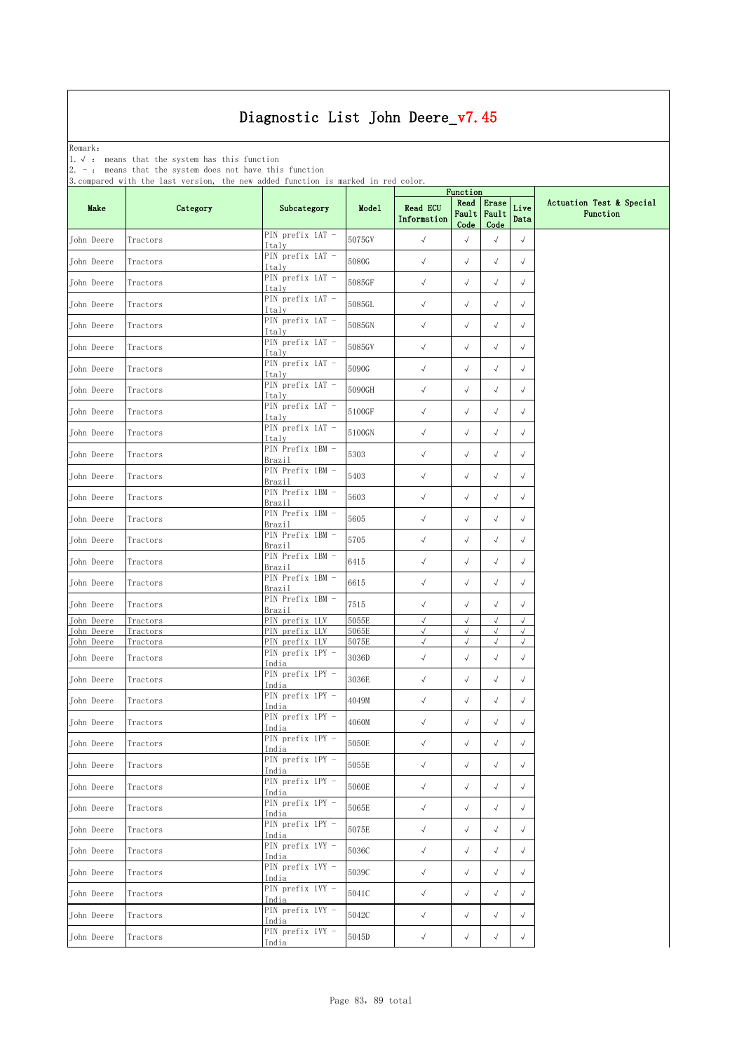Remark: The contract of the contract of  $\mathbb{R}$  and  $\mathbb{R}$  are contract of  $\mathbb{R}$  and  $\mathbb{R}$  are contract of  $\mathbb{R}$  and  $\mathbb{R}$  are contract of  $\mathbb{R}$  and  $\mathbb{R}$  are contract of  $\mathbb{R}$  and  $\mathbb{R}$  are cont

1.√ : means that the system has this function

2. - : means that the system does not have this function

|            | $\sigma$ , compared write the rast version, the new added runction is marked in rea coron. |                                   |        |                                | Function             |                             |              |                                      |
|------------|--------------------------------------------------------------------------------------------|-----------------------------------|--------|--------------------------------|----------------------|-----------------------------|--------------|--------------------------------------|
| Make       | Category                                                                                   | Subcategory                       | Model  | <b>Read ECU</b><br>Information | Fault<br>Code        | Read Erase<br>Fault<br>Code | Live<br>Data | Actuation Test & Special<br>Function |
| John Deere | Tractors                                                                                   | PIN prefix 1AT -<br>Italy         | 5075GV | $\checkmark$                   | $\sqrt{}$            | $\sqrt{ }$                  | $\checkmark$ |                                      |
| John Deere | Tractors                                                                                   | PIN prefix 1AT -<br>Italy         | 5080G  | $\sqrt{ }$                     | $\sqrt{}$            | $\sqrt{ }$                  | $\sqrt{}$    |                                      |
| John Deere | Tractors                                                                                   | PIN prefix 1AT -                  | 5085GF | $\checkmark$                   | $\sqrt{}$            | $\sqrt{}$                   | $\checkmark$ |                                      |
| John Deere | Tractors                                                                                   | Italv<br>PIN prefix 1AT -         | 5085GL | $\sqrt{ }$                     | $\sqrt{}$            | $\sqrt{}$                   | $\sqrt{}$    |                                      |
| John Deere | Tractors                                                                                   | Italy<br>PIN prefix 1AT -         | 5085GN | $\checkmark$                   | $\sqrt{ }$           | $\sqrt{}$                   | $\sqrt{}$    |                                      |
| John Deere | Tractors                                                                                   | Italy<br>PIN prefix 1AT -         | 5085GV | $\checkmark$                   | $\sqrt{ }$           | $\checkmark$                | $\checkmark$ |                                      |
| John Deere | Tractors                                                                                   | Italy<br>PIN prefix 1AT -         | 5090G  | $\checkmark$                   | $\sqrt{}$            | $\checkmark$                | $\sqrt{}$    |                                      |
| John Deere |                                                                                            | Italv<br>PIN prefix 1AT -         |        | $\checkmark$                   | $\sqrt{ }$           | $\sqrt{ }$                  | $\checkmark$ |                                      |
|            | Tractors                                                                                   | Italy<br>PIN prefix 1AT -         | 5090GH |                                |                      |                             |              |                                      |
| John Deere | Tractors                                                                                   | Italy<br>PIN prefix 1AT -         | 5100GF | $\checkmark$                   | $\sqrt{}$            | $\sqrt{}$                   | $\checkmark$ |                                      |
| John Deere | Tractors                                                                                   | Italv<br>PIN Prefix 1BM -         | 5100GN | $\checkmark$                   | $\sqrt{}$            | $\sqrt{ }$                  | $\checkmark$ |                                      |
| John Deere | Tractors                                                                                   | Brazil                            | 5303   | $\sqrt{}$                      | $\sqrt{}$            | $\sqrt{}$                   | $\sqrt{}$    |                                      |
| John Deere | Tractors                                                                                   | PIN Prefix 1BM -<br><b>Brazil</b> | 5403   | $\sqrt{ }$                     | $\sqrt{ }$           | $\sqrt{}$                   | $\sqrt{}$    |                                      |
| John Deere | Tractors                                                                                   | PIN Prefix 1BM -<br><b>Brazil</b> | 5603   | $\checkmark$                   | $\sqrt{ }$           | $\sqrt{}$                   | $\checkmark$ |                                      |
| John Deere | Tractors                                                                                   | PIN Prefix 1BM -<br><b>Brazil</b> | 5605   | $\checkmark$                   | $\sqrt{ }$           | $\checkmark$                | $\sqrt{}$    |                                      |
| John Deere | Tractors                                                                                   | PIN Prefix 1BM -<br><b>Brazil</b> | 5705   | $\checkmark$                   | $\sqrt{\phantom{a}}$ | $\sqrt{ }$                  | $\checkmark$ |                                      |
| John Deere | Tractors                                                                                   | PIN Prefix 1BM -<br>Brazil        | 6415   | $\checkmark$                   | $\sqrt{ }$           | $\sqrt{}$                   | $\sqrt{ }$   |                                      |
| John Deere | Tractors                                                                                   | PIN Prefix 1BM -<br>Brazil        | 6615   | $\sqrt{ }$                     | $\sqrt{ }$           | $\sqrt{ }$                  | $\sqrt{}$    |                                      |
| John Deere | Tractors                                                                                   | PIN Prefix 1BM -<br>Brazil        | 7515   | $\checkmark$                   | $\sqrt{ }$           | $\checkmark$                | $\sqrt{}$    |                                      |
| John Deere | Tractors                                                                                   | PIN prefix 1LV                    | 5055E  | $\sqrt{ }$                     | √                    | $\sqrt{}$                   | $\sqrt{}$    |                                      |
| John Deere | Tractors                                                                                   | PIN prefix 1LV                    | 5065E  | $\sqrt{ }$                     | $\sqrt{}$            | $\sqrt{ }$                  | $\sqrt{}$    |                                      |
| John Deere | Tractors                                                                                   | PIN prefix 1LV                    | 5075E  | $\sqrt{ }$                     | $\sqrt{}$            | $\sqrt{}$                   | $\sqrt{}$    |                                      |
| John Deere | Tractors                                                                                   | PIN prefix 1PY -<br>India         | 3036D  | $\checkmark$                   | $\sqrt{}$            | $\sqrt{ }$                  | $\sqrt{ }$   |                                      |
| John Deere | Tractors                                                                                   | PIN prefix 1PY -<br>India         | 3036E  | $\sqrt{ }$                     | $\sqrt{}$            | $\sqrt{}$                   | $\sqrt{}$    |                                      |
| John Deere | Tractors                                                                                   | PIN prefix 1PY -<br>India         | 4049M  | $\sqrt{ }$                     | $\sqrt{ }$           | $\sqrt{ }$                  | $\sqrt{}$    |                                      |
| John Deere | Tractors                                                                                   | PIN prefix 1PY -<br>India         | 4060M  | $\checkmark$                   | $\sqrt{ }$           | $\checkmark$                | $\sqrt{}$    |                                      |
| John Deere | Tractors                                                                                   | PIN prefix 1PY -<br>India         | 5050E  | $\checkmark$                   | $\checkmark$         | $\checkmark$                | √            |                                      |
| John Deere | Tractors                                                                                   | PIN prefix 1PY -<br>India         | 5055E  | $\checkmark$                   | $\sqrt{ }$           | $\checkmark$                | $\checkmark$ |                                      |
| John Deere | Tractors                                                                                   | PIN prefix 1PY -<br>India         | 5060E  | $\checkmark$                   | $\sqrt{ }$           | $\sqrt{ }$                  | $\sqrt{}$    |                                      |
| John Deere | Tractors                                                                                   | PIN prefix 1PY -                  | 5065E  | $\checkmark$                   | $\sqrt{ }$           | $\sqrt{ }$                  | $\sqrt{ }$   |                                      |
| John Deere | Tractors                                                                                   | India<br>PIN prefix 1PY -         | 5075E  | $\checkmark$                   | $\sqrt{ }$           | $\sqrt{}$                   | $\sqrt{}$    |                                      |
| John Deere | Tractors                                                                                   | India<br>PIN prefix 1VY -         | 5036C  | $\checkmark$                   | $\sqrt{ }$           | $\sqrt{}$                   | $\sqrt{}$    |                                      |
| John Deere | Tractors                                                                                   | India<br>PIN prefix 1VY -         | 5039C  | $\checkmark$                   | $\checkmark$         | $\sqrt{}$                   | $\checkmark$ |                                      |
| John Deere | Tractors                                                                                   | India<br>PIN prefix 1VY -         | 5041C  | $\checkmark$                   | $\sqrt{ }$           | $\sqrt{ }$                  | $\checkmark$ |                                      |
|            |                                                                                            | India<br>PIN prefix 1VY -         |        |                                |                      |                             |              |                                      |
| John Deere | Tractors                                                                                   | India<br>PIN prefix 1VY -         | 5042C  | $\checkmark$                   | $\sqrt{ }$           | $\sqrt{}$                   | $\checkmark$ |                                      |
| John Deere | Tractors                                                                                   | India                             | 5045D  | $\checkmark$                   | $\sqrt{ }$           | $\sqrt{}$                   | $\sqrt{ }$   |                                      |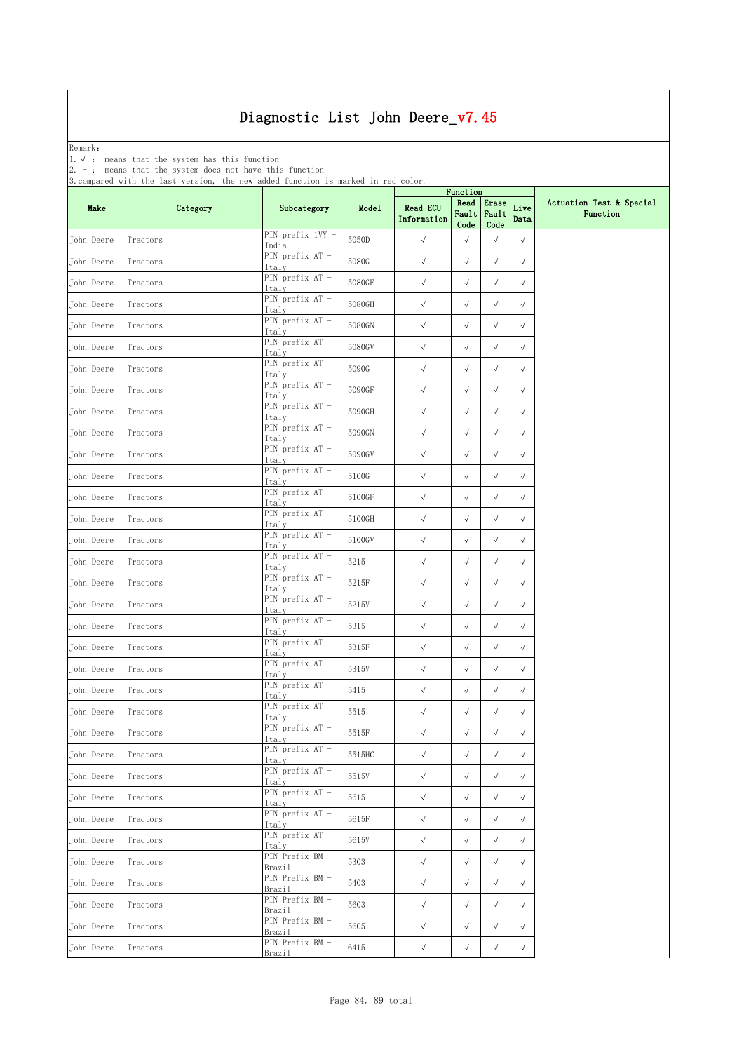Remark: The contract of the contract of  $\mathbb{R}$  and  $\mathbb{R}$  are contract of  $\mathbb{R}$  and  $\mathbb{R}$  are contract of  $\mathbb{R}$  and  $\mathbb{R}$  are contract of  $\mathbb{R}$  and  $\mathbb{R}$  are contract of  $\mathbb{R}$  and  $\mathbb{R}$  are cont

1.√ : means that the system has this function

2. - : means that the system does not have this function

|            | $\sigma$ , compared write the rast version, the new added runction is marked in rea coron. |                                  |        | Function                       |                       |                        |              |                                      |
|------------|--------------------------------------------------------------------------------------------|----------------------------------|--------|--------------------------------|-----------------------|------------------------|--------------|--------------------------------------|
| Make       | Category                                                                                   | Subcategory                      | Model  | <b>Read ECU</b><br>Information | Read<br>Fault<br>Code | Erase<br>Fault<br>Code | Live<br>Data | Actuation Test & Special<br>Function |
| John Deere | Tractors                                                                                   | PIN prefix 1VY -<br>India        | 5050D  | $\sqrt{ }$                     | $\sqrt{}$             | $\sqrt{}$              | $\sqrt{ }$   |                                      |
| John Deere | Tractors                                                                                   | PIN prefix AT -<br>Italy         | 5080G  | $\sqrt{}$                      | $\sqrt{}$             | $\sqrt{}$              | $\sqrt{ }$   |                                      |
| John Deere | Tractors                                                                                   | PIN prefix AT -<br>Italv         | 5080GF | $\sqrt{ }$                     | $\sqrt{ }$            | $\sqrt{}$              | $\sqrt{ }$   |                                      |
| John Deere | Tractors                                                                                   | PIN prefix AT -<br>Italy         | 5080GH | $\checkmark$                   | $\sqrt{}$             | $\sqrt{}$              | $\sqrt{ }$   |                                      |
| John Deere | Tractors                                                                                   | PIN prefix $AT -$<br>Italv       | 5080GN | $\sqrt{}$                      | $\sqrt{ }$            | $\sqrt{2}$             | $\sqrt{ }$   |                                      |
| John Deere | Tractors                                                                                   | PIN prefix AT -<br>Italy         | 5080GV | $\checkmark$                   | $\checkmark$          | $\sqrt{}$              | $\sqrt{ }$   |                                      |
| John Deere | Tractors                                                                                   | PIN prefix AT -<br>Italy         | 5090G  | $\checkmark$                   | $\sqrt{ }$            | $\sqrt{}$              | $\checkmark$ |                                      |
| John Deere | Tractors                                                                                   | PIN prefix AT -<br>Italy         | 5090GF | $\checkmark$                   | $\sqrt{ }$            | $\sqrt{}$              | $\checkmark$ |                                      |
| John Deere | Tractors                                                                                   | PIN prefix AT -<br>Italy         | 5090GH | $\sqrt{ }$                     | $\sqrt{}$             | $\sqrt{}$              | $\sqrt{ }$   |                                      |
| John Deere | Tractors                                                                                   | PIN prefix AT -<br>Italv         | 5090GN | $\checkmark$                   | $\sqrt{ }$            | $\sqrt{}$              | $\sqrt{ }$   |                                      |
| John Deere | Tractors                                                                                   | PIN prefix AT -<br>Italy         | 5090GV | $\checkmark$                   | $\sqrt{ }$            | $\sqrt{}$              | $\sqrt{ }$   |                                      |
| John Deere | Tractors                                                                                   | PIN prefix AT -<br>Italy         | 5100G  | $\sqrt{ }$                     | $\sqrt{ }$            | $\sqrt{ }$             | $\sqrt{ }$   |                                      |
| John Deere | Tractors                                                                                   | PIN prefix AT -<br>Italy         | 5100GF | $\checkmark$                   | $\checkmark$          | $\sqrt{}$              | $\checkmark$ |                                      |
| John Deere | Tractors                                                                                   | PIN prefix AT -<br>Italy         | 5100GH | $\checkmark$                   | $\sqrt{}$             | $\sqrt{}$              | $\sqrt{ }$   |                                      |
| John Deere | Tractors                                                                                   | PIN prefix AT -<br>Italy         | 5100GV | $\checkmark$                   | $\checkmark$          | $\sqrt{}$              | $\checkmark$ |                                      |
| John Deere | Tractors                                                                                   | PIN prefix AT -<br>Italy         | 5215   | $\checkmark$                   | $\sqrt{}$             | $\checkmark$           | $\sqrt{ }$   |                                      |
| John Deere | Tractors                                                                                   | PIN prefix AT -<br>Italv         | 5215F  | $\checkmark$                   | $\checkmark$          | $\sqrt{}$              | $\sqrt{}$    |                                      |
| John Deere | Tractors                                                                                   | PIN prefix AT -<br>Italy         | 5215V  | $\checkmark$                   | $\sqrt{ }$            | $\sqrt{ }$             | $\sqrt{ }$   |                                      |
| John Deere | Tractors                                                                                   | PIN prefix AT -<br>Italy         | 5315   | $\checkmark$                   | $\sqrt{ }$            | $\sqrt{}$              | $\sqrt{ }$   |                                      |
| John Deere | Tractors                                                                                   | PIN prefix AT -<br>Italy         | 5315F  | $\checkmark$                   | $\checkmark$          | $\sqrt{}$              | $\checkmark$ |                                      |
| John Deere | Tractors                                                                                   | PIN prefix AT -<br>Italy         | 5315V  | $\checkmark$                   | $\sqrt{}$             | $\sqrt{}$              | $\sqrt{ }$   |                                      |
| John Deere | Tractors                                                                                   | PIN prefix AT -<br>Italy         | 5415   | $\checkmark$                   | $\checkmark$          | $\sqrt{}$              | $\checkmark$ |                                      |
| John Deere | Tractors                                                                                   | PIN prefix AT -<br>Italy         | 5515   | $\checkmark$                   | $\sqrt{ }$            | $\checkmark$           | $\sqrt{ }$   |                                      |
| John Deere | Tractors                                                                                   | PIN prefix AT -<br>Italy         | 5515F  | $\checkmark$                   | $\sqrt{ }$            | $\sqrt{}$              | $\sqrt{}$    |                                      |
| John Deere | Tractors                                                                                   | PIN prefix AT -<br>Italy         | 5515HC | $\checkmark$                   | $\sqrt{ }$            | $\sqrt{}$              | $\sqrt{ }$   |                                      |
| John Deere | Tractors                                                                                   | PIN prefix AT -<br>Italy         | 5515V  | $\sqrt{}$                      | $\sqrt{ }$            | $\sqrt{}$              | $\sqrt{ }$   |                                      |
| John Deere | Tractors                                                                                   | PIN prefix AT -<br>Italy         | 5615   | $\sqrt{ }$                     | $\sqrt{ }$            | $\sqrt{}$              | $\sqrt{ }$   |                                      |
| John Deere | Tractors                                                                                   | PIN prefix AT -<br>Italv         | 5615F  | $\checkmark$                   | $\sqrt{ }$            | $\sqrt{ }$             | $\sqrt{ }$   |                                      |
| John Deere | Tractors                                                                                   | PIN prefix AT -<br>Italy         | 5615V  | $\sqrt{}$                      | $\sqrt{}$             | $\sqrt{}$              | $\checkmark$ |                                      |
| John Deere | Tractors                                                                                   | PIN Prefix BM -<br>Brazil        | 5303   | $\checkmark$                   | $\sqrt{ }$            | $\sqrt{ }$             | $\sqrt{}$    |                                      |
| John Deere | Tractors                                                                                   | PIN Prefix BM -<br>Brazil        | 5403   | $\checkmark$                   | $\sqrt{}$             | $\sqrt{ }$             | $\sqrt{}$    |                                      |
| John Deere | Tractors                                                                                   | PIN Prefix BM -<br>Brazil        | 5603   | $\sqrt{ }$                     | $\sqrt{ }$            | $\sqrt{ }$             | $\sqrt{}$    |                                      |
| John Deere | Tractors                                                                                   | PIN Prefix BM -<br>Brazil        | 5605   | $\checkmark$                   | $\sqrt{ }$            | $\sqrt{ }$             | $\sqrt{}$    |                                      |
| John Deere | Tractors                                                                                   | PIN Prefix BM -<br><b>Brazil</b> | 6415   | $\sqrt{ }$                     | $\sqrt{ }$            | $\checkmark$           | $\checkmark$ |                                      |
|            |                                                                                            |                                  |        |                                |                       |                        |              |                                      |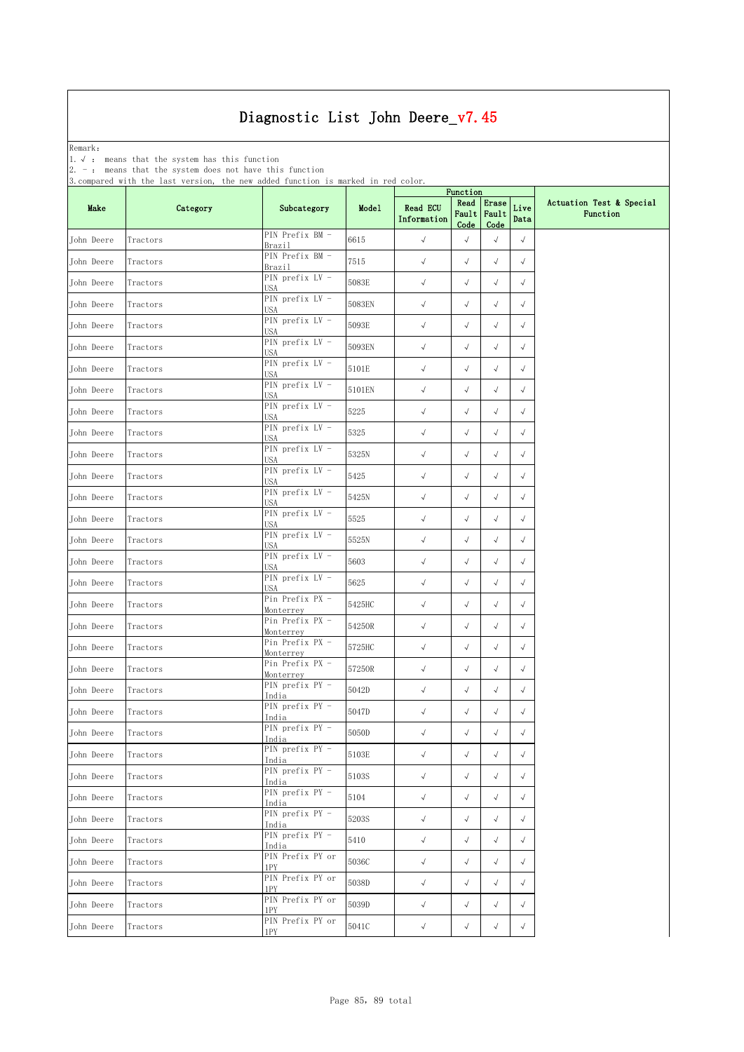Remark: The contract of the contract of  $\mathbb{R}$  and  $\mathbb{R}$  are contract of  $\mathbb{R}$  and  $\mathbb{R}$  are contract of  $\mathbb{R}$  and  $\mathbb{R}$  are contract of  $\mathbb{R}$  and  $\mathbb{R}$  are contract of  $\mathbb{R}$  and  $\mathbb{R}$  are cont

1.√ : means that the system has this function

2. - : means that the system does not have this function

|            | $\alpha$ , compared write the rase version, the new added ranceron to marked in rea coron. |                                 |        |                                | Function                    |               |              |                                      |
|------------|--------------------------------------------------------------------------------------------|---------------------------------|--------|--------------------------------|-----------------------------|---------------|--------------|--------------------------------------|
| Make       | Category                                                                                   | Subcategory                     | Model  | <b>Read ECU</b><br>Information | Read<br>Fault Fault<br>Code | Erase<br>Code | Live<br>Data | Actuation Test & Special<br>Function |
| John Deere | Tractors                                                                                   | PIN Prefix BM -<br>Brazil       | 6615   | $\checkmark$                   | $\sqrt{}$                   | $\sqrt{ }$    | $\sqrt{}$    |                                      |
| John Deere | Tractors                                                                                   | PIN Prefix BM -<br>Brazil       | 7515   | $\checkmark$                   | $\sqrt{}$                   | $\sqrt{}$     | $\sqrt{}$    |                                      |
| John Deere | Tractors                                                                                   | PIN prefix LV -<br>USA          | 5083E  | $\checkmark$                   | $\sqrt{ }$                  | $\sqrt{}$     | $\sqrt{}$    |                                      |
| John Deere | Tractors                                                                                   | PIN prefix LV -<br>USA          | 5083EN | $\checkmark$                   | $\sqrt{}$                   | $\sqrt{}$     | $\sqrt{}$    |                                      |
| John Deere | Tractors                                                                                   | PIN prefix LV -<br>USA          | 5093E  | $\checkmark$                   | $\sqrt{}$                   | $\sqrt{}$     | $\sqrt{}$    |                                      |
| John Deere | Tractors                                                                                   | PIN prefix LV -<br>USA          | 5093EN | $\checkmark$                   | $\sqrt{ }$                  | $\sqrt{ }$    | $\checkmark$ |                                      |
| John Deere | Tractors                                                                                   | PIN prefix LV -<br>USA          | 5101E  | $\checkmark$                   | $\sqrt{}$                   | $\sqrt{}$     | $\sqrt{}$    |                                      |
| John Deere | Tractors                                                                                   | PIN prefix LV -<br><b>USA</b>   | 5101EN | $\checkmark$                   | $\sqrt{}$                   | $\sqrt{ }$    | $\sqrt{}$    |                                      |
| John Deere | Tractors                                                                                   | PIN prefix LV -<br>USA          | 5225   | $\checkmark$                   | $\sqrt{}$                   | $\sqrt{}$     | $\checkmark$ |                                      |
| John Deere | Tractors                                                                                   | PIN prefix LV -<br>USA          | 5325   | $\checkmark$                   | $\sqrt{}$                   | $\sqrt{ }$    | $\sqrt{}$    |                                      |
| John Deere | Tractors                                                                                   | PIN prefix LV -<br>USA          | 5325N  | $\checkmark$                   | $\sqrt{}$                   | $\sqrt{}$     | $\checkmark$ |                                      |
| John Deere | Tractors                                                                                   | PIN prefix LV -<br>USA          | 5425   | $\checkmark$                   | $\sqrt{ }$                  | $\sqrt{}$     | $\checkmark$ |                                      |
| John Deere | Tractors                                                                                   | PIN prefix LV -<br>USA          | 5425N  | $\checkmark$                   | $\sqrt{ }$                  | $\sqrt{ }$    | $\checkmark$ |                                      |
| John Deere | Tractors                                                                                   | PIN prefix LV -<br>USA          | 5525   | $\checkmark$                   | $\sqrt{}$                   | $\checkmark$  | $\sqrt{}$    |                                      |
| John Deere | Tractors                                                                                   | PIN prefix LV -<br><b>USA</b>   | 5525N  | $\checkmark$                   | $\sqrt{ }$                  | $\sqrt{ }$    | $\sqrt{}$    |                                      |
| John Deere | Tractors                                                                                   | PIN prefix LV -<br>USA          | 5603   | $\checkmark$                   | $\sqrt{}$                   | $\sqrt{}$     | $\checkmark$ |                                      |
| John Deere | Tractors                                                                                   | PIN prefix LV -<br>USA          | 5625   | $\checkmark$                   | $\sqrt{}$                   | $\sqrt{ }$    | $\sqrt{}$    |                                      |
| John Deere | Tractors                                                                                   | Pin Prefix PX -<br>Monterrey    | 5425HC | $\sqrt{ }$                     | $\sqrt{}$                   | $\sqrt{}$     | $\sqrt{}$    |                                      |
| John Deere | Tractors                                                                                   | Pin Prefix PX -<br>Monterrey    | 54250R | $\checkmark$                   | $\sqrt{ }$                  | $\sqrt{ }$    | $\sqrt{}$    |                                      |
| John Deere | Tractors                                                                                   | Pin Prefix PX -<br>Monterrey    | 5725HC | $\checkmark$                   | $\sqrt{\phantom{a}}$        | $\sqrt{}$     | $\checkmark$ |                                      |
| John Deere | Tractors                                                                                   | Pin Prefix PX -<br>Monterrey    | 57250R | $\checkmark$                   | $\sqrt{}$                   | $\checkmark$  | $\sqrt{}$    |                                      |
| John Deere | Tractors                                                                                   | PIN prefix PY -<br>India        | 5042D  | $\checkmark$                   | $\sqrt{ }$                  | $\sqrt{ }$    | $\sqrt{}$    |                                      |
| John Deere | Tractors                                                                                   | PIN prefix PY -<br>India        | 5047D  | $\checkmark$                   | $\sqrt{}$                   | $\sqrt{}$     | $\sqrt{}$    |                                      |
| John Deere | Tractors                                                                                   | PIN prefix PY -<br>India        | 5050D  | $\sqrt{ }$                     | $\sqrt{}$                   | $\sqrt{}$     | $\sqrt{ }$   |                                      |
| John Deere | Tractors                                                                                   | PIN prefix PY -<br>India        | 5103E  | $\checkmark$                   | $\sqrt{}$                   | $\checkmark$  | $\sqrt{ }$   |                                      |
| John Deere | Tractors                                                                                   | PIN prefix PY -<br>India        | 5103S  | $\checkmark$                   | $\sqrt{}$                   | $\sqrt{ }$    | $\checkmark$ |                                      |
| John Deere | Tractors                                                                                   | PIN prefix PY -<br>India        | 5104   | $\checkmark$                   | $\checkmark$                | $\sqrt{}$     | $\checkmark$ |                                      |
| John Deere | Tractors                                                                                   | PIN prefix PY -<br>India        | 5203S  | $\checkmark$                   | $\sqrt{ }$                  | $\sqrt{}$     | $\checkmark$ |                                      |
| John Deere | Tractors                                                                                   | PIN prefix PY -<br>India        | 5410   | $\checkmark$                   | $\sqrt{}$                   | $\sqrt{}$     | $\sqrt{}$    |                                      |
| John Deere | Tractors                                                                                   | PIN Prefix PY or<br>$1{\rm PY}$ | 5036C  | $\checkmark$                   | $\sqrt{}$                   | $\sqrt{}$     | $\sqrt{}$    |                                      |
| John Deere | Tractors                                                                                   | PIN Prefix PY or<br>1PY         | 5038D  | $\checkmark$                   | $\sqrt{ }$                  | $\sqrt{}$     | $\checkmark$ |                                      |
| John Deere | Tractors                                                                                   | PIN Prefix PY or<br>1PY         | 5039D  | $\checkmark$                   | $\sqrt{ }$                  | $\sqrt{}$     | $\sqrt{}$    |                                      |
| John Deere | Tractors                                                                                   | PIN Prefix PY or<br>$1{\rm PY}$ | 5041C  | $\checkmark$                   | $\sqrt{ }$                  | $\sqrt{}$     | $\sqrt{}$    |                                      |
|            |                                                                                            |                                 |        |                                |                             |               |              |                                      |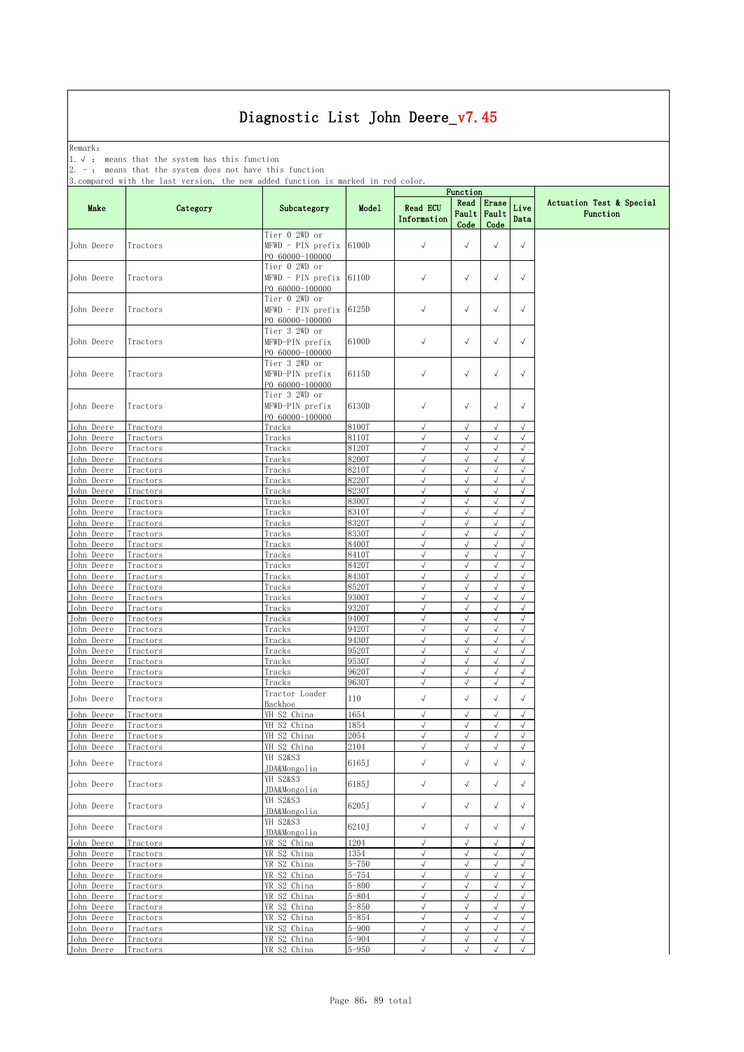Remark: The contract of the contract of  $\mathbb{R}$  and  $\mathbb{R}$  are contract of  $\mathbb{R}$  and  $\mathbb{R}$  are contract of  $\mathbb{R}$  and  $\mathbb{R}$  are contract of  $\mathbb{R}$  and  $\mathbb{R}$  are contract of  $\mathbb{R}$  and  $\mathbb{R}$  are cont

1.√ : means that the system has this function

2. - : means that the system does not have this function

| Erase<br>Actuation Test & Special<br>Read<br>Live<br><b>Read ECU</b><br>Category<br>Subcategory<br>Model<br>Fault<br>Function<br>Fault<br>Information<br>Data<br>Code<br>Code<br>Tier 0 2WD or<br>$\sqrt{}$<br>$\sqrt{}$<br>$\sqrt{}$<br>$MFWD - PIN prefix$<br>6100D<br>$\sqrt{}$<br>Tractors<br>P0 60000-100000<br>Tier O 2WD or<br>$\sqrt{}$<br>$\sqrt{ }$<br>$\sqrt{}$<br>$\sqrt{}$<br>$MFWD - PIN prefix   6110D$<br>Tractors<br>P0 60000-100000<br>Tier 0 2WD or<br>$\checkmark$<br>$\sqrt{ }$<br>$\sqrt{}$<br>$MFWD - PIN prefix   6125D$<br>$\sqrt{ }$<br>Tractors<br>P0 60000-100000<br>Tier 3 2WD or<br>$\sqrt{ }$<br>MFWD-PIN prefix<br>6100D<br>$\sqrt{ }$<br>$\sqrt{}$<br>$\sqrt{}$<br>Tractors<br>P0 60000-100000<br>Tier 3 2WD or<br>$\sqrt{}$<br>$\sqrt{ }$<br>$\sqrt{}$<br>$\sqrt{}$<br>MFWD-PIN prefix<br>6115D<br>Tractors<br>P0 60000-100000<br>Tier 3 2WD or<br>MFWD-PIN prefix<br>6130D<br>$\sqrt{}$<br>$\sqrt{}$<br>$\sqrt{ }$<br>$\sqrt{}$<br>Tractors<br>P0 60000-100000<br>8100T<br>$\sqrt{ }$<br>$\sqrt{ }$<br>$\sqrt{}$<br>Tracks<br>$\sqrt{ }$<br>Tractors<br>$\sqrt{ }$<br>Tracks<br>8110T<br>$\sqrt{}$<br>$\sqrt{}$<br>J<br>Tractors<br><b>8120T</b><br>$\sqrt{ }$<br>$\sqrt{2}$<br>Tracks<br>$\sqrt{2}$<br>$\sqrt{}$<br>Tractors<br>$\sqrt{2}$<br>Tracks<br>8200T<br>$\sqrt{}$<br>$\sqrt{ }$<br>$\sqrt{}$<br>John Deere<br>Tractors<br>$\sqrt{ }$<br>8210T<br>$\sqrt{}$<br>$\sqrt{ }$<br>$\sqrt{}$<br>Tractors<br>Tracks<br>$\sqrt{ }$<br>8220T<br>$\sqrt{ }$<br>$\sqrt{ }$<br>$\sqrt{}$<br>Tractors<br>Tracks<br>$\sqrt{ }$<br>8230T<br>$\sqrt{ }$<br>Tractors<br>Tracks<br>$\sqrt{}$<br>$\sqrt{2}$<br>$\sqrt{ }$<br>8300T<br>$\sqrt{ }$<br>$\sqrt{}$<br>$\sqrt{ }$<br>Tracks<br>Tractors<br>$\sqrt{ }$<br>8310T<br>$\sqrt{}$<br>$\sqrt{}$<br>Tractors<br>Tracks<br>√<br>8320T<br>$\sqrt{ }$<br>$\sqrt{}$<br>$\sqrt{ }$<br>$\sqrt{ }$<br>Tracks<br>Tractors<br>$\sqrt{ }$<br>$\sqrt{2}$<br>8330T<br>$\sqrt{ }$<br>$\sqrt{ }$<br>Tractors<br>Tracks<br>$\sqrt{ }$<br>John Deere<br>Tractors<br>Tracks<br>8400T<br>$\sqrt{}$<br>$\sqrt{2}$<br>$\sqrt{}$<br>$\sqrt{ }$<br>$\sqrt{ }$<br>$\sqrt{}$<br>$\sqrt{ }$<br>John Deere<br>8410T<br>Tractors<br>Tracks<br>$\sqrt{ }$<br>John Deere<br>8420T<br>$\sqrt{2}$<br>Tracks<br>√<br>$\checkmark$<br>Tractors<br>8430T<br>$\sqrt{ }$<br>$\sqrt{}$<br>$\sqrt{ }$<br>$\sqrt{ }$<br>Tracks<br>Tractors<br>8520T<br>$\sqrt{ }$<br>$\sqrt{}$<br>$\sqrt{ }$<br>$\sqrt{ }$<br>Tracks<br>Tractors<br>9300T<br>$\sqrt{2}$<br>Tracks<br>$\sqrt{}$<br>$\sqrt{}$<br>$\sqrt{}$<br>Tractors<br>$\sqrt{ }$<br>9320T<br>$\sqrt{ }$<br>$\sqrt{ }$<br>Tracks<br>$\sqrt{ }$<br>Tractors<br>$\sqrt{2}$<br>John Deere<br>9400T<br>$\sqrt{ }$<br>$\sqrt{ }$<br>$\sqrt{}$<br>Tractors<br>Tracks<br>$\sqrt{ }$<br>$\sqrt{2}$<br>$\sqrt{}$<br>$\sqrt{ }$<br>John Deere<br>Tracks<br>9420T<br>Tractors<br>$\sqrt{ }$<br>John Deere<br>9430T<br>$\sqrt{ }$<br>$\sqrt{}$<br>$\sqrt{}$<br>Tractors<br>Tracks<br>9520T<br>$\sqrt{ }$<br>$\sqrt{}$<br>$\sqrt{ }$<br>$\sqrt{ }$<br>Tracks<br>Tractors<br>$\sqrt{ }$<br>Tracks<br>9530T<br>$\sqrt{ }$<br>$\sqrt{2}$<br>$\sqrt{}$<br>Tractors<br>Tracks<br>9620T<br>$\sqrt{}$<br>$\sqrt{ }$<br>$\sqrt{}$<br>$\sqrt{ }$<br>Tractors<br>$\sqrt{ }$<br>$\sqrt{ }$<br>$\checkmark$<br>$\sqrt{2}$<br>9630T<br>Tracks<br>Tractors<br>Tractor Loader<br>110<br>$\sqrt{}$<br>$\sqrt{}$<br>$\sqrt{}$<br>$\sqrt{ }$<br>Tractors<br>Backhoe<br>$\sqrt{ }$<br>YH S2 China<br>1654<br>$\sqrt{ }$<br>$\sqrt{}$<br>$\sqrt{}$<br>John Deere<br>Tractors<br>YH S2 China<br>1854<br>$\sqrt{ }$<br>$\sqrt{}$<br>$\sqrt{ }$<br>$\sqrt{ }$<br>Tractors<br>$\sqrt{ }$<br>YH S2 China<br>2054<br>$\sqrt{ }$<br>$\sqrt{}$<br>$\sqrt{ }$<br>Tractors<br>Tractors<br>YH S2 China<br>2104<br>$\sqrt{ }$<br>$\sqrt{ }$<br>$\sqrt{ }$<br>$\sqrt{ }$<br>YH S2&S3<br>$\checkmark$<br>$\sqrt{2}$<br>$\sqrt{2}$<br>6165J<br>$\sqrt{}$<br>Tractors<br>TDA&Mongolia<br>YH S2&S3<br>$\sqrt{ }$<br>6185J<br>$\sqrt{ }$<br>$\sqrt{}$<br>$\sqrt{}$<br>Tractors<br>JDA&Mongolia<br>YH S2&S3<br>6205J<br>$\sqrt{}$<br>$\sqrt{}$<br>$\sqrt{ }$<br>$\sqrt{ }$<br>Tractors<br>JDA&Mongolia<br>YH S2&S3<br>6210J<br>$\sqrt{ }$<br>Tractors<br>$\checkmark$<br>√<br>$\sqrt{}$<br>JDA&Mongolia<br>YR S2 China<br>1204<br>$\sqrt{}$<br>$\sqrt{ }$<br>$\sqrt{2}$<br>Tractors<br>$\checkmark$<br>YR S2 China<br>1354<br>$\sqrt{ }$<br>$\sqrt{ }$<br>$\sqrt{2}$<br>$\sqrt{}$<br>Tractors<br>YR S2 China<br>$5 - 750$<br>$\sqrt{ }$<br>$\sqrt{}$<br>$\sqrt{ }$<br>$\sqrt{2}$<br>Tractors<br>YR S2 China<br>$5 - 754$<br>$\sqrt{ }$<br>$\sqrt{ }$<br>$\sqrt{}$<br>$\sqrt{}$<br>Tractors<br>YR S2 China<br>$5 - 800$<br>$\sqrt{ }$<br>$\sqrt{ }$<br>$\sqrt{ }$<br>$\sqrt{ }$<br>Tractors<br>YR S2 China<br>$5 - 804$<br>$\sqrt{}$<br>$\sqrt{ }$<br>$\sqrt{ }$<br>$\sqrt{}$<br>Tractors<br>$\sqrt{ }$<br>$\sqrt{ }$<br>$\sqrt{}$<br>$\sqrt{2}$<br>YR S2 China<br>$5 - 850$<br>Tractors<br>$\sqrt{ }$<br>YR S2 China<br>$5 - 854$<br>$\sqrt{ }$<br>Tractors<br>$\sqrt{}$<br>√<br>$5 - 900$<br>YR S2 China<br>$\sqrt{ }$<br>$\sqrt{}$<br>$\sqrt{ }$<br>$\sqrt{2}$<br>Tractors<br>YR S2 China<br>$5 - 904$<br>$\sqrt{ }$<br>$\sqrt{ }$<br>$\sqrt{}$<br>$\sqrt{ }$<br>Tractors | s compared wrom one      | 100 U<br>10101011 | the new double ranceron to marked in rea |           |           | Function  |           |            |  |
|--------------------------------------------------------------------------------------------------------------------------------------------------------------------------------------------------------------------------------------------------------------------------------------------------------------------------------------------------------------------------------------------------------------------------------------------------------------------------------------------------------------------------------------------------------------------------------------------------------------------------------------------------------------------------------------------------------------------------------------------------------------------------------------------------------------------------------------------------------------------------------------------------------------------------------------------------------------------------------------------------------------------------------------------------------------------------------------------------------------------------------------------------------------------------------------------------------------------------------------------------------------------------------------------------------------------------------------------------------------------------------------------------------------------------------------------------------------------------------------------------------------------------------------------------------------------------------------------------------------------------------------------------------------------------------------------------------------------------------------------------------------------------------------------------------------------------------------------------------------------------------------------------------------------------------------------------------------------------------------------------------------------------------------------------------------------------------------------------------------------------------------------------------------------------------------------------------------------------------------------------------------------------------------------------------------------------------------------------------------------------------------------------------------------------------------------------------------------------------------------------------------------------------------------------------------------------------------------------------------------------------------------------------------------------------------------------------------------------------------------------------------------------------------------------------------------------------------------------------------------------------------------------------------------------------------------------------------------------------------------------------------------------------------------------------------------------------------------------------------------------------------------------------------------------------------------------------------------------------------------------------------------------------------------------------------------------------------------------------------------------------------------------------------------------------------------------------------------------------------------------------------------------------------------------------------------------------------------------------------------------------------------------------------------------------------------------------------------------------------------------------------------------------------------------------------------------------------------------------------------------------------------------------------------------------------------------------------------------------------------------------------------------------------------------------------------------------------------------------------------------------------------------------------------------------------------------------------------------------------------------------------------------------------------------------------------------------------------------------------------------------------------------------------------------------------------------------------------------------------------------------------------------------------------------------------------------------------------------------------------------------------------------------------------------------------------------------------------------------------------------------------------------------------------------------------------------------------------------------------------------------------------------------------------------------------------------------------------------------------------------------------------------------------------------------------------------------------------------------------------------------------------------------------------------------------------------------------|--------------------------|-------------------|------------------------------------------|-----------|-----------|-----------|-----------|------------|--|
|                                                                                                                                                                                                                                                                                                                                                                                                                                                                                                                                                                                                                                                                                                                                                                                                                                                                                                                                                                                                                                                                                                                                                                                                                                                                                                                                                                                                                                                                                                                                                                                                                                                                                                                                                                                                                                                                                                                                                                                                                                                                                                                                                                                                                                                                                                                                                                                                                                                                                                                                                                                                                                                                                                                                                                                                                                                                                                                                                                                                                                                                                                                                                                                                                                                                                                                                                                                                                                                                                                                                                                                                                                                                                                                                                                                                                                                                                                                                                                                                                                                                                                                                                                                                                                                                                                                                                                                                                                                                                                                                                                                                                                                                                                                                                                                                                                                                                                                                                                                                                                                                                                                                                                                                              | Make                     |                   |                                          |           |           |           |           |            |  |
|                                                                                                                                                                                                                                                                                                                                                                                                                                                                                                                                                                                                                                                                                                                                                                                                                                                                                                                                                                                                                                                                                                                                                                                                                                                                                                                                                                                                                                                                                                                                                                                                                                                                                                                                                                                                                                                                                                                                                                                                                                                                                                                                                                                                                                                                                                                                                                                                                                                                                                                                                                                                                                                                                                                                                                                                                                                                                                                                                                                                                                                                                                                                                                                                                                                                                                                                                                                                                                                                                                                                                                                                                                                                                                                                                                                                                                                                                                                                                                                                                                                                                                                                                                                                                                                                                                                                                                                                                                                                                                                                                                                                                                                                                                                                                                                                                                                                                                                                                                                                                                                                                                                                                                                                              | John Deere               |                   |                                          |           |           |           |           |            |  |
|                                                                                                                                                                                                                                                                                                                                                                                                                                                                                                                                                                                                                                                                                                                                                                                                                                                                                                                                                                                                                                                                                                                                                                                                                                                                                                                                                                                                                                                                                                                                                                                                                                                                                                                                                                                                                                                                                                                                                                                                                                                                                                                                                                                                                                                                                                                                                                                                                                                                                                                                                                                                                                                                                                                                                                                                                                                                                                                                                                                                                                                                                                                                                                                                                                                                                                                                                                                                                                                                                                                                                                                                                                                                                                                                                                                                                                                                                                                                                                                                                                                                                                                                                                                                                                                                                                                                                                                                                                                                                                                                                                                                                                                                                                                                                                                                                                                                                                                                                                                                                                                                                                                                                                                                              | John Deere               |                   |                                          |           |           |           |           |            |  |
|                                                                                                                                                                                                                                                                                                                                                                                                                                                                                                                                                                                                                                                                                                                                                                                                                                                                                                                                                                                                                                                                                                                                                                                                                                                                                                                                                                                                                                                                                                                                                                                                                                                                                                                                                                                                                                                                                                                                                                                                                                                                                                                                                                                                                                                                                                                                                                                                                                                                                                                                                                                                                                                                                                                                                                                                                                                                                                                                                                                                                                                                                                                                                                                                                                                                                                                                                                                                                                                                                                                                                                                                                                                                                                                                                                                                                                                                                                                                                                                                                                                                                                                                                                                                                                                                                                                                                                                                                                                                                                                                                                                                                                                                                                                                                                                                                                                                                                                                                                                                                                                                                                                                                                                                              | John Deere               |                   |                                          |           |           |           |           |            |  |
|                                                                                                                                                                                                                                                                                                                                                                                                                                                                                                                                                                                                                                                                                                                                                                                                                                                                                                                                                                                                                                                                                                                                                                                                                                                                                                                                                                                                                                                                                                                                                                                                                                                                                                                                                                                                                                                                                                                                                                                                                                                                                                                                                                                                                                                                                                                                                                                                                                                                                                                                                                                                                                                                                                                                                                                                                                                                                                                                                                                                                                                                                                                                                                                                                                                                                                                                                                                                                                                                                                                                                                                                                                                                                                                                                                                                                                                                                                                                                                                                                                                                                                                                                                                                                                                                                                                                                                                                                                                                                                                                                                                                                                                                                                                                                                                                                                                                                                                                                                                                                                                                                                                                                                                                              | John Deere               |                   |                                          |           |           |           |           |            |  |
|                                                                                                                                                                                                                                                                                                                                                                                                                                                                                                                                                                                                                                                                                                                                                                                                                                                                                                                                                                                                                                                                                                                                                                                                                                                                                                                                                                                                                                                                                                                                                                                                                                                                                                                                                                                                                                                                                                                                                                                                                                                                                                                                                                                                                                                                                                                                                                                                                                                                                                                                                                                                                                                                                                                                                                                                                                                                                                                                                                                                                                                                                                                                                                                                                                                                                                                                                                                                                                                                                                                                                                                                                                                                                                                                                                                                                                                                                                                                                                                                                                                                                                                                                                                                                                                                                                                                                                                                                                                                                                                                                                                                                                                                                                                                                                                                                                                                                                                                                                                                                                                                                                                                                                                                              | John Deere               |                   |                                          |           |           |           |           |            |  |
|                                                                                                                                                                                                                                                                                                                                                                                                                                                                                                                                                                                                                                                                                                                                                                                                                                                                                                                                                                                                                                                                                                                                                                                                                                                                                                                                                                                                                                                                                                                                                                                                                                                                                                                                                                                                                                                                                                                                                                                                                                                                                                                                                                                                                                                                                                                                                                                                                                                                                                                                                                                                                                                                                                                                                                                                                                                                                                                                                                                                                                                                                                                                                                                                                                                                                                                                                                                                                                                                                                                                                                                                                                                                                                                                                                                                                                                                                                                                                                                                                                                                                                                                                                                                                                                                                                                                                                                                                                                                                                                                                                                                                                                                                                                                                                                                                                                                                                                                                                                                                                                                                                                                                                                                              | John Deere               |                   |                                          |           |           |           |           |            |  |
|                                                                                                                                                                                                                                                                                                                                                                                                                                                                                                                                                                                                                                                                                                                                                                                                                                                                                                                                                                                                                                                                                                                                                                                                                                                                                                                                                                                                                                                                                                                                                                                                                                                                                                                                                                                                                                                                                                                                                                                                                                                                                                                                                                                                                                                                                                                                                                                                                                                                                                                                                                                                                                                                                                                                                                                                                                                                                                                                                                                                                                                                                                                                                                                                                                                                                                                                                                                                                                                                                                                                                                                                                                                                                                                                                                                                                                                                                                                                                                                                                                                                                                                                                                                                                                                                                                                                                                                                                                                                                                                                                                                                                                                                                                                                                                                                                                                                                                                                                                                                                                                                                                                                                                                                              | John Deere               |                   |                                          |           |           |           |           |            |  |
|                                                                                                                                                                                                                                                                                                                                                                                                                                                                                                                                                                                                                                                                                                                                                                                                                                                                                                                                                                                                                                                                                                                                                                                                                                                                                                                                                                                                                                                                                                                                                                                                                                                                                                                                                                                                                                                                                                                                                                                                                                                                                                                                                                                                                                                                                                                                                                                                                                                                                                                                                                                                                                                                                                                                                                                                                                                                                                                                                                                                                                                                                                                                                                                                                                                                                                                                                                                                                                                                                                                                                                                                                                                                                                                                                                                                                                                                                                                                                                                                                                                                                                                                                                                                                                                                                                                                                                                                                                                                                                                                                                                                                                                                                                                                                                                                                                                                                                                                                                                                                                                                                                                                                                                                              | John Deere               |                   |                                          |           |           |           |           |            |  |
|                                                                                                                                                                                                                                                                                                                                                                                                                                                                                                                                                                                                                                                                                                                                                                                                                                                                                                                                                                                                                                                                                                                                                                                                                                                                                                                                                                                                                                                                                                                                                                                                                                                                                                                                                                                                                                                                                                                                                                                                                                                                                                                                                                                                                                                                                                                                                                                                                                                                                                                                                                                                                                                                                                                                                                                                                                                                                                                                                                                                                                                                                                                                                                                                                                                                                                                                                                                                                                                                                                                                                                                                                                                                                                                                                                                                                                                                                                                                                                                                                                                                                                                                                                                                                                                                                                                                                                                                                                                                                                                                                                                                                                                                                                                                                                                                                                                                                                                                                                                                                                                                                                                                                                                                              | John Deere               |                   |                                          |           |           |           |           |            |  |
|                                                                                                                                                                                                                                                                                                                                                                                                                                                                                                                                                                                                                                                                                                                                                                                                                                                                                                                                                                                                                                                                                                                                                                                                                                                                                                                                                                                                                                                                                                                                                                                                                                                                                                                                                                                                                                                                                                                                                                                                                                                                                                                                                                                                                                                                                                                                                                                                                                                                                                                                                                                                                                                                                                                                                                                                                                                                                                                                                                                                                                                                                                                                                                                                                                                                                                                                                                                                                                                                                                                                                                                                                                                                                                                                                                                                                                                                                                                                                                                                                                                                                                                                                                                                                                                                                                                                                                                                                                                                                                                                                                                                                                                                                                                                                                                                                                                                                                                                                                                                                                                                                                                                                                                                              | John Deere               |                   |                                          |           |           |           |           |            |  |
|                                                                                                                                                                                                                                                                                                                                                                                                                                                                                                                                                                                                                                                                                                                                                                                                                                                                                                                                                                                                                                                                                                                                                                                                                                                                                                                                                                                                                                                                                                                                                                                                                                                                                                                                                                                                                                                                                                                                                                                                                                                                                                                                                                                                                                                                                                                                                                                                                                                                                                                                                                                                                                                                                                                                                                                                                                                                                                                                                                                                                                                                                                                                                                                                                                                                                                                                                                                                                                                                                                                                                                                                                                                                                                                                                                                                                                                                                                                                                                                                                                                                                                                                                                                                                                                                                                                                                                                                                                                                                                                                                                                                                                                                                                                                                                                                                                                                                                                                                                                                                                                                                                                                                                                                              | John Deere               |                   |                                          |           |           |           |           |            |  |
|                                                                                                                                                                                                                                                                                                                                                                                                                                                                                                                                                                                                                                                                                                                                                                                                                                                                                                                                                                                                                                                                                                                                                                                                                                                                                                                                                                                                                                                                                                                                                                                                                                                                                                                                                                                                                                                                                                                                                                                                                                                                                                                                                                                                                                                                                                                                                                                                                                                                                                                                                                                                                                                                                                                                                                                                                                                                                                                                                                                                                                                                                                                                                                                                                                                                                                                                                                                                                                                                                                                                                                                                                                                                                                                                                                                                                                                                                                                                                                                                                                                                                                                                                                                                                                                                                                                                                                                                                                                                                                                                                                                                                                                                                                                                                                                                                                                                                                                                                                                                                                                                                                                                                                                                              | John Deere               |                   |                                          |           |           |           |           |            |  |
|                                                                                                                                                                                                                                                                                                                                                                                                                                                                                                                                                                                                                                                                                                                                                                                                                                                                                                                                                                                                                                                                                                                                                                                                                                                                                                                                                                                                                                                                                                                                                                                                                                                                                                                                                                                                                                                                                                                                                                                                                                                                                                                                                                                                                                                                                                                                                                                                                                                                                                                                                                                                                                                                                                                                                                                                                                                                                                                                                                                                                                                                                                                                                                                                                                                                                                                                                                                                                                                                                                                                                                                                                                                                                                                                                                                                                                                                                                                                                                                                                                                                                                                                                                                                                                                                                                                                                                                                                                                                                                                                                                                                                                                                                                                                                                                                                                                                                                                                                                                                                                                                                                                                                                                                              | John Deere               |                   |                                          |           |           |           |           |            |  |
|                                                                                                                                                                                                                                                                                                                                                                                                                                                                                                                                                                                                                                                                                                                                                                                                                                                                                                                                                                                                                                                                                                                                                                                                                                                                                                                                                                                                                                                                                                                                                                                                                                                                                                                                                                                                                                                                                                                                                                                                                                                                                                                                                                                                                                                                                                                                                                                                                                                                                                                                                                                                                                                                                                                                                                                                                                                                                                                                                                                                                                                                                                                                                                                                                                                                                                                                                                                                                                                                                                                                                                                                                                                                                                                                                                                                                                                                                                                                                                                                                                                                                                                                                                                                                                                                                                                                                                                                                                                                                                                                                                                                                                                                                                                                                                                                                                                                                                                                                                                                                                                                                                                                                                                                              | John Deere               |                   |                                          |           |           |           |           |            |  |
|                                                                                                                                                                                                                                                                                                                                                                                                                                                                                                                                                                                                                                                                                                                                                                                                                                                                                                                                                                                                                                                                                                                                                                                                                                                                                                                                                                                                                                                                                                                                                                                                                                                                                                                                                                                                                                                                                                                                                                                                                                                                                                                                                                                                                                                                                                                                                                                                                                                                                                                                                                                                                                                                                                                                                                                                                                                                                                                                                                                                                                                                                                                                                                                                                                                                                                                                                                                                                                                                                                                                                                                                                                                                                                                                                                                                                                                                                                                                                                                                                                                                                                                                                                                                                                                                                                                                                                                                                                                                                                                                                                                                                                                                                                                                                                                                                                                                                                                                                                                                                                                                                                                                                                                                              | John Deere               |                   |                                          |           |           |           |           |            |  |
|                                                                                                                                                                                                                                                                                                                                                                                                                                                                                                                                                                                                                                                                                                                                                                                                                                                                                                                                                                                                                                                                                                                                                                                                                                                                                                                                                                                                                                                                                                                                                                                                                                                                                                                                                                                                                                                                                                                                                                                                                                                                                                                                                                                                                                                                                                                                                                                                                                                                                                                                                                                                                                                                                                                                                                                                                                                                                                                                                                                                                                                                                                                                                                                                                                                                                                                                                                                                                                                                                                                                                                                                                                                                                                                                                                                                                                                                                                                                                                                                                                                                                                                                                                                                                                                                                                                                                                                                                                                                                                                                                                                                                                                                                                                                                                                                                                                                                                                                                                                                                                                                                                                                                                                                              | John Deere               |                   |                                          |           |           |           |           |            |  |
|                                                                                                                                                                                                                                                                                                                                                                                                                                                                                                                                                                                                                                                                                                                                                                                                                                                                                                                                                                                                                                                                                                                                                                                                                                                                                                                                                                                                                                                                                                                                                                                                                                                                                                                                                                                                                                                                                                                                                                                                                                                                                                                                                                                                                                                                                                                                                                                                                                                                                                                                                                                                                                                                                                                                                                                                                                                                                                                                                                                                                                                                                                                                                                                                                                                                                                                                                                                                                                                                                                                                                                                                                                                                                                                                                                                                                                                                                                                                                                                                                                                                                                                                                                                                                                                                                                                                                                                                                                                                                                                                                                                                                                                                                                                                                                                                                                                                                                                                                                                                                                                                                                                                                                                                              |                          |                   |                                          |           |           |           |           |            |  |
|                                                                                                                                                                                                                                                                                                                                                                                                                                                                                                                                                                                                                                                                                                                                                                                                                                                                                                                                                                                                                                                                                                                                                                                                                                                                                                                                                                                                                                                                                                                                                                                                                                                                                                                                                                                                                                                                                                                                                                                                                                                                                                                                                                                                                                                                                                                                                                                                                                                                                                                                                                                                                                                                                                                                                                                                                                                                                                                                                                                                                                                                                                                                                                                                                                                                                                                                                                                                                                                                                                                                                                                                                                                                                                                                                                                                                                                                                                                                                                                                                                                                                                                                                                                                                                                                                                                                                                                                                                                                                                                                                                                                                                                                                                                                                                                                                                                                                                                                                                                                                                                                                                                                                                                                              |                          |                   |                                          |           |           |           |           |            |  |
|                                                                                                                                                                                                                                                                                                                                                                                                                                                                                                                                                                                                                                                                                                                                                                                                                                                                                                                                                                                                                                                                                                                                                                                                                                                                                                                                                                                                                                                                                                                                                                                                                                                                                                                                                                                                                                                                                                                                                                                                                                                                                                                                                                                                                                                                                                                                                                                                                                                                                                                                                                                                                                                                                                                                                                                                                                                                                                                                                                                                                                                                                                                                                                                                                                                                                                                                                                                                                                                                                                                                                                                                                                                                                                                                                                                                                                                                                                                                                                                                                                                                                                                                                                                                                                                                                                                                                                                                                                                                                                                                                                                                                                                                                                                                                                                                                                                                                                                                                                                                                                                                                                                                                                                                              | John Deere               |                   |                                          |           |           |           |           |            |  |
|                                                                                                                                                                                                                                                                                                                                                                                                                                                                                                                                                                                                                                                                                                                                                                                                                                                                                                                                                                                                                                                                                                                                                                                                                                                                                                                                                                                                                                                                                                                                                                                                                                                                                                                                                                                                                                                                                                                                                                                                                                                                                                                                                                                                                                                                                                                                                                                                                                                                                                                                                                                                                                                                                                                                                                                                                                                                                                                                                                                                                                                                                                                                                                                                                                                                                                                                                                                                                                                                                                                                                                                                                                                                                                                                                                                                                                                                                                                                                                                                                                                                                                                                                                                                                                                                                                                                                                                                                                                                                                                                                                                                                                                                                                                                                                                                                                                                                                                                                                                                                                                                                                                                                                                                              | John Deere               |                   |                                          |           |           |           |           |            |  |
|                                                                                                                                                                                                                                                                                                                                                                                                                                                                                                                                                                                                                                                                                                                                                                                                                                                                                                                                                                                                                                                                                                                                                                                                                                                                                                                                                                                                                                                                                                                                                                                                                                                                                                                                                                                                                                                                                                                                                                                                                                                                                                                                                                                                                                                                                                                                                                                                                                                                                                                                                                                                                                                                                                                                                                                                                                                                                                                                                                                                                                                                                                                                                                                                                                                                                                                                                                                                                                                                                                                                                                                                                                                                                                                                                                                                                                                                                                                                                                                                                                                                                                                                                                                                                                                                                                                                                                                                                                                                                                                                                                                                                                                                                                                                                                                                                                                                                                                                                                                                                                                                                                                                                                                                              | John Deere               |                   |                                          |           |           |           |           |            |  |
|                                                                                                                                                                                                                                                                                                                                                                                                                                                                                                                                                                                                                                                                                                                                                                                                                                                                                                                                                                                                                                                                                                                                                                                                                                                                                                                                                                                                                                                                                                                                                                                                                                                                                                                                                                                                                                                                                                                                                                                                                                                                                                                                                                                                                                                                                                                                                                                                                                                                                                                                                                                                                                                                                                                                                                                                                                                                                                                                                                                                                                                                                                                                                                                                                                                                                                                                                                                                                                                                                                                                                                                                                                                                                                                                                                                                                                                                                                                                                                                                                                                                                                                                                                                                                                                                                                                                                                                                                                                                                                                                                                                                                                                                                                                                                                                                                                                                                                                                                                                                                                                                                                                                                                                                              | John Deere               |                   |                                          |           |           |           |           |            |  |
|                                                                                                                                                                                                                                                                                                                                                                                                                                                                                                                                                                                                                                                                                                                                                                                                                                                                                                                                                                                                                                                                                                                                                                                                                                                                                                                                                                                                                                                                                                                                                                                                                                                                                                                                                                                                                                                                                                                                                                                                                                                                                                                                                                                                                                                                                                                                                                                                                                                                                                                                                                                                                                                                                                                                                                                                                                                                                                                                                                                                                                                                                                                                                                                                                                                                                                                                                                                                                                                                                                                                                                                                                                                                                                                                                                                                                                                                                                                                                                                                                                                                                                                                                                                                                                                                                                                                                                                                                                                                                                                                                                                                                                                                                                                                                                                                                                                                                                                                                                                                                                                                                                                                                                                                              |                          |                   |                                          |           |           |           |           |            |  |
|                                                                                                                                                                                                                                                                                                                                                                                                                                                                                                                                                                                                                                                                                                                                                                                                                                                                                                                                                                                                                                                                                                                                                                                                                                                                                                                                                                                                                                                                                                                                                                                                                                                                                                                                                                                                                                                                                                                                                                                                                                                                                                                                                                                                                                                                                                                                                                                                                                                                                                                                                                                                                                                                                                                                                                                                                                                                                                                                                                                                                                                                                                                                                                                                                                                                                                                                                                                                                                                                                                                                                                                                                                                                                                                                                                                                                                                                                                                                                                                                                                                                                                                                                                                                                                                                                                                                                                                                                                                                                                                                                                                                                                                                                                                                                                                                                                                                                                                                                                                                                                                                                                                                                                                                              |                          |                   |                                          |           |           |           |           |            |  |
|                                                                                                                                                                                                                                                                                                                                                                                                                                                                                                                                                                                                                                                                                                                                                                                                                                                                                                                                                                                                                                                                                                                                                                                                                                                                                                                                                                                                                                                                                                                                                                                                                                                                                                                                                                                                                                                                                                                                                                                                                                                                                                                                                                                                                                                                                                                                                                                                                                                                                                                                                                                                                                                                                                                                                                                                                                                                                                                                                                                                                                                                                                                                                                                                                                                                                                                                                                                                                                                                                                                                                                                                                                                                                                                                                                                                                                                                                                                                                                                                                                                                                                                                                                                                                                                                                                                                                                                                                                                                                                                                                                                                                                                                                                                                                                                                                                                                                                                                                                                                                                                                                                                                                                                                              | John Deere               |                   |                                          |           |           |           |           |            |  |
|                                                                                                                                                                                                                                                                                                                                                                                                                                                                                                                                                                                                                                                                                                                                                                                                                                                                                                                                                                                                                                                                                                                                                                                                                                                                                                                                                                                                                                                                                                                                                                                                                                                                                                                                                                                                                                                                                                                                                                                                                                                                                                                                                                                                                                                                                                                                                                                                                                                                                                                                                                                                                                                                                                                                                                                                                                                                                                                                                                                                                                                                                                                                                                                                                                                                                                                                                                                                                                                                                                                                                                                                                                                                                                                                                                                                                                                                                                                                                                                                                                                                                                                                                                                                                                                                                                                                                                                                                                                                                                                                                                                                                                                                                                                                                                                                                                                                                                                                                                                                                                                                                                                                                                                                              | John Deere               |                   |                                          |           |           |           |           |            |  |
|                                                                                                                                                                                                                                                                                                                                                                                                                                                                                                                                                                                                                                                                                                                                                                                                                                                                                                                                                                                                                                                                                                                                                                                                                                                                                                                                                                                                                                                                                                                                                                                                                                                                                                                                                                                                                                                                                                                                                                                                                                                                                                                                                                                                                                                                                                                                                                                                                                                                                                                                                                                                                                                                                                                                                                                                                                                                                                                                                                                                                                                                                                                                                                                                                                                                                                                                                                                                                                                                                                                                                                                                                                                                                                                                                                                                                                                                                                                                                                                                                                                                                                                                                                                                                                                                                                                                                                                                                                                                                                                                                                                                                                                                                                                                                                                                                                                                                                                                                                                                                                                                                                                                                                                                              | John Deere               |                   |                                          |           |           |           |           |            |  |
|                                                                                                                                                                                                                                                                                                                                                                                                                                                                                                                                                                                                                                                                                                                                                                                                                                                                                                                                                                                                                                                                                                                                                                                                                                                                                                                                                                                                                                                                                                                                                                                                                                                                                                                                                                                                                                                                                                                                                                                                                                                                                                                                                                                                                                                                                                                                                                                                                                                                                                                                                                                                                                                                                                                                                                                                                                                                                                                                                                                                                                                                                                                                                                                                                                                                                                                                                                                                                                                                                                                                                                                                                                                                                                                                                                                                                                                                                                                                                                                                                                                                                                                                                                                                                                                                                                                                                                                                                                                                                                                                                                                                                                                                                                                                                                                                                                                                                                                                                                                                                                                                                                                                                                                                              | John Deere               |                   |                                          |           |           |           |           |            |  |
|                                                                                                                                                                                                                                                                                                                                                                                                                                                                                                                                                                                                                                                                                                                                                                                                                                                                                                                                                                                                                                                                                                                                                                                                                                                                                                                                                                                                                                                                                                                                                                                                                                                                                                                                                                                                                                                                                                                                                                                                                                                                                                                                                                                                                                                                                                                                                                                                                                                                                                                                                                                                                                                                                                                                                                                                                                                                                                                                                                                                                                                                                                                                                                                                                                                                                                                                                                                                                                                                                                                                                                                                                                                                                                                                                                                                                                                                                                                                                                                                                                                                                                                                                                                                                                                                                                                                                                                                                                                                                                                                                                                                                                                                                                                                                                                                                                                                                                                                                                                                                                                                                                                                                                                                              | John Deere               |                   |                                          |           |           |           |           |            |  |
|                                                                                                                                                                                                                                                                                                                                                                                                                                                                                                                                                                                                                                                                                                                                                                                                                                                                                                                                                                                                                                                                                                                                                                                                                                                                                                                                                                                                                                                                                                                                                                                                                                                                                                                                                                                                                                                                                                                                                                                                                                                                                                                                                                                                                                                                                                                                                                                                                                                                                                                                                                                                                                                                                                                                                                                                                                                                                                                                                                                                                                                                                                                                                                                                                                                                                                                                                                                                                                                                                                                                                                                                                                                                                                                                                                                                                                                                                                                                                                                                                                                                                                                                                                                                                                                                                                                                                                                                                                                                                                                                                                                                                                                                                                                                                                                                                                                                                                                                                                                                                                                                                                                                                                                                              | John Deere               |                   |                                          |           |           |           |           |            |  |
|                                                                                                                                                                                                                                                                                                                                                                                                                                                                                                                                                                                                                                                                                                                                                                                                                                                                                                                                                                                                                                                                                                                                                                                                                                                                                                                                                                                                                                                                                                                                                                                                                                                                                                                                                                                                                                                                                                                                                                                                                                                                                                                                                                                                                                                                                                                                                                                                                                                                                                                                                                                                                                                                                                                                                                                                                                                                                                                                                                                                                                                                                                                                                                                                                                                                                                                                                                                                                                                                                                                                                                                                                                                                                                                                                                                                                                                                                                                                                                                                                                                                                                                                                                                                                                                                                                                                                                                                                                                                                                                                                                                                                                                                                                                                                                                                                                                                                                                                                                                                                                                                                                                                                                                                              | John Deere               |                   |                                          |           |           |           |           |            |  |
|                                                                                                                                                                                                                                                                                                                                                                                                                                                                                                                                                                                                                                                                                                                                                                                                                                                                                                                                                                                                                                                                                                                                                                                                                                                                                                                                                                                                                                                                                                                                                                                                                                                                                                                                                                                                                                                                                                                                                                                                                                                                                                                                                                                                                                                                                                                                                                                                                                                                                                                                                                                                                                                                                                                                                                                                                                                                                                                                                                                                                                                                                                                                                                                                                                                                                                                                                                                                                                                                                                                                                                                                                                                                                                                                                                                                                                                                                                                                                                                                                                                                                                                                                                                                                                                                                                                                                                                                                                                                                                                                                                                                                                                                                                                                                                                                                                                                                                                                                                                                                                                                                                                                                                                                              | John Deere               |                   |                                          |           |           |           |           |            |  |
|                                                                                                                                                                                                                                                                                                                                                                                                                                                                                                                                                                                                                                                                                                                                                                                                                                                                                                                                                                                                                                                                                                                                                                                                                                                                                                                                                                                                                                                                                                                                                                                                                                                                                                                                                                                                                                                                                                                                                                                                                                                                                                                                                                                                                                                                                                                                                                                                                                                                                                                                                                                                                                                                                                                                                                                                                                                                                                                                                                                                                                                                                                                                                                                                                                                                                                                                                                                                                                                                                                                                                                                                                                                                                                                                                                                                                                                                                                                                                                                                                                                                                                                                                                                                                                                                                                                                                                                                                                                                                                                                                                                                                                                                                                                                                                                                                                                                                                                                                                                                                                                                                                                                                                                                              | John Deere               |                   |                                          |           |           |           |           |            |  |
|                                                                                                                                                                                                                                                                                                                                                                                                                                                                                                                                                                                                                                                                                                                                                                                                                                                                                                                                                                                                                                                                                                                                                                                                                                                                                                                                                                                                                                                                                                                                                                                                                                                                                                                                                                                                                                                                                                                                                                                                                                                                                                                                                                                                                                                                                                                                                                                                                                                                                                                                                                                                                                                                                                                                                                                                                                                                                                                                                                                                                                                                                                                                                                                                                                                                                                                                                                                                                                                                                                                                                                                                                                                                                                                                                                                                                                                                                                                                                                                                                                                                                                                                                                                                                                                                                                                                                                                                                                                                                                                                                                                                                                                                                                                                                                                                                                                                                                                                                                                                                                                                                                                                                                                                              | John Deere               |                   |                                          |           |           |           |           |            |  |
|                                                                                                                                                                                                                                                                                                                                                                                                                                                                                                                                                                                                                                                                                                                                                                                                                                                                                                                                                                                                                                                                                                                                                                                                                                                                                                                                                                                                                                                                                                                                                                                                                                                                                                                                                                                                                                                                                                                                                                                                                                                                                                                                                                                                                                                                                                                                                                                                                                                                                                                                                                                                                                                                                                                                                                                                                                                                                                                                                                                                                                                                                                                                                                                                                                                                                                                                                                                                                                                                                                                                                                                                                                                                                                                                                                                                                                                                                                                                                                                                                                                                                                                                                                                                                                                                                                                                                                                                                                                                                                                                                                                                                                                                                                                                                                                                                                                                                                                                                                                                                                                                                                                                                                                                              | John Deere               |                   |                                          |           |           |           |           |            |  |
|                                                                                                                                                                                                                                                                                                                                                                                                                                                                                                                                                                                                                                                                                                                                                                                                                                                                                                                                                                                                                                                                                                                                                                                                                                                                                                                                                                                                                                                                                                                                                                                                                                                                                                                                                                                                                                                                                                                                                                                                                                                                                                                                                                                                                                                                                                                                                                                                                                                                                                                                                                                                                                                                                                                                                                                                                                                                                                                                                                                                                                                                                                                                                                                                                                                                                                                                                                                                                                                                                                                                                                                                                                                                                                                                                                                                                                                                                                                                                                                                                                                                                                                                                                                                                                                                                                                                                                                                                                                                                                                                                                                                                                                                                                                                                                                                                                                                                                                                                                                                                                                                                                                                                                                                              | John Deere<br>John Deere |                   |                                          |           |           |           |           |            |  |
|                                                                                                                                                                                                                                                                                                                                                                                                                                                                                                                                                                                                                                                                                                                                                                                                                                                                                                                                                                                                                                                                                                                                                                                                                                                                                                                                                                                                                                                                                                                                                                                                                                                                                                                                                                                                                                                                                                                                                                                                                                                                                                                                                                                                                                                                                                                                                                                                                                                                                                                                                                                                                                                                                                                                                                                                                                                                                                                                                                                                                                                                                                                                                                                                                                                                                                                                                                                                                                                                                                                                                                                                                                                                                                                                                                                                                                                                                                                                                                                                                                                                                                                                                                                                                                                                                                                                                                                                                                                                                                                                                                                                                                                                                                                                                                                                                                                                                                                                                                                                                                                                                                                                                                                                              | John Deere               |                   |                                          |           |           |           |           |            |  |
|                                                                                                                                                                                                                                                                                                                                                                                                                                                                                                                                                                                                                                                                                                                                                                                                                                                                                                                                                                                                                                                                                                                                                                                                                                                                                                                                                                                                                                                                                                                                                                                                                                                                                                                                                                                                                                                                                                                                                                                                                                                                                                                                                                                                                                                                                                                                                                                                                                                                                                                                                                                                                                                                                                                                                                                                                                                                                                                                                                                                                                                                                                                                                                                                                                                                                                                                                                                                                                                                                                                                                                                                                                                                                                                                                                                                                                                                                                                                                                                                                                                                                                                                                                                                                                                                                                                                                                                                                                                                                                                                                                                                                                                                                                                                                                                                                                                                                                                                                                                                                                                                                                                                                                                                              | John Deere               |                   |                                          |           |           |           |           |            |  |
|                                                                                                                                                                                                                                                                                                                                                                                                                                                                                                                                                                                                                                                                                                                                                                                                                                                                                                                                                                                                                                                                                                                                                                                                                                                                                                                                                                                                                                                                                                                                                                                                                                                                                                                                                                                                                                                                                                                                                                                                                                                                                                                                                                                                                                                                                                                                                                                                                                                                                                                                                                                                                                                                                                                                                                                                                                                                                                                                                                                                                                                                                                                                                                                                                                                                                                                                                                                                                                                                                                                                                                                                                                                                                                                                                                                                                                                                                                                                                                                                                                                                                                                                                                                                                                                                                                                                                                                                                                                                                                                                                                                                                                                                                                                                                                                                                                                                                                                                                                                                                                                                                                                                                                                                              | John Deere               |                   |                                          |           |           |           |           |            |  |
|                                                                                                                                                                                                                                                                                                                                                                                                                                                                                                                                                                                                                                                                                                                                                                                                                                                                                                                                                                                                                                                                                                                                                                                                                                                                                                                                                                                                                                                                                                                                                                                                                                                                                                                                                                                                                                                                                                                                                                                                                                                                                                                                                                                                                                                                                                                                                                                                                                                                                                                                                                                                                                                                                                                                                                                                                                                                                                                                                                                                                                                                                                                                                                                                                                                                                                                                                                                                                                                                                                                                                                                                                                                                                                                                                                                                                                                                                                                                                                                                                                                                                                                                                                                                                                                                                                                                                                                                                                                                                                                                                                                                                                                                                                                                                                                                                                                                                                                                                                                                                                                                                                                                                                                                              | John Deere               |                   |                                          |           |           |           |           |            |  |
|                                                                                                                                                                                                                                                                                                                                                                                                                                                                                                                                                                                                                                                                                                                                                                                                                                                                                                                                                                                                                                                                                                                                                                                                                                                                                                                                                                                                                                                                                                                                                                                                                                                                                                                                                                                                                                                                                                                                                                                                                                                                                                                                                                                                                                                                                                                                                                                                                                                                                                                                                                                                                                                                                                                                                                                                                                                                                                                                                                                                                                                                                                                                                                                                                                                                                                                                                                                                                                                                                                                                                                                                                                                                                                                                                                                                                                                                                                                                                                                                                                                                                                                                                                                                                                                                                                                                                                                                                                                                                                                                                                                                                                                                                                                                                                                                                                                                                                                                                                                                                                                                                                                                                                                                              | John Deere               |                   |                                          |           |           |           |           |            |  |
|                                                                                                                                                                                                                                                                                                                                                                                                                                                                                                                                                                                                                                                                                                                                                                                                                                                                                                                                                                                                                                                                                                                                                                                                                                                                                                                                                                                                                                                                                                                                                                                                                                                                                                                                                                                                                                                                                                                                                                                                                                                                                                                                                                                                                                                                                                                                                                                                                                                                                                                                                                                                                                                                                                                                                                                                                                                                                                                                                                                                                                                                                                                                                                                                                                                                                                                                                                                                                                                                                                                                                                                                                                                                                                                                                                                                                                                                                                                                                                                                                                                                                                                                                                                                                                                                                                                                                                                                                                                                                                                                                                                                                                                                                                                                                                                                                                                                                                                                                                                                                                                                                                                                                                                                              | John Deere<br>John Deere |                   |                                          |           |           |           |           |            |  |
|                                                                                                                                                                                                                                                                                                                                                                                                                                                                                                                                                                                                                                                                                                                                                                                                                                                                                                                                                                                                                                                                                                                                                                                                                                                                                                                                                                                                                                                                                                                                                                                                                                                                                                                                                                                                                                                                                                                                                                                                                                                                                                                                                                                                                                                                                                                                                                                                                                                                                                                                                                                                                                                                                                                                                                                                                                                                                                                                                                                                                                                                                                                                                                                                                                                                                                                                                                                                                                                                                                                                                                                                                                                                                                                                                                                                                                                                                                                                                                                                                                                                                                                                                                                                                                                                                                                                                                                                                                                                                                                                                                                                                                                                                                                                                                                                                                                                                                                                                                                                                                                                                                                                                                                                              | John Deere               |                   |                                          |           |           |           |           |            |  |
|                                                                                                                                                                                                                                                                                                                                                                                                                                                                                                                                                                                                                                                                                                                                                                                                                                                                                                                                                                                                                                                                                                                                                                                                                                                                                                                                                                                                                                                                                                                                                                                                                                                                                                                                                                                                                                                                                                                                                                                                                                                                                                                                                                                                                                                                                                                                                                                                                                                                                                                                                                                                                                                                                                                                                                                                                                                                                                                                                                                                                                                                                                                                                                                                                                                                                                                                                                                                                                                                                                                                                                                                                                                                                                                                                                                                                                                                                                                                                                                                                                                                                                                                                                                                                                                                                                                                                                                                                                                                                                                                                                                                                                                                                                                                                                                                                                                                                                                                                                                                                                                                                                                                                                                                              | John Deere               |                   |                                          |           |           |           |           |            |  |
| Tractors                                                                                                                                                                                                                                                                                                                                                                                                                                                                                                                                                                                                                                                                                                                                                                                                                                                                                                                                                                                                                                                                                                                                                                                                                                                                                                                                                                                                                                                                                                                                                                                                                                                                                                                                                                                                                                                                                                                                                                                                                                                                                                                                                                                                                                                                                                                                                                                                                                                                                                                                                                                                                                                                                                                                                                                                                                                                                                                                                                                                                                                                                                                                                                                                                                                                                                                                                                                                                                                                                                                                                                                                                                                                                                                                                                                                                                                                                                                                                                                                                                                                                                                                                                                                                                                                                                                                                                                                                                                                                                                                                                                                                                                                                                                                                                                                                                                                                                                                                                                                                                                                                                                                                                                                     | John Deere               |                   | YR S2 China                              | $5 - 950$ | $\sqrt{}$ | $\sqrt{}$ | $\sqrt{}$ | $\sqrt{2}$ |  |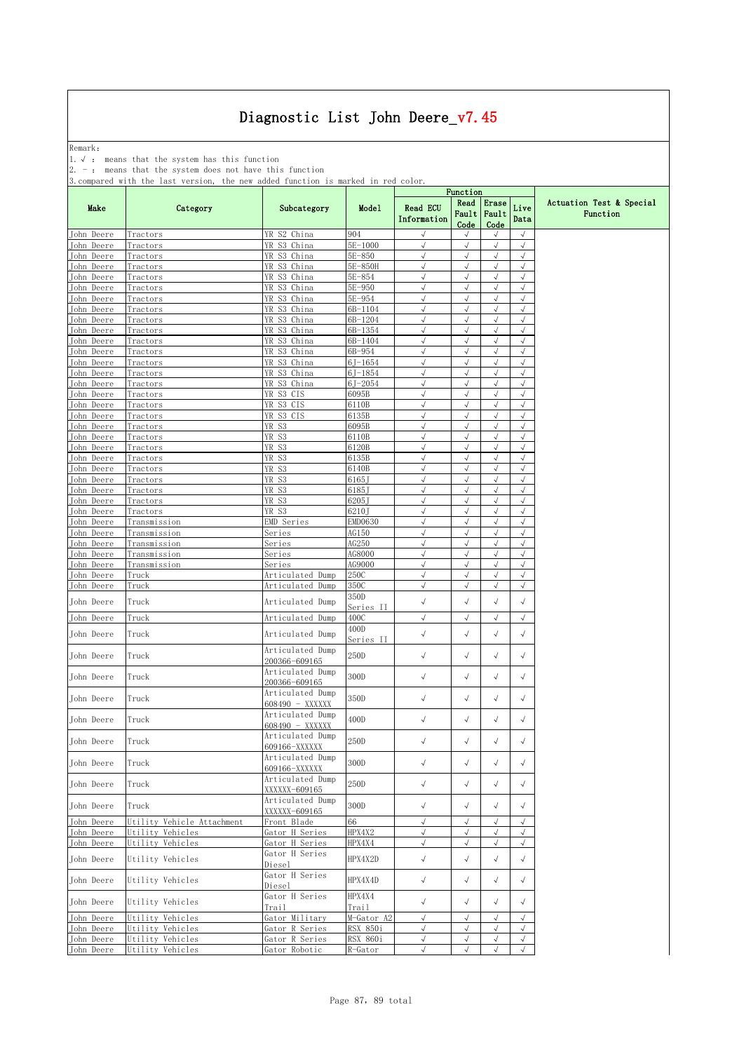Remark: The contract of the contract of  $\mathbb{R}$  and  $\mathbb{R}$  are contract of  $\mathbb{R}$  and  $\mathbb{R}$  are contract of  $\mathbb{R}$  and  $\mathbb{R}$  are contract of  $\mathbb{R}$  and  $\mathbb{R}$  are contract of  $\mathbb{R}$  and  $\mathbb{R}$  are cont

1.√ : means that the system has this function

2. - : means that the system does not have this function

| put                      |                                      |                                     |                      |                          | Function                   |                         |                          |                                      |
|--------------------------|--------------------------------------|-------------------------------------|----------------------|--------------------------|----------------------------|-------------------------|--------------------------|--------------------------------------|
| Make                     | Category                             | Subcategory                         | Model                | Read ECU<br>Information  | Read<br>Fault<br>Code      | Erase<br>Fault<br>Code  | Live<br>Data             | Actuation Test & Special<br>Function |
| John Deere               | Tractors                             | YR S2 China                         | 904                  | $\sqrt{ }$               | $\sqrt{ }$                 | $\sqrt{ }$              | $\sqrt{ }$               |                                      |
| John Deere               | Tractors                             | YR S3 China                         | 5E-1000              | $\sqrt{}$                | $\sqrt{ }$                 | $\sqrt{}$               | $\sqrt{ }$               |                                      |
| John Deere               | Tractors                             | YR S3 China                         | 5E-850<br>5E-850H    | $\sqrt{ }$<br>$\sqrt{ }$ | $\sqrt{ }$<br>$\checkmark$ | $\sqrt{2}$<br>√         | $\sqrt{ }$<br>$\sqrt{ }$ |                                      |
| John Deere<br>John Deere | Tractors<br>Tractors                 | YR S3 China<br>YR S3 China          | 5E-854               | $\sqrt{ }$               | $\sqrt{}$                  | $\sqrt{2}$              | $\sqrt{2}$               |                                      |
| John Deere               | Tractors                             | YR S3 China                         | 5E-950               | $\sqrt{ }$               | $\sqrt{}$                  | $\sqrt{ }$              | $\sqrt{ }$               |                                      |
| John Deere               | Tractors                             | YR S3 China                         | 5E-954               | $\sqrt{ }$               | $\sqrt{}$                  | $\sqrt{ }$              | $\sqrt{ }$               |                                      |
| John Deere               | Tractors                             | YR S3 China                         | 6B-1104              | $\sqrt{ }$               | $\sqrt{ }$                 | $\sqrt{ }$              | $\sqrt{}$                |                                      |
| John Deere               | Tractors                             | YR S3 China                         | 6B-1204              | $\sqrt{ }$               | $\sqrt{ }$                 | $\sqrt{}$               | $\sqrt{}$                |                                      |
| John Deere               | Tractors                             | YR S3 China                         | 6B-1354              | $\sqrt{ }$               | $\sqrt{ }$                 | $\sqrt{}$               | $\sqrt{}$                |                                      |
| <b>John Deere</b>        | Tractors                             | YR S3 China                         | 6B-1404              | √                        | √                          | $\checkmark$            | $\sqrt{2}$               |                                      |
| John Deere               | Tractors                             | YR S3 China                         | 6B-954               | $\sqrt{ }$               | $\sqrt{}$                  | $\sqrt{}$               | $\sqrt{2}$               |                                      |
| John Deere               | Tractors                             | YR S3 China                         | $6J-1654$            | $\sqrt{ }$               | $\sqrt{ }$                 | $\sqrt{ }$              | $\sqrt{}$                |                                      |
| John Deere               | Tractors                             | YR S3 China                         | $6J-1854$            | $\sqrt{ }$               | $\sqrt{}$                  | $\sqrt{}$               | $\sqrt{ }$               |                                      |
| John Deere               | Tractors                             | YR S3 China                         | $6J - 2054$          | $\sqrt{ }$               | $\sqrt{ }$                 | $\sqrt{}$               | $\sqrt{ }$               |                                      |
| John Deere<br>John Deere | Tractors                             | YR S3 CIS<br>YR S3 CIS              | 6095B<br>6110B       | $\sqrt{ }$<br>$\sqrt{ }$ | $\sqrt{ }$<br>$\sqrt{}$    | $\sqrt{}$<br>$\sqrt{}$  | $\sqrt{}$<br>$\sqrt{ }$  |                                      |
| John Deere               | Tractors<br>Tractors                 | YR S3 CIS                           | 6135B                | $\sqrt{ }$               | $\checkmark$               | $\sqrt{ }$              | $\sqrt{}$                |                                      |
| John Deere               | Tractors                             | YR S3                               | 6095B                | $\sqrt{ }$               | $\sqrt{}$                  | $\sqrt{ }$              | $\sqrt{}$                |                                      |
| John Deere               | Tractors                             | YR S3                               | 6110B                | $\sqrt{ }$               | $\sqrt{ }$                 | $\sqrt{ }$              | $\sqrt{}$                |                                      |
| John Deere               | Tractors                             | YR S3                               | 6120B                | $\sqrt{ }$               | $\sqrt{ }$                 | $\sqrt{}$               | $\sqrt{}$                |                                      |
| John Deere               | Tractors                             | YR S3                               | 6135B                | $\sqrt{ }$               | $\sqrt{}$                  | $\sqrt{2}$              | $\sqrt{}$                |                                      |
| John Deere               | Tractors                             | YR S3                               | 6140B                | $\sqrt{ }$               | $\sqrt{}$                  | $\sqrt{ }$              | $\sqrt{ }$               |                                      |
| John Deere               | Tractors                             | YR S3                               | 6165J                | $\checkmark$             | $\sqrt{}$                  | $\sqrt{2}$              | $\sqrt{ }$               |                                      |
| John Deere               | Tractors                             | YR S3                               | 6185J                | $\sqrt{ }$               | $\sqrt{}$                  | $\sqrt{ }$              | $\sqrt{}$                |                                      |
| John Deere               | Tractors                             | YR S3                               | 6205J                | $\sqrt{ }$               | $\sqrt{}$                  | $\sqrt{}$               | $\sqrt{ }$               |                                      |
| John Deere               | Tractors                             | YR S3                               | 6210J                | $\sqrt{ }$               | $\sqrt{ }$                 | $\sqrt{}$               | $\sqrt{}$                |                                      |
| John Deere               | Transmission                         | EMD Series                          | EMD0630              | $\sqrt{ }$               | $\sqrt{2}$                 | $\sqrt{ }$              | $\sqrt{}$                |                                      |
| John Deere               | Transmission                         | Series                              | AG150<br>AG250       | $\sqrt{ }$<br>√          | $\sqrt{}$<br>$\checkmark$  | $\sqrt{}$<br>√          | $\sqrt{2}$<br>$\sqrt{}$  |                                      |
| John Deere<br>John Deere | Transmission<br>Transmission         | Series<br>Series                    | AG8000               | $\sqrt{ }$               | $\sqrt{}$                  | $\sqrt{}$               | $\sqrt{}$                |                                      |
| John Deere               | Transmission                         | Series                              | AG9000               | $\sqrt{ }$               | $\sqrt{}$                  | $\sqrt{ }$              | $\sqrt{}$                |                                      |
| John Deere               | Truck                                | Articulated Dump                    | 250C                 | $\sqrt{ }$               | $\sqrt{}$                  | $\sqrt{ }$              | $\sqrt{ }$               |                                      |
| John Deere               | Truck                                | Articulated Dump                    | 350C                 | $\sqrt{ }$               | $\sqrt{ }$                 | $\sqrt{}$               | $\sqrt{}$                |                                      |
| John Deere               | Truck                                | Articulated Dump                    | 350D<br>Series II    | $\sqrt{}$                | $\sqrt{ }$                 | $\sqrt{}$               | $\sqrt{}$                |                                      |
| John Deere               | Truck                                | Articulated Dump                    | 400C                 | $\sqrt{ }$               | $\checkmark$               | $\sqrt{}$               | $\sqrt{ }$               |                                      |
| John Deere               | Truck                                | Articulated Dump                    | 400D<br>Series II    | $\sqrt{ }$               | $\sqrt{ }$                 | $\sqrt{}$               | $\sqrt{}$                |                                      |
| John Deere               | Truck                                | Articulated Dump<br>200366-609165   | 250D                 | $\checkmark$             | $\sqrt{ }$                 | $\sqrt{ }$              | $\sqrt{}$                |                                      |
| John Deere               | Truck                                | Articulated Dump                    | 300D                 | $\checkmark$             | $\sqrt{ }$                 | $\sqrt{ }$              | $\sqrt{}$                |                                      |
| John Deere               | Truck                                | 200366-609165<br>Articulated Dump   | 350D                 | $\sqrt{ }$               | $\sqrt{ }$                 | $\sqrt{ }$              | $\sqrt{}$                |                                      |
|                          |                                      | 608490 - XXXXXX<br>Articulated Dump |                      |                          |                            |                         |                          |                                      |
| John Deere               | Truck                                | 608490 - XXXXXX<br>Articulated Dump | 400D                 | $\sqrt{ }$               | $\sqrt{}$                  | $\sqrt{}$               | $\sqrt{ }$               |                                      |
| John Deere               | Truck                                | 609166-XXXXXX                       | 250D                 | $\sqrt{ }$               | $\sqrt{}$                  | $\checkmark$            | $\checkmark$             |                                      |
| John Deere               | Truck                                | Articulated Dump<br>609166-XXXXXX   | 300D                 | $\sqrt{ }$               | $\sqrt{ }$                 | $\sqrt{ }$              | $\sqrt{}$                |                                      |
| John Deere               | Truck                                | Articulated Dump<br>XXXXXX-609165   | 250D                 | $\sqrt{ }$               | $\sqrt{ }$                 | $\sqrt{}$               | $\sqrt{ }$               |                                      |
| John Deere               | Truck                                | Articulated Dump<br>XXXXXX-609165   | 300D                 | $\checkmark$             | $\sqrt{ }$                 | $\sqrt{ }$              | $\checkmark$             |                                      |
| John Deere               | Utility Vehicle Attachment           | Front Blade                         | 66                   | $\sqrt{ }$               | $\sqrt{ }$                 | $\sqrt{}$               | $\sqrt{}$                |                                      |
| John Deere               | Utility Vehicles                     | Gator H Series                      | HPX4X2               | $\sqrt{ }$               | $\sqrt{2}$                 | $\sqrt{2}$              | $\sqrt{ }$               |                                      |
| John Deere               | Utility Vehicles                     | Gator H Series                      | HPX4X4               | $\sqrt{ }$               | $\sqrt{ }$                 | $\sqrt{ }$              | $\sqrt{}$                |                                      |
| John Deere               | Utility Vehicles                     | Gator H Series<br>Diesel            | HPX4X2D              | $\checkmark$             | $\sqrt{ }$                 | $\sqrt{}$               | $\checkmark$             |                                      |
| John Deere               | Utility Vehicles                     | Gator H Series<br>Diesel            | HPX4X4D              | $\sqrt{ }$               | $\sqrt{ }$                 | $\sqrt{ }$              | $\sqrt{}$                |                                      |
| John Deere               | Utility Vehicles                     | Gator H Series                      | HPX4X4               | $\checkmark$             | $\sqrt{ }$                 | $\sqrt{ }$              | $\sqrt{}$                |                                      |
|                          |                                      | Trail                               | Trail                |                          |                            |                         |                          |                                      |
| John Deere               | Utility Vehicles                     | Gator Military                      | M-Gator A2           | $\sqrt{ }$               | $\sqrt{2}$                 | $\sqrt{ }$              | $\sqrt{}$                |                                      |
| John Deere               | Utility Vehicles<br>Utility Vehicles | Gator R Series                      | RSX 850i<br>RSX 860i | $\sqrt{ }$<br>$\sqrt{ }$ | $\sqrt{ }$<br>$\sqrt{ }$   | $\sqrt{ }$<br>$\sqrt{}$ | $\sqrt{}$<br>$\sqrt{}$   |                                      |
| John Deere<br>John Deere | Utility Vehicles                     | Gator R Series<br>Gator Robotic     | R-Gator              | $\sqrt{ }$               | $\sqrt{ }$                 | $\sqrt{}$               | $\sqrt{}$                |                                      |
|                          |                                      |                                     |                      |                          |                            |                         |                          |                                      |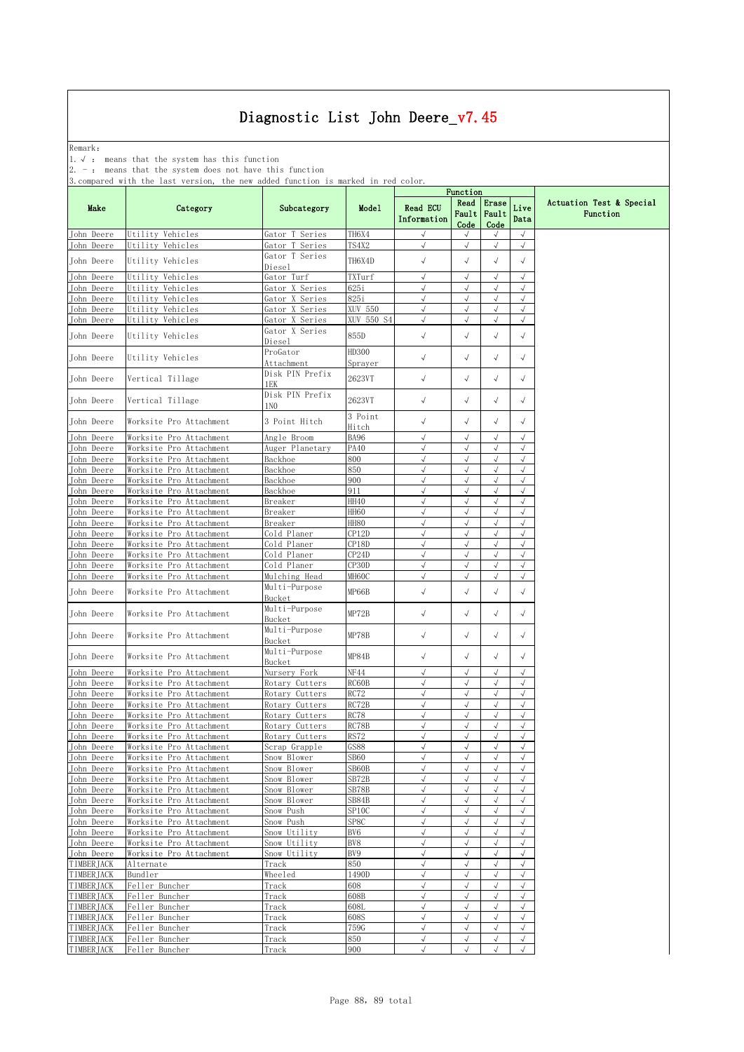Remark: The contract of the contract of  $\mathbb{R}$  and  $\mathbb{R}$  are contract of  $\mathbb{R}$  and  $\mathbb{R}$  are contract of  $\mathbb{R}$  and  $\mathbb{R}$  are contract of  $\mathbb{R}$  and  $\mathbb{R}$  are contract of  $\mathbb{R}$  and  $\mathbb{R}$  are cont

1.√ : means that the system has this function

2. - : means that the system does not have this function

|                                 |                                                    |                                    |                    | Function                       |                             |                          |                          |                                      |
|---------------------------------|----------------------------------------------------|------------------------------------|--------------------|--------------------------------|-----------------------------|--------------------------|--------------------------|--------------------------------------|
| Make                            | Category                                           | Subcategory                        | Model              | <b>Read ECU</b><br>Information | Read<br>Fault Fault<br>Code | Erase<br>Code            | Live<br>Data             | Actuation Test & Special<br>Function |
| John Deere                      | Utility Vehicles                                   | Gator T Series                     | TH6X4              | $\sqrt{ }$                     | $\sqrt{ }$                  | $\sqrt{ }$               | $\sqrt{ }$               |                                      |
| John Deere<br>John Deere        | Utility Vehicles<br>Utility Vehicles               | Gator T Series<br>Gator T Series   | TS4X2<br>TH6X4D    | $\sqrt{}$<br>$\sqrt{}$         | $\sqrt{}$<br>$\sqrt{}$      | $\sqrt{}$<br>$\sqrt{}$   | $\sqrt{}$<br>$\sqrt{}$   |                                      |
|                                 | Utility Vehicles                                   | Diesel                             |                    |                                | J                           | $\sqrt{ }$               | $\sqrt{ }$               |                                      |
| John Deere<br>John Deere        | Utility Vehicles                                   | Gator Turf<br>Gator X Series       | TXTurf<br>625i     | $\sqrt{ }$<br>$\sqrt{ }$       | $\sqrt{}$                   | $\sqrt{}$                | $\sqrt{}$                |                                      |
| John Deere                      | Utility Vehicles                                   | Gator X Series                     | 825i               | $\sqrt{ }$                     | $\sqrt{}$                   | $\sqrt{ }$               | $\sqrt{}$                |                                      |
| John Deere                      | Utility Vehicles                                   | Gator X Series                     | XUV 550            | $\sqrt{ }$                     | $\sqrt{}$                   | $\sqrt{}$                | $\sqrt{2}$               |                                      |
| John Deere                      | Utility Vehicles                                   | Gator X Series                     | XUV 550 S4         | √                              | √                           | $\sqrt{}$                | $\sqrt{}$                |                                      |
| John Deere                      | Utility Vehicles                                   | Gator X Series<br>Diesel           | 855D               | $\sqrt{ }$                     | $\sqrt{ }$                  | $\sqrt{}$                | $\sqrt{}$                |                                      |
| John Deere                      | Utility Vehicles                                   | ProGator<br>Attachment             | HD300<br>Sprayer   | $\sqrt{ }$                     | $\sqrt{}$                   | $\sqrt{}$                | $\sqrt{}$                |                                      |
| John Deere                      | Vertical Tillage                                   | Disk PIN Prefix<br>1EK             | 2623VT             | $\checkmark$                   | $\sqrt{}$                   | $\sqrt{ }$               | $\sqrt{ }$               |                                      |
| John Deere                      | Vertical Tillage                                   | Disk PIN Prefix<br>1N <sub>0</sub> | 2623VT             | $\sqrt{ }$                     | $\sqrt{}$                   | $\sqrt{}$                | $\sqrt{}$                |                                      |
| John Deere                      | Worksite Pro Attachment                            | 3 Point Hitch                      | 3 Point<br>Hitch   | $\sqrt{ }$                     | $\sqrt{ }$                  | $\sqrt{}$                | $\sqrt{ }$               |                                      |
| John Deere                      | Worksite Pro Attachment                            | Angle Broom                        | BA96               | $\sqrt{ }$                     | $\sqrt{}$                   | $\sqrt{ }$               | $\sqrt{ }$               |                                      |
| John Deere                      | Worksite Pro Attachment                            | Auger Planetary                    | <b>PA40</b>        | $\sqrt{}$                      | $\sqrt{}$                   | $\sqrt{ }$               | $\sqrt{}$                |                                      |
| John Deere                      | Worksite Pro Attachment                            | Backhoe                            | 800                | $\sqrt{ }$                     | $\sqrt{}$                   | $\sqrt{}$                | $\sqrt{ }$               |                                      |
| John Deere                      | Worksite Pro Attachment                            | Backhoe                            | 850                | J                              |                             | $\sqrt{ }$               | $\sqrt{}$                |                                      |
| <b>John Deere</b>               | Worksite Pro Attachment                            | Backhoe                            | 900                | $\sqrt{2}$                     | $\sqrt{2}$                  | $\sqrt{}$                | $\sqrt{}$                |                                      |
| John Deere<br>John Deere        | Worksite Pro Attachment<br>Worksite Pro Attachment | Backhoe<br>Breaker                 | 911<br><b>HH40</b> | $\sqrt{ }$<br>$\sqrt{ }$       | $\sqrt{2}$<br>$\sqrt{}$     | $\sqrt{ }$<br>$\sqrt{}$  | $\sqrt{2}$<br>$\sqrt{}$  |                                      |
| John Deere                      | Worksite Pro Attachment                            | Breaker                            | <b>HH60</b>        | $\sqrt{ }$                     | $\sqrt{ }$                  | $\sqrt{ }$               | $\sqrt{2}$               |                                      |
| John Deere                      | Worksite Pro Attachment                            | Breaker                            | <b>HH80</b>        | $\sqrt{ }$                     | √                           | $\sqrt{ }$               | $\sqrt{ }$               |                                      |
| John Deere                      | Worksite Pro Attachment                            | Cold Planer                        | CP12D              | $\sqrt{2}$                     |                             | $\sqrt{ }$               | $\sqrt{2}$               |                                      |
| John Deere                      | Worksite Pro Attachment                            | Cold Planer                        | $\texttt{CP18D}$   | $\sqrt{}$                      | $\sqrt{2}$                  | $\sqrt{ }$               | $\sqrt{}$                |                                      |
| John Deere                      | Worksite Pro Attachment                            | Cold Planer                        | CP24D              | $\sqrt{2}$                     | $\sqrt{}$                   | $\sqrt{ }$               | $\sqrt{2}$               |                                      |
| John Deere                      | Worksite Pro Attachment                            | Cold Planer                        | CP30D              | $\sqrt{ }$                     | $\sqrt{}$                   | $\sqrt{}$                | $\sqrt{ }$               |                                      |
| John Deere<br>John Deere        | Worksite Pro Attachment<br>Worksite Pro Attachment | Mulching Head<br>Multi-Purpose     | MH60C<br>MP66B     | $\sqrt{}$<br>$\sqrt{ }$        | $\sqrt{}$<br>$\sqrt{}$      | $\sqrt{}$<br>$\sqrt{}$   | $\sqrt{}$<br>$\sqrt{ }$  |                                      |
| John Deere                      | Worksite Pro Attachment                            | Bucket<br>Multi-Purpose            | MP72B              | $\sqrt{ }$                     | $\sqrt{ }$                  | $\sqrt{}$                | $\sqrt{}$                |                                      |
|                                 |                                                    | Bucket<br>Multi-Purpose            |                    | $\sqrt{}$                      |                             |                          |                          |                                      |
| John Deere                      | Worksite Pro Attachment                            | Bucket<br>Multi-Purpose            | MP78B              |                                | √                           | $\sqrt{ }$               | $\sqrt{}$                |                                      |
| John Deere                      | Worksite Pro Attachment                            | Bucket                             | MP84B              | $\sqrt{ }$                     | √                           | $\sqrt{ }$               | $\sqrt{}$                |                                      |
| John Deere                      | Worksite Pro Attachment                            | Nursery Fork                       | NF44               | $\sqrt{}$                      | $\sqrt{ }$                  | $\sqrt{ }$               | $\sqrt{ }$               |                                      |
| John Deere                      | Worksite Pro Attachment                            | Rotary Cutters                     | RC60B              | $\sqrt{}$                      |                             | $\sqrt{ }$               | $\sqrt{}$                |                                      |
| John Deere<br>John Deere        | Worksite Pro Attachment<br>Worksite Pro Attachment | Rotary Cutters<br>Rotary Cutters   | RC72<br>RC72B      | $\sqrt{ }$<br>$\sqrt{ }$       | $\sqrt{}$<br>$\sqrt{}$      | $\sqrt{ }$<br>$\sqrt{}$  | $\sqrt{2}$<br>$\sqrt{}$  |                                      |
| John Deere                      | Worksite Pro Attachment                            | Rotary Cutters                     | RC78               | $\sqrt{ }$                     | $\sqrt{}$                   | $\sqrt{ }$               | $\sqrt{}$                |                                      |
| Tohn Deere                      | Worksite Pro Attachment                            | Rotary Cutters                     | RC78B              | $\sqrt{}$                      | $\sqrt{}$                   | $\sqrt{ }$               | $\sqrt{}$                |                                      |
| John Deere                      | Worksite Pro Attachment                            | Rotary Cutters                     | RS72               | $\sqrt{}$                      | $\sqrt{2}$                  | $\sqrt{2}$               | $\sqrt{ }$               |                                      |
| John Deere                      | Worksite Pro Attachment                            | Scrap Grapple                      | GS88               | √                              | √                           |                          | √                        |                                      |
| John Deere                      | Worksite Pro Attachment                            | Snow Blower                        | SB60               | $\sqrt{ }$                     | $\sqrt{}$                   | $\sqrt{ }$               | $\sqrt{2}$               |                                      |
| John Deere                      | Worksite Pro Attachment                            | Snow Blower                        | SB60B              | $\sqrt{ }$                     | $\sqrt{}$                   | $\sqrt{ }$               | $\sqrt{ }$               |                                      |
| John Deere                      | Worksite Pro Attachment<br>Worksite Pro Attachment | Snow Blower                        | SB72B<br>SB78B     | $\sqrt{}$<br>$\sqrt{ }$        | $\sqrt{}$<br>$\sqrt{ }$     | $\sqrt{}$<br>$\sqrt{ }$  | $\sqrt{ }$<br>$\sqrt{ }$ |                                      |
| John Deere<br>John Deere        | Worksite Pro Attachment                            | Snow Blower<br>Snow Blower         | SB84B              | $\sqrt{}$                      | $\sqrt{}$                   | $\sqrt{ }$               | $\sqrt{2}$               |                                      |
| John Deere                      | Worksite Pro Attachment                            | Snow Push                          | SP10C              | $\sqrt{ }$                     | $\sqrt{}$                   | $\sqrt{}$                | $\sqrt{ }$               |                                      |
| John Deere                      | Worksite Pro Attachment                            | Snow Push                          | SP8C               | $\sqrt{ }$                     | $\sqrt{}$                   | $\sqrt{ }$               | $\sqrt{ }$               |                                      |
| John Deere                      | Worksite Pro Attachment                            | Snow Utility                       | BV6                | $\sqrt{ }$                     | $\sqrt{}$                   | $\sqrt{}$                | $\sqrt{ }$               |                                      |
| John Deere                      | Worksite Pro Attachment                            | Snow Utility                       | BV8                | $\sqrt{ }$                     | $\sqrt{}$                   | $\sqrt{ }$               | $\sqrt{ }$               |                                      |
| John Deere                      | Worksite Pro Attachment                            | Snow Utility                       | BV9                | $\sqrt{}$                      | $\sqrt{}$                   | $\sqrt{ }$               | $\sqrt{ }$               |                                      |
| TIMBERJACK                      | Alternate                                          | Track                              | 850                | $\sqrt{}$                      | $\sqrt{2}$                  | $\sqrt{ }$               | $\sqrt{ }$               |                                      |
| TIMBERIACK                      | Bundler                                            | Wheeled                            | 1490D              | √                              | $\sqrt{2}$                  | $\sqrt{ }$               | $\sqrt{ }$               |                                      |
| TIMBERJACK                      | Feller Buncher                                     | Track                              | 608                | $\sqrt{2}$                     | $\sqrt{2}$                  | $\sqrt{2}$               | $\sqrt{ }$<br>$\sqrt{ }$ |                                      |
| TIMBERJACK<br><b>TIMBERJACK</b> | Feller Buncher<br>Feller Buncher                   | Track<br>Track                     | 608B<br>608L       | $\sqrt{ }$<br>$\sqrt{ }$       | $\sqrt{}$<br>$\sqrt{}$      | $\sqrt{ }$<br>$\sqrt{ }$ | $\sqrt{ }$               |                                      |
| <b>TIMBERJACK</b>               | Feller Buncher                                     | Track                              | 608S               | $\sqrt{}$                      | $\sqrt{2}$                  | $\sqrt{ }$               | $\sqrt{ }$               |                                      |
| TIMBERJACK                      | Feller Buncher                                     | Track                              | 759G               | $\sqrt{}$                      | $\sqrt{2}$                  | $\sqrt{}$                | $\sqrt{ }$               |                                      |
| <b>TIMBERJACK</b>               | Feller Buncher                                     | Track                              | 850                | $\sqrt{}$                      | $\sqrt{2}$                  | $\sqrt{}$                | $\sqrt{ }$               |                                      |
| TIMBERJACK                      | Feller Buncher                                     | Track                              | 900                |                                |                             |                          | $\sqrt{}$                |                                      |